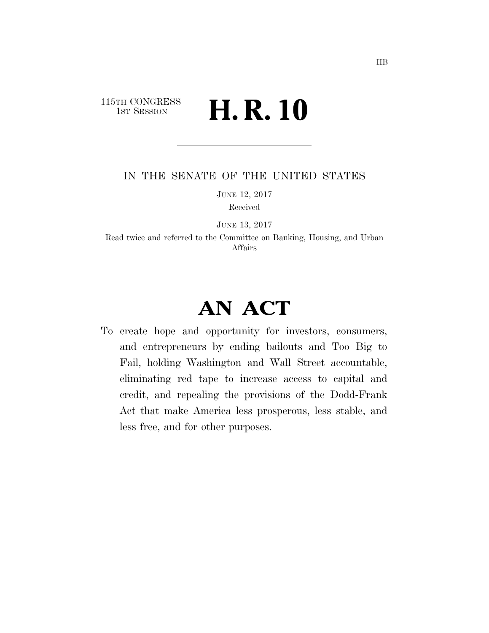115TH CONGRESS<br>1st Session

# H. R. 10

IN THE SENATE OF THE UNITED STATES

JUNE 12, 2017

Received

JUNE 13, 2017

Read twice and referred to the Committee on Banking, Housing, and Urban Affairs

# **AN ACT**

To create hope and opportunity for investors, consumers, and entrepreneurs by ending bailouts and Too Big to Fail, holding Washington and Wall Street accountable, eliminating red tape to increase access to capital and credit, and repealing the provisions of the Dodd-Frank Act that make America less prosperous, less stable, and less free, and for other purposes.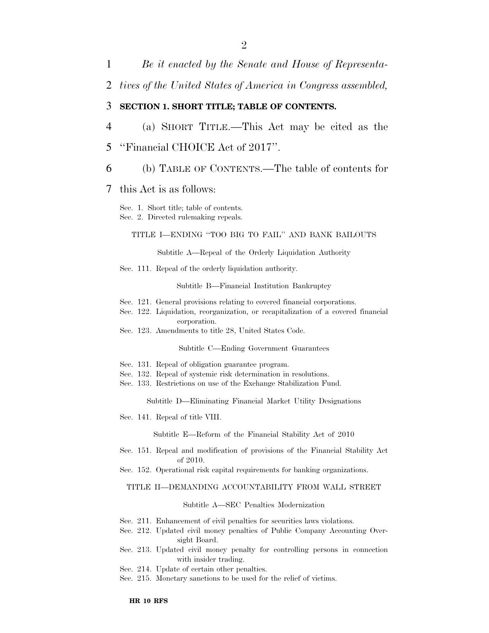1 *Be it enacted by the Senate and House of Representa-*

2 *tives of the United States of America in Congress assembled,* 

#### 3 **SECTION 1. SHORT TITLE; TABLE OF CONTENTS.**

- 4 (a) SHORT TITLE.—This Act may be cited as the 5 ''Financial CHOICE Act of 2017''.
- 6 (b) TABLE OF CONTENTS.—The table of contents for

#### 7 this Act is as follows:

Sec. 1. Short title; table of contents.

Sec. 2. Directed rulemaking repeals.

#### TITLE I—ENDING ''TOO BIG TO FAIL'' AND BANK BAILOUTS

Subtitle A—Repeal of the Orderly Liquidation Authority

Sec. 111. Repeal of the orderly liquidation authority.

Subtitle B—Financial Institution Bankruptcy

- Sec. 121. General provisions relating to covered financial corporations.
- Sec. 122. Liquidation, reorganization, or recapitalization of a covered financial corporation.
- Sec. 123. Amendments to title 28, United States Code.

#### Subtitle C—Ending Government Guarantees

- Sec. 131. Repeal of obligation guarantee program.
- Sec. 132. Repeal of systemic risk determination in resolutions.
- Sec. 133. Restrictions on use of the Exchange Stabilization Fund.

#### Subtitle D—Eliminating Financial Market Utility Designations

Sec. 141. Repeal of title VIII.

Subtitle E—Reform of the Financial Stability Act of 2010

- Sec. 151. Repeal and modification of provisions of the Financial Stability Act of 2010.
- Sec. 152. Operational risk capital requirements for banking organizations.

#### TITLE II—DEMANDING ACCOUNTABILITY FROM WALL STREET

#### Subtitle A—SEC Penalties Modernization

- Sec. 211. Enhancement of civil penalties for securities laws violations.
- Sec. 212. Updated civil money penalties of Public Company Accounting Oversight Board.
- Sec. 213. Updated civil money penalty for controlling persons in connection with insider trading.
- Sec. 214. Update of certain other penalties.
- Sec. 215. Monetary sanctions to be used for the relief of victims.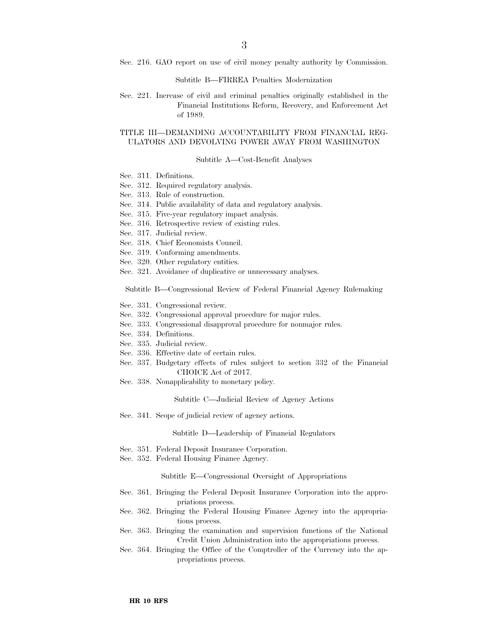Sec. 216. GAO report on use of civil money penalty authority by Commission.

#### Subtitle B—FIRREA Penalties Modernization

Sec. 221. Increase of civil and criminal penalties originally established in the Financial Institutions Reform, Recovery, and Enforcement Act of 1989.

#### TITLE III—DEMANDING ACCOUNTABILITY FROM FINANCIAL REG-ULATORS AND DEVOLVING POWER AWAY FROM WASHINGTON

#### Subtitle A—Cost-Benefit Analyses

- Sec. 311. Definitions.
- Sec. 312. Required regulatory analysis.
- Sec. 313. Rule of construction.
- Sec. 314. Public availability of data and regulatory analysis.
- Sec. 315. Five-year regulatory impact analysis.
- Sec. 316. Retrospective review of existing rules.
- Sec. 317. Judicial review.
- Sec. 318. Chief Economists Council.
- Sec. 319. Conforming amendments.
- Sec. 320. Other regulatory entities.
- Sec. 321. Avoidance of duplicative or unnecessary analyses.

Subtitle B—Congressional Review of Federal Financial Agency Rulemaking

- Sec. 331. Congressional review.
- Sec. 332. Congressional approval procedure for major rules.
- Sec. 333. Congressional disapproval procedure for nonmajor rules.
- Sec. 334. Definitions.
- Sec. 335. Judicial review.
- Sec. 336. Effective date of certain rules.
- Sec. 337. Budgetary effects of rules subject to section 332 of the Financial CHOICE Act of 2017.
- Sec. 338. Nonapplicability to monetary policy.

Subtitle C—Judicial Review of Agency Actions

Sec. 341. Scope of judicial review of agency actions.

Subtitle D—Leadership of Financial Regulators

- Sec. 351. Federal Deposit Insurance Corporation.
- Sec. 352. Federal Housing Finance Agency.

Subtitle E—Congressional Oversight of Appropriations

- Sec. 361. Bringing the Federal Deposit Insurance Corporation into the appropriations process.
- Sec. 362. Bringing the Federal Housing Finance Agency into the appropriations process.
- Sec. 363. Bringing the examination and supervision functions of the National Credit Union Administration into the appropriations process.
- Sec. 364. Bringing the Office of the Comptroller of the Currency into the appropriations process.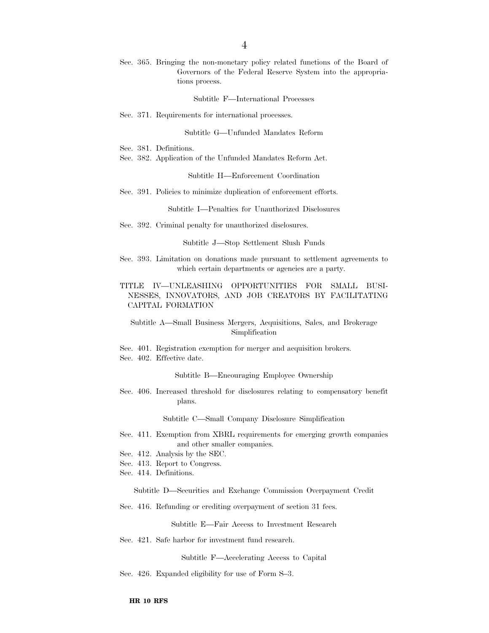Sec. 365. Bringing the non-monetary policy related functions of the Board of Governors of the Federal Reserve System into the appropriations process.

Subtitle F—International Processes

Sec. 371. Requirements for international processes.

Subtitle G—Unfunded Mandates Reform

Sec. 381. Definitions.

Sec. 382. Application of the Unfunded Mandates Reform Act.

Subtitle H—Enforcement Coordination

Sec. 391. Policies to minimize duplication of enforcement efforts.

Subtitle I—Penalties for Unauthorized Disclosures

Sec. 392. Criminal penalty for unauthorized disclosures.

Subtitle J—Stop Settlement Slush Funds

Sec. 393. Limitation on donations made pursuant to settlement agreements to which certain departments or agencies are a party.

#### TITLE IV—UNLEASHING OPPORTUNITIES FOR SMALL BUSI-NESSES, INNOVATORS, AND JOB CREATORS BY FACILITATING CAPITAL FORMATION

Subtitle A—Small Business Mergers, Acquisitions, Sales, and Brokerage Simplification

Sec. 401. Registration exemption for merger and acquisition brokers. Sec. 402. Effective date.

Subtitle B—Encouraging Employee Ownership

Sec. 406. Increased threshold for disclosures relating to compensatory benefit plans.

Subtitle C—Small Company Disclosure Simplification

- Sec. 411. Exemption from XBRL requirements for emerging growth companies and other smaller companies.
- Sec. 412. Analysis by the SEC.
- Sec. 413. Report to Congress.
- Sec. 414. Definitions.

Subtitle D—Securities and Exchange Commission Overpayment Credit

Sec. 416. Refunding or crediting overpayment of section 31 fees.

Subtitle E—Fair Access to Investment Research

Sec. 421. Safe harbor for investment fund research.

Subtitle F—Accelerating Access to Capital

Sec. 426. Expanded eligibility for use of Form S–3.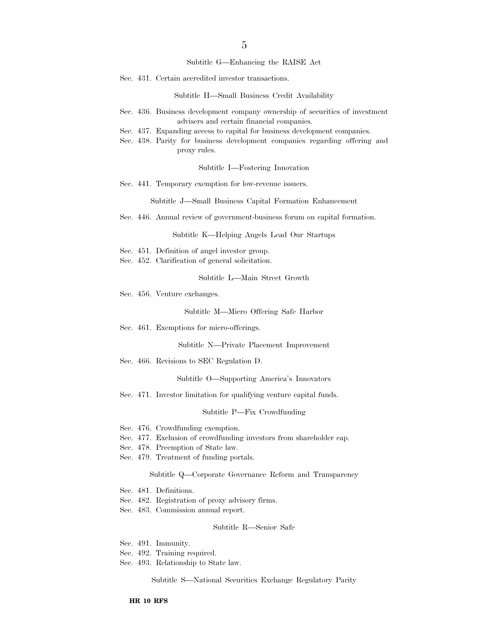Subtitle G—Enhancing the RAISE Act

Sec. 431. Certain accredited investor transactions.

Subtitle H—Small Business Credit Availability

- Sec. 436. Business development company ownership of securities of investment advisers and certain financial companies.
- Sec. 437. Expanding access to capital for business development companies.
- Sec. 438. Parity for business development companies regarding offering and proxy rules.

#### Subtitle I—Fostering Innovation

Sec. 441. Temporary exemption for low-revenue issuers.

Subtitle J—Small Business Capital Formation Enhancement

Sec. 446. Annual review of government-business forum on capital formation.

Subtitle K—Helping Angels Lead Our Startups

- Sec. 451. Definition of angel investor group.
- Sec. 452. Clarification of general solicitation.

Subtitle L—Main Street Growth

Sec. 456. Venture exchanges.

Subtitle M—Micro Offering Safe Harbor

Sec. 461. Exemptions for micro-offerings.

Subtitle N—Private Placement Improvement

Sec. 466. Revisions to SEC Regulation D.

Subtitle O—Supporting America's Innovators

Sec. 471. Investor limitation for qualifying venture capital funds.

#### Subtitle P—Fix Crowdfunding

- Sec. 476. Crowdfunding exemption.
- Sec. 477. Exclusion of crowdfunding investors from shareholder cap.
- Sec. 478. Preemption of State law.
- Sec. 479. Treatment of funding portals.

Subtitle Q—Corporate Governance Reform and Transparency

- Sec. 481. Definitions.
- Sec. 482. Registration of proxy advisory firms.
- Sec. 483. Commission annual report.

Subtitle R—Senior Safe

- Sec. 491. Immunity.
- Sec. 492. Training required.
- Sec. 493. Relationship to State law.

Subtitle S—National Securities Exchange Regulatory Parity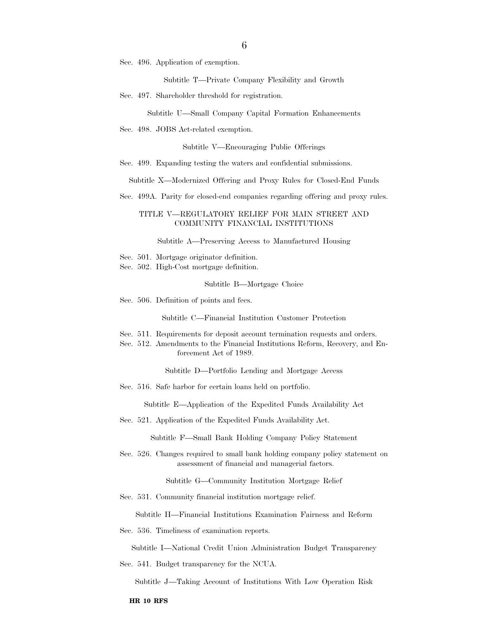Sec. 496. Application of exemption.

Subtitle T—Private Company Flexibility and Growth

Sec. 497. Shareholder threshold for registration.

Subtitle U—Small Company Capital Formation Enhancements

Sec. 498. JOBS Act-related exemption.

Subtitle V—Encouraging Public Offerings

Sec. 499. Expanding testing the waters and confidential submissions.

Subtitle X—Modernized Offering and Proxy Rules for Closed-End Funds

Sec. 499A. Parity for closed-end companies regarding offering and proxy rules.

#### TITLE V—REGULATORY RELIEF FOR MAIN STREET AND COMMUNITY FINANCIAL INSTITUTIONS

Subtitle A—Preserving Access to Manufactured Housing

- Sec. 501. Mortgage originator definition.
- Sec. 502. High-Cost mortgage definition.

Subtitle B—Mortgage Choice

Sec. 506. Definition of points and fees.

Subtitle C—Financial Institution Customer Protection

- Sec. 511. Requirements for deposit account termination requests and orders.
- Sec. 512. Amendments to the Financial Institutions Reform, Recovery, and Enforcement Act of 1989.

Subtitle D—Portfolio Lending and Mortgage Access

Sec. 516. Safe harbor for certain loans held on portfolio.

Subtitle E—Application of the Expedited Funds Availability Act

Sec. 521. Application of the Expedited Funds Availability Act.

Subtitle F—Small Bank Holding Company Policy Statement

Sec. 526. Changes required to small bank holding company policy statement on assessment of financial and managerial factors.

Subtitle G—Community Institution Mortgage Relief

Sec. 531. Community financial institution mortgage relief.

Subtitle H—Financial Institutions Examination Fairness and Reform

Sec. 536. Timeliness of examination reports.

Subtitle I—National Credit Union Administration Budget Transparency

Sec. 541. Budget transparency for the NCUA.

Subtitle J—Taking Account of Institutions With Low Operation Risk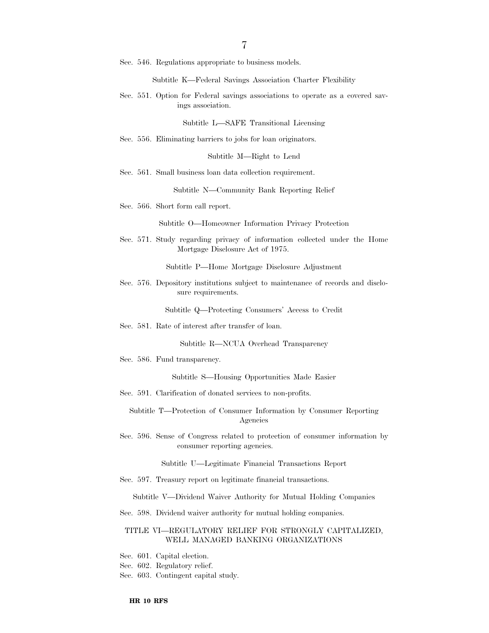Sec. 546. Regulations appropriate to business models.

Subtitle K—Federal Savings Association Charter Flexibility

Sec. 551. Option for Federal savings associations to operate as a covered savings association.

Subtitle L—SAFE Transitional Licensing

Sec. 556. Eliminating barriers to jobs for loan originators.

Subtitle M—Right to Lend

Sec. 561. Small business loan data collection requirement.

Subtitle N—Community Bank Reporting Relief

Sec. 566. Short form call report.

Subtitle O—Homeowner Information Privacy Protection

Sec. 571. Study regarding privacy of information collected under the Home Mortgage Disclosure Act of 1975.

Subtitle P—Home Mortgage Disclosure Adjustment

Sec. 576. Depository institutions subject to maintenance of records and disclosure requirements.

Subtitle Q—Protecting Consumers' Access to Credit

Sec. 581. Rate of interest after transfer of loan.

Subtitle R—NCUA Overhead Transparency

Sec. 586. Fund transparency.

Subtitle S—Housing Opportunities Made Easier

Sec. 591. Clarification of donated services to non-profits.

Subtitle T—Protection of Consumer Information by Consumer Reporting Agencies

Sec. 596. Sense of Congress related to protection of consumer information by consumer reporting agencies.

Subtitle U—Legitimate Financial Transactions Report

Sec. 597. Treasury report on legitimate financial transactions.

Subtitle V—Dividend Waiver Authority for Mutual Holding Companies

Sec. 598. Dividend waiver authority for mutual holding companies.

#### TITLE VI—REGULATORY RELIEF FOR STRONGLY CAPITALIZED, WELL MANAGED BANKING ORGANIZATIONS

- Sec. 601. Capital election.
- Sec. 602. Regulatory relief.
- Sec. 603. Contingent capital study.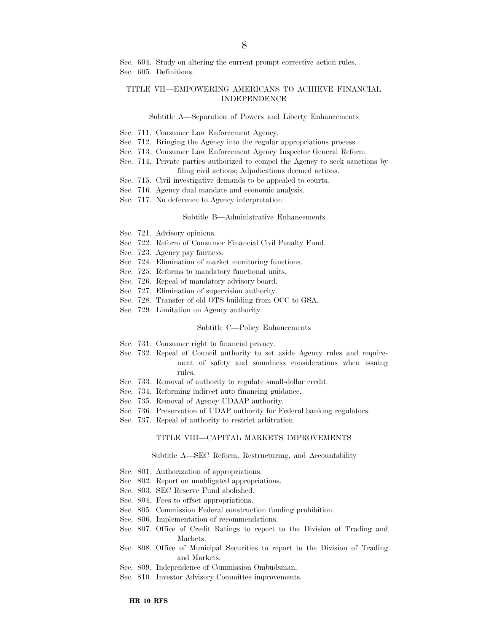#### TITLE VII—EMPOWERING AMERICANS TO ACHIEVE FINANCIAL INDEPENDENCE

#### Subtitle A—Separation of Powers and Liberty Enhancements

- Sec. 711. Consumer Law Enforcement Agency.
- Sec. 712. Bringing the Agency into the regular appropriations process.
- Sec. 713. Consumer Law Enforcement Agency Inspector General Reform.
- Sec. 714. Private parties authorized to compel the Agency to seek sanctions by filing civil actions; Adjudications deemed actions.
- Sec. 715. Civil investigative demands to be appealed to courts.
- Sec. 716. Agency dual mandate and economic analysis.
- Sec. 717. No deference to Agency interpretation.

#### Subtitle B—Administrative Enhancements

- Sec. 721. Advisory opinions.
- Sec. 722. Reform of Consumer Financial Civil Penalty Fund.
- Sec. 723. Agency pay fairness.
- Sec. 724. Elimination of market monitoring functions.
- Sec. 725. Reforms to mandatory functional units.
- Sec. 726. Repeal of mandatory advisory board.
- Sec. 727. Elimination of supervision authority.
- Sec. 728. Transfer of old OTS building from OCC to GSA.
- Sec. 729. Limitation on Agency authority.

#### Subtitle C—Policy Enhancements

- Sec. 731. Consumer right to financial privacy.
- Sec. 732. Repeal of Council authority to set aside Agency rules and requirement of safety and soundness considerations when issuing rules.
- Sec. 733. Removal of authority to regulate small-dollar credit.
- Sec. 734. Reforming indirect auto financing guidance.
- Sec. 735. Removal of Agency UDAAP authority.
- Sec. 736. Preservation of UDAP authority for Federal banking regulators.
- Sec. 737. Repeal of authority to restrict arbitration.

#### TITLE VIII—CAPITAL MARKETS IMPROVEMENTS

#### Subtitle A—SEC Reform, Restructuring, and Accountability

- Sec. 801. Authorization of appropriations.
- Sec. 802. Report on unobligated appropriations.
- Sec. 803. SEC Reserve Fund abolished.
- Sec. 804. Fees to offset appropriations.
- Sec. 805. Commission Federal construction funding prohibition.
- Sec. 806. Implementation of recommendations.
- Sec. 807. Office of Credit Ratings to report to the Division of Trading and Markets.
- Sec. 808. Office of Municipal Securities to report to the Division of Trading and Markets.
- Sec. 809. Independence of Commission Ombudsman.
- Sec. 810. Investor Advisory Committee improvements.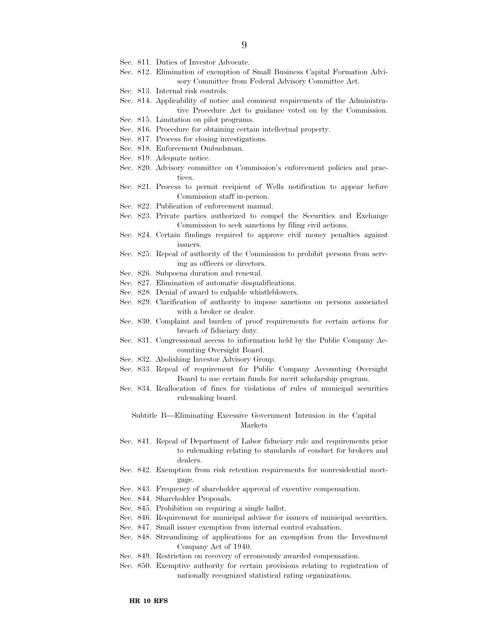- Sec. 811. Duties of Investor Advocate.
- Sec. 812. Elimination of exemption of Small Business Capital Formation Advisory Committee from Federal Advisory Committee Act.
- Sec. 813. Internal risk controls.
- Sec. 814. Applicability of notice and comment requirements of the Administrative Procedure Act to guidance voted on by the Commission.
- Sec. 815. Limitation on pilot programs.
- Sec. 816. Procedure for obtaining certain intellectual property.
- Sec. 817. Process for closing investigations.
- Sec. 818. Enforcement Ombudsman.
- Sec. 819. Adequate notice.
- Sec. 820. Advisory committee on Commission's enforcement policies and practices.
- Sec. 821. Process to permit recipient of Wells notification to appear before Commission staff in-person.
- Sec. 822. Publication of enforcement manual.
- Sec. 823. Private parties authorized to compel the Securities and Exchange Commission to seek sanctions by filing civil actions.
- Sec. 824. Certain findings required to approve civil money penalties against issuers.
- Sec. 825. Repeal of authority of the Commission to prohibit persons from serving as officers or directors.
- Sec. 826. Subpoena duration and renewal.
- Sec. 827. Elimination of automatic disqualifications.
- Sec. 828. Denial of award to culpable whistleblowers.
- Sec. 829. Clarification of authority to impose sanctions on persons associated with a broker or dealer.
- Sec. 830. Complaint and burden of proof requirements for certain actions for breach of fiduciary duty.
- Sec. 831. Congressional access to information held by the Public Company Accounting Oversight Board.
- Sec. 832. Abolishing Investor Advisory Group.
- Sec. 833. Repeal of requirement for Public Company Accounting Oversight Board to use certain funds for merit scholarship program.
- Sec. 834. Reallocation of fines for violations of rules of municipal securities rulemaking board.

#### Subtitle B—Eliminating Excessive Government Intrusion in the Capital Markets

- Sec. 841. Repeal of Department of Labor fiduciary rule and requirements prior to rulemaking relating to standards of conduct for brokers and dealers.
- Sec. 842. Exemption from risk retention requirements for nonresidential mortgage.
- Sec. 843. Frequency of shareholder approval of executive compensation.
- Sec. 844. Shareholder Proposals.
- Sec. 845. Prohibition on requiring a single ballot.
- Sec. 846. Requirement for municipal advisor for issuers of municipal securities.
- Sec. 847. Small issuer exemption from internal control evaluation.
- Sec. 848. Streamlining of applications for an exemption from the Investment Company Act of 1940.
- Sec. 849. Restriction on recovery of erroneously awarded compensation.
- Sec. 850. Exemptive authority for certain provisions relating to registration of nationally recognized statistical rating organizations.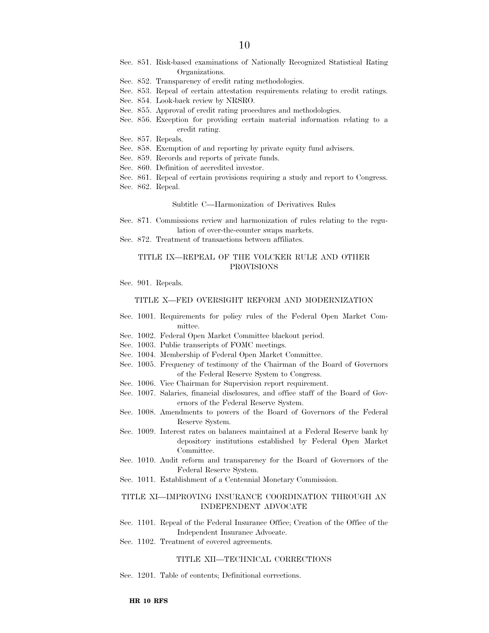- Sec. 851. Risk-based examinations of Nationally Recognized Statistical Rating Organizations.
- Sec. 852. Transparency of credit rating methodologies.
- Sec. 853. Repeal of certain attestation requirements relating to credit ratings.
- Sec. 854. Look-back review by NRSRO.
- Sec. 855. Approval of credit rating procedures and methodologies.
- Sec. 856. Exception for providing certain material information relating to a credit rating.
- Sec. 857. Repeals.
- Sec. 858. Exemption of and reporting by private equity fund advisers.
- Sec. 859. Records and reports of private funds.
- Sec. 860. Definition of accredited investor.
- Sec. 861. Repeal of certain provisions requiring a study and report to Congress.
- Sec. 862. Repeal.

#### Subtitle C—Harmonization of Derivatives Rules

- Sec. 871. Commissions review and harmonization of rules relating to the regulation of over-the-counter swaps markets.
- Sec. 872. Treatment of transactions between affiliates.

#### TITLE IX—REPEAL OF THE VOLCKER RULE AND OTHER PROVISIONS

Sec. 901. Repeals.

#### TITLE X—FED OVERSIGHT REFORM AND MODERNIZATION

- Sec. 1001. Requirements for policy rules of the Federal Open Market Committee.
- Sec. 1002. Federal Open Market Committee blackout period.
- Sec. 1003. Public transcripts of FOMC meetings.
- Sec. 1004. Membership of Federal Open Market Committee.
- Sec. 1005. Frequency of testimony of the Chairman of the Board of Governors of the Federal Reserve System to Congress.
- Sec. 1006. Vice Chairman for Supervision report requirement.
- Sec. 1007. Salaries, financial disclosures, and office staff of the Board of Governors of the Federal Reserve System.
- Sec. 1008. Amendments to powers of the Board of Governors of the Federal Reserve System.
- Sec. 1009. Interest rates on balances maintained at a Federal Reserve bank by depository institutions established by Federal Open Market Committee.
- Sec. 1010. Audit reform and transparency for the Board of Governors of the Federal Reserve System.
- Sec. 1011. Establishment of a Centennial Monetary Commission.

#### TITLE XI—IMPROVING INSURANCE COORDINATION THROUGH AN INDEPENDENT ADVOCATE

- Sec. 1101. Repeal of the Federal Insurance Office; Creation of the Office of the Independent Insurance Advocate.
- Sec. 1102. Treatment of covered agreements.

#### TITLE XII—TECHNICAL CORRECTIONS

Sec. 1201. Table of contents; Definitional corrections.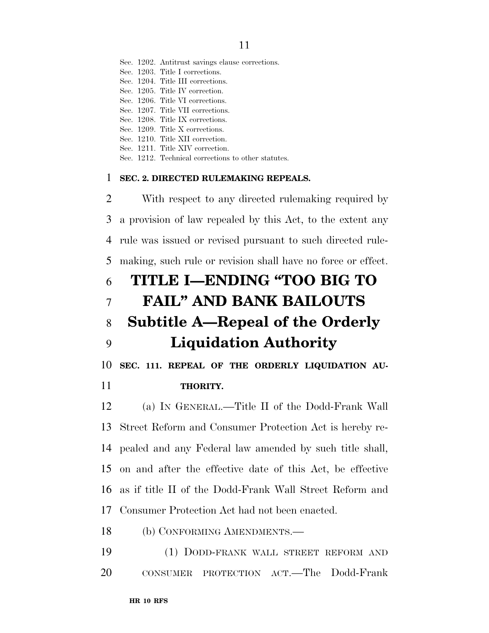- Sec. 1202. Antitrust savings clause corrections.
- Sec. 1203. Title I corrections.
- Sec. 1204. Title III corrections.
- Sec. 1205. Title IV correction.
- Sec. 1206. Title VI corrections.
- Sec. 1207. Title VII corrections.
- Sec. 1208. Title IX corrections.
- Sec. 1209. Title X corrections.
- Sec. 1210. Title XII correction.
- Sec. 1211. Title XIV correction.
- Sec. 1212. Technical corrections to other statutes.

#### **SEC. 2. DIRECTED RULEMAKING REPEALS.**

 With respect to any directed rulemaking required by a provision of law repealed by this Act, to the extent any rule was issued or revised pursuant to such directed rule- making, such rule or revision shall have no force or effect. **TITLE I—ENDING ''TOO BIG TO** 

### **FAIL'' AND BANK BAILOUTS**

# **Subtitle A—Repeal of the Orderly**

### **Liquidation Authority**

 **SEC. 111. REPEAL OF THE ORDERLY LIQUIDATION AU-THORITY.** 

 (a) IN GENERAL.—Title II of the Dodd-Frank Wall Street Reform and Consumer Protection Act is hereby re- pealed and any Federal law amended by such title shall, on and after the effective date of this Act, be effective as if title II of the Dodd-Frank Wall Street Reform and Consumer Protection Act had not been enacted.

(b) CONFORMING AMENDMENTS.—

 (1) DODD-FRANK WALL STREET REFORM AND CONSUMER PROTECTION ACT.—The Dodd-Frank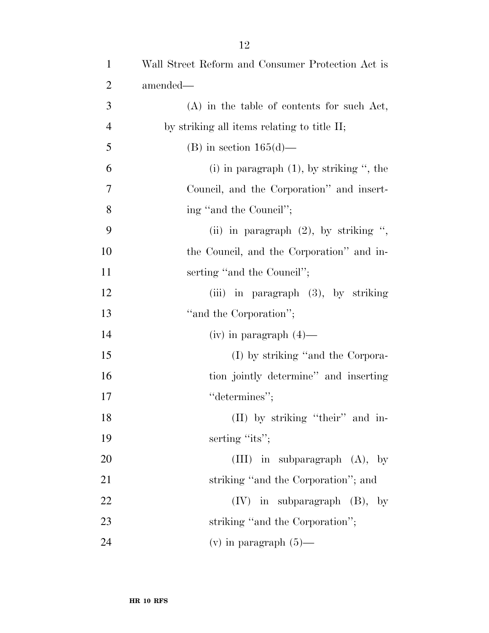| $\mathbf{1}$   | Wall Street Reform and Consumer Protection Act is |
|----------------|---------------------------------------------------|
| $\overline{2}$ | amended—                                          |
| 3              | $(A)$ in the table of contents for such Act,      |
| $\overline{4}$ | by striking all items relating to title II;       |
| 5              | (B) in section $165(d)$ —                         |
| 6              | (i) in paragraph $(1)$ , by striking ", the       |
| 7              | Council, and the Corporation" and insert-         |
| $8\,$          | ing "and the Council";                            |
| 9              | (ii) in paragraph $(2)$ , by striking ",          |
| 10             | the Council, and the Corporation" and in-         |
| 11             | serting "and the Council";                        |
| 12             | (iii) in paragraph $(3)$ , by striking            |
| 13             | "and the Corporation";                            |
| 14             | $(iv)$ in paragraph $(4)$ —                       |
| 15             | (I) by striking "and the Corpora-                 |
| 16             | tion jointly determine" and inserting             |
| 17             | "determines";                                     |
| 18             | (II) by striking "their" and in-                  |
| 19             | serting "its";                                    |
| 20             | (III) in subparagraph $(A)$ , by                  |
| 21             | striking "and the Corporation"; and               |
| 22             | $(IV)$ in subparagraph $(B)$ , by                 |
| 23             | striking "and the Corporation";                   |
| 24             | (v) in paragraph $(5)$ —                          |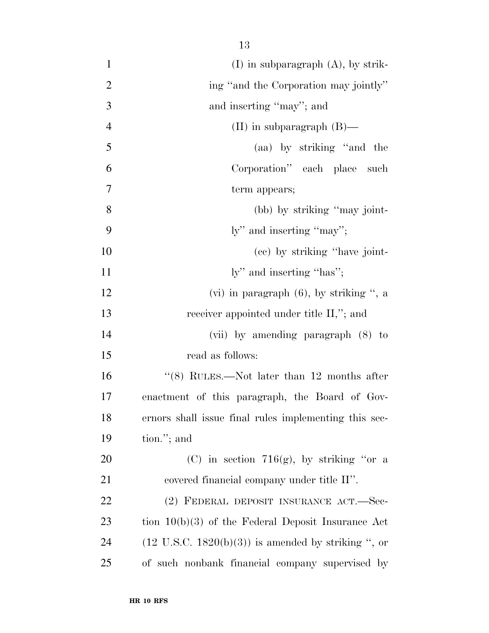| $\mathbf{1}$   | $(I)$ in subparagraph $(A)$ , by strik-                        |
|----------------|----------------------------------------------------------------|
| $\overline{2}$ | ing "and the Corporation may jointly"                          |
| 3              | and inserting "may"; and                                       |
| $\overline{4}$ | $(II)$ in subparagraph $(B)$ —                                 |
| 5              | (aa) by striking "and the                                      |
| 6              | Corporation" each place such                                   |
| $\overline{7}$ | term appears;                                                  |
| 8              | (bb) by striking "may joint-                                   |
| 9              | ly" and inserting "may";                                       |
| 10             | (ce) by striking "have joint-                                  |
| 11             | ly" and inserting "has";                                       |
| 12             | (vi) in paragraph $(6)$ , by striking ", a                     |
| 13             | receiver appointed under title II,"; and                       |
| 14             | (vii) by amending paragraph (8) to                             |
| 15             | read as follows:                                               |
| 16             | "(8) RULES.—Not later than 12 months after                     |
| 17             | enactment of this paragraph, the Board of Gov-                 |
| 18             | ernors shall issue final rules implementing this sec-          |
| 19             | tion."; and                                                    |
| 20             | (C) in section 716(g), by striking "or a                       |
| 21             | covered financial company under title II".                     |
| 22             | (2) FEDERAL DEPOSIT INSURANCE ACT.—Sec-                        |
| 23             | tion $10(b)(3)$ of the Federal Deposit Insurance Act           |
| 24             | $(12 \text{ U.S.C. } 1820(b)(3))$ is amended by striking ", or |
| 25             | of such nonbank financial company supervised by                |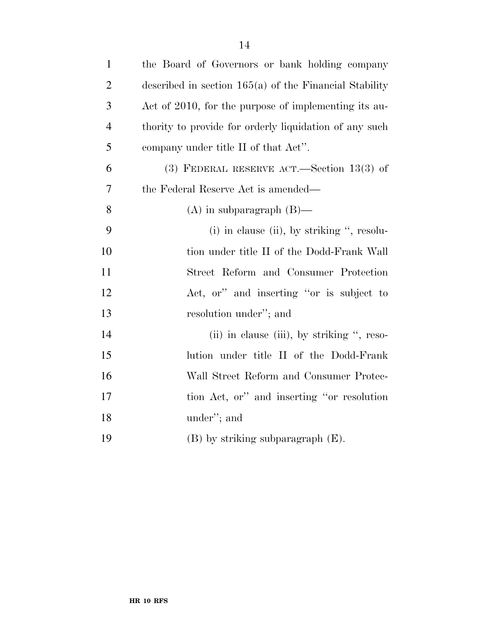| $\mathbf{1}$   | the Board of Governors or bank holding company           |
|----------------|----------------------------------------------------------|
| $\overline{2}$ | described in section $165(a)$ of the Financial Stability |
| 3              | Act of 2010, for the purpose of implementing its au-     |
| $\overline{4}$ | thority to provide for orderly liquidation of any such   |
| 5              | company under title II of that Act".                     |
| 6              | $(3)$ FEDERAL RESERVE ACT.—Section 13(3) of              |
| 7              | the Federal Reserve Act is amended—                      |
| 8              | $(A)$ in subparagraph $(B)$ —                            |
| 9              | $(i)$ in clause $(ii)$ , by striking ", resolu-          |
| 10             | tion under title II of the Dodd-Frank Wall               |
| 11             | Street Reform and Consumer Protection                    |
| 12             | Act, or" and inserting "or is subject to                 |
| 13             | resolution under"; and                                   |
| 14             | (ii) in clause (iii), by striking ", reso-               |
| 15             | lution under title II of the Dodd-Frank                  |
| 16             | Wall Street Reform and Consumer Protec-                  |
| 17             | tion Act, or" and inserting "or resolution               |
| 18             | under"; and                                              |
| 19             | $(B)$ by striking subparagraph $(E)$ .                   |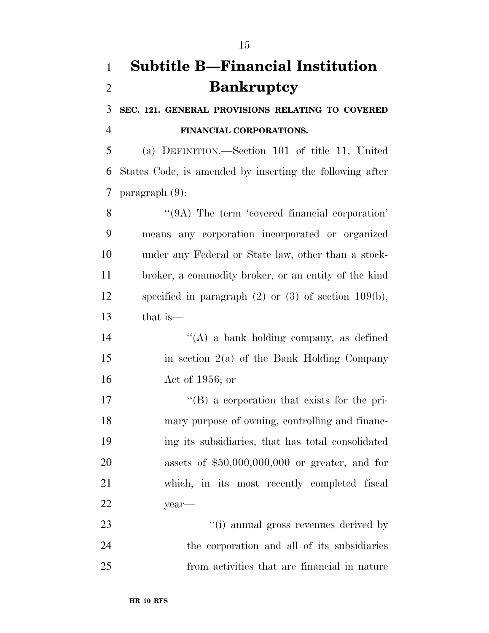## **Subtitle B—Financial Institution Bankruptcy**

 **SEC. 121. GENERAL PROVISIONS RELATING TO COVERED FINANCIAL CORPORATIONS.** 

 (a) DEFINITION.—Section 101 of title 11, United States Code, is amended by inserting the following after paragraph (9):

8 "(9A) The term 'covered financial corporation' means any corporation incorporated or organized under any Federal or State law, other than a stock- broker, a commodity broker, or an entity of the kind specified in paragraph (2) or (3) of section 109(b), that is—

 ''(A) a bank holding company, as defined in section 2(a) of the Bank Holding Company Act of 1956; or

 $\langle G \rangle$  a corporation that exists for the pri- mary purpose of owning, controlling and financ- ing its subsidiaries, that has total consolidated assets of \$50,000,000,000 or greater, and for which, in its most recently completed fiscal year—

 ''(i) annual gross revenues derived by the corporation and all of its subsidiaries from activities that are financial in nature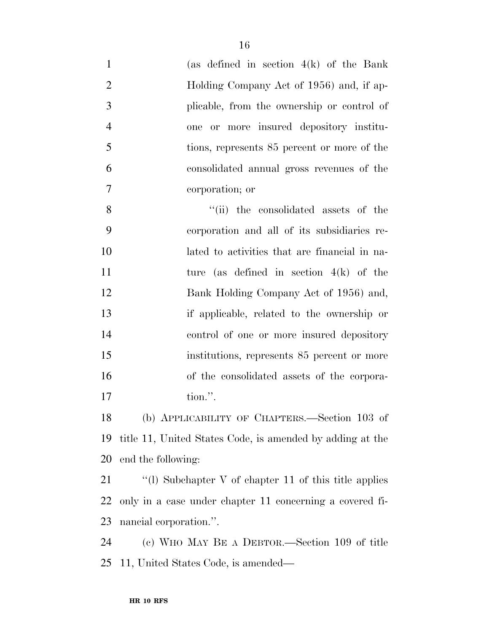| $\mathbf{1}$   | (as defined in section $4(k)$ of the Bank                 |
|----------------|-----------------------------------------------------------|
| $\overline{2}$ | Holding Company Act of 1956) and, if ap-                  |
| 3              | plicable, from the ownership or control of                |
| $\overline{4}$ | one or more insured depository institu-                   |
| 5              | tions, represents 85 percent or more of the               |
| 6              | consolidated annual gross revenues of the                 |
| 7              | corporation; or                                           |
| 8              | "(ii) the consolidated assets of the                      |
| 9              | corporation and all of its subsidiaries re-               |
| 10             | lated to activities that are financial in na-             |
| 11             | ture (as defined in section $4(k)$ of the                 |
| 12             | Bank Holding Company Act of 1956) and,                    |
| 13             | if applicable, related to the ownership or                |
| 14             | control of one or more insured depository                 |
| 15             | institutions, represents 85 percent or more               |
| 16             | of the consolidated assets of the corpora-                |
| 17             | tion.".                                                   |
| 18             | (b) APPLICABILITY OF CHAPTERS.-Section 103 of             |
| 19             | title 11, United States Code, is amended by adding at the |
| 20             | end the following:                                        |
| 21             | "(1) Subchapter $V$ of chapter 11 of this title applies   |
| 22             | only in a case under chapter 11 concerning a covered fi-  |
| 23             | nancial corporation.".                                    |
| 24             | (c) WHO MAY BE A DEBTOR.—Section 109 of title             |
| 25             | 11, United States Code, is amended—                       |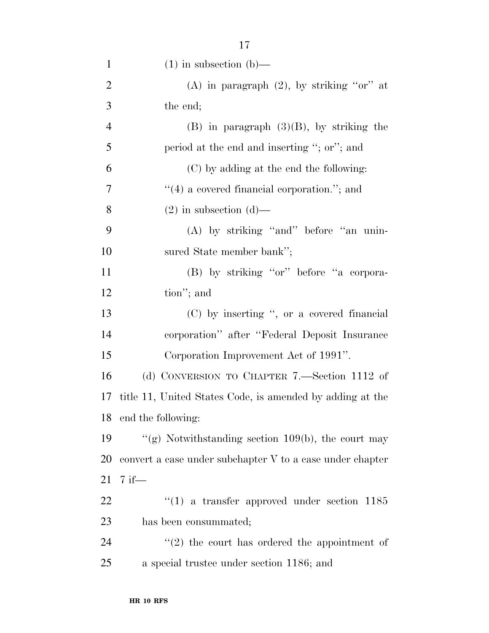| $\mathbf{1}$   | $(1)$ in subsection $(b)$ —                               |
|----------------|-----------------------------------------------------------|
| $\overline{2}$ | (A) in paragraph $(2)$ , by striking "or" at              |
| 3              | the end;                                                  |
| $\overline{4}$ | $(B)$ in paragraph $(3)(B)$ , by striking the             |
| 5              | period at the end and inserting "; or"; and               |
| 6              | (C) by adding at the end the following:                   |
| 7              | $\lq(4)$ a covered financial corporation."; and           |
| 8              | $(2)$ in subsection $(d)$ —                               |
| 9              | (A) by striking "and" before "an unin-                    |
| 10             | sured State member bank";                                 |
| 11             | (B) by striking "or" before "a corpora-                   |
| 12             | tion"; and                                                |
| 13             | (C) by inserting ", or a covered financial                |
| 14             | corporation" after "Federal Deposit Insurance             |
| 15             | Corporation Improvement Act of 1991".                     |
| 16             | (d) CONVERSION TO CHAPTER 7.—Section 1112 of              |
| 17             | title 11, United States Code, is amended by adding at the |
| 18             | end the following:                                        |
| 19             | "(g) Notwithstanding section $109(b)$ , the court may     |
| 20             | convert a case under subchapter V to a case under chapter |
| 21             | $7$ if-                                                   |
| 22             | $(1)$ a transfer approved under section 1185              |
| 23             | has been consummated;                                     |
| 24             | $\lq(2)$ the court has ordered the appointment of         |
| 25             | a special trustee under section 1186; and                 |
|                |                                                           |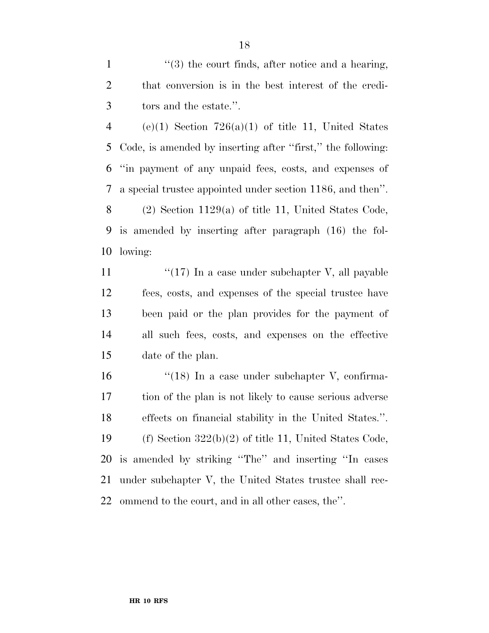1 ''(3) the court finds, after notice and a hearing, that conversion is in the best interest of the credi-tors and the estate.''.

4 (e)(1) Section  $726(a)(1)$  of title 11, United States Code, is amended by inserting after ''first,'' the following: ''in payment of any unpaid fees, costs, and expenses of a special trustee appointed under section 1186, and then''. (2) Section 1129(a) of title 11, United States Code, is amended by inserting after paragraph (16) the fol-lowing:

11 ''(17) In a case under subchapter V, all payable fees, costs, and expenses of the special trustee have been paid or the plan provides for the payment of all such fees, costs, and expenses on the effective date of the plan.

16 "(18) In a case under subchapter V, confirma- tion of the plan is not likely to cause serious adverse effects on financial stability in the United States.''. (f) Section 322(b)(2) of title 11, United States Code, is amended by striking ''The'' and inserting ''In cases under subchapter V, the United States trustee shall rec-ommend to the court, and in all other cases, the''.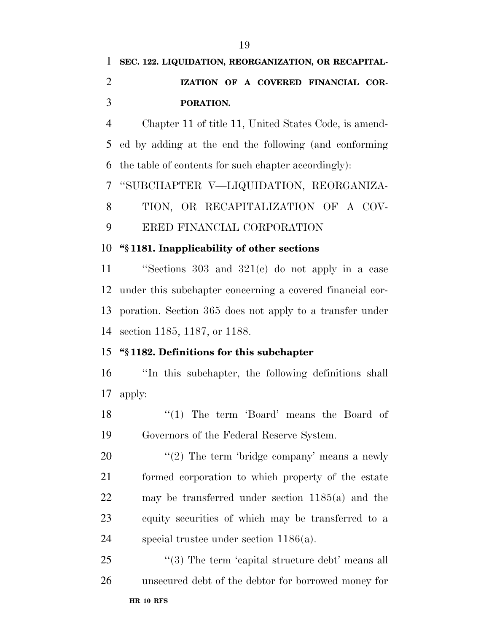# **SEC. 122. LIQUIDATION, REORGANIZATION, OR RECAPITAL- IZATION OF A COVERED FINANCIAL COR- PORATION.**  Chapter 11 of title 11, United States Code, is amend- ed by adding at the end the following (and conforming the table of contents for such chapter accordingly): ''SUBCHAPTER V—LIQUIDATION, REORGANIZA- TION, OR RECAPITALIZATION OF A COV- ERED FINANCIAL CORPORATION **''§ 1181. Inapplicability of other sections**  ''Sections 303 and 321(c) do not apply in a case under this subchapter concerning a covered financial cor- poration. Section 365 does not apply to a transfer under section 1185, 1187, or 1188. **''§ 1182. Definitions for this subchapter**  ''In this subchapter, the following definitions shall apply: 18 ''(1) The term 'Board' means the Board of Governors of the Federal Reserve System. ''(2) The term 'bridge company' means a newly formed corporation to which property of the estate may be transferred under section 1185(a) and the equity securities of which may be transferred to a special trustee under section 1186(a). 25 "(3) The term 'capital structure debt' means all

unsecured debt of the debtor for borrowed money for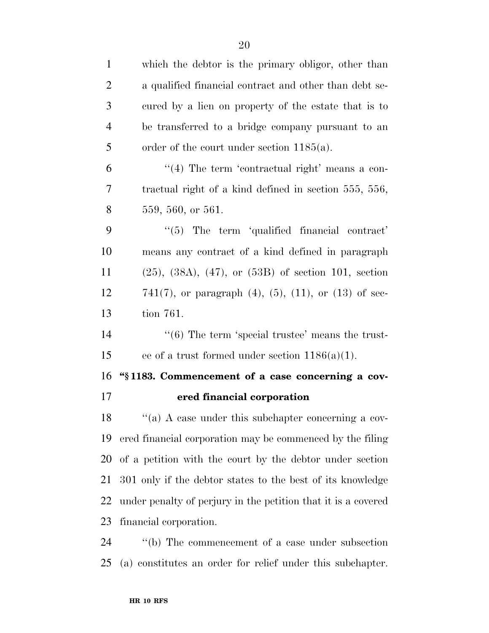| $\mathbf{1}$   | which the debtor is the primary obligor, other than            |
|----------------|----------------------------------------------------------------|
| $\overline{2}$ | a qualified financial contract and other than debt se-         |
| 3              | cured by a lien on property of the estate that is to           |
| $\overline{4}$ | be transferred to a bridge company pursuant to an              |
| 5              | order of the court under section $1185(a)$ .                   |
| 6              | $\lq(4)$ The term 'contractual right' means a con-             |
| 7              | tractual right of a kind defined in section 555, 556,          |
| 8              | 559, 560, or 561.                                              |
| 9              | $\lq(5)$ The term 'qualified financial contract'               |
| 10             | means any contract of a kind defined in paragraph              |
| 11             | $(25)$ , $(38A)$ , $(47)$ , or $(53B)$ of section 101, section |
| 12             | 741(7), or paragraph (4), (5), (11), or (13) of sec-           |
| 13             | tion 761.                                                      |
| 14             | $\cdot\cdot$ (6) The term 'special trustee' means the trust-   |
| 15             | ee of a trust formed under section $1186(a)(1)$ .              |
| 16             |                                                                |
|                | "§1183. Commencement of a case concerning a cov-               |
| 17             | ered financial corporation                                     |
| 18             | "(a) A case under this subchapter concerning a cov-            |
| 19             | ered financial corporation may be commenced by the filing      |
| 20             | of a petition with the court by the debtor under section       |
| 21             | 301 only if the debtor states to the best of its knowledge     |
| 22             | under penalty of perjury in the petition that it is a covered  |
| 23             | financial corporation.                                         |

(a) constitutes an order for relief under this subchapter.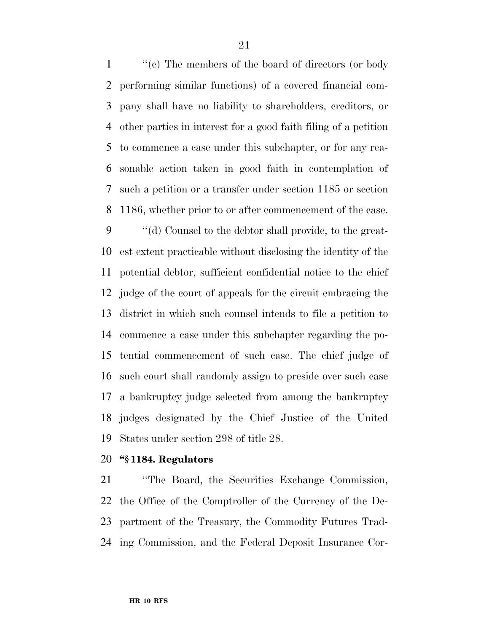''(c) The members of the board of directors (or body performing similar functions) of a covered financial com- pany shall have no liability to shareholders, creditors, or other parties in interest for a good faith filing of a petition to commence a case under this subchapter, or for any rea- sonable action taken in good faith in contemplation of such a petition or a transfer under section 1185 or section 1186, whether prior to or after commencement of the case.

 ''(d) Counsel to the debtor shall provide, to the great- est extent practicable without disclosing the identity of the potential debtor, sufficient confidential notice to the chief judge of the court of appeals for the circuit embracing the district in which such counsel intends to file a petition to commence a case under this subchapter regarding the po- tential commencement of such case. The chief judge of such court shall randomly assign to preside over such case a bankruptcy judge selected from among the bankruptcy judges designated by the Chief Justice of the United States under section 298 of title 28.

#### **''§ 1184. Regulators**

 ''The Board, the Securities Exchange Commission, the Office of the Comptroller of the Currency of the De- partment of the Treasury, the Commodity Futures Trad-ing Commission, and the Federal Deposit Insurance Cor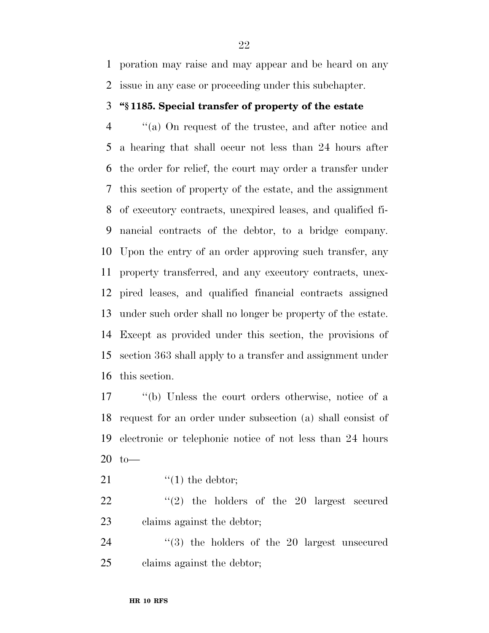poration may raise and may appear and be heard on any issue in any case or proceeding under this subchapter.

#### **''§ 1185. Special transfer of property of the estate**

 ''(a) On request of the trustee, and after notice and a hearing that shall occur not less than 24 hours after the order for relief, the court may order a transfer under this section of property of the estate, and the assignment of executory contracts, unexpired leases, and qualified fi- nancial contracts of the debtor, to a bridge company. Upon the entry of an order approving such transfer, any property transferred, and any executory contracts, unex- pired leases, and qualified financial contracts assigned under such order shall no longer be property of the estate. Except as provided under this section, the provisions of section 363 shall apply to a transfer and assignment under this section.

 ''(b) Unless the court orders otherwise, notice of a request for an order under subsection (a) shall consist of electronic or telephonic notice of not less than 24 hours to—

21  $\qquad$  ''(1) the debtor;

  $\qquad$   $\qquad$   $\qquad$   $\qquad$   $\qquad$   $\qquad$   $\qquad$   $\qquad$   $\qquad$   $\qquad$   $\qquad$   $\qquad$   $\qquad$   $\qquad$   $\qquad$   $\qquad$   $\qquad$   $\qquad$   $\qquad$   $\qquad$   $\qquad$   $\qquad$   $\qquad$   $\qquad$   $\qquad$   $\qquad$   $\qquad$   $\qquad$   $\qquad$   $\qquad$   $\qquad$   $\qquad$   $\qquad$   $\qquad$   $\qquad$   $\qquad$  claims against the debtor;

24  $(3)$  the holders of the 20 largest unsecured claims against the debtor;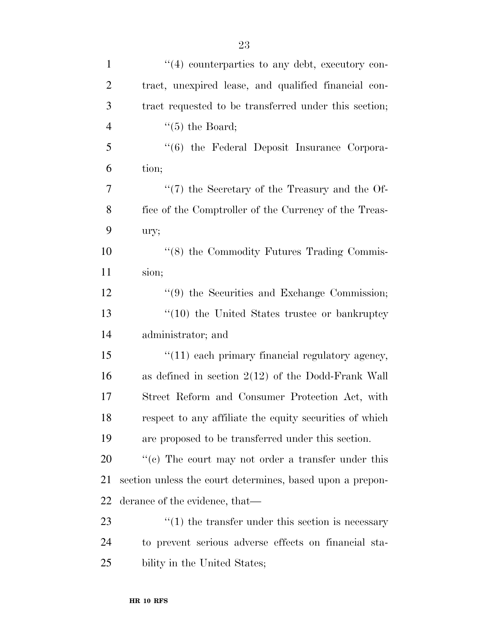| $\mathbf{1}$   | $\lq(4)$ counterparties to any debt, executory con-       |
|----------------|-----------------------------------------------------------|
| $\overline{2}$ | tract, unexpired lease, and qualified financial con-      |
| 3              | tract requested to be transferred under this section;     |
| $\overline{4}$ | $\lq(5)$ the Board;                                       |
| 5              | "(6) the Federal Deposit Insurance Corpora-               |
| 6              | tion;                                                     |
| $\overline{7}$ | $\lq(7)$ the Secretary of the Treasury and the Of-        |
| 8              | fice of the Comptroller of the Currency of the Treas-     |
| 9              | ury;                                                      |
| 10             | "(8) the Commodity Futures Trading Commis-                |
| 11             | sion;                                                     |
| 12             | $\lq(9)$ the Securities and Exchange Commission;          |
| 13             | $\cdot$ (10) the United States trustee or bankruptcy      |
| 14             | administrator; and                                        |
| 15             | $"(11)$ each primary financial regulatory agency,         |
| 16             | as defined in section $2(12)$ of the Dodd-Frank Wall      |
| 17             | Street Reform and Consumer Protection Act, with           |
| 18             | respect to any affiliate the equity securities of which   |
| 19             | are proposed to be transferred under this section.        |
| 20             | "(c) The court may not order a transfer under this        |
| 21             | section unless the court determines, based upon a prepon- |
| 22             | derance of the evidence, that—                            |
| 23             | $\cdot$ (1) the transfer under this section is necessary  |
| 24             | to prevent serious adverse effects on financial sta-      |
| 25             | bility in the United States;                              |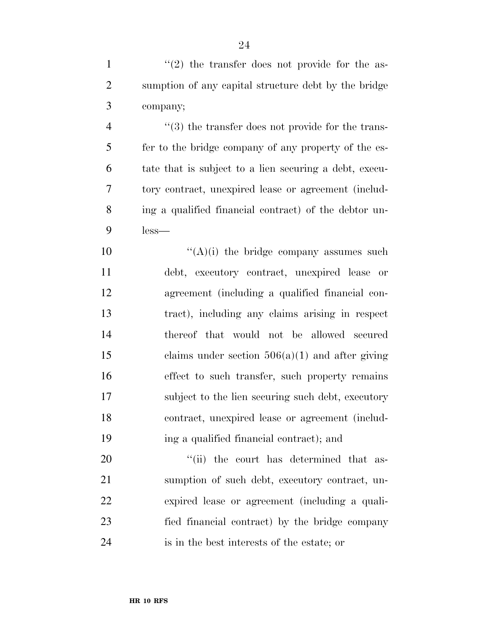1  $\frac{1}{2}$  the transfer does not provide for the as- sumption of any capital structure debt by the bridge company;

4 ''(3) the transfer does not provide for the trans- fer to the bridge company of any property of the es- tate that is subject to a lien securing a debt, execu- tory contract, unexpired lease or agreement (includ- ing a qualified financial contract) of the debtor un-less—

 $((A)(i)$  the bridge company assumes such debt, executory contract, unexpired lease or agreement (including a qualified financial con- tract), including any claims arising in respect thereof that would not be allowed secured 15 claims under section  $506(a)(1)$  and after giving effect to such transfer, such property remains subject to the lien securing such debt, executory contract, unexpired lease or agreement (includ-ing a qualified financial contract); and

 $\frac{1}{1}$  the court has determined that as- sumption of such debt, executory contract, un- expired lease or agreement (including a quali- fied financial contract) by the bridge company is in the best interests of the estate; or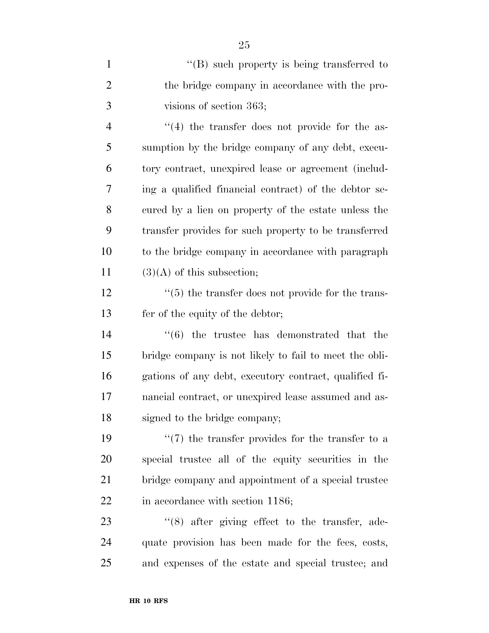| $\mathbf{1}$   | $\lq\lq(B)$ such property is being transferred to        |
|----------------|----------------------------------------------------------|
| $\overline{2}$ | the bridge company in accordance with the pro-           |
| 3              | visions of section 363;                                  |
| $\overline{4}$ | $\cdot$ (4) the transfer does not provide for the as-    |
| 5              | sumption by the bridge company of any debt, execu-       |
| 6              | tory contract, unexpired lease or agreement (includ-     |
| 7              | ing a qualified financial contract) of the debtor se-    |
| 8              | cured by a lien on property of the estate unless the     |
| 9              | transfer provides for such property to be transferred    |
| 10             | to the bridge company in accordance with paragraph       |
| 11             | $(3)(A)$ of this subsection;                             |
| 12             | $\cdot$ (5) the transfer does not provide for the trans- |
| 13             | fer of the equity of the debtor;                         |
| 14             | $\cdot$ (6) the trustee has demonstrated that the        |
| 15             | bridge company is not likely to fail to meet the obli-   |
| 16             | gations of any debt, executory contract, qualified fi-   |
| 17             | nancial contract, or unexpired lease assumed and as-     |
| 18             | signed to the bridge company;                            |
| 19             | $\lq(7)$ the transfer provides for the transfer to a     |
| 20             | special trustee all of the equity securities in the      |
| 21             | bridge company and appointment of a special trustee      |
| 22             | in accordance with section 1186;                         |
| 23             | "(8) after giving effect to the transfer, ade-           |
| 24             | quate provision has been made for the fees, costs,       |
| 25             | and expenses of the estate and special trustee; and      |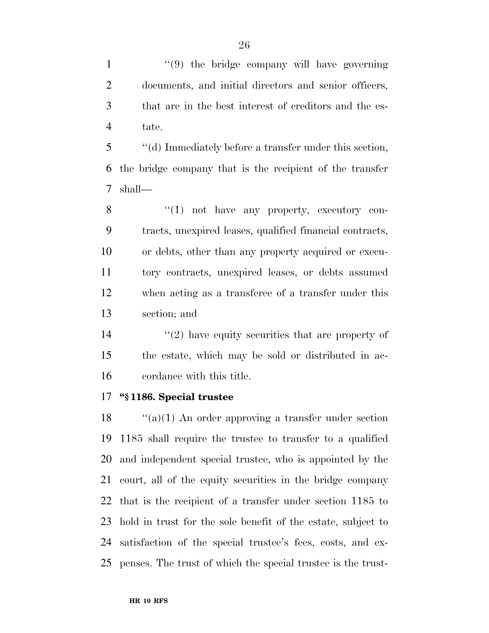1 ''(9) the bridge company will have governing documents, and initial directors and senior officers, that are in the best interest of creditors and the es-tate.

 ''(d) Immediately before a transfer under this section, the bridge company that is the recipient of the transfer shall—

8 "(1) not have any property, executory con- tracts, unexpired leases, qualified financial contracts, or debts, other than any property acquired or execu- tory contracts, unexpired leases, or debts assumed when acting as a transferee of a transfer under this section; and

 $\mathcal{L}(2)$  have equity securities that are property of the estate, which may be sold or distributed in ac-cordance with this title.

#### **''§ 1186. Special trustee**

 $\frac{1}{2}$  (a)(1) An order approving a transfer under section 1185 shall require the trustee to transfer to a qualified and independent special trustee, who is appointed by the court, all of the equity securities in the bridge company that is the recipient of a transfer under section 1185 to hold in trust for the sole benefit of the estate, subject to satisfaction of the special trustee's fees, costs, and ex-penses. The trust of which the special trustee is the trust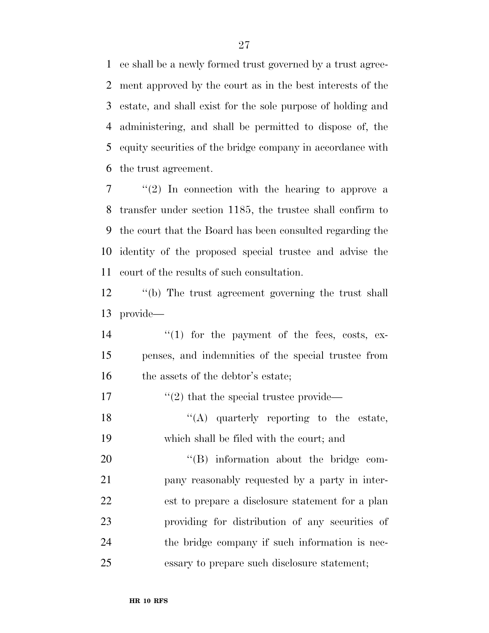ee shall be a newly formed trust governed by a trust agree- ment approved by the court as in the best interests of the estate, and shall exist for the sole purpose of holding and administering, and shall be permitted to dispose of, the equity securities of the bridge company in accordance with the trust agreement.

 ''(2) In connection with the hearing to approve a transfer under section 1185, the trustee shall confirm to the court that the Board has been consulted regarding the identity of the proposed special trustee and advise the court of the results of such consultation.

 ''(b) The trust agreement governing the trust shall provide—

14  $\frac{1}{2}$  (1) for the payment of the fees, costs, ex- penses, and indemnities of the special trustee from 16 the assets of the debtor's estate;

17  $\frac{17}{2}$  that the special trustee provide—

18 ''(A) quarterly reporting to the estate, which shall be filed with the court; and

 $"$ (B) information about the bridge com- pany reasonably requested by a party in inter- est to prepare a disclosure statement for a plan providing for distribution of any securities of the bridge company if such information is nec-essary to prepare such disclosure statement;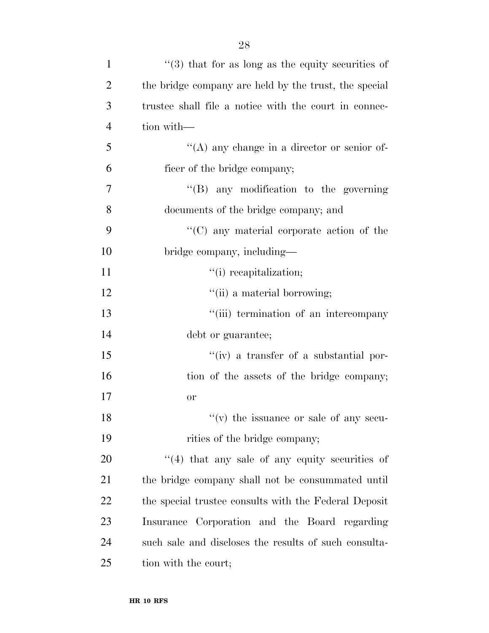| $\mathbf{1}$ | $\cdot\cdot$ (3) that for as long as the equity securities of |
|--------------|---------------------------------------------------------------|
| 2            | the bridge company are held by the trust, the special         |
| 3            | trustee shall file a notice with the court in connec-         |
| 4            | tion with-                                                    |
| 5            | "(A) any change in a director or senior of-                   |
| 6            | ficer of the bridge company;                                  |
| $\tau$       | "(B) any modification to the governing                        |
| 8            | documents of the bridge company; and                          |
| 9            | "(C) any material corporate action of the                     |
| 10           | bridge company, including—                                    |
| 11           | "(i) recapitalization;                                        |
| 12           | "(ii) a material borrowing;                                   |
| 13           | "(iii) termination of an intercompany                         |
| 14           | debt or guarantee;                                            |
| 15           | $``(iv)$ a transfer of a substantial por-                     |
| 16           | tion of the assets of the bridge company;                     |
| 17           | <b>or</b>                                                     |
| 18           | $f'(v)$ the issuance or sale of any secu-                     |
| 19           | rities of the bridge company;                                 |
| 20           | $(4)$ that any sale of any equity securities of               |
| 21           | the bridge company shall not be consummated until             |
| 22           | the special trustee consults with the Federal Deposit         |
| 23           | Insurance Corporation and the Board regarding                 |
| 24           | such sale and discloses the results of such consulta-         |
| 25           | tion with the court;                                          |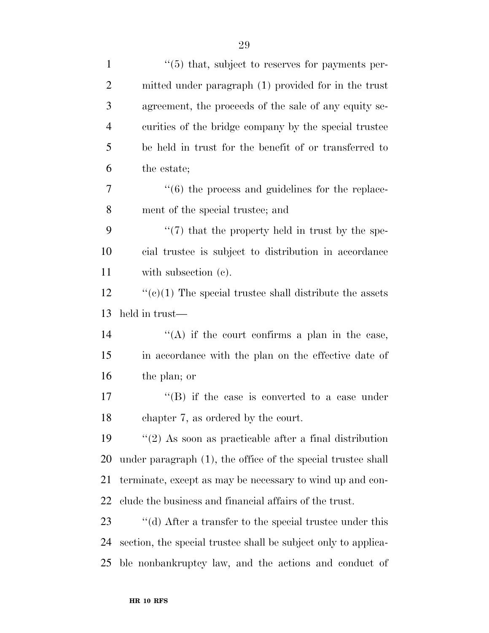| $\mathbf{1}$   | $\cdot\cdot$ (5) that, subject to reserves for payments per-    |
|----------------|-----------------------------------------------------------------|
| $\overline{2}$ | mitted under paragraph (1) provided for in the trust            |
| 3              | agreement, the proceeds of the sale of any equity se-           |
| $\overline{4}$ | curities of the bridge company by the special trustee           |
| 5              | be held in trust for the benefit of or transferred to           |
| 6              | the estate;                                                     |
| 7              | $"(6)$ the process and guidelines for the replace-              |
| 8              | ment of the special trustee; and                                |
| 9              | $\lq(7)$ that the property held in trust by the spe-            |
| 10             | cial trustee is subject to distribution in accordance           |
| 11             | with subsection (c).                                            |
| 12             | " $(e)(1)$ The special trustee shall distribute the assets      |
| 13             | held in trust—                                                  |
| 14             | "(A) if the court confirms a plan in the case,                  |
| 15             | in accordance with the plan on the effective date of            |
| 16             | the plan; or                                                    |
| 17             | $\lq\lq$ ) if the case is converted to a case under             |
| 18             | chapter 7, as ordered by the court.                             |
| 19             | $\lq(2)$ As soon as practicable after a final distribution      |
| 20             | under paragraph $(1)$ , the office of the special trustee shall |
| 21             | terminate, except as may be necessary to wind up and con-       |
| 22             | clude the business and financial affairs of the trust.          |
| 23             | "(d) After a transfer to the special trustee under this         |
| 24             | section, the special trustee shall be subject only to applica-  |
| 25             | ble nonbankruptcy law, and the actions and conduct of           |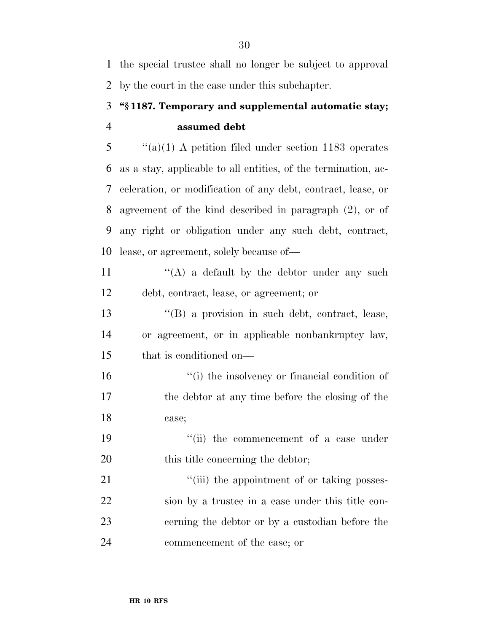the special trustee shall no longer be subject to approval by the court in the case under this subchapter.

### **''§ 1187. Temporary and supplemental automatic stay; assumed debt**

 ''(a)(1) A petition filed under section 1183 operates as a stay, applicable to all entities, of the termination, ac- celeration, or modification of any debt, contract, lease, or agreement of the kind described in paragraph (2), or of any right or obligation under any such debt, contract, lease, or agreement, solely because of—

11  $\langle (A)$  a default by the debtor under any such debt, contract, lease, or agreement; or

 ''(B) a provision in such debt, contract, lease, or agreement, or in applicable nonbankruptcy law, that is conditioned on—

16  $\frac{16}{10}$  the insolvency or financial condition of the debtor at any time before the closing of the case;

19  $\frac{1}{10}$  the commencement of a case under 20 this title concerning the debtor;

 $\frac{1}{1}$   $\frac{1}{1}$  the appointment of or taking posses- sion by a trustee in a case under this title con- cerning the debtor or by a custodian before the commencement of the case; or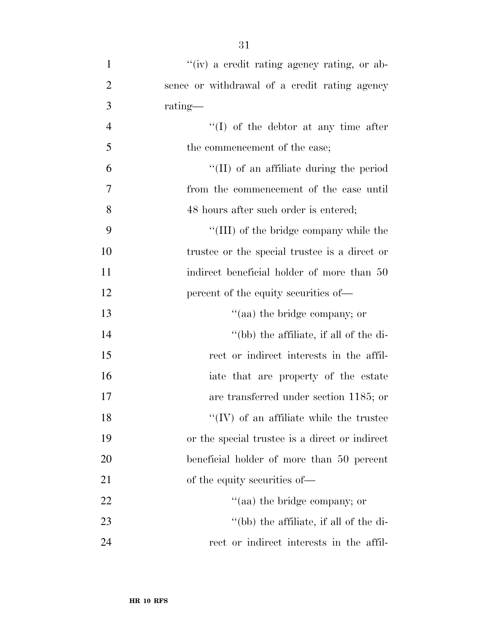| $\mathbf{1}$   | "(iv) a credit rating agency rating, or ab-     |
|----------------|-------------------------------------------------|
| $\overline{2}$ | sence or withdrawal of a credit rating agency   |
| 3              | rating-                                         |
| $\overline{4}$ | $\lq\lq$ of the debtor at any time after        |
| 5              | the commencement of the case;                   |
| 6              | $\lq\lq$ (II) of an affiliate during the period |
| 7              | from the commencement of the case until         |
| 8              | 48 hours after such order is entered;           |
| 9              | "(III) of the bridge company while the          |
| 10             | trustee or the special trustee is a direct or   |
| 11             | indirect beneficial holder of more than 50      |
| 12             | percent of the equity securities of—            |
| 13             | "(aa) the bridge company; or                    |
| 14             | "(bb) the affiliate, if all of the di-          |
| 15             | rect or indirect interests in the affil-        |
| 16             | iate that are property of the estate            |
| 17             | are transferred under section 1185; or          |
| 18             | $\lq\lq$ (IV) of an affiliate while the trustee |
| 19             | or the special trustee is a direct or indirect  |
| 20             | beneficial holder of more than 50 percent       |
| 21             | of the equity securities of—                    |
| 22             | "(aa) the bridge company; or                    |
| 23             | "(bb) the affiliate, if all of the di-          |
| 24             | rect or indirect interests in the affil-        |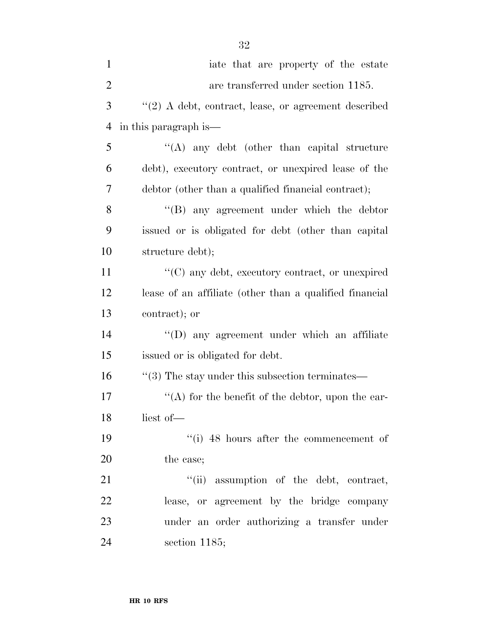| $\mathbf{1}$   | iate that are property of the estate                        |
|----------------|-------------------------------------------------------------|
| $\overline{2}$ | are transferred under section 1185.                         |
| 3              | $\lq(2)$ A debt, contract, lease, or agreement described    |
| $\overline{4}$ | in this paragraph is—                                       |
| 5              | "(A) any debt (other than capital structure                 |
| 6              | debt), executory contract, or unexpired lease of the        |
| 7              | debtor (other than a qualified financial contract);         |
| 8              | "(B) any agreement under which the debtor                   |
| 9              | issued or is obligated for debt (other than capital         |
| 10             | structure debt);                                            |
| 11             | "(C) any debt, executory contract, or unexpired             |
| 12             | lease of an affiliate (other than a qualified financial     |
| 13             | contract); or                                               |
| 14             | "(D) any agreement under which an affiliate                 |
| 15             | issued or is obligated for debt.                            |
| 16             | $\cdot\cdot$ (3) The stay under this subsection terminates— |
| 17             | "(A) for the benefit of the debtor, upon the ear-           |
| 18             | liest of-                                                   |
| 19             | $``(i)$ 48 hours after the commencement of                  |
| 20             | the case;                                                   |
| 21             | "(ii) assumption of the debt, contract,                     |
| 22             | lease, or agreement by the bridge company                   |
| 23             | under an order authorizing a transfer under                 |
| 24             | section $1185$ ;                                            |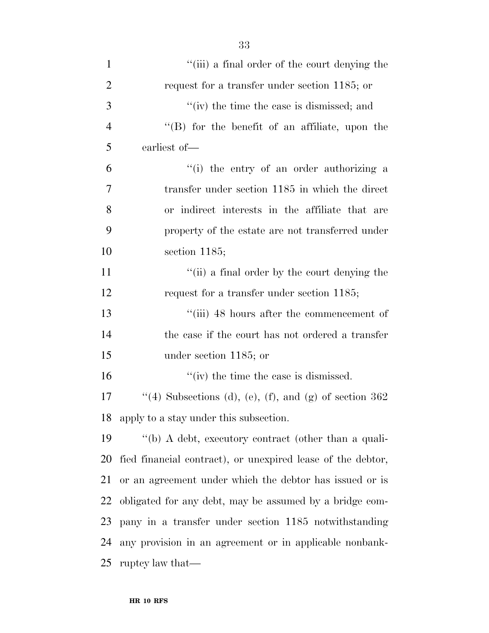| $\mathbf{1}$   | "(iii) a final order of the court denying the               |
|----------------|-------------------------------------------------------------|
| $\overline{2}$ | request for a transfer under section 1185; or               |
| 3              | "(iv) the time the case is dismissed; and                   |
| $\overline{4}$ | $\lq\lq$ for the benefit of an affiliate, upon the          |
| 5              | earliest of-                                                |
| 6              | "(i) the entry of an order authorizing a                    |
| 7              | transfer under section 1185 in which the direct             |
| 8              | or indirect interests in the affiliate that are             |
| 9              | property of the estate are not transferred under            |
| 10             | section $1185$ ;                                            |
| 11             | "(ii) a final order by the court denying the                |
| 12             | request for a transfer under section 1185;                  |
| 13             | "(iii) 48 hours after the commencement of                   |
| 14             | the case if the court has not ordered a transfer            |
| 15             | under section 1185; or                                      |
| 16             | $\lq\lq$ (iv) the time the case is dismissed.               |
| 17             | "(4) Subsections (d), (e), (f), and (g) of section $362$    |
| 18             | apply to a stay under this subsection.                      |
| 19             | "(b) A debt, executory contract (other than a quali-        |
| 20             | fied financial contract), or unexpired lease of the debtor, |
| 21             | or an agreement under which the debtor has issued or is     |
| 22             | obligated for any debt, may be assumed by a bridge com-     |
| 23             | pany in a transfer under section 1185 notwithstanding       |
| 24             | any provision in an agreement or in applicable nonbank-     |
| 25             | ruptcy law that—                                            |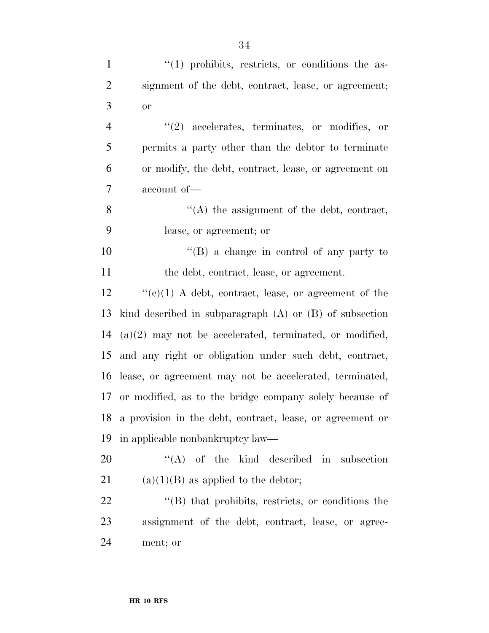| $\mathbf{1}$   | $\lq(1)$ prohibits, restricts, or conditions the as-         |
|----------------|--------------------------------------------------------------|
| $\mathfrak{2}$ | signment of the debt, contract, lease, or agreement;         |
| 3              | <b>or</b>                                                    |
| $\overline{4}$ | $\lq(2)$ accelerates, terminates, or modifies, or            |
| 5              | permits a party other than the debtor to terminate           |
| 6              | or modify, the debt, contract, lease, or agreement on        |
| $\tau$         | account of-                                                  |
| $8\,$          | $\lq\lq$ the assignment of the debt, contract,               |
| 9              | lease, or agreement; or                                      |
| 10             | "(B) a change in control of any party to                     |
| 11             | the debt, contract, lease, or agreement.                     |
| 12             | " $(e)(1)$ A debt, contract, lease, or agreement of the      |
| 13             | kind described in subparagraph $(A)$ or $(B)$ of subsection  |
| 14             | $(a)(2)$ may not be accelerated, terminated, or modified,    |
| 15             | and any right or obligation under such debt, contract,       |
| 16             | lease, or agreement may not be accelerated, terminated,      |
| 17             | or modified, as to the bridge company solely because of      |
|                | 18 a provision in the debt, contract, lease, or agreement or |
| 19             | in applicable nonbankruptcy law—                             |
| 20             | $\lq\lq$ of the kind described in subsection                 |
| 21             | $(a)(1)(B)$ as applied to the debtor;                        |
| 22             | "(B) that prohibits, restricts, or conditions the            |
| 23             | assignment of the debt, contract, lease, or agree-           |
| 24             | ment; or                                                     |
|                |                                                              |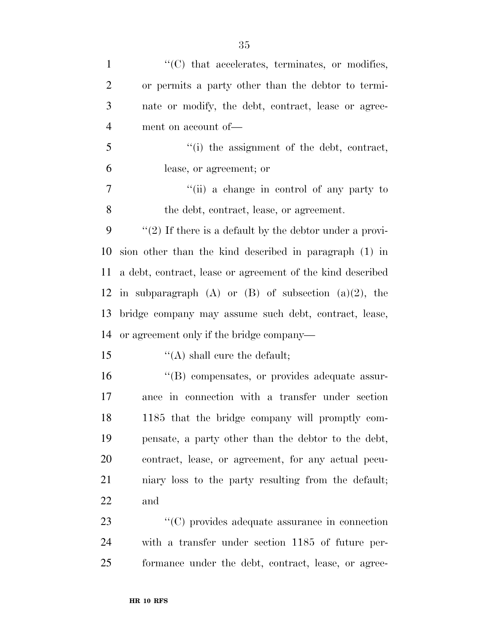| $\mathbf{1}$   | $\lq\lq$ <sup>"</sup> (C) that accelerates, terminates, or modifies, |
|----------------|----------------------------------------------------------------------|
| $\overline{2}$ | or permits a party other than the debtor to termi-                   |
| 3              | nate or modify, the debt, contract, lease or agree-                  |
| $\overline{4}$ | ment on account of-                                                  |
| 5              | "(i) the assignment of the debt, contract,                           |
| 6              | lease, or agreement; or                                              |
| $\overline{7}$ | "(ii) a change in control of any party to                            |
| 8              | the debt, contract, lease, or agreement.                             |
| 9              | $\lq(2)$ If there is a default by the debtor under a provi-          |
| 10             | sion other than the kind described in paragraph (1) in               |
| 11             | a debt, contract, lease or agreement of the kind described           |
| 12             | in subparagraph $(A)$ or $(B)$ of subsection $(a)(2)$ , the          |
| 13             | bridge company may assume such debt, contract, lease,                |
| 14             | or agreement only if the bridge company—                             |
| 15             | $\lq\lq$ shall cure the default;                                     |
| 16             | "(B) compensates, or provides adequate assur-                        |
| 17             | ance in connection with a transfer under section                     |
| 18             | 1185 that the bridge company will promptly com-                      |
| 19             | pensate, a party other than the debtor to the debt,                  |
| 20             | contract, lease, or agreement, for any actual pecu-                  |
| 21             | niary loss to the party resulting from the default;                  |
| 22             | and                                                                  |
| 23             | "(C) provides adequate assurance in connection                       |
| 24             | with a transfer under section 1185 of future per-                    |
| 25             | formance under the debt, contract, lease, or agree-                  |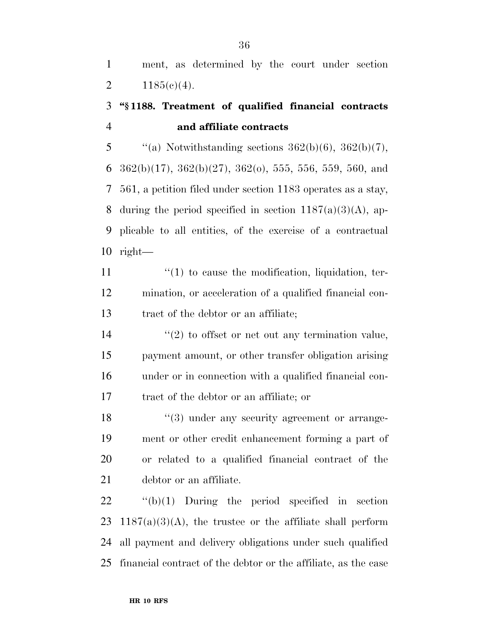ment, as determined by the court under section 2  $1185(c)(4)$ .

### **''§ 1188. Treatment of qualified financial contracts and affiliate contracts**

5  $\qquad$  "(a) Notwithstanding sections 362(b)(6), 362(b)(7), 6 362(b)(17), 362(b)(27), 362(o), 555, 556, 559, 560, and 561, a petition filed under section 1183 operates as a stay, 8 during the period specified in section  $1187(a)(3)(A)$ , ap- plicable to all entities, of the exercise of a contractual right—

11  $\frac{1}{10}$  to cause the modification, liquidation, ter- mination, or acceleration of a qualified financial con-tract of the debtor or an affiliate;

 $(2)$  to offset or net out any termination value, payment amount, or other transfer obligation arising under or in connection with a qualified financial con-tract of the debtor or an affiliate; or

18 ''(3) under any security agreement or arrange- ment or other credit enhancement forming a part of or related to a qualified financial contract of the debtor or an affiliate.

 ''(b)(1) During the period specified in section 23 1187(a)(3)(A), the trustee or the affiliate shall perform all payment and delivery obligations under such qualified financial contract of the debtor or the affiliate, as the case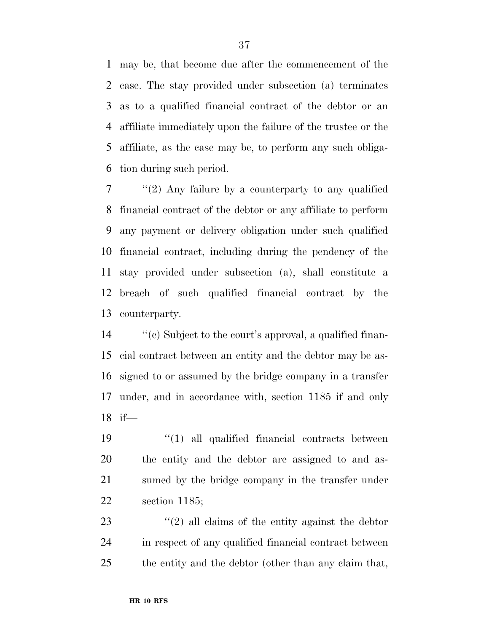may be, that become due after the commencement of the case. The stay provided under subsection (a) terminates as to a qualified financial contract of the debtor or an affiliate immediately upon the failure of the trustee or the affiliate, as the case may be, to perform any such obliga-tion during such period.

 ''(2) Any failure by a counterparty to any qualified financial contract of the debtor or any affiliate to perform any payment or delivery obligation under such qualified financial contract, including during the pendency of the stay provided under subsection (a), shall constitute a breach of such qualified financial contract by the counterparty.

 $\langle \langle \rangle$  (c) Subject to the court's approval, a qualified finan- cial contract between an entity and the debtor may be as- signed to or assumed by the bridge company in a transfer under, and in accordance with, section 1185 if and only if—

 ''(1) all qualified financial contracts between the entity and the debtor are assigned to and as- sumed by the bridge company in the transfer under section 1185;

23  $\frac{1}{2}$  (2) all claims of the entity against the debtor in respect of any qualified financial contract between the entity and the debtor (other than any claim that,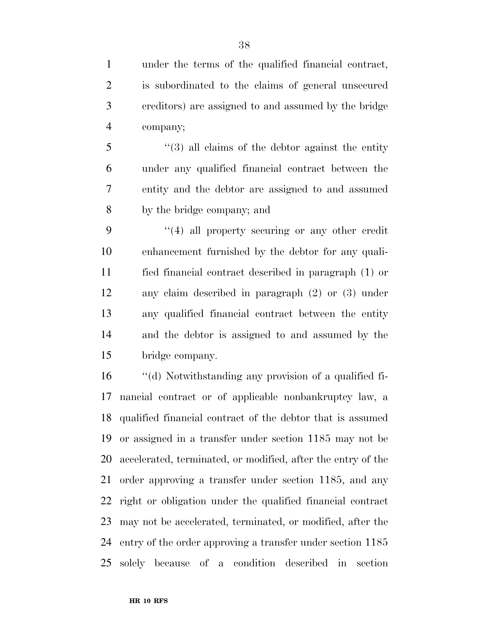under the terms of the qualified financial contract, is subordinated to the claims of general unsecured creditors) are assigned to and assumed by the bridge company;

 ''(3) all claims of the debtor against the entity under any qualified financial contract between the entity and the debtor are assigned to and assumed by the bridge company; and

 ''(4) all property securing or any other credit enhancement furnished by the debtor for any quali- fied financial contract described in paragraph (1) or any claim described in paragraph (2) or (3) under any qualified financial contract between the entity and the debtor is assigned to and assumed by the bridge company.

 ''(d) Notwithstanding any provision of a qualified fi- nancial contract or of applicable nonbankruptcy law, a qualified financial contract of the debtor that is assumed or assigned in a transfer under section 1185 may not be accelerated, terminated, or modified, after the entry of the order approving a transfer under section 1185, and any right or obligation under the qualified financial contract may not be accelerated, terminated, or modified, after the entry of the order approving a transfer under section 1185 solely because of a condition described in section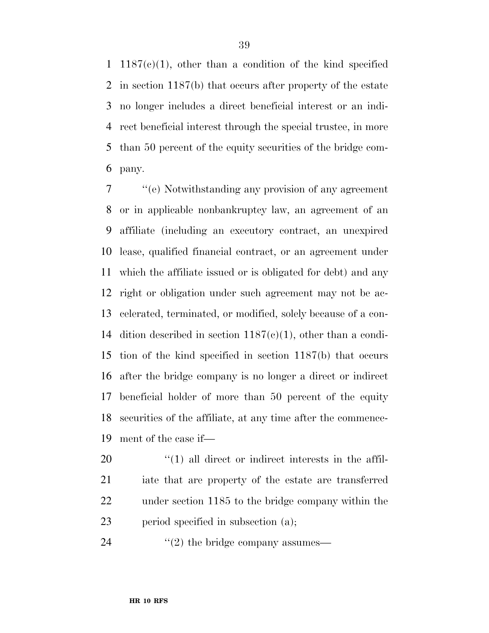1187(c)(1), other than a condition of the kind specified in section 1187(b) that occurs after property of the estate no longer includes a direct beneficial interest or an indi- rect beneficial interest through the special trustee, in more than 50 percent of the equity securities of the bridge com-pany.

 ''(e) Notwithstanding any provision of any agreement or in applicable nonbankruptcy law, an agreement of an affiliate (including an executory contract, an unexpired lease, qualified financial contract, or an agreement under which the affiliate issued or is obligated for debt) and any right or obligation under such agreement may not be ac- celerated, terminated, or modified, solely because of a con-14 dition described in section  $1187(c)(1)$ , other than a condi- tion of the kind specified in section 1187(b) that occurs after the bridge company is no longer a direct or indirect beneficial holder of more than 50 percent of the equity securities of the affiliate, at any time after the commence-ment of the case if—

  $\qquad$   $\qquad$   $\qquad$   $\qquad$   $\qquad$   $\qquad$   $\qquad$   $\qquad$   $\qquad$   $\qquad$   $\qquad$   $\qquad$   $\qquad$   $\qquad$   $\qquad$   $\qquad$   $\qquad$   $\qquad$   $\qquad$   $\qquad$   $\qquad$   $\qquad$   $\qquad$   $\qquad$   $\qquad$   $\qquad$   $\qquad$   $\qquad$   $\qquad$   $\qquad$   $\qquad$   $\qquad$   $\qquad$   $\qquad$   $\qquad$   $\qquad$  iate that are property of the estate are transferred under section 1185 to the bridge company within the 23 period specified in subsection (a);

24  $\text{``(2)}$  the bridge company assumes—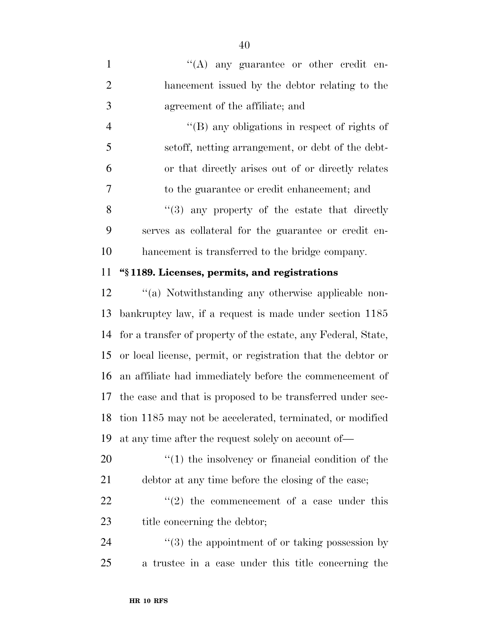| $\mathbf{1}$   | $\lq\lq$ any guarantee or other credit en-                    |
|----------------|---------------------------------------------------------------|
| $\overline{2}$ | hancement issued by the debtor relating to the                |
| 3              | agreement of the affiliate; and                               |
| $\overline{4}$ | "(B) any obligations in respect of rights of                  |
| 5              | set off, netting arrangement, or debt of the debt-            |
| 6              | or that directly arises out of or directly relates            |
| 7              | to the guarantee or credit enhancement; and                   |
| 8              | $(3)$ any property of the estate that directly                |
| 9              | serves as collateral for the guarantee or credit en-          |
| 10             | hancement is transferred to the bridge company.               |
| 11             | "§1189. Licenses, permits, and registrations                  |
| 12             | "(a) Notwithstanding any otherwise applicable non-            |
| 13             | bankruptcy law, if a request is made under section 1185       |
| 14             | for a transfer of property of the estate, any Federal, State, |
| 15             | or local license, permit, or registration that the debtor or  |
| 16             | an affiliate had immediately before the commencement of       |
| 17             | the case and that is proposed to be transferred under sec-    |
| 18             | tion 1185 may not be accelerated, terminated, or modified     |
| 19             | at any time after the request solely on account of—           |
| 20             | $\lq(1)$ the insolvency or financial condition of the         |
| 21             | debtor at any time before the closing of the case;            |
| $\mathcal{D}$  | $\frac{f(t)}{g(t)}$ the common consent of a case under this   |

22  $\langle \cdot (2) \rangle$  the commencement of a case under this 23 title concerning the debtor;

24 ''(3) the appointment of or taking possession by a trustee in a case under this title concerning the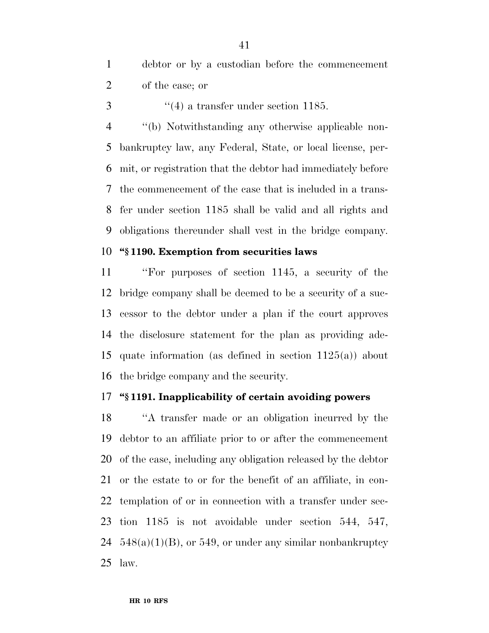debtor or by a custodian before the commencement of the case; or

- 
- $\frac{3}{4}$  (4) a transfer under section 1185.

 ''(b) Notwithstanding any otherwise applicable non- bankruptcy law, any Federal, State, or local license, per- mit, or registration that the debtor had immediately before the commencement of the case that is included in a trans- fer under section 1185 shall be valid and all rights and obligations thereunder shall vest in the bridge company.

#### **''§ 1190. Exemption from securities laws**

 ''For purposes of section 1145, a security of the bridge company shall be deemed to be a security of a suc- cessor to the debtor under a plan if the court approves the disclosure statement for the plan as providing ade- quate information (as defined in section 1125(a)) about the bridge company and the security.

#### **''§ 1191. Inapplicability of certain avoiding powers**

 ''A transfer made or an obligation incurred by the debtor to an affiliate prior to or after the commencement of the case, including any obligation released by the debtor or the estate to or for the benefit of an affiliate, in con- templation of or in connection with a transfer under sec- tion 1185 is not avoidable under section 544, 547,  $548(a)(1)(B)$ , or 549, or under any similar nonbankruptcy law.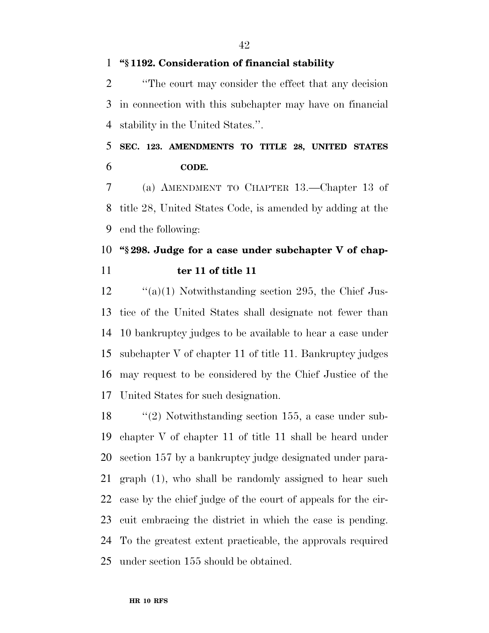### **''§ 1192. Consideration of financial stability**

 ''The court may consider the effect that any decision in connection with this subchapter may have on financial stability in the United States.''.

 **SEC. 123. AMENDMENTS TO TITLE 28, UNITED STATES CODE.** 

 (a) AMENDMENT TO CHAPTER 13.—Chapter 13 of title 28, United States Code, is amended by adding at the end the following:

### **''§ 298. Judge for a case under subchapter V of chap-ter 11 of title 11**

 ''(a)(1) Notwithstanding section 295, the Chief Jus- tice of the United States shall designate not fewer than 10 bankruptcy judges to be available to hear a case under subchapter V of chapter 11 of title 11. Bankruptcy judges may request to be considered by the Chief Justice of the United States for such designation.

18 "(2) Notwithstanding section 155, a case under sub- chapter V of chapter 11 of title 11 shall be heard under section 157 by a bankruptcy judge designated under para- graph (1), who shall be randomly assigned to hear such case by the chief judge of the court of appeals for the cir- cuit embracing the district in which the case is pending. To the greatest extent practicable, the approvals required under section 155 should be obtained.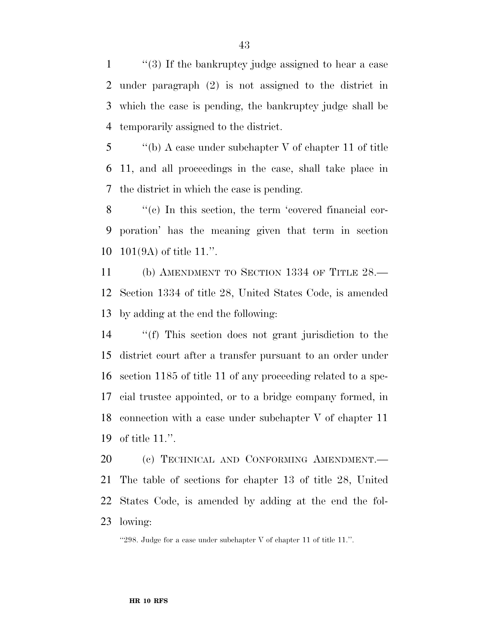''(3) If the bankruptcy judge assigned to hear a case under paragraph (2) is not assigned to the district in which the case is pending, the bankruptcy judge shall be temporarily assigned to the district.

 ''(b) A case under subchapter V of chapter 11 of title 11, and all proceedings in the case, shall take place in the district in which the case is pending.

8 "(c) In this section, the term 'covered financial cor- poration' has the meaning given that term in section 101(9A) of title 11.''.

 (b) AMENDMENT TO SECTION 1334 OF TITLE 28.— Section 1334 of title 28, United States Code, is amended by adding at the end the following:

 ''(f) This section does not grant jurisdiction to the district court after a transfer pursuant to an order under section 1185 of title 11 of any proceeding related to a spe- cial trustee appointed, or to a bridge company formed, in connection with a case under subchapter V of chapter 11 of title 11.''.

20 (c) TECHNICAL AND CONFORMING AMENDMENT. The table of sections for chapter 13 of title 28, United States Code, is amended by adding at the end the fol-lowing:

''298. Judge for a case under subchapter V of chapter 11 of title 11.''.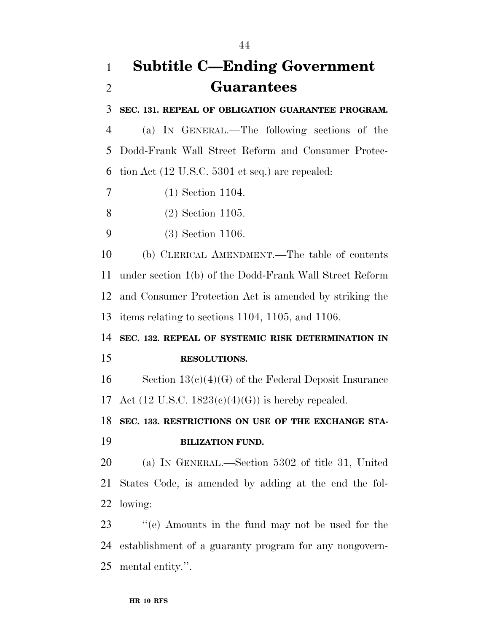# **Subtitle C—Ending Government Guarantees**

**SEC. 131. REPEAL OF OBLIGATION GUARANTEE PROGRAM.** 

 (a) IN GENERAL.—The following sections of the Dodd-Frank Wall Street Reform and Consumer Protec-tion Act (12 U.S.C. 5301 et seq.) are repealed:

(1) Section 1104.

(2) Section 1105.

(3) Section 1106.

 (b) CLERICAL AMENDMENT.—The table of contents under section 1(b) of the Dodd-Frank Wall Street Reform and Consumer Protection Act is amended by striking the items relating to sections 1104, 1105, and 1106.

 **SEC. 132. REPEAL OF SYSTEMIC RISK DETERMINATION IN RESOLUTIONS.** 

 Section 13(c)(4)(G) of the Federal Deposit Insurance 17 Act  $(12 \text{ U.S.C. } 1823(c)(4)(G))$  is hereby repealed.

## **SEC. 133. RESTRICTIONS ON USE OF THE EXCHANGE STA-BILIZATION FUND.**

 (a) IN GENERAL.—Section 5302 of title 31, United States Code, is amended by adding at the end the fol-lowing:

 ''(e) Amounts in the fund may not be used for the establishment of a guaranty program for any nongovern-mental entity.''.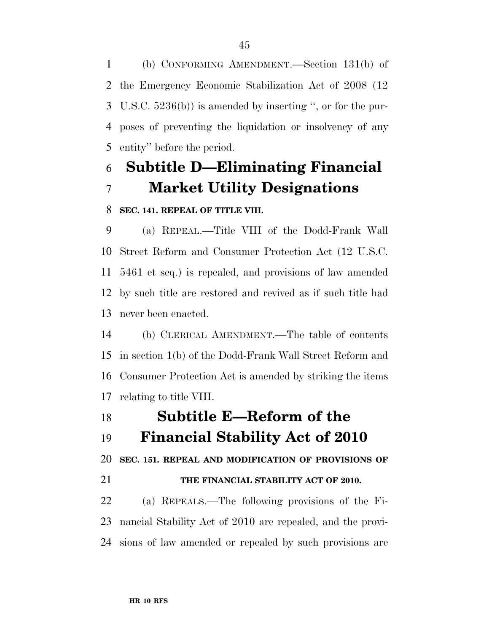(b) CONFORMING AMENDMENT.—Section 131(b) of the Emergency Economic Stabilization Act of 2008 (12 U.S.C. 5236(b)) is amended by inserting '', or for the pur- poses of preventing the liquidation or insolvency of any entity'' before the period.

## **Subtitle D—Eliminating Financial Market Utility Designations**

### **SEC. 141. REPEAL OF TITLE VIII.**

 (a) REPEAL.—Title VIII of the Dodd-Frank Wall Street Reform and Consumer Protection Act (12 U.S.C. 5461 et seq.) is repealed, and provisions of law amended by such title are restored and revived as if such title had never been enacted.

 (b) CLERICAL AMENDMENT.—The table of contents in section 1(b) of the Dodd-Frank Wall Street Reform and Consumer Protection Act is amended by striking the items relating to title VIII.

### **Subtitle E—Reform of the**

**Financial Stability Act of 2010** 

**SEC. 151. REPEAL AND MODIFICATION OF PROVISIONS OF** 

### **THE FINANCIAL STABILITY ACT OF 2010.**

 (a) REPEALS.—The following provisions of the Fi- nancial Stability Act of 2010 are repealed, and the provi-sions of law amended or repealed by such provisions are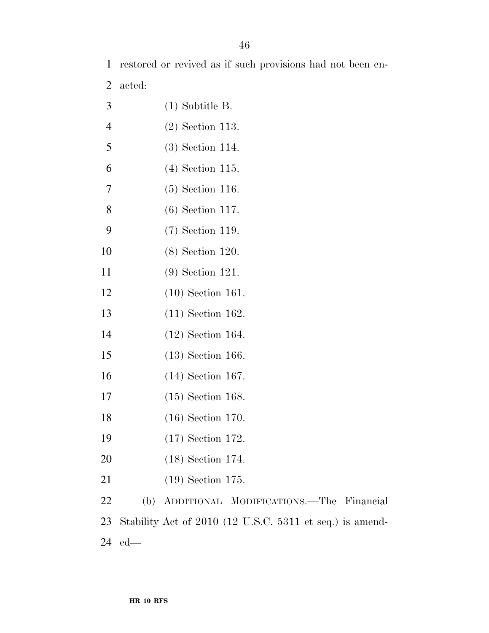restored or revived as if such provisions had not been en-

acted:

- (1) Subtitle B.
- (2) Section 113.
- (3) Section 114.
- (4) Section 115.
- (5) Section 116.
- (6) Section 117.
- (7) Section 119.
- (8) Section 120.
- (9) Section 121.
- (10) Section 161.
- (11) Section 162.
- (12) Section 164.
- (13) Section 166.
- (14) Section 167.
- (15) Section 168.
- (16) Section 170.
- (17) Section 172.
- (18) Section 174.
- (19) Section 175.

 (b) ADDITIONAL MODIFICATIONS.—The Financial Stability Act of 2010 (12 U.S.C. 5311 et seq.) is amend-ed—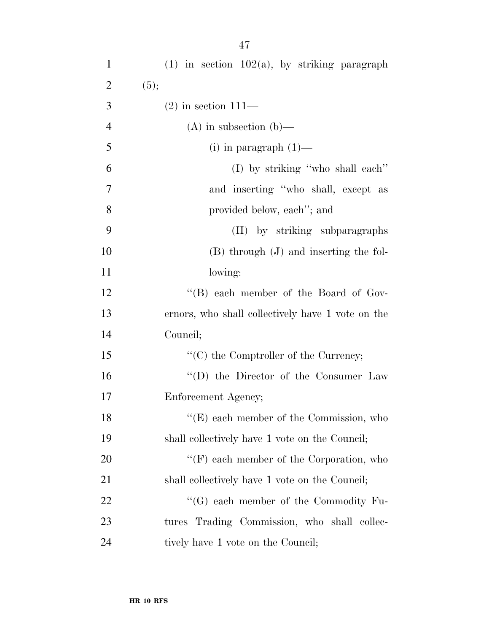| $\mathbf{1}$   | $(1)$ in section $102(a)$ , by striking paragraph |
|----------------|---------------------------------------------------|
| $\overline{2}$ | (5);                                              |
| 3              | $(2)$ in section 111—                             |
| $\overline{4}$ | $(A)$ in subsection $(b)$ —                       |
| 5              | $(i)$ in paragraph $(1)$ —                        |
| 6              | (I) by striking "who shall each"                  |
| 7              | and inserting "who shall, except as               |
| 8              | provided below, each"; and                        |
| 9              | (II) by striking subparagraphs                    |
| 10             | $(B)$ through $(J)$ and inserting the fol-        |
| 11             | lowing:                                           |
| 12             | "(B) each member of the Board of Gov-             |
| 13             | ernors, who shall collectively have 1 vote on the |
| 14             | Council;                                          |
| 15             | $\lq\lq$ (C) the Comptroller of the Currency;     |
| 16             | "(D) the Director of the Consumer Law             |
| 17             | Enforcement Agency;                               |
| 18             | $\lq\lq$ (E) each member of the Commission, who   |
| 19             | shall collectively have 1 vote on the Council;    |
| 20             | $\lq\lq(F)$ each member of the Corporation, who   |
| 21             | shall collectively have 1 vote on the Council;    |
| 22             | $\lq\lq (G)$ each member of the Commodity Fu-     |
| 23             | tures Trading Commission, who shall collec-       |
| 24             | tively have 1 vote on the Council;                |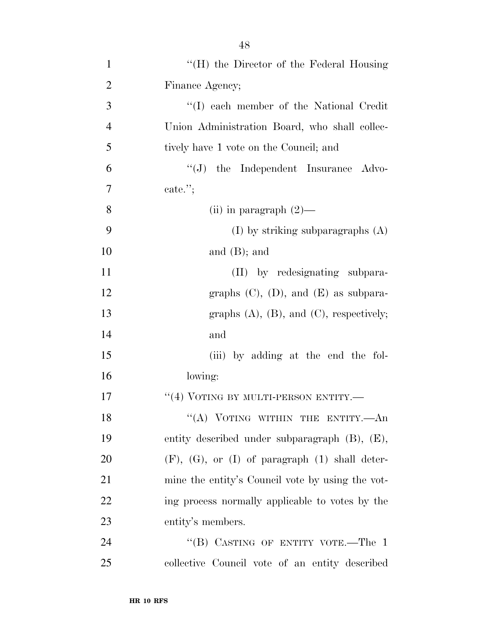| $\mathbf{1}$   | "(H) the Director of the Federal Housing                 |
|----------------|----------------------------------------------------------|
| $\overline{2}$ | Finance Agency;                                          |
| 3              | "(I) each member of the National Credit                  |
| $\overline{4}$ | Union Administration Board, who shall collec-            |
| 5              | tively have 1 vote on the Council; and                   |
| 6              | $\lq\lq(J)$ the Independent Insurance Advo-              |
| $\overline{7}$ | cate.";                                                  |
| 8              | (ii) in paragraph $(2)$ —                                |
| 9              | $(I)$ by striking subparagraphs $(A)$                    |
| 10             | and $(B)$ ; and                                          |
| 11             | (II) by redesignating subpara-                           |
| 12             | graphs $(C)$ , $(D)$ , and $(E)$ as subpara-             |
| 13             | graphs $(A)$ , $(B)$ , and $(C)$ , respectively;         |
| 14             | and                                                      |
| 15             | (iii) by adding at the end the fol-                      |
| 16             | lowing:                                                  |
| 17             | "(4) VOTING BY MULTI-PERSON ENTITY.—                     |
| 18             | "(A) VOTING WITHIN THE ENTITY.—An                        |
| 19             | entity described under subparagraph (B), (E),            |
| 20             | $(F)$ , $(G)$ , or $(I)$ of paragraph $(1)$ shall deter- |
| 21             | mine the entity's Council vote by using the vot-         |
| 22             | ing process normally applicable to votes by the          |
| 23             | entity's members.                                        |
| 24             | "(B) CASTING OF ENTITY VOTE.—The 1                       |
| 25             | collective Council vote of an entity described           |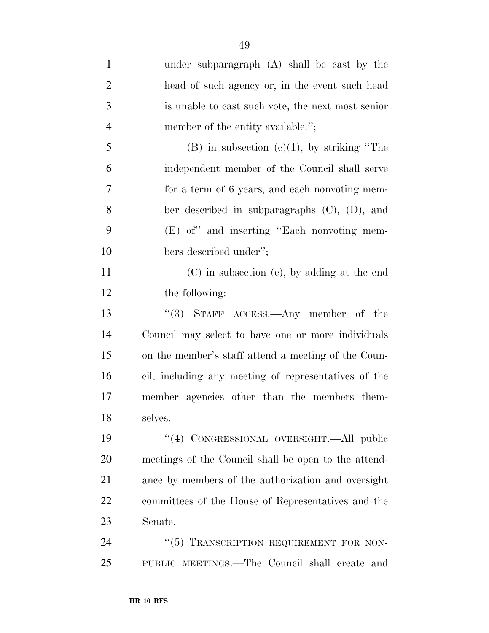| $\mathbf{1}$   | under subparagraph (A) shall be cast by the          |
|----------------|------------------------------------------------------|
| $\overline{2}$ | head of such agency or, in the event such head       |
| $\mathfrak{Z}$ | is unable to cast such vote, the next most senior    |
| $\overline{4}$ | member of the entity available.";                    |
| 5              | $(B)$ in subsection $(e)(1)$ , by striking "The      |
| 6              | independent member of the Council shall serve        |
| 7              | for a term of 6 years, and each nonvoting mem-       |
| 8              | ber described in subparagraphs $(C)$ , $(D)$ , and   |
| 9              | (E) of and inserting "Each nonvoting mem-            |
| 10             | bers described under";                               |
| 11             | (C) in subsection (e), by adding at the end          |
| 12             | the following:                                       |
| 13             | "(3) STAFF ACCESS.—Any member of the                 |
| 14             | Council may select to have one or more individuals   |
| 15             | on the member's staff attend a meeting of the Coun-  |
| 16             | cil, including any meeting of representatives of the |
| 17             | member agencies other than the members them-         |
| 18             | selves.                                              |
| 19             | "(4) CONGRESSIONAL OVERSIGHT.—All public             |
| 20             | meetings of the Council shall be open to the attend- |
| 21             | ance by members of the authorization and oversight   |
| 22             | committees of the House of Representatives and the   |
| 23             | Senate.                                              |
| 24             | "(5) TRANSCRIPTION REQUIREMENT FOR NON-              |
| 25             | PUBLIC MEETINGS.—The Council shall create and        |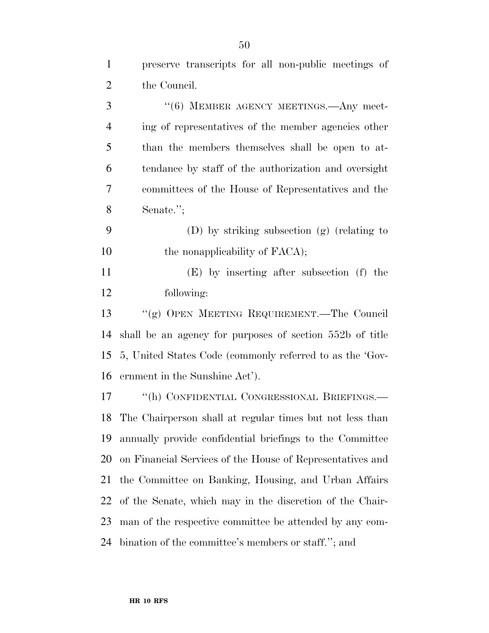| $\mathbf{1}$   | preserve transcripts for all non-public meetings of         |
|----------------|-------------------------------------------------------------|
| $\overline{2}$ | the Council.                                                |
| 3              | "(6) MEMBER AGENCY MEETINGS.—Any meet-                      |
| $\overline{4}$ | ing of representatives of the member agencies other         |
| 5              | than the members themselves shall be open to at-            |
| 6              | tendance by staff of the authorization and oversight        |
| 7              | committees of the House of Representatives and the          |
| 8              | Senate.";                                                   |
| 9              | (D) by striking subsection (g) (relating to                 |
| 10             | the nonapplicability of FACA);                              |
| 11             | (E) by inserting after subsection (f) the                   |
| 12             | following:                                                  |
| 13             | "(g) OPEN MEETING REQUIREMENT.—The Council                  |
| 14             | shall be an agency for purposes of section 552b of title    |
| 15             | 5, United States Code (commonly referred to as the 'Gov-    |
| 16             | ernment in the Sunshine Act').                              |
| 17             | "(h) CONFIDENTIAL CONGRESSIONAL BRIEFINGS.—                 |
|                | 18 The Chairperson shall at regular times but not less than |
| 19             | annually provide confidential briefings to the Committee    |
| 20             | on Financial Services of the House of Representatives and   |
| 21             | the Committee on Banking, Housing, and Urban Affairs        |
| 22             | of the Senate, which may in the discretion of the Chair-    |
| 23             | man of the respective committee be attended by any com-     |
| 24             | bination of the committee's members or staff."; and         |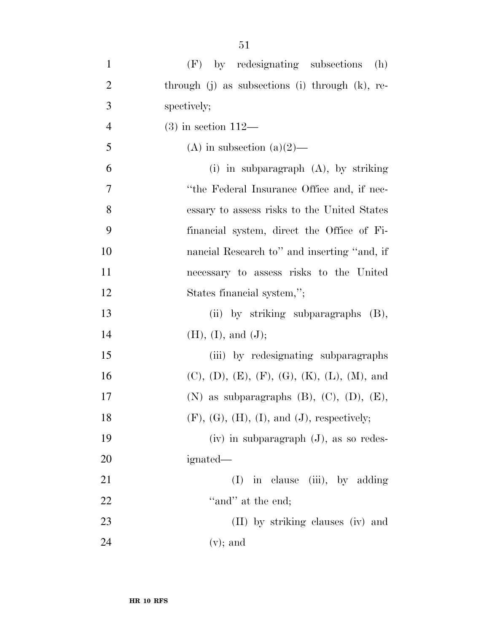| $\mathbf{1}$   | (F) by redesignating subsections (h)                      |
|----------------|-----------------------------------------------------------|
| $\overline{2}$ | through $(j)$ as subsections $(i)$ through $(k)$ , re-    |
| 3              | spectively;                                               |
| $\overline{4}$ | $(3)$ in section 112—                                     |
| 5              | (A) in subsection (a) $(2)$ —                             |
| 6              | (i) in subparagraph $(A)$ , by striking                   |
| $\tau$         | "the Federal Insurance Office and, if nec-                |
| 8              | essary to assess risks to the United States               |
| 9              | financial system, direct the Office of Fi-                |
| 10             | nancial Research to" and inserting "and, if               |
| 11             | necessary to assess risks to the United                   |
| 12             | States financial system,";                                |
| 13             | (ii) by striking subparagraphs (B),                       |
| 14             | (H), (I), and (J);                                        |
| 15             | (iii) by redesignating subparagraphs                      |
| 16             | $(C), (D), (E), (F), (G), (K), (L), (M), and$             |
| 17             | $(N)$ as subparagraphs $(B)$ , $(C)$ , $(D)$ , $(E)$ ,    |
| 18             | $(F)$ , $(G)$ , $(H)$ , $(I)$ , and $(J)$ , respectively; |
| 19             | $(iv)$ in subparagraph $(J)$ , as so redes-               |
| <b>20</b>      | ignated—                                                  |
| 21             | in clause (iii), by adding<br>(I)                         |
| 22             | "and" at the end;                                         |
| 23             | (II) by striking clauses (iv) and                         |
| 24             | $(v)$ ; and                                               |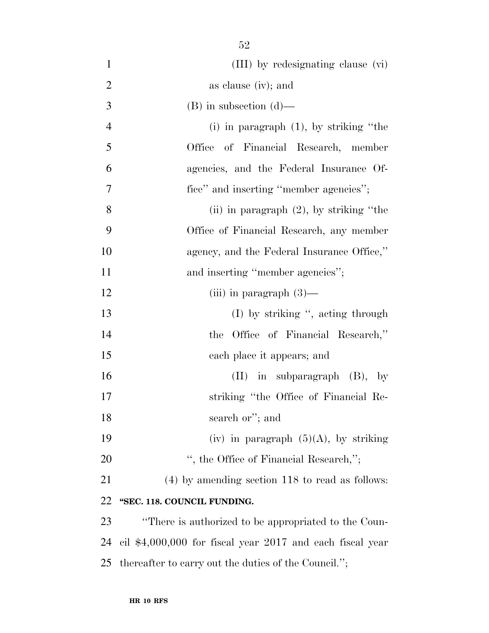(III) by redesignating clause (vi) as clause (iv); and (B) in subsection (d)— (i) in paragraph (1), by striking ''the Office of Financial Research, member agencies, and the Federal Insurance Of-7 fice'' and inserting "member agencies"; (ii) in paragraph (2), by striking ''the Office of Financial Research, any member agency, and the Federal Insurance Office,'' 11 and inserting "member agencies"; 12 (iii) in paragraph  $(3)$ — 13 (I) by striking ", acting through the Office of Financial Research,'' each place it appears; and (II) in subparagraph (B), by striking ''the Office of Financial Re- search or''; and 19 (iv) in paragraph  $(5)(A)$ , by striking 20 '', the Office of Financial Research,"; (4) by amending section 118 to read as follows: **''SEC. 118. COUNCIL FUNDING.**  ''There is authorized to be appropriated to the Coun-

 cil \$4,000,000 for fiscal year 2017 and each fiscal year thereafter to carry out the duties of the Council.'';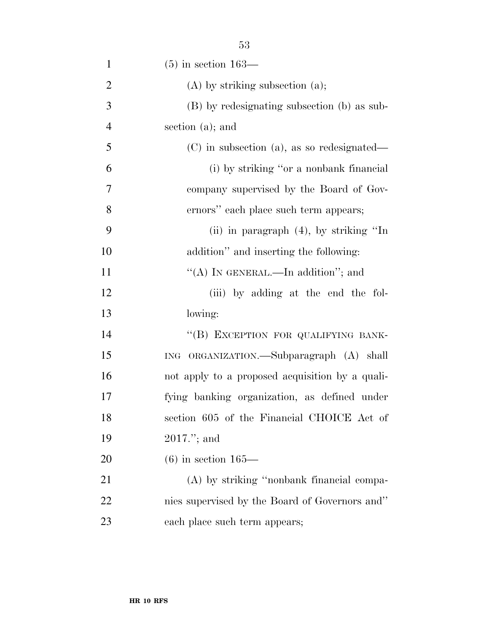| $\mathbf{1}$   | $(5)$ in section 163—                           |
|----------------|-------------------------------------------------|
| $\overline{2}$ | $(A)$ by striking subsection $(a)$ ;            |
| 3              | (B) by redesignating subsection (b) as sub-     |
| $\overline{4}$ | section $(a)$ ; and                             |
| 5              | $(C)$ in subsection (a), as so redesignated—    |
| 6              | (i) by striking "or a nonbank financial         |
| $\tau$         | company supervised by the Board of Gov-         |
| 8              | ernors" each place such term appears;           |
| 9              | (ii) in paragraph $(4)$ , by striking "In       |
| 10             | addition" and inserting the following:          |
| 11             | "(A) IN GENERAL.—In addition"; and              |
| 12             | (iii) by adding at the end the fol-             |
| 13             | lowing:                                         |
| 14             | "(B) EXCEPTION FOR QUALIFYING BANK-             |
| 15             | ING ORGANIZATION.—Subparagraph (A) shall        |
| 16             | not apply to a proposed acquisition by a quali- |
| 17             | fying banking organization, as defined under    |
| 18             | section 605 of the Financial CHOICE Act of      |
| 19             | $2017."$ ; and                                  |
| 20             | $(6)$ in section 165—                           |
| 21             | (A) by striking "nonbank financial compa-       |
| 22             | nies supervised by the Board of Governors and"  |
| 23             | each place such term appears;                   |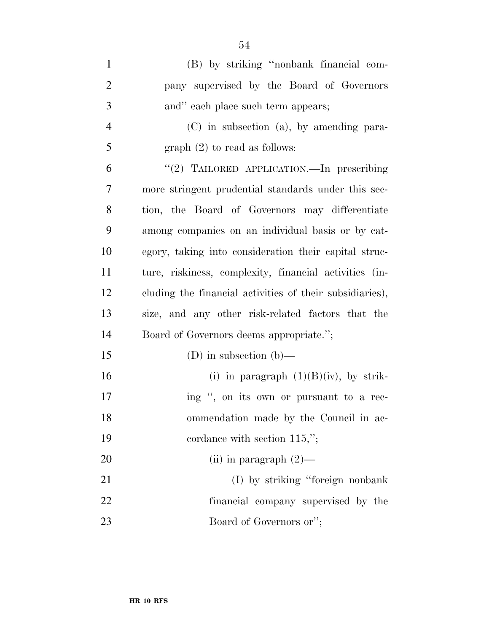| $\mathbf{1}$   | (B) by striking "nonbank financial com-                  |
|----------------|----------------------------------------------------------|
| $\overline{2}$ | pany supervised by the Board of Governors                |
| 3              | and" each place such term appears;                       |
| $\overline{4}$ | $(C)$ in subsection (a), by amending para-               |
| 5              | graph $(2)$ to read as follows:                          |
| 6              | "(2) TAILORED APPLICATION. In prescribing                |
| 7              | more stringent prudential standards under this sec-      |
| 8              | tion, the Board of Governors may differentiate           |
| 9              | among companies on an individual basis or by cat-        |
| 10             | egory, taking into consideration their capital struc-    |
| 11             | ture, riskiness, complexity, financial activities (in-   |
| 12             | cluding the financial activities of their subsidiaries), |
| 13             | size, and any other risk-related factors that the        |
| 14             | Board of Governors deems appropriate.";                  |
| 15             | (D) in subsection (b)—                                   |
| 16             | (i) in paragraph $(1)(B)(iv)$ , by strik-                |
| 17             | ing ", on its own or pursuant to a rec-                  |
| 18             | ommendation made by the Council in ac-                   |
| 19             | cordance with section $115,$ ";                          |
| 20             | (ii) in paragraph $(2)$ —                                |
| 21             | (I) by striking "foreign nonbank"                        |
| 22             | financial company supervised by the                      |
| 23             | Board of Governors or";                                  |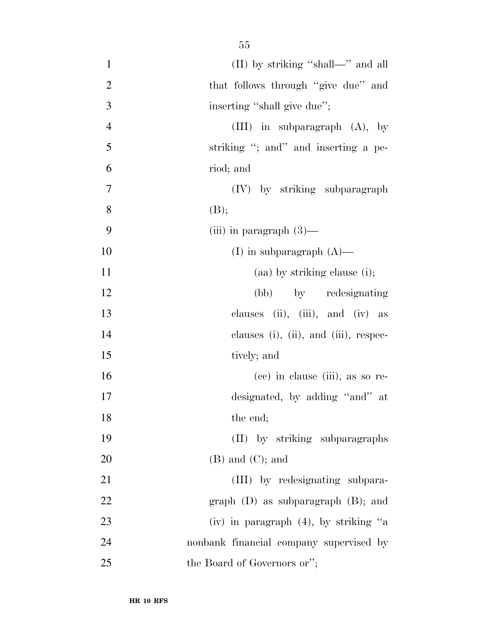| $\mathbf{1}$   | (II) by striking "shall—" and all        |
|----------------|------------------------------------------|
| $\overline{2}$ | that follows through "give due" and      |
| 3              | inserting "shall give due";              |
| $\overline{4}$ | (III) in subparagraph $(A)$ , by         |
| 5              | striking "; and" and inserting a pe-     |
| 6              | riod; and                                |
| $\tau$         | (IV) by striking subparagraph            |
| 8              | (B);                                     |
| 9              | (iii) in paragraph $(3)$ —               |
| 10             | (I) in subparagraph $(A)$ —              |
| 11             | $(aa)$ by striking clause (i);           |
| 12             | (bb) by redesignating                    |
| 13             | clauses (ii), (iii), and (iv) as         |
| 14             | clauses (i), (ii), and (iii), respec-    |
| 15             | tively; and                              |
| 16             | $(ce)$ in clause $(iii)$ , as so re-     |
| 17             | designated, by adding "and" at           |
| 18             | the end;                                 |
| 19             | (II) by striking subparagraphs           |
| 20             | $(B)$ and $(C)$ ; and                    |
| 21             | (III) by redesignating subpara-          |
| 22             | graph $(D)$ as subparagraph $(B)$ ; and  |
| 23             | (iv) in paragraph $(4)$ , by striking "a |
| 24             | nonbank financial company supervised by  |
| 25             | the Board of Governors or";              |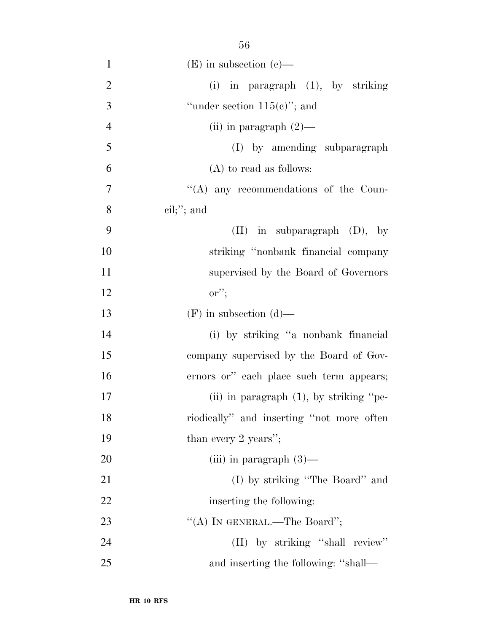| $\mathbf{1}$   | $(E)$ in subsection (c)—                   |
|----------------|--------------------------------------------|
| $\overline{2}$ | (i) in paragraph $(1)$ , by striking       |
| 3              | "under section $115(e)$ "; and             |
| $\overline{4}$ | (ii) in paragraph $(2)$ —                  |
| 5              | (I) by amending subparagraph               |
| 6              | $(A)$ to read as follows:                  |
| $\overline{7}$ | "(A) any recommendations of the Coun-      |
| 8              | $\text{cil};$ "; and                       |
| 9              | $(II)$ in subparagraph $(D)$ , by          |
| 10             | striking "nonbank financial company        |
| 11             | supervised by the Board of Governors       |
| 12             | $\mathrm{or}''$ ;                          |
| 13             | $(F)$ in subsection $(d)$ —                |
| 14             | (i) by striking "a nonbank financial       |
| 15             | company supervised by the Board of Gov-    |
| 16             | ernors or" each place such term appears;   |
| 17             | (ii) in paragraph $(1)$ , by striking "pe- |
| 18             | riodically" and inserting "not more often  |
| 19             | than every 2 years";                       |
| 20             | (iii) in paragraph $(3)$ —                 |
| 21             | (I) by striking "The Board" and            |
| 22             | inserting the following:                   |
| 23             | "(A) IN GENERAL.—The Board";               |
| 24             | (II) by striking "shall review"            |
| 25             | and inserting the following: "shall—       |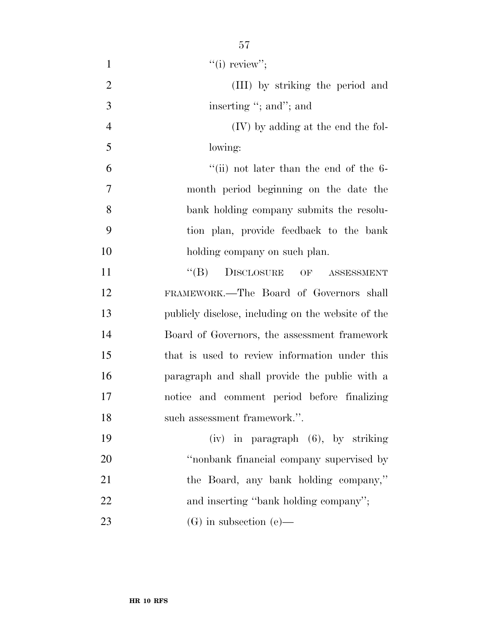| $\mathbf{1}$   | "(i) review";                                      |
|----------------|----------------------------------------------------|
| $\overline{2}$ | (III) by striking the period and                   |
| 3              | inserting "; and"; and                             |
| $\overline{4}$ | (IV) by adding at the end the fol-                 |
| 5              | lowing:                                            |
| 6              | "(ii) not later than the end of the $6-$           |
| $\tau$         | month period beginning on the date the             |
| 8              | bank holding company submits the resolu-           |
| 9              | tion plan, provide feedback to the bank            |
| 10             | holding company on such plan.                      |
| 11             | DISCLOSURE OF<br>$\lq\lq (B)$<br>ASSESSMENT        |
| 12             | FRAMEWORK.—The Board of Governors shall            |
| 13             | publicly disclose, including on the website of the |
| 14             | Board of Governors, the assessment framework       |
| 15             | that is used to review information under this      |
| 16             | paragraph and shall provide the public with a      |
| 17             | notice and comment period before finalizing        |
| 18             | such assessment framework.".                       |
| 19             | $(iv)$ in paragraph $(6)$ , by striking            |
| 20             | "nonbank financial company supervised by           |
| 21             | the Board, any bank holding company,"              |
| 22             | and inserting "bank holding company";              |
| 23             | $(G)$ in subsection (e)—                           |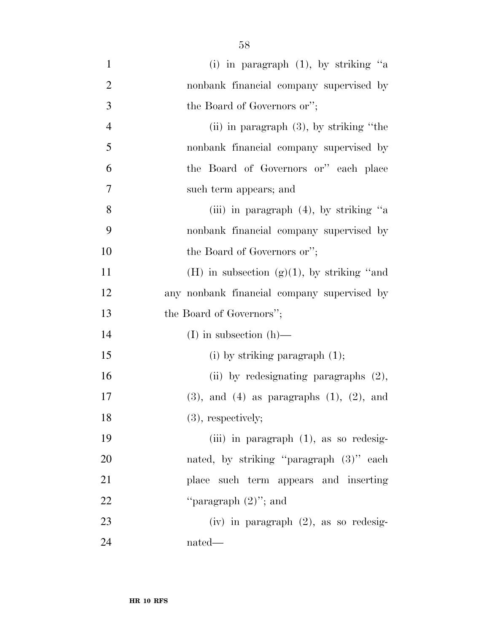| $\mathbf{1}$   | (i) in paragraph $(1)$ , by striking "a             |
|----------------|-----------------------------------------------------|
| $\overline{2}$ | nonbank financial company supervised by             |
| 3              | the Board of Governors or";                         |
| $\overline{4}$ | (ii) in paragraph $(3)$ , by striking "the          |
| 5              | nonbank financial company supervised by             |
| 6              | the Board of Governors or" each place               |
| $\overline{7}$ | such term appears; and                              |
| 8              | (iii) in paragraph $(4)$ , by striking "a           |
| 9              | nonbank financial company supervised by             |
| 10             | the Board of Governors or";                         |
| 11             | (H) in subsection $(g)(1)$ , by striking "and       |
| 12             | any nonbank financial company supervised by         |
| 13             | the Board of Governors";                            |
| 14             | $(I)$ in subsection $(h)$ —                         |
| 15             | (i) by striking paragraph $(1)$ ;                   |
| 16             | (ii) by redesignating paragraphs $(2)$ ,            |
| 17             | $(3)$ , and $(4)$ as paragraphs $(1)$ , $(2)$ , and |
| 18             | $(3)$ , respectively;                               |
| 19             | (iii) in paragraph $(1)$ , as so redesig-           |
| 20             | nated, by striking "paragraph (3)" each             |
| 21             | place such term appears and inserting               |
| 22             | "paragraph $(2)$ "; and                             |
| 23             | $(iv)$ in paragraph $(2)$ , as so redesig-          |
| 24             | nated—                                              |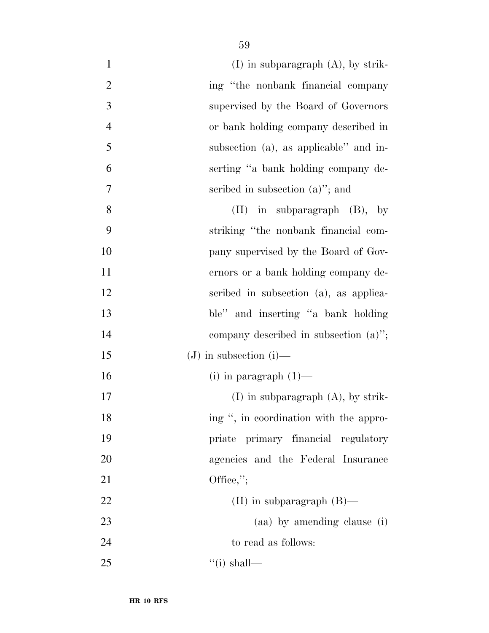| $\mathbf{1}$   | $(I)$ in subparagraph $(A)$ , by strik-  |
|----------------|------------------------------------------|
| $\overline{2}$ | ing "the nonbank financial company       |
| 3              | supervised by the Board of Governors     |
| $\overline{4}$ | or bank holding company described in     |
| 5              | subsection (a), as applicable" and in-   |
| 6              | serting "a bank holding company de-      |
| 7              | scribed in subsection $(a)$ "; and       |
| 8              | $(II)$ in subparagraph $(B)$ , by        |
| 9              | striking "the nonbank financial com-     |
| 10             | pany supervised by the Board of Gov-     |
| 11             | ernors or a bank holding company de-     |
| 12             | scribed in subsection (a), as applica-   |
| 13             | ble" and inserting "a bank holding       |
| 14             | company described in subsection $(a)$ "; |
| 15             | $(J)$ in subsection (i)—                 |
| 16             | $(i)$ in paragraph $(1)$ —               |
| 17             | $(I)$ in subparagraph $(A)$ , by strik-  |
| 18             | ing ", in coordination with the appro-   |
| 19             | priate primary financial regulatory      |
| 20             | agencies and the Federal Insurance       |
| 21             | Office,";                                |
| 22             | (II) in subparagraph $(B)$ —             |
| 23             | (aa) by amending clause (i)              |
| 24             | to read as follows:                      |
| 25             | $``(i) shall$ —                          |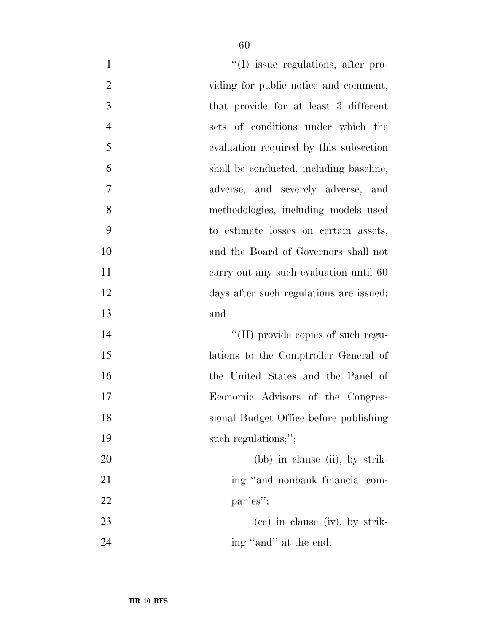| $\mathbf{1}$   | "(I) issue regulations, after pro-         |
|----------------|--------------------------------------------|
| $\overline{2}$ | viding for public notice and comment,      |
| 3              | that provide for at least 3 different      |
| $\overline{4}$ | sets of conditions under which the         |
| 5              | evaluation required by this subsection     |
| 6              | shall be conducted, including baseline,    |
| 7              | adverse, and severely adverse,<br>and      |
| 8              | methodologies, including models used       |
| 9              | to estimate losses on certain assets,      |
| 10             | and the Board of Governors shall not       |
| 11             | carry out any such evaluation until 60     |
| 12             | days after such regulations are issued;    |
| 13             | and                                        |
| 14             | $\lq\lq$ (II) provide copies of such regu- |
| 15             | lations to the Comptroller General of      |
| 16             | the United States and the Panel of         |
| 17             | Economic Advisors of the Congres-          |
| 18             | sional Budget Office before publishing     |
| 19             | such regulations;";                        |
| 20             | $(bb)$ in clause (ii), by strik-           |
| 21             | ing "and nonbank financial com-            |
| 22             | panies";                                   |
| 23             | $(ce)$ in clause $(iv)$ , by strik-        |
| 24             | ing "and" at the end;                      |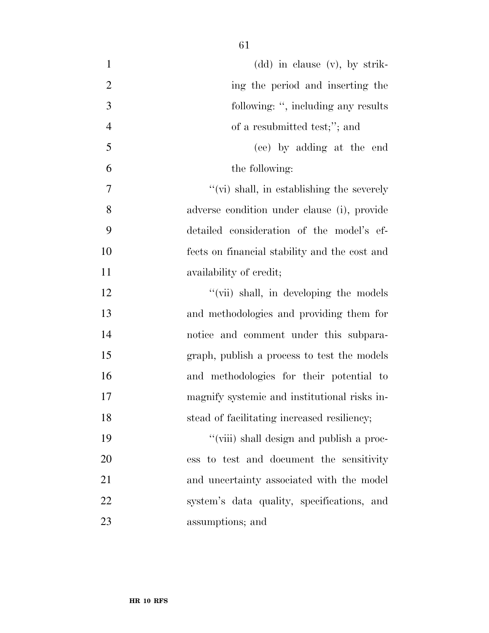| $\mathbf{1}$   | $(dd)$ in clause $(v)$ , by strik-                |
|----------------|---------------------------------------------------|
| $\overline{2}$ | ing the period and inserting the                  |
| 3              | following: ", including any results               |
| $\overline{4}$ | of a resubmitted test;"; and                      |
| 5              | (ee) by adding at the end                         |
| 6              | the following:                                    |
| $\overline{7}$ | $\lq\lq$ (vi) shall, in establishing the severely |
| 8              | adverse condition under clause (i), provide       |
| 9              | detailed consideration of the model's ef-         |
| 10             | fects on financial stability and the cost and     |
| 11             | availability of credit;                           |
| 12             | "(vii) shall, in developing the models            |
| 13             | and methodologies and providing them for          |
| 14             | notice and comment under this subpara-            |
| 15             | graph, publish a process to test the models       |
| 16             | and methodologies for their potential to          |
| 17             | magnify systemic and institutional risks in-      |
| 18             | stead of facilitating increased resiliency;       |
| 19             | "(viii) shall design and publish a proc-          |
| 20             | ess to test and document the sensitivity          |
| 21             | and uncertainty associated with the model         |
| 22             | system's data quality, specifications, and        |
| 23             | assumptions; and                                  |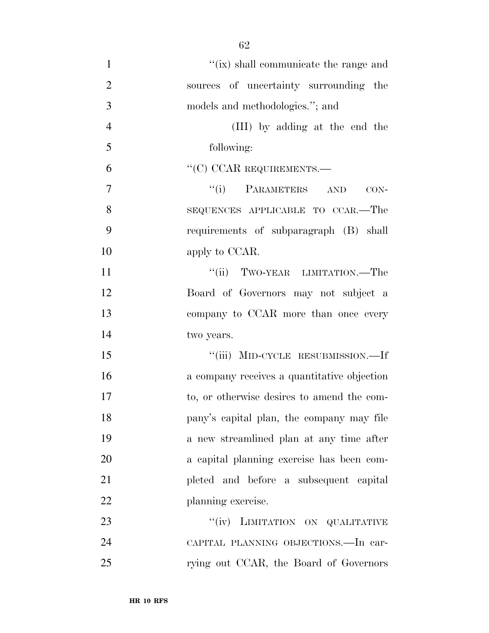| $\mathbf{1}$   | "(ix) shall communicate the range and       |
|----------------|---------------------------------------------|
| $\overline{2}$ | sources of uncertainty surrounding the      |
| 3              | models and methodologies."; and             |
| $\overline{4}$ | (III) by adding at the end the              |
| 5              | following:                                  |
| 6              | ``(C) CCAR REQUIREMENTS.                    |
| $\overline{7}$ | "(i) PARAMETERS AND<br>$CON-$               |
| 8              | SEQUENCES APPLICABLE TO CCAR.—The           |
| 9              | requirements of subparagraph (B) shall      |
| 10             | apply to CCAR.                              |
| 11             | "(ii) TWO-YEAR LIMITATION.—The              |
| 12             | Board of Governors may not subject a        |
| 13             | company to CCAR more than once every        |
| 14             | two years.                                  |
| 15             | "(iii) MID-CYCLE RESUBMISSION.—If           |
| 16             | a company receives a quantitative objection |
| 17             | to, or otherwise desires to amend the com-  |
| 18             | pany's capital plan, the company may file   |
| 19             | a new streamlined plan at any time after    |
| <b>20</b>      | a capital planning exercise has been com-   |
| 21             | pleted and before a subsequent capital      |
| 22             | planning exercise.                          |
| 23             | "(iv) LIMITATION ON QUALITATIVE             |
| 24             | CAPITAL PLANNING OBJECTIONS.—In car-        |
| 25             | rying out CCAR, the Board of Governors      |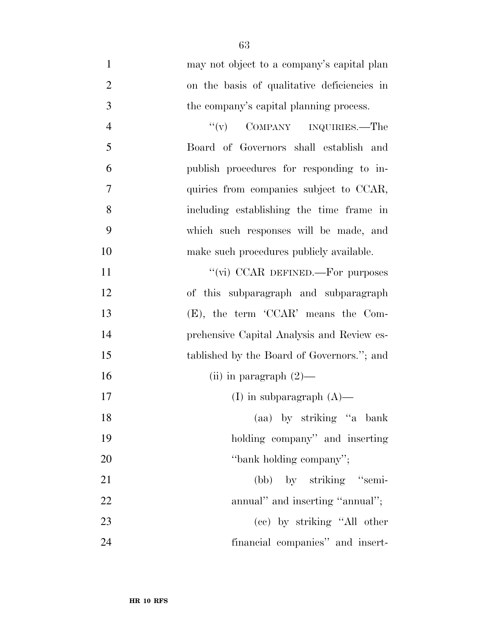may not object to a company's capital plan on the basis of qualitative deficiencies in the company's capital planning process. 4 "(v) COMPANY INQUIRIES.—The Board of Governors shall establish and publish procedures for responding to in- quiries from companies subject to CCAR, including establishing the time frame in which such responses will be made, and make such procedures publicly available.  $''(vi)$  CCAR DEFINED.—For purposes of this subparagraph and subparagraph (E), the term 'CCAR' means the Com- prehensive Capital Analysis and Review es- tablished by the Board of Governors.''; and 16 (ii) in paragraph  $(2)$ — 17 (I) in subparagraph (A)— (aa) by striking ''a bank holding company'' and inserting 20 "bank holding company"; 21 (bb) by striking "semi-22 annual'' and inserting "annual"; (cc) by striking ''All other financial companies'' and insert-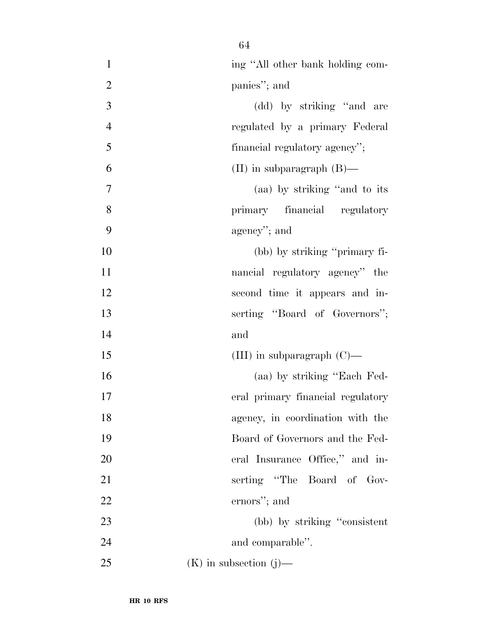| $\mathbf{1}$   | ing "All other bank holding com-  |
|----------------|-----------------------------------|
| $\overline{2}$ | panies"; and                      |
| 3              | (dd) by striking "and are         |
| $\overline{4}$ | regulated by a primary Federal    |
| 5              | financial regulatory agency";     |
| 6              | (II) in subparagraph $(B)$ —      |
| 7              | (aa) by striking "and to its      |
| 8              | primary financial regulatory      |
| 9              | agency"; and                      |
| 10             | (bb) by striking "primary fi-     |
| 11             | nancial regulatory agency" the    |
| 12             | second time it appears and in-    |
| 13             | serting "Board of Governors";     |
| 14             | and                               |
| 15             | (III) in subparagraph $(C)$ —     |
| 16             | (aa) by striking "Each Fed-       |
| 17             | eral primary financial regulatory |
| 18             | agency, in coordination with the  |
| 19             | Board of Governors and the Fed-   |
| 20             | eral Insurance Office," and in-   |
| 21             | serting "The Board of Gov-        |
| 22             | ernors"; and                      |
| 23             | (bb) by striking "consistent"     |
| 24             | and comparable".                  |
| 25             | $(K)$ in subsection $(j)$ —       |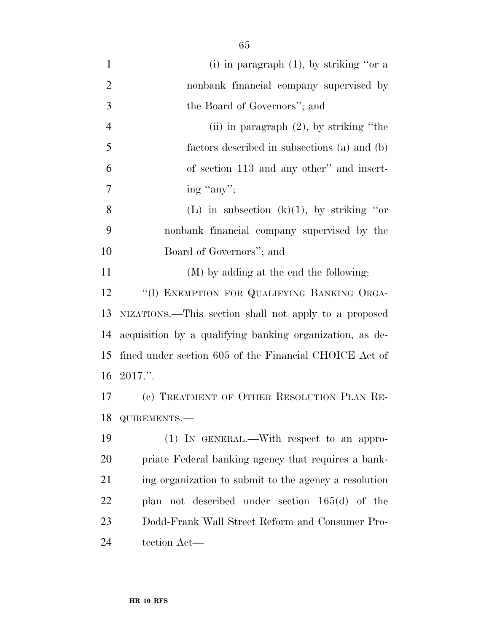| $\mathbf{1}$   | (i) in paragraph $(1)$ , by striking "or a               |
|----------------|----------------------------------------------------------|
| $\overline{2}$ | nonbank financial company supervised by                  |
| 3              | the Board of Governors"; and                             |
| $\overline{4}$ | (ii) in paragraph $(2)$ , by striking "the               |
| 5              | factors described in subsections (a) and (b)             |
| 6              | of section 113 and any other" and insert-                |
| 7              | ing "any";                                               |
| 8              | (L) in subsection (k)(1), by striking "or                |
| 9              | nonbank financial company supervised by the              |
| 10             | Board of Governors"; and                                 |
| 11             | (M) by adding at the end the following:                  |
| 12             | "(1) EXEMPTION FOR QUALIFYING BANKING ORGA-              |
| 13             | NIZATIONS.—This section shall not apply to a proposed    |
| 14             | acquisition by a qualifying banking organization, as de- |
| 15             | fined under section 605 of the Financial CHOICE Act of   |
| 16             | $2017$ .".                                               |
| 17             | (c) TREATMENT OF OTHER RESOLUTION PLAN RE-               |
| 18             | QUIREMENTS.                                              |
| 19             | (1) IN GENERAL.—With respect to an appro-                |
| 20             | priate Federal banking agency that requires a bank-      |
| 21             | ing organization to submit to the agency a resolution    |
| 22             | plan not described under section 165(d) of the           |
| 23             | Dodd-Frank Wall Street Reform and Consumer Pro-          |
| 24             | tection Act—                                             |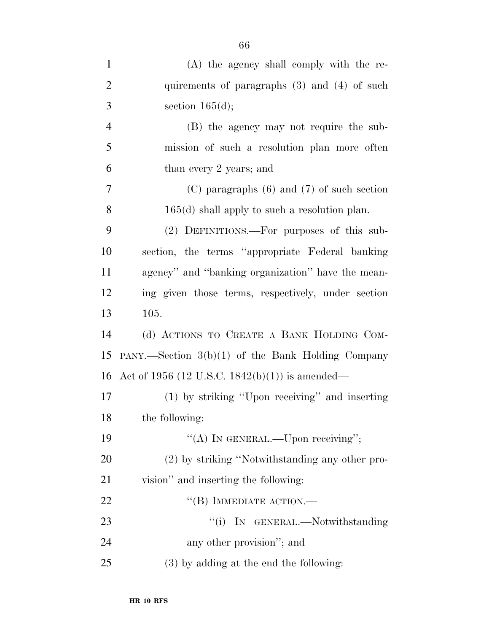| $\mathbf{1}$   | (A) the agency shall comply with the re-            |
|----------------|-----------------------------------------------------|
| $\overline{2}$ | quirements of paragraphs $(3)$ and $(4)$ of such    |
| 3              | section $165(d)$ ;                                  |
| 4              | (B) the agency may not require the sub-             |
| 5              | mission of such a resolution plan more often        |
| 6              | than every 2 years; and                             |
| $\overline{7}$ | $(C)$ paragraphs $(6)$ and $(7)$ of such section    |
| 8              | $165(d)$ shall apply to such a resolution plan.     |
| 9              | (2) DEFINITIONS.—For purposes of this sub-          |
| 10             | section, the terms "appropriate Federal banking     |
| 11             | agency" and "banking organization" have the mean-   |
| 12             | ing given those terms, respectively, under section  |
| 13             | 105.                                                |
| 14             | (d) ACTIONS TO CREATE A BANK HOLDING COM-           |
| 15             | PANY.—Section $3(b)(1)$ of the Bank Holding Company |
| 16             | Act of 1956 (12 U.S.C. 1842(b)(1)) is amended—      |
| 17             | (1) by striking "Upon receiving" and inserting      |
| 18             | the following:                                      |
| 19             | "(A) IN GENERAL.—Upon receiving";                   |
| 20             | (2) by striking "Notwithstanding any other pro-     |
| 21             | vision" and inserting the following:                |
| 22             | $\lq$ <sup>('(B)</sup> IMMEDIATE ACTION.—           |
| 23             | "(i) IN GENERAL.—Notwithstanding                    |
| 24             | any other provision"; and                           |
| 25             | $(3)$ by adding at the end the following:           |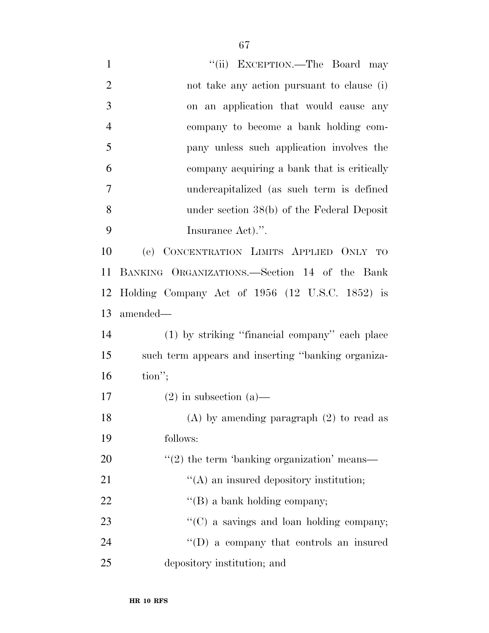| $\mathbf{1}$   | "(ii) EXCEPTION.—The Board may                              |
|----------------|-------------------------------------------------------------|
| $\overline{2}$ | not take any action pursuant to clause (i)                  |
| 3              | on an application that would cause any                      |
| $\overline{4}$ | company to become a bank holding com-                       |
| 5              | pany unless such application involves the                   |
| 6              | company acquiring a bank that is critically                 |
| 7              | undercapitalized (as such term is defined                   |
| 8              | under section $38(b)$ of the Federal Deposit                |
| 9              | Insurance Act).".                                           |
| 10             | (e) CONCENTRATION LIMITS APPLIED ONLY TO                    |
| 11             | BANKING ORGANIZATIONS.—Section 14 of the Bank               |
| 12             | Holding Company Act of 1956 (12 U.S.C. 1852) is             |
| 13             | amended—                                                    |
| 14             | (1) by striking "financial company" each place              |
| 15             | such term appears and inserting "banking organiza-          |
| 16             | $\text{tion}''$                                             |
| 17             | $(2)$ in subsection $(a)$ —                                 |
| 18             | $(A)$ by amending paragraph $(2)$ to read as                |
| 19             | follows:                                                    |
| 20             | $\cdot\cdot\cdot(2)$ the term 'banking organization' means— |
| 21             | $\lq\lq$ an insured depository institution;                 |
| 22             | $\lq\lq (B)$ a bank holding company;                        |
| 23             | "(C) a savings and loan holding company;                    |
| 24             | "(D) a company that controls an insured                     |
| 25             | depository institution; and                                 |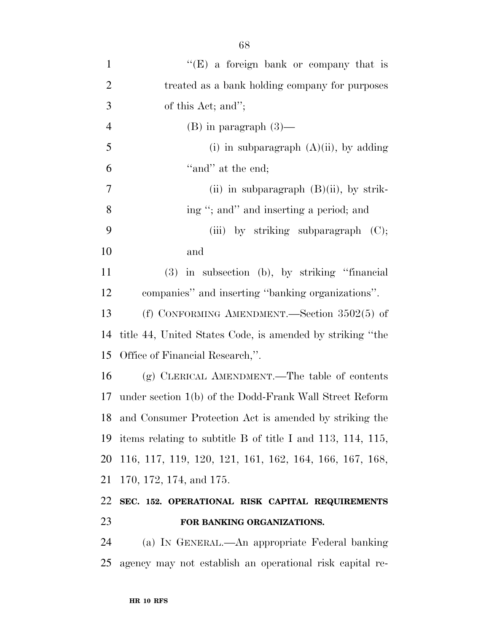| $\mathbf{1}$   | " $(E)$ a foreign bank or company that is                           |
|----------------|---------------------------------------------------------------------|
| $\overline{2}$ | treated as a bank holding company for purposes                      |
| 3              | of this Act; and";                                                  |
| $\overline{4}$ | $(B)$ in paragraph $(3)$ —                                          |
| 5              | (i) in subparagraph $(A)(ii)$ , by adding                           |
| 6              | "and" at the end;                                                   |
| 7              | (ii) in subparagraph $(B)(ii)$ , by strik-                          |
| 8              | ing "; and" and inserting a period; and                             |
| 9              | (iii) by striking subparagraph $(C)$ ;                              |
| 10             | and                                                                 |
| 11             | (3) in subsection (b), by striking "financial                       |
| 12             | companies" and inserting "banking organizations".                   |
| 13             | (f) CONFORMING AMENDMENT.—Section $3502(5)$ of                      |
| 14             | title 44, United States Code, is amended by striking "the           |
| 15             | Office of Financial Research,".                                     |
| 16             | (g) CLERICAL AMENDMENT.—The table of contents                       |
| 17             | under section 1(b) of the Dodd-Frank Wall Street Reform             |
|                | 18 and Consumer Protection Act is amended by striking the           |
| 19             | items relating to subtitle B of title I and $113$ , $114$ , $115$ , |
| 20             | 116, 117, 119, 120, 121, 161, 162, 164, 166, 167, 168,              |
| 21             | 170, 172, 174, and 175.                                             |
| 22             | SEC. 152. OPERATIONAL RISK CAPITAL REQUIREMENTS                     |
| 23             | FOR BANKING ORGANIZATIONS.                                          |
| 24             | (a) IN GENERAL.—An appropriate Federal banking                      |
| 25             | agency may not establish an operational risk capital re-            |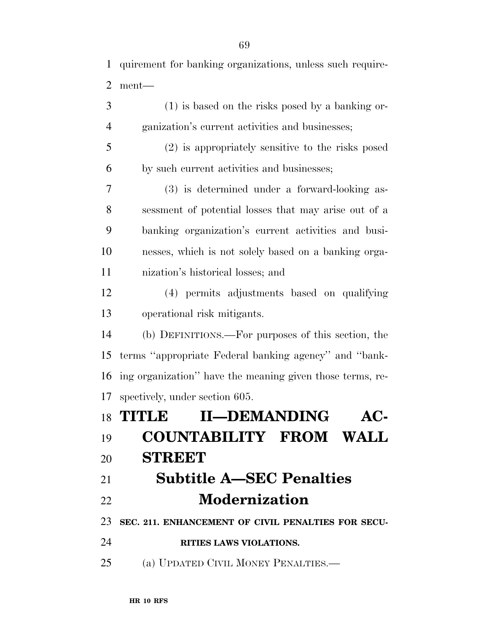(1) is based on the risks posed by a banking or-ganization's current activities and businesses;

 (2) is appropriately sensitive to the risks posed by such current activities and businesses;

 (3) is determined under a forward-looking as- sessment of potential losses that may arise out of a banking organization's current activities and busi- nesses, which is not solely based on a banking orga-nization's historical losses; and

 (4) permits adjustments based on qualifying operational risk mitigants.

 (b) DEFINITIONS.—For purposes of this section, the terms ''appropriate Federal banking agency'' and ''bank- ing organization'' have the meaning given those terms, re-spectively, under section 605.

|     | 18 TITLE II—DEMANDING                              | $AC-$ |
|-----|----------------------------------------------------|-------|
| 19  | <b>COUNTABILITY FROM WALL</b>                      |       |
| 20  | <b>STREET</b>                                      |       |
| 21  | <b>Subtitle A–SEC Penalties</b>                    |       |
| 22  | <b>Modernization</b>                               |       |
| 23. | SEC. 211. ENHANCEMENT OF CIVIL PENALTIES FOR SECU- |       |
| 24  | RITIES LAWS VIOLATIONS.                            |       |
| 25  | (a) UPDATED CIVIL MONEY PENALTIES.—                |       |
|     |                                                    |       |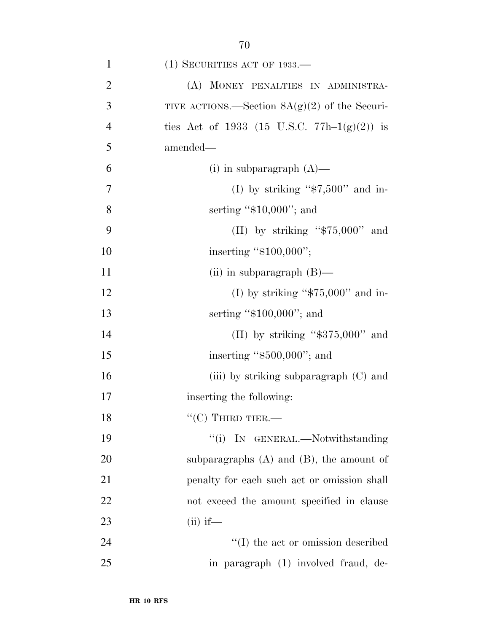| $\mathbf{1}$   | $(1)$ SECURITIES ACT OF 1933.—                  |
|----------------|-------------------------------------------------|
| $\overline{2}$ | (A) MONEY PENALTIES IN ADMINISTRA-              |
| 3              | TIVE ACTIONS.—Section $8A(g)(2)$ of the Securi- |
| $\overline{4}$ | ties Act of 1933 (15 U.S.C. 77h-1(g)(2)) is     |
| 5              | amended—                                        |
| 6              | (i) in subparagraph $(A)$ —                     |
| $\overline{7}$ | (I) by striking " $\frac{4}{7}$ ,500" and in-   |
| 8              | serting " $$10,000$ "; and                      |
| 9              | (II) by striking " $$75,000"$ and               |
| 10             | inserting "\$100,000";                          |
| 11             | (ii) in subparagraph $(B)$ —                    |
| 12             | (I) by striking " $$75,000"$ and in-            |
| 13             | serting " $$100,000$ "; and                     |
| 14             | (II) by striking " $\$375,000"$ and             |
| 15             | inserting " $$500,000$ "; and                   |
| 16             | (iii) by striking subparagraph $(C)$ and        |
| 17             | inserting the following:                        |
| 18             | $``$ (C) THIRD TIER.—                           |
| 19             | "(i) IN GENERAL.—Notwithstanding                |
| <b>20</b>      | subparagraphs $(A)$ and $(B)$ , the amount of   |
| 21             | penalty for each such act or omission shall     |
| 22             | not exceed the amount specified in clause       |
| 23             | $(ii)$ if—                                      |
| 24             | $\lq\lq$ the act or omission described          |
| 25             | in paragraph (1) involved fraud, de-            |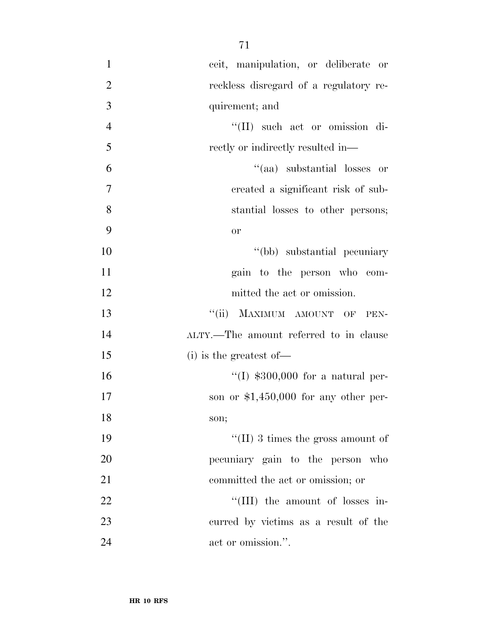| $\mathbf{1}$   | ceit, manipulation, or deliberate or   |
|----------------|----------------------------------------|
| $\overline{2}$ | reckless disregard of a regulatory re- |
| 3              | quirement; and                         |
| $\overline{4}$ | "(II) such act or omission di-         |
| 5              | rectly or indirectly resulted in—      |
| 6              | "(aa) substantial losses or            |
| 7              | created a significant risk of sub-     |
| 8              | stantial losses to other persons;      |
| 9              | <b>or</b>                              |
| 10             | "(bb) substantial pecuniary            |
| 11             | gain to the person who com-            |
| 12             | mitted the act or omission.            |
| 13             | MAXIMUM AMOUNT OF<br>``(ii)<br>PEN-    |
| 14             | ALTY.—The amount referred to in clause |
| 15             | $(i)$ is the greatest of —             |
| 16             | "(I) $$300,000$ for a natural per-     |
| 17             | son or $$1,450,000$ for any other per- |
| 18             | son;                                   |
| 19             | "(II) 3 times the gross amount of      |
| 20             | pecuniary gain to the person who       |
| 21             | committed the act or omission; or      |
| 22             | "(III) the amount of losses in-        |
| 23             | curred by victims as a result of the   |
| 24             | act or omission.".                     |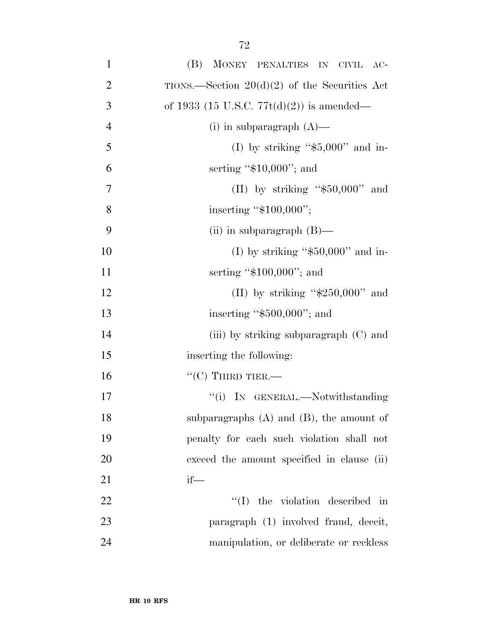| $\mathbf{1}$   | (B) MONEY PENALTIES IN CIVIL AC-                |
|----------------|-------------------------------------------------|
| $\overline{2}$ | TIONS.—Section $20(d)(2)$ of the Securities Act |
| 3              | of 1933 (15 U.S.C. 77t(d)(2)) is amended—       |
| $\overline{4}$ | (i) in subparagraph $(A)$ —                     |
| 5              | (I) by striking " $$5,000"$ and in-             |
| 6              | serting " $$10,000$ "; and                      |
| $\overline{7}$ | (II) by striking " $$50,000"$ and               |
| 8              | inserting " $$100,000$ ";                       |
| 9              | (ii) in subparagraph $(B)$ —                    |
| 10             | (I) by striking " $$50,000"$ and in-            |
| 11             | serting " $$100,000$ "; and                     |
| 12             | (II) by striking " $\$250,000"$ and             |
| 13             | inserting " $$500,000$ "; and                   |
| 14             | (iii) by striking subparagraph $(C)$ and        |
| 15             | inserting the following:                        |
| 16             | $``(C)$ THIRD TIER.—                            |
| 17             | "(i) IN GENERAL.—Notwithstanding                |
| 18             | subparagraphs $(A)$ and $(B)$ , the amount of   |
| 19             | penalty for each such violation shall not       |
| 20             | exceed the amount specified in clause (ii)      |
| 21             | $if$ —                                          |
| 22             | $\lq\lq$ (I) the violation described in         |
| 23             | paragraph (1) involved fraud, deceit,           |
| 24             | manipulation, or deliberate or reckless         |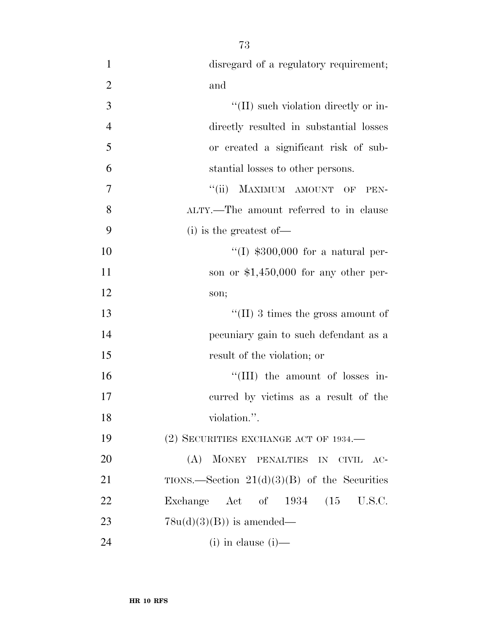| $\mathbf{1}$   | disregard of a regulatory requirement;         |
|----------------|------------------------------------------------|
| $\overline{2}$ | and                                            |
| $\overline{3}$ | $\lq$ (II) such violation directly or in-      |
| $\overline{4}$ | directly resulted in substantial losses        |
| 5              | or created a significant risk of sub-          |
| 6              | stantial losses to other persons.              |
| 7              | MAXIMUM AMOUNT OF<br>``(ii)<br>PEN-            |
| 8              | ALTY.—The amount referred to in clause         |
| 9              | (i) is the greatest of-                        |
| 10             | "(I) $$300,000$ for a natural per-             |
| 11             | son or $$1,450,000$ for any other per-         |
| 12             | son;                                           |
| 13             | "(II) 3 times the gross amount of              |
| 14             | pecuniary gain to such defendant as a          |
| 15             | result of the violation; or                    |
| 16             | "(III) the amount of losses in-                |
| 17             | curred by victims as a result of the           |
| 18             | violation.".                                   |
| 19             | $(2)$ SECURITIES EXCHANGE ACT OF 1934.—        |
| 20             | (A) MONEY PENALTIES IN CIVIL AC-               |
| 21             | TIONS.—Section $21(d)(3)(B)$ of the Securities |
| 22             | Exchange Act of 1934 (15 U.S.C.                |
| 23             | $78u(d)(3)(B)$ is amended—                     |
| 24             | $(i)$ in clause $(i)$ —                        |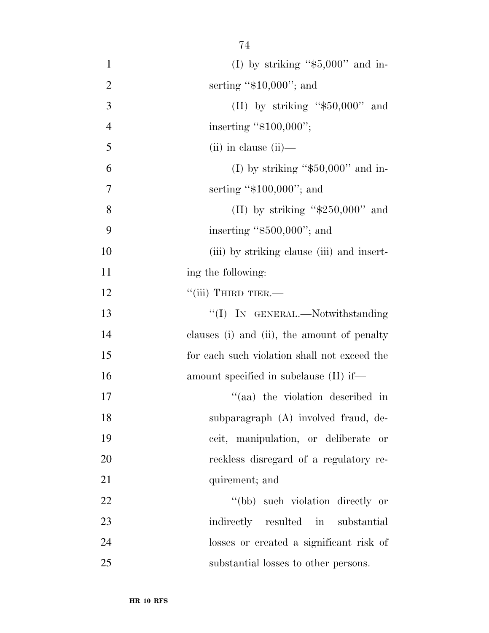| $\mathbf{1}$   | (I) by striking " $$5,000"$ and in-          |
|----------------|----------------------------------------------|
| $\overline{2}$ | serting " $$10,000$ "; and                   |
| 3              | (II) by striking " $$50,000"$ and            |
| $\overline{4}$ | inserting " $$100,000$ ";                    |
| 5              | $(ii)$ in clause $(ii)$ —                    |
| 6              | (I) by striking " $$50,000"$ and in-         |
| 7              | serting " $$100,000$ "; and                  |
| 8              | (II) by striking " $$250,000"$ and           |
| 9              | inserting " $$500,000$ "; and                |
| 10             | (iii) by striking clause (iii) and insert-   |
| 11             | ing the following:                           |
| 12             | $``(iii)$ THIRD TIER.—                       |
| 13             | "(I) IN GENERAL.—Notwithstanding             |
| 14             | clauses (i) and (ii), the amount of penalty  |
| 15             | for each such violation shall not exceed the |
| 16             | amount specified in subclause $(II)$ if—     |
| 17             | "(aa) the violation described in             |
| 18             | subparagraph (A) involved fraud, de-         |
| 19             | ceit, manipulation, or deliberate or         |
| 20             | reckless disregard of a regulatory re-       |
| 21             | quirement; and                               |
| 22             | "(bb) such violation directly or             |
| 23             | indirectly resulted in substantial           |
| 24             | losses or created a significant risk of      |
| 25             | substantial losses to other persons.         |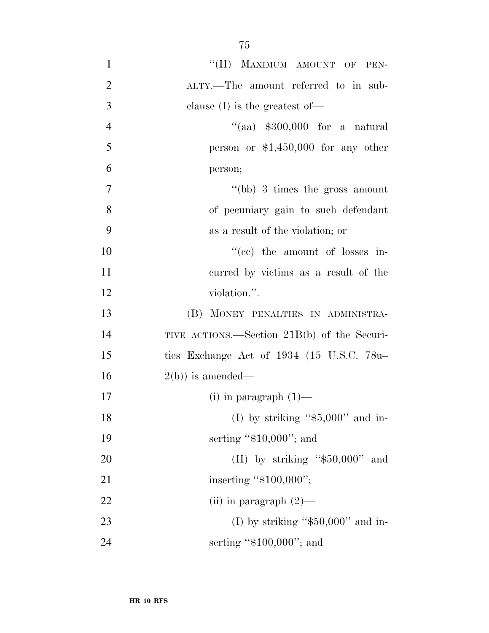| $\mathbf{1}$   | "(II) MAXIMUM AMOUNT OF PEN-                |
|----------------|---------------------------------------------|
| $\overline{2}$ | ALTY.—The amount referred to in sub-        |
| $\overline{3}$ | clause $(I)$ is the greatest of —           |
| $\overline{4}$ | "(aa) $$300,000$ for a natural              |
| 5              | person or $$1,450,000$ for any other        |
| 6              | person;                                     |
| 7              | $\degree$ (bb) 3 times the gross amount     |
| 8              | of pecuniary gain to such defendant         |
| 9              | as a result of the violation; or            |
| 10             | $f''(ce)$ the amount of losses in-          |
| 11             | curred by victims as a result of the        |
| 12             | violation.".                                |
| 13             | (B) MONEY PENALTIES IN ADMINISTRA-          |
| 14             | TIVE ACTIONS.—Section 21B(b) of the Securi- |
| 15             | ties Exchange Act of $1934$ (15 U.S.C. 78u- |
| 16             | $2(b)$ ) is amended—                        |
| 17             | (i) in paragraph $(1)$ —                    |
| 18             | (I) by striking " $$5,000"$ and in-         |
| 19             | serting " $$10,000$ "; and                  |
| 20             | (II) by striking " $$50,000"$ and           |
| 21             | inserting " $$100,000$ ";                   |
| 22             | (ii) in paragraph $(2)$ —                   |
| 23             | (I) by striking " $$50,000"$ and in-        |
| 24             | serting " $$100,000$ "; and                 |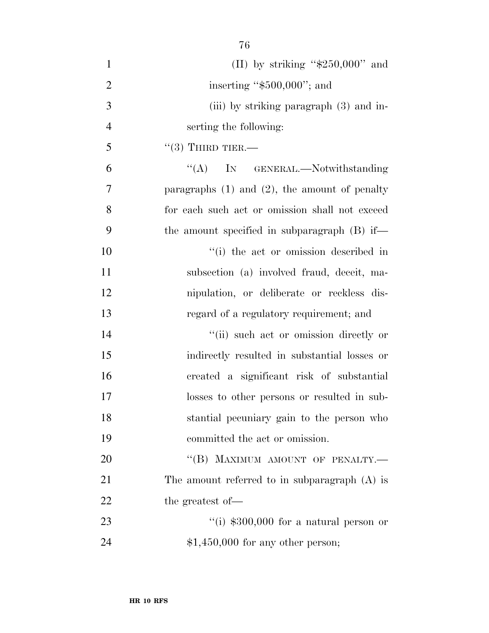| $\mathbf{1}$   | (II) by striking " $\$250,000"$ and                |
|----------------|----------------------------------------------------|
| $\overline{2}$ | inserting " $$500,000$ "; and                      |
| 3              | (iii) by striking paragraph (3) and in-            |
| $\overline{4}$ | serting the following:                             |
| 5              | $``(3)$ THIRD TIER.—                               |
| 6              | $\lq\lq$ (A) IN GENERAL.—Notwithstanding           |
| 7              | paragraphs $(1)$ and $(2)$ , the amount of penalty |
| 8              | for each such act or omission shall not exceed     |
| 9              | the amount specified in subparagraph $(B)$ if—     |
| 10             | "(i) the act or omission described in              |
| 11             | subsection (a) involved fraud, deceit, ma-         |
| 12             | nipulation, or deliberate or reckless dis-         |
| 13             | regard of a regulatory requirement; and            |
| 14             | "(ii) such act or omission directly or             |
| 15             | indirectly resulted in substantial losses or       |
| 16             | created a significant risk of substantial          |
| 17             | losses to other persons or resulted in sub-        |
| 18             | stantial pecuniary gain to the person who          |
| 19             | committed the act or omission.                     |
| 20             | "(B) MAXIMUM AMOUNT OF PENALTY.-                   |
| 21             | The amount referred to in subparagraph (A) is      |
| 22             | the greatest of—                                   |
| 23             | "(i) $$300,000$ for a natural person or            |
| 24             | $$1,450,000$ for any other person;                 |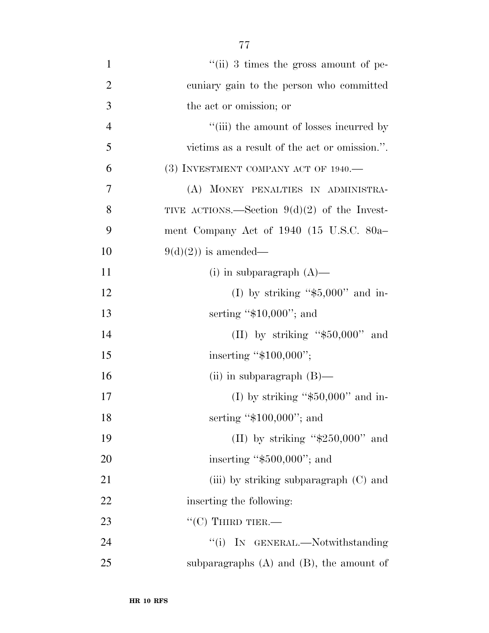| $\mathbf{1}$   | "(ii) 3 times the gross amount of pe-          |
|----------------|------------------------------------------------|
| $\overline{2}$ | cuniary gain to the person who committed       |
| 3              | the act or omission; or                        |
| $\overline{4}$ | "(iii) the amount of losses incurred by        |
| 5              | victims as a result of the act or omission.".  |
| 6              | $(3)$ INVESTMENT COMPANY ACT OF 1940.—         |
| $\overline{7}$ | (A) MONEY PENALTIES IN ADMINISTRA-             |
| 8              | TIVE ACTIONS.—Section $9(d)(2)$ of the Invest- |
| 9              | ment Company Act of 1940 (15 U.S.C. 80a-       |
| 10             | $9(d)(2)$ is amended—                          |
| 11             | (i) in subparagraph $(A)$ —                    |
| 12             | (I) by striking " $$5,000"$ and in-            |
| 13             | serting " $$10,000$ "; and                     |
| 14             | (II) by striking " $$50,000"$ and              |
| 15             | inserting " $$100,000$ ";                      |
| 16             | (ii) in subparagraph $(B)$ —                   |
| 17             | (I) by striking " $$50,000"$ and in-           |
| 18             | serting " $$100,000$ "; and                    |
| 19             | (II) by striking " $\$250,000"$ and            |
| 20             | inserting " $$500,000$ "; and                  |
| 21             | (iii) by striking subparagraph (C) and         |
| 22             | inserting the following:                       |
| 23             | $``(C)$ THIRD TIER.—                           |
| 24             | "(i) IN GENERAL.—Notwithstanding               |
| 25             | subparagraphs $(A)$ and $(B)$ , the amount of  |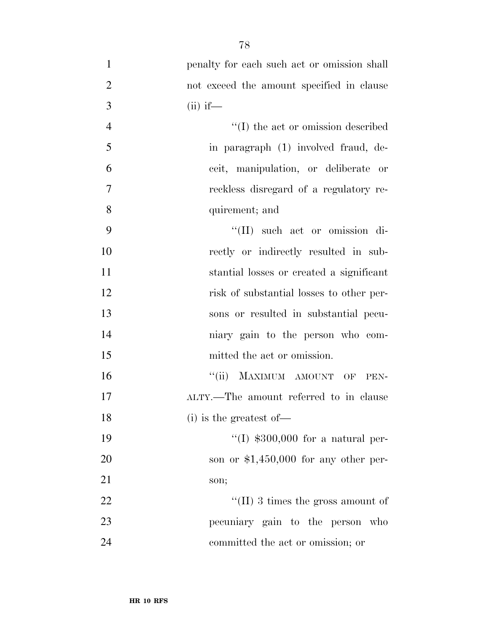penalty for each such act or omission shall not exceed the amount specified in clause 3 (ii) if—  $''(I)$  the act or omission described in paragraph (1) involved fraud, de- ceit, manipulation, or deliberate or reckless disregard of a regulatory re- quirement; and  $\lq(II)$  such act or omission di-10 rectly or indirectly resulted in sub- stantial losses or created a significant risk of substantial losses to other per- sons or resulted in substantial pecu- niary gain to the person who com- mitted the act or omission.  $``(ii)$  MAXIMUM AMOUNT OF PEN- ALTY.—The amount referred to in clause 18 (i) is the greatest of —

19 ''(I) \$300,000 for a natural per-20 son or \$1,450,000 for any other per-21 son; 22 ''(II) 3 times the gross amount of

23 pecuniary gain to the person who 24 committed the act or omission; or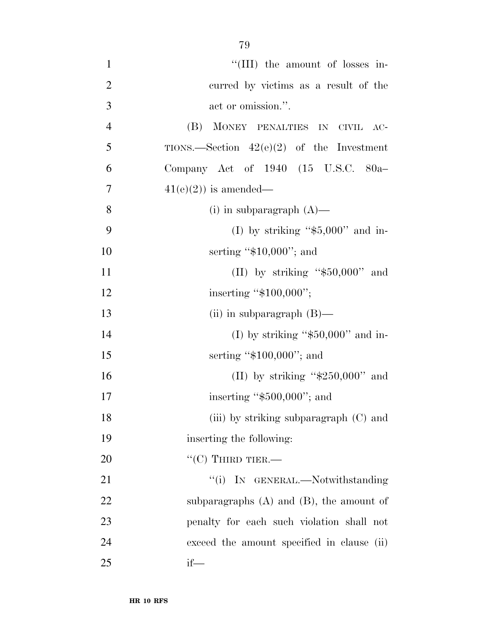| $\mathbf{1}$   | "(III) the amount of losses in-               |
|----------------|-----------------------------------------------|
| $\overline{2}$ | curred by victims as a result of the          |
| 3              | act or omission.".                            |
| $\overline{4}$ | (B) MONEY PENALTIES IN CIVIL AC-              |
| 5              | TIONS.—Section $42(e)(2)$ of the Investment   |
| 6              | Company Act of 1940 (15 U.S.C. 80a-           |
| $\overline{7}$ | $41(e)(2)$ is amended—                        |
| 8              | $(i)$ in subparagraph $(A)$ —                 |
| 9              | (I) by striking " $$5,000"$ and in-           |
| 10             | serting " $$10,000$ "; and                    |
| 11             | (II) by striking " $$50,000"$ and             |
| 12             | inserting " $$100,000$ ";                     |
| 13             | (ii) in subparagraph $(B)$ —                  |
| 14             | (I) by striking " $$50,000"$ and in-          |
| 15             | serting " $$100,000$ "; and                   |
| 16             | (II) by striking " $$250,000"$ and            |
| 17             | inserting " $$500,000$ "; and                 |
| 18             | (iii) by striking subparagraph (C) and        |
| 19             | inserting the following:                      |
| 20             | $``(C)$ THIRD TIER.—                          |
| 21             | "(i) IN GENERAL.—Notwithstanding              |
| 22             | subparagraphs $(A)$ and $(B)$ , the amount of |
| 23             | penalty for each such violation shall not     |
| 24             | exceed the amount specified in clause (ii)    |
| 25             | $if$ —                                        |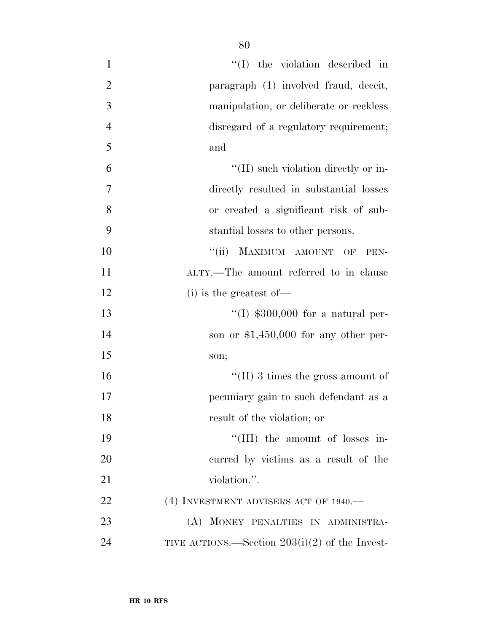| $\mathbf{1}$   | $\lq\lq$ (I) the violation described in          |
|----------------|--------------------------------------------------|
| $\overline{2}$ | paragraph (1) involved fraud, deceit,            |
| 3              | manipulation, or deliberate or reckless          |
| $\overline{4}$ | disregard of a regulatory requirement;           |
| 5              | and                                              |
| 6              | $\lq\lq$ (II) such violation directly or in-     |
| 7              | directly resulted in substantial losses          |
| 8              | or created a significant risk of sub-            |
| 9              | stantial losses to other persons.                |
| 10             | MAXIMUM AMOUNT OF<br>``(ii)<br>PEN-              |
| 11             | ALTY.—The amount referred to in clause           |
| 12             | $(i)$ is the greatest of —                       |
| 13             | "(I) $$300,000$ for a natural per-               |
| 14             | son or $$1,450,000$ for any other per-           |
| 15             | son;                                             |
| 16             | "(II) 3 times the gross amount of                |
| 17             | pecuniary gain to such defendant as a            |
| 18             | result of the violation; or                      |
| 19             | "(III) the amount of losses in-                  |
| 20             | curred by victims as a result of the             |
| 21             | violation.".                                     |
| 22             | (4) INVESTMENT ADVISERS ACT OF 1940.             |
| 23             | (A) MONEY PENALTIES IN ADMINISTRA-               |
| 24             | TIVE ACTIONS.—Section $203(i)(2)$ of the Invest- |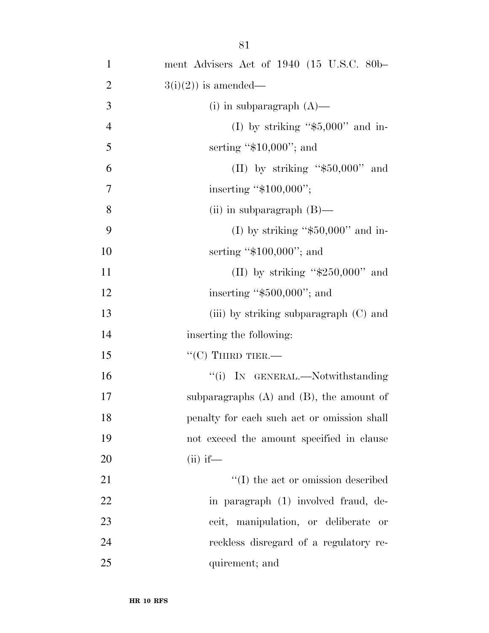| $\mathbf{1}$   | ment Advisers Act of 1940 (15 U.S.C. 80b-     |
|----------------|-----------------------------------------------|
| $\overline{2}$ | $3(i)(2)$ is amended—                         |
| 3              | (i) in subparagraph $(A)$ —                   |
| $\overline{4}$ | (I) by striking " $$5,000"$ and in-           |
| 5              | serting " $$10,000$ "; and                    |
| 6              | (II) by striking " $$50,000"$ and             |
| $\tau$         | inserting " $$100,000$ ";                     |
| 8              | (ii) in subparagraph $(B)$ —                  |
| 9              | (I) by striking " $$50,000"$ and in-          |
| 10             | serting " $$100,000$ "; and                   |
| 11             | (II) by striking " $\$250,000"$ and           |
| 12             | inserting " $$500,000$ "; and                 |
| 13             | (iii) by striking subparagraph $(C)$ and      |
| 14             | inserting the following:                      |
| 15             | $``(C)$ THIRD TIER.—                          |
| 16             | "(i) IN GENERAL.—Notwithstanding              |
| 17             | subparagraphs $(A)$ and $(B)$ , the amount of |
| 18             | penalty for each such act or omission shall   |
| 19             | not exceed the amount specified in clause     |
| 20             | $(ii)$ if—                                    |
| 21             | $\lq\lq$ (I) the act or omission described    |
| 22             | in paragraph (1) involved fraud, de-          |
| 23             | ceit, manipulation, or deliberate<br>- or     |
| 24             | reckless disregard of a regulatory re-        |
| 25             | quirement; and                                |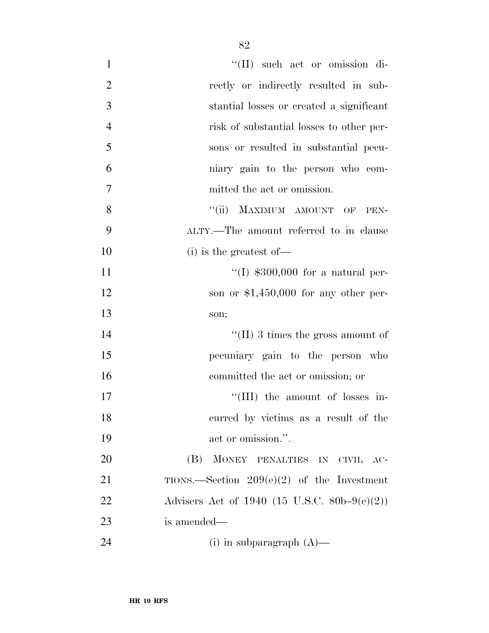| $\mathbf{1}$   | "(II) such act or omission di-                   |
|----------------|--------------------------------------------------|
| $\overline{2}$ | rectly or indirectly resulted in sub-            |
| 3              | stantial losses or created a significant         |
| $\overline{4}$ | risk of substantial losses to other per-         |
| 5              | sons or resulted in substantial pecu-            |
| 6              | niary gain to the person who com-                |
| 7              | mitted the act or omission.                      |
| 8              | "(ii) MAXIMUM AMOUNT OF PEN-                     |
| 9              | ALTY.—The amount referred to in clause           |
| 10             | $(i)$ is the greatest of —                       |
| 11             | "(I) $$300,000$ for a natural per-               |
| 12             | son or $$1,450,000$ for any other per-           |
| 13             | son;                                             |
| 14             | "(II) 3 times the gross amount of                |
| 15             | pecuniary gain to the person who                 |
| 16             | committed the act or omission; or                |
| 17             | "(III) the amount of losses in-                  |
| 18             | curred by victims as a result of the             |
| 19             | act or omission.".                               |
| 20             | (B) MONEY PENALTIES IN CIVIL AC-                 |
| 21             | TIONS.—Section $209(e)(2)$ of the Investment     |
| 22             | Advisers Act of 1940 (15 U.S.C. 80b-9 $(e)(2)$ ) |
| 23             | is amended—                                      |
| 24             | (i) in subparagraph $(A)$ —                      |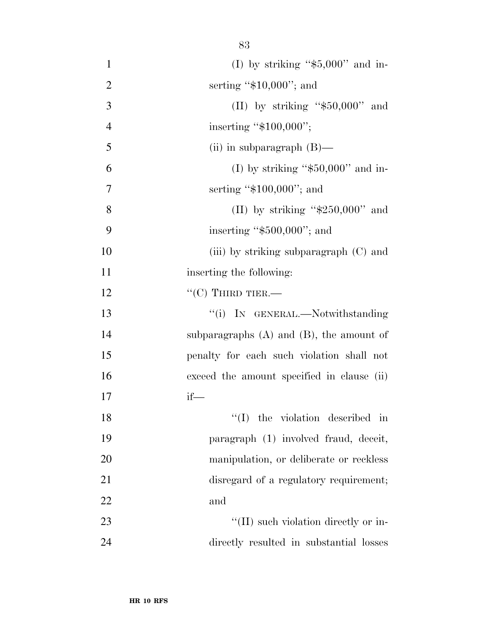| $\mathbf{1}$   | (I) by striking " $$5,000"$ and in-           |
|----------------|-----------------------------------------------|
| $\overline{2}$ | serting " $$10,000$ "; and                    |
| 3              | (II) by striking " $$50,000"$ and             |
| $\overline{4}$ | inserting "\$100,000";                        |
| 5              | (ii) in subparagraph $(B)$ —                  |
| 6              | (I) by striking " $$50,000"$ and in-          |
| 7              | serting " $$100,000$ "; and                   |
| 8              | (II) by striking " $$250,000"$ and            |
| 9              | inserting " $$500,000$ "; and                 |
| 10             | (iii) by striking subparagraph (C) and        |
| 11             | inserting the following:                      |
| 12             | $``(C)$ THIRD TIER.—                          |
| 13             | "(i) IN GENERAL.—Notwithstanding              |
| 14             | subparagraphs $(A)$ and $(B)$ , the amount of |
| 15             | penalty for each such violation shall not     |
| 16             | exceed the amount specified in clause (ii)    |
| 17             | $if$ —                                        |
| 18             | $\lq(1)$ the violation described in           |
| 19             | paragraph (1) involved fraud, deceit,         |
| 20             | manipulation, or deliberate or reckless       |
| 21             | disregard of a regulatory requirement;        |
| 22             | and                                           |
| 23             | "(II) such violation directly or in-          |
| 24             | directly resulted in substantial losses       |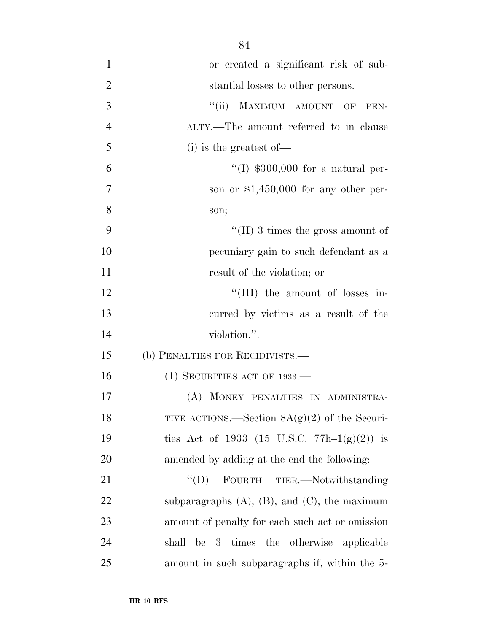| $\mathbf{1}$   | or created a significant risk of sub-                         |
|----------------|---------------------------------------------------------------|
| $\overline{2}$ | stantial losses to other persons.                             |
| 3              | ``(ii)<br>MAXIMUM AMOUNT OF<br>PEN-                           |
| $\overline{4}$ | ALTY.—The amount referred to in clause                        |
| 5              | $(i)$ is the greatest of —                                    |
| 6              | "(I) $$300,000$ for a natural per-                            |
| $\overline{7}$ | son or $$1,450,000$ for any other per-                        |
| 8              | son;                                                          |
| 9              | $\lq\lq$ (II) 3 times the gross amount of                     |
| 10             | pecuniary gain to such defendant as a                         |
| 11             | result of the violation; or                                   |
| 12             | "(III) the amount of losses in-                               |
| 13             | curred by victims as a result of the                          |
| 14             | violation.".                                                  |
| 15             | (b) PENALTIES FOR RECIDIVISTS.—                               |
| 16             | $(1)$ SECURITIES ACT OF 1933.—                                |
| 17             | (A) MONEY PENALTIES IN ADMINISTRA-                            |
| 18             | TIVE ACTIONS.—Section $8A(g)(2)$ of the Securi-               |
| 19             | ties Act of 1933 (15 U.S.C. 77h-1(g)(2)) is                   |
| 20             | amended by adding at the end the following:                   |
| 21             | FOURTH TIER.-Notwithstanding<br>$\lq\lq (D)$                  |
| 22             | subparagraphs $(A)$ , $(B)$ , and $(C)$ , the maximum         |
| 23             | amount of penalty for each such act or omission               |
| 24             | be <sub>3</sub><br>times the otherwise<br>shall<br>applicable |
| 25             | amount in such subparagraphs if, within the 5-                |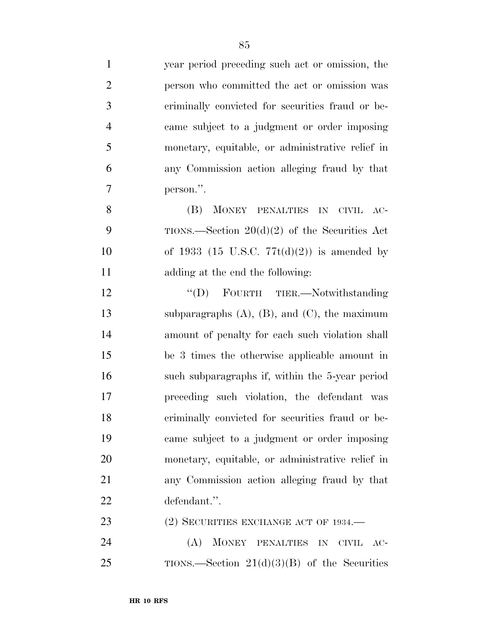| $\mathbf{1}$   | year period preceding such act or omission, the       |
|----------------|-------------------------------------------------------|
| $\overline{2}$ | person who committed the act or omission was          |
| 3              | criminally convicted for securities fraud or be-      |
| $\overline{4}$ | came subject to a judgment or order imposing          |
| 5              | monetary, equitable, or administrative relief in      |
| 6              | any Commission action alleging fraud by that          |
| 7              | person.".                                             |
| 8              | (B)<br>MONEY PENALTIES IN CIVIL<br>$AC-$              |
| 9              | TIONS.—Section $20(d)(2)$ of the Securities Act       |
| 10             | of 1933 (15 U.S.C. $77t(d)(2)$ ) is amended by        |
| 11             | adding at the end the following:                      |
| 12             | "(D) FOURTH TIER.—Notwithstanding                     |
| 13             | subparagraphs $(A)$ , $(B)$ , and $(C)$ , the maximum |
| 14             | amount of penalty for each such violation shall       |
| 15             | be 3 times the otherwise applicable amount in         |
| 16             | such subparagraphs if, within the 5-year period       |
| 17             | preceding such violation, the defendant was           |
| 18             | criminally convicted for securities fraud or be-      |
| 19             | came subject to a judgment or order imposing          |
| 20             | monetary, equitable, or administrative relief in      |
| 21             | any Commission action alleging fraud by that          |
| 22             | defendant.".                                          |
| 23             | $(2)$ SECURITIES EXCHANGE ACT OF 1934.—               |
| 24             | MONEY PENALTIES IN<br>(A)<br><b>CIVIL</b><br>$AC-$    |
| 25             | TIONS.—Section $21(d)(3)(B)$ of the Securities        |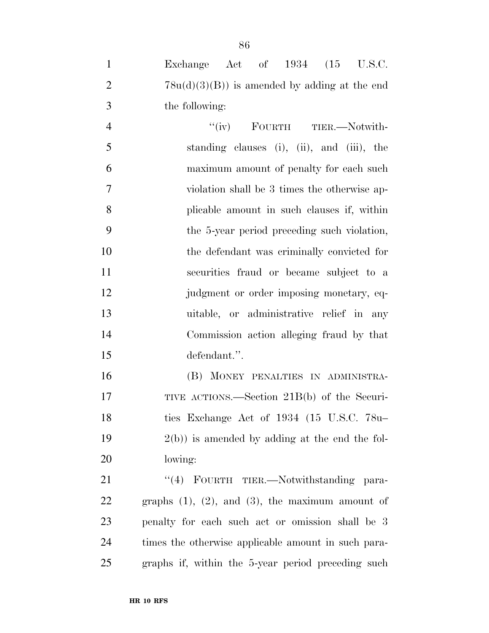Exchange Act of 1934 (15 U.S.C.  $2 \t 78u(d)(3)(B)$  is amended by adding at the end the following:

4 "(iv) FOURTH TIER.—Notwith- standing clauses (i), (ii), and (iii), the maximum amount of penalty for each such violation shall be 3 times the otherwise ap- plicable amount in such clauses if, within the 5-year period preceding such violation, the defendant was criminally convicted for securities fraud or became subject to a judgment or order imposing monetary, eq- uitable, or administrative relief in any Commission action alleging fraud by that defendant.''.

 (B) MONEY PENALTIES IN ADMINISTRA- TIVE ACTIONS.—Section 21B(b) of the Securi- ties Exchange Act of 1934 (15 U.S.C. 78u– 2(b)) is amended by adding at the end the fol-lowing:

21 "(4) FOURTH TIER.—Notwithstanding para-22 graphs  $(1)$ ,  $(2)$ , and  $(3)$ , the maximum amount of penalty for each such act or omission shall be 3 times the otherwise applicable amount in such para-graphs if, within the 5-year period preceding such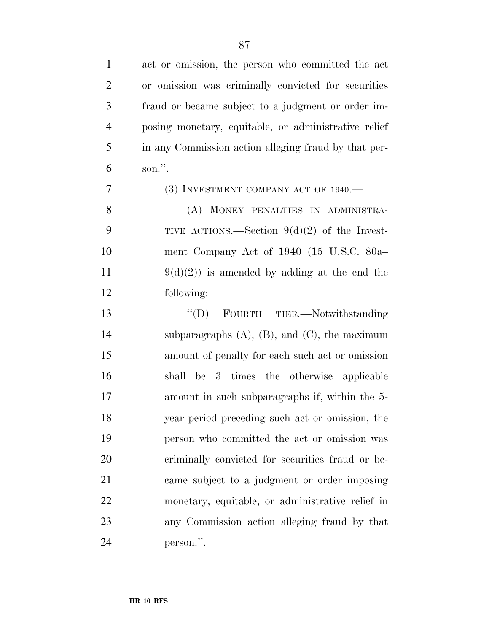| $\mathbf{1}$   | act or omission, the person who committed the act     |
|----------------|-------------------------------------------------------|
| $\overline{2}$ | or omission was criminally convicted for securities   |
| 3              | fraud or became subject to a judgment or order im-    |
| $\overline{4}$ | posing monetary, equitable, or administrative relief  |
| 5              | in any Commission action alleging fraud by that per-  |
| 6              | son.".                                                |
| 7              | $(3)$ INVESTMENT COMPANY ACT OF 1940.—                |
| 8              | (A) MONEY PENALTIES IN ADMINISTRA-                    |
| 9              | TIVE ACTIONS.—Section $9(d)(2)$ of the Invest-        |
| 10             | ment Company Act of 1940 (15 U.S.C. 80a-              |
| 11             | $9(d)(2)$ ) is amended by adding at the end the       |
| 12             | following:                                            |
| 13             | "(D) FOURTH TIER.—Notwithstanding                     |
| 14             | subparagraphs $(A)$ , $(B)$ , and $(C)$ , the maximum |
| 15             | amount of penalty for each such act or omission       |
| 16             | shall be 3 times the otherwise applicable             |
| 17             | amount in such subparagraphs if, within the 5-        |
| 18             | year period preceding such act or omission, the       |
| 19             | person who committed the act or omission was          |
| 20             | criminally convicted for securities fraud or be-      |
| 21             | came subject to a judgment or order imposing          |
| 22             | monetary, equitable, or administrative relief in      |
| 23             | any Commission action alleging fraud by that          |
| 24             | person.".                                             |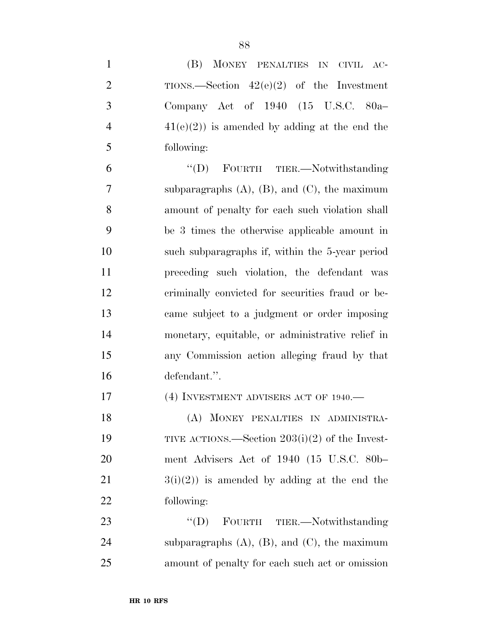(B) MONEY PENALTIES IN CIVIL AC-

| $\overline{2}$ | TIONS.—Section $42(e)(2)$ of the Investment           |
|----------------|-------------------------------------------------------|
| 3              | Company Act of 1940 (15 U.S.C. 80a–                   |
| $\overline{4}$ | $41(e)(2)$ is amended by adding at the end the        |
| 5              | following:                                            |
| 6              | "(D) FOURTH TIER.-Notwithstanding                     |
| $\overline{7}$ | subparagraphs $(A)$ , $(B)$ , and $(C)$ , the maximum |
| 8              | amount of penalty for each such violation shall       |
| 9              | be 3 times the otherwise applicable amount in         |
| 10             | such subparagraphs if, within the 5-year period       |
| 11             | preceding such violation, the defendant was           |
| 12             | criminally convicted for securities fraud or be-      |
| 13             | came subject to a judgment or order imposing          |
| 14             | monetary, equitable, or administrative relief in      |
| 15             | any Commission action alleging fraud by that          |
| 16             | defendant.".                                          |
| 17             | $(4)$ INVESTMENT ADVISERS ACT OF 1940.—               |
| 18             | (A) MONEY PENALTIES IN ADMINISTRA-                    |
| 19             | TIVE ACTIONS.—Section $203(i)(2)$ of the Invest-      |
| 20             | ment Advisers Act of 1940 (15 U.S.C. 80b-             |
| 21             | $3(i)(2)$ is amended by adding at the end the         |
| 22             | following:                                            |
| 23             | "(D) FOURTH TIER.—Notwithstanding                     |
| 24             | subparagraphs $(A)$ , $(B)$ , and $(C)$ , the maximum |
| 25             | amount of penalty for each such act or omission       |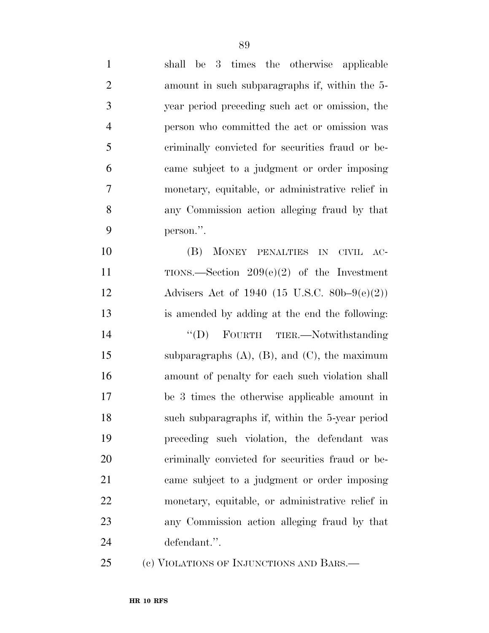| $\mathbf{1}$   | 3 times the otherwise applicable<br>shall be          |
|----------------|-------------------------------------------------------|
| $\overline{2}$ | amount in such subparagraphs if, within the 5-        |
| 3              | year period preceding such act or omission, the       |
| $\overline{4}$ | person who committed the act or omission was          |
| 5              | criminally convicted for securities fraud or be-      |
| 6              | came subject to a judgment or order imposing          |
| 7              | monetary, equitable, or administrative relief in      |
| 8              | any Commission action alleging fraud by that          |
| 9              | person.".                                             |
| 10             | MONEY PENALTIES IN<br>(B)<br><b>CIVIL</b><br>$AC-$    |
| 11             | TIONS.—Section $209(e)(2)$ of the Investment          |
| 12             | Advisers Act of 1940 (15 U.S.C. 80b-9 $(e)(2)$ )      |
| 13             | is amended by adding at the end the following:        |
| 14             | "(D) FOURTH TIER.—Notwithstanding                     |
| 15             | subparagraphs $(A)$ , $(B)$ , and $(C)$ , the maximum |
| 16             | amount of penalty for each such violation shall       |
| 17             | be 3 times the otherwise applicable amount in         |
| 18             | such subparagraphs if, within the 5-year period       |
| 19             | preceding such violation, the defendant was           |
| 20             | criminally convicted for securities fraud or be-      |
| 21             | came subject to a judgment or order imposing          |
| 22             | monetary, equitable, or administrative relief in      |
| 23             | any Commission action alleging fraud by that          |
| 24             | defendant.".                                          |
|                |                                                       |

(c) VIOLATIONS OF INJUNCTIONS AND BARS.—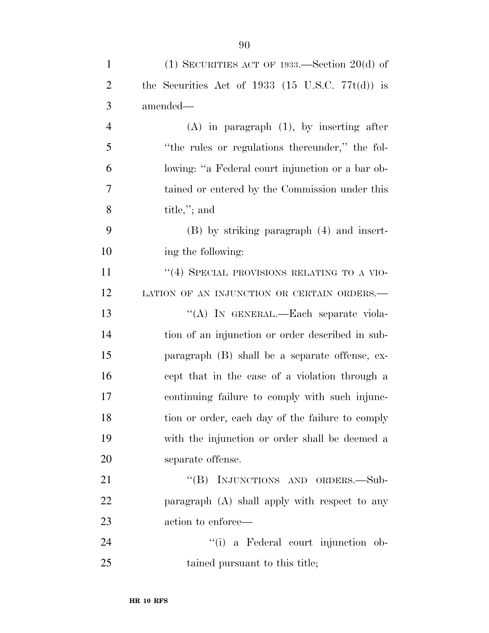| $\mathbf{1}$   | (1) SECURITIES ACT OF 1933.—Section 20(d) of        |
|----------------|-----------------------------------------------------|
| $\overline{2}$ | the Securities Act of 1933 (15 U.S.C. $77t(d)$ ) is |
| 3              | amended—                                            |
| $\overline{4}$ | $(A)$ in paragraph $(1)$ , by inserting after       |
| 5              | "the rules or regulations thereunder," the fol-     |
| 6              | lowing: "a Federal court injunction or a bar ob-    |
| 7              | tained or entered by the Commission under this      |
| 8              | title,"; and                                        |
| 9              | $(B)$ by striking paragraph $(4)$ and insert-       |
| 10             | ing the following:                                  |
| 11             | "(4) SPECIAL PROVISIONS RELATING TO A VIO-          |
| 12             | LATION OF AN INJUNCTION OR CERTAIN ORDERS.—         |
| 13             | "(A) IN GENERAL.—Each separate viola-               |
| 14             | tion of an injunction or order described in sub-    |
| 15             | paragraph (B) shall be a separate offense, ex-      |
| 16             | cept that in the case of a violation through a      |
| 17             | continuing failure to comply with such injunc-      |
| 18             | tion or order, each day of the failure to comply    |
| 19             | with the injunction or order shall be deemed a      |
| 20             | separate offense.                                   |
| 21             | "(B) INJUNCTIONS AND ORDERS.—Sub-                   |
| 22             | paragraph (A) shall apply with respect to any       |
| 23             | action to enforce—                                  |
| 24             | "(i) a Federal court injunction ob-                 |
| 25             | tained pursuant to this title;                      |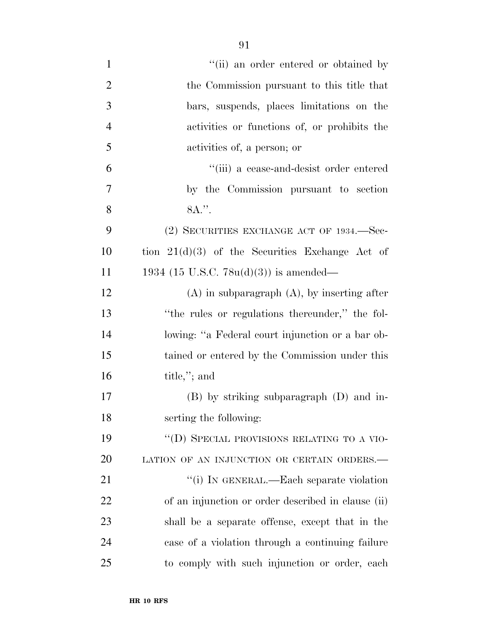| $\mathbf{1}$   | "(ii) an order entered or obtained by              |
|----------------|----------------------------------------------------|
| $\overline{2}$ | the Commission pursuant to this title that         |
| 3              | bars, suspends, places limitations on the          |
| $\overline{4}$ | activities or functions of, or prohibits the       |
| 5              | activities of, a person; or                        |
| 6              | "(iii) a cease-and-desist order entered            |
| 7              | by the Commission pursuant to section              |
| 8              | 8A.".                                              |
| 9              | (2) SECURITIES EXCHANGE ACT OF 1934.—Sec-          |
| 10             | tion $21(d)(3)$ of the Securities Exchange Act of  |
| 11             | 1934 (15 U.S.C. 78 $u(d)(3)$ ) is amended—         |
| 12             | $(A)$ in subparagraph $(A)$ , by inserting after   |
| 13             | "the rules or regulations thereunder," the fol-    |
| 14             | lowing: "a Federal court injunction or a bar ob-   |
| 15             | tained or entered by the Commission under this     |
| 16             | title,"; and                                       |
| 17             | $(B)$ by striking subparagraph $(D)$ and in-       |
| 18             | serting the following:                             |
| 19             | "(D) SPECIAL PROVISIONS RELATING TO A VIO-         |
| 20             | LATION OF AN INJUNCTION OR CERTAIN ORDERS.-        |
| 21             | "(i) IN GENERAL.—Each separate violation           |
| 22             | of an injunction or order described in clause (ii) |
| 23             | shall be a separate offense, except that in the    |
| 24             | case of a violation through a continuing failure   |
| 25             | to comply with such injunction or order, each      |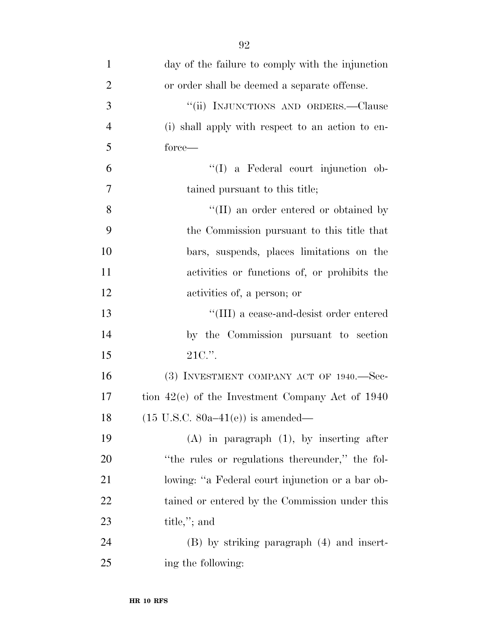| $\mathbf{1}$   | day of the failure to comply with the injunction   |
|----------------|----------------------------------------------------|
| $\overline{2}$ | or order shall be deemed a separate offense.       |
| 3              | "(ii) INJUNCTIONS AND ORDERS.—Clause               |
| $\overline{4}$ | (i) shall apply with respect to an action to en-   |
| 5              | force—                                             |
| 6              | "(I) a Federal court injunction ob-                |
| $\tau$         | tained pursuant to this title;                     |
| 8              | $\lq\lq$ (II) an order entered or obtained by      |
| 9              | the Commission pursuant to this title that         |
| 10             | bars, suspends, places limitations on the          |
| 11             | activities or functions of, or prohibits the       |
| 12             | activities of, a person; or                        |
| 13             | "(III) a cease-and-desist order entered            |
| 14             | by the Commission pursuant to section              |
| 15             | $21C$ .".                                          |
| 16             | $(3)$ INVESTMENT COMPANY ACT OF 1940.—Sec-         |
| 17             | tion $42(e)$ of the Investment Company Act of 1940 |
| 18             | $(15 \text{ U.S.C. } 80a-41(e))$ is amended—       |
| 19             | $(A)$ in paragraph $(1)$ , by inserting after      |
| 20             | "the rules or regulations thereunder," the fol-    |
| 21             | lowing: "a Federal court injunction or a bar ob-   |
| 22             | tained or entered by the Commission under this     |
| 23             | title,"; and                                       |
| 24             | (B) by striking paragraph (4) and insert-          |
| 25             | ing the following:                                 |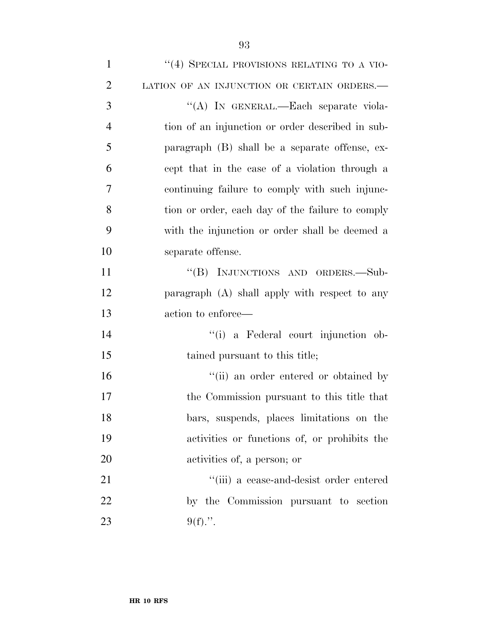| $\mathbf{1}$   | "(4) SPECIAL PROVISIONS RELATING TO A VIO-       |
|----------------|--------------------------------------------------|
| $\overline{2}$ | LATION OF AN INJUNCTION OR CERTAIN ORDERS.-      |
| 3              | "(A) IN GENERAL.—Each separate viola-            |
| $\overline{4}$ | tion of an injunction or order described in sub- |
| 5              | paragraph (B) shall be a separate offense, ex-   |
| 6              | cept that in the case of a violation through a   |
| 7              | continuing failure to comply with such injunc-   |
| 8              | tion or order, each day of the failure to comply |
| 9              | with the injunction or order shall be deemed a   |
| 10             | separate offense.                                |
| 11             | "(B) INJUNCTIONS AND ORDERS.—Sub-                |
| 12             | paragraph $(A)$ shall apply with respect to any  |
| 13             | action to enforce—                               |
| 14             | "(i) a Federal court injunction ob-              |
| 15             | tained pursuant to this title;                   |
| 16             | "(ii) an order entered or obtained by            |
| 17             | the Commission pursuant to this title that       |
| 18             | bars, suspends, places limitations on the        |
| 19             | activities or functions of, or prohibits the     |
| 20             | activities of, a person; or                      |
| 21             | "(iii) a cease-and-desist order entered          |
| 22             | by the Commission pursuant to section            |
| 23             | $9(f)$ .".                                       |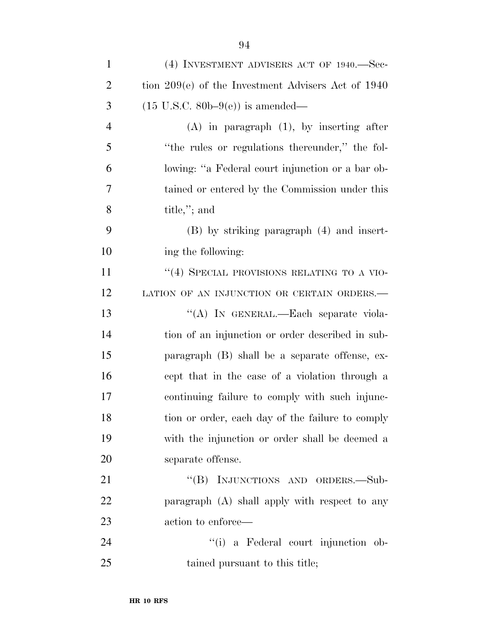(A) in paragraph (1), by inserting after ''the rules or regulations thereunder,'' the fol- lowing: ''a Federal court injunction or a bar ob- tained or entered by the Commission under this title,''; and

 (B) by striking paragraph (4) and insert-ing the following:

11 "(4) SPECIAL PROVISIONS RELATING TO A VIO-12 LATION OF AN INJUNCTION OR CERTAIN ORDERS. ''(A) IN GENERAL.—Each separate viola- tion of an injunction or order described in sub- paragraph (B) shall be a separate offense, ex- cept that in the case of a violation through a continuing failure to comply with such injunc- tion or order, each day of the failure to comply with the injunction or order shall be deemed a separate offense.

21 "(B) INJUNCTIONS AND ORDERS.—Sub- paragraph (A) shall apply with respect to any action to enforce—

24  $(1)$  a Federal court injunction ob-tained pursuant to this title;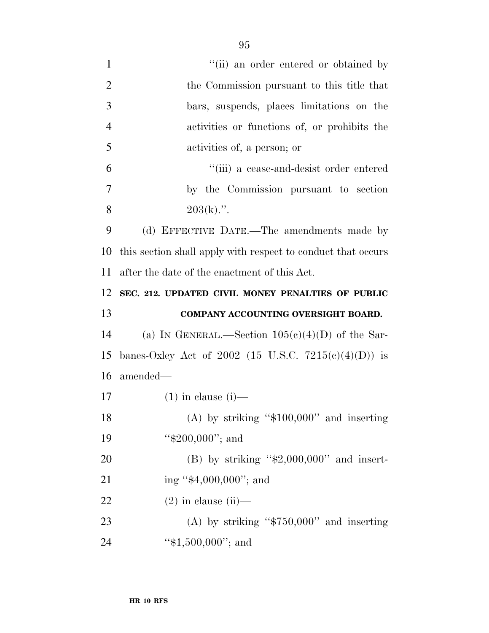| $\mathbf{1}$   | "(ii) an order entered or obtained by                        |
|----------------|--------------------------------------------------------------|
| $\overline{2}$ | the Commission pursuant to this title that                   |
| 3              | bars, suspends, places limitations on the                    |
| $\overline{4}$ | activities or functions of, or prohibits the                 |
| 5              | activities of, a person; or                                  |
| 6              | "(iii) a cease-and-desist order entered                      |
| 7              | by the Commission pursuant to section                        |
| 8              | $203(k)$ .".                                                 |
| 9              | (d) EFFECTIVE DATE.—The amendments made by                   |
| 10             | this section shall apply with respect to conduct that occurs |
| 11             | after the date of the enactment of this Act.                 |
| 12             | SEC. 212. UPDATED CIVIL MONEY PENALTIES OF PUBLIC            |
|                |                                                              |
| 13             | COMPANY ACCOUNTING OVERSIGHT BOARD.                          |
| 14             | (a) IN GENERAL.—Section $105(c)(4)(D)$ of the Sar-           |
| 15             | banes-Oxley Act of 2002 (15 U.S.C. 7215(c)(4)(D)) is         |
| 16             | amended—                                                     |
| 17             | $(1)$ in clause $(i)$ —                                      |
| 18             | (A) by striking " $\$100,000"$ and inserting                 |
| 19             | " $$200,000"$ ; and                                          |
| 20             | (B) by striking " $\text{$2,000,000"}$ and insert-           |
| 21             | ing " $$4,000,000$ "; and                                    |
| 22             | $(2)$ in clause $(ii)$ —                                     |
| 23             | (A) by striking " $$750,000$ " and inserting                 |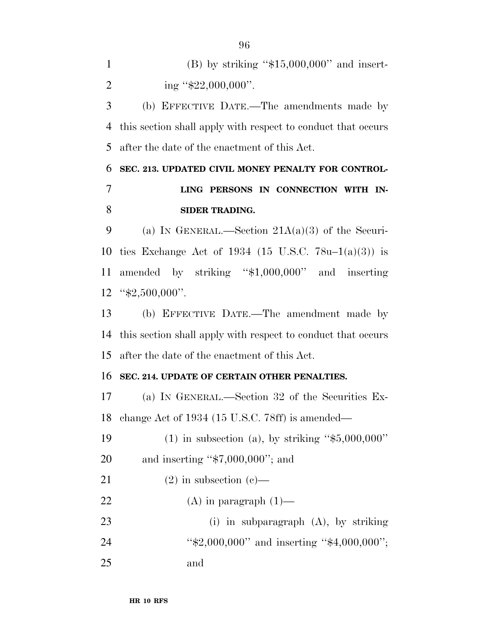| (B) by striking " $$15,000,000$ " and insert- |
|-----------------------------------------------|
| ing " $$22,000,000$ ".                        |

 (b) EFFECTIVE DATE.—The amendments made by this section shall apply with respect to conduct that occurs after the date of the enactment of this Act.

 **SEC. 213. UPDATED CIVIL MONEY PENALTY FOR CONTROL- LING PERSONS IN CONNECTION WITH IN-SIDER TRADING.** 

9 (a) IN GENERAL.—Section  $21A(a)(3)$  of the Securi- ties Exchange Act of 1934 (15 U.S.C. 78u–1(a)(3)) is amended by striking ''\$1,000,000'' and inserting "\$2,500,000".

 (b) EFFECTIVE DATE.—The amendment made by this section shall apply with respect to conduct that occurs after the date of the enactment of this Act.

## **SEC. 214. UPDATE OF CERTAIN OTHER PENALTIES.**

 (a) IN GENERAL.—Section 32 of the Securities Ex-change Act of 1934 (15 U.S.C. 78ff) is amended—

 (1) in subsection (a), by striking ''\$5,000,000'' and inserting ''\$7,000,000''; and

- 21 (2) in subsection (c)—
- 22 (A) in paragraph  $(1)$ —
- (i) in subparagraph (A), by striking 24 "\$2,000,000" and inserting "\$4,000,000"; and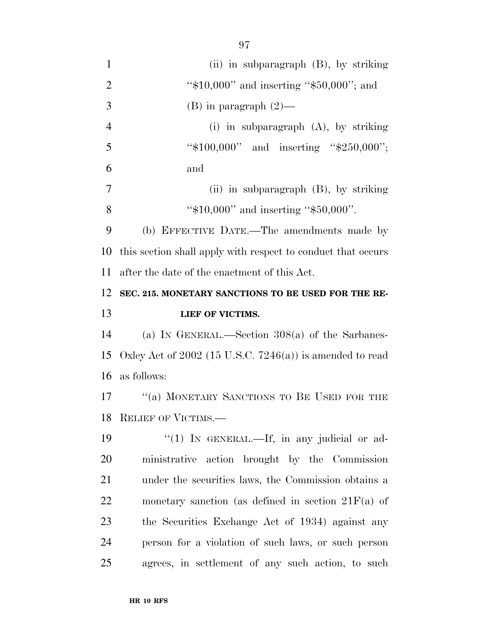(ii) in subparagraph (B), by striking 2 "\$10,000" and inserting "\$50,000"; and 3 (B) in paragraph  $(2)$ — (i) in subparagraph (A), by striking ''\$100,000'' and inserting ''\$250,000''; and (ii) in subparagraph (B), by striking 8 "\$10,000" and inserting "\$50,000". (b) EFFECTIVE DATE.—The amendments made by this section shall apply with respect to conduct that occurs after the date of the enactment of this Act. **SEC. 215. MONETARY SANCTIONS TO BE USED FOR THE RE- LIEF OF VICTIMS.**  (a) IN GENERAL.—Section 308(a) of the Sarbanes- Oxley Act of 2002 (15 U.S.C. 7246(a)) is amended to read as follows: 17 "(a) MONETARY SANCTIONS TO BE USED FOR THE RELIEF OF VICTIMS.— 19 "(1) In GENERAL.—If, in any judicial or ad- ministrative action brought by the Commission under the securities laws, the Commission obtains a monetary sanction (as defined in section 21F(a) of the Securities Exchange Act of 1934) against any person for a violation of such laws, or such person

agrees, in settlement of any such action, to such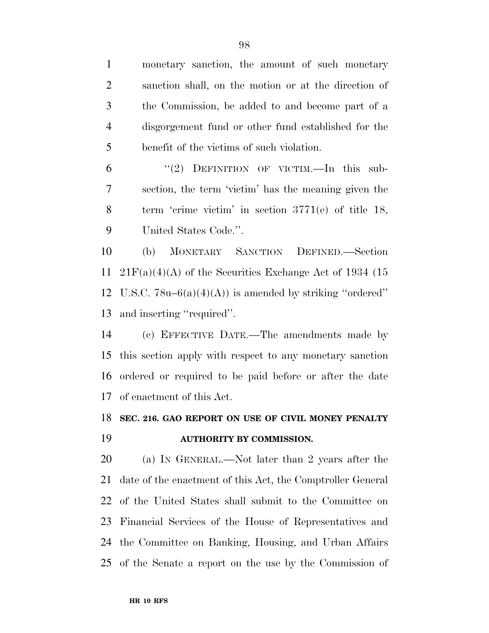monetary sanction, the amount of such monetary sanction shall, on the motion or at the direction of the Commission, be added to and become part of a disgorgement fund or other fund established for the benefit of the victims of such violation.

6 "(2) DEFINITION OF VICTIM.—In this sub- section, the term 'victim' has the meaning given the term 'crime victim' in section 3771(e) of title 18, United States Code.''.

 (b) MONETARY SANCTION DEFINED.—Section  $21F(a)(4)(A)$  of the Securities Exchange Act of 1934 (15 U.S.C. 78u–6(a)(4)(A)) is amended by striking ''ordered'' and inserting ''required''.

 (c) EFFECTIVE DATE.—The amendments made by this section apply with respect to any monetary sanction ordered or required to be paid before or after the date of enactment of this Act.

## **SEC. 216. GAO REPORT ON USE OF CIVIL MONEY PENALTY AUTHORITY BY COMMISSION.**

 (a) IN GENERAL.—Not later than 2 years after the date of the enactment of this Act, the Comptroller General of the United States shall submit to the Committee on Financial Services of the House of Representatives and the Committee on Banking, Housing, and Urban Affairs of the Senate a report on the use by the Commission of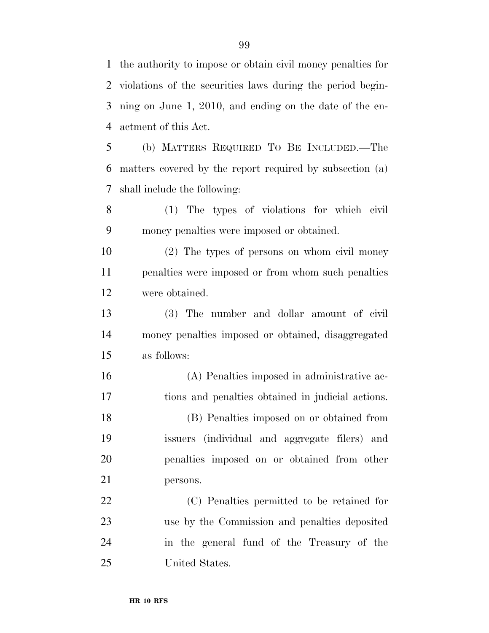the authority to impose or obtain civil money penalties for violations of the securities laws during the period begin- ning on June 1, 2010, and ending on the date of the en-actment of this Act.

 (b) MATTERS REQUIRED TO BE INCLUDED.—The matters covered by the report required by subsection (a) shall include the following:

 (1) The types of violations for which civil money penalties were imposed or obtained.

 (2) The types of persons on whom civil money penalties were imposed or from whom such penalties were obtained.

 (3) The number and dollar amount of civil money penalties imposed or obtained, disaggregated as follows:

 (A) Penalties imposed in administrative ac-tions and penalties obtained in judicial actions.

 (B) Penalties imposed on or obtained from issuers (individual and aggregate filers) and penalties imposed on or obtained from other persons.

 (C) Penalties permitted to be retained for use by the Commission and penalties deposited in the general fund of the Treasury of the United States.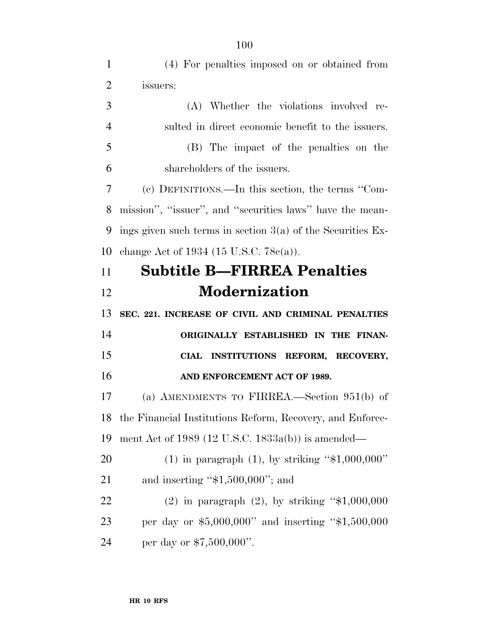(4) For penalties imposed on or obtained from

| $\overline{2}$ | issuers:                                                      |
|----------------|---------------------------------------------------------------|
| 3              | (A) Whether the violations involved re-                       |
| $\overline{4}$ | sulted in direct economic benefit to the issuers.             |
| 5              | (B) The impact of the penalties on the                        |
| 6              | shareholders of the issuers.                                  |
| 7              | (c) DEFINITIONS.—In this section, the terms "Com-             |
| 8              | mission", "issuer", and "securities laws" have the mean-      |
| 9              | ings given such terms in section $3(a)$ of the Securities Ex- |
| 10             | change Act of 1934 (15 U.S.C. 78 $e(a)$ ).                    |
| 11             | <b>Subtitle B-FIRREA Penalties</b>                            |
| 12             | <b>Modernization</b>                                          |
| 13             | SEC. 221. INCREASE OF CIVIL AND CRIMINAL PENALTIES            |
| 14             | ORIGINALLY ESTABLISHED IN THE FINAN-                          |
|                |                                                               |
| 15             | CIAL INSTITUTIONS REFORM, RECOVERY,                           |
| 16             | AND ENFORCEMENT ACT OF 1989.                                  |
| 17             | (a) AMENDMENTS TO FIRREA.—Section $951(b)$ of                 |
| 18             | the Financial Institutions Reform, Recovery, and Enforce-     |
| 19             | ment Act of 1989 (12 U.S.C. 1833a(b)) is amended—             |
| 20             | (1) in paragraph (1), by striking " $$1,000,000"$ "           |
| 21             | and inserting " $$1,500,000$ "; and                           |
| 22             | (2) in paragraph (2), by striking " $$1,000,000$              |
| 23             | per day or $$5,000,000"$ and inserting " $$1,500,000$         |
| 24             | per day or $$7,500,000"$ .                                    |
|                |                                                               |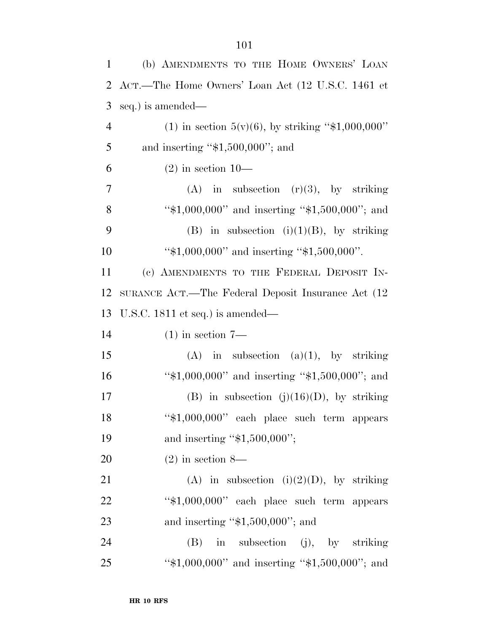| 1              | (b) AMENDMENTS TO THE HOME OWNERS' LOAN              |
|----------------|------------------------------------------------------|
| 2              | ACT.—The Home Owners' Loan Act (12 U.S.C. 1461 et    |
| 3              | seq.) is amended—                                    |
| $\overline{4}$ | (1) in section $5(y)(6)$ , by striking "\$1,000,000" |
| 5              | and inserting " $$1,500,000$ "; and                  |
| 6              | $(2)$ in section 10—                                 |
| $\tau$         | $(A)$ in subsection $(r)(3)$ , by striking           |
| 8              | "\$1,000,000" and inserting "\$1,500,000"; and       |
| 9              | (B) in subsection (i)(1)(B), by striking             |
| 10             | " $$1,000,000"$ and inserting " $$1,500,000"$ .      |
| 11             | (c) AMENDMENTS TO THE FEDERAL DEPOSIT IN-            |
| 12             | SURANCE ACT.—The Federal Deposit Insurance Act (12)  |
| 13             | U.S.C. 1811 et seq.) is amended—                     |
| 14             | $(1)$ in section $7-$                                |
| 15             | $(A)$ in subsection $(a)(1)$ , by striking           |
| 16             | " $$1,000,000"$ and inserting " $$1,500,000"$ ; and  |
| $17\,$         | (B) in subsection (j)(16)(D), by striking            |
| 18             | "\$1,000,000" each place such term appears           |
| 19             | and inserting " $$1,500,000$ ";                      |
| 20             | $(2)$ in section 8—                                  |
| 21             | (A) in subsection (i)(2)(D), by striking             |
| 22             | "\$1,000,000" each place such term appears           |
| 23             | and inserting " $$1,500,000$ "; and                  |
| 24             | in subsection (j), by striking<br>(B)                |
| 25             | "\$1,000,000" and inserting "\$1,500,000"; and       |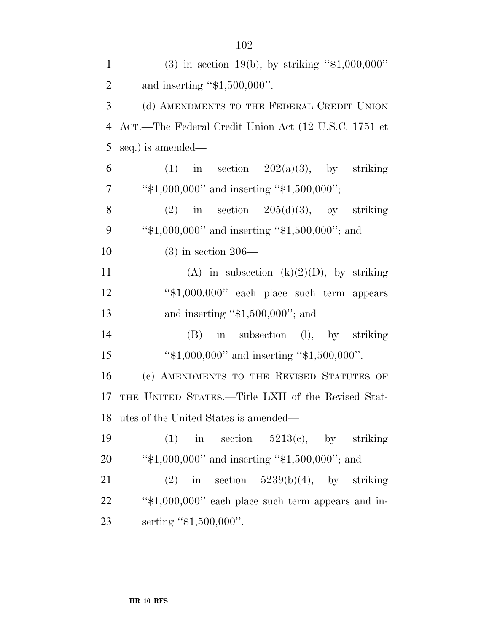| $\mathbf{1}$   | (3) in section 19(b), by striking " $$1,000,000"$ "  |
|----------------|------------------------------------------------------|
| $\overline{2}$ | and inserting " $$1,500,000$ ".                      |
| 3              | (d) AMENDMENTS TO THE FEDERAL CREDIT UNION           |
| $\overline{4}$ | ACT.—The Federal Credit Union Act (12 U.S.C. 1751 et |
| 5              | seq.) is amended—                                    |
| 6              | (1) in section $202(a)(3)$ , by striking             |
| $\tau$         | " $*1,000,000$ " and inserting " $*1,500,000$ ";     |
| 8              | (2) in section $205(d)(3)$ , by striking             |
| 9              | "\$1,000,000" and inserting "\$1,500,000"; and       |
| 10             | $(3)$ in section 206—                                |
| 11             | (A) in subsection (k)(2)(D), by striking             |
| 12             | "\$1,000,000" each place such term appears           |
| 13             | and inserting " $$1,500,000$ "; and                  |
| 14             | $(B)$ in subsection $(l)$ , by striking              |
| 15             | " $$1,000,000"$ and inserting " $$1,500,000"$ .      |
| 16             | (e) AMENDMENTS TO THE REVISED STATUTES OF            |
| 17             | THE UNITED STATES.—Title LXII of the Revised Stat-   |
| 18             | utes of the United States is amended—                |
| 19             | in section $5213(c)$ , by striking<br>(1)            |
| 20             | " $$1,000,000"$ and inserting " $$1,500,000"$ ; and  |
| 21             | in section $5239(b)(4)$ , by striking<br>(2)         |
| 22             | "\$1,000,000" each place such term appears and in-   |
| 23             | serting "\$1,500,000".                               |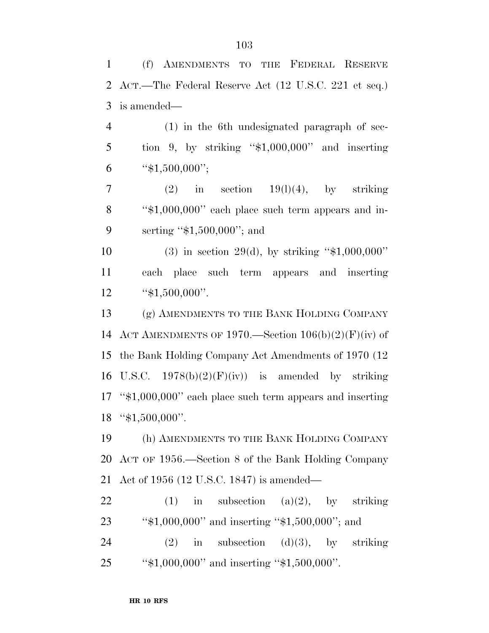ACT.—The Federal Reserve Act (12 U.S.C. 221 et seq.) is amended— (1) in the 6th undesignated paragraph of sec-5 tion 9, by striking " $$1,000,000"$  and inserting 6 " $\frac{4}{31,500,000}$ "; 7 (2) in section  $19(1)(4)$ , by striking ''\$1,000,000'' each place such term appears and in-9 serting "\$1,500,000"; and (3) in section 29(d), by striking ''\$1,000,000'' each place such term appears and inserting ''\$1,500,000''. (g) AMENDMENTS TO THE BANK HOLDING COMPANY 14 ACT AMENDMENTS OF 1970.—Section  $106(b)(2)(F)(iv)$  of the Bank Holding Company Act Amendments of 1970 (12 16 U.S.C.  $1978(b)(2)(F)(iv)$  is amended by striking ''\$1,000,000'' each place such term appears and inserting ''\$1,500,000''. (h) AMENDMENTS TO THE BANK HOLDING COMPANY ACT OF 1956.—Section 8 of the Bank Holding Company Act of 1956 (12 U.S.C. 1847) is amended— 22 (1) in subsection (a)(2), by striking ''\$1,000,000'' and inserting ''\$1,500,000''; and 24 (2) in subsection  $(d)(3)$ , by striking

''\$1,000,000'' and inserting ''\$1,500,000''.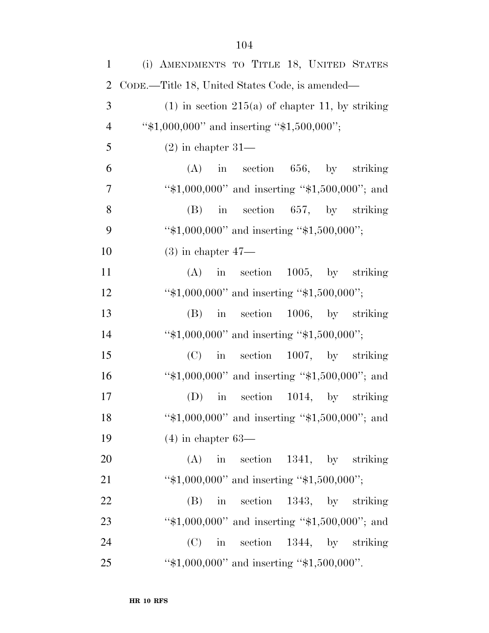| $\mathbf{1}$   | (i) AMENDMENTS TO TITLE 18, UNITED STATES          |
|----------------|----------------------------------------------------|
| $\overline{2}$ | CODE.—Title 18, United States Code, is amended—    |
| 3              | $(1)$ in section 215(a) of chapter 11, by striking |
| $\overline{4}$ | " $$1,000,000"$ and inserting " $$1,500,000"$ ;    |
| 5              | $(2)$ in chapter 31—                               |
| 6              | $(A)$ in section 656, by striking                  |
| $\tau$         | "\$1,000,000" and inserting "\$1,500,000"; and     |
| 8              | $(B)$ in section 657, by striking                  |
|                |                                                    |
| 9              | " $$1,000,000"$ and inserting " $$1,500,000"$ ;    |
| 10             | $(3)$ in chapter $47-$                             |
| 11             | $(A)$ in section 1005, by striking                 |
| 12             | " $$1,000,000"$ and inserting " $$1,500,000"$ ;    |
| 13             | $(B)$ in section 1006, by striking                 |
| 14             | " $$1,000,000"$ and inserting " $$1,500,000"$ ;    |
| 15             | $(C)$ in section 1007, by striking                 |

 (D) in section 1014, by striking 18 "\$1,000,000" and inserting "\$1,500,000"; and (4) in chapter 63—

 (A) in section 1341, by striking 21 "\$1,000,000" and inserting "\$1,500,000";

 (B) in section 1343, by striking ''\$1,000,000'' and inserting ''\$1,500,000''; and (C) in section 1344, by striking ''\$1,000,000'' and inserting ''\$1,500,000''.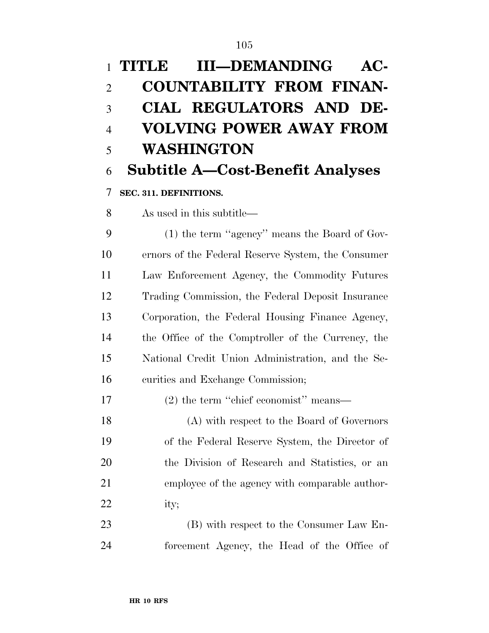## **TITLE III—DEMANDING AC- COUNTABILITY FROM FINAN- CIAL REGULATORS AND DE- VOLVING POWER AWAY FROM WASHINGTON Subtitle A—Cost-Benefit Analyses**

## **SEC. 311. DEFINITIONS.**

As used in this subtitle—

 (1) the term ''agency'' means the Board of Gov- ernors of the Federal Reserve System, the Consumer Law Enforcement Agency, the Commodity Futures Trading Commission, the Federal Deposit Insurance Corporation, the Federal Housing Finance Agency, the Office of the Comptroller of the Currency, the National Credit Union Administration, and the Se-curities and Exchange Commission;

(2) the term ''chief economist'' means—

 (A) with respect to the Board of Governors of the Federal Reserve System, the Director of the Division of Research and Statistics, or an employee of the agency with comparable author-ity;

 (B) with respect to the Consumer Law En-forcement Agency, the Head of the Office of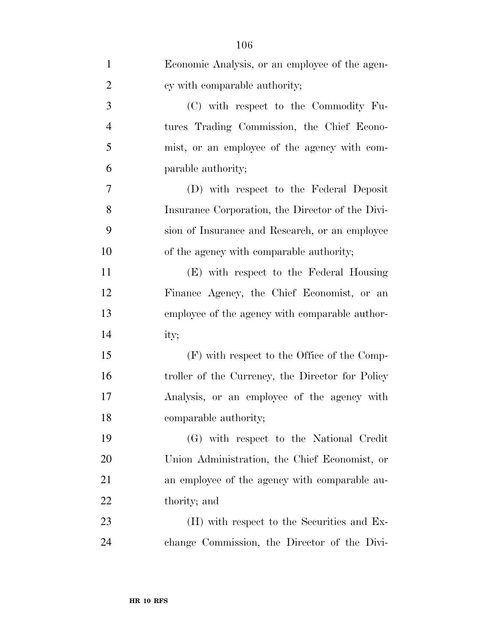| $\mathbf{1}$   | Economic Analysis, or an employee of the agen-   |
|----------------|--------------------------------------------------|
| $\overline{2}$ | cy with comparable authority;                    |
| 3              | (C) with respect to the Commodity Fu-            |
| $\overline{4}$ | tures Trading Commission, the Chief Econo-       |
| 5              | mist, or an employee of the agency with com-     |
| 6              | parable authority;                               |
| 7              | (D) with respect to the Federal Deposit          |
| 8              | Insurance Corporation, the Director of the Divi- |
| 9              | sion of Insurance and Research, or an employee   |
| 10             | of the agency with comparable authority;         |
| 11             | (E) with respect to the Federal Housing          |
| 12             | Finance Agency, the Chief Economist, or an       |
| 13             | employee of the agency with comparable author-   |
| 14             | ity;                                             |
| 15             | $(F)$ with respect to the Office of the Comp-    |
| 16             | troller of the Currency, the Director for Policy |
| 17             | Analysis, or an employee of the agency with      |
| 18             | comparable authority;                            |
| 19             | (G) with respect to the National Credit          |
| 20             | Union Administration, the Chief Economist, or    |
| 21             | an employee of the agency with comparable au-    |
| 22             | thority; and                                     |
| 23             | (H) with respect to the Securities and Ex-       |
| 24             | change Commission, the Director of the Divi-     |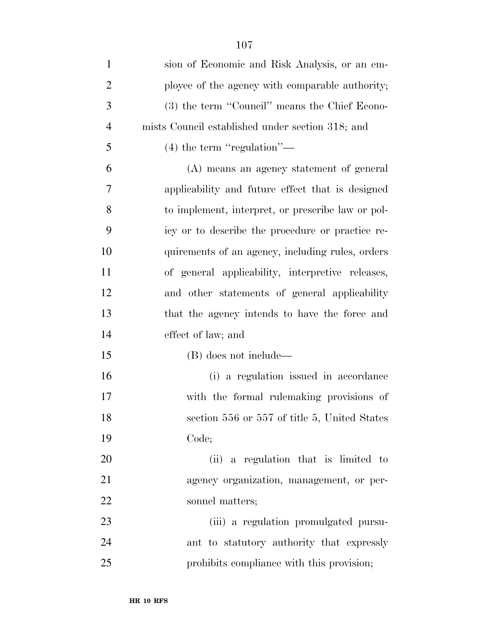| $\mathbf{1}$   | sion of Economic and Risk Analysis, or an em-     |
|----------------|---------------------------------------------------|
| $\overline{2}$ | ployee of the agency with comparable authority;   |
| 3              | (3) the term "Council" means the Chief Econo-     |
| $\overline{4}$ | mists Council established under section 318; and  |
| 5              | $(4)$ the term "regulation"—                      |
| 6              | (A) means an agency statement of general          |
| 7              | applicability and future effect that is designed  |
| 8              | to implement, interpret, or prescribe law or pol- |
| 9              | icy or to describe the procedure or practice re-  |
| 10             | quirements of an agency, including rules, orders  |
| 11             | of general applicability, interpretive releases,  |
| 12             | and other statements of general applicability     |
| 13             | that the agency intends to have the force and     |
| 14             | effect of law; and                                |
| 15             | (B) does not include—                             |
| 16             | (i) a regulation issued in accordance             |
| 17             | with the formal rulemaking provisions of          |
| 18             | section 556 or 557 of title 5, United States      |
| 19             | Code;                                             |
| 20             | (ii) a regulation that is limited to              |
| 21             | agency organization, management, or per-          |
| 22             | sonnel matters;                                   |
| 23             | (iii) a regulation promulgated pursu-             |
| 24             | ant to statutory authority that expressly         |
| 25             | prohibits compliance with this provision;         |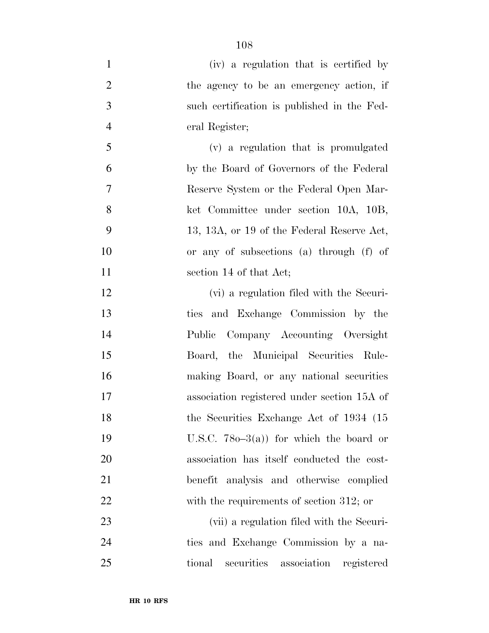| $\mathbf{1}$   | (iv) a regulation that is certified by      |
|----------------|---------------------------------------------|
| $\overline{2}$ | the agency to be an emergency action, if    |
| 3              | such certification is published in the Fed- |
| $\overline{4}$ | eral Register;                              |
| 5              | (v) a regulation that is promulgated        |
| 6              | by the Board of Governors of the Federal    |
| $\overline{7}$ | Reserve System or the Federal Open Mar-     |
| 8              | ket Committee under section 10A, 10B,       |
| 9              | 13, 13A, or 19 of the Federal Reserve Act,  |
| 10             | or any of subsections (a) through (f) of    |
| 11             | section 14 of that Act;                     |
| 12             | (vi) a regulation filed with the Securi-    |
| 13             | ties and Exchange Commission by the         |
| 14             | Company Accounting Oversight<br>Public      |
| 15             | Board, the Municipal Securities Rule-       |
| 16             | making Board, or any national securities    |
| 17             | association registered under section 15A of |
| 18             | the Securities Exchange Act of 1934 (15)    |
| 19             | U.S.C. $780-3(a)$ for which the board or    |
| 20             | association has itself conducted the cost-  |
| 21             | benefit analysis and otherwise complied     |
| 22             | with the requirements of section $312$ ; or |
| 23             | (vii) a regulation filed with the Securi-   |
| 24             | ties and Exchange Commission by a na-       |
| 25             | securities association registered<br>tional |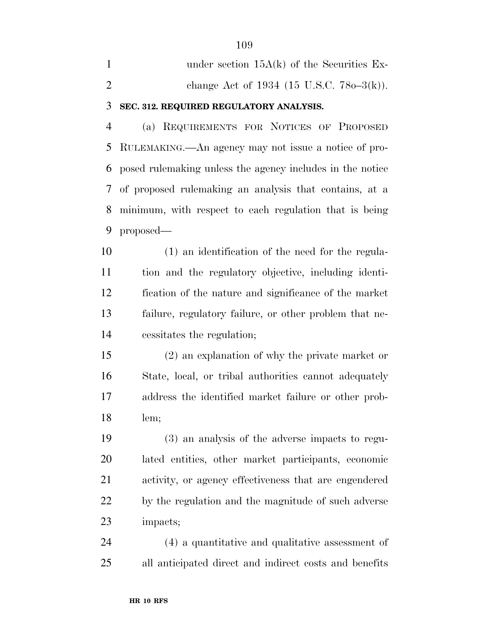| under section $15A(k)$ of the Securities Ex- |
|----------------------------------------------|
| change Act of 1934 (15 U.S.C. 780–3(k)).     |

### **SEC. 312. REQUIRED REGULATORY ANALYSIS.**

 (a) REQUIREMENTS FOR NOTICES OF PROPOSED RULEMAKING.—An agency may not issue a notice of pro- posed rulemaking unless the agency includes in the notice of proposed rulemaking an analysis that contains, at a minimum, with respect to each regulation that is being proposed—

 (1) an identification of the need for the regula- tion and the regulatory objective, including identi- fication of the nature and significance of the market failure, regulatory failure, or other problem that ne-cessitates the regulation;

 (2) an explanation of why the private market or State, local, or tribal authorities cannot adequately address the identified market failure or other prob-lem;

 (3) an analysis of the adverse impacts to regu- lated entities, other market participants, economic activity, or agency effectiveness that are engendered by the regulation and the magnitude of such adverse impacts;

 (4) a quantitative and qualitative assessment of all anticipated direct and indirect costs and benefits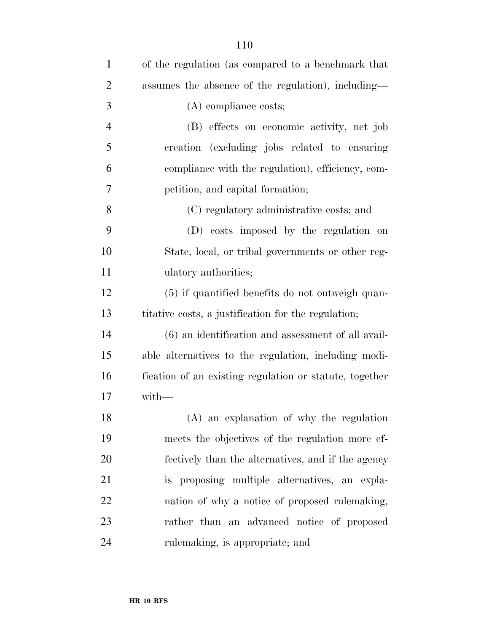| $\mathbf{1}$   | of the regulation (as compared to a benchmark that      |
|----------------|---------------------------------------------------------|
| $\overline{2}$ | assumes the absence of the regulation), including—      |
| 3              | (A) compliance costs;                                   |
| $\overline{4}$ | (B) effects on economic activity, net job               |
| 5              | creation (excluding jobs related to ensuring            |
| 6              | compliance with the regulation), efficiency, com-       |
| 7              | petition, and capital formation;                        |
| 8              | (C) regulatory administrative costs; and                |
| 9              | (D) costs imposed by the regulation on                  |
| 10             | State, local, or tribal governments or other reg-       |
| 11             | ulatory authorities;                                    |
| 12             | (5) if quantified benefits do not outweigh quan-        |
| 13             | titative costs, a justification for the regulation;     |
| 14             | $(6)$ an identification and assessment of all avail-    |
| 15             | able alternatives to the regulation, including modi-    |
| 16             | fication of an existing regulation or statute, together |
| 17             | with                                                    |
| 18             | $(A)$ an explanation of why the regulation              |
| 19             | meets the objectives of the regulation more ef-         |
| 20             | fectively than the alternatives, and if the agency      |
| 21             | is proposing multiple alternatives, an expla-           |
| 22             | nation of why a notice of proposed rulemaking,          |
| 23             | rather than an advanced notice of proposed              |
| 24             | rulemaking, is appropriate; and                         |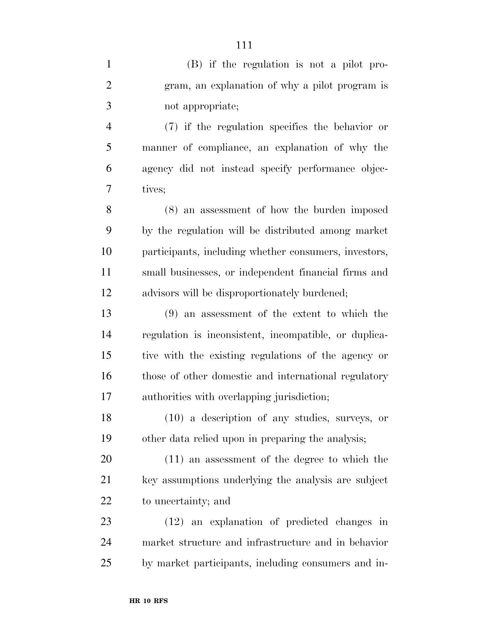| $\mathbf{1}$   | (B) if the regulation is not a pilot pro-             |
|----------------|-------------------------------------------------------|
| $\overline{2}$ | gram, an explanation of why a pilot program is        |
| 3              | not appropriate;                                      |
| $\overline{4}$ | (7) if the regulation specifies the behavior or       |
| 5              | manner of compliance, an explanation of why the       |
| 6              | agency did not instead specify performance objec-     |
| 7              | tives;                                                |
| 8              | (8) an assessment of how the burden imposed           |
| 9              | by the regulation will be distributed among market    |
| 10             | participants, including whether consumers, investors, |
| 11             | small businesses, or independent financial firms and  |
| 12             | advisors will be disproportionately burdened;         |
| 13             | $(9)$ an assessment of the extent to which the        |
| 14             | regulation is inconsistent, incompatible, or duplica- |
| 15             | tive with the existing regulations of the agency or   |
| 16             | those of other domestic and international regulatory  |
| 17             | authorities with overlapping jurisdiction;            |
| 18             | $(10)$ a description of any studies, surveys, or      |
| 19             | other data relied upon in preparing the analysis;     |
| 20             | $(11)$ an assessment of the degree to which the       |
| 21             | key assumptions underlying the analysis are subject   |
| 22             | to uncertainty; and                                   |
| 23             | (12) an explanation of predicted changes in           |
| 24             | market structure and infrastructure and in behavior   |
| 25             | by market participants, including consumers and in-   |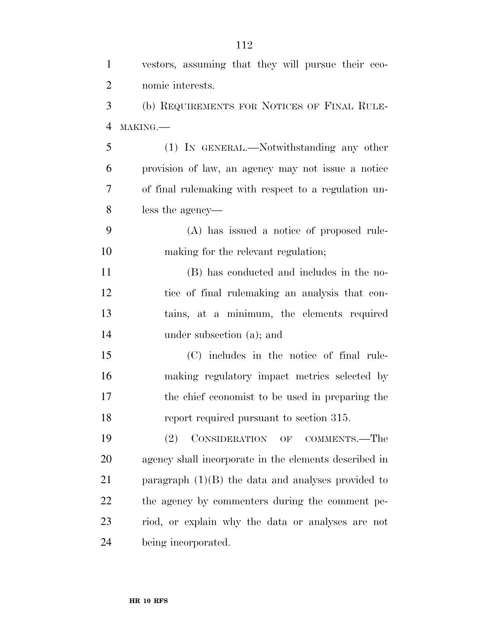| $\mathbf{1}$   | vestors, assuming that they will pursue their eco-    |
|----------------|-------------------------------------------------------|
| $\overline{2}$ | nomic interests.                                      |
| 3              | (b) REQUIREMENTS FOR NOTICES OF FINAL RULE-           |
| $\overline{4}$ | MAKING.                                               |
| 5              | (1) IN GENERAL.—Notwithstanding any other             |
| 6              | provision of law, an agency may not issue a notice    |
| $\tau$         | of final rulemaking with respect to a regulation un-  |
| 8              | less the agency—                                      |
| 9              | (A) has issued a notice of proposed rule-             |
| 10             | making for the relevant regulation;                   |
| 11             | (B) has conducted and includes in the no-             |
| 12             | tice of final rulemaking an analysis that con-        |
| 13             | tains, at a minimum, the elements required            |
| 14             | under subsection (a); and                             |
| 15             | (C) includes in the notice of final rule-             |
| 16             | making regulatory impact metrics selected by          |
| 17             | the chief economist to be used in preparing the       |
| 18             | report required pursuant to section 315.              |
| 19             | CONSIDERATION OF COMMENTS.—The<br>(2)                 |
| 20             | agency shall incorporate in the elements described in |
| 21             | paragraph $(1)(B)$ the data and analyses provided to  |
| 22             | the agency by commenters during the comment pe-       |
| 23             | riod, or explain why the data or analyses are not     |
| 24             | being incorporated.                                   |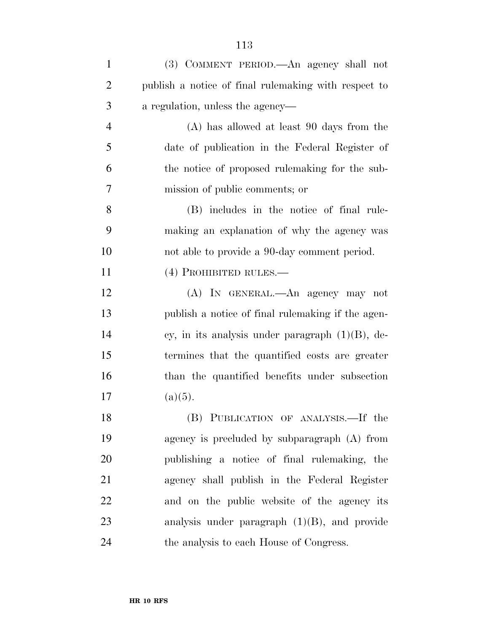| $\mathbf{1}$   | (3) COMMENT PERIOD.—An agency shall not               |
|----------------|-------------------------------------------------------|
| $\overline{2}$ | publish a notice of final rule making with respect to |
| 3              | a regulation, unless the agency—                      |
| $\overline{4}$ | $(A)$ has allowed at least 90 days from the           |
| 5              | date of publication in the Federal Register of        |
| 6              | the notice of proposed rulemaking for the sub-        |
| $\overline{7}$ | mission of public comments; or                        |
| 8              | (B) includes in the notice of final rule-             |
| 9              | making an explanation of why the agency was           |
| 10             | not able to provide a 90-day comment period.          |
| 11             | (4) PROHIBITED RULES.—                                |
| 12             | (A) IN GENERAL.—An agency may not                     |
| 13             | publish a notice of final rulemaking if the agen-     |
| 14             | cy, in its analysis under paragraph $(1)(B)$ , de-    |
| 15             | termines that the quantified costs are greater        |
| 16             | than the quantified benefits under subsection         |
| 17             | $(a)(5)$ .                                            |
| 18             | (B) PUBLICATION OF ANALYSIS.—If the                   |
| 19             | agency is precluded by subparagraph (A) from          |
| 20             | publishing a notice of final rulemaking, the          |
| 21             | agency shall publish in the Federal Register          |
| 22             | and on the public website of the agency its           |
| 23             | analysis under paragraph $(1)(B)$ , and provide       |
| 24             | the analysis to each House of Congress.               |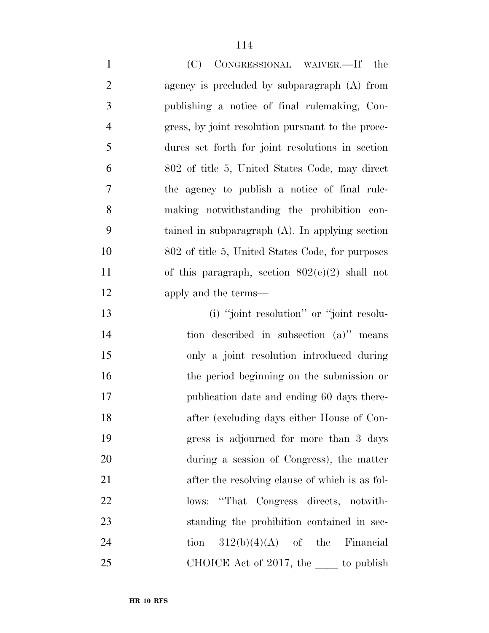| $\mathbf{1}$   | (C) CONGRESSIONAL WAIVER.—If the                   |
|----------------|----------------------------------------------------|
| 2              | agency is precluded by subparagraph (A) from       |
| 3              | publishing a notice of final rulemaking, Con-      |
| $\overline{4}$ | gress, by joint resolution pursuant to the proce-  |
| 5              | dures set forth for joint resolutions in section   |
| 6              | 802 of title 5, United States Code, may direct     |
| 7              | the agency to publish a notice of final rule-      |
| 8              | making notwithstanding the prohibition con-        |
| 9              | tained in subparagraph $(A)$ . In applying section |
| 10             | 802 of title 5, United States Code, for purposes   |
| 11             | of this paragraph, section $802(e)(2)$ shall not   |
| 12             | apply and the terms—                               |

13 (i) "joint resolution" or "joint resolu- tion described in subsection (a)'' means only a joint resolution introduced during the period beginning on the submission or publication date and ending 60 days there- after (excluding days either House of Con- gress is adjourned for more than 3 days during a session of Congress), the matter 21 after the resolving clause of which is as fol- lows: ''That Congress directs, notwith- standing the prohibition contained in sec-24 tion  $312(b)(4)(A)$  of the Financial 25 CHOICE Act of 2017, the <u>section</u> to publish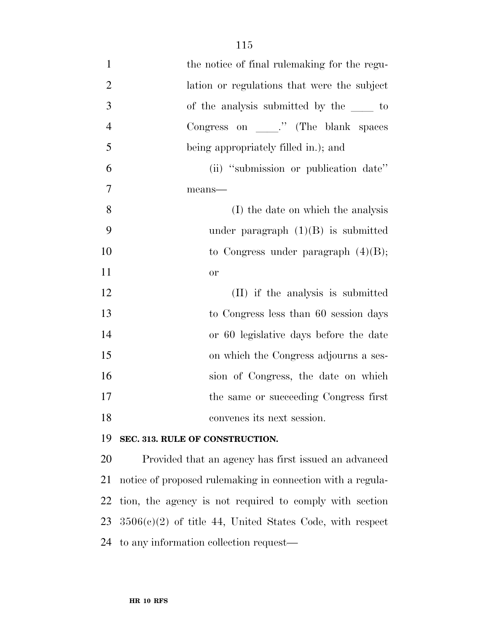| $\mathbf{1}$   | the notice of final rule making for the regu-        |
|----------------|------------------------------------------------------|
| $\overline{2}$ | lation or regulations that were the subject          |
| 3              | of the analysis submitted by the to                  |
| $\overline{4}$ | Congress on _____." (The blank spaces                |
| 5              | being appropriately filled in.); and                 |
| 6              | (ii) "submission or publication date"                |
| 7              | means-                                               |
| 8              | (I) the date on which the analysis                   |
| 9              | under paragraph $(1)(B)$ is submitted                |
| 10             | to Congress under paragraph $(4)(B)$ ;               |
| 11             | <b>or</b>                                            |
| 12             | (II) if the analysis is submitted                    |
| 13             | to Congress less than 60 session days                |
| 14             | or 60 legislative days before the date               |
| 15             | on which the Congress adjourns a ses-                |
| 16             | sion of Congress, the date on which                  |
| 17             | the same or succeeding Congress first                |
| 18             | convenes its next session.                           |
| 19             | SEC. 313. RULE OF CONSTRUCTION.                      |
| 20             | Provided that an agency has first issued an advanced |
|                |                                                      |

 notice of proposed rulemaking in connection with a regula- tion, the agency is not required to comply with section 3506(c)(2) of title 44, United States Code, with respect to any information collection request—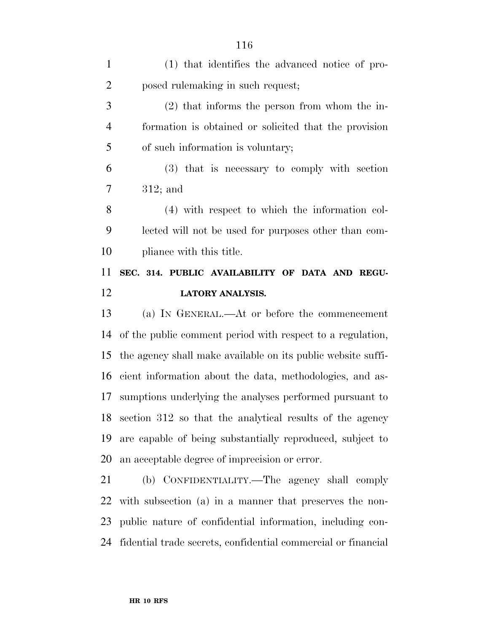| $\mathbf{1}$   | (1) that identifies the advanced notice of pro-              |
|----------------|--------------------------------------------------------------|
| $\overline{2}$ | posed rulemaking in such request;                            |
| 3              | $(2)$ that informs the person from whom the in-              |
| $\overline{4}$ | formation is obtained or solicited that the provision        |
| 5              | of such information is voluntary;                            |
| 6              | (3) that is necessary to comply with section                 |
| 7              | $312;$ and                                                   |
| 8              | $(4)$ with respect to which the information col-             |
| 9              | lected will not be used for purposes other than com-         |
| 10             | pliance with this title.                                     |
|                |                                                              |
| 11             | SEC. 314. PUBLIC AVAILABILITY OF DATA AND REGU-              |
| 12             | <b>LATORY ANALYSIS.</b>                                      |
| 13             | (a) IN GENERAL.—At or before the commencement                |
| 14             | of the public comment period with respect to a regulation,   |
| 15             | the agency shall make available on its public website suffi- |
| 16             | cient information about the data, methodologies, and as-     |
| 17             | sumptions underlying the analyses performed pursuant to      |
| 18             | section 312 so that the analytical results of the agency     |
| 19             | are capable of being substantially reproduced, subject to    |
| 20             | an acceptable degree of imprecision or error.                |

 with subsection (a) in a manner that preserves the non- public nature of confidential information, including con-fidential trade secrets, confidential commercial or financial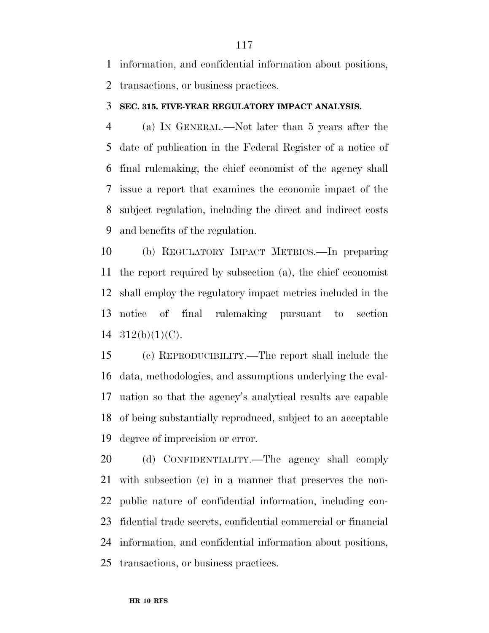information, and confidential information about positions,

transactions, or business practices.

### **SEC. 315. FIVE-YEAR REGULATORY IMPACT ANALYSIS.**

 (a) IN GENERAL.—Not later than 5 years after the date of publication in the Federal Register of a notice of final rulemaking, the chief economist of the agency shall issue a report that examines the economic impact of the subject regulation, including the direct and indirect costs and benefits of the regulation.

 (b) REGULATORY IMPACT METRICS.—In preparing the report required by subsection (a), the chief economist shall employ the regulatory impact metrics included in the notice of final rulemaking pursuant to section  $312(b)(1)(C)$ .

 (c) REPRODUCIBILITY.—The report shall include the data, methodologies, and assumptions underlying the eval- uation so that the agency's analytical results are capable of being substantially reproduced, subject to an acceptable degree of imprecision or error.

 (d) CONFIDENTIALITY.—The agency shall comply with subsection (c) in a manner that preserves the non- public nature of confidential information, including con- fidential trade secrets, confidential commercial or financial information, and confidential information about positions, transactions, or business practices.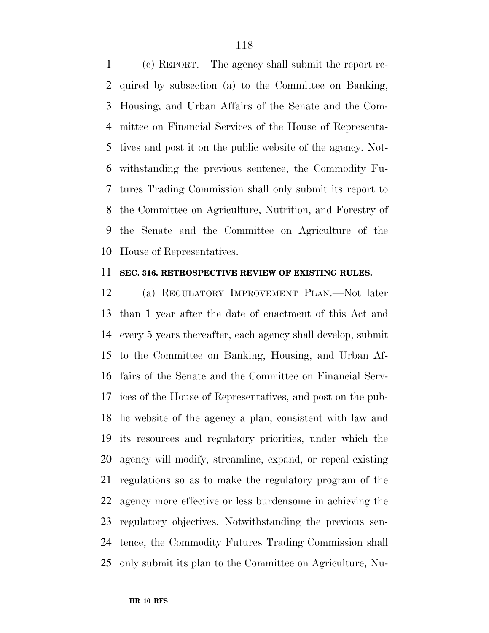(e) REPORT.—The agency shall submit the report re- quired by subsection (a) to the Committee on Banking, Housing, and Urban Affairs of the Senate and the Com- mittee on Financial Services of the House of Representa- tives and post it on the public website of the agency. Not- withstanding the previous sentence, the Commodity Fu- tures Trading Commission shall only submit its report to the Committee on Agriculture, Nutrition, and Forestry of the Senate and the Committee on Agriculture of the House of Representatives.

### **SEC. 316. RETROSPECTIVE REVIEW OF EXISTING RULES.**

 (a) REGULATORY IMPROVEMENT PLAN.—Not later than 1 year after the date of enactment of this Act and every 5 years thereafter, each agency shall develop, submit to the Committee on Banking, Housing, and Urban Af- fairs of the Senate and the Committee on Financial Serv- ices of the House of Representatives, and post on the pub- lic website of the agency a plan, consistent with law and its resources and regulatory priorities, under which the agency will modify, streamline, expand, or repeal existing regulations so as to make the regulatory program of the agency more effective or less burdensome in achieving the regulatory objectives. Notwithstanding the previous sen- tence, the Commodity Futures Trading Commission shall only submit its plan to the Committee on Agriculture, Nu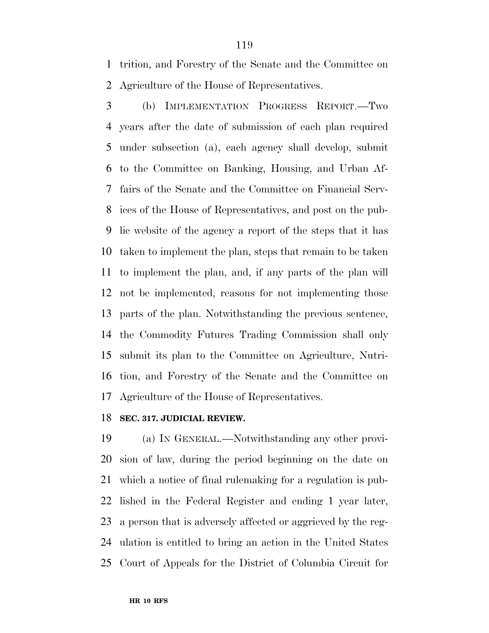trition, and Forestry of the Senate and the Committee on Agriculture of the House of Representatives.

 (b) IMPLEMENTATION PROGRESS REPORT.—Two years after the date of submission of each plan required under subsection (a), each agency shall develop, submit to the Committee on Banking, Housing, and Urban Af- fairs of the Senate and the Committee on Financial Serv- ices of the House of Representatives, and post on the pub- lic website of the agency a report of the steps that it has taken to implement the plan, steps that remain to be taken to implement the plan, and, if any parts of the plan will not be implemented, reasons for not implementing those parts of the plan. Notwithstanding the previous sentence, the Commodity Futures Trading Commission shall only submit its plan to the Committee on Agriculture, Nutri- tion, and Forestry of the Senate and the Committee on Agriculture of the House of Representatives.

# **SEC. 317. JUDICIAL REVIEW.**

 (a) IN GENERAL.—Notwithstanding any other provi- sion of law, during the period beginning on the date on which a notice of final rulemaking for a regulation is pub- lished in the Federal Register and ending 1 year later, a person that is adversely affected or aggrieved by the reg- ulation is entitled to bring an action in the United States Court of Appeals for the District of Columbia Circuit for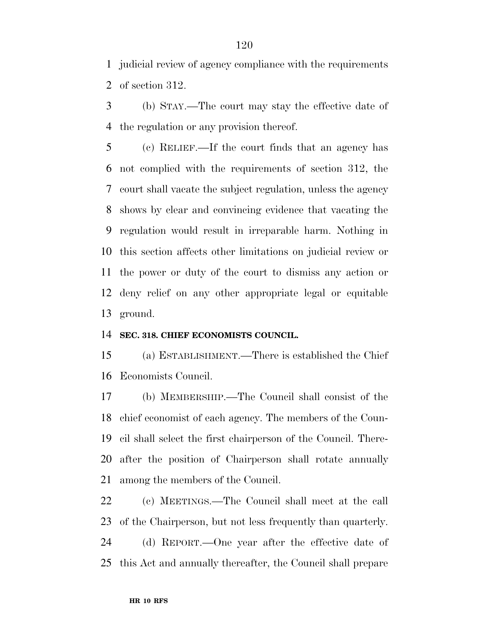judicial review of agency compliance with the requirements of section 312.

 (b) STAY.—The court may stay the effective date of the regulation or any provision thereof.

 (c) RELIEF.—If the court finds that an agency has not complied with the requirements of section 312, the court shall vacate the subject regulation, unless the agency shows by clear and convincing evidence that vacating the regulation would result in irreparable harm. Nothing in this section affects other limitations on judicial review or the power or duty of the court to dismiss any action or deny relief on any other appropriate legal or equitable ground.

## **SEC. 318. CHIEF ECONOMISTS COUNCIL.**

 (a) ESTABLISHMENT.—There is established the Chief Economists Council.

 (b) MEMBERSHIP.—The Council shall consist of the chief economist of each agency. The members of the Coun- cil shall select the first chairperson of the Council. There- after the position of Chairperson shall rotate annually among the members of the Council.

 (c) MEETINGS.—The Council shall meet at the call of the Chairperson, but not less frequently than quarterly.

 (d) REPORT.—One year after the effective date of this Act and annually thereafter, the Council shall prepare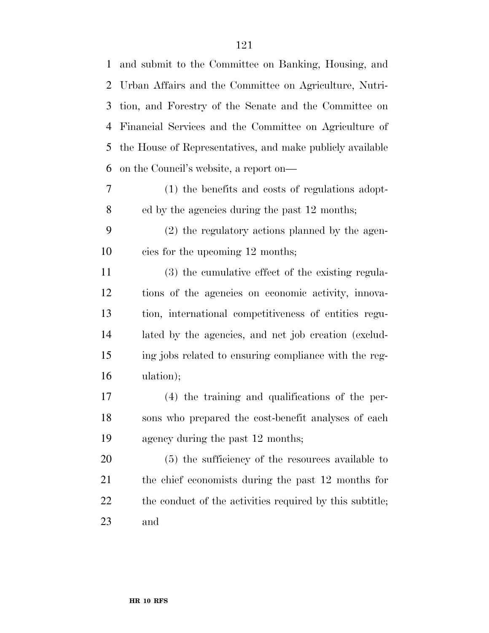and submit to the Committee on Banking, Housing, and Urban Affairs and the Committee on Agriculture, Nutri- tion, and Forestry of the Senate and the Committee on Financial Services and the Committee on Agriculture of the House of Representatives, and make publicly available on the Council's website, a report on— (1) the benefits and costs of regulations adopt- ed by the agencies during the past 12 months; (2) the regulatory actions planned by the agen- cies for the upcoming 12 months; (3) the cumulative effect of the existing regula- tions of the agencies on economic activity, innova- tion, international competitiveness of entities regu- lated by the agencies, and net job creation (exclud- ing jobs related to ensuring compliance with the reg- ulation); (4) the training and qualifications of the per- sons who prepared the cost-benefit analyses of each agency during the past 12 months; (5) the sufficiency of the resources available to the chief economists during the past 12 months for 22 the conduct of the activities required by this subtitle; and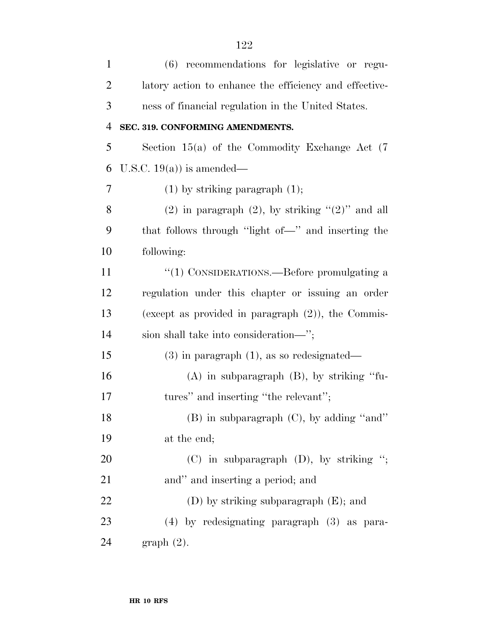| $\mathbf{1}$   | (6) recommendations for legislative or regu-           |
|----------------|--------------------------------------------------------|
| $\overline{2}$ | latory action to enhance the efficiency and effective- |
| 3              | ness of financial regulation in the United States.     |
| $\overline{4}$ | SEC. 319. CONFORMING AMENDMENTS.                       |
| 5              | Section $15(a)$ of the Commodity Exchange Act $(7)$    |
| 6              | U.S.C. $19(a)$ is amended—                             |
| $\overline{7}$ | $(1)$ by striking paragraph $(1)$ ;                    |
| 8              | (2) in paragraph (2), by striking " $(2)$ " and all    |
| 9              | that follows through "light of-" and inserting the     |
| 10             | following:                                             |
| 11             | "(1) CONSIDERATIONS.—Before promulgating a             |
| 12             | regulation under this chapter or issuing an order      |
| 13             | (except as provided in paragraph $(2)$ ), the Commis-  |
| 14             | sion shall take into consideration—";                  |
| 15             | $(3)$ in paragraph $(1)$ , as so redesignated—         |
| 16             | $(A)$ in subparagraph $(B)$ , by striking "fu-         |
| 17             | tures" and inserting "the relevant";                   |
| 18             | $(B)$ in subparagraph $(C)$ , by adding "and"          |
| 19             | at the end;                                            |
| 20             | $(C)$ in subparagraph $(D)$ , by striking ";           |
| 21             | and" and inserting a period; and                       |
| 22             | (D) by striking subparagraph $(E)$ ; and               |
| 23             | $(4)$ by redesignating paragraph $(3)$ as para-        |
| 24             | graph(2).                                              |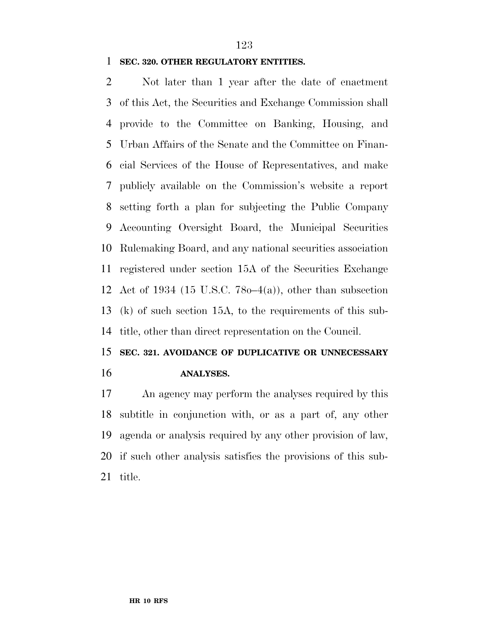### **SEC. 320. OTHER REGULATORY ENTITIES.**

 Not later than 1 year after the date of enactment of this Act, the Securities and Exchange Commission shall provide to the Committee on Banking, Housing, and Urban Affairs of the Senate and the Committee on Finan- cial Services of the House of Representatives, and make publicly available on the Commission's website a report setting forth a plan for subjecting the Public Company Accounting Oversight Board, the Municipal Securities Rulemaking Board, and any national securities association registered under section 15A of the Securities Exchange Act of 1934 (15 U.S.C. 78o–4(a)), other than subsection (k) of such section 15A, to the requirements of this sub-title, other than direct representation on the Council.

# **SEC. 321. AVOIDANCE OF DUPLICATIVE OR UNNECESSARY ANALYSES.**

 An agency may perform the analyses required by this subtitle in conjunction with, or as a part of, any other agenda or analysis required by any other provision of law, if such other analysis satisfies the provisions of this sub-title.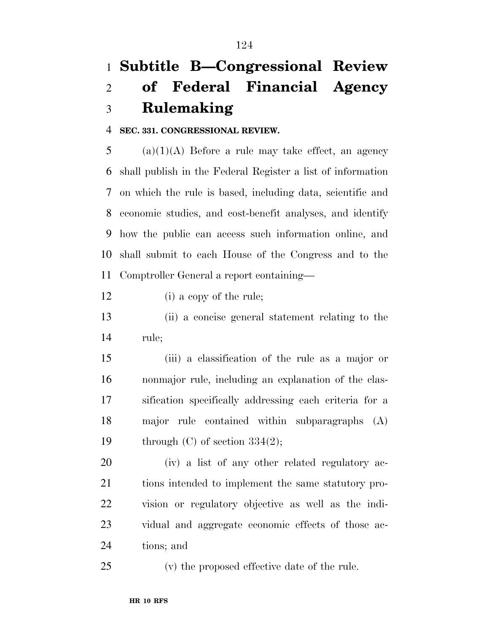# **Subtitle B—Congressional Review of Federal Financial Agency Rulemaking**

**SEC. 331. CONGRESSIONAL REVIEW.** 

5 (a)(1)(A) Before a rule may take effect, an agency shall publish in the Federal Register a list of information on which the rule is based, including data, scientific and economic studies, and cost-benefit analyses, and identify how the public can access such information online, and shall submit to each House of the Congress and to the Comptroller General a report containing—

12 (i) a copy of the rule;

 (ii) a concise general statement relating to the rule;

 (iii) a classification of the rule as a major or nonmajor rule, including an explanation of the clas- sification specifically addressing each criteria for a major rule contained within subparagraphs (A) 19 through  $(C)$  of section 334 $(2)$ ;

 (iv) a list of any other related regulatory ac- tions intended to implement the same statutory pro- vision or regulatory objective as well as the indi- vidual and aggregate economic effects of those ac-tions; and

(v) the proposed effective date of the rule.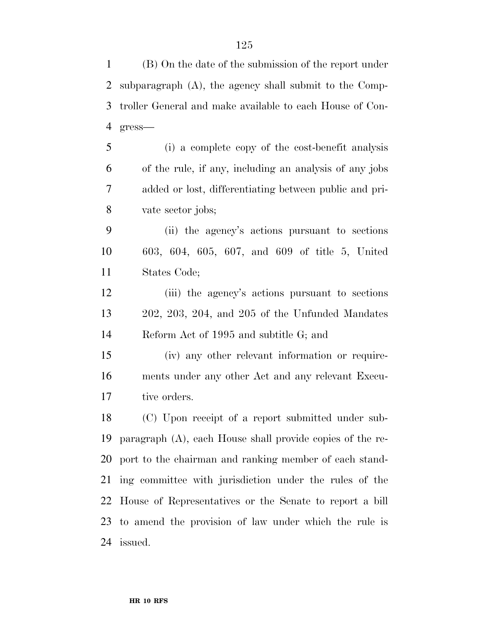(B) On the date of the submission of the report under subparagraph (A), the agency shall submit to the Comp- troller General and make available to each House of Con-gress—

 (i) a complete copy of the cost-benefit analysis of the rule, if any, including an analysis of any jobs added or lost, differentiating between public and pri-vate sector jobs;

 (ii) the agency's actions pursuant to sections 603, 604, 605, 607, and 609 of title 5, United States Code;

 (iii) the agency's actions pursuant to sections 202, 203, 204, and 205 of the Unfunded Mandates Reform Act of 1995 and subtitle G; and

 (iv) any other relevant information or require- ments under any other Act and any relevant Execu-17 tive orders.

 (C) Upon receipt of a report submitted under sub- paragraph (A), each House shall provide copies of the re- port to the chairman and ranking member of each stand- ing committee with jurisdiction under the rules of the House of Representatives or the Senate to report a bill to amend the provision of law under which the rule is issued.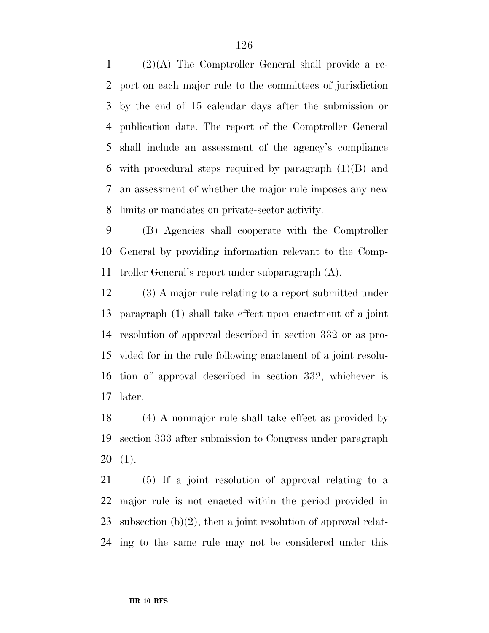(2)(A) The Comptroller General shall provide a re- port on each major rule to the committees of jurisdiction by the end of 15 calendar days after the submission or publication date. The report of the Comptroller General shall include an assessment of the agency's compliance 6 with procedural steps required by paragraph  $(1)(B)$  and an assessment of whether the major rule imposes any new limits or mandates on private-sector activity.

 (B) Agencies shall cooperate with the Comptroller General by providing information relevant to the Comp-troller General's report under subparagraph (A).

 (3) A major rule relating to a report submitted under paragraph (1) shall take effect upon enactment of a joint resolution of approval described in section 332 or as pro- vided for in the rule following enactment of a joint resolu- tion of approval described in section 332, whichever is later.

 (4) A nonmajor rule shall take effect as provided by section 333 after submission to Congress under paragraph (1).

 (5) If a joint resolution of approval relating to a major rule is not enacted within the period provided in subsection (b)(2), then a joint resolution of approval relat-ing to the same rule may not be considered under this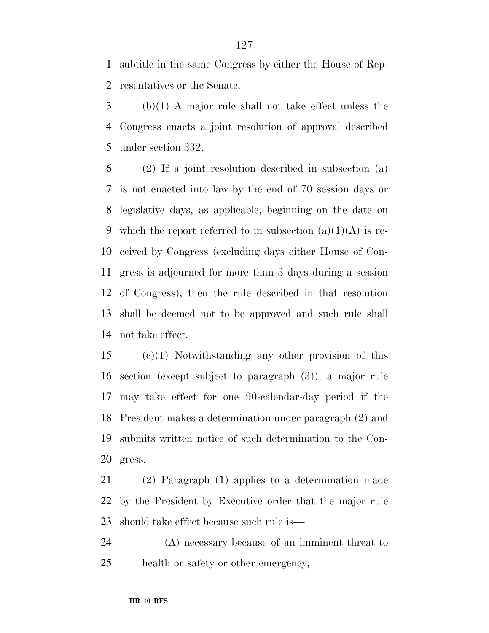subtitle in the same Congress by either the House of Rep-resentatives or the Senate.

 (b)(1) A major rule shall not take effect unless the Congress enacts a joint resolution of approval described under section 332.

 (2) If a joint resolution described in subsection (a) is not enacted into law by the end of 70 session days or legislative days, as applicable, beginning on the date on 9 which the report referred to in subsection  $(a)(1)(A)$  is re- ceived by Congress (excluding days either House of Con- gress is adjourned for more than 3 days during a session of Congress), then the rule described in that resolution shall be deemed not to be approved and such rule shall not take effect.

 (c)(1) Notwithstanding any other provision of this section (except subject to paragraph (3)), a major rule may take effect for one 90-calendar-day period if the President makes a determination under paragraph (2) and submits written notice of such determination to the Con-gress.

 (2) Paragraph (1) applies to a determination made by the President by Executive order that the major rule should take effect because such rule is—

 (A) necessary because of an imminent threat to health or safety or other emergency;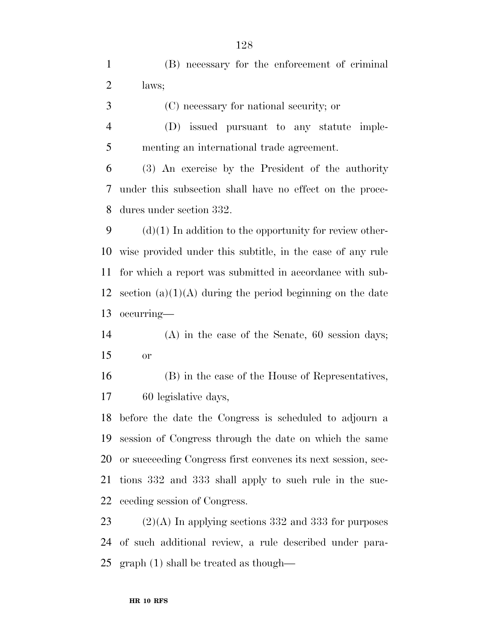(B) necessary for the enforcement of criminal laws;

- (C) necessary for national security; or
- (D) issued pursuant to any statute imple-menting an international trade agreement.

 (3) An exercise by the President of the authority under this subsection shall have no effect on the proce-dures under section 332.

 (d)(1) In addition to the opportunity for review other- wise provided under this subtitle, in the case of any rule for which a report was submitted in accordance with sub-12 section  $(a)(1)(A)$  during the period beginning on the date occurring—

 (A) in the case of the Senate, 60 session days; or

 (B) in the case of the House of Representatives, 60 legislative days,

 before the date the Congress is scheduled to adjourn a session of Congress through the date on which the same or succeeding Congress first convenes its next session, sec- tions 332 and 333 shall apply to such rule in the suc-ceeding session of Congress.

23  $(2)(A)$  In applying sections 332 and 333 for purposes of such additional review, a rule described under para-graph (1) shall be treated as though—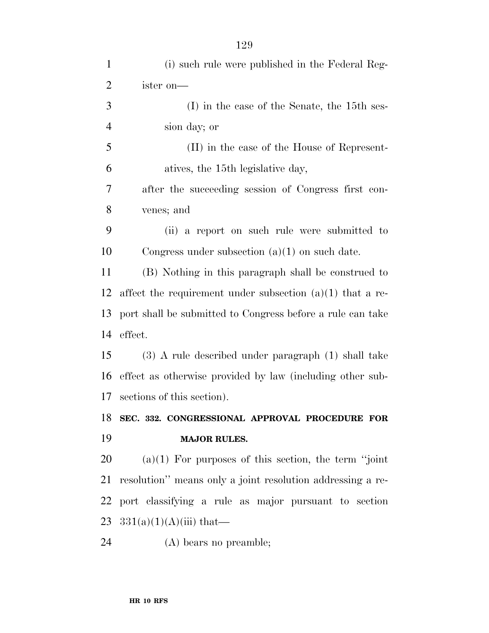| $\mathbf{1}$   | (i) such rule were published in the Federal Reg-            |
|----------------|-------------------------------------------------------------|
| $\overline{2}$ | ister on-                                                   |
| 3              | $(I)$ in the case of the Senate, the 15th ses-              |
| $\overline{4}$ | sion day; or                                                |
| 5              | (II) in the case of the House of Represent-                 |
| 6              | atives, the 15th legislative day,                           |
| 7              | after the succeeding session of Congress first con-         |
| 8              | venes; and                                                  |
| 9              | (ii) a report on such rule were submitted to                |
| 10             | Congress under subsection $(a)(1)$ on such date.            |
| 11             | (B) Nothing in this paragraph shall be construed to         |
| 12             | affect the requirement under subsection $(a)(1)$ that a re- |
| 13             | port shall be submitted to Congress before a rule can take  |
| 14             | effect.                                                     |
| 15             | $(3)$ A rule described under paragraph $(1)$ shall take     |
| 16             | effect as otherwise provided by law (including other sub-   |
| 17             | sections of this section).                                  |
| 18             | SEC. 332. CONGRESSIONAL APPROVAL PROCEDURE FOR              |
| 19             | <b>MAJOR RULES.</b>                                         |
| 20             | $(a)(1)$ For purposes of this section, the term "joint"     |
| 21             | resolution" means only a joint resolution addressing a re-  |
| 22             | port classifying a rule as major pursuant to section        |
| 23             | $331(a)(1)(A)(iii)$ that—                                   |
| 24             | (A) bears no preamble;                                      |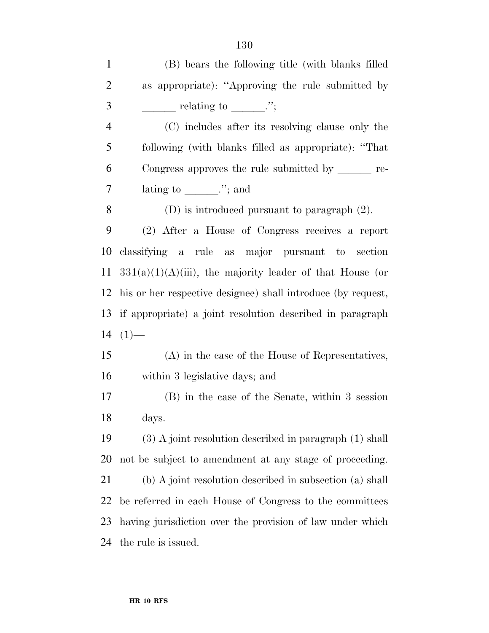| $\mathbf{1}$   | (B) bears the following title (with blanks filled            |
|----------------|--------------------------------------------------------------|
| $\overline{2}$ | as appropriate): "Approving the rule submitted by            |
| 3              | $\equiv$ relating to $\equiv$ $\cdots$ ;                     |
| $\overline{4}$ | (C) includes after its resolving clause only the             |
| 5              | following (with blanks filled as appropriate): "That         |
| 6              | Congress approves the rule submitted by $\frac{\ }{\ }$ re-  |
| 7              | lating to $\_\_\_$ "; and                                    |
| 8              | $(D)$ is introduced pursuant to paragraph $(2)$ .            |
| 9              | (2) After a House of Congress receives a report              |
| 10             | classifying a rule as major pursuant to section              |
| 11             | $331(a)(1)(A)(iii)$ , the majority leader of that House (or  |
| 12             | his or her respective designee) shall introduce (by request, |
| 13             | if appropriate) a joint resolution described in paragraph    |
| 14             | $(1)$ —                                                      |
| 15             | (A) in the case of the House of Representatives,             |
| 16             | within 3 legislative days; and                               |
| 17             | (B) in the case of the Senate, within 3 session              |
| 18             | days.                                                        |
| 19             | $(3)$ A joint resolution described in paragraph $(1)$ shall  |
| 20             | not be subject to amendment at any stage of proceeding.      |
| 21             | (b) A joint resolution described in subsection (a) shall     |
| 22             | be referred in each House of Congress to the committees      |
| 23             | having jurisdiction over the provision of law under which    |
| 24             | the rule is issued.                                          |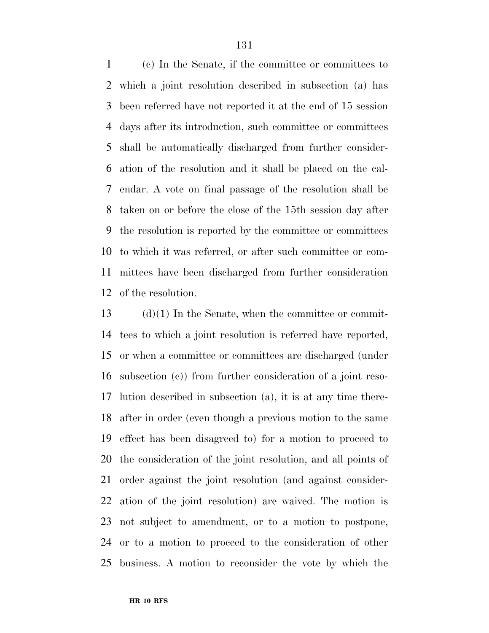(c) In the Senate, if the committee or committees to which a joint resolution described in subsection (a) has been referred have not reported it at the end of 15 session days after its introduction, such committee or committees shall be automatically discharged from further consider- ation of the resolution and it shall be placed on the cal- endar. A vote on final passage of the resolution shall be taken on or before the close of the 15th session day after the resolution is reported by the committee or committees to which it was referred, or after such committee or com- mittees have been discharged from further consideration of the resolution.

 (d)(1) In the Senate, when the committee or commit- tees to which a joint resolution is referred have reported, or when a committee or committees are discharged (under subsection (c)) from further consideration of a joint reso- lution described in subsection (a), it is at any time there- after in order (even though a previous motion to the same effect has been disagreed to) for a motion to proceed to the consideration of the joint resolution, and all points of order against the joint resolution (and against consider- ation of the joint resolution) are waived. The motion is not subject to amendment, or to a motion to postpone, or to a motion to proceed to the consideration of other business. A motion to reconsider the vote by which the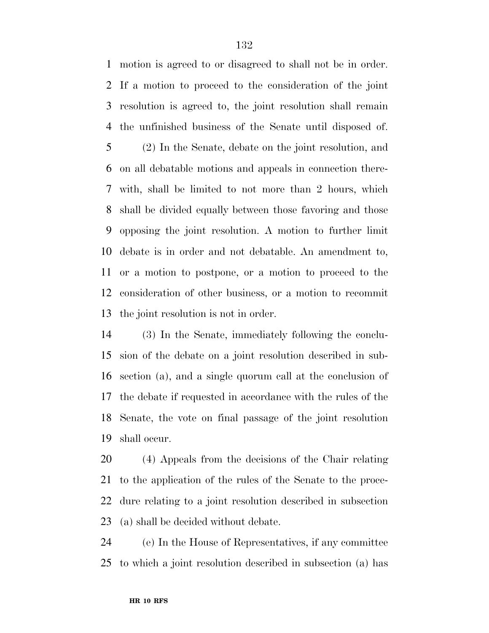motion is agreed to or disagreed to shall not be in order. If a motion to proceed to the consideration of the joint resolution is agreed to, the joint resolution shall remain the unfinished business of the Senate until disposed of. (2) In the Senate, debate on the joint resolution, and on all debatable motions and appeals in connection there- with, shall be limited to not more than 2 hours, which shall be divided equally between those favoring and those opposing the joint resolution. A motion to further limit debate is in order and not debatable. An amendment to, or a motion to postpone, or a motion to proceed to the consideration of other business, or a motion to recommit the joint resolution is not in order.

 (3) In the Senate, immediately following the conclu- sion of the debate on a joint resolution described in sub- section (a), and a single quorum call at the conclusion of the debate if requested in accordance with the rules of the Senate, the vote on final passage of the joint resolution shall occur.

 (4) Appeals from the decisions of the Chair relating to the application of the rules of the Senate to the proce- dure relating to a joint resolution described in subsection (a) shall be decided without debate.

 (e) In the House of Representatives, if any committee to which a joint resolution described in subsection (a) has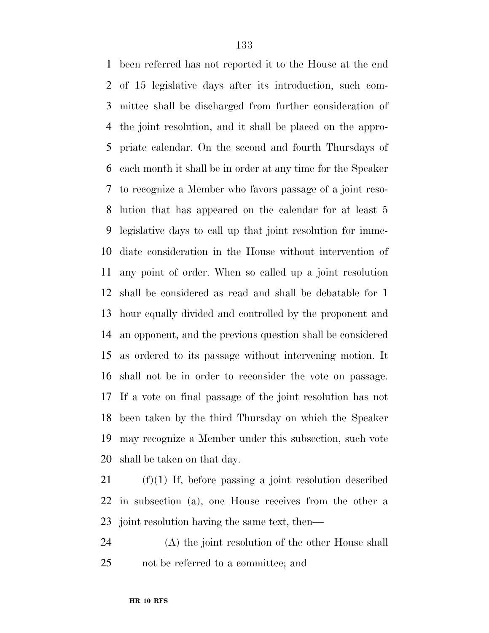been referred has not reported it to the House at the end of 15 legislative days after its introduction, such com- mittee shall be discharged from further consideration of the joint resolution, and it shall be placed on the appro- priate calendar. On the second and fourth Thursdays of each month it shall be in order at any time for the Speaker to recognize a Member who favors passage of a joint reso- lution that has appeared on the calendar for at least 5 legislative days to call up that joint resolution for imme- diate consideration in the House without intervention of any point of order. When so called up a joint resolution shall be considered as read and shall be debatable for 1 hour equally divided and controlled by the proponent and an opponent, and the previous question shall be considered as ordered to its passage without intervening motion. It shall not be in order to reconsider the vote on passage. If a vote on final passage of the joint resolution has not been taken by the third Thursday on which the Speaker may recognize a Member under this subsection, such vote shall be taken on that day.

 (f)(1) If, before passing a joint resolution described in subsection (a), one House receives from the other a joint resolution having the same text, then—

 (A) the joint resolution of the other House shall not be referred to a committee; and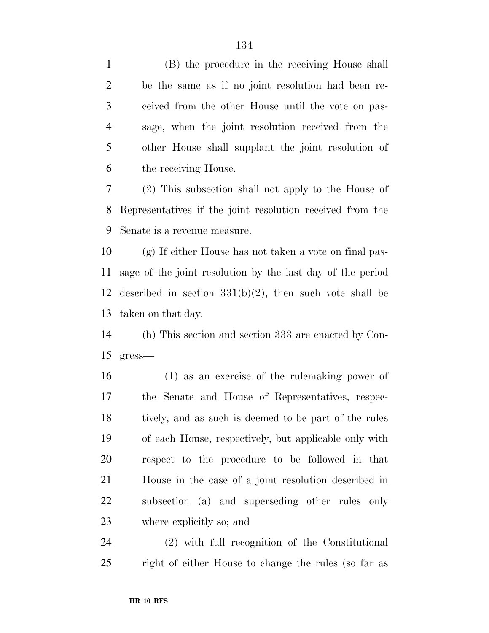(B) the procedure in the receiving House shall be the same as if no joint resolution had been re- ceived from the other House until the vote on pas- sage, when the joint resolution received from the other House shall supplant the joint resolution of the receiving House.

 (2) This subsection shall not apply to the House of Representatives if the joint resolution received from the Senate is a revenue measure.

 (g) If either House has not taken a vote on final pas- sage of the joint resolution by the last day of the period 12 described in section  $331(b)(2)$ , then such vote shall be taken on that day.

 (h) This section and section 333 are enacted by Con-gress—

 (1) as an exercise of the rulemaking power of the Senate and House of Representatives, respec- tively, and as such is deemed to be part of the rules of each House, respectively, but applicable only with respect to the procedure to be followed in that House in the case of a joint resolution described in subsection (a) and superseding other rules only where explicitly so; and

 (2) with full recognition of the Constitutional right of either House to change the rules (so far as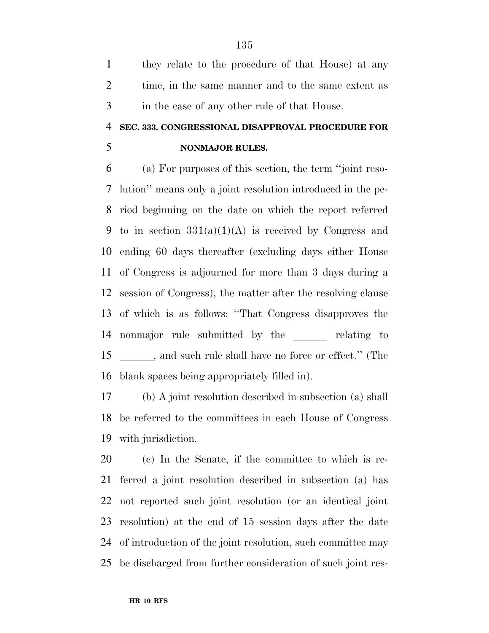they relate to the procedure of that House) at any 2 time, in the same manner and to the same extent as in the case of any other rule of that House.

# **SEC. 333. CONGRESSIONAL DISAPPROVAL PROCEDURE FOR**

# **NONMAJOR RULES.**

 (a) For purposes of this section, the term ''joint reso- lution'' means only a joint resolution introduced in the pe- riod beginning on the date on which the report referred 9 to in section  $331(a)(1)(A)$  is received by Congress and ending 60 days thereafter (excluding days either House of Congress is adjourned for more than 3 days during a session of Congress), the matter after the resolving clause of which is as follows: ''That Congress disapproves the 14 nonmajor rule submitted by the relating to 15 and such rule shall have no force or effect." (The blank spaces being appropriately filled in).

 (b) A joint resolution described in subsection (a) shall be referred to the committees in each House of Congress with jurisdiction.

 (c) In the Senate, if the committee to which is re- ferred a joint resolution described in subsection (a) has not reported such joint resolution (or an identical joint resolution) at the end of 15 session days after the date of introduction of the joint resolution, such committee may be discharged from further consideration of such joint res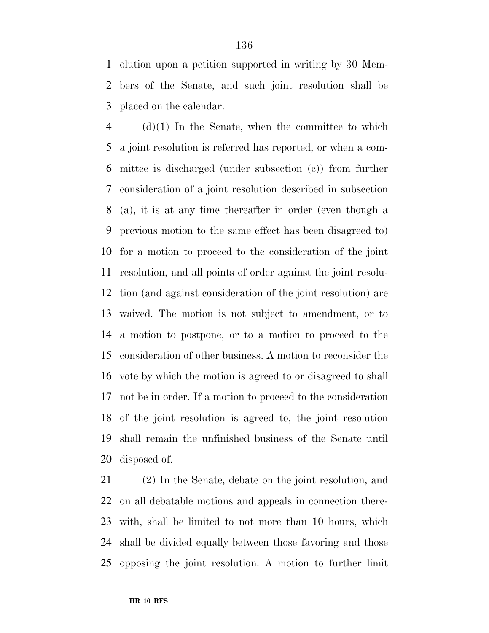olution upon a petition supported in writing by 30 Mem- bers of the Senate, and such joint resolution shall be placed on the calendar.

 (d)(1) In the Senate, when the committee to which a joint resolution is referred has reported, or when a com- mittee is discharged (under subsection (c)) from further consideration of a joint resolution described in subsection (a), it is at any time thereafter in order (even though a previous motion to the same effect has been disagreed to) for a motion to proceed to the consideration of the joint resolution, and all points of order against the joint resolu- tion (and against consideration of the joint resolution) are waived. The motion is not subject to amendment, or to a motion to postpone, or to a motion to proceed to the consideration of other business. A motion to reconsider the vote by which the motion is agreed to or disagreed to shall not be in order. If a motion to proceed to the consideration of the joint resolution is agreed to, the joint resolution shall remain the unfinished business of the Senate until disposed of.

 (2) In the Senate, debate on the joint resolution, and on all debatable motions and appeals in connection there- with, shall be limited to not more than 10 hours, which shall be divided equally between those favoring and those opposing the joint resolution. A motion to further limit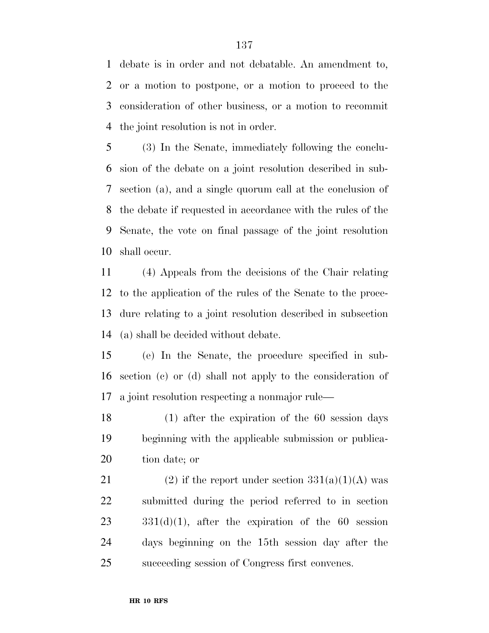debate is in order and not debatable. An amendment to, or a motion to postpone, or a motion to proceed to the consideration of other business, or a motion to recommit the joint resolution is not in order.

 (3) In the Senate, immediately following the conclu- sion of the debate on a joint resolution described in sub- section (a), and a single quorum call at the conclusion of the debate if requested in accordance with the rules of the Senate, the vote on final passage of the joint resolution shall occur.

 (4) Appeals from the decisions of the Chair relating to the application of the rules of the Senate to the proce- dure relating to a joint resolution described in subsection (a) shall be decided without debate.

 (e) In the Senate, the procedure specified in sub- section (c) or (d) shall not apply to the consideration of a joint resolution respecting a nonmajor rule—

 (1) after the expiration of the 60 session days beginning with the applicable submission or publica-tion date; or

21 (2) if the report under section  $331(a)(1)(A)$  was submitted during the period referred to in section  $331(d)(1)$ , after the expiration of the 60 session days beginning on the 15th session day after the succeeding session of Congress first convenes.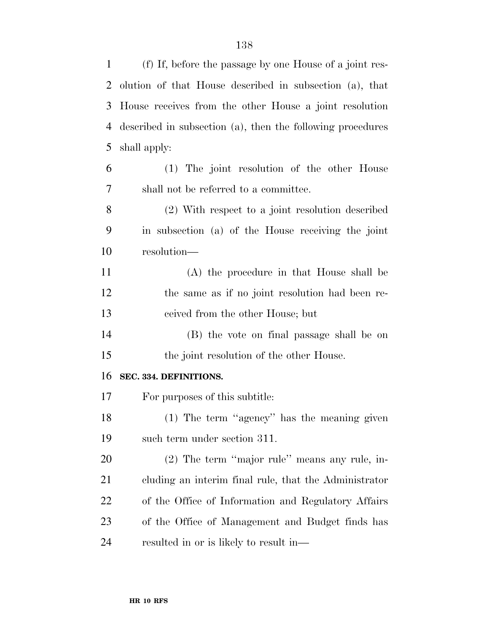| $\mathbf 1$ | (f) If, before the passage by one House of a joint res-    |
|-------------|------------------------------------------------------------|
| 2           | olution of that House described in subsection (a), that    |
| 3           | House receives from the other House a joint resolution     |
| 4           | described in subsection (a), then the following procedures |
| 5           | shall apply:                                               |
| 6           | (1) The joint resolution of the other House                |
| 7           | shall not be referred to a committee.                      |
| 8           | (2) With respect to a joint resolution described           |
| 9           | in subsection (a) of the House receiving the joint         |
| 10          | resolution-                                                |
| 11          | (A) the procedure in that House shall be                   |
| 12          | the same as if no joint resolution had been re-            |
| 13          | ceived from the other House; but                           |
| 14          | (B) the vote on final passage shall be on                  |
| 15          | the joint resolution of the other House.                   |
| 16          | SEC. 334. DEFINITIONS.                                     |
| 17          | For purposes of this subtitle:                             |
| 18          | $(1)$ The term "agency" has the meaning given              |
| 19          | such term under section 311.                               |
| 20          | (2) The term "major rule" means any rule, in-              |
| 21          | cluding an interim final rule, that the Administrator      |
| <u>22</u>   | of the Office of Information and Regulatory Affairs        |
| 23          | of the Office of Management and Budget finds has           |
| 24          | resulted in or is likely to result in-                     |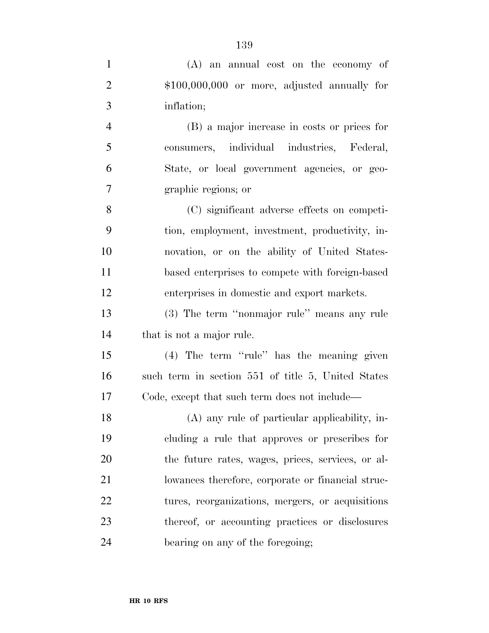| $\mathbf{1}$   | $(A)$ an annual cost on the economy of             |
|----------------|----------------------------------------------------|
| $\overline{2}$ | $$100,000,000$ or more, adjusted annually for      |
| 3              | inflation;                                         |
| $\overline{4}$ | (B) a major increase in costs or prices for        |
| 5              | consumers, individual industries, Federal,         |
| 6              | State, or local government agencies, or geo-       |
| $\overline{7}$ | graphic regions; or                                |
| 8              | (C) significant adverse effects on competi-        |
| 9              | tion, employment, investment, productivity, in-    |
| 10             | novation, or on the ability of United States-      |
| 11             | based enterprises to compete with foreign-based    |
| 12             | enterprises in domestic and export markets.        |
| 13             | (3) The term "nonmajor rule" means any rule        |
| 14             | that is not a major rule.                          |
| 15             | (4) The term "rule" has the meaning given          |
| 16             | such term in section 551 of title 5, United States |
| 17             | Code, except that such term does not include—      |
| 18             | (A) any rule of particular applicability, in-      |
| 19             | cluding a rule that approves or prescribes for     |
| 20             | the future rates, wages, prices, services, or al-  |
| 21             | lowances therefore, corporate or financial struc-  |
| 22             | tures, reorganizations, mergers, or acquisitions   |
| 23             | thereof, or accounting practices or disclosures    |
| 24             | bearing on any of the foregoing;                   |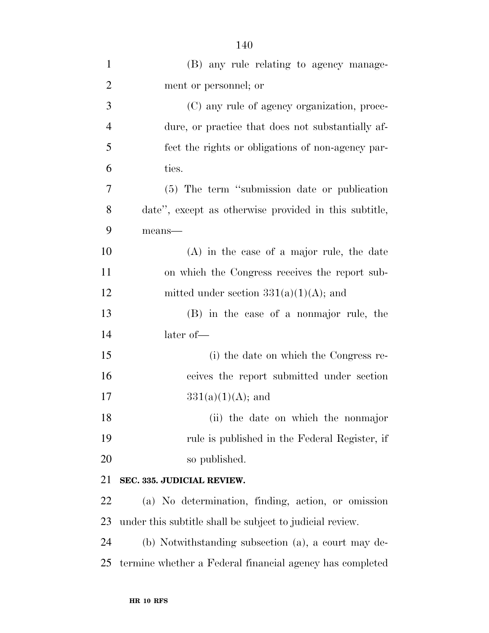| $\mathbf{1}$   | (B) any rule relating to agency manage-                  |
|----------------|----------------------------------------------------------|
| $\overline{2}$ | ment or personnel; or                                    |
| 3              | (C) any rule of agency organization, proce-              |
| $\overline{4}$ | dure, or practice that does not substantially af-        |
| 5              | fect the rights or obligations of non-agency par-        |
| 6              | ties.                                                    |
| $\overline{7}$ | (5) The term "submission date or publication"            |
| 8              | date", except as otherwise provided in this subtitle,    |
| 9              | means-                                                   |
| 10             | $(A)$ in the case of a major rule, the date              |
| 11             | on which the Congress receives the report sub-           |
| 12             | mitted under section $331(a)(1)(A)$ ; and                |
| 13             | (B) in the case of a nonmajor rule, the                  |
| 14             | later of-                                                |
| 15             | (i) the date on which the Congress re-                   |
| 16             | ceives the report submitted under section                |
| 17             | $331(a)(1)(A);$ and                                      |
| 18             | (ii) the date on which the nonmajor                      |
| 19             | rule is published in the Federal Register, if            |
| 20             | so published.                                            |
| 21             | SEC. 335. JUDICIAL REVIEW.                               |
| 22             | (a) No determination, finding, action, or omission       |
| 23             | under this subtitle shall be subject to judicial review. |
| 24             | (b) Notwithstanding subsection (a), a court may de-      |
| 25             | termine whether a Federal financial agency has completed |
|                |                                                          |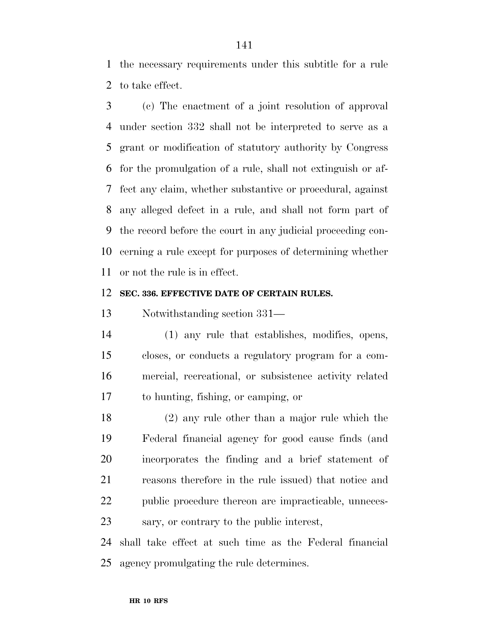the necessary requirements under this subtitle for a rule to take effect.

 (c) The enactment of a joint resolution of approval under section 332 shall not be interpreted to serve as a grant or modification of statutory authority by Congress for the promulgation of a rule, shall not extinguish or af- fect any claim, whether substantive or procedural, against any alleged defect in a rule, and shall not form part of the record before the court in any judicial proceeding con- cerning a rule except for purposes of determining whether or not the rule is in effect.

#### **SEC. 336. EFFECTIVE DATE OF CERTAIN RULES.**

Notwithstanding section 331—

 (1) any rule that establishes, modifies, opens, closes, or conducts a regulatory program for a com- mercial, recreational, or subsistence activity related to hunting, fishing, or camping, or

 (2) any rule other than a major rule which the Federal financial agency for good cause finds (and incorporates the finding and a brief statement of reasons therefore in the rule issued) that notice and 22 public procedure thereon are impracticable, unneces-sary, or contrary to the public interest,

 shall take effect at such time as the Federal financial agency promulgating the rule determines.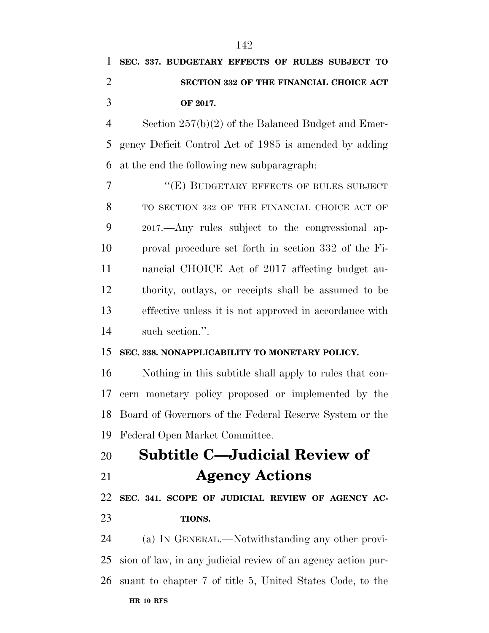Section 257(b)(2) of the Balanced Budget and Emer- gency Deficit Control Act of 1985 is amended by adding at the end the following new subparagraph:

7 "(E) BUDGETARY EFFECTS OF RULES SUBJECT TO SECTION 332 OF THE FINANCIAL CHOICE ACT OF 2017.—Any rules subject to the congressional ap- proval procedure set forth in section 332 of the Fi- nancial CHOICE Act of 2017 affecting budget au- thority, outlays, or receipts shall be assumed to be effective unless it is not approved in accordance with such section.''.

## **SEC. 338. NONAPPLICABILITY TO MONETARY POLICY.**

 Nothing in this subtitle shall apply to rules that con- cern monetary policy proposed or implemented by the Board of Governors of the Federal Reserve System or the Federal Open Market Committee.

 **Subtitle C—Judicial Review of Agency Actions** 

 **SEC. 341. SCOPE OF JUDICIAL REVIEW OF AGENCY AC-TIONS.** 

**HR 10 RFS** (a) IN GENERAL.—Notwithstanding any other provi- sion of law, in any judicial review of an agency action pur-suant to chapter 7 of title 5, United States Code, to the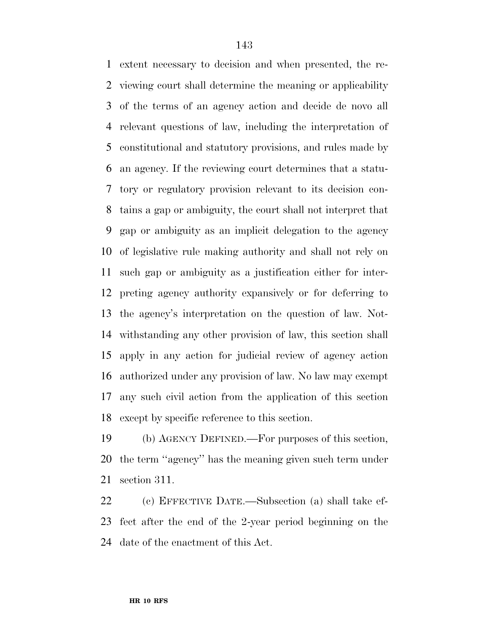extent necessary to decision and when presented, the re- viewing court shall determine the meaning or applicability of the terms of an agency action and decide de novo all relevant questions of law, including the interpretation of constitutional and statutory provisions, and rules made by an agency. If the reviewing court determines that a statu- tory or regulatory provision relevant to its decision con- tains a gap or ambiguity, the court shall not interpret that gap or ambiguity as an implicit delegation to the agency of legislative rule making authority and shall not rely on such gap or ambiguity as a justification either for inter- preting agency authority expansively or for deferring to the agency's interpretation on the question of law. Not- withstanding any other provision of law, this section shall apply in any action for judicial review of agency action authorized under any provision of law. No law may exempt any such civil action from the application of this section except by specific reference to this section.

 (b) AGENCY DEFINED.—For purposes of this section, the term ''agency'' has the meaning given such term under section 311.

 (c) EFFECTIVE DATE.—Subsection (a) shall take ef- fect after the end of the 2-year period beginning on the date of the enactment of this Act.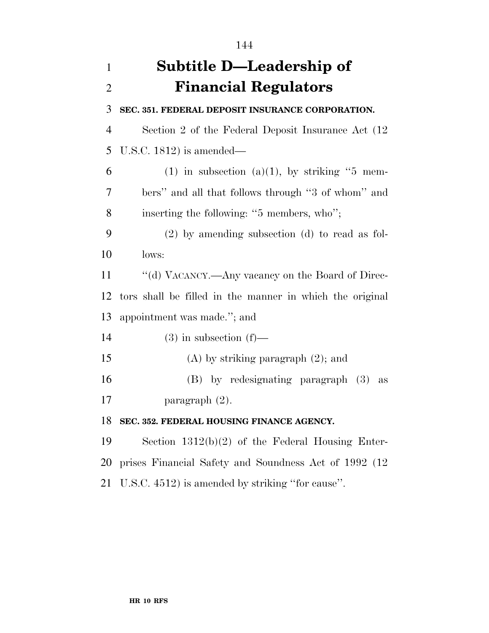| 1              | <b>Subtitle D-Leadership of</b>                          |
|----------------|----------------------------------------------------------|
| $\overline{2}$ | <b>Financial Regulators</b>                              |
| 3              | SEC. 351. FEDERAL DEPOSIT INSURANCE CORPORATION.         |
| $\overline{4}$ | Section 2 of the Federal Deposit Insurance Act (12)      |
| 5              | U.S.C. $1812$ ) is amended—                              |
| 6              | (1) in subsection (a)(1), by striking " $5$ mem-         |
| 7              | bers" and all that follows through "3 of whom" and       |
| 8              | inserting the following: "5 members, who";               |
| 9              | $(2)$ by amending subsection $(d)$ to read as fol-       |
| 10             | lows:                                                    |
| 11             | "(d) VACANCY.—Any vacancy on the Board of Direc-         |
| 12             | tors shall be filled in the manner in which the original |
| 13             | appointment was made."; and                              |
| 14             | $(3)$ in subsection $(f)$ —                              |
| 15             | $(A)$ by striking paragraph $(2)$ ; and                  |
| 16             | (B) by redesignating paragraph (3)<br><b>as</b>          |
| 17             | paragraph $(2)$ .                                        |
| 18             | SEC. 352. FEDERAL HOUSING FINANCE AGENCY.                |
| 19             | Section $1312(b)(2)$ of the Federal Housing Enter-       |
| 20             | prises Financial Safety and Soundness Act of 1992 (12)   |
| 21             | U.S.C. 4512) is amended by striking "for cause".         |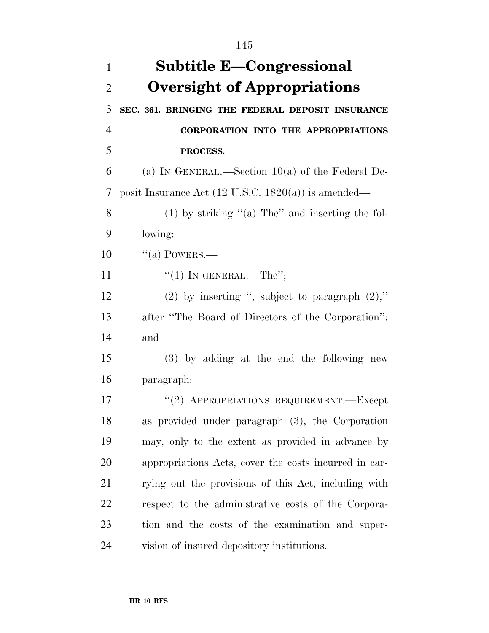| 1              | Subtitle E-Congressional                                       |
|----------------|----------------------------------------------------------------|
| $\overline{2}$ | <b>Oversight of Appropriations</b>                             |
| 3              | SEC. 361. BRINGING THE FEDERAL DEPOSIT INSURANCE               |
| $\overline{4}$ | <b>CORPORATION INTO THE APPROPRIATIONS</b>                     |
| 5              | PROCESS.                                                       |
| 6              | (a) IN GENERAL.—Section $10(a)$ of the Federal De-             |
| 7              | posit Insurance Act $(12 \text{ U.S.C. } 1820(a))$ is amended— |
| 8              | (1) by striking "(a) The" and inserting the fol-               |
| 9              | lowing:                                                        |
| 10             | $\lq($ a) POWERS.—                                             |
| 11             | "(1) IN GENERAL.—The";                                         |
| 12             | (2) by inserting ", subject to paragraph $(2)$ ,"              |
| 13             | after "The Board of Directors of the Corporation";             |
| 14             | and                                                            |
| 15             | $(3)$ by adding at the end the following new                   |
| 16             | paragraph:                                                     |
| 17             | "(2) APPROPRIATIONS REQUIREMENT. Except                        |
| 18             | as provided under paragraph (3), the Corporation               |
| 19             | may, only to the extent as provided in advance by              |
| 20             | appropriations Acts, cover the costs incurred in car-          |
| 21             | rying out the provisions of this Act, including with           |
| 22             | respect to the administrative costs of the Corpora-            |
| 23             | tion and the costs of the examination and super-               |
| 24             | vision of insured depository institutions.                     |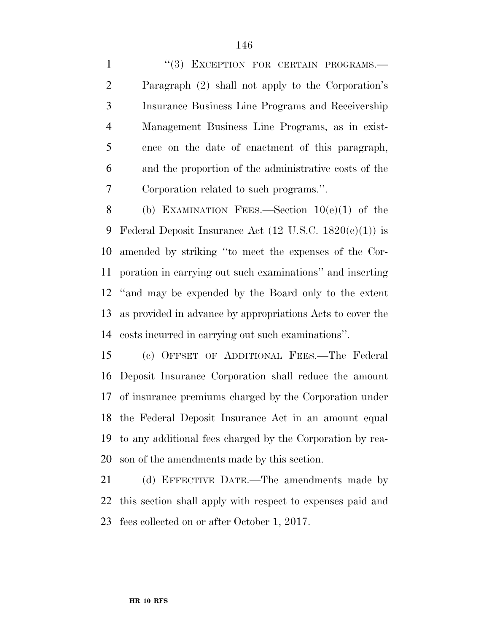1 "(3) EXCEPTION FOR CERTAIN PROGRAMS.— Paragraph (2) shall not apply to the Corporation's Insurance Business Line Programs and Receivership Management Business Line Programs, as in exist- ence on the date of enactment of this paragraph, and the proportion of the administrative costs of the Corporation related to such programs.''.

8 (b) EXAMINATION FEES.—Section  $10(e)(1)$  of the Federal Deposit Insurance Act (12 U.S.C. 1820(e)(1)) is amended by striking ''to meet the expenses of the Cor- poration in carrying out such examinations'' and inserting ''and may be expended by the Board only to the extent as provided in advance by appropriations Acts to cover the costs incurred in carrying out such examinations''.

 (c) OFFSET OF ADDITIONAL FEES.—The Federal Deposit Insurance Corporation shall reduce the amount of insurance premiums charged by the Corporation under the Federal Deposit Insurance Act in an amount equal to any additional fees charged by the Corporation by rea-son of the amendments made by this section.

 (d) EFFECTIVE DATE.—The amendments made by this section shall apply with respect to expenses paid and fees collected on or after October 1, 2017.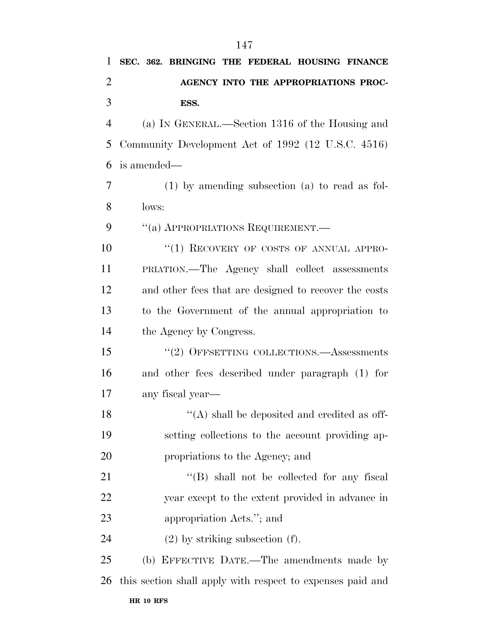| 1              | SEC. 362. BRINGING THE FEDERAL HOUSING FINANCE             |
|----------------|------------------------------------------------------------|
| $\overline{2}$ | AGENCY INTO THE APPROPRIATIONS PROC-                       |
| 3              | ESS.                                                       |
| $\overline{4}$ | (a) IN GENERAL.—Section 1316 of the Housing and            |
| 5              | Community Development Act of 1992 (12 U.S.C. 4516)         |
| 6              | is amended—                                                |
| 7              | $(1)$ by amending subsection $(a)$ to read as fol-         |
| 8              | lows:                                                      |
| 9              | "(a) APPROPRIATIONS REQUIREMENT.—                          |
| 10             | "(1) RECOVERY OF COSTS OF ANNUAL APPRO-                    |
| 11             | PRIATION.—The Agency shall collect assessments             |
| 12             | and other fees that are designed to recover the costs      |
| 13             | to the Government of the annual appropriation to           |
| 14             | the Agency by Congress.                                    |
| 15             | $``(2)$ OFFSETTING COLLECTIONS.—Assessments                |
| 16             | and other fees described under paragraph (1) for           |
| 17             | any fiscal year-                                           |
| 18             | $\mathcal{H}(A)$ shall be deposited and credited as off-   |
| 19             | setting collections to the account providing ap-           |
| 20             | propriations to the Agency; and                            |
| 21             | $\lq\lq$ (B) shall not be collected for any fiscal         |
| 22             | year except to the extent provided in advance in           |
| 23             | appropriation Acts."; and                                  |
| 24             | $(2)$ by striking subsection $(f)$ .                       |
| 25             | (b) EFFECTIVE DATE.—The amendments made by                 |
| 26             | this section shall apply with respect to expenses paid and |
|                |                                                            |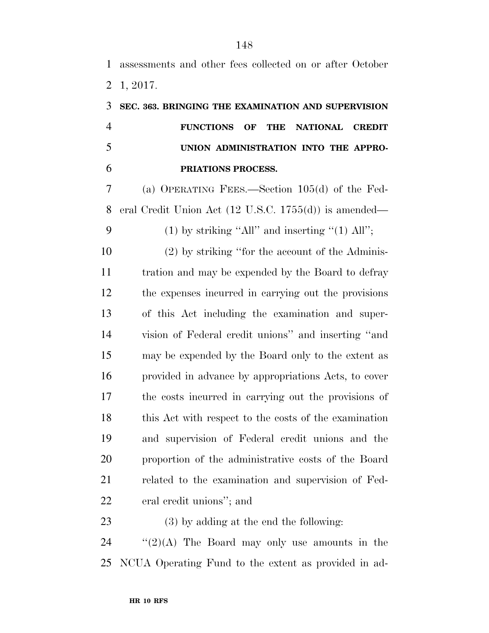assessments and other fees collected on or after October 1, 2017.

## **SEC. 363. BRINGING THE EXAMINATION AND SUPERVISION FUNCTIONS OF THE NATIONAL CREDIT UNION ADMINISTRATION INTO THE APPRO-PRIATIONS PROCESS.**

 (a) OPERATING FEES.—Section 105(d) of the Fed-eral Credit Union Act (12 U.S.C. 1755(d)) is amended—

9 (1) by striking "All" and inserting "(1) All";

 (2) by striking ''for the account of the Adminis- tration and may be expended by the Board to defray the expenses incurred in carrying out the provisions of this Act including the examination and super- vision of Federal credit unions'' and inserting ''and may be expended by the Board only to the extent as provided in advance by appropriations Acts, to cover the costs incurred in carrying out the provisions of 18 this Act with respect to the costs of the examination and supervision of Federal credit unions and the proportion of the administrative costs of the Board related to the examination and supervision of Fed-eral credit unions''; and

(3) by adding at the end the following:

 "(2)(A) The Board may only use amounts in the NCUA Operating Fund to the extent as provided in ad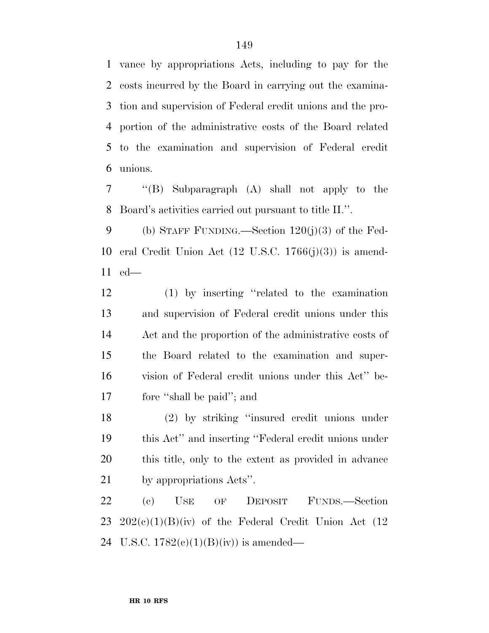vance by appropriations Acts, including to pay for the costs incurred by the Board in carrying out the examina- tion and supervision of Federal credit unions and the pro- portion of the administrative costs of the Board related to the examination and supervision of Federal credit unions.

 ''(B) Subparagraph (A) shall not apply to the Board's activities carried out pursuant to title II.''.

 (b) STAFF FUNDING.—Section 120(j)(3) of the Fed-10 eral Credit Union Act  $(12 \text{ U.S.C. } 1766(j)(3))$  is amend-ed—

 (1) by inserting ''related to the examination and supervision of Federal credit unions under this Act and the proportion of the administrative costs of the Board related to the examination and super- vision of Federal credit unions under this Act'' be-fore ''shall be paid''; and

 (2) by striking ''insured credit unions under this Act'' and inserting ''Federal credit unions under this title, only to the extent as provided in advance by appropriations Acts''.

 (c) USE OF DEPOSIT FUNDS.—Section 23 202 $(e)(1)(B)(iv)$  of the Federal Credit Union Act  $(12)$ 24 U.S.C.  $1782(e)(1)(B)(iv)$  is amended—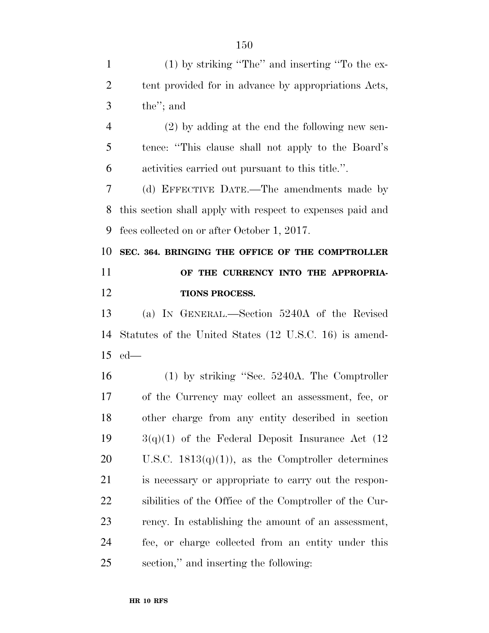(1) by striking ''The'' and inserting ''To the ex- tent provided for in advance by appropriations Acts, the''; and (2) by adding at the end the following new sen- tence: ''This clause shall not apply to the Board's activities carried out pursuant to this title.''. (d) EFFECTIVE DATE.—The amendments made by this section shall apply with respect to expenses paid and fees collected on or after October 1, 2017. **SEC. 364. BRINGING THE OFFICE OF THE COMPTROLLER OF THE CURRENCY INTO THE APPROPRIA- TIONS PROCESS.**  (a) IN GENERAL.—Section 5240A of the Revised Statutes of the United States (12 U.S.C. 16) is amend- ed— (1) by striking ''Sec. 5240A. The Comptroller of the Currency may collect an assessment, fee, or other charge from any entity described in section  $3(q)(1)$  of the Federal Deposit Insurance Act  $(12)$ 20 U.S.C.  $1813(q)(1)$ , as the Comptroller determines is necessary or appropriate to carry out the respon- sibilities of the Office of the Comptroller of the Cur- rency. In establishing the amount of an assessment, fee, or charge collected from an entity under this section,'' and inserting the following: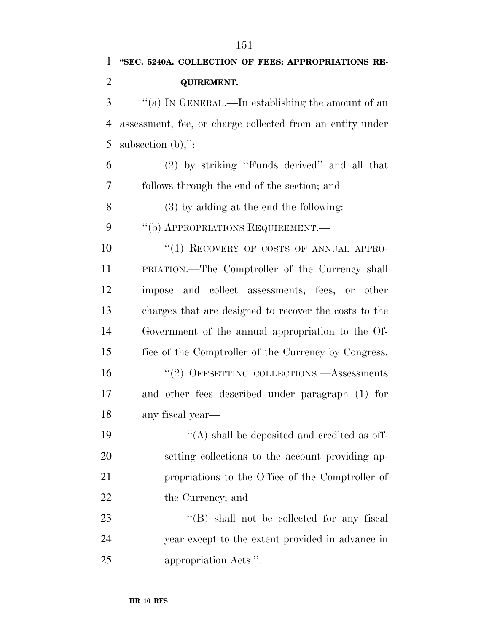| $\mathbf{1}$   | "SEC. 5240A. COLLECTION OF FEES; APPROPRIATIONS RE-       |
|----------------|-----------------------------------------------------------|
| $\overline{2}$ | <b>QUIREMENT.</b>                                         |
| 3              | "(a) IN GENERAL.—In establishing the amount of an         |
| $\overline{4}$ | assessment, fee, or charge collected from an entity under |
| 5              | subsection $(b)$ ,";                                      |
| 6              | (2) by striking "Funds derived" and all that              |
| 7              | follows through the end of the section; and               |
| 8              | (3) by adding at the end the following:                   |
| 9              | "(b) APPROPRIATIONS REQUIREMENT.—                         |
| 10             | "(1) RECOVERY OF COSTS OF ANNUAL APPRO-                   |
| 11             | PRIATION.—The Comptroller of the Currency shall           |
| 12             | impose and collect assessments, fees, or other            |
| 13             | charges that are designed to recover the costs to the     |
| 14             | Government of the annual appropriation to the Of-         |
| 15             | fice of the Comptroller of the Currency by Congress.      |
| 16             | "(2) OFFSETTING COLLECTIONS.—Assessments                  |
| 17             | and other fees described under paragraph (1) for          |
| 18             | any fiscal year-                                          |
| 19             | $\lq\lq$ shall be deposited and credited as off-          |
| 20             | setting collections to the account providing ap-          |
| 21             | propriations to the Office of the Comptroller of          |
| 22             | the Currency; and                                         |
| 23             | "(B) shall not be collected for any fiscal                |
| 24             | year except to the extent provided in advance in          |
| 25             | appropriation Acts.".                                     |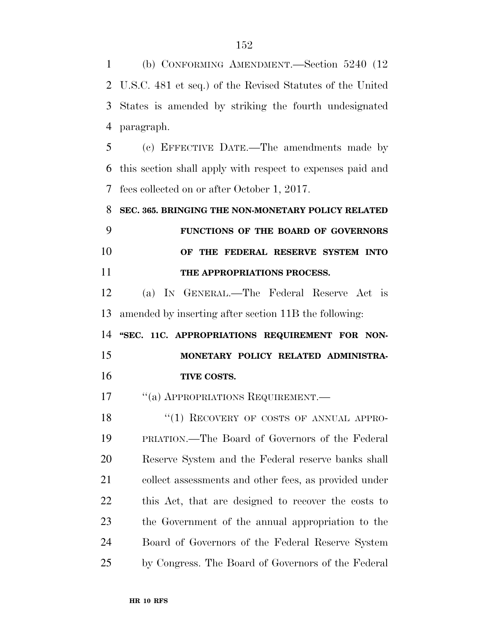(b) CONFORMING AMENDMENT.—Section 5240 (12 U.S.C. 481 et seq.) of the Revised Statutes of the United States is amended by striking the fourth undesignated paragraph.

 (c) EFFECTIVE DATE.—The amendments made by this section shall apply with respect to expenses paid and fees collected on or after October 1, 2017.

 **SEC. 365. BRINGING THE NON-MONETARY POLICY RELATED FUNCTIONS OF THE BOARD OF GOVERNORS OF THE FEDERAL RESERVE SYSTEM INTO THE APPROPRIATIONS PROCESS.** 

 (a) IN GENERAL.—The Federal Reserve Act is amended by inserting after section 11B the following:

14 "SEC. 11C. APPROPRIATIONS REQUIREMENT FOR NON- **MONETARY POLICY RELATED ADMINISTRA-TIVE COSTS.** 

17 "(a) APPROPRIATIONS REQUIREMENT.—

18 "(1) RECOVERY OF COSTS OF ANNUAL APPRO- PRIATION.—The Board of Governors of the Federal Reserve System and the Federal reserve banks shall 21 collect assessments and other fees, as provided under this Act, that are designed to recover the costs to the Government of the annual appropriation to the Board of Governors of the Federal Reserve System by Congress. The Board of Governors of the Federal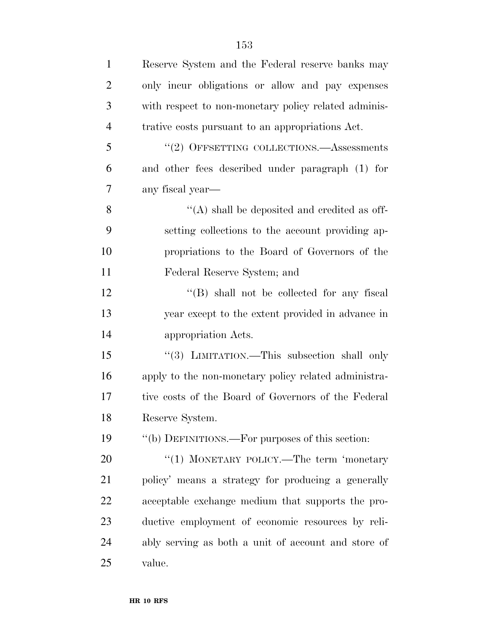| $\mathbf{1}$   | Reserve System and the Federal reserve banks may     |
|----------------|------------------------------------------------------|
| $\overline{2}$ | only incur obligations or allow and pay expenses     |
| 3              | with respect to non-monetary policy related adminis- |
| $\overline{4}$ | trative costs pursuant to an appropriations Act.     |
| 5              | $\cdot\cdot(2)$ OFFSETTING COLLECTIONS.—Assessments  |
| 6              | and other fees described under paragraph (1) for     |
| 7              | any fiscal year—                                     |
| 8              | $\lq\lq$ shall be deposited and credited as off-     |
| 9              | setting collections to the account providing ap-     |
| 10             | propriations to the Board of Governors of the        |
| 11             | Federal Reserve System; and                          |
| 12             | $\lq\lq$ shall not be collected for any fiscal       |
| 13             | year except to the extent provided in advance in     |
| 14             | appropriation Acts.                                  |
| 15             | "(3) LIMITATION.—This subsection shall only          |
| 16             | apply to the non-monetary policy related administra- |
| 17             | tive costs of the Board of Governors of the Federal  |
| 18             | Reserve System.                                      |
| 19             | "(b) DEFINITIONS.—For purposes of this section:      |
| 20             | "(1) MONETARY POLICY.—The term 'monetary             |
| 21             | policy' means a strategy for producing a generally   |
| 22             | acceptable exchange medium that supports the pro-    |
| 23             | ductive employment of economic resources by reli-    |
| 24             | ably serving as both a unit of account and store of  |
| 25             | value.                                               |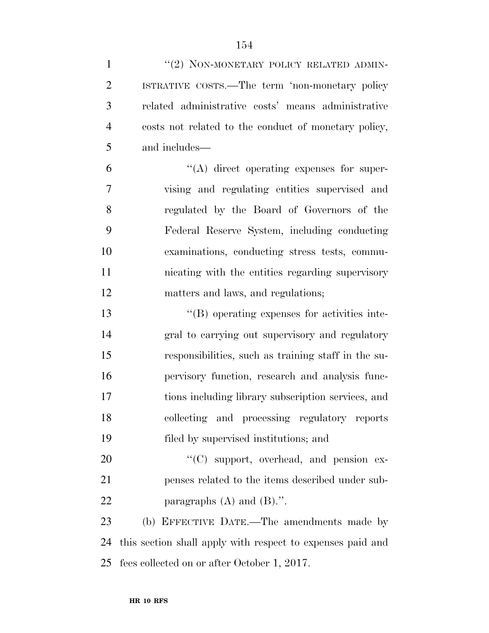| $\mathbf{1}$   | "(2) NON-MONETARY POLICY RELATED ADMIN-                    |
|----------------|------------------------------------------------------------|
| $\overline{2}$ | ISTRATIVE COSTS.—The term 'non-monetary policy             |
| 3              | related administrative costs' means administrative         |
| $\overline{4}$ | costs not related to the conduct of monetary policy,       |
| 5              | and includes—                                              |
| 6              | $\lq\lq$ direct operating expenses for super-              |
| 7              | vising and regulating entities supervised and              |
| 8              | regulated by the Board of Governors of the                 |
| 9              | Federal Reserve System, including conducting               |
| 10             | examinations, conducting stress tests, commu-              |
| 11             | nicating with the entities regarding supervisory           |
| 12             | matters and laws, and regulations;                         |
| 13             | $\lq\lq (B)$ operating expenses for activities inte-       |
| 14             | gral to carrying out supervisory and regulatory            |
| 15             | responsibilities, such as training staff in the su-        |
| 16             | pervisory function, research and analysis func-            |
| 17             | tions including library subscription services, and         |
| 18             | collecting and processing regulatory reports               |
| 19             | filed by supervised institutions; and                      |
| 20             | $\lq\lq$ support, overhead, and pension ex-                |
| 21             | penses related to the items described under sub-           |
| 22             | paragraphs $(A)$ and $(B)$ .".                             |
| 23             | (b) EFFECTIVE DATE.—The amendments made by                 |
| 24             | this section shall apply with respect to expenses paid and |
| 25             | fees collected on or after October 1, 2017.                |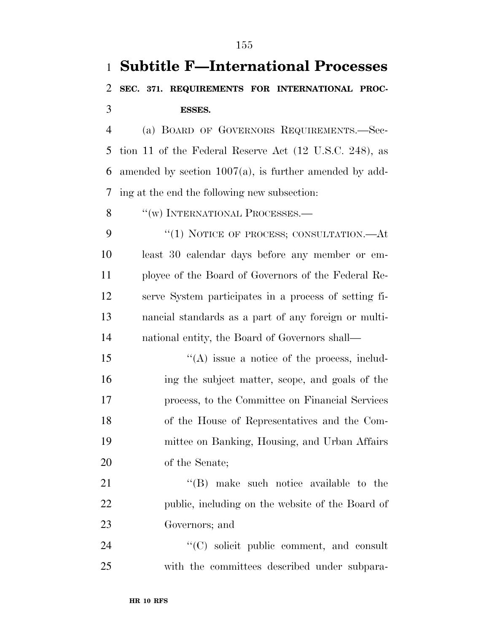## **Subtitle F—International Processes SEC. 371. REQUIREMENTS FOR INTERNATIONAL PROC-ESSES.**

 (a) BOARD OF GOVERNORS REQUIREMENTS.—Sec- tion 11 of the Federal Reserve Act (12 U.S.C. 248), as amended by section 1007(a), is further amended by add-ing at the end the following new subsection:

8 "(w) INTERNATIONAL PROCESSES.—

9 "(1) NOTICE OF PROCESS; CONSULTATION.—At least 30 calendar days before any member or em- ployee of the Board of Governors of the Federal Re- serve System participates in a process of setting fi- nancial standards as a part of any foreign or multi-national entity, the Board of Governors shall—

 $\langle (A) \rangle$  issue a notice of the process, includ- ing the subject matter, scope, and goals of the process, to the Committee on Financial Services of the House of Representatives and the Com- mittee on Banking, Housing, and Urban Affairs of the Senate;

21 ''(B) make such notice available to the public, including on the website of the Board of Governors; and

24  $\cdot$  (C) solicit public comment, and consult with the committees described under subpara-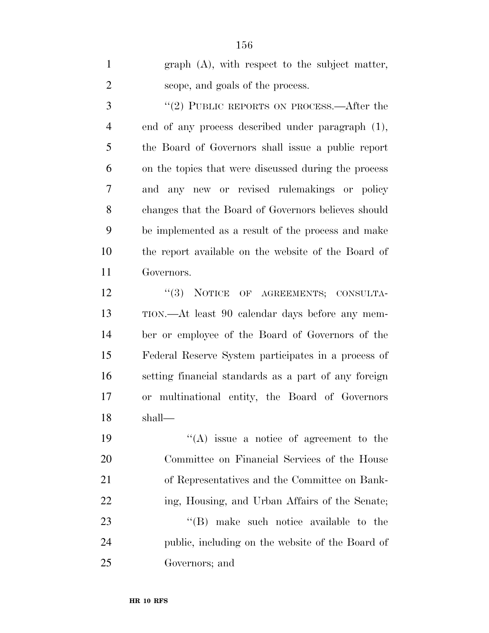| $graph(A)$ , with respect to the subject matter, |
|--------------------------------------------------|
| scope, and goals of the process.                 |

3 "(2) PUBLIC REPORTS ON PROCESS.—After the end of any process described under paragraph (1), the Board of Governors shall issue a public report on the topics that were discussed during the process and any new or revised rulemakings or policy changes that the Board of Governors believes should be implemented as a result of the process and make the report available on the website of the Board of Governors.

12 "(3) NOTICE OF AGREEMENTS; CONSULTA- TION.—At least 90 calendar days before any mem- ber or employee of the Board of Governors of the Federal Reserve System participates in a process of setting financial standards as a part of any foreign or multinational entity, the Board of Governors shall—

 $((A)$  issue a notice of agreement to the Committee on Financial Services of the House of Representatives and the Committee on Bank-22 ing, Housing, and Urban Affairs of the Senate; 23 ''(B) make such notice available to the public, including on the website of the Board of Governors; and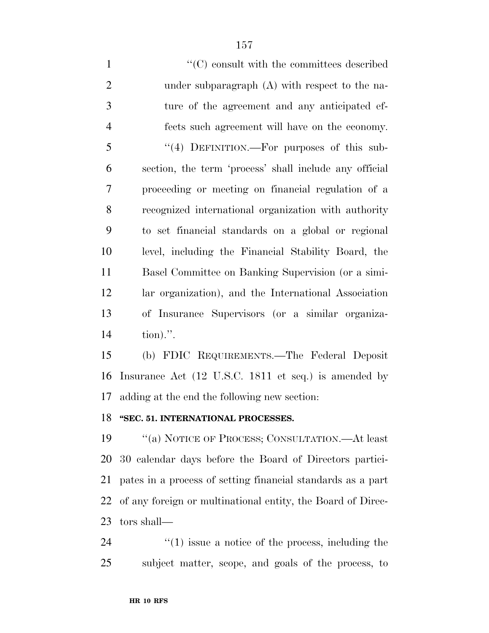$\cdot$  (C) consult with the committees described under subparagraph (A) with respect to the na- ture of the agreement and any anticipated ef- fects such agreement will have on the economy. 5 "(4) DEFINITION.—For purposes of this sub- section, the term 'process' shall include any official proceeding or meeting on financial regulation of a recognized international organization with authority to set financial standards on a global or regional level, including the Financial Stability Board, the Basel Committee on Banking Supervision (or a simi- lar organization), and the International Association of Insurance Supervisors (or a similar organiza-tion).''.

 (b) FDIC REQUIREMENTS.—The Federal Deposit Insurance Act (12 U.S.C. 1811 et seq.) is amended by adding at the end the following new section:

## **''SEC. 51. INTERNATIONAL PROCESSES.**

 ''(a) NOTICE OF PROCESS; CONSULTATION.—At least 30 calendar days before the Board of Directors partici- pates in a process of setting financial standards as a part of any foreign or multinational entity, the Board of Direc-tors shall—

 ''(1) issue a notice of the process, including the subject matter, scope, and goals of the process, to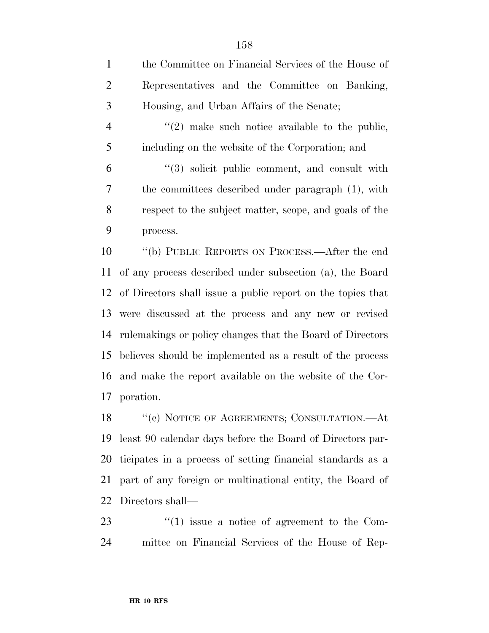the Committee on Financial Services of the House of Representatives and the Committee on Banking, Housing, and Urban Affairs of the Senate;  $\frac{4}{2}$  ''(2) make such notice available to the public, including on the website of the Corporation; and ''(3) solicit public comment, and consult with the committees described under paragraph (1), with respect to the subject matter, scope, and goals of the process. ''(b) PUBLIC REPORTS ON PROCESS.—After the end of any process described under subsection (a), the Board

 of Directors shall issue a public report on the topics that were discussed at the process and any new or revised rulemakings or policy changes that the Board of Directors believes should be implemented as a result of the process and make the report available on the website of the Cor-poration.

18 "(c) NOTICE OF AGREEMENTS; CONSULTATION.—At least 90 calendar days before the Board of Directors par- ticipates in a process of setting financial standards as a part of any foreign or multinational entity, the Board of Directors shall—

23  $\frac{1}{2}$  (1) issue a notice of agreement to the Com-mittee on Financial Services of the House of Rep-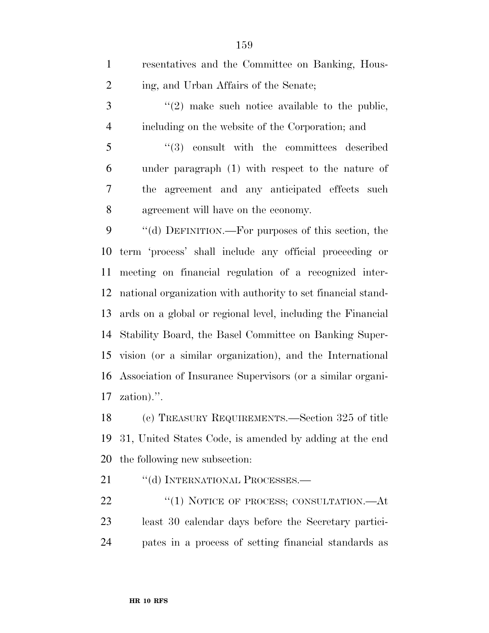| $\mathbf{1}$   | resentatives and the Committee on Banking, Hous-             |
|----------------|--------------------------------------------------------------|
| $\overline{2}$ | ing, and Urban Affairs of the Senate;                        |
| 3              | $\lq(2)$ make such notice available to the public,           |
| $\overline{4}$ | including on the website of the Corporation; and             |
| 5              | $(3)$ consult with the committees described                  |
| 6              | under paragraph (1) with respect to the nature of            |
| $\overline{7}$ | the agreement and any anticipated effects such               |
| 8              | agreement will have on the economy.                          |
| 9              | "(d) DEFINITION.—For purposes of this section, the           |
| 10             | term 'process' shall include any official proceeding or      |
| 11             | meeting on financial regulation of a recognized inter-       |
| 12             | national organization with authority to set financial stand- |
| 13             | ards on a global or regional level, including the Financial  |
| 14             | Stability Board, the Basel Committee on Banking Super-       |
| 15             | vision (or a similar organization), and the International    |
| 16             | Association of Insurance Supervisors (or a similar organi-   |
| 17             | zation).".                                                   |
| 18             | (c) TREASURY REQUIREMENTS.—Section 325 of title              |

 31, United States Code, is amended by adding at the end the following new subsection:

''(d) INTERNATIONAL PROCESSES.—

22 "(1) NOTICE OF PROCESS; CONSULTATION.—At least 30 calendar days before the Secretary partici-pates in a process of setting financial standards as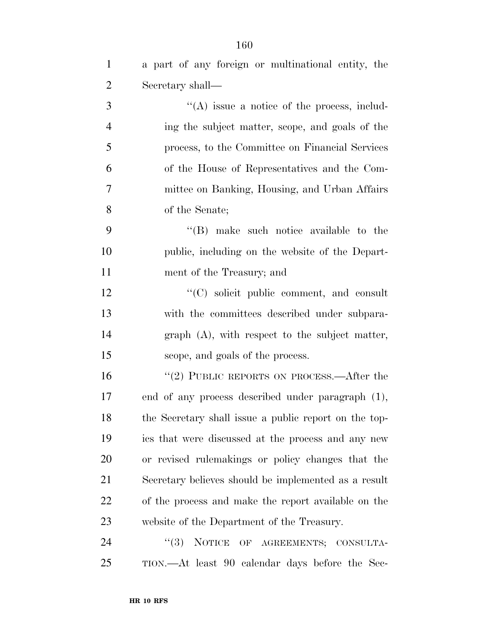| $\mathbf{1}$   | a part of any foreign or multinational entity, the    |
|----------------|-------------------------------------------------------|
| $\overline{2}$ | Secretary shall-                                      |
| 3              | $\lq\lq$ issue a notice of the process, includ-       |
| $\overline{4}$ | ing the subject matter, scope, and goals of the       |
| 5              | process, to the Committee on Financial Services       |
| 6              | of the House of Representatives and the Com-          |
| 7              | mittee on Banking, Housing, and Urban Affairs         |
| 8              | of the Senate;                                        |
| 9              | "(B) make such notice available to the                |
| 10             | public, including on the website of the Depart-       |
| 11             | ment of the Treasury; and                             |
| 12             | $\cdot$ (C) solicit public comment, and consult       |
| 13             | with the committees described under subpara-          |
| 14             | $graph(A)$ , with respect to the subject matter,      |
| 15             | scope, and goals of the process.                      |
| 16             | " $(2)$ PUBLIC REPORTS ON PROCESS.—After the          |
| 17             | end of any process described under paragraph (1),     |
| 18             | the Secretary shall issue a public report on the top- |
| 19             | ics that were discussed at the process and any new    |
| 20             | or revised rulemakings or policy changes that the     |
| 21             | Secretary believes should be implemented as a result  |
| 22             | of the process and make the report available on the   |
| 23             | website of the Department of the Treasury.            |
| 24             | (3)<br>NOTICE OF AGREEMENTS; CONSULTA-                |
| 25             | TION.—At least 90 calendar days before the Sec-       |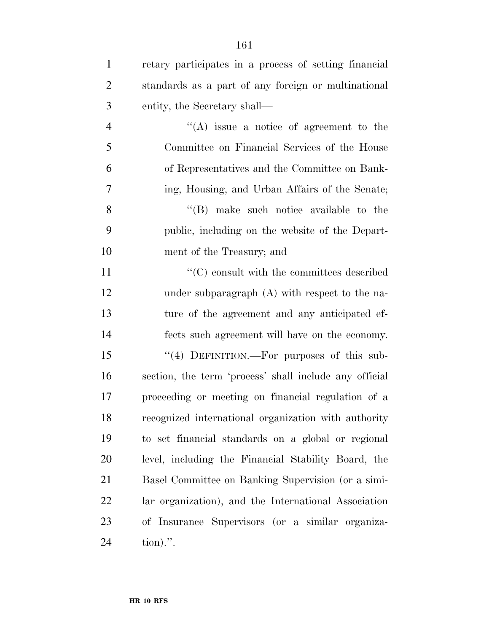| $\mathbf{1}$   | retary participates in a process of setting financial  |
|----------------|--------------------------------------------------------|
| $\overline{2}$ | standards as a part of any foreign or multinational    |
| 3              | entity, the Secretary shall—                           |
| $\overline{4}$ | $\lq\lq$ issue a notice of agreement to the            |
| 5              | Committee on Financial Services of the House           |
| 6              | of Representatives and the Committee on Bank-          |
| 7              | ing, Housing, and Urban Affairs of the Senate;         |
| 8              | $\lq\lq$ (B) make such notice available to the         |
| 9              | public, including on the website of the Depart-        |
| 10             | ment of the Treasury; and                              |
| 11             | $\cdot$ (C) consult with the committees described      |
| 12             | under subparagraph $(A)$ with respect to the na-       |
| 13             | ture of the agreement and any anticipated ef-          |
| 14             | fects such agreement will have on the economy.         |
| 15             | "(4) DEFINITION.—For purposes of this sub-             |
| 16             | section, the term 'process' shall include any official |
| 17             | proceeding or meeting on financial regulation of a     |
| 18             | recognized international organization with authority   |
| 19             | to set financial standards on a global or regional     |
| 20             | level, including the Financial Stability Board, the    |
| 21             | Basel Committee on Banking Supervision (or a simi-     |
| 22             | lar organization), and the International Association   |
| 23             | of Insurance Supervisors (or a similar organiza-       |
| 24             | $\{\text{tion}\}\$ .                                   |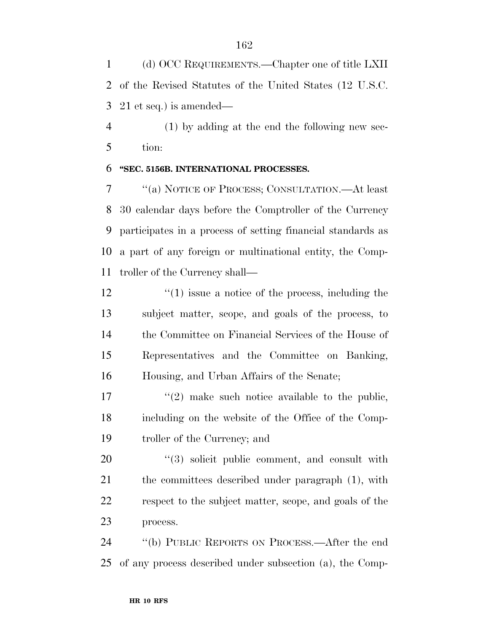(d) OCC REQUIREMENTS.—Chapter one of title LXII of the Revised Statutes of the United States (12 U.S.C. 21 et seq.) is amended—

 (1) by adding at the end the following new sec-tion:

## **''SEC. 5156B. INTERNATIONAL PROCESSES.**

 ''(a) NOTICE OF PROCESS; CONSULTATION.—At least 30 calendar days before the Comptroller of the Currency participates in a process of setting financial standards as a part of any foreign or multinational entity, the Comp-troller of the Currency shall—

 $\binom{12}{1}$  issue a notice of the process, including the subject matter, scope, and goals of the process, to the Committee on Financial Services of the House of Representatives and the Committee on Banking, Housing, and Urban Affairs of the Senate;

 $\frac{17}{2}$  ''(2) make such notice available to the public, including on the website of the Office of the Comp-troller of the Currency; and

 $(3)$  solicit public comment, and consult with 21 the committees described under paragraph (1), with respect to the subject matter, scope, and goals of the process.

 ''(b) PUBLIC REPORTS ON PROCESS.—After the end of any process described under subsection (a), the Comp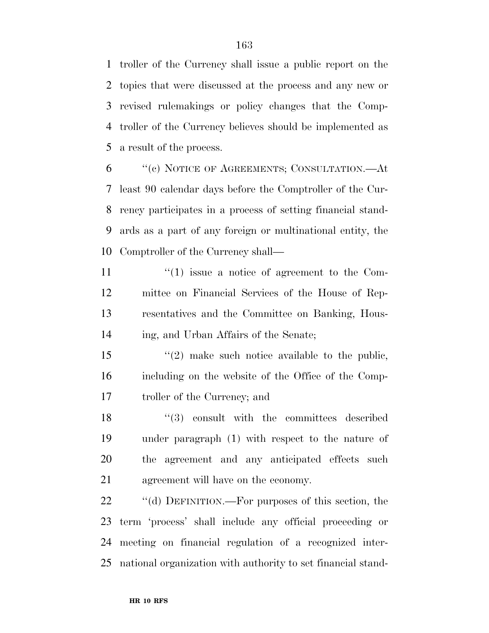troller of the Currency shall issue a public report on the topics that were discussed at the process and any new or revised rulemakings or policy changes that the Comp- troller of the Currency believes should be implemented as a result of the process.

 ''(c) NOTICE OF AGREEMENTS; CONSULTATION.—At least 90 calendar days before the Comptroller of the Cur- rency participates in a process of setting financial stand- ards as a part of any foreign or multinational entity, the Comptroller of the Currency shall—

 $\frac{1}{2}$   $\frac{1}{2}$  issue a notice of agreement to the Com- mittee on Financial Services of the House of Rep- resentatives and the Committee on Banking, Hous-ing, and Urban Affairs of the Senate;

15 ''(2) make such notice available to the public, including on the website of the Office of the Comp-troller of the Currency; and

18 ''(3) consult with the committees described under paragraph (1) with respect to the nature of the agreement and any anticipated effects such agreement will have on the economy.

22 "(d) DEFINITION.—For purposes of this section, the term 'process' shall include any official proceeding or meeting on financial regulation of a recognized inter-national organization with authority to set financial stand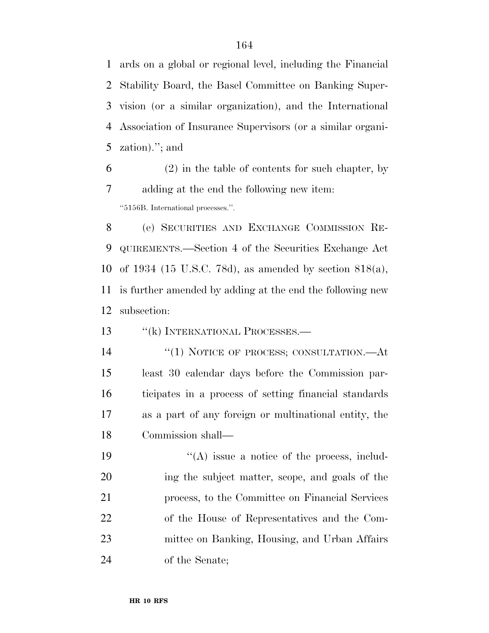ards on a global or regional level, including the Financial Stability Board, the Basel Committee on Banking Super- vision (or a similar organization), and the International Association of Insurance Supervisors (or a similar organi-zation).''; and

 (2) in the table of contents for such chapter, by adding at the end the following new item: ''5156B. International processes.''.

 (e) SECURITIES AND EXCHANGE COMMISSION RE- QUIREMENTS.—Section 4 of the Securities Exchange Act of 1934 (15 U.S.C. 78d), as amended by section 818(a), is further amended by adding at the end the following new subsection:

13 "(k) INTERNATIONAL PROCESSES.—

 $(1)$  NOTICE OF PROCESS; CONSULTATION.—At least 30 calendar days before the Commission par- ticipates in a process of setting financial standards as a part of any foreign or multinational entity, the Commission shall—

 $((A)$  issue a notice of the process, includ- ing the subject matter, scope, and goals of the process, to the Committee on Financial Services of the House of Representatives and the Com- mittee on Banking, Housing, and Urban Affairs of the Senate;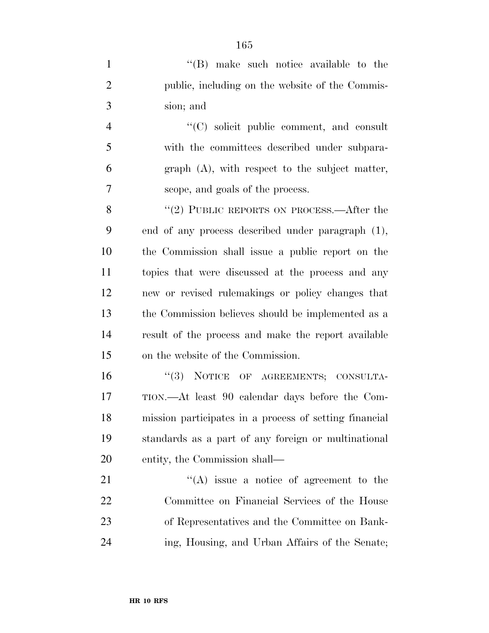| $\mathbf{1}$   | $\lq\lq$ (B) make such notice available to the         |
|----------------|--------------------------------------------------------|
| $\overline{2}$ | public, including on the website of the Commis-        |
| 3              | sion; and                                              |
| $\overline{4}$ | "(C) solicit public comment, and consult               |
| 5              | with the committees described under subpara-           |
| 6              | $graph(A)$ , with respect to the subject matter,       |
| 7              | scope, and goals of the process.                       |
| 8              | "(2) PUBLIC REPORTS ON PROCESS.—After the              |
| 9              | end of any process described under paragraph (1),      |
| 10             | the Commission shall issue a public report on the      |
| 11             | topics that were discussed at the process and any      |
| 12             | new or revised rulemakings or policy changes that      |
| 13             | the Commission believes should be implemented as a     |
| 14             | result of the process and make the report available    |
| 15             | on the website of the Commission.                      |
| 16             | "(3) NOTICE OF AGREEMENTS; CONSULTA-                   |
| 17             | TION.—At least 90 calendar days before the Com-        |
| 18             | mission participates in a process of setting financial |
| 19             | standards as a part of any foreign or multinational    |
| 20             | entity, the Commission shall—                          |
| 21             | $\lq\lq$ issue a notice of agreement to the            |
| 22             | Committee on Financial Services of the House           |
| 23             | of Representatives and the Committee on Bank-          |
| 24             | ing, Housing, and Urban Affairs of the Senate;         |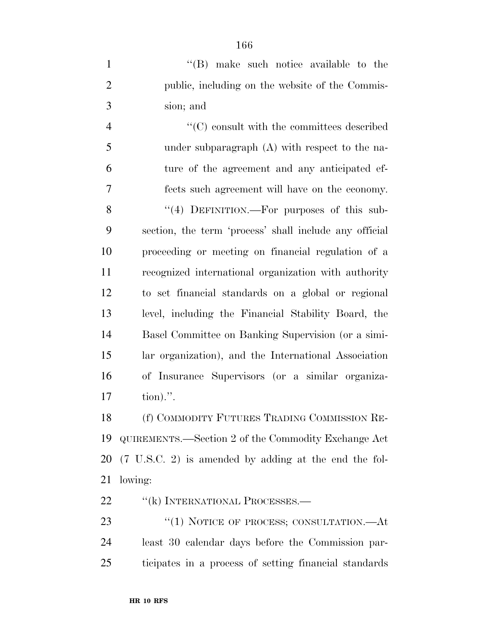1 ''(B) make such notice available to the public, including on the website of the Commis-sion; and

 $\langle ^{\prime}(C) \rangle$  consult with the committees described under subparagraph (A) with respect to the na- ture of the agreement and any anticipated ef- fects such agreement will have on the economy. 8 "(4) DEFINITION.—For purposes of this sub- section, the term 'process' shall include any official proceeding or meeting on financial regulation of a recognized international organization with authority to set financial standards on a global or regional level, including the Financial Stability Board, the Basel Committee on Banking Supervision (or a simi- lar organization), and the International Association of Insurance Supervisors (or a similar organiza-tion).''.

 (f) COMMODITY FUTURES TRADING COMMISSION RE- QUIREMENTS.—Section 2 of the Commodity Exchange Act (7 U.S.C. 2) is amended by adding at the end the fol-lowing:

22 <sup>"</sup>(k) INTERNATIONAL PROCESSES.—

23 "(1) NOTICE OF PROCESS; CONSULTATION.—At least 30 calendar days before the Commission par-ticipates in a process of setting financial standards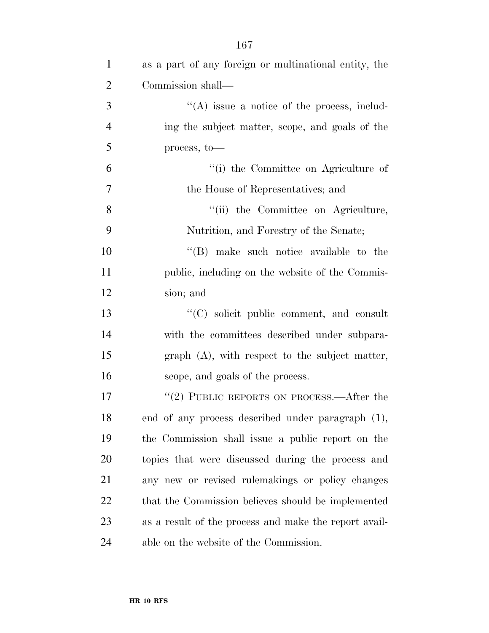| $\mathbf{1}$   | as a part of any foreign or multinational entity, the |
|----------------|-------------------------------------------------------|
| $\overline{2}$ | Commission shall—                                     |
| 3              | $\lq\lq$ issue a notice of the process, includ-       |
| $\overline{4}$ | ing the subject matter, scope, and goals of the       |
| 5              | process, $to$                                         |
| 6              | "(i) the Committee on Agriculture of                  |
| $\overline{7}$ | the House of Representatives; and                     |
| 8              | "(ii) the Committee on Agriculture,                   |
| 9              | Nutrition, and Forestry of the Senate;                |
| 10             | "(B) make such notice available to the                |
| 11             | public, including on the website of the Commis-       |
| 12             | sion; and                                             |
| 13             | "(C) solicit public comment, and consult              |
| 14             | with the committees described under subpara-          |
| 15             | $graph(A)$ , with respect to the subject matter,      |
| 16             | scope, and goals of the process.                      |
| 17             | " $(2)$ PUBLIC REPORTS ON PROCESS.—After the          |
| 18             | end of any process described under paragraph (1),     |
| 19             | the Commission shall issue a public report on the     |
| 20             | topics that were discussed during the process and     |
| 21             | any new or revised rulemakings or policy changes      |
| 22             | that the Commission believes should be implemented    |
| 23             | as a result of the process and make the report avail- |
| 24             | able on the website of the Commission.                |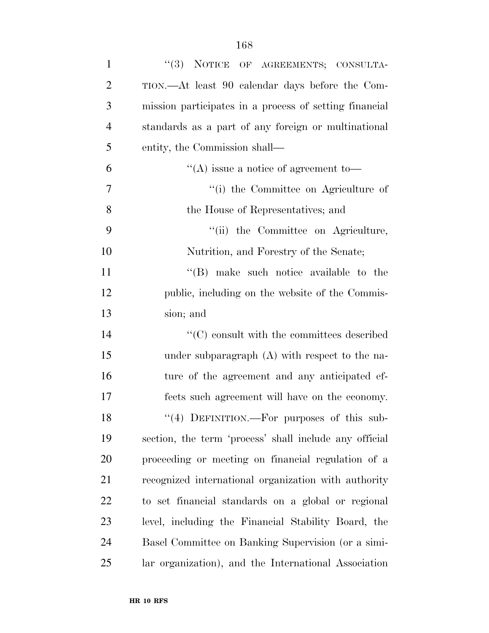| $\mathbf{1}$   | "(3) NOTICE OF AGREEMENTS; CONSULTA-                   |
|----------------|--------------------------------------------------------|
| $\overline{2}$ | TION.—At least 90 calendar days before the Com-        |
| 3              | mission participates in a process of setting financial |
| $\overline{4}$ | standards as a part of any foreign or multinational    |
| 5              | entity, the Commission shall—                          |
| 6              | $\lq\lq$ issue a notice of agreement to-               |
| 7              | "(i) the Committee on Agriculture of                   |
| 8              | the House of Representatives; and                      |
| 9              | "(ii) the Committee on Agriculture,                    |
| 10             | Nutrition, and Forestry of the Senate;                 |
| 11             | "(B) make such notice available to the                 |
| 12             | public, including on the website of the Commis-        |
| 13             | sion; and                                              |
| 14             | $\cdot$ (C) consult with the committees described      |
| 15             | under subparagraph $(A)$ with respect to the na-       |
| 16             | ture of the agreement and any anticipated ef-          |
| 17             | fects such agreement will have on the economy.         |
| 18             | "(4) DEFINITION.—For purposes of this sub-             |
| 19             | section, the term 'process' shall include any official |
| 20             | proceeding or meeting on financial regulation of a     |
| 21             | recognized international organization with authority   |
| 22             | to set financial standards on a global or regional     |
| 23             | level, including the Financial Stability Board, the    |
| 24             | Basel Committee on Banking Supervision (or a simi-     |
| 25             | lar organization), and the International Association   |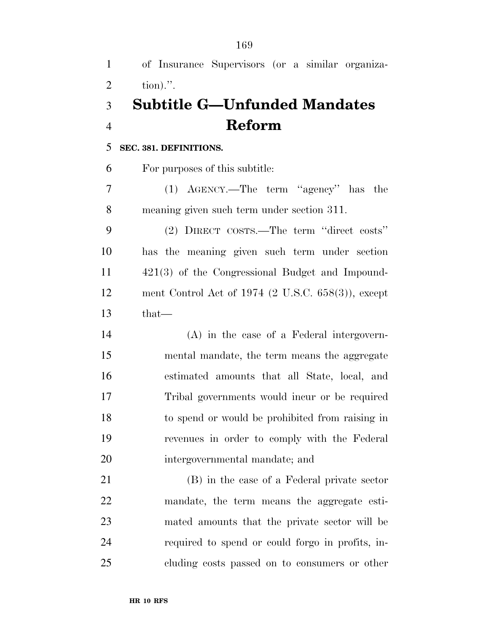of Insurance Supervisors (or a similar organiza- tion).''. **Subtitle G—Unfunded Mandates Reform SEC. 381. DEFINITIONS.**  For purposes of this subtitle: (1) AGENCY.—The term ''agency'' has the meaning given such term under section 311. (2) DIRECT COSTS.—The term ''direct costs'' has the meaning given such term under section 421(3) of the Congressional Budget and Impound- ment Control Act of 1974 (2 U.S.C. 658(3)), except that— (A) in the case of a Federal intergovern- mental mandate, the term means the aggregate estimated amounts that all State, local, and Tribal governments would incur or be required to spend or would be prohibited from raising in revenues in order to comply with the Federal intergovernmental mandate; and (B) in the case of a Federal private sector mandate, the term means the aggregate esti- mated amounts that the private sector will be required to spend or could forgo in profits, in-cluding costs passed on to consumers or other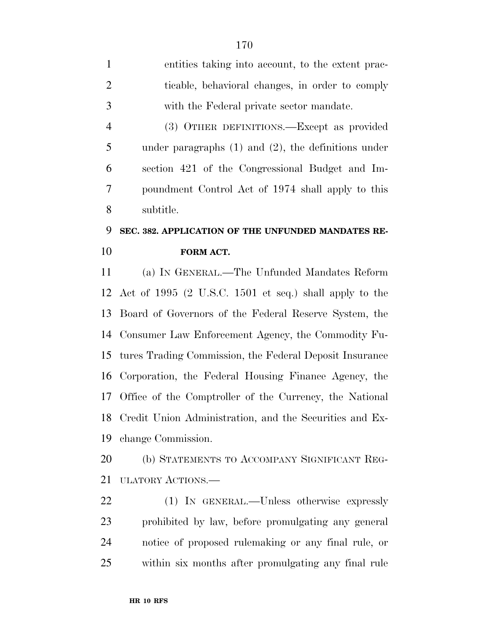| $\mathbf{1}$   | entities taking into account, to the extent prac-          |
|----------------|------------------------------------------------------------|
| $\overline{2}$ | ticable, behavioral changes, in order to comply            |
| 3              | with the Federal private sector mandate.                   |
| $\overline{4}$ | (3) OTHER DEFINITIONS.—Except as provided                  |
| 5              | under paragraphs $(1)$ and $(2)$ , the definitions under   |
| 6              | section 421 of the Congressional Budget and Im-            |
| 7              | poundment Control Act of 1974 shall apply to this          |
| 8              | subtitle.                                                  |
| 9              | SEC. 382. APPLICATION OF THE UNFUNDED MANDATES RE-         |
| 10             | FORM ACT.                                                  |
| 11             | (a) IN GENERAL.—The Unfunded Mandates Reform               |
| 12             | Act of 1995 (2 U.S.C. 1501 et seq.) shall apply to the     |
| 13             | Board of Governors of the Federal Reserve System, the      |
| 14             | Consumer Law Enforcement Agency, the Commodity Fu-         |
| 15             | tures Trading Commission, the Federal Deposit Insurance    |
| 16             | Corporation, the Federal Housing Finance Agency, the       |
| 17             | Office of the Comptroller of the Currency, the National    |
|                | 18 Credit Union Administration, and the Securities and Ex- |
| 19             | change Commission.                                         |
| 20             | (b) STATEMENTS TO ACCOMPANY SIGNIFICANT REG-               |
| 21             | ULATORY ACTIONS.—                                          |
| 22             | (1) IN GENERAL.—Unless otherwise expressly                 |
| 23             | prohibited by law, before promulgating any general         |

 notice of proposed rulemaking or any final rule, or within six months after promulgating any final rule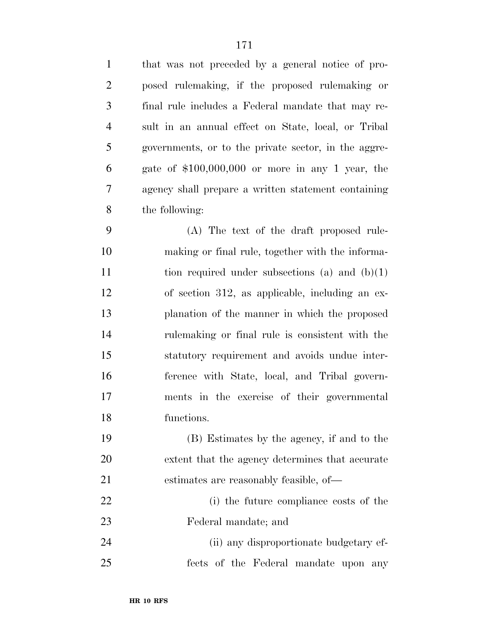| $\mathbf{1}$   | that was not preceded by a general notice of pro-    |
|----------------|------------------------------------------------------|
| $\overline{2}$ | posed rulemaking, if the proposed rulemaking or      |
| 3              | final rule includes a Federal mandate that may re-   |
| $\overline{4}$ | sult in an annual effect on State, local, or Tribal  |
| 5              | governments, or to the private sector, in the aggre- |
| 6              | gate of $$100,000,000$ or more in any 1 year, the    |
| $\overline{7}$ | agency shall prepare a written statement containing  |
| 8              | the following:                                       |
| 9              | (A) The text of the draft proposed rule-             |
| 10             | making or final rule, together with the informa-     |
| 11             | tion required under subsections (a) and $(b)(1)$     |
| 12             | of section 312, as applicable, including an ex-      |
| 13             | planation of the manner in which the proposed        |
| 14             | rule making or final rule is consistent with the     |
| 15             | statutory requirement and avoids undue inter-        |
| 16             | ference with State, local, and Tribal govern-        |
| 17             | ments in the exercise of their governmental          |
| 18             | functions.                                           |
| 19             | (B) Estimates by the agency, if and to the           |
| 20             | extent that the agency determines that accurate      |
| 21             | estimates are reasonably feasible, of—               |

 (i) the future compliance costs of the Federal mandate; and

 (ii) any disproportionate budgetary ef-fects of the Federal mandate upon any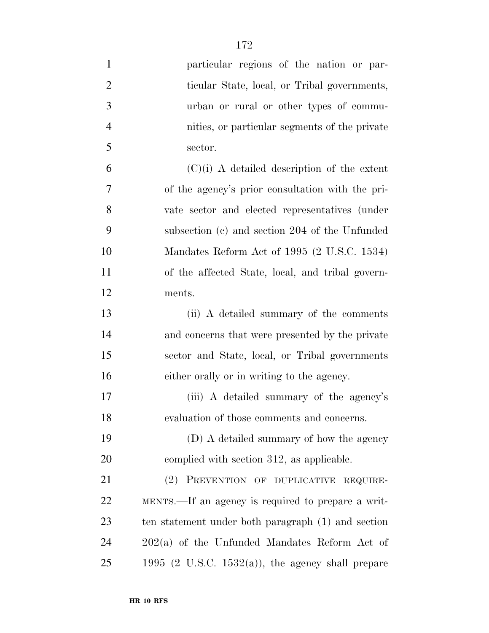| $\mathbf{1}$   | particular regions of the nation or par-           |
|----------------|----------------------------------------------------|
| $\overline{2}$ | ticular State, local, or Tribal governments,       |
| 3              | urban or rural or other types of commu-            |
| $\overline{4}$ | nities, or particular segments of the private      |
| 5              | sector.                                            |
| 6              | $(C)(i)$ A detailed description of the extent      |
| $\overline{7}$ | of the agency's prior consultation with the pri-   |
| 8              | vate sector and elected representatives (under     |
| 9              | subsection (c) and section 204 of the Unfunded     |
| 10             | Mandates Reform Act of 1995 (2 U.S.C. 1534)        |
| 11             | of the affected State, local, and tribal govern-   |
| 12             | ments.                                             |
| 13             | (ii) A detailed summary of the comments            |
| 14             | and concerns that were presented by the private    |
| 15             | sector and State, local, or Tribal governments     |
| 16             | either orally or in writing to the agency.         |
| 17             | (iii) A detailed summary of the agency's           |
| 18             | evaluation of those comments and concerns.         |
| 19             | (D) A detailed summary of how the agency           |
| 20             | complied with section 312, as applicable.          |
| 21             | (2) PREVENTION OF DUPLICATIVE REQUIRE-             |
| 22             | MENTS.—If an agency is required to prepare a writ- |
| 23             | ten statement under both paragraph (1) and section |
| 24             | $202(a)$ of the Unfunded Mandates Reform Act of    |
| 25             | 1995 (2 U.S.C. 1532(a)), the agency shall prepare  |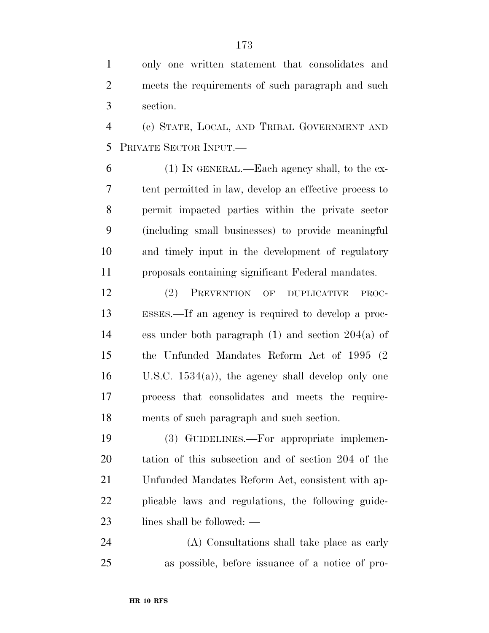only one written statement that consolidates and meets the requirements of such paragraph and such section.

 (c) STATE, LOCAL, AND TRIBAL GOVERNMENT AND PRIVATE SECTOR INPUT.—

 (1) IN GENERAL.—Each agency shall, to the ex- tent permitted in law, develop an effective process to permit impacted parties within the private sector (including small businesses) to provide meaningful and timely input in the development of regulatory proposals containing significant Federal mandates.

 (2) PREVENTION OF DUPLICATIVE PROC- ESSES.—If an agency is required to develop a proc- ess under both paragraph (1) and section 204(a) of the Unfunded Mandates Reform Act of 1995 (2 U.S.C. 1534(a)), the agency shall develop only one process that consolidates and meets the require-ments of such paragraph and such section.

 (3) GUIDELINES.—For appropriate implemen- tation of this subsection and of section 204 of the Unfunded Mandates Reform Act, consistent with ap- plicable laws and regulations, the following guide-23 lines shall be followed: —

 (A) Consultations shall take place as early as possible, before issuance of a notice of pro-

**HR 10 RFS**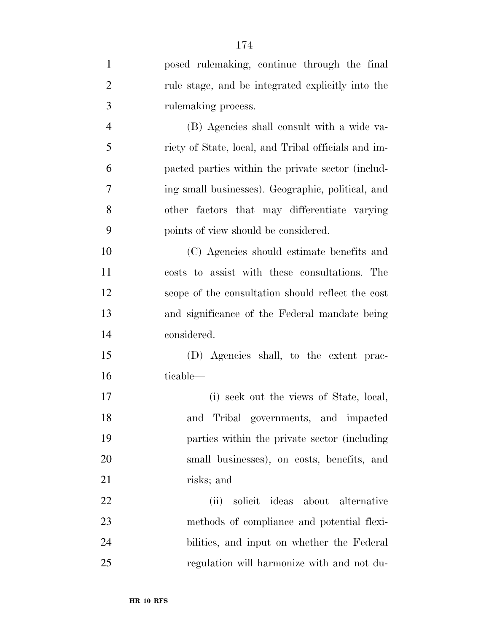| $\mathbf{1}$   | posed rulemaking, continue through the final        |
|----------------|-----------------------------------------------------|
| $\overline{2}$ | rule stage, and be integrated explicitly into the   |
| 3              | rulemaking process.                                 |
| $\overline{4}$ | (B) Agencies shall consult with a wide va-          |
| 5              | riety of State, local, and Tribal officials and im- |
| 6              | pacted parties within the private sector (includ-   |
| 7              | ing small businesses). Geographic, political, and   |
| 8              | other factors that may differentiate varying        |
| 9              | points of view should be considered.                |
| 10             | (C) Agencies should estimate benefits and           |
| 11             | costs to assist with these consultations. The       |
| 12             | scope of the consultation should reflect the cost   |
| 13             | and significance of the Federal mandate being       |
| 14             | considered.                                         |
| 15             | (D) Agencies shall, to the extent prac-             |
| 16             | ticable—                                            |
| 17             | (i) seek out the views of State, local,             |
| 18             | and Tribal governments, and impacted                |
| 19             | parties within the private sector (including        |
| 20             | small businesses), on costs, benefits, and          |
| 21             | risks; and                                          |
| 22             | solicit ideas about alternative<br>(ii)             |
| 23             | methods of compliance and potential flexi-          |
| 24             | bilities, and input on whether the Federal          |
| 25             | regulation will harmonize with and not du-          |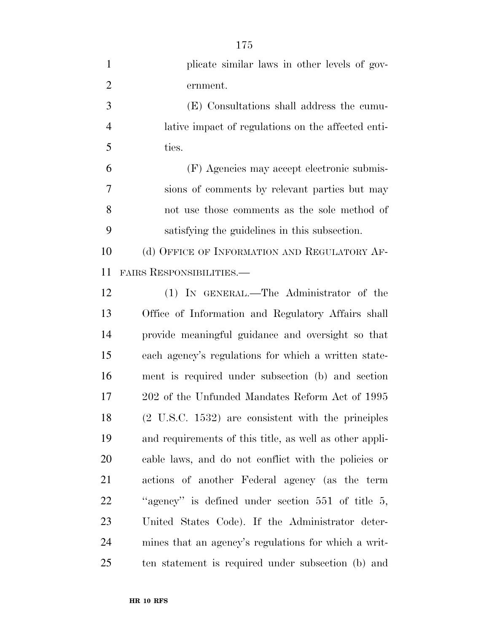| $\mathbf{1}$   | plicate similar laws in other levels of gov-                  |
|----------------|---------------------------------------------------------------|
| $\overline{2}$ | ernment.                                                      |
| 3              | (E) Consultations shall address the cumu-                     |
| $\overline{4}$ | lative impact of regulations on the affected enti-            |
| 5              | ties.                                                         |
| 6              | (F) Agencies may accept electronic submis-                    |
| 7              | sions of comments by relevant parties but may                 |
| 8              | not use those comments as the sole method of                  |
| 9              | satisfying the guidelines in this subsection.                 |
| 10             | (d) OFFICE OF INFORMATION AND REGULATORY AF-                  |
| 11             | FAIRS RESPONSIBILITIES.                                       |
| 12             | (1) IN GENERAL.—The Administrator of the                      |
| 13             | Office of Information and Regulatory Affairs shall            |
| 14             | provide meaningful guidance and oversight so that             |
| 15             | each agency's regulations for which a written state-          |
| 16             | ment is required under subsection (b) and section             |
| 17             | 202 of the Unfunded Mandates Reform Act of 1995               |
| 18             | $(2 \text{ U.S.C. } 1532)$ are consistent with the principles |
| 19             | and requirements of this title, as well as other appli-       |
| <b>20</b>      | cable laws, and do not conflict with the policies or          |
| 21             | actions of another Federal agency (as the term                |
| 22             | "agency" is defined under section 551 of title 5,             |
| 23             | United States Code). If the Administrator deter-              |
| 24             | mines that an agency's regulations for which a writ-          |
| 25             | ten statement is required under subsection (b) and            |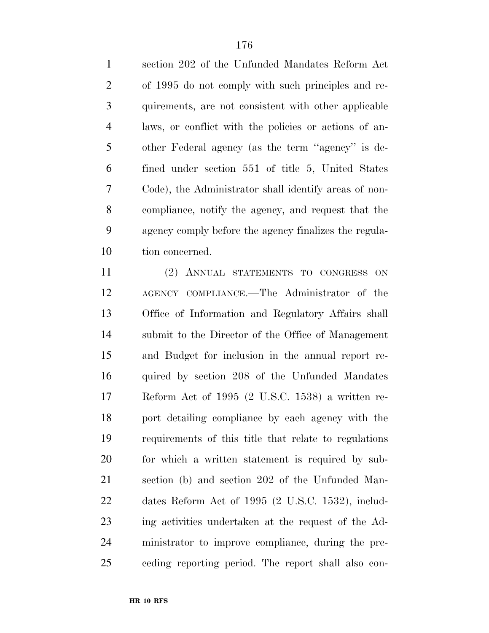section 202 of the Unfunded Mandates Reform Act of 1995 do not comply with such principles and re- quirements, are not consistent with other applicable laws, or conflict with the policies or actions of an- other Federal agency (as the term ''agency'' is de- fined under section 551 of title 5, United States Code), the Administrator shall identify areas of non- compliance, notify the agency, and request that the agency comply before the agency finalizes the regula-tion concerned.

 (2) ANNUAL STATEMENTS TO CONGRESS ON AGENCY COMPLIANCE.—The Administrator of the Office of Information and Regulatory Affairs shall submit to the Director of the Office of Management and Budget for inclusion in the annual report re- quired by section 208 of the Unfunded Mandates Reform Act of 1995 (2 U.S.C. 1538) a written re- port detailing compliance by each agency with the requirements of this title that relate to regulations for which a written statement is required by sub- section (b) and section 202 of the Unfunded Man- dates Reform Act of 1995 (2 U.S.C. 1532), includ- ing activities undertaken at the request of the Ad- ministrator to improve compliance, during the pre-ceding reporting period. The report shall also con-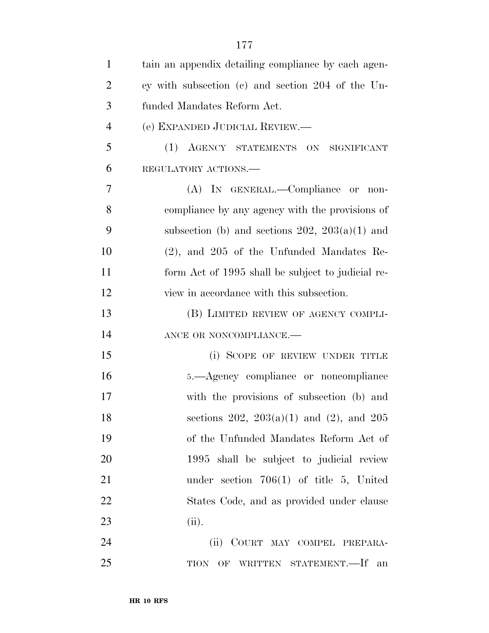| $\mathbf{1}$   | tain an appendix detailing compliance by each agen- |
|----------------|-----------------------------------------------------|
| $\overline{2}$ | cy with subsection (c) and section 204 of the Un-   |
| 3              | funded Mandates Reform Act.                         |
| $\overline{4}$ | (e) EXPANDED JUDICIAL REVIEW.—                      |
| 5              | (1) AGENCY STATEMENTS ON SIGNIFICANT                |
| 6              | REGULATORY ACTIONS.                                 |
| 7              | (A) IN GENERAL.—Compliance or non-                  |
| 8              | compliance by any agency with the provisions of     |
| 9              | subsection (b) and sections $202$ , $203(a)(1)$ and |
| 10             | $(2)$ , and $205$ of the Unfunded Mandates Re-      |
| 11             | form Act of 1995 shall be subject to judicial re-   |
| 12             | view in accordance with this subsection.            |
| 13             | (B) LIMITED REVIEW OF AGENCY COMPLI-                |
| 14             | ANCE OR NONCOMPLIANCE.-                             |
| 15             | (i) SCOPE OF REVIEW UNDER TITLE                     |
| 16             | 5.—Agency compliance or noncompliance               |
| 17             | with the provisions of subsection (b) and           |
| 18             | sections 202, 203(a)(1) and (2), and 205            |
| 19             | of the Unfunded Mandates Reform Act of              |
| 20             | 1995 shall be subject to judicial review            |
| 21             | under section $706(1)$ of title 5, United           |
| 22             | States Code, and as provided under clause           |
| 23             | (ii).                                               |
| 24             | (ii) COURT MAY COMPEL PREPARA-                      |
| 25             | TION OF WRITTEN STATEMENT.-If<br>an                 |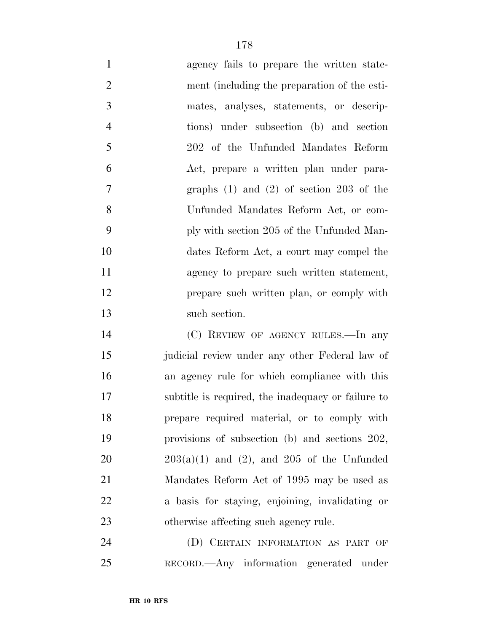| $\mathbf{1}$   | agency fails to prepare the written state-         |
|----------------|----------------------------------------------------|
| $\overline{2}$ | ment (including the preparation of the esti-       |
| 3              | mates, analyses, statements, or descrip-           |
| $\overline{4}$ | tions) under subsection (b) and section            |
| 5              | 202 of the Unfunded Mandates Reform                |
| 6              | Act, prepare a written plan under para-            |
| 7              | graphs $(1)$ and $(2)$ of section 203 of the       |
| 8              | Unfunded Mandates Reform Act, or com-              |
| 9              | ply with section 205 of the Unfunded Man-          |
| 10             | dates Reform Act, a court may compel the           |
| 11             | agency to prepare such written statement,          |
| 12             | prepare such written plan, or comply with          |
| 13             | such section.                                      |
| 14             | (C) REVIEW OF AGENCY RULES.—In any                 |
| 15             | judicial review under any other Federal law of     |
| 16             | an agency rule for which compliance with this      |
|                |                                                    |
| 17             | subtitle is required, the inadequacy or failure to |
| 18             | prepare required material, or to comply with       |
| 19             | provisions of subsection (b) and sections 202,     |
| 20             | $203(a)(1)$ and $(2)$ , and $205$ of the Unfunded  |
| 21             | Mandates Reform Act of 1995 may be used as         |
| 22             | a basis for staying, enjoining, invalidating or    |
| 23             | otherwise affecting such agency rule.              |

RECORD.—Any information generated under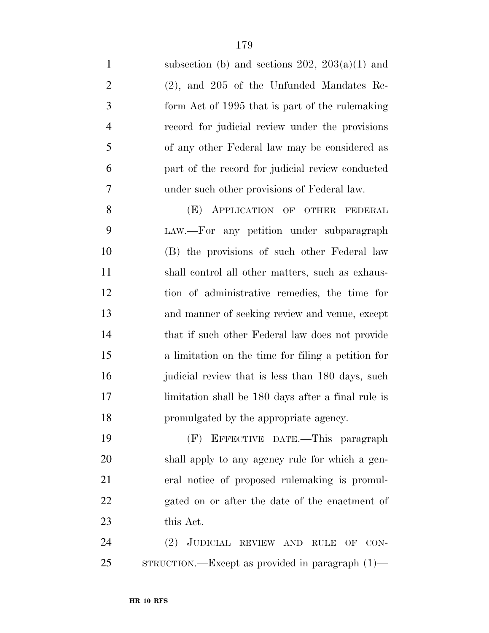1 subsection (b) and sections ,  $203(a)(1)$  and (2), and 205 of the Unfunded Mandates Re- form Act of 1995 that is part of the rulemaking record for judicial review under the provisions of any other Federal law may be considered as part of the record for judicial review conducted under such other provisions of Federal law. 8 (E) APPLICATION OF OTHER FEDERAL

 LAW.—For any petition under subparagraph (B) the provisions of such other Federal law shall control all other matters, such as exhaus- tion of administrative remedies, the time for and manner of seeking review and venue, except that if such other Federal law does not provide a limitation on the time for filing a petition for 16 judicial review that is less than 180 days, such limitation shall be 180 days after a final rule is promulgated by the appropriate agency.

 (F) EFFECTIVE DATE.—This paragraph shall apply to any agency rule for which a gen- eral notice of proposed rulemaking is promul- gated on or after the date of the enactment of this Act.

 (2) JUDICIAL REVIEW AND RULE OF CON-STRUCTION.—Except as provided in paragraph (1)—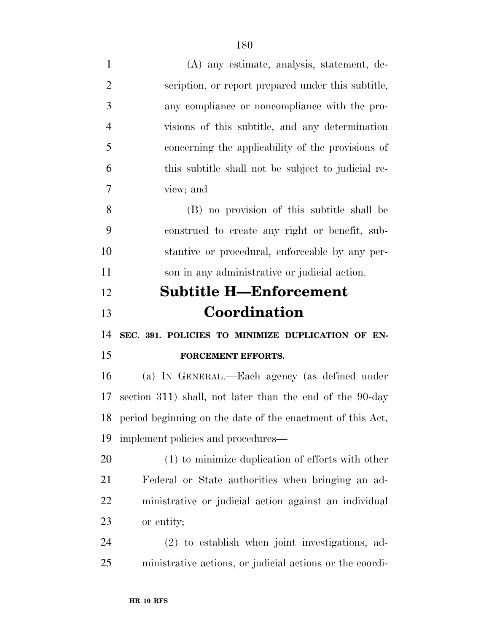| $\mathbf{1}$   | (A) any estimate, analysis, statement, de-                 |
|----------------|------------------------------------------------------------|
| $\overline{2}$ | scription, or report prepared under this subtitle,         |
| 3              | any compliance or noncompliance with the pro-              |
| $\overline{4}$ | visions of this subtitle, and any determination            |
| 5              | concerning the applicability of the provisions of          |
| 6              | this subtitle shall not be subject to judicial re-         |
| $\overline{7}$ | view; and                                                  |
| 8              | (B) no provision of this subtitle shall be                 |
| 9              | construed to create any right or benefit, sub-             |
| 10             | stantive or procedural, enforceable by any per-            |
| 11             | son in any administrative or judicial action.              |
| 12             | <b>Subtitle H—Enforcement</b>                              |
|                |                                                            |
|                | Coordination                                               |
|                | SEC. 391. POLICIES TO MINIMIZE DUPLICATION OF EN-          |
| 13<br>14<br>15 | FORCEMENT EFFORTS.                                         |
| 16             | (a) IN GENERAL.—Each agency (as defined under              |
|                | section 311) shall, not later than the end of the 90-day   |
| 17<br>18       | period beginning on the date of the enactment of this Act, |
|                | implement policies and procedures—                         |
| 19<br>20       | $(1)$ to minimize duplication of efforts with other        |
| 21             | Federal or State authorities when bringing an ad-          |
| 22             | ministrative or judicial action against an individual      |
| 23             | or entity;                                                 |

ministrative actions, or judicial actions or the coordi-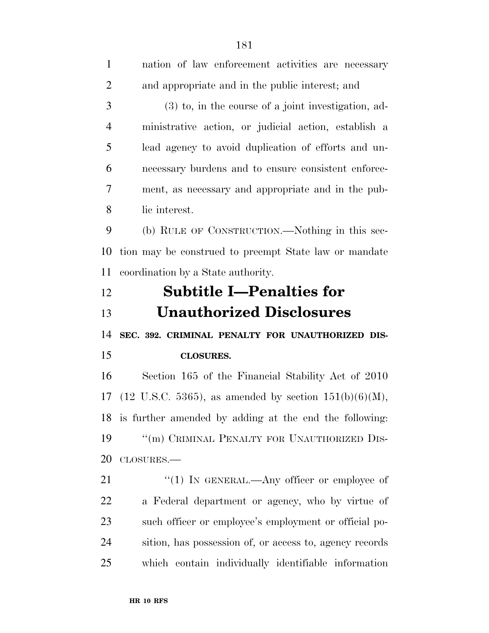| $\mathbf{1}$   | nation of law enforcement activities are necessary                   |
|----------------|----------------------------------------------------------------------|
| $\overline{2}$ | and appropriate and in the public interest; and                      |
| 3              | $(3)$ to, in the course of a joint investigation, ad-                |
| $\overline{4}$ | ministrative action, or judicial action, establish a                 |
| 5              | lead agency to avoid duplication of efforts and un-                  |
| 6              | necessary burdens and to ensure consistent enforce-                  |
| 7              | ment, as necessary and appropriate and in the pub-                   |
| 8              | lic interest.                                                        |
| 9              | (b) RULE OF CONSTRUCTION.—Nothing in this sec-                       |
| 10             | tion may be construed to preempt State law or mandate                |
| 11             | coordination by a State authority.                                   |
|                |                                                                      |
| 12             | <b>Subtitle I-Penalties for</b>                                      |
| 13             | <b>Unauthorized Disclosures</b>                                      |
| 14             | SEC. 392. CRIMINAL PENALTY FOR UNAUTHORIZED DIS-                     |
| 15             | <b>CLOSURES.</b>                                                     |
| 16             | Section 165 of the Financial Stability Act of 2010                   |
| 17             | $(12 \text{ U.S.C. } 5365)$ , as amended by section $151(b)(6)(M)$ , |
|                | 18 is further amended by adding at the end the following:            |
| 19             | "(m) CRIMINAL PENALTY FOR UNAUTHORIZED DIS-                          |
| 20             | CLOSURES.-                                                           |
| 21             | " $(1)$ IN GENERAL.—Any officer or employee of                       |
| 22             | a Federal department or agency, who by virtue of                     |

 sition, has possession of, or access to, agency records which contain individually identifiable information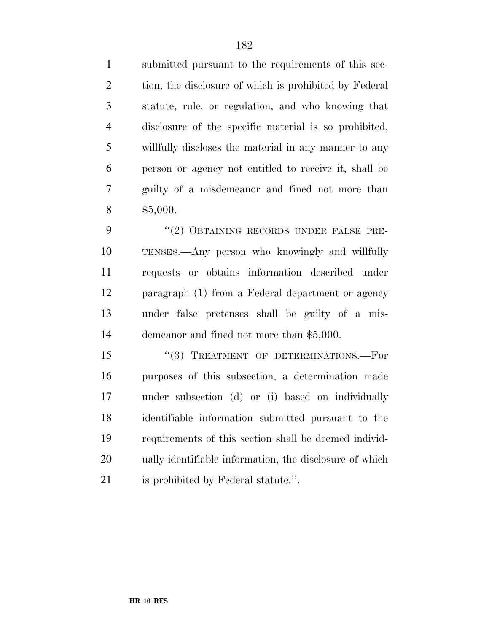submitted pursuant to the requirements of this sec-2 tion, the disclosure of which is prohibited by Federal statute, rule, or regulation, and who knowing that disclosure of the specific material is so prohibited, willfully discloses the material in any manner to any person or agency not entitled to receive it, shall be guilty of a misdemeanor and fined not more than \$5,000.

9 "(2) OBTAINING RECORDS UNDER FALSE PRE- TENSES.—Any person who knowingly and willfully requests or obtains information described under paragraph (1) from a Federal department or agency under false pretenses shall be guilty of a mis-demeanor and fined not more than \$5,000.

15 "(3) TREATMENT OF DETERMINATIONS.—For purposes of this subsection, a determination made under subsection (d) or (i) based on individually identifiable information submitted pursuant to the requirements of this section shall be deemed individ- ually identifiable information, the disclosure of which is prohibited by Federal statute.''.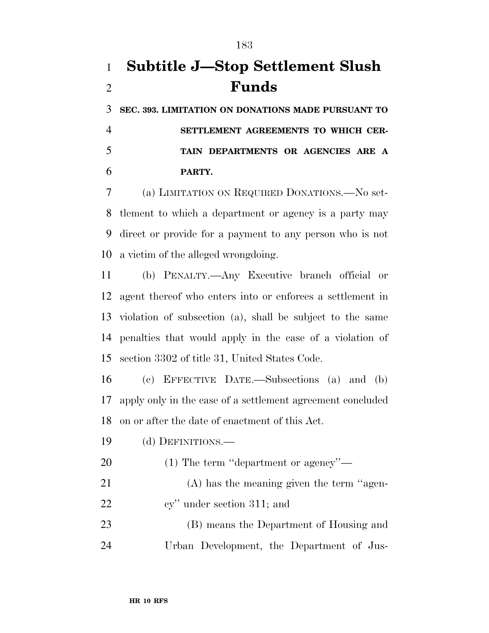## **Subtitle J—Stop Settlement Slush Funds**

 **SEC. 393. LIMITATION ON DONATIONS MADE PURSUANT TO SETTLEMENT AGREEMENTS TO WHICH CER- TAIN DEPARTMENTS OR AGENCIES ARE A PARTY.** 

 (a) LIMITATION ON REQUIRED DONATIONS.—No set- tlement to which a department or agency is a party may direct or provide for a payment to any person who is not a victim of the alleged wrongdoing.

 (b) PENALTY.—Any Executive branch official or agent thereof who enters into or enforces a settlement in violation of subsection (a), shall be subject to the same penalties that would apply in the case of a violation of section 3302 of title 31, United States Code.

 (c) EFFECTIVE DATE.—Subsections (a) and (b) apply only in the case of a settlement agreement concluded on or after the date of enactment of this Act.

- (d) DEFINITIONS.—
- (1) The term ''department or agency''— (A) has the meaning given the term ''agen-22 cy'' under section 311; and

 (B) means the Department of Housing and Urban Development, the Department of Jus-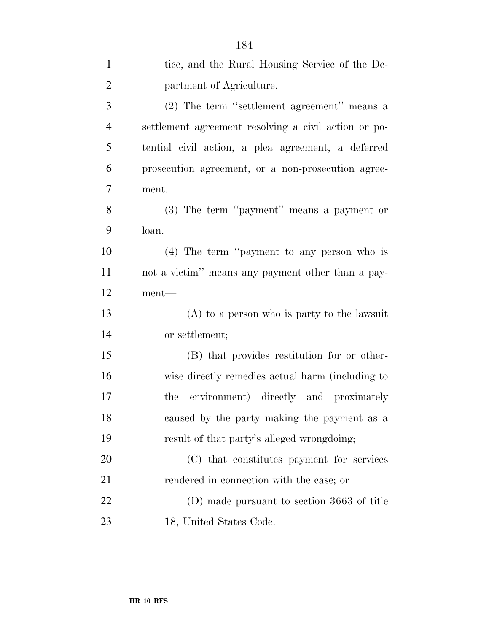| $\mathbf{1}$   | tice, and the Rural Housing Service of the De-       |
|----------------|------------------------------------------------------|
| $\overline{2}$ | partment of Agriculture.                             |
| 3              | (2) The term "settlement agreement" means a          |
| $\overline{4}$ | settlement agreement resolving a civil action or po- |
| 5              | tential civil action, a plea agreement, a deferred   |
| 6              | prosecution agreement, or a non-prosecution agree-   |
| 7              | ment.                                                |
| 8              | (3) The term "payment" means a payment or            |
| 9              | loan.                                                |
| 10             | $(4)$ The term "payment to any person who is         |
| 11             | not a victim" means any payment other than a pay-    |
| 12             | ment-                                                |
| 13             | $(A)$ to a person who is party to the lawsuit        |
| 14             | or settlement;                                       |
| 15             | (B) that provides restitution for or other-          |
| 16             | wise directly remedies actual harm (including to     |
| 17             | environment) directly and proximately<br>the         |
| 18             | caused by the party making the payment as a          |
| 19             | result of that party's alleged wrongdoing;           |
| 20             | (C) that constitutes payment for services            |
| 21             | rendered in connection with the case; or             |
| 22             | (D) made pursuant to section 3663 of title           |
| 23             | 18, United States Code.                              |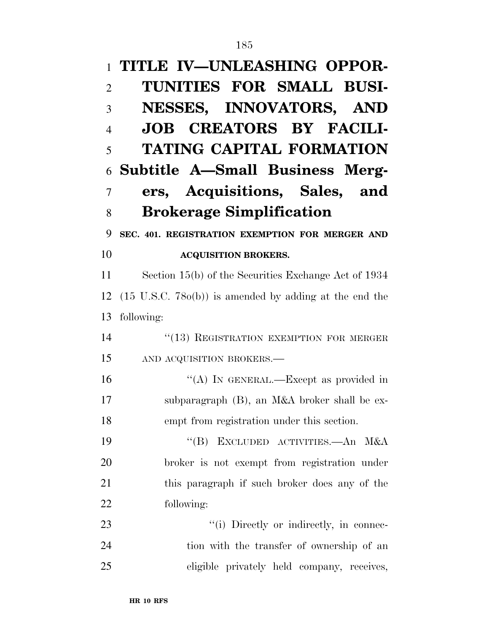|                | TITLE IV-UNLEASHING OPPOR-                                        |
|----------------|-------------------------------------------------------------------|
| $\overline{2}$ | TUNITIES FOR SMALL BUSI-                                          |
| 3              | NESSES, INNOVATORS, AND                                           |
| $\overline{4}$ | <b>JOB CREATORS BY FACILI-</b>                                    |
| 5              | <b>TATING CAPITAL FORMATION</b>                                   |
| 6              | Subtitle A-Small Business Merg-                                   |
| 7              | ers, Acquisitions, Sales, and                                     |
| 8              | <b>Brokerage Simplification</b>                                   |
| 9              | SEC. 401. REGISTRATION EXEMPTION FOR MERGER AND                   |
| 10             | <b>ACQUISITION BROKERS.</b>                                       |
| 11             | Section 15(b) of the Securities Exchange Act of 1934              |
| 12             | $(15 \text{ U.S.C. } 780(b))$ is amended by adding at the end the |
| 13             | following:                                                        |
| 14             | "(13) REGISTRATION EXEMPTION FOR MERGER                           |
| 15             | AND ACQUISITION BROKERS.-                                         |
| 16             | "(A) IN GENERAL.—Except as provided in                            |
| 17             | subparagraph (B), an M&A broker shall be ex-                      |
| 18             | empt from registration under this section.                        |
| 19             | "(B) EXCLUDED ACTIVITIES.—An M&A                                  |
| 20             | broker is not exempt from registration under                      |
| 21             | this paragraph if such broker does any of the                     |
| 22             | following:                                                        |
| 23             | "(i) Directly or indirectly, in connec-                           |
| 24             | tion with the transfer of ownership of an                         |
| 25             | eligible privately held company, receives,                        |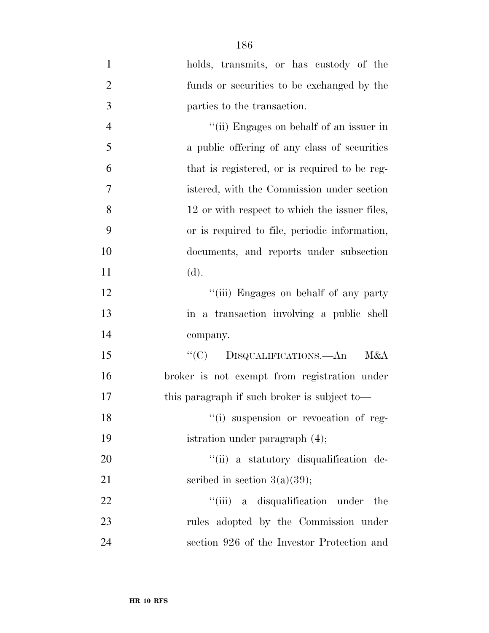| $\mathbf{1}$   | holds, transmits, or has custody of the       |
|----------------|-----------------------------------------------|
| $\overline{2}$ | funds or securities to be exchanged by the    |
| 3              | parties to the transaction.                   |
| $\overline{4}$ | "(ii) Engages on behalf of an issuer in       |
| 5              | a public offering of any class of securities  |
| 6              | that is registered, or is required to be reg- |
| $\overline{7}$ | istered, with the Commission under section    |
| 8              | 12 or with respect to which the issuer files, |
| 9              | or is required to file, periodic information, |
| 10             | documents, and reports under subsection       |
| 11             | (d).                                          |
| 12             | "(iii) Engages on behalf of any party         |
| 13             | in a transaction involving a public shell     |
| 14             | company.                                      |
| 15             | ``(C)<br>DISQUALIFICATIONS.—An<br>M&A         |
| 16             | broker is not exempt from registration under  |
| 17             | this paragraph if such broker is subject to-  |
| 18             | "(i) suspension or revocation of reg-         |
| 19             | istration under paragraph $(4)$ ;             |
| 20             | "(ii) a statutory disqualification de-        |
| 21             | scribed in section $3(a)(39)$ ;               |
| 22             | "(iii) a disqualification under<br>the        |
| 23             | rules adopted by the Commission under         |
| 24             | section 926 of the Investor Protection and    |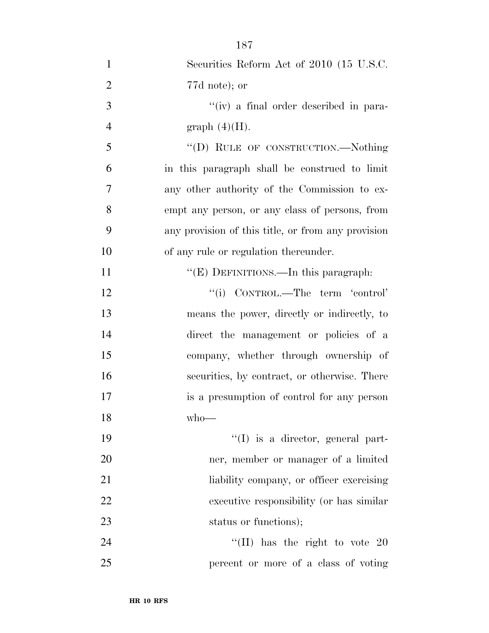| $\mathbf{1}$   | Securities Reform Act of 2010 (15 U.S.C.           |
|----------------|----------------------------------------------------|
| $\overline{2}$ | 77d note); or                                      |
| 3              | "(iv) a final order described in para-             |
| 4              | graph $(4)(H)$ .                                   |
| 5              | "(D) RULE OF CONSTRUCTION.—Nothing                 |
| 6              | in this paragraph shall be construed to limit      |
| 7              | any other authority of the Commission to ex-       |
| 8              | empt any person, or any class of persons, from     |
| 9              | any provision of this title, or from any provision |
| 10             | of any rule or regulation thereunder.              |
| 11             | "(E) DEFINITIONS.—In this paragraph:               |
| 12             | "(i) CONTROL.—The term 'control'                   |
| 13             | means the power, directly or indirectly, to        |
| 14             | direct the management or policies of a             |
| 15             | company, whether through ownership of              |
| 16             | securities, by contract, or otherwise. There       |
| 17             | is a presumption of control for any person         |
| 18             | $who$ —                                            |
| 19             | $\lq\lq$ is a director, general part-              |
| 20             | ner, member or manager of a limited                |
| 21             | liability company, or officer exercising           |
| 22             | executive responsibility (or has similar           |
| 23             | status or functions);                              |
| 24             | "(II) has the right to vote $20$                   |
| 25             | percent or more of a class of voting               |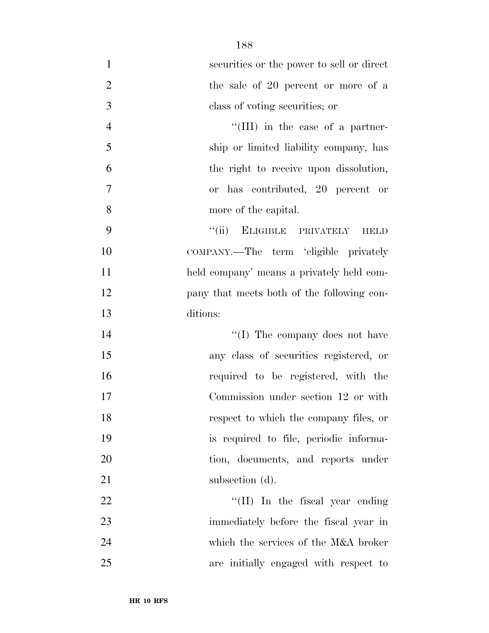| $\mathbf{1}$   | securities or the power to sell or direct  |
|----------------|--------------------------------------------|
| $\overline{2}$ | the sale of 20 percent or more of a        |
| 3              | class of voting securities; or             |
| $\overline{4}$ | $\lq\lq$ (III) in the case of a partner-   |
| 5              | ship or limited liability company, has     |
| 6              | the right to receive upon dissolution,     |
| $\overline{7}$ | or has contributed, 20 percent or          |
| 8              | more of the capital.                       |
| 9              | "(ii) ELIGIBLE PRIVATELY<br><b>HELD</b>    |
| 10             | COMPANY.—The term 'eligible privately      |
| 11             | held company' means a privately held com-  |
| 12             | pany that meets both of the following con- |
| 13             | ditions:                                   |
| 14             | "(I) The company does not have             |
| 15             | any class of securities registered, or     |
| 16             | required to be registered, with the        |
| 17             | Commission under section 12 or with        |
| 18             | respect to which the company files, or     |
| 19             | is required to file, periodic informa-     |
| 20             | tion, documents, and reports under         |
| 21             | subsection (d).                            |
| 22             | "(II) In the fiscal year ending            |
| 23             | immediately before the fiscal year in      |
| 24             | which the services of the M&A broker       |
| 25             | are initially engaged with respect to      |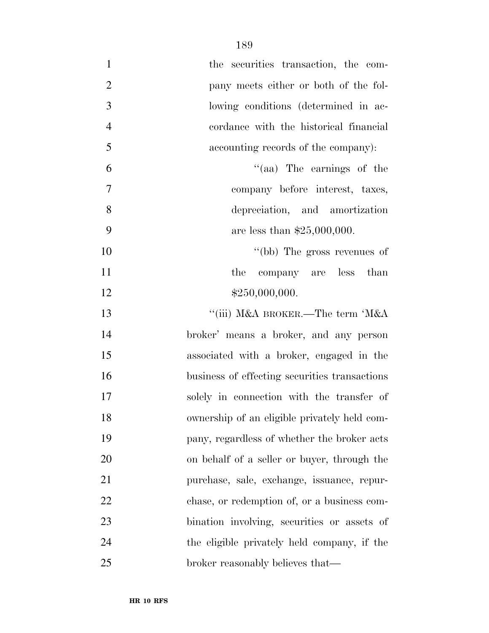| $\mathbf{1}$<br>the securities transaction, the com-     |
|----------------------------------------------------------|
| $\overline{2}$<br>pany meets either or both of the fol-  |
| 3<br>lowing conditions (determined in ac-                |
| $\overline{4}$<br>cordance with the historical financial |
| 5<br>accounting records of the company):                 |
| "(aa) The earnings of the<br>6                           |
| 7<br>company before interest, taxes,                     |
| 8<br>depreciation, and amortization                      |
| 9<br>are less than $$25,000,000$ .                       |
| 10<br>"(bb) The gross revenues of                        |
| 11<br>company are less than<br>the                       |
| 12<br>\$250,000,000.                                     |
| "(iii) M&A BROKER.—The term 'M&A<br>13                   |
| 14<br>broker' means a broker, and any person             |
| 15<br>associated with a broker, engaged in the           |
| 16<br>business of effecting securities transactions      |
| 17<br>solely in connection with the transfer of          |
| 18<br>ownership of an eligible privately held com-       |
| 19<br>pany, regardless of whether the broker acts        |
| 20<br>on behalf of a seller or buyer, through the        |
| 21<br>purchase, sale, exchange, issuance, repur-         |
| 22<br>chase, or redemption of, or a business com-        |
| 23<br>bination involving, securities or assets of        |
| 24<br>the eligible privately held company, if the        |
| 25<br>broker reasonably believes that—                   |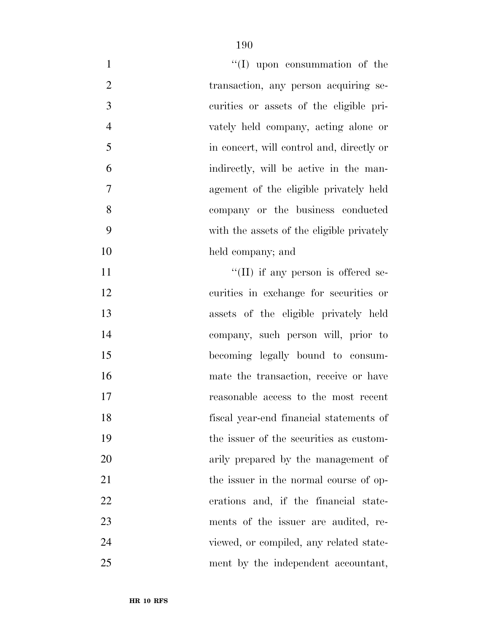| $\mathbf{1}$   | $\lq\lq$ (I) upon consummation of the      |
|----------------|--------------------------------------------|
| $\overline{2}$ | transaction, any person acquiring se-      |
| 3              | curities or assets of the eligible pri-    |
| $\overline{4}$ | vately held company, acting alone or       |
| 5              | in concert, will control and, directly or  |
| 6              | indirectly, will be active in the man-     |
| $\tau$         | agement of the eligible privately held     |
| 8              | company or the business conducted          |
| 9              | with the assets of the eligible privately  |
| 10             | held company; and                          |
| 11             | $\lq\lq$ (II) if any person is offered se- |
| 12             | curities in exchange for securities or     |
| 13             | assets of the eligible privately held      |
| 14             | company, such person will, prior to        |
| 15             | becoming legally bound to consum-          |
| 16             | mate the transaction, receive or have      |
| 17             | reasonable access to the most recent       |
| 18             | fiscal year-end financial statements of    |
| 19             | the issuer of the securities as custom-    |
| 20             | arily prepared by the management of        |
| 21             | the issuer in the normal course of op-     |
| 22             | erations and, if the financial state-      |
| 23             | ments of the issuer are audited, re-       |
| 24             | viewed, or compiled, any related state-    |
| 25             | ment by the independent accountant,        |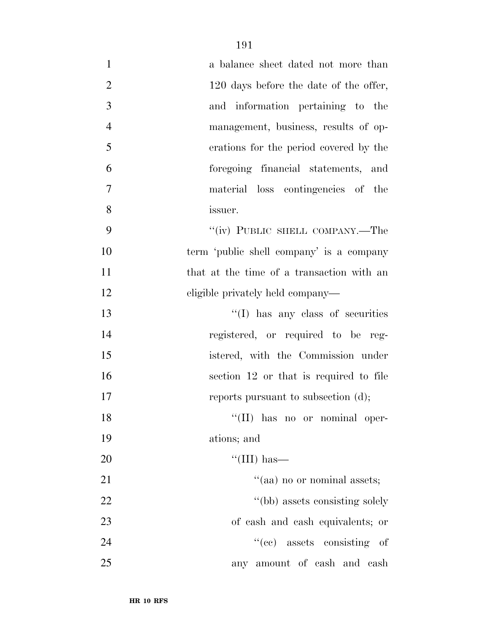| $\mathbf{1}$   | a balance sheet dated not more than       |
|----------------|-------------------------------------------|
| $\overline{2}$ | 120 days before the date of the offer,    |
| 3              | and information pertaining to the         |
| $\overline{4}$ | management, business, results of op-      |
| 5              | erations for the period covered by the    |
| 6              | foregoing financial statements, and       |
| $\tau$         | material loss contingencies of the        |
| 8              | issuer.                                   |
| 9              | "(iv) PUBLIC SHELL COMPANY.—The           |
| 10             | term 'public shell company' is a company  |
| 11             | that at the time of a transaction with an |
| 12             | eligible privately held company—          |
| 13             | $\lq\lq$ (I) has any class of securities  |
| 14             | registered, or required to be reg-        |
| 15             | istered, with the Commission under        |
| 16             | section 12 or that is required to file    |
| 17             | reports pursuant to subsection (d);       |
| 18             | "(II) has no or nominal oper-             |
| 19             | ations; and                               |
| 20             | "(III) has—                               |
| 21             | "(aa) no or nominal assets;               |
| 22             | "(bb) assets consisting solely            |
| 23             | of cash and cash equivalents; or          |
| 24             | "(cc) assets consisting of                |
| 25             | any amount of cash and cash               |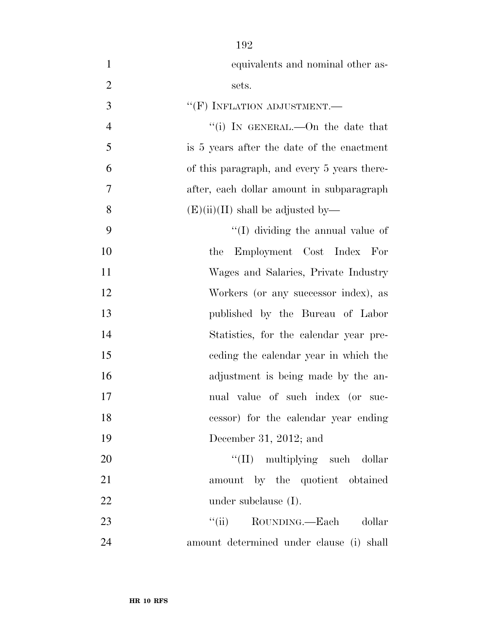| $\mathbf{1}$   | equivalents and nominal other as-           |
|----------------|---------------------------------------------|
| $\overline{2}$ | sets.                                       |
| $\overline{3}$ | $``$ (F) INFLATION ADJUSTMENT.—             |
| $\overline{4}$ | "(i) IN GENERAL.—On the date that           |
| 5              | is 5 years after the date of the enactment  |
| 6              | of this paragraph, and every 5 years there- |
| $\overline{7}$ | after, each dollar amount in subparagraph   |
| 8              | $(E)(ii)(II)$ shall be adjusted by—         |
| 9              | "(I) dividing the annual value of           |
| 10             | Employment Cost Index For<br>the            |
| 11             | Wages and Salaries, Private Industry        |
| 12             | Workers (or any successor index), as        |
| 13             | published by the Bureau of Labor            |
| 14             | Statistics, for the calendar year pre-      |
| 15             | ceding the calendar year in which the       |
| 16             | adjustment is being made by the an-         |
| 17             | nual value of such index (or suc-           |
| 18             | cessor) for the calendar year ending        |
| 19             | December 31, 2012; and                      |
| 20             | "(II) multiplying such dollar               |
| 21             | amount by the quotient obtained             |
| 22             | under subclause $(I)$ .                     |
| 23             | "(ii) ROUNDING.—Each dollar                 |
| 24             | amount determined under clause (i) shall    |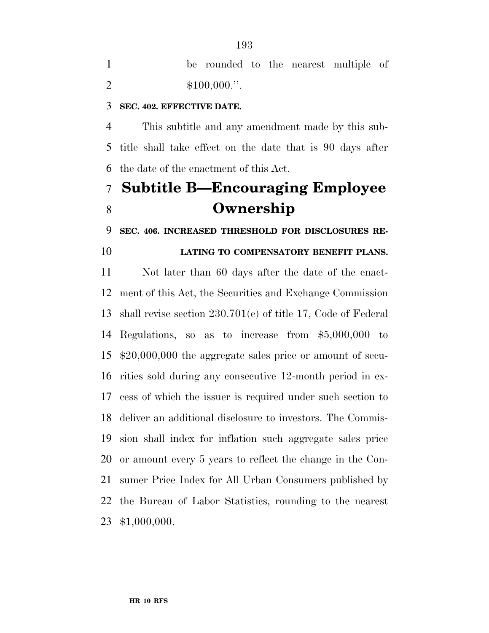|  |                |  | be rounded to the nearest multiple of |  |
|--|----------------|--|---------------------------------------|--|
|  | $$100,000."$ . |  |                                       |  |

#### **SEC. 402. EFFECTIVE DATE.**

 This subtitle and any amendment made by this sub- title shall take effect on the date that is 90 days after the date of the enactment of this Act.

### **Subtitle B—Encouraging Employee Ownership**

**SEC. 406. INCREASED THRESHOLD FOR DISCLOSURES RE-**

**LATING TO COMPENSATORY BENEFIT PLANS.** 

 Not later than 60 days after the date of the enact- ment of this Act, the Securities and Exchange Commission shall revise section 230.701(e) of title 17, Code of Federal Regulations, so as to increase from \$5,000,000 to \$20,000,000 the aggregate sales price or amount of secu- rities sold during any consecutive 12-month period in ex- cess of which the issuer is required under such section to deliver an additional disclosure to investors. The Commis- sion shall index for inflation such aggregate sales price or amount every 5 years to reflect the change in the Con- sumer Price Index for All Urban Consumers published by the Bureau of Labor Statistics, rounding to the nearest \$1,000,000.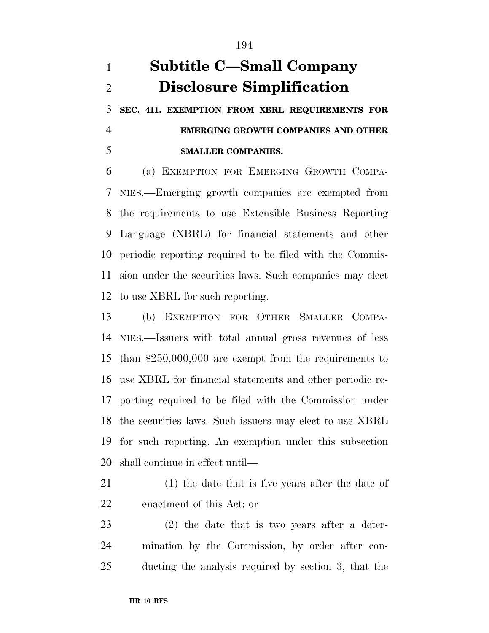### **Subtitle C—Small Company Disclosure Simplification**

 **SEC. 411. EXEMPTION FROM XBRL REQUIREMENTS FOR EMERGING GROWTH COMPANIES AND OTHER SMALLER COMPANIES.** 

 (a) EXEMPTION FOR EMERGING GROWTH COMPA- NIES.—Emerging growth companies are exempted from the requirements to use Extensible Business Reporting Language (XBRL) for financial statements and other periodic reporting required to be filed with the Commis- sion under the securities laws. Such companies may elect to use XBRL for such reporting.

 (b) EXEMPTION FOR OTHER SMALLER COMPA- NIES.—Issuers with total annual gross revenues of less than \$250,000,000 are exempt from the requirements to use XBRL for financial statements and other periodic re- porting required to be filed with the Commission under the securities laws. Such issuers may elect to use XBRL for such reporting. An exemption under this subsection shall continue in effect until—

- (1) the date that is five years after the date of enactment of this Act; or
- (2) the date that is two years after a deter- mination by the Commission, by order after con-ducting the analysis required by section 3, that the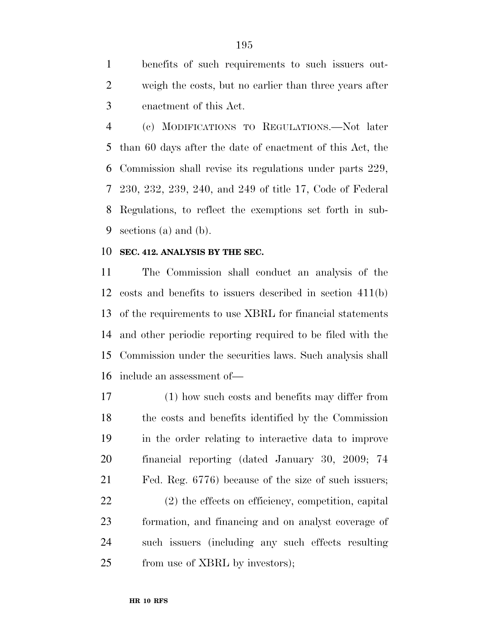benefits of such requirements to such issuers out- weigh the costs, but no earlier than three years after enactment of this Act.

 (c) MODIFICATIONS TO REGULATIONS.—Not later than 60 days after the date of enactment of this Act, the Commission shall revise its regulations under parts 229, 230, 232, 239, 240, and 249 of title 17, Code of Federal Regulations, to reflect the exemptions set forth in sub-sections (a) and (b).

#### **SEC. 412. ANALYSIS BY THE SEC.**

 The Commission shall conduct an analysis of the costs and benefits to issuers described in section 411(b) of the requirements to use XBRL for financial statements and other periodic reporting required to be filed with the Commission under the securities laws. Such analysis shall include an assessment of—

 (1) how such costs and benefits may differ from the costs and benefits identified by the Commission in the order relating to interactive data to improve financial reporting (dated January 30, 2009; 74 Fed. Reg. 6776) because of the size of such issuers; (2) the effects on efficiency, competition, capital formation, and financing and on analyst coverage of such issuers (including any such effects resulting

from use of XBRL by investors);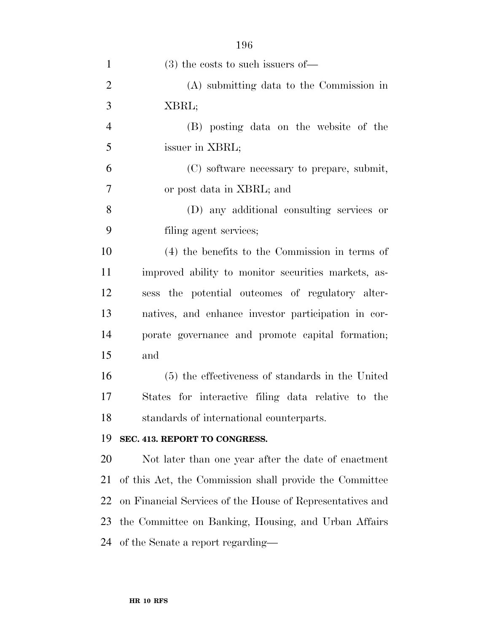| $\mathbf{1}$   | $(3)$ the costs to such issuers of —                      |
|----------------|-----------------------------------------------------------|
| $\overline{2}$ | (A) submitting data to the Commission in                  |
| 3              | XBRL;                                                     |
| $\overline{4}$ | (B) posting data on the website of the                    |
| 5              | issuer in XBRL;                                           |
| 6              | (C) software necessary to prepare, submit,                |
| 7              | or post data in XBRL; and                                 |
| 8              | (D) any additional consulting services or                 |
| 9              | filing agent services;                                    |
| 10             | $(4)$ the benefits to the Commission in terms of          |
| 11             | improved ability to monitor securities markets, as-       |
| 12             | sess the potential outcomes of regulatory alter-          |
| 13             | natives, and enhance investor participation in cor-       |
| 14             | porate governance and promote capital formation;          |
| 15             | and                                                       |
| 16             | (5) the effectiveness of standards in the United          |
| 17             | States for interactive filing data relative to the        |
| 18             | standards of international counterparts.                  |
| 19             | SEC. 413. REPORT TO CONGRESS.                             |
| 20             | Not later than one year after the date of enactment       |
| 21             | of this Act, the Commission shall provide the Committee   |
| 22             | on Financial Services of the House of Representatives and |
| 23             | the Committee on Banking, Housing, and Urban Affairs      |
| 24             | of the Senate a report regarding—                         |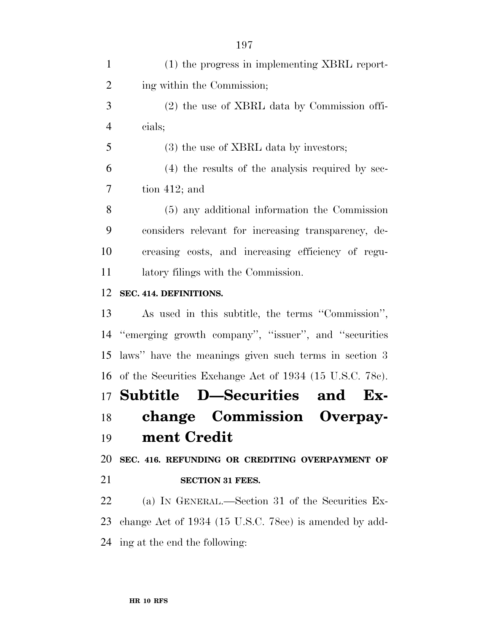| $\mathbf{1}$   | (1) the progress in implementing XBRL report-           |
|----------------|---------------------------------------------------------|
| $\overline{2}$ | ing within the Commission;                              |
| 3              | (2) the use of XBRL data by Commission offi-            |
| $\overline{4}$ | cials;                                                  |
| 5              | $(3)$ the use of XBRL data by investors;                |
| 6              | (4) the results of the analysis required by sec-        |
| $\tau$         | tion $412$ ; and                                        |
| 8              | (5) any additional information the Commission           |
| 9              | considers relevant for increasing transparency, de-     |
| 10             | creasing costs, and increasing efficiency of regu-      |
| 11             | latory filings with the Commission.                     |
| 12             | SEC. 414. DEFINITIONS.                                  |
| 13             | As used in this subtitle, the terms "Commission",       |
| 14             | "emerging growth company", "issuer", and "securities"   |
| 15             | laws" have the meanings given such terms in section 3   |
| 16             | of the Securities Exchange Act of 1934 (15 U.S.C. 78c). |
|                | 17 Subtitle D—Securities and<br>Ex-                     |
| 18             | change Commission Overpay-                              |
| 19             | ment Credit                                             |
| 20             | SEC. 416. REFUNDING OR CREDITING OVERPAYMENT OF         |
| 21             | <b>SECTION 31 FEES.</b>                                 |
| 22             | (a) IN GENERAL.—Section 31 of the Securities Ex-        |
| 23             |                                                         |
|                | change Act of 1934 (15 U.S.C. 78ee) is amended by add-  |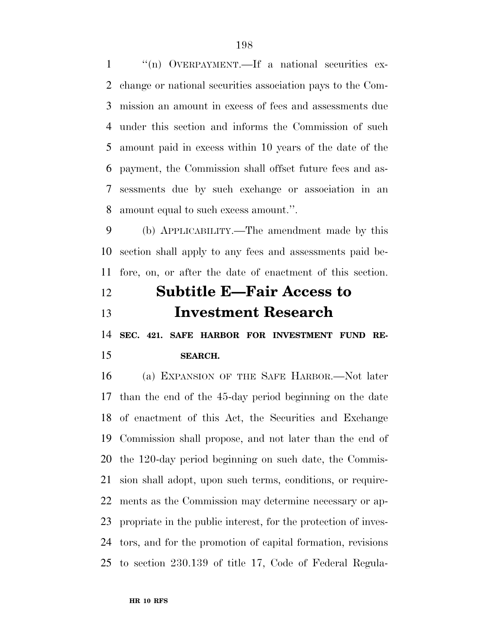1 "(n) OVERPAYMENT.—If a national securities ex- change or national securities association pays to the Com- mission an amount in excess of fees and assessments due under this section and informs the Commission of such amount paid in excess within 10 years of the date of the payment, the Commission shall offset future fees and as- sessments due by such exchange or association in an amount equal to such excess amount.''.

 (b) APPLICABILITY.—The amendment made by this section shall apply to any fees and assessments paid be-fore, on, or after the date of enactment of this section.

### **Subtitle E—Fair Access to Investment Research**

 **SEC. 421. SAFE HARBOR FOR INVESTMENT FUND RE-SEARCH.** 

 (a) EXPANSION OF THE SAFE HARBOR.—Not later than the end of the 45-day period beginning on the date of enactment of this Act, the Securities and Exchange Commission shall propose, and not later than the end of the 120-day period beginning on such date, the Commis- sion shall adopt, upon such terms, conditions, or require- ments as the Commission may determine necessary or ap- propriate in the public interest, for the protection of inves- tors, and for the promotion of capital formation, revisions to section 230.139 of title 17, Code of Federal Regula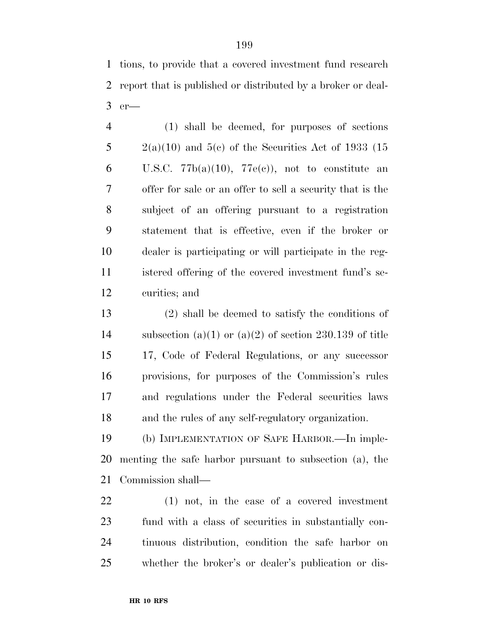tions, to provide that a covered investment fund research report that is published or distributed by a broker or deal-er—

 (1) shall be deemed, for purposes of sections 5 2(a)(10) and 5(c) of the Securities Act of 1933 (15 6 U.S.C.  $77b(a)(10)$ ,  $77e(e)$ , not to constitute an offer for sale or an offer to sell a security that is the subject of an offering pursuant to a registration statement that is effective, even if the broker or dealer is participating or will participate in the reg- istered offering of the covered investment fund's se-curities; and

 (2) shall be deemed to satisfy the conditions of 14 subsection (a)(1) or (a)(2) of section 230.139 of title 17, Code of Federal Regulations, or any successor provisions, for purposes of the Commission's rules and regulations under the Federal securities laws and the rules of any self-regulatory organization.

 (b) IMPLEMENTATION OF SAFE HARBOR.—In imple- menting the safe harbor pursuant to subsection (a), the Commission shall—

 (1) not, in the case of a covered investment fund with a class of securities in substantially con- tinuous distribution, condition the safe harbor on whether the broker's or dealer's publication or dis-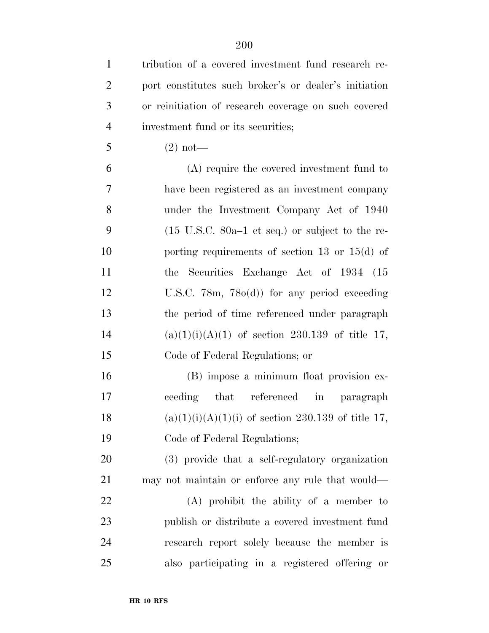| $\mathbf{1}$   | tribution of a covered investment fund research re-                |
|----------------|--------------------------------------------------------------------|
| $\overline{2}$ | port constitutes such broker's or dealer's initiation              |
| 3              | or reinitiation of research coverage on such covered               |
| $\overline{4}$ | investment fund or its securities;                                 |
| 5              | $(2)$ not—                                                         |
| 6              | (A) require the covered investment fund to                         |
| 7              | have been registered as an investment company                      |
| 8              | under the Investment Company Act of 1940                           |
| 9              | $(15 \text{ U.S.C. } 80a-1 \text{ et seq.})$ or subject to the re- |
| 10             | porting requirements of section 13 or $15(d)$ of                   |
| 11             | the Securities Exchange Act of 1934 (15                            |
| 12             | U.S.C. $78m$ , $78o(d)$ for any period exceeding                   |
| 13             | the period of time referenced under paragraph                      |
| 14             | $(a)(1)(i)(A)(1)$ of section 230.139 of title 17,                  |
| 15             | Code of Federal Regulations; or                                    |
| 16             | (B) impose a minimum float provision ex-                           |
| 17             | ceeding that referenced in paragraph                               |
| 18             | $(a)(1)(i)(A)(1)(i)$ of section 230.139 of title 17,               |
| 19             | Code of Federal Regulations;                                       |
| 20             | (3) provide that a self-regulatory organization                    |
| 21             | may not maintain or enforce any rule that would—                   |
| 22             | $(A)$ prohibit the ability of a member to                          |
| 23             | publish or distribute a covered investment fund                    |
| 24             | research report solely because the member is                       |
| 25             | also participating in a registered offering or                     |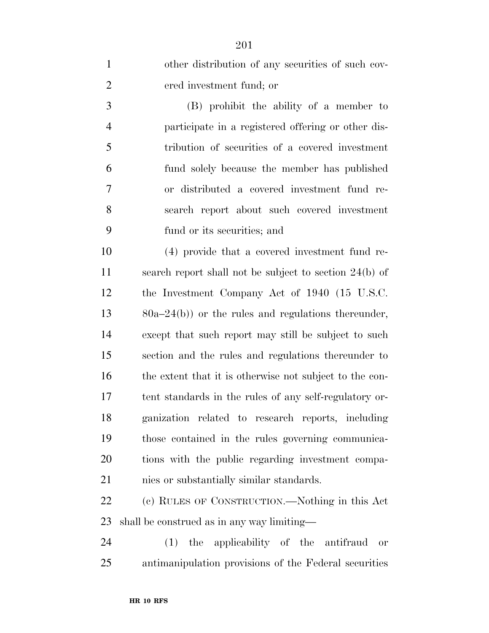| $\mathbf{1}$   | other distribution of any securities of such cov-        |
|----------------|----------------------------------------------------------|
| $\overline{2}$ | ered investment fund; or                                 |
| 3              | (B) prohibit the ability of a member to                  |
| $\overline{4}$ | participate in a registered offering or other dis-       |
| 5              | tribution of securities of a covered investment          |
| 6              | fund solely because the member has published             |
| 7              | or distributed a covered investment fund re-             |
| 8              | search report about such covered investment              |
| 9              | fund or its securities; and                              |
| 10             | (4) provide that a covered investment fund re-           |
| 11             | search report shall not be subject to section $24(b)$ of |
| 12             | the Investment Company Act of 1940 (15 U.S.C.            |
| 13             | $80a-24(b)$ or the rules and regulations thereunder,     |
| 14             | except that such report may still be subject to such     |
| 15             | section and the rules and regulations thereunder to      |
| 16             | the extent that it is otherwise not subject to the con-  |
| 17             | tent standards in the rules of any self-regulatory or-   |
| 18             | ganization related to research reports, including        |
| 19             | those contained in the rules governing communica-        |
| 20             | tions with the public regarding investment compa-        |
| 21             | nies or substantially similar standards.                 |
| 22             | (c) RULES OF CONSTRUCTION.—Nothing in this Act           |
| 23             | shall be construed as in any way limiting—               |
| 24             | the applicability of the antifraud<br>(1)<br>or          |
| 25             | antimanipulation provisions of the Federal securities    |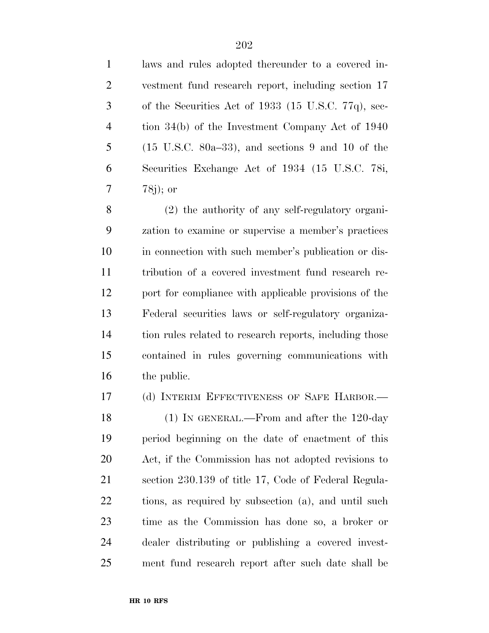laws and rules adopted thereunder to a covered in- vestment fund research report, including section 17 of the Securities Act of 1933 (15 U.S.C. 77q), sec- tion 34(b) of the Investment Company Act of 1940 (15 U.S.C. 80a–33), and sections 9 and 10 of the Securities Exchange Act of 1934 (15 U.S.C. 78i, 78j); or

 (2) the authority of any self-regulatory organi- zation to examine or supervise a member's practices in connection with such member's publication or dis- tribution of a covered investment fund research re- port for compliance with applicable provisions of the Federal securities laws or self-regulatory organiza- tion rules related to research reports, including those contained in rules governing communications with the public.

(d) INTERIM EFFECTIVENESS OF SAFE HARBOR.—

18 (1) IN GENERAL.—From and after the 120-day period beginning on the date of enactment of this Act, if the Commission has not adopted revisions to section 230.139 of title 17, Code of Federal Regula- tions, as required by subsection (a), and until such time as the Commission has done so, a broker or dealer distributing or publishing a covered invest-ment fund research report after such date shall be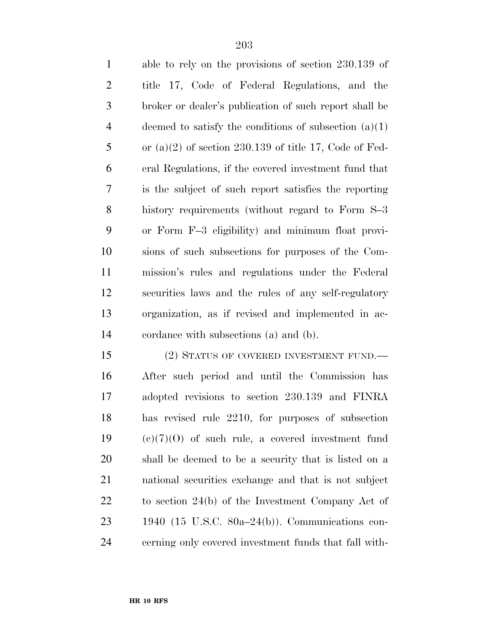| $\mathbf{1}$   | able to rely on the provisions of section 230.139 of     |
|----------------|----------------------------------------------------------|
| $\overline{2}$ | title 17, Code of Federal Regulations, and the           |
| 3              | broker or dealer's publication of such report shall be   |
| $\overline{4}$ | deemed to satisfy the conditions of subsection $(a)(1)$  |
| 5              | or $(a)(2)$ of section 230.139 of title 17, Code of Fed- |
| 6              | eral Regulations, if the covered investment fund that    |
| 7              | is the subject of such report satisfies the reporting    |
| 8              | history requirements (without regard to Form S-3)        |
| 9              | or Form F-3 eligibility) and minimum float provi-        |
| 10             | sions of such subsections for purposes of the Com-       |
| 11             | mission's rules and regulations under the Federal        |
| 12             | securities laws and the rules of any self-regulatory     |
| 13             | organization, as if revised and implemented in ac-       |
| 14             | cordance with subsections (a) and (b).                   |
| 15             | (2) STATUS OF COVERED INVESTMENT FUND.—                  |

 After such period and until the Commission has adopted revisions to section 230.139 and FINRA has revised rule 2210, for purposes of subsection (c)(7)(O) of such rule, a covered investment fund shall be deemed to be a security that is listed on a national securities exchange and that is not subject to section 24(b) of the Investment Company Act of 1940 (15 U.S.C. 80a–24(b)). Communications con-cerning only covered investment funds that fall with-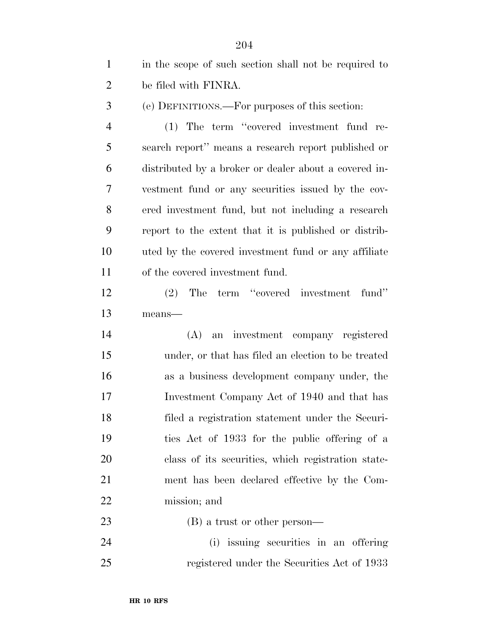| $\mathbf{1}$   | in the scope of such section shall not be required to |
|----------------|-------------------------------------------------------|
| $\overline{2}$ | be filed with FINRA.                                  |
| 3              | (e) DEFINITIONS.—For purposes of this section:        |
| $\overline{4}$ | (1) The term "covered investment fund re-             |
| 5              | search report" means a research report published or   |
| 6              | distributed by a broker or dealer about a covered in- |
| 7              | vestment fund or any securities issued by the cov-    |
| 8              | ered investment fund, but not including a research    |
| 9              | report to the extent that it is published or distrib- |
| 10             | uted by the covered investment fund or any affiliate  |
| 11             | of the covered investment fund.                       |
| 12             | The term "covered investment"<br>fund"<br>(2)         |
| 13             | $means$ —                                             |
| 14             | an investment company registered<br>(A)               |
| 15             | under, or that has filed an election to be treated    |
| 16             | as a business development company under, the          |
| 17             | Investment Company Act of 1940 and that has           |
| 18             | filed a registration statement under the Securi-      |
| 19             | ties Act of 1933 for the public offering of a         |
| 20             | class of its securities, which registration state-    |
| 21             | ment has been declared effective by the Com-          |
| 22             | mission; and                                          |
| 23             | $(B)$ a trust or other person—                        |
| 24             | (i) igguing geometries in an offering                 |

 (i) issuing securities in an offering registered under the Securities Act of 1933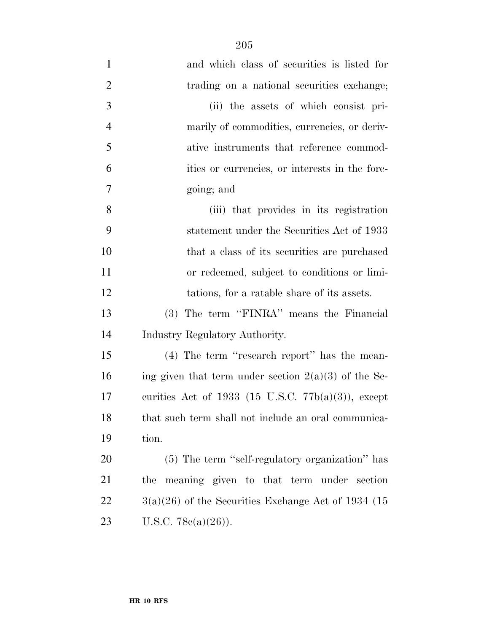| $\mathbf{1}$   | and which class of securities is listed for            |
|----------------|--------------------------------------------------------|
| $\overline{2}$ | trading on a national securities exchange;             |
| 3              | (ii) the assets of which consist pri-                  |
| $\overline{4}$ | marily of commodities, currencies, or deriv-           |
| 5              | ative instruments that reference commod-               |
| 6              | ities or currencies, or interests in the fore-         |
| 7              | going; and                                             |
| 8              | (iii) that provides in its registration                |
| 9              | statement under the Securities Act of 1933             |
| 10             | that a class of its securities are purchased           |
| 11             | or redeemed, subject to conditions or limi-            |
| 12             | tations, for a ratable share of its assets.            |
| 13             | (3) The term "FINRA" means the Financial               |
| 14             | Industry Regulatory Authority.                         |
| 15             | $(4)$ The term "research report" has the mean-         |
| 16             | ing given that term under section $2(a)(3)$ of the Se- |
| 17             | curities Act of 1933 (15 U.S.C. $77b(a)(3)$ ), except  |
| 18             | that such term shall not include an oral communica-    |
| 19             | tion.                                                  |
| 20             | (5) The term "self-regulatory organization" has        |
| 21             | meaning given to that term under section<br>the        |
| <u>22</u>      | $3(a)(26)$ of the Securities Exchange Act of 1934 (15  |
| 23             | U.S.C. $78e(a)(26)$ ).                                 |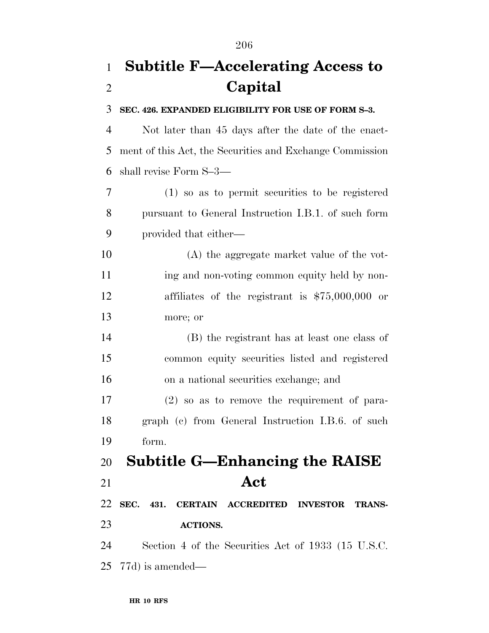# **Subtitle F—Accelerating Access to Capital**

#### **SEC. 426. EXPANDED ELIGIBILITY FOR USE OF FORM S–3.**

 Not later than 45 days after the date of the enact- ment of this Act, the Securities and Exchange Commission shall revise Form S–3—

 (1) so as to permit securities to be registered pursuant to General Instruction I.B.1. of such form provided that either—

 (A) the aggregate market value of the vot- ing and non-voting common equity held by non- affiliates of the registrant is \$75,000,000 or more; or

 (B) the registrant has at least one class of common equity securities listed and registered on a national securities exchange; and

 (2) so as to remove the requirement of para- graph (c) from General Instruction I.B.6. of such form.

 **Subtitle G—Enhancing the RAISE Act** 

 **SEC. 431. CERTAIN ACCREDITED INVESTOR TRANS-ACTIONS.** 

 Section 4 of the Securities Act of 1933 (15 U.S.C. 77d) is amended—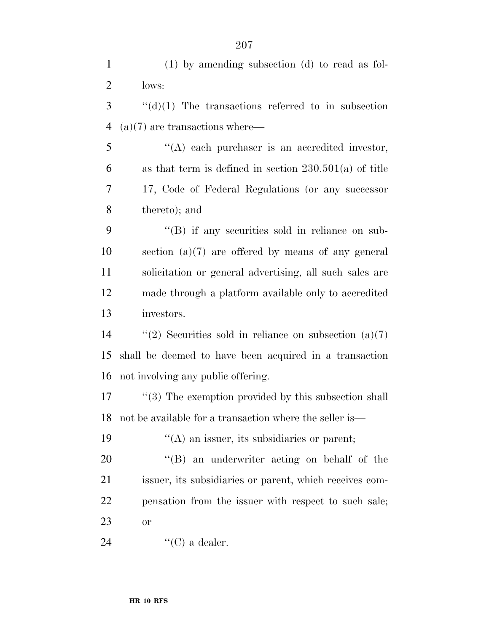| $\mathbf{1}$   | $(1)$ by amending subsection $(d)$ to read as fol-          |
|----------------|-------------------------------------------------------------|
| $\overline{2}$ | lows:                                                       |
| 3              | $\lq\lq$ (d)(1) The transactions referred to in subsection  |
| $\overline{4}$ | $(a)(7)$ are transactions where—                            |
| 5              | $\lq\lq$ each purchaser is an accredited investor,          |
| 6              | as that term is defined in section $230.501(a)$ of title    |
| 7              | 17, Code of Federal Regulations (or any successor           |
| 8              | thereto); and                                               |
| 9              | $\lq\lq$ (B) if any securities sold in reliance on sub-     |
| 10             | section $(a)(7)$ are offered by means of any general        |
| 11             | solicitation or general advertising, all such sales are     |
| 12             | made through a platform available only to accredited        |
| 13             | investors.                                                  |
| 14             | "(2) Securities sold in reliance on subsection $(a)(7)$     |
| 15             | shall be deemed to have been acquired in a transaction      |
| 16             | not involving any public offering.                          |
| 17             | $\cdot$ (3) The exemption provided by this subsection shall |
| 18             | not be available for a transaction where the seller is—     |
| 19             | $\lq\lq$ an issuer, its subsidiaries or parent;             |
| 20             | $\lq\lq (B)$ an underwriter acting on behalf of the         |
| 21             | issuer, its subsidiaries or parent, which receives com-     |
| <u>22</u>      | pensation from the issuer with respect to such sale;        |
| 23             | <b>or</b>                                                   |
| 24             | "(C) a dealer.                                              |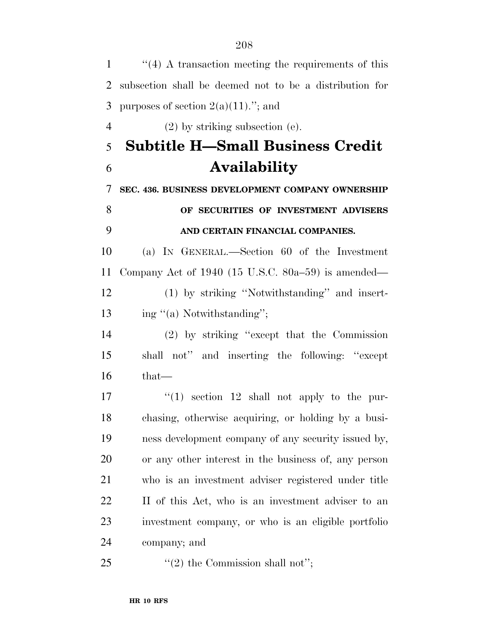| $\mathbf{1}$   | $\cdot$ (4) A transaction meeting the requirements of this |
|----------------|------------------------------------------------------------|
| $\overline{2}$ | subsection shall be deemed not to be a distribution for    |
| 3              | purposes of section $2(a)(11)$ ."; and                     |
| $\overline{4}$ | $(2)$ by striking subsection (e).                          |
| 5              | <b>Subtitle H-Small Business Credit</b>                    |
| 6              | <b>Availability</b>                                        |
| 7              | SEC. 436. BUSINESS DEVELOPMENT COMPANY OWNERSHIP           |
| 8              | OF SECURITIES OF INVESTMENT ADVISERS                       |
| 9              | AND CERTAIN FINANCIAL COMPANIES.                           |
| 10             | (a) IN GENERAL.—Section 60 of the Investment               |
| 11             | Company Act of 1940 (15 U.S.C. 80a–59) is amended—         |
| 12             | (1) by striking "Notwithstanding" and insert-              |
| 13             | ing "(a) Notwithstanding";                                 |
| 14             | $(2)$ by striking "except that the Commission"             |
| 15             | shall not" and inserting the following: "except            |
| 16             | $that-$                                                    |
| 17             | "(1) section 12 shall not apply to the pur-                |
| 18             | chasing, otherwise acquiring, or holding by a busi-        |
| 19             | ness development company of any security issued by,        |
| 20             | or any other interest in the business of, any person       |
| 21             | who is an investment adviser registered under title        |
| 22             | If of this Act, who is an investment adviser to an         |
| 23             | investment company, or who is an eligible portfolio        |
| 24             | company; and                                               |
| 25             | "(2) the Commission shall not";                            |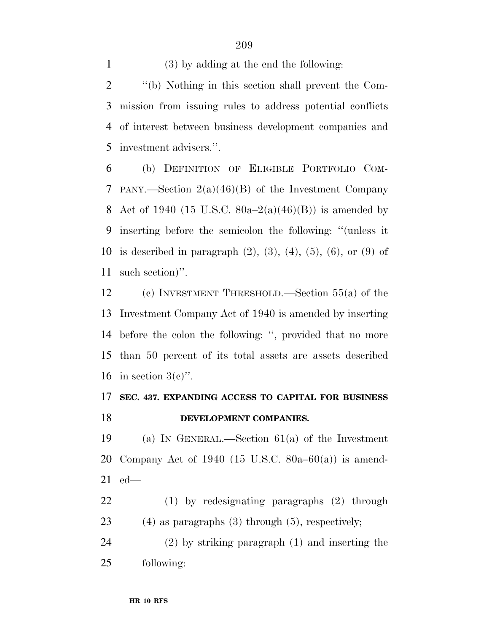(3) by adding at the end the following: ''(b) Nothing in this section shall prevent the Com- mission from issuing rules to address potential conflicts of interest between business development companies and investment advisers.''.

 (b) DEFINITION OF ELIGIBLE PORTFOLIO COM- PANY.—Section 2(a)(46)(B) of the Investment Company 8 Act of 1940 (15 U.S.C.  $80a-2(a)(46)(B)$ ) is amended by inserting before the semicolon the following: ''(unless it 10 is described in paragraph  $(2)$ ,  $(3)$ ,  $(4)$ ,  $(5)$ ,  $(6)$ , or  $(9)$  of such section)''.

 (c) INVESTMENT THRESHOLD.—Section 55(a) of the Investment Company Act of 1940 is amended by inserting before the colon the following: '', provided that no more than 50 percent of its total assets are assets described 16 in section  $3(e)$ ".

#### **SEC. 437. EXPANDING ACCESS TO CAPITAL FOR BUSINESS DEVELOPMENT COMPANIES.**

 (a) IN GENERAL.—Section 61(a) of the Investment Company Act of 1940 (15 U.S.C. 80a–60(a)) is amend-ed—

 (1) by redesignating paragraphs (2) through (4) as paragraphs (3) through (5), respectively;

 (2) by striking paragraph (1) and inserting the following: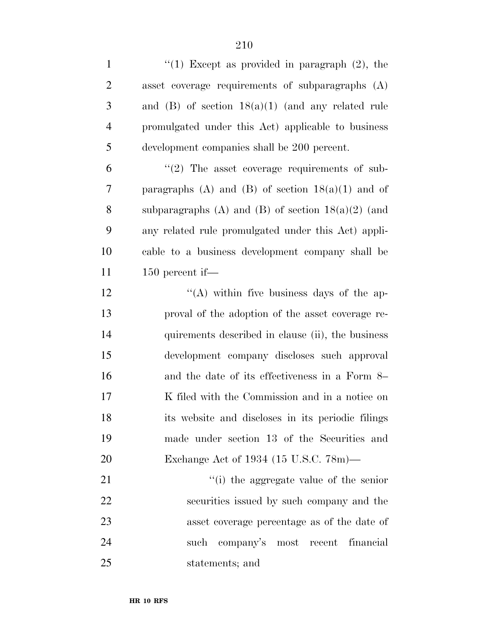| $\mathbf{1}$   | "(1) Except as provided in paragraph $(2)$ , the      |
|----------------|-------------------------------------------------------|
| $\overline{2}$ | asset coverage requirements of subparagraphs (A)      |
| 3              | and $(B)$ of section $18(a)(1)$ (and any related rule |
| 4              | promulgated under this Act) applicable to business    |
| 5              | development companies shall be 200 percent.           |
| 6              | $\lq(2)$ The asset coverage requirements of sub-      |
| 7              | paragraphs (A) and (B) of section $18(a)(1)$ and of   |
| 8              | subparagraphs (A) and (B) of section $18(a)(2)$ (and  |
| 9              | any related rule promulgated under this Act) appli-   |
| 10             | cable to a business development company shall be      |
| 11             | $150$ percent if—                                     |
| 12             | "(A) within five business days of the ap-             |
| 13             | proval of the adoption of the asset coverage re-      |
| 14             | quirements described in clause (ii), the business     |
| 15             | development company discloses such approval           |
| 16             | and the date of its effectiveness in a Form 8–        |
| 17             | K filed with the Commission and in a notice on        |
| 18             | its website and discloses in its periodic filings     |
| 19             | made under section 13 of the Securities and           |
| 20             | Exchange Act of 1934 (15 U.S.C. $78m$ )—              |
| 21             | "(i) the aggregate value of the senior                |
| 22             | securities issued by such company and the             |
| 23             | asset coverage percentage as of the date of           |
| 24             | financial<br>company's most recent<br>such            |
| 25             | statements; and                                       |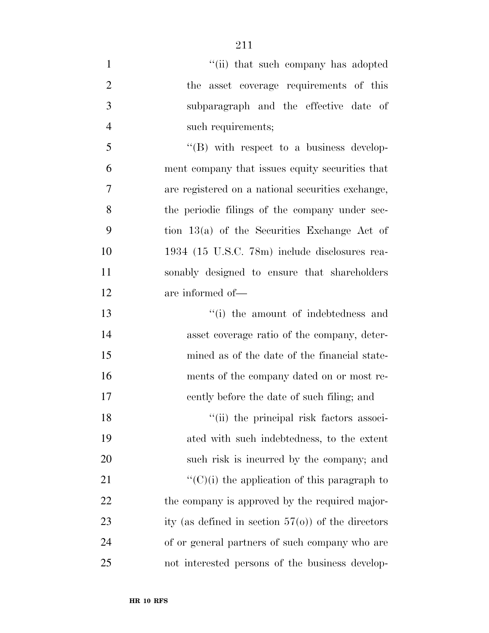| $\mathbf{1}$   | "(ii) that such company has adopted                   |
|----------------|-------------------------------------------------------|
| $\mathbf{2}$   | asset coverage requirements of this<br>the            |
| 3              | subparagraph and the effective date of                |
| $\overline{4}$ | such requirements;                                    |
| 5              | $\lq\lq(B)$ with respect to a business develop-       |
| 6              | ment company that issues equity securities that       |
| $\tau$         | are registered on a national securities exchange,     |
| 8              | the periodic filings of the company under sec-        |
| 9              | tion $13(a)$ of the Securities Exchange Act of        |
| 10             | 1934 (15 U.S.C. 78m) include disclosures rea-         |
| 11             | sonably designed to ensure that shareholders          |
| 12             | are informed of—                                      |
| 13             | "(i) the amount of indebtedness and                   |
| 14             | asset coverage ratio of the company, deter-           |
| 15             | mined as of the date of the financial state-          |
| 16             | ments of the company dated on or most re-             |
| 17             | cently before the date of such filing; and            |
| 18             | "(ii) the principal risk factors associ-              |
| 19             | ated with such indebtedness, to the extent            |
| 20             | such risk is incurred by the company; and             |
| 21             | $\lq\lq$ (C)(i) the application of this paragraph to  |
| 22             | the company is approved by the required major-        |
| 23             | ity (as defined in section $57(o)$ ) of the directors |
| 24             | of or general partners of such company who are        |
| 25             | not interested persons of the business develop-       |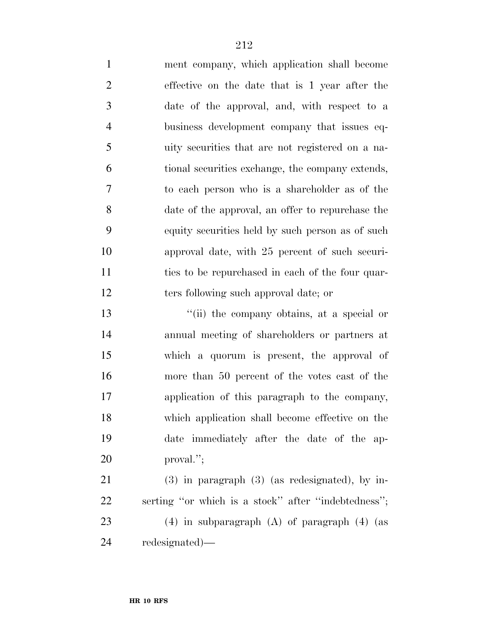ment company, which application shall become effective on the date that is 1 year after the date of the approval, and, with respect to a business development company that issues eq- uity securities that are not registered on a na- tional securities exchange, the company extends, to each person who is a shareholder as of the date of the approval, an offer to repurchase the equity securities held by such person as of such approval date, with 25 percent of such securi-11 ties to be repurchased in each of the four quar-ters following such approval date; or

 ''(ii) the company obtains, at a special or annual meeting of shareholders or partners at which a quorum is present, the approval of more than 50 percent of the votes cast of the application of this paragraph to the company, which application shall become effective on the date immediately after the date of the ap-proval.'';

 (3) in paragraph (3) (as redesignated), by in- serting ''or which is a stock'' after ''indebtedness''; (4) in subparagraph (A) of paragraph (4) (as redesignated)—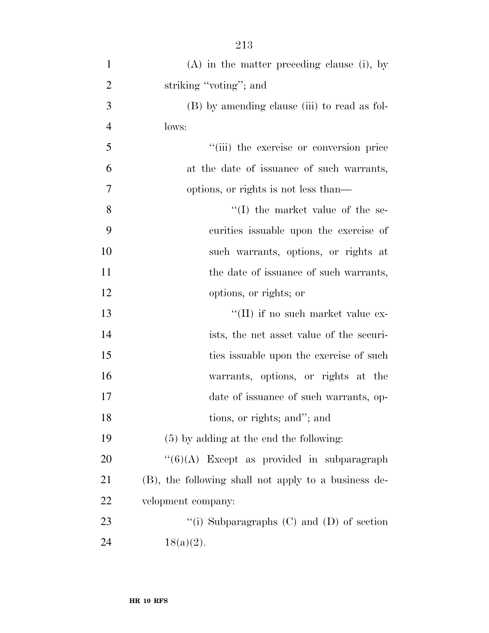| $\mathbf{1}$   | $(A)$ in the matter preceding clause (i), by         |
|----------------|------------------------------------------------------|
| $\overline{2}$ | striking "voting"; and                               |
| 3              | (B) by amending clause (iii) to read as fol-         |
| $\overline{4}$ | lows:                                                |
| 5              | "(iii) the exercise or conversion price              |
| 6              | at the date of issuance of such warrants,            |
| 7              | options, or rights is not less than—                 |
| 8              | $\lq\lq$ the market value of the se-                 |
| 9              | curities is suable upon the exercise of              |
| 10             | such warrants, options, or rights at                 |
| 11             | the date of issuance of such warrants,               |
| 12             | options, or rights; or                               |
| 13             | $\lq\lq$ (II) if no such market value ex-            |
| 14             | ists, the net asset value of the securi-             |
| 15             | ties is suable upon the exercise of such             |
| 16             | warrants, options, or rights at the                  |
| 17             | date of issuance of such warrants, op-               |
| 18             | tions, or rights; and"; and                          |
| 19             | $(5)$ by adding at the end the following:            |
| 20             | $``(6)(A)$ Except as provided in subparagraph        |
| 21             | (B), the following shall not apply to a business de- |
| 22             | velopment company:                                   |
| 23             | "(i) Subparagraphs $(C)$ and $(D)$ of section        |
| 24             | $18(a)(2)$ .                                         |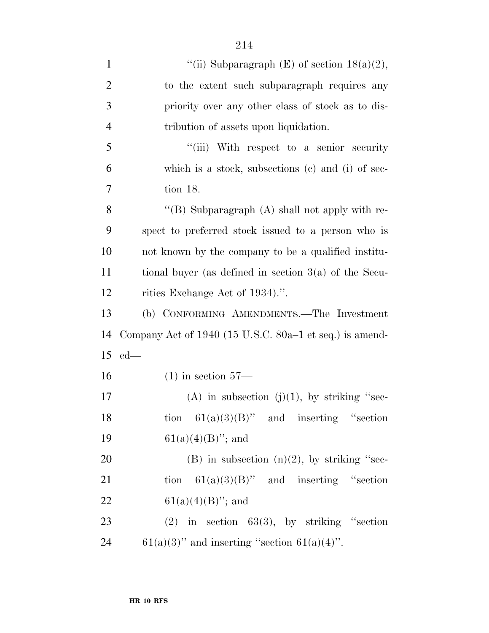| $\mathbf{1}$   | "(ii) Subparagraph $(E)$ of section $18(a)(2)$ ,            |
|----------------|-------------------------------------------------------------|
| $\overline{2}$ | to the extent such subparagraph requires any                |
| 3              | priority over any other class of stock as to dis-           |
| $\overline{4}$ | tribution of assets upon liquidation.                       |
| 5              | "(iii) With respect to a senior security                    |
| 6              | which is a stock, subsections $(e)$ and $(i)$ of sec-       |
| $\overline{7}$ | tion 18.                                                    |
| 8              | "(B) Subparagraph $(A)$ shall not apply with re-            |
| 9              | spect to preferred stock issued to a person who is          |
| 10             | not known by the company to be a qualified institu-         |
| 11             | tional buyer (as defined in section $3(a)$ of the Secu-     |
| 12             | rities Exchange Act of 1934).".                             |
| 13             | (b) CONFORMING AMENDMENTS.—The Investment                   |
| 14             | Company Act of $1940$ (15 U.S.C. $80a-1$ et seq.) is amend- |
| 15             | $ed$ —                                                      |
| 16             | $(1)$ in section $57-$                                      |
| 17             | (A) in subsection (j)(1), by striking "sec-                 |
| 18             | tion $61(a)(3)(B)$ " and inserting "section                 |
| 19             | $61(a)(4)(B)$ "; and                                        |
| 20             | (B) in subsection $(n)(2)$ , by striking "sec-              |
| 21             | tion $61(a)(3)(B)$ " and inserting "section"                |
| 22             | $61(a)(4)(B)$ "; and                                        |
| 23             | $(2)$ in section 63(3), by striking "section                |
| 24             | $61(a)(3)$ " and inserting "section $61(a)(4)$ ".           |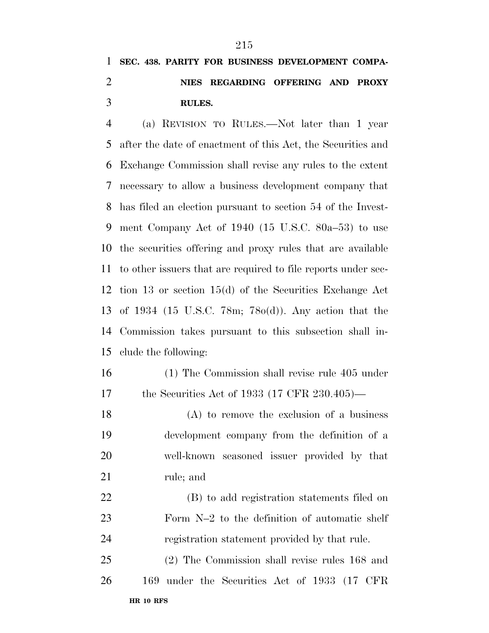### **SEC. 438. PARITY FOR BUSINESS DEVELOPMENT COMPA- NIES REGARDING OFFERING AND PROXY RULES.**

 (a) REVISION TO RULES.—Not later than 1 year after the date of enactment of this Act, the Securities and Exchange Commission shall revise any rules to the extent necessary to allow a business development company that has filed an election pursuant to section 54 of the Invest- ment Company Act of 1940 (15 U.S.C. 80a–53) to use the securities offering and proxy rules that are available to other issuers that are required to file reports under sec- tion 13 or section 15(d) of the Securities Exchange Act of 1934 (15 U.S.C. 78m; 78o(d)). Any action that the Commission takes pursuant to this subsection shall in-clude the following:

- (1) The Commission shall revise rule 405 under the Securities Act of 1933 (17 CFR 230.405)—
- (A) to remove the exclusion of a business development company from the definition of a well-known seasoned issuer provided by that rule; and
- (B) to add registration statements filed on Form N–2 to the definition of automatic shelf registration statement provided by that rule.
- **HR 10 RFS** (2) The Commission shall revise rules 168 and 169 under the Securities Act of 1933 (17 CFR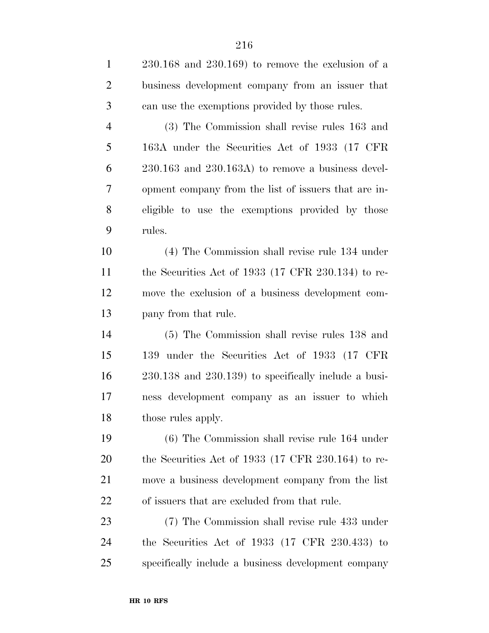| $\mathbf{1}$   | $230.168$ and $230.169$ ) to remove the exclusion of a        |
|----------------|---------------------------------------------------------------|
| $\overline{2}$ | business development company from an issuer that              |
| 3              | can use the exemptions provided by those rules.               |
| $\overline{4}$ | (3) The Commission shall revise rules 163 and                 |
| 5              | 163A under the Securities Act of 1933 (17 CFR)                |
| 6              | $230.163$ and $230.163A$ ) to remove a business devel-        |
| 7              | opment company from the list of issuers that are in-          |
| 8              | eligible to use the exemptions provided by those              |
| 9              | rules.                                                        |
| 10             | (4) The Commission shall revise rule 134 under                |
| 11             | the Securities Act of 1933 $(17 \text{ CFR } 230.134)$ to re- |
| 12             | move the exclusion of a business development com-             |
| 13             | pany from that rule.                                          |
| 14             | (5) The Commission shall revise rules 138 and                 |
| 15             | 139 under the Securities Act of 1933 (17 CFR                  |
| 16             | $230.138$ and $230.139$ ) to specifically include a busi-     |
| 17             | ness development company as an issuer to which                |
| 18             | those rules apply.                                            |
| 19             | $(6)$ The Commission shall revise rule 164 under              |
| 20             | the Securities Act of 1933 $(17 \text{ CFR } 230.164)$ to re- |
| 21             | move a business development company from the list             |
| 22             | of issuers that are excluded from that rule.                  |
| 23             | (7) The Commission shall revise rule 433 under                |
| 24             | the Securities Act of $1933$ (17 CFR 230.433) to              |
| 25             | specifically include a business development company           |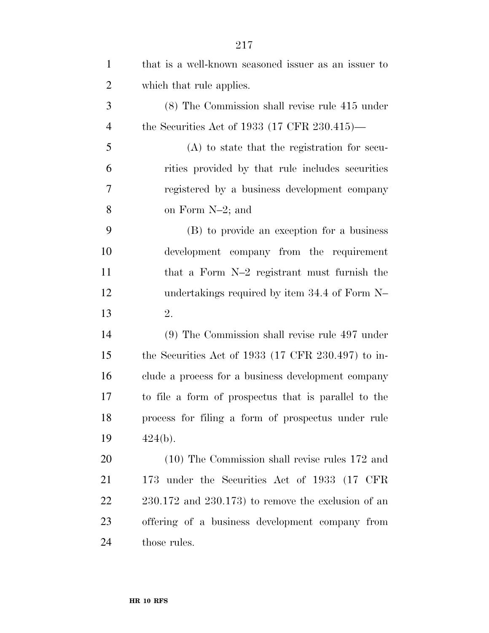| $\mathbf{1}$   | that is a well-known seasoned issuer as an issuer to          |
|----------------|---------------------------------------------------------------|
| $\overline{2}$ | which that rule applies.                                      |
| 3              | (8) The Commission shall revise rule 415 under                |
| $\overline{4}$ | the Securities Act of 1933 (17 CFR 230.415)—                  |
| 5              | $(A)$ to state that the registration for secu-                |
| 6              | rities provided by that rule includes securities              |
| $\overline{7}$ | registered by a business development company                  |
| 8              | on Form N-2; and                                              |
| 9              | (B) to provide an exception for a business                    |
| 10             | development company from the requirement                      |
| 11             | that a Form N-2 registrant must furnish the                   |
| 12             | undertakings required by item 34.4 of Form N-                 |
| 13             | 2.                                                            |
| 14             | (9) The Commission shall revise rule 497 under                |
| 15             | the Securities Act of 1933 $(17 \text{ CFR } 230.497)$ to in- |
| 16             | clude a process for a business development company            |
| 17             | to file a form of prospectus that is parallel to the          |
| 18             | process for filing a form of prospectus under rule            |
| 19             | 424(b).                                                       |
| 20             | $(10)$ The Commission shall revise rules 172 and              |
| 21             | 173 under the Securities Act of 1933 (17 CFR                  |
| 22             | $230.172$ and $230.173$ ) to remove the exclusion of an       |
| 23             | offering of a business development company from               |
| 24             | those rules.                                                  |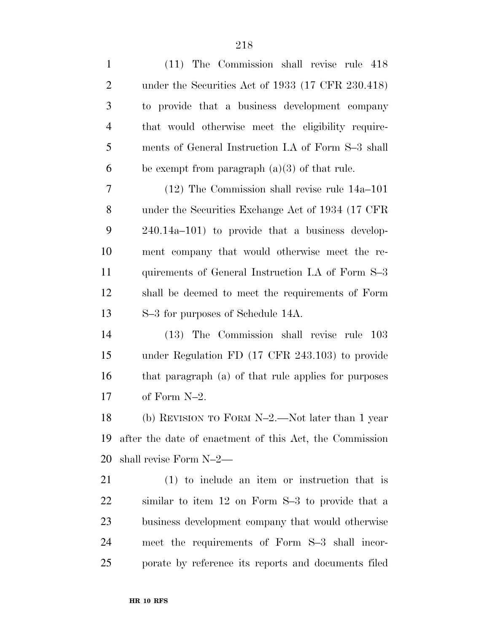| $\mathbf{1}$   | (11) The Commission shall revise rule 418               |  |
|----------------|---------------------------------------------------------|--|
| $\overline{2}$ | under the Securities Act of 1933 (17 CFR 230.418)       |  |
| 3              | to provide that a business development company          |  |
| $\overline{4}$ | that would otherwise meet the eligibility require-      |  |
| 5              | ments of General Instruction I.A of Form S-3 shall      |  |
| 6              | be exempt from paragraph $(a)(3)$ of that rule.         |  |
| 7              | $(12)$ The Commission shall revise rule $14a-101$       |  |
| 8              | under the Securities Exchange Act of 1934 (17 CFR)      |  |
| 9              | $240.14a-101$ to provide that a business develop-       |  |
| 10             | ment company that would otherwise meet the re-          |  |
| 11             | quirements of General Instruction I.A of Form S-3       |  |
| 12             | shall be deemed to meet the requirements of Form        |  |
| 13             | S-3 for purposes of Schedule 14A.                       |  |
| 14             | (13) The Commission shall revise rule 103               |  |
| 15             | under Regulation FD (17 CFR 243.103) to provide         |  |
| 16             | that paragraph (a) of that rule applies for purposes    |  |
| 17             | of Form N-2.                                            |  |
| 18             | (b) REVISION TO FORM $N-2$ . Not later than 1 year      |  |
| 19             | after the date of enactment of this Act, the Commission |  |
| 20             | shall revise Form N-2—                                  |  |
| 21             | $(1)$ to include an item or instruction that is         |  |
| 22             | similar to item 12 on Form S-3 to provide that a        |  |
| 23             | business development company that would otherwise       |  |
| 24             | meet the requirements of Form S-3 shall incor-          |  |
| 25             | porate by reference its reports and documents filed     |  |
|                |                                                         |  |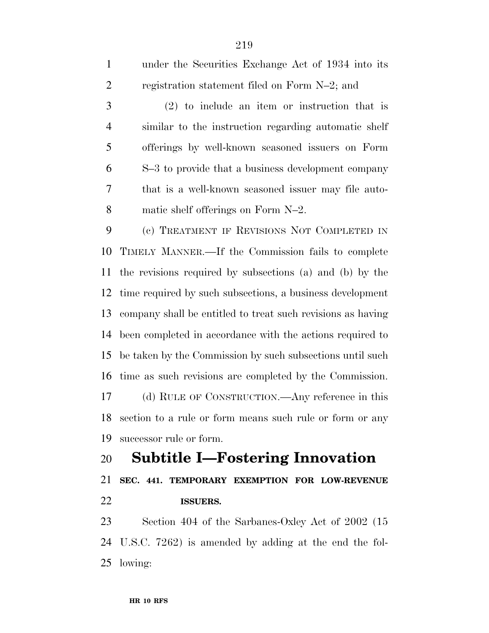| $\mathbf{1}$   | under the Securities Exchange Act of 1934 into its          |
|----------------|-------------------------------------------------------------|
| $\overline{2}$ | registration statement filed on Form N-2; and               |
| 3              | $(2)$ to include an item or instruction that is             |
| $\overline{4}$ | similar to the instruction regarding automatic shelf        |
| 5              | offerings by well-known seasoned issuers on Form            |
| 6              | S-3 to provide that a business development company          |
| 7              | that is a well-known seasoned issuer may file auto-         |
| 8              | matic shelf offerings on Form N-2.                          |
| 9              | (c) TREATMENT IF REVISIONS NOT COMPLETED IN                 |
| 10             | TIMELY MANNER.—If the Commission fails to complete          |
| 11             | the revisions required by subsections (a) and (b) by the    |
| 12             | time required by such subsections, a business development   |
| 13             | company shall be entitled to treat such revisions as having |
| 14             | been completed in accordance with the actions required to   |
| 15             | be taken by the Commission by such subsections until such   |
| 16             | time as such revisions are completed by the Commission.     |
| 17             | (d) RULE OF CONSTRUCTION.—Any reference in this             |
| 18             | section to a rule or form means such rule or form or any    |
| 19             | successor rule or form.                                     |
| 20             | <b>Subtitle I—Fostering Innovation</b>                      |

 **SEC. 441. TEMPORARY EXEMPTION FOR LOW-REVENUE ISSUERS.** 

 Section 404 of the Sarbanes-Oxley Act of 2002 (15 U.S.C. 7262) is amended by adding at the end the fol-lowing: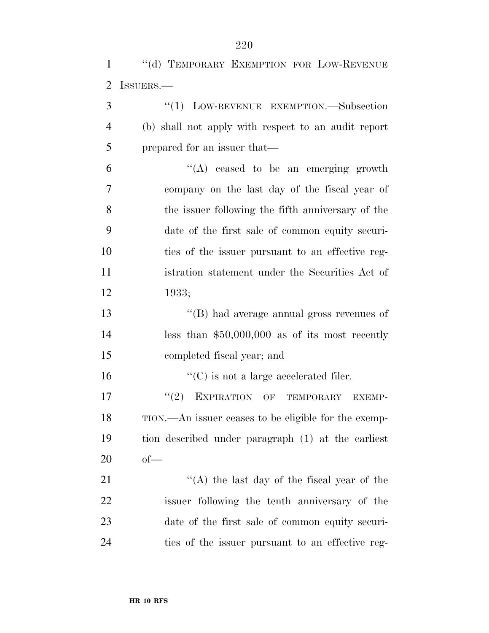1 "(d) TEMPORARY EXEMPTION FOR LOW-REVENUE ISSUERS.—

| 3              | $\lq(1)$ LOW-REVENUE EXEMPTION. Subsection          |
|----------------|-----------------------------------------------------|
| $\overline{4}$ | (b) shall not apply with respect to an audit report |
| 5 <sup>5</sup> | prepared for an issuer that—                        |
| -6             | $\lq\lq$ ceased to be an emerging growth            |

 company on the last day of the fiscal year of the issuer following the fifth anniversary of the date of the first sale of common equity securi- ties of the issuer pursuant to an effective reg- istration statement under the Securities Act of 1933;

 ''(B) had average annual gross revenues of less than \$50,000,000 as of its most recently completed fiscal year; and

16  $C$  is not a large accelerated filer. 17 "(2) EXPIRATION OF TEMPORARY EXEMP- TION.—An issuer ceases to be eligible for the exemp- tion described under paragraph (1) at the earliest of—

 $\langle (A)$  the last day of the fiscal year of the issuer following the tenth anniversary of the date of the first sale of common equity securi-ties of the issuer pursuant to an effective reg-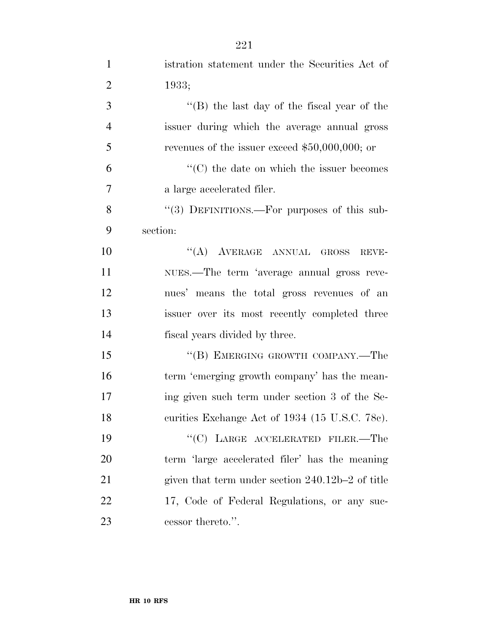| $\mathbf{1}$   | istration statement under the Securities Act of  |
|----------------|--------------------------------------------------|
| $\overline{2}$ | 1933;                                            |
| 3              | "(B) the last day of the fiscal year of the      |
| $\overline{4}$ | issuer during which the average annual gross     |
| 5              | revenues of the issuer exceed $$50,000,000$ ; or |
| 6              | $\cdot$ (C) the date on which the issuer becomes |
| $\overline{7}$ | a large accelerated filer.                       |
| 8              | "(3) DEFINITIONS.—For purposes of this sub-      |
| 9              | section:                                         |
| 10             | "(A) AVERAGE ANNUAL GROSS<br>REVE-               |
| 11             | NUES.—The term 'average annual gross reve-       |
| 12             | nues' means the total gross revenues of an       |
| 13             | issuer over its most recently completed three    |
| 14             | fiscal years divided by three.                   |
| 15             | "(B) EMERGING GROWTH COMPANY.—The                |
| 16             | term 'emerging growth company' has the mean-     |
| 17             | ing given such term under section 3 of the Se-   |
| 18             | curities Exchange Act of 1934 (15 U.S.C. 78c).   |
| 19             | "(C) LARGE ACCELERATED FILER.—The                |
| 20             | term 'large accelerated filer' has the meaning   |
| 21             | given that term under section 240.12b-2 of title |
| 22             | 17, Code of Federal Regulations, or any suc-     |
| 23             | cessor thereto.".                                |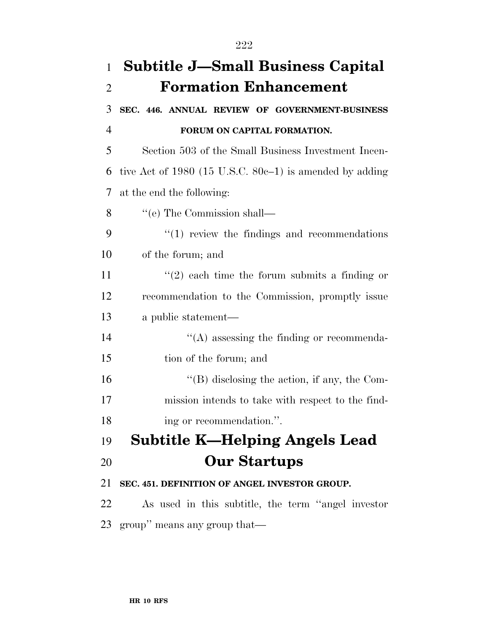| $\mathbf{1}$   | <b>Subtitle J—Small Business Capital</b>                     |
|----------------|--------------------------------------------------------------|
| $\overline{2}$ | <b>Formation Enhancement</b>                                 |
| 3              | SEC. 446. ANNUAL REVIEW OF GOVERNMENT-BUSINESS               |
| $\overline{4}$ | FORUM ON CAPITAL FORMATION.                                  |
| 5              | Section 503 of the Small Business Investment Incen-          |
| 6              | tive Act of $1980$ (15 U.S.C. $80c-1$ ) is amended by adding |
| 7              | at the end the following:                                    |
| 8              | $\lq\lq$ (e) The Commission shall—                           |
| 9              | $\cdot\cdot(1)$ review the findings and recommendations      |
| 10             | of the forum; and                                            |
| 11             | $\lq(2)$ each time the forum submits a finding or            |
| 12             | recommendation to the Commission, promptly issue             |
| 13             | a public statement—                                          |
| 14             | $\lq\lq$ assessing the finding or recommenda-                |
| 15             | tion of the forum; and                                       |
| 16             | $\lq\lq$ disclosing the action, if any, the Com-             |
| 17             | mission intends to take with respect to the find-            |
| 18             | ing or recommendation.".                                     |
| 19             | <b>Subtitle K-Helping Angels Lead</b>                        |
| 20             | <b>Our Startups</b>                                          |
| 21             | SEC. 451. DEFINITION OF ANGEL INVESTOR GROUP.                |
| 22             | As used in this subtitle, the term "angel investor"          |
|                | 23 group" means any group that—                              |
|                |                                                              |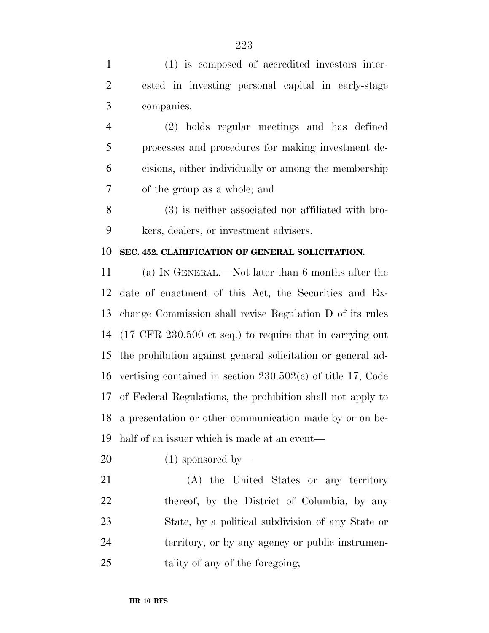(1) is composed of accredited investors inter- ested in investing personal capital in early-stage companies;

 (2) holds regular meetings and has defined processes and procedures for making investment de- cisions, either individually or among the membership of the group as a whole; and

 (3) is neither associated nor affiliated with bro-kers, dealers, or investment advisers.

#### **SEC. 452. CLARIFICATION OF GENERAL SOLICITATION.**

 (a) IN GENERAL.—Not later than 6 months after the date of enactment of this Act, the Securities and Ex- change Commission shall revise Regulation D of its rules (17 CFR 230.500 et seq.) to require that in carrying out the prohibition against general solicitation or general ad- vertising contained in section 230.502(c) of title 17, Code of Federal Regulations, the prohibition shall not apply to a presentation or other communication made by or on be-half of an issuer which is made at an event—

(1) sponsored by—

 (A) the United States or any territory 22 thereof, by the District of Columbia, by any State, by a political subdivision of any State or territory, or by any agency or public instrumen-25 tality of any of the foregoing;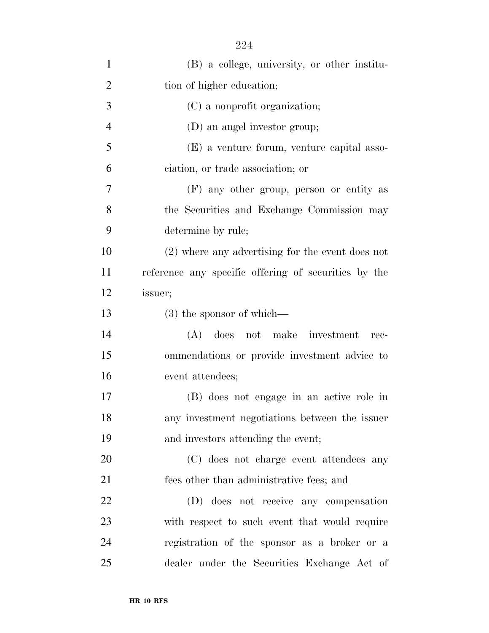| $\mathbf{1}$   | (B) a college, university, or other institu-         |
|----------------|------------------------------------------------------|
| $\overline{2}$ | tion of higher education;                            |
| 3              | (C) a nonprofit organization;                        |
| $\overline{4}$ | (D) an angel investor group;                         |
| 5              | (E) a venture forum, venture capital asso-           |
| 6              | ciation, or trade association; or                    |
| 7              | (F) any other group, person or entity as             |
| 8              | the Securities and Exchange Commission may           |
| 9              | determine by rule;                                   |
| 10             | $(2)$ where any advertising for the event does not   |
| 11             | reference any specific offering of securities by the |
| 12             | issuer;                                              |
| 13             | $(3)$ the sponsor of which—                          |
| 14             | (A) does not make investment<br>rec-                 |
| 15             | ommendations or provide investment advice to         |
| 16             | event attendees;                                     |
| 17             | (B) does not engage in an active role in             |
| 18             | any investment negotiations between the issuer       |
| 19             | and investors attending the event;                   |
| 20             | (C) does not charge event attendees any              |
| 21             | fees other than administrative fees; and             |
| 22             | (D) does not receive any compensation                |
| 23             | with respect to such event that would require        |
| 24             | registration of the sponsor as a broker or a         |
| 25             | dealer under the Securities Exchange Act of          |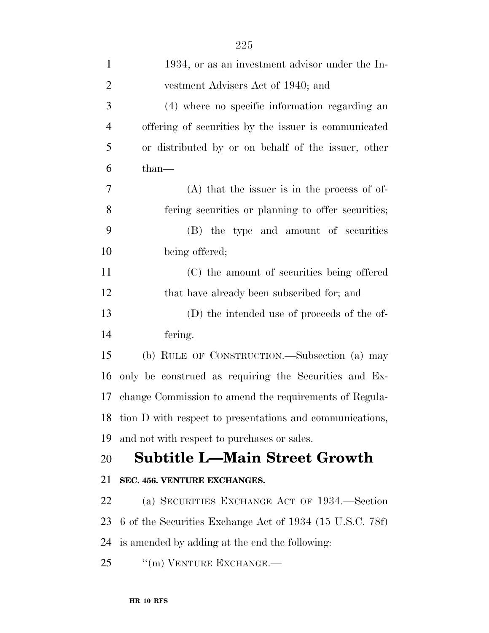| $\mathbf{1}$   | 1934, or as an investment advisor under the In-             |
|----------------|-------------------------------------------------------------|
| $\overline{2}$ | vestment Advisers Act of 1940; and                          |
| 3              | (4) where no specific information regarding an              |
| $\overline{4}$ | offering of securities by the issuer is communicated        |
| 5              | or distributed by or on behalf of the issuer, other         |
| 6              | $than-$                                                     |
| $\overline{7}$ | $(A)$ that the issuer is in the process of of-              |
| 8              | fering securities or planning to offer securities;          |
| 9              | (B) the type and amount of securities                       |
| 10             | being offered;                                              |
| 11             | (C) the amount of securities being offered                  |
| 12             | that have already been subscribed for; and                  |
| 13             | (D) the intended use of proceeds of the of-                 |
| 14             | fering.                                                     |
| 15             | (b) RULE OF CONSTRUCTION.—Subsection (a) may                |
| 16             | only be construed as requiring the Securities and Ex-       |
| 17             | change Commission to amend the requirements of Regula-      |
|                | 18 tion D with respect to presentations and communications, |
| 19             | and not with respect to purchases or sales.                 |
| 20             | <b>Subtitle L—Main Street Growth</b>                        |
| 21             | SEC. 456. VENTURE EXCHANGES.                                |
| 22             | (a) SECURITIES EXCHANGE ACT OF 1934. Section                |
| 23             | 6 of the Securities Exchange Act of 1934 (15 U.S.C. 78f)    |
| 24             | is amended by adding at the end the following:              |
| 25             | $\lq\lq$ (m) VENTURE EXCHANGE.—                             |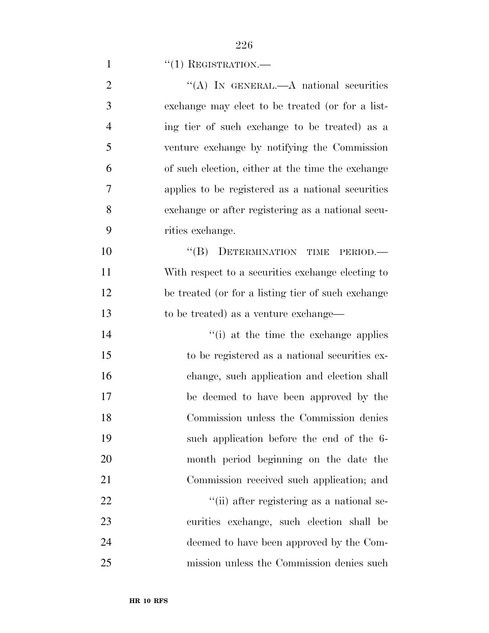1  $"(1)$  REGISTRATION.—

| $\overline{2}$ | "(A) IN GENERAL.—A national securities             |
|----------------|----------------------------------------------------|
| 3              | exchange may elect to be treated (or for a list-   |
| $\overline{4}$ | ing tier of such exchange to be treated) as a      |
| 5              | venture exchange by notifying the Commission       |
| 6              | of such election, either at the time the exchange  |
| 7              | applies to be registered as a national securities  |
| 8              | exchange or after registering as a national secu-  |
| 9              | rities exchange.                                   |
| 10             | $\lq\lq (B)$<br>DETERMINATION TIME<br>PERIOD.      |
| 11             | With respect to a securities exchange electing to  |
| 12             | be treated (or for a listing tier of such exchange |
| 13             | to be treated) as a venture exchange—              |
| 14             | "(i) at the time the exchange applies              |
| 15             | to be registered as a national securities ex-      |
| 16             | change, such application and election shall        |
| 17             | be deemed to have been approved by the             |
| 18             | Commission unless the Commission denies            |
| 19             | such application before the end of the 6-          |
| 20             | month period beginning on the date the             |
| 21             | Commission received such application; and          |
| 22             | "(ii) after registering as a national se-          |
| 23             | curities exchange, such election shall be          |
| 24             | deemed to have been approved by the Com-           |
| 25             | mission unless the Commission denies such          |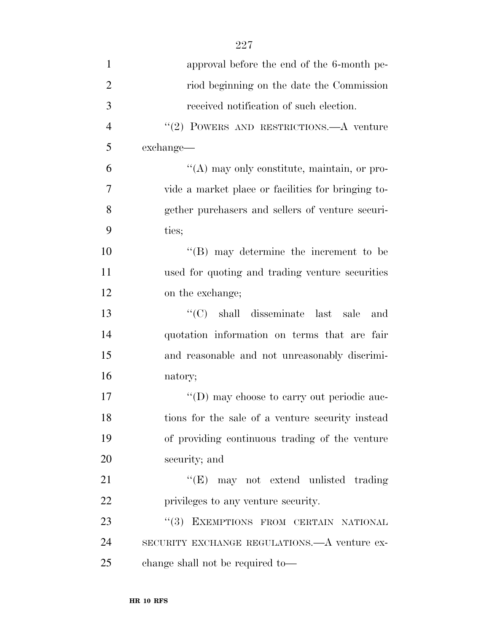| 1              | approval before the end of the 6-month pe-         |
|----------------|----------------------------------------------------|
| $\overline{2}$ | riod beginning on the date the Commission          |
| 3              | received notification of such election.            |
| $\overline{4}$ | "(2) POWERS AND RESTRICTIONS.—A venture            |
| 5              | exchange—                                          |
| 6              | $\lq\lq$ may only constitute, maintain, or pro-    |
| 7              | vide a market place or facilities for bringing to- |
| 8              | gether purchasers and sellers of venture securi-   |
| 9              | ties;                                              |
| 10             | $\lq\lq (B)$ may determine the increment to be     |
| 11             | used for quoting and trading venture securities    |
| 12             | on the exchange;                                   |
| 13             | "(C) shall disseminate last sale<br>and            |
| 14             | quotation information on terms that are fair       |
| 15             | and reasonable and not unreasonably discrimi-      |
| 16             | natory;                                            |
| 17             | "(D) may choose to carry out periodic auc-         |
| 18             | tions for the sale of a venture security instead   |
| 19             | of providing continuous trading of the venture     |
| 20             | security; and                                      |
| 21             | " $(E)$ may not extend unlisted trading            |
| 22             | privileges to any venture security.                |
| 23             | (3)<br>EXEMPTIONS FROM CERTAIN NATIONAL            |
| 24             | SECURITY EXCHANGE REGULATIONS. A venture ex-       |
| 25             | change shall not be required to—                   |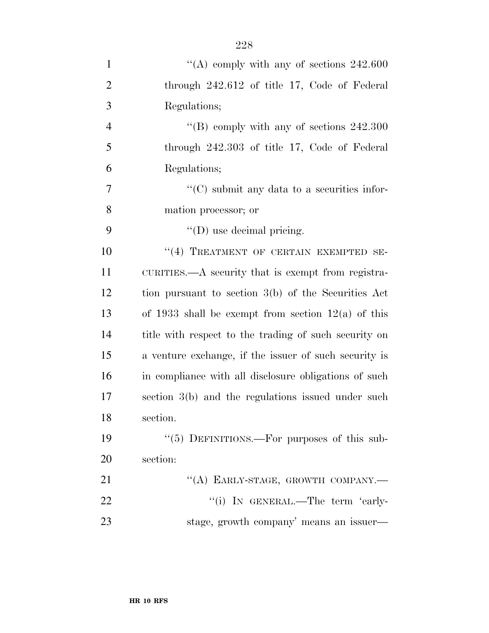| $\mathbf{1}$   | "(A) comply with any of sections $242.600$              |  |
|----------------|---------------------------------------------------------|--|
| $\overline{2}$ | through $242.612$ of title 17, Code of Federal          |  |
| 3              | Regulations;                                            |  |
| 4              | "(B) comply with any of sections $242.300$              |  |
| 5              | through 242.303 of title 17, Code of Federal            |  |
| 6              | Regulations;                                            |  |
| 7              | $\cdot\cdot$ (C) submit any data to a securities infor- |  |
| 8              | mation processor; or                                    |  |
| 9              | $\lq\lq$ (D) use decimal pricing.                       |  |
| 10             | "(4) TREATMENT OF CERTAIN EXEMPTED SE-                  |  |
| 11             | CURITIES.—A security that is exempt from registra-      |  |
| 12             | tion pursuant to section 3(b) of the Securities Act     |  |
| 13             | of 1933 shall be exempt from section $12(a)$ of this    |  |
| 14             | title with respect to the trading of such security on   |  |
| 15             | a venture exchange, if the issuer of such security is   |  |
| 16             | in compliance with all disclosure obligations of such   |  |
| 17             | section 3(b) and the regulations issued under such      |  |
| 18             | section.                                                |  |
| 19             | " $(5)$ DEFINITIONS.—For purposes of this sub-          |  |
| 20             | section:                                                |  |
| 21             | "(A) EARLY-STAGE, GROWTH COMPANY.-                      |  |
| 22             | "(i) IN GENERAL.—The term 'early-                       |  |
| 23             | stage, growth company' means an issuer-                 |  |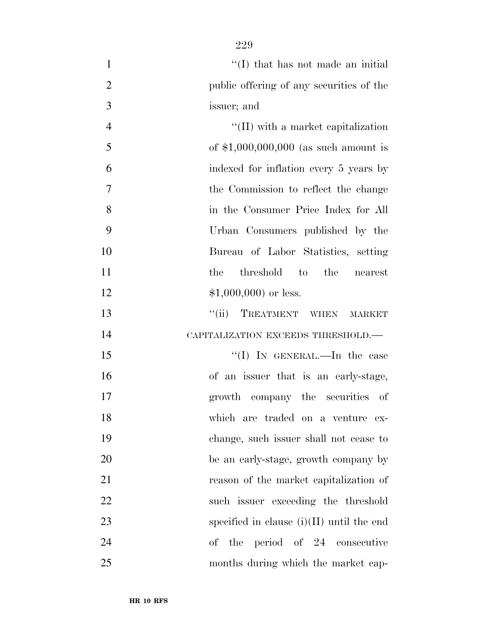| $\mathbf{1}$   | $\lq (I)$ that has not made an initial      |
|----------------|---------------------------------------------|
| $\overline{2}$ | public offering of any securities of the    |
| 3              | issuer; and                                 |
| $\overline{4}$ | $\lq$ (II) with a market capitalization     |
| 5              | of $$1,000,000,000$ (as such amount is      |
| 6              | indexed for inflation every 5 years by      |
| $\tau$         | the Commission to reflect the change        |
| 8              | in the Consumer Price Index for All         |
| 9              | Urban Consumers published by the            |
| 10             | Bureau of Labor Statistics, setting         |
| 11             | the<br>threshold to the<br>nearest          |
| 12             | $$1,000,000$ or less.                       |
| 13             | "(ii) TREATMENT WHEN MARKET                 |
| 14             | CAPITALIZATION EXCEEDS THRESHOLD.—          |
| 15             | "(I) IN GENERAL.—In the case                |
| 16             | of an issuer that is an early-stage,        |
| 17             | growth company the securities of            |
| 18             | which are traded on a venture ex-           |
| 19             | change, such issuer shall not cease to      |
| 20             | be an early-stage, growth company by        |
| 21             | reason of the market capitalization of      |
| 22             | such issuer exceeding the threshold         |
| 23             | specified in clause $(i)(II)$ until the end |
| 24             | of the period of 24 consecutive             |
| 25             | months during which the market cap-         |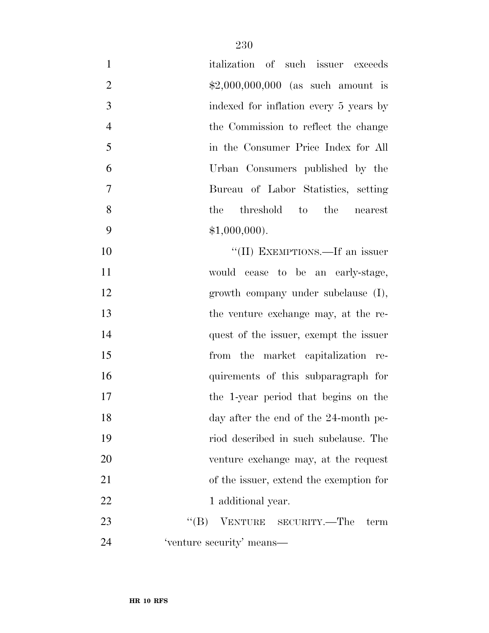| $\mathbf{1}$   | italization of such issuer exceeds            |
|----------------|-----------------------------------------------|
| $\overline{2}$ | $$2,000,000,000$ (as such amount is           |
| 3              | indexed for inflation every 5 years by        |
| $\overline{4}$ | the Commission to reflect the change          |
| 5              | in the Consumer Price Index for All           |
| 6              | Urban Consumers published by the              |
| 7              | Bureau of Labor Statistics, setting           |
| 8              | threshold to<br>the<br>the<br>nearest         |
| 9              | $$1,000,000$ .                                |
| 10             | "(II) EXEMPTIONS.—If an issuer                |
| 11             | would cease to be an early-stage,             |
| 12             | growth company under subclause (I),           |
| 13             | the venture exchange may, at the re-          |
| 14             | quest of the issuer, exempt the issuer        |
| 15             | from the market capitalization re-            |
| 16             | quirements of this subparagraph for           |
| 17             | the 1-year period that begins on the          |
| 18             | day after the end of the 24-month pe-         |
| 19             | riod described in such subclause. The         |
| 20             | venture exchange may, at the request          |
| 21             | of the issuer, extend the exemption for       |
| 22             | 1 additional year.                            |
| 23             | VENTURE SECURITY.—The<br>$\lq\lq (B)$<br>term |
| 24             | 'venture security' means—                     |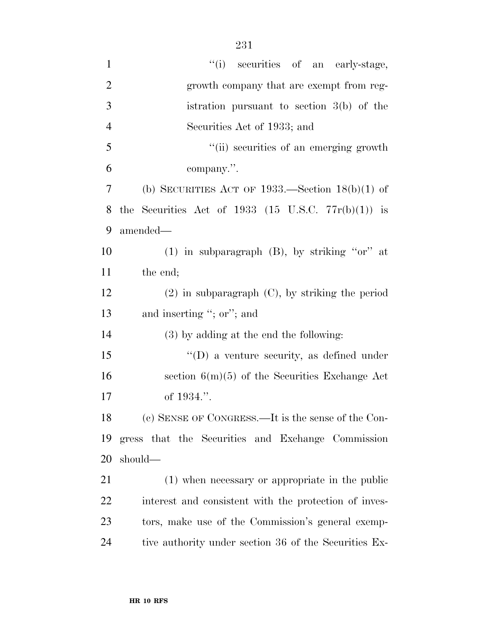| $\mathbf{1}$   | "(i) securities of an early-stage,                     |
|----------------|--------------------------------------------------------|
| $\overline{2}$ | growth company that are exempt from reg-               |
| 3              | istration pursuant to section $3(b)$ of the            |
| $\overline{4}$ | Securities Act of 1933; and                            |
| 5              | "(ii) securities of an emerging growth                 |
| 6              | company.".                                             |
| 7              | (b) SECURITIES ACT OF 1933.—Section $18(b)(1)$ of      |
| 8              | the Securities Act of 1933 (15 U.S.C. $77r(b)(1)$ ) is |
| 9              | amended—                                               |
| 10             | (1) in subparagraph $(B)$ , by striking "or" at        |
| 11             | the end;                                               |
| 12             | $(2)$ in subparagraph $(C)$ , by striking the period   |
| 13             | and inserting "; or"; and                              |
| 14             | (3) by adding at the end the following:                |
| 15             | $\lq\lq$ a venture security, as defined under          |
| 16             | section $6(m)(5)$ of the Securities Exchange Act       |
| 17             | of 1934.".                                             |
| 18             | (c) SENSE OF CONGRESS.—It is the sense of the Con-     |
| 19             | gress that the Securities and Exchange Commission      |
| 20             | should—                                                |
| 21             | (1) when necessary or appropriate in the public        |
| 22             | interest and consistent with the protection of inves-  |
| 23             | tors, make use of the Commission's general exemp-      |
| 24             | tive authority under section 36 of the Securities Ex-  |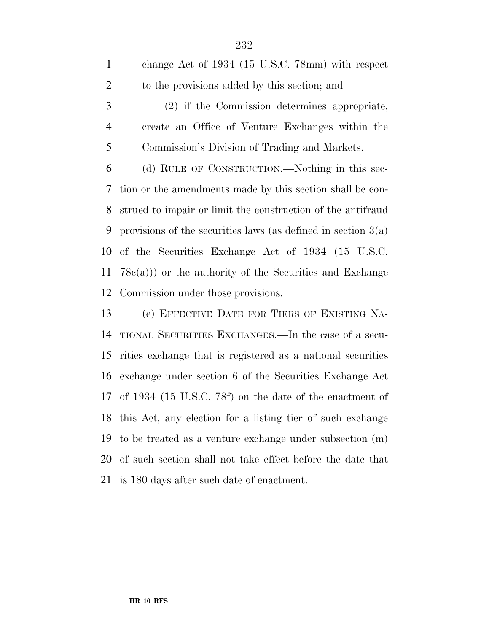| $\mathbf{1}$   | change Act of 1934 (15 U.S.C. 78mm) with respect                  |
|----------------|-------------------------------------------------------------------|
| $\overline{2}$ | to the provisions added by this section; and                      |
| $\mathfrak{Z}$ | (2) if the Commission determines appropriate,                     |
| $\overline{4}$ | create an Office of Venture Exchanges within the                  |
| 5              | Commission's Division of Trading and Markets.                     |
| 6              | (d) RULE OF CONSTRUCTION.—Nothing in this sec-                    |
| 7              | tion or the amendments made by this section shall be con-         |
| 8              | strued to impair or limit the construction of the antifraud       |
| 9              | provisions of the securities laws (as defined in section $3(a)$ ) |
| 10             | of the Securities Exchange Act of 1934 (15 U.S.C.                 |
| 11             | $78c(a))$ or the authority of the Securities and Exchange         |
| 12             | Commission under those provisions.                                |
| 13             | (e) EFFECTIVE DATE FOR TIERS OF EXISTING NA-                      |
| 14             | TIONAL SECURITIES EXCHANGES.—In the case of a secu-               |
| 15             | rities exchange that is registered as a national securities       |
| 16             | exchange under section 6 of the Securities Exchange Act           |
| 17             | of 1934 (15 U.S.C. 78f) on the date of the enactment of           |
| 18             | this Act, any election for a listing tier of such exchange        |
| 19             | to be treated as a venture exchange under subsection (m)          |
| 20             | of such section shall not take effect before the date that        |
| 21             | is 180 days after such date of enactment.                         |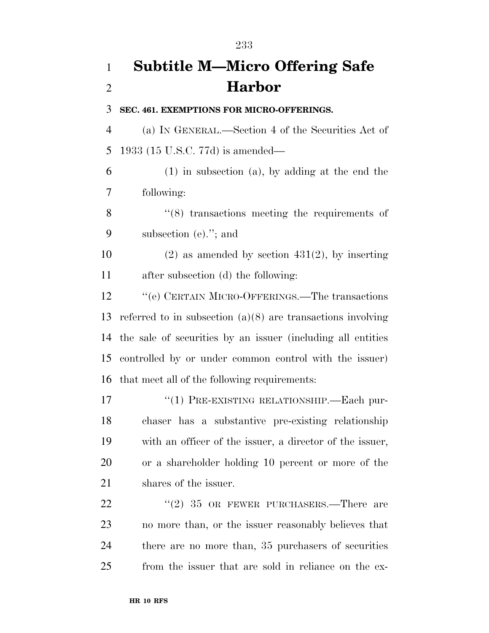# **Subtitle M—Micro Offering Safe Harbor**

**SEC. 461. EXEMPTIONS FOR MICRO-OFFERINGS.** 

 (a) IN GENERAL.—Section 4 of the Securities Act of 1933 (15 U.S.C. 77d) is amended—

 (1) in subsection (a), by adding at the end the following:

8 ''(8) transactions meeting the requirements of subsection (e).''; and

10 (2) as amended by section  $431(2)$ , by inserting after subsection (d) the following:

 ''(e) CERTAIN MICRO-OFFERINGS.—The transactions referred to in subsection (a)(8) are transactions involving the sale of securities by an issuer (including all entities controlled by or under common control with the issuer) that meet all of the following requirements:

17 <sup>''</sup>(1) PRE-EXISTING RELATIONSHIP.—Each pur- chaser has a substantive pre-existing relationship with an officer of the issuer, a director of the issuer, or a shareholder holding 10 percent or more of the shares of the issuer.

22 "(2) 35 OR FEWER PURCHASERS.—There are no more than, or the issuer reasonably believes that there are no more than, 35 purchasers of securities from the issuer that are sold in reliance on the ex-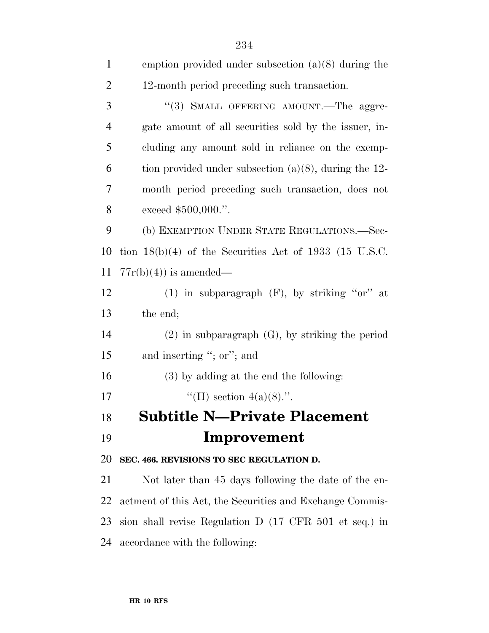| $\mathbf{1}$   | emption provided under subsection $(a)(8)$ during the    |
|----------------|----------------------------------------------------------|
| $\overline{2}$ | 12-month period preceding such transaction.              |
| 3              | "(3) SMALL OFFERING AMOUNT. The aggre-                   |
| $\overline{4}$ | gate amount of all securities sold by the issuer, in-    |
| 5              | cluding any amount sold in reliance on the exemp-        |
| 6              | tion provided under subsection $(a)(8)$ , during the 12- |
| 7              | month period preceding such transaction, does not        |
| 8              | exceed $$500,000."$ .                                    |
| 9              | (b) EXEMPTION UNDER STATE REGULATIONS.—Sec-              |
| 10             | tion $18(b)(4)$ of the Securities Act of 1933 (15 U.S.C. |
| 11             | $77r(b)(4)$ is amended—                                  |
| 12             | (1) in subparagraph $(F)$ , by striking "or" at          |
| 13             | the end;                                                 |
| 14             | $(2)$ in subparagraph $(G)$ , by striking the period     |
| 15             | and inserting "; or"; and                                |
| 16             | $(3)$ by adding at the end the following:                |
| 17             | "(H) section $4(a)(8)$ .".                               |
| 18             | <b>Subtitle N-Private Placement</b>                      |
| 19             | Improvement                                              |
| 20             | SEC. 466. REVISIONS TO SEC REGULATION D.                 |
| 21             | Not later than 45 days following the date of the en-     |
| 22             | actment of this Act, the Securities and Exchange Commis- |
| 23             | sion shall revise Regulation D (17 CFR 501 et seq.) in   |
| 24             | accordance with the following:                           |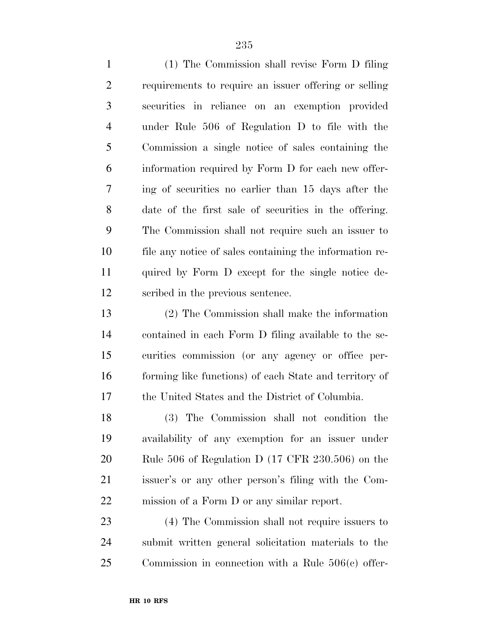(1) The Commission shall revise Form D filing requirements to require an issuer offering or selling securities in reliance on an exemption provided under Rule 506 of Regulation D to file with the Commission a single notice of sales containing the information required by Form D for each new offer- ing of securities no earlier than 15 days after the date of the first sale of securities in the offering. The Commission shall not require such an issuer to file any notice of sales containing the information re- quired by Form D except for the single notice de-scribed in the previous sentence.

 (2) The Commission shall make the information contained in each Form D filing available to the se- curities commission (or any agency or office per- forming like functions) of each State and territory of the United States and the District of Columbia.

 (3) The Commission shall not condition the availability of any exemption for an issuer under Rule 506 of Regulation D (17 CFR 230.506) on the issuer's or any other person's filing with the Com-mission of a Form D or any similar report.

 (4) The Commission shall not require issuers to submit written general solicitation materials to the Commission in connection with a Rule 506(c) offer-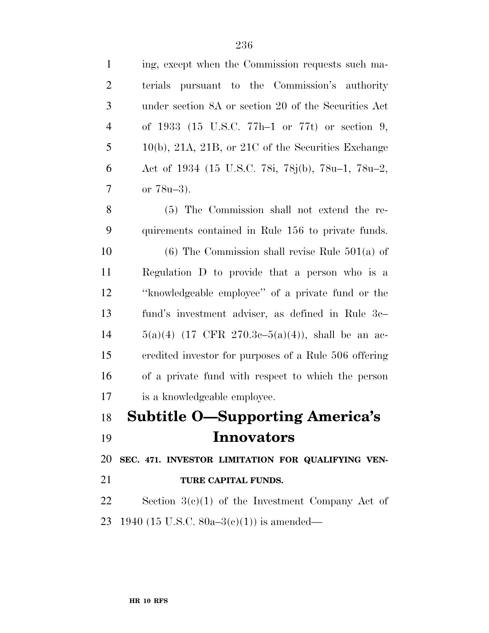| $\mathbf{1}$   | ing, except when the Commission requests such ma-             |
|----------------|---------------------------------------------------------------|
| $\overline{c}$ | terials pursuant to the Commission's authority                |
| 3              | under section 8A or section 20 of the Securities Act          |
| $\overline{4}$ | of 1933 (15 U.S.C. 77h-1 or 77t) or section 9,                |
| 5              | $10(b)$ , $21A$ , $21B$ , or $21C$ of the Securities Exchange |
| 6              | Act of 1934 (15 U.S.C. 78i, 78j(b), 78u-1, 78u-2,             |
| $\tau$         | or $78u-3$ ).                                                 |
| 8              | (5) The Commission shall not extend the re-                   |
| 9              | quirements contained in Rule 156 to private funds.            |
| 10             | $(6)$ The Commission shall revise Rule 501(a) of              |
| 11             | Regulation D to provide that a person who is a                |
| 12             | "knowledgeable employee" of a private fund or the             |
| 13             | fund's investment adviser, as defined in Rule 3c-             |
| 14             | $5(a)(4)$ (17 CFR 270.3c- $5(a)(4)$ ), shall be an ac-        |
| 15             | credited investor for purposes of a Rule 506 offering         |
| 16             | of a private fund with respect to which the person            |
| 17             | is a knowledgeable employee.                                  |
| 18             | <b>Subtitle O-Supporting America's</b>                        |
| 19             | <b>Innovators</b>                                             |
| 20             | SEC. 471. INVESTOR LIMITATION FOR QUALIFYING VEN-             |
| 21             | TURE CAPITAL FUNDS.                                           |
| 22             | Section $3(c)(1)$ of the Investment Company Act of            |
|                | 23 1940 (15 U.S.C. 80a–3 $(e)(1)$ ) is amended—               |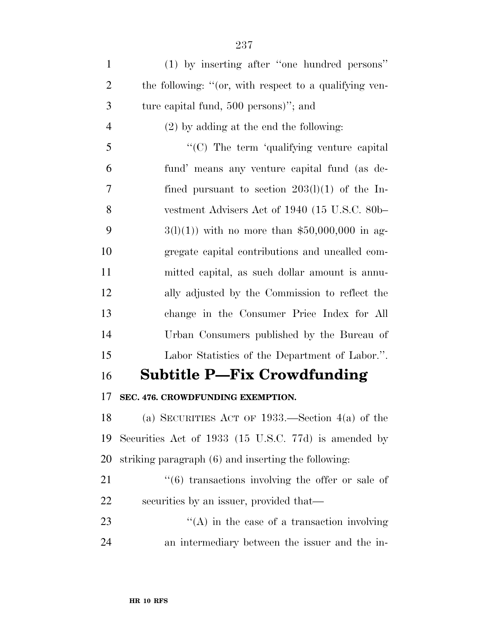| $\mathbf{1}$   | (1) by inserting after "one hundred persons"                 |
|----------------|--------------------------------------------------------------|
| $\overline{2}$ | the following: "(or, with respect to a qualifying ven-       |
| 3              | ture capital fund, 500 persons)"; and                        |
| $\overline{4}$ | $(2)$ by adding at the end the following:                    |
| 5              | "(C) The term 'qualifying venture capital                    |
| 6              | fund' means any venture capital fund (as de-                 |
| 7              | fined pursuant to section $203(1)(1)$ of the In-             |
| 8              | vestment Advisers Act of 1940 (15 U.S.C. 80b-                |
| 9              | $3(l)(1)$ ) with no more than \$50,000,000 in ag-            |
| 10             | gregate capital contributions and uncalled com-              |
| <sup>11</sup>  | mitted capital, as such dollar amount is annu-               |
| 12             | ally adjusted by the Commission to reflect the               |
| 13             | change in the Consumer Price Index for All                   |
| 14             | Urban Consumers published by the Bureau of                   |
| 15             | Labor Statistics of the Department of Labor.".               |
| 16             | <b>Subtitle P—Fix Crowdfunding</b>                           |
| 17             | SEC. 476. CROWDFUNDING EXEMPTION.                            |
| 18             | (a) SECURITIES ACT OF $1933$ . Section 4(a) of the           |
| 19             | Securities Act of 1933 (15 U.S.C. 77d) is amended by         |
| 20             | striking paragraph (6) and inserting the following:          |
| 21             | $\cdot\cdot$ (6) transactions involving the offer or sale of |
| 22             | securities by an issuer, provided that—                      |
| 23             | $\lq\lq$ in the case of a transaction involving              |
| 24             | an intermediary between the issuer and the in-               |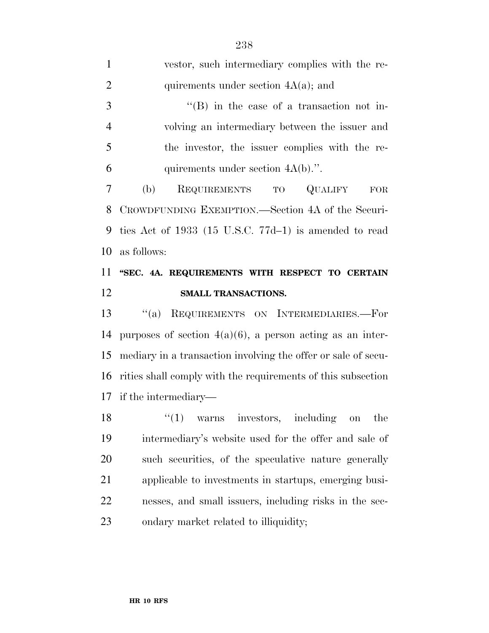| 1              | vestor, such intermediary complies with the re-          |
|----------------|----------------------------------------------------------|
| 2              | quirements under section $4A(a)$ ; and                   |
| 3              | $\lq\lq$ (B) in the case of a transaction not in-        |
| $\overline{4}$ | volving an intermediary between the issuer and           |
| 5              | the investor, the issuer complies with the re-           |
| 6              | quirements under section $4A(b)$ .".                     |
| 7              | REQUIREMENTS TO QUALIFY<br>(b)<br>FOR                    |
| 8              | CROWDFUNDING EXEMPTION.—Section 4A of the Securi-        |
| 9              | ties Act of 1933 (15 U.S.C. $77d-1$ ) is amended to read |
| 10             | as follows:                                              |
|                | 11 "SEC. 4A. REQUIREMENTS WITH RESPECT TO CERTAIN        |

#### **SMALL TRANSACTIONS.**

 ''(a) REQUIREMENTS ON INTERMEDIARIES.—For 14 purposes of section  $4(a)(6)$ , a person acting as an inter- mediary in a transaction involving the offer or sale of secu- rities shall comply with the requirements of this subsection if the intermediary—

18 ''(1) warns investors, including on the intermediary's website used for the offer and sale of such securities, of the speculative nature generally applicable to investments in startups, emerging busi- nesses, and small issuers, including risks in the sec-ondary market related to illiquidity;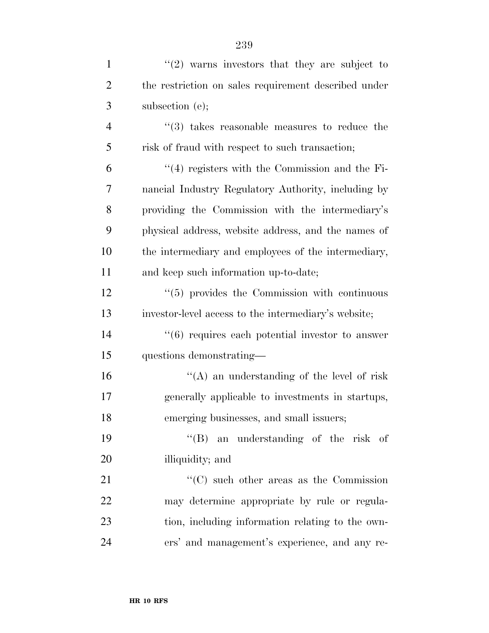| $\mathbf{1}$   | $(2)$ warns investors that they are subject to                  |
|----------------|-----------------------------------------------------------------|
| $\overline{2}$ | the restriction on sales requirement described under            |
| 3              | subsection (e);                                                 |
| $\overline{4}$ | $\cdot\cdot\cdot(3)$ takes reasonable measures to reduce the    |
| 5              | risk of fraud with respect to such transaction;                 |
| 6              | $\cdot$ (4) registers with the Commission and the Fi-           |
| 7              | nancial Industry Regulatory Authority, including by             |
| 8              | providing the Commission with the intermediary's                |
| 9              | physical address, website address, and the names of             |
| 10             | the intermediary and employees of the intermediary,             |
| 11             | and keep such information up-to-date;                           |
| 12             | $\cdot\cdot\cdot(5)$ provides the Commission with continuous    |
| 13             | investor-level access to the intermediary's website;            |
| 14             | $\cdot\cdot\cdot(6)$ requires each potential investor to answer |
| 15             | questions demonstrating—                                        |
| 16             | "(A) an understanding of the level of risk                      |
| 17             | generally applicable to investments in startups,                |
| 18             | emerging businesses, and small issuers;                         |
| 19             | "(B) an understanding of the risk of                            |
| 20             | illiquidity; and                                                |
| 21             | $\lq\lq$ (C) such other areas as the Commission                 |
| 22             | may determine appropriate by rule or regula-                    |
| 23             | tion, including information relating to the own-                |
| 24             | ers' and management's experience, and any re-                   |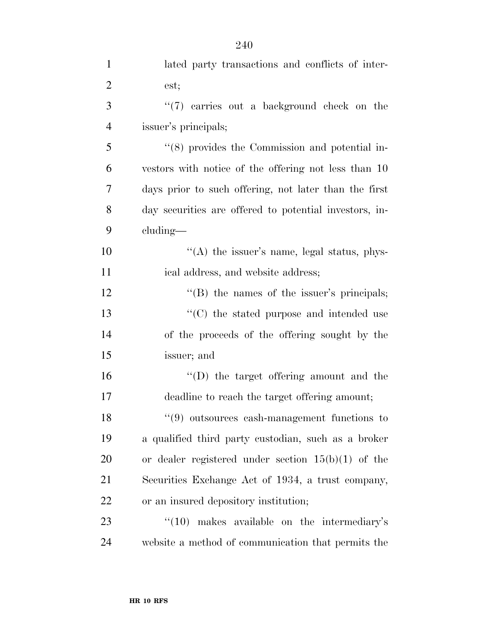| $\mathbf{1}$   | lated party transactions and conflicts of inter-             |
|----------------|--------------------------------------------------------------|
| $\overline{2}$ | est;                                                         |
| 3              | $(7)$ carries out a background check on the                  |
| $\overline{4}$ | issuer's principals;                                         |
| 5              | $\lq(8)$ provides the Commission and potential in-           |
| 6              | vestors with notice of the offering not less than 10         |
| 7              | days prior to such offering, not later than the first        |
| 8              | day securities are offered to potential investors, in-       |
| 9              | $cluding$ —                                                  |
| 10             | "(A) the issuer's name, legal status, phys-                  |
| 11             | ical address, and website address;                           |
| 12             | $\lq\lq$ the names of the issuer's principals;               |
| 13             | "(C) the stated purpose and intended use                     |
| 14             | of the proceeds of the offering sought by the                |
| 15             | issuer; and                                                  |
| 16             | $\lq\lq$ the target offering amount and the                  |
| 17             | deadline to reach the target offering amount;                |
| 18             | $\cdot\cdot\cdot(9)$ outsources cash-management functions to |
| 19             | a qualified third party custodian, such as a broker          |
| 20             | or dealer registered under section $15(b)(1)$ of the         |
| 21             | Securities Exchange Act of 1934, a trust company,            |
| 22             | or an insured depository institution;                        |
| 23             | $\cdot$ (10) makes available on the intermediary's           |
| 24             | website a method of communication that permits the           |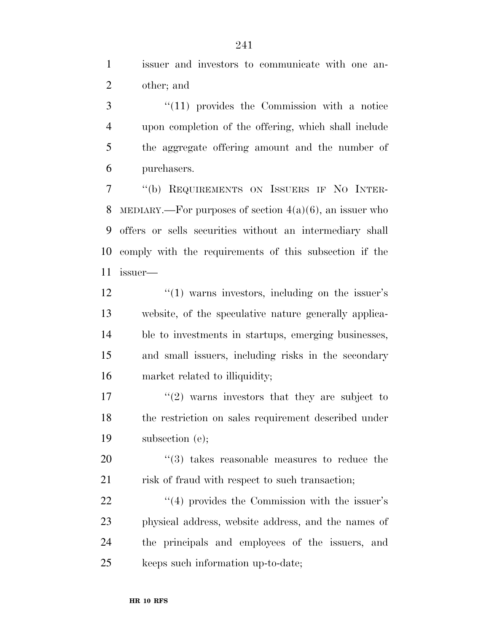issuer and investors to communicate with one an-other; and

3 "(11) provides the Commission with a notice upon completion of the offering, which shall include the aggregate offering amount and the number of purchasers.

 ''(b) REQUIREMENTS ON ISSUERS IF NO INTER-8 MEDIARY.—For purposes of section  $4(a)(6)$ , an issuer who offers or sells securities without an intermediary shall comply with the requirements of this subsection if the issuer—

 $\frac{12}{2}$  ''(1) warns investors, including on the issuer's website, of the speculative nature generally applica- ble to investments in startups, emerging businesses, and small issuers, including risks in the secondary market related to illiquidity;

 $(2)$  warns investors that they are subject to the restriction on sales requirement described under subsection (e);

20  $\frac{1}{2}$  (3) takes reasonable measures to reduce the 21 risk of fraud with respect to such transaction;

22 ''(4) provides the Commission with the issuer's physical address, website address, and the names of the principals and employees of the issuers, and keeps such information up-to-date;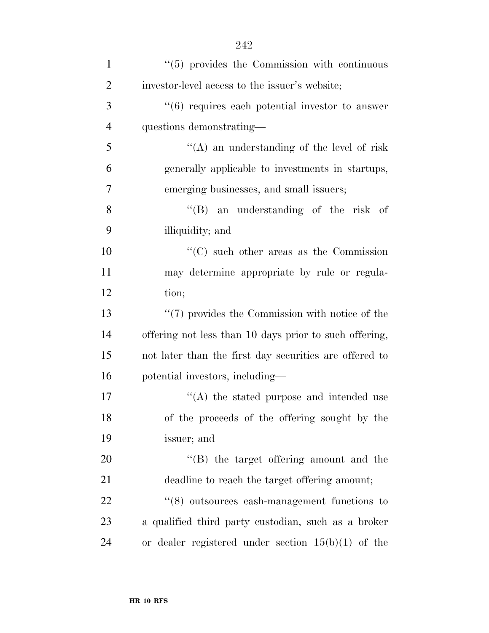| $\mathbf{1}$   | $\cdot\cdot\cdot(5)$ provides the Commission with continuous    |
|----------------|-----------------------------------------------------------------|
| $\overline{2}$ | investor-level access to the issuer's website;                  |
| 3              | $\cdot\cdot\cdot(6)$ requires each potential investor to answer |
| $\overline{4}$ | questions demonstrating—                                        |
| 5              | "(A) an understanding of the level of risk                      |
| 6              | generally applicable to investments in startups,                |
| 7              | emerging businesses, and small issuers;                         |
| 8              | $\lq\lq (B)$<br>an understanding of the risk of                 |
| 9              | illiquidity; and                                                |
| 10             | $\cdot$ (C) such other areas as the Commission                  |
| 11             | may determine appropriate by rule or regula-                    |
| 12             | tion;                                                           |
| 13             | $\lq(7)$ provides the Commission with notice of the             |
| 14             | offering not less than 10 days prior to such offering,          |
| 15             | not later than the first day securities are offered to          |
| 16             | potential investors, including—                                 |
| 17             | $\cdot$ (A) the stated purpose and intended use                 |
| 18             | of the proceeds of the offering sought by the                   |
| 19             | issuer; and                                                     |
| 20             | "(B) the target offering amount and the                         |
| 21             | deadline to reach the target offering amount;                   |
| 22             | $\cdot\cdot$ (8) outsources cash-management functions to        |
| 23             | a qualified third party custodian, such as a broker             |
| 24             | or dealer registered under section $15(b)(1)$ of the            |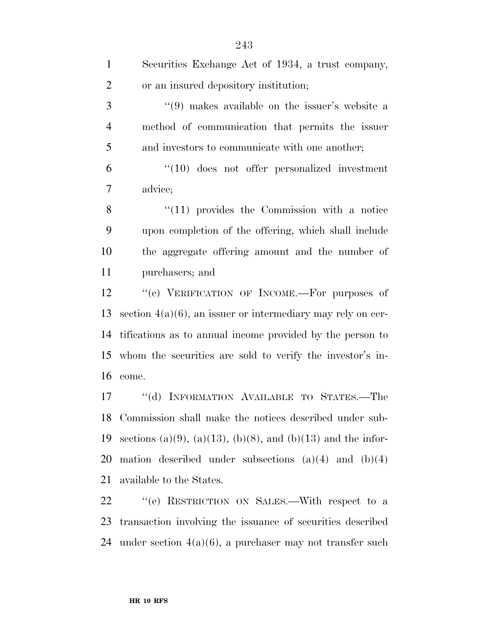| $\mathbf{1}$   | Securities Exchange Act of 1934, a trust company,              |
|----------------|----------------------------------------------------------------|
| $\overline{2}$ | or an insured depository institution;                          |
| 3              | $(9)$ makes available on the issuer's website a                |
| $\overline{4}$ | method of communication that permits the issuer                |
| 5              | and investors to communicate with one another;                 |
| 6              | $"(10)$ does not offer personalized investment                 |
| $\tau$         | advice;                                                        |
| 8              | $"(11)$ provides the Commission with a notice                  |
| 9              | upon completion of the offering, which shall include           |
| 10             | the aggregate offering amount and the number of                |
| 11             | purchasers; and                                                |
| 12             | "(c) VERIFICATION OF INCOME.—For purposes of                   |
| 13             | section $4(a)(6)$ , an issuer or intermediary may rely on cer- |
| 14             | tifications as to annual income provided by the person to      |
| 15             | whom the securities are sold to verify the investor's in-      |
| 16             | come.                                                          |
| 17             | "(d) INFORMATION AVAILABLE TO STATES.—The                      |
|                | 18 Commission shall make the notices described under sub-      |
| 19             | sections (a)(9), (a)(13), (b)(8), and (b)(13) and the infor-   |
| 20             | mation described under subsections $(a)(4)$ and $(b)(4)$       |
| 21             | available to the States.                                       |
| 22             | "(e) RESTRICTION ON SALES.—With respect to a                   |

 transaction involving the issuance of securities described under section 4(a)(6), a purchaser may not transfer such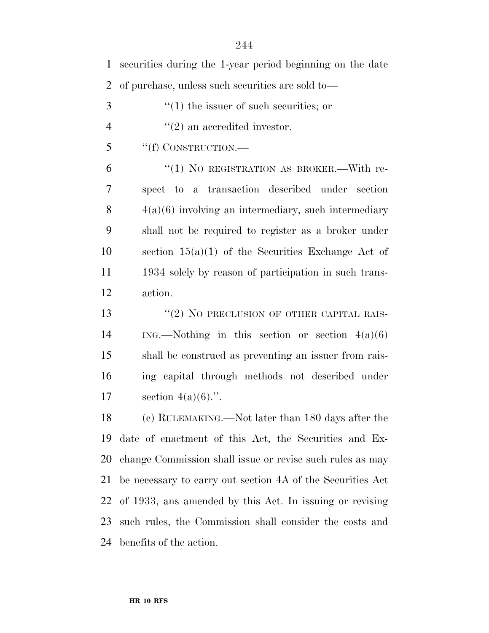| $\mathbf{1}$   | securities during the 1-year period beginning on the date  |
|----------------|------------------------------------------------------------|
| $\overline{2}$ | of purchase, unless such securities are sold to—           |
| 3              | $\cdot$ (1) the issuer of such securities; or              |
| $\overline{4}$ | $\lq(2)$ an accredited investor.                           |
| 5              | "(f) CONSTRUCTION.—                                        |
| 6              | " $(1)$ NO REGISTRATION AS BROKER.—With re-                |
| $\overline{7}$ | spect to a transaction described under<br>section          |
| 8              | $4(a)(6)$ involving an intermediary, such intermediary     |
| 9              | shall not be required to register as a broker under        |
| 10             | section $15(a)(1)$ of the Securities Exchange Act of       |
| 11             | 1934 solely by reason of participation in such trans-      |
| 12             | action.                                                    |
| 13             | "(2) NO PRECLUSION OF OTHER CAPITAL RAIS-                  |
| 14             | $ING.$ Nothing in this section or section $4(a)(6)$        |
| 15             | shall be construed as preventing an issuer from rais-      |
| 16             | ing capital through methods not described under            |
| 17             | section $4(a)(6)$ .".                                      |
| 18             | (c) RULEMAKING.—Not later than 180 days after the          |
| 19             | date of enactment of this Act, the Securities and Ex-      |
| 20             | change Commission shall issue or revise such rules as may  |
| 21             | be necessary to carry out section 4A of the Securities Act |
| 22             | of 1933, ans amended by this Act. In issuing or revising   |
| 23             | such rules, the Commission shall consider the costs and    |
| 24             | benefits of the action.                                    |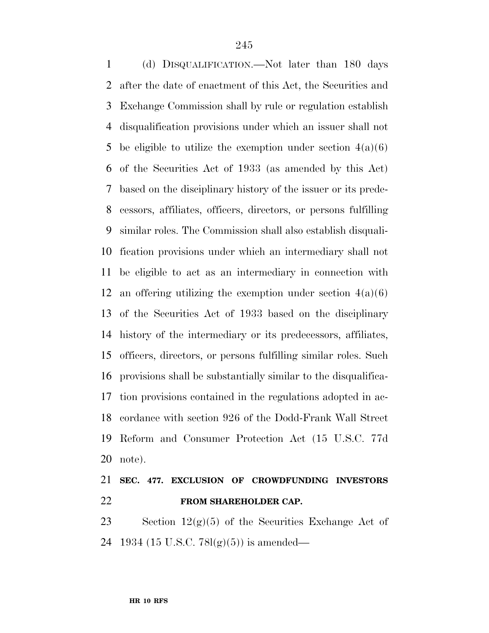(d) DISQUALIFICATION.—Not later than 180 days after the date of enactment of this Act, the Securities and Exchange Commission shall by rule or regulation establish disqualification provisions under which an issuer shall not 5 be eligible to utilize the exemption under section  $4(a)(6)$  of the Securities Act of 1933 (as amended by this Act) based on the disciplinary history of the issuer or its prede- cessors, affiliates, officers, directors, or persons fulfilling similar roles. The Commission shall also establish disquali- fication provisions under which an intermediary shall not be eligible to act as an intermediary in connection with 12 an offering utilizing the exemption under section  $4(a)(6)$  of the Securities Act of 1933 based on the disciplinary history of the intermediary or its predecessors, affiliates, officers, directors, or persons fulfilling similar roles. Such provisions shall be substantially similar to the disqualifica- tion provisions contained in the regulations adopted in ac- cordance with section 926 of the Dodd-Frank Wall Street Reform and Consumer Protection Act (15 U.S.C. 77d note).

### **SEC. 477. EXCLUSION OF CROWDFUNDING INVESTORS FROM SHAREHOLDER CAP.**

23 Section  $12(g)(5)$  of the Securities Exchange Act of 1934 (15 U.S.C. 78l(g)(5)) is amended—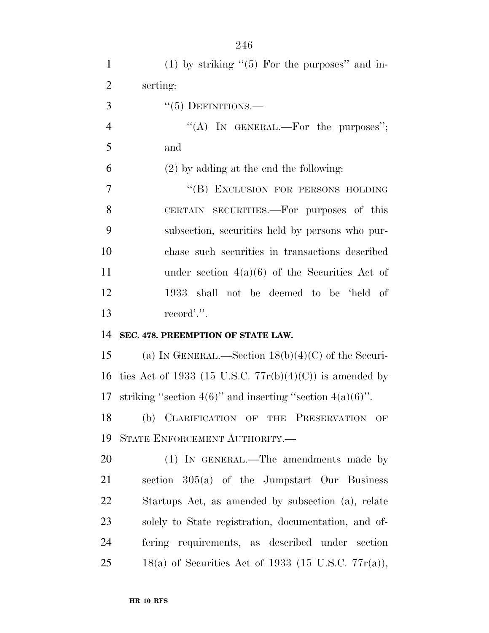| $\mathbf{1}$   | $(1)$ by striking " $(5)$ For the purposes" and in-            |
|----------------|----------------------------------------------------------------|
| $\overline{2}$ | serting:                                                       |
| 3              | $``(5)$ DEFINITIONS.—                                          |
| $\overline{4}$ | "(A) IN GENERAL.—For the purposes";                            |
| 5              | and                                                            |
| 6              | $(2)$ by adding at the end the following:                      |
| 7              | "(B) EXCLUSION FOR PERSONS HOLDING                             |
| 8              | CERTAIN SECURITIES.—For purposes of this                       |
| 9              | subsection, securities held by persons who pur-                |
| 10             | chase such securities in transactions described                |
| 11             | under section $4(a)(6)$ of the Securities Act of               |
| 12             | 1933 shall not be deemed to be 'held of                        |
|                |                                                                |
| 13             | record'.".                                                     |
| 14             | SEC. 478. PREEMPTION OF STATE LAW.                             |
| 15             | (a) IN GENERAL.—Section $18(b)(4)(C)$ of the Securi-           |
| 16             | ties Act of 1933 (15 U.S.C. $77r(b)(4)(C)$ ) is amended by     |
| 17             | striking "section $4(6)$ " and inserting "section $4(a)(6)$ ". |
| 18             | (b) CLARIFICATION OF THE PRESERVATION OF                       |
| 19             | STATE ENFORCEMENT AUTHORITY.-                                  |
| 20             | (1) IN GENERAL.—The amendments made by                         |
| 21             | section 305(a) of the Jumpstart Our Business                   |
| 22             | Startups Act, as amended by subsection (a), relate             |
| 23             | solely to State registration, documentation, and of-           |
| 24             | fering requirements, as described under section                |

**HR 10 RFS**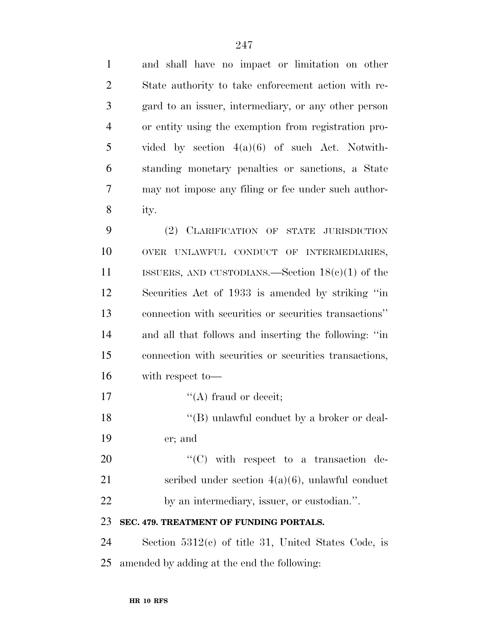and shall have no impact or limitation on other State authority to take enforcement action with re- gard to an issuer, intermediary, or any other person or entity using the exemption from registration pro- vided by section 4(a)(6) of such Act. Notwith- standing monetary penalties or sanctions, a State may not impose any filing or fee under such author-ity.

 (2) CLARIFICATION OF STATE JURISDICTION OVER UNLAWFUL CONDUCT OF INTERMEDIARIES, 11 ISSUERS, AND CUSTODIANS.—Section 18(c)(1) of the Securities Act of 1933 is amended by striking ''in connection with securities or securities transactions'' and all that follows and inserting the following: ''in connection with securities or securities transactions, with respect to—

17  $\frac{17}{2}$  ''(A) fraud or deceit;

18 ''(B) unlawful conduct by a broker or deal-er; and

20  $\text{``(C)}$  with respect to a transaction de- scribed under section 4(a)(6), unlawful conduct by an intermediary, issuer, or custodian.''.

#### **SEC. 479. TREATMENT OF FUNDING PORTALS.**

 Section 5312(c) of title 31, United States Code, is amended by adding at the end the following: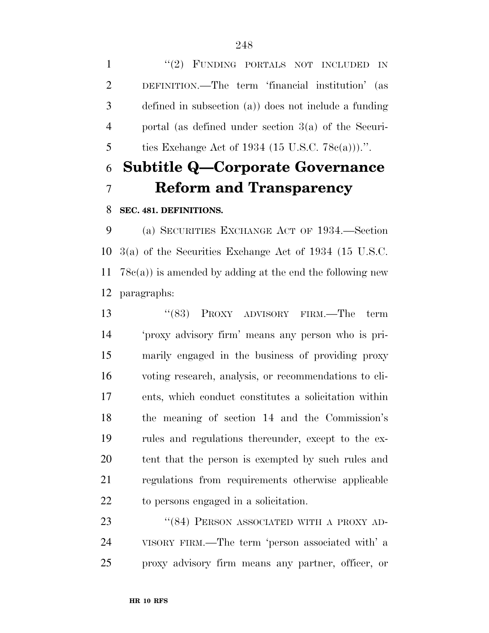1 "(2) FUNDING PORTALS NOT INCLUDED IN DEFINITION.—The term 'financial institution' (as defined in subsection (a)) does not include a funding portal (as defined under section 3(a) of the Securi-5 ties Exchange Act of 1934  $(15 \text{ U.S.C. } 78c(a)))$ .".

## **Subtitle Q—Corporate Governance Reform and Transparency**

#### **SEC. 481. DEFINITIONS.**

 (a) SECURITIES EXCHANGE ACT OF 1934.—Section 3(a) of the Securities Exchange Act of 1934 (15 U.S.C. 78c(a)) is amended by adding at the end the following new paragraphs:

 ''(83) PROXY ADVISORY FIRM.—The term 'proxy advisory firm' means any person who is pri- marily engaged in the business of providing proxy voting research, analysis, or recommendations to cli- ents, which conduct constitutes a solicitation within the meaning of section 14 and the Commission's rules and regulations thereunder, except to the ex- tent that the person is exempted by such rules and regulations from requirements otherwise applicable to persons engaged in a solicitation.

23 "(84) PERSON ASSOCIATED WITH A PROXY AD- VISORY FIRM.—The term 'person associated with' a proxy advisory firm means any partner, officer, or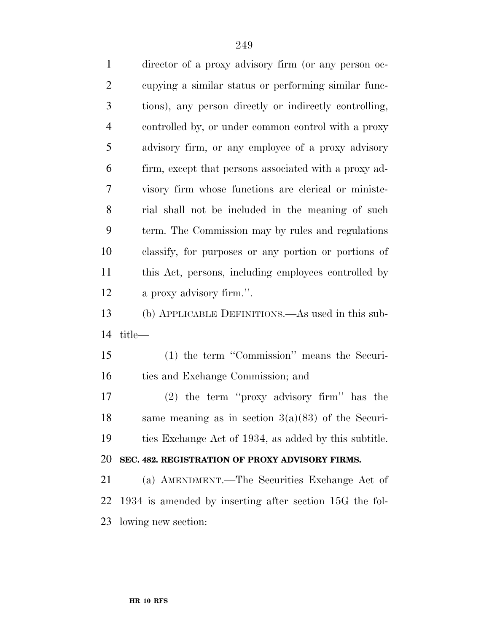| $\mathbf{1}$   | director of a proxy advisory firm (or any person oc-    |
|----------------|---------------------------------------------------------|
| $\overline{2}$ | cupying a similar status or performing similar func-    |
| 3              | tions), any person directly or indirectly controlling,  |
| $\overline{4}$ | controlled by, or under common control with a proxy     |
| 5              | advisory firm, or any employee of a proxy advisory      |
| 6              | firm, except that persons associated with a proxy ad-   |
| $\tau$         | visory firm whose functions are clerical or ministe-    |
| 8              | rial shall not be included in the meaning of such       |
| 9              | term. The Commission may by rules and regulations       |
| 10             | classify, for purposes or any portion or portions of    |
| 11             | this Act, persons, including employees controlled by    |
| 12             | a proxy advisory firm.".                                |
| 13             | (b) APPLICABLE DEFINITIONS.—As used in this sub-        |
| 14             | title—                                                  |
| 15             | (1) the term "Commission" means the Securi-             |
| 16             | ties and Exchange Commission; and                       |
| 17             | $(2)$ the term "proxy advisory firm" has the            |
| 18             | same meaning as in section $3(a)(83)$ of the Securi-    |
| 19             | ties Exchange Act of 1934, as added by this subtitle.   |
| 20             | SEC. 482. REGISTRATION OF PROXY ADVISORY FIRMS.         |
| 21             | (a) AMENDMENT.—The Securities Exchange Act of           |
| 22             | 1934 is amended by inserting after section 15G the fol- |
| 23             | lowing new section:                                     |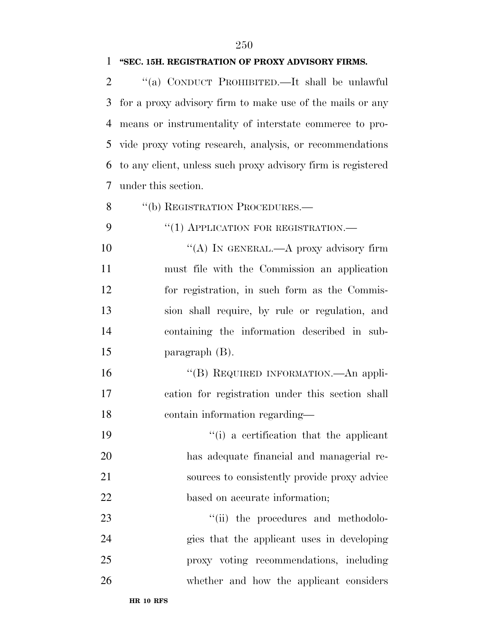#### **''SEC. 15H. REGISTRATION OF PROXY ADVISORY FIRMS.**

 ''(a) CONDUCT PROHIBITED.—It shall be unlawful for a proxy advisory firm to make use of the mails or any means or instrumentality of interstate commerce to pro- vide proxy voting research, analysis, or recommendations to any client, unless such proxy advisory firm is registered under this section.

8 "(b) REGISTRATION PROCEDURES.—

9 "(1) APPLICATION FOR REGISTRATION.—

10 "(A) IN GENERAL.—A proxy advisory firm must file with the Commission an application for registration, in such form as the Commis- sion shall require, by rule or regulation, and containing the information described in sub-paragraph (B).

16 "(B) REQUIRED INFORMATION.—An appli- cation for registration under this section shall contain information regarding—

 ''(i) a certification that the applicant has adequate financial and managerial re- sources to consistently provide proxy advice based on accurate information;

 $\frac{1}{1}$  the procedures and methodolo- gies that the applicant uses in developing proxy voting recommendations, including whether and how the applicant considers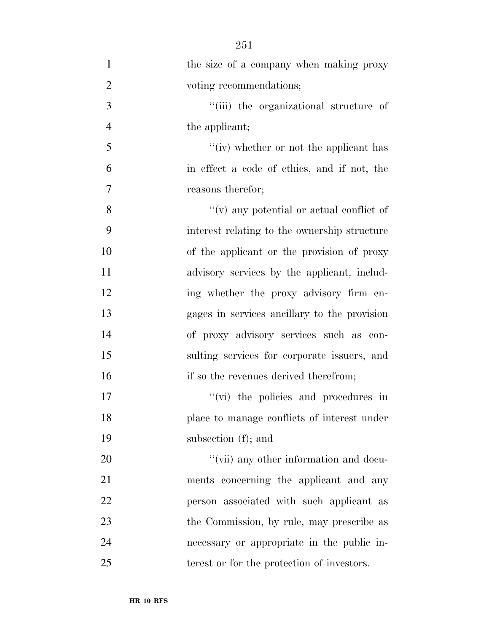| $\mathbf{1}$   | the size of a company when making proxy              |
|----------------|------------------------------------------------------|
| $\mathbf{2}$   | voting recommendations;                              |
| 3              | "(iii) the organizational structure of               |
| $\overline{4}$ | the applicant;                                       |
| 5              | "(iv) whether or not the applicant has               |
| 6              | in effect a code of ethics, and if not, the          |
| $\overline{7}$ | reasons therefor;                                    |
| 8              | $\mathcal{C}(v)$ any potential or actual conflict of |
| 9              | interest relating to the ownership structure         |
| 10             | of the applicant or the provision of proxy           |
| 11             | advisory services by the applicant, includ-          |
| 12             | ing whether the proxy advisory firm en-              |
| 13             | gages in services ancillary to the provision         |
| 14             | of proxy advisory services such as con-              |
| 15             | sulting services for corporate issuers, and          |
| 16             | if so the revenues derived therefrom;                |
| 17             | "(vi) the policies and procedures in                 |
| 18             | place to manage conflicts of interest under          |
| 19             | subsection (f); and                                  |
| 20             | "(vii) any other information and docu-               |
| 21             | ments concerning the applicant and any               |
| 22             | person associated with such applicant as             |
| 23             | the Commission, by rule, may prescribe as            |
| 24             | necessary or appropriate in the public in-           |
| 25             | terest or for the protection of investors.           |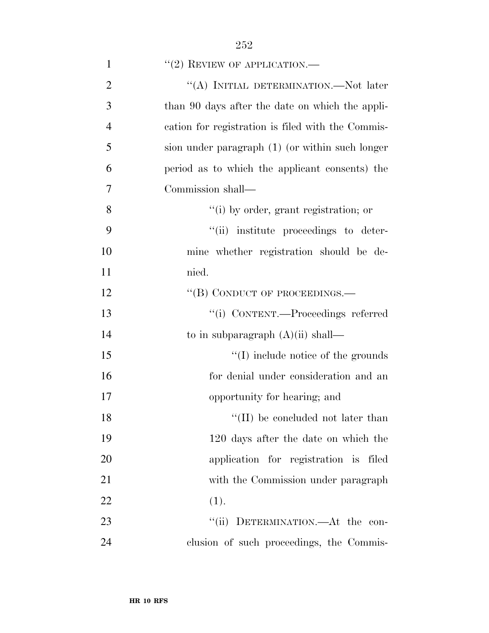| $\mathbf{1}$   | $``(2)$ REVIEW OF APPLICATION.—                   |
|----------------|---------------------------------------------------|
| $\overline{2}$ | "(A) INITIAL DETERMINATION.—Not later             |
| 3              | than 90 days after the date on which the appli-   |
| $\overline{4}$ | cation for registration is filed with the Commis- |
| 5              | sion under paragraph (1) (or within such longer   |
| 6              | period as to which the applicant consents) the    |
| 7              | Commission shall—                                 |
| 8              | "(i) by order, grant registration; or             |
| 9              | "(ii) institute proceedings to deter-             |
| 10             | mine whether registration should be de-           |
| 11             | nied.                                             |
| 12             | "(B) CONDUCT OF PROCEEDINGS.-                     |
| 13             | "(i) CONTENT.—Proceedings referred                |
| 14             | to in subparagraph $(A)(ii)$ shall—               |
| 15             | $\lq\lq$ (I) include notice of the grounds        |
| 16             | for denial under consideration and an             |
| 17             | opportunity for hearing; and                      |
| 18             | $\lq\lq$ (II) be concluded not later than         |
| 19             | 120 days after the date on which the              |
| 20             | application for registration is filed             |
| 21             | with the Commission under paragraph               |
| 22             | (1).                                              |
| 23             | "(ii) DETERMINATION.—At the con-                  |
| 24             | clusion of such proceedings, the Commis-          |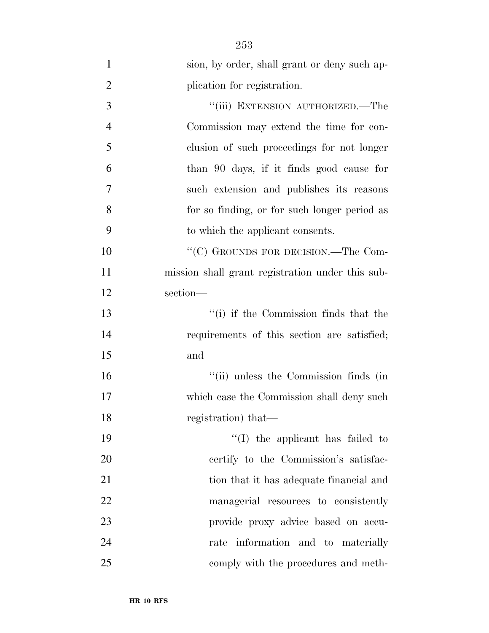| $\mathbf{1}$   | sion, by order, shall grant or deny such ap-     |
|----------------|--------------------------------------------------|
| $\overline{2}$ | plication for registration.                      |
| 3              | "(iii) EXTENSION AUTHORIZED.—The                 |
| $\overline{4}$ | Commission may extend the time for con-          |
| 5              | clusion of such proceedings for not longer       |
| 6              | than 90 days, if it finds good cause for         |
| 7              | such extension and publishes its reasons         |
| 8              | for so finding, or for such longer period as     |
| 9              | to which the applicant consents.                 |
| 10             | "(C) GROUNDS FOR DECISION.—The Com-              |
| 11             | mission shall grant registration under this sub- |
| 12             | section-                                         |
| 13             | "(i) if the Commission finds that the            |
| 14             | requirements of this section are satisfied;      |
| 15             | and                                              |
| 16             | "(ii) unless the Commission finds (in            |
| 17             | which case the Commission shall deny such        |
| 18             | registration) that—                              |
| 19             | $\lq\lq$ the applicant has failed to             |
| 20             | certify to the Commission's satisfac-            |
| 21             | tion that it has adequate financial and          |
| 22             | managerial resources to consistently             |
| 23             | provide proxy advice based on accu-              |
| 24             | information and to materially<br>rate            |
| 25             | comply with the procedures and meth-             |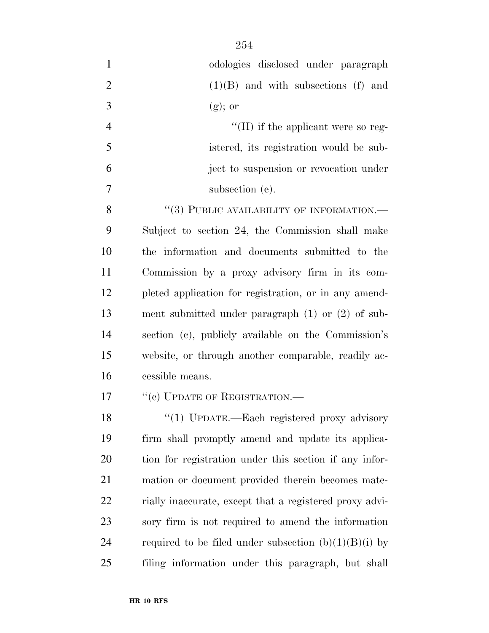| $\mathbf{1}$   | odologies disclosed under paragraph                   |
|----------------|-------------------------------------------------------|
| $\overline{2}$ | $(1)(B)$ and with subsections (f) and                 |
| 3              | $(g);$ or                                             |
| $\overline{4}$ | $\lq\lq$ (II) if the applicant were so reg-           |
| 5              | istered, its registration would be sub-               |
| 6              | ject to suspension or revocation under                |
| $\overline{7}$ | subsection (e).                                       |
| 8              | $``(3)$ PUBLIC AVAILABILITY OF INFORMATION.—          |
| 9              | Subject to section 24, the Commission shall make      |
| 10             | the information and documents submitted to the        |
| 11             | Commission by a proxy advisory firm in its com-       |
| 12             | pleted application for registration, or in any amend- |
| 13             | ment submitted under paragraph $(1)$ or $(2)$ of sub- |
| 14             | section (c), publicly available on the Commission's   |
| 15             | website, or through another comparable, readily ac-   |
| 16             | cessible means.                                       |
| 17             | "(c) UPDATE OF REGISTRATION.-                         |
| 18             | $\frac{4}{1}$ UPDATE Rack registered provy advisory   |

 ''(1) UPDATE.—Each registered proxy advisory firm shall promptly amend and update its applica- tion for registration under this section if any infor- mation or document provided therein becomes mate- rially inaccurate, except that a registered proxy advi- sory firm is not required to amend the information 24 required to be filed under subsection  $(b)(1)(B)(i)$  by filing information under this paragraph, but shall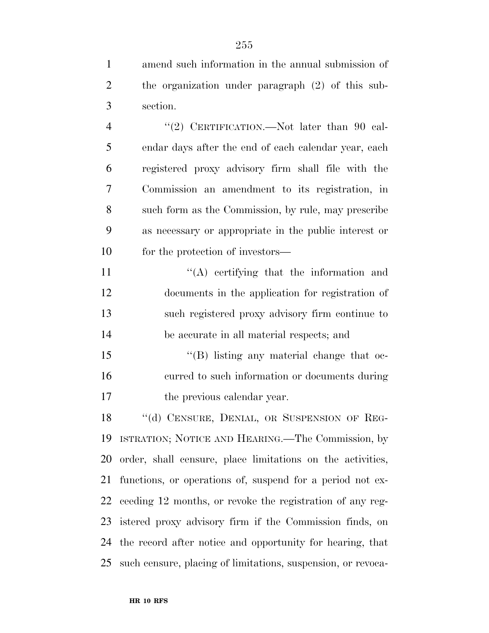amend such information in the annual submission of the organization under paragraph (2) of this sub-section.

4 "(2) CERTIFICATION.—Not later than 90 cal- endar days after the end of each calendar year, each registered proxy advisory firm shall file with the Commission an amendment to its registration, in such form as the Commission, by rule, may prescribe as necessary or appropriate in the public interest or 10 for the protection of investors—

11 ''(A) certifying that the information and documents in the application for registration of such registered proxy advisory firm continue to be accurate in all material respects; and

15 "(B) listing any material change that oc- curred to such information or documents during 17 the previous calendar year.

18 "(d) CENSURE, DENIAL, OR SUSPENSION OF REG- ISTRATION; NOTICE AND HEARING.—The Commission, by order, shall censure, place limitations on the activities, functions, or operations of, suspend for a period not ex- ceeding 12 months, or revoke the registration of any reg- istered proxy advisory firm if the Commission finds, on the record after notice and opportunity for hearing, that such censure, placing of limitations, suspension, or revoca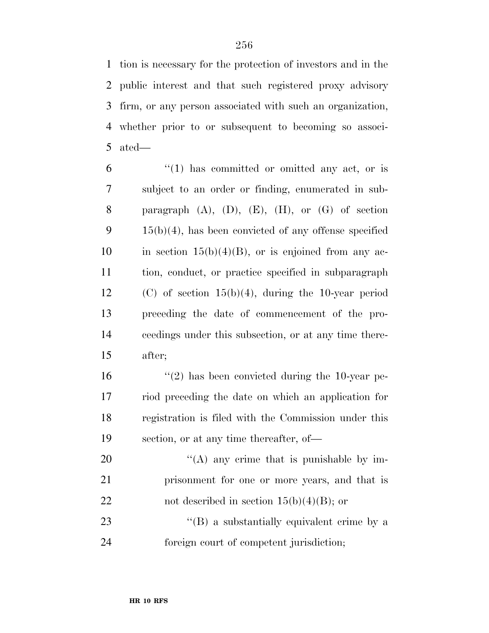tion is necessary for the protection of investors and in the public interest and that such registered proxy advisory firm, or any person associated with such an organization, whether prior to or subsequent to becoming so associ-ated—

 "(1) has committed or omitted any act, or is subject to an order or finding, enumerated in sub-8 paragraph  $(A)$ ,  $(D)$ ,  $(E)$ ,  $(H)$ , or  $(G)$  of section 15(b)(4), has been convicted of any offense specified 10 in section  $15(b)(4)(B)$ , or is enjoined from any ac- tion, conduct, or practice specified in subparagraph (C) of section 15(b)(4), during the 10-year period preceding the date of commencement of the pro- ceedings under this subsection, or at any time there-after;

 $(2)$  has been convicted during the 10-year pe- riod preceding the date on which an application for registration is filed with the Commission under this section, or at any time thereafter, of—

20  $\langle (A)$  any crime that is punishable by im- prisonment for one or more years, and that is 22 not described in section  $15(b)(4)(B)$ ; or

23 "'(B) a substantially equivalent crime by a foreign court of competent jurisdiction;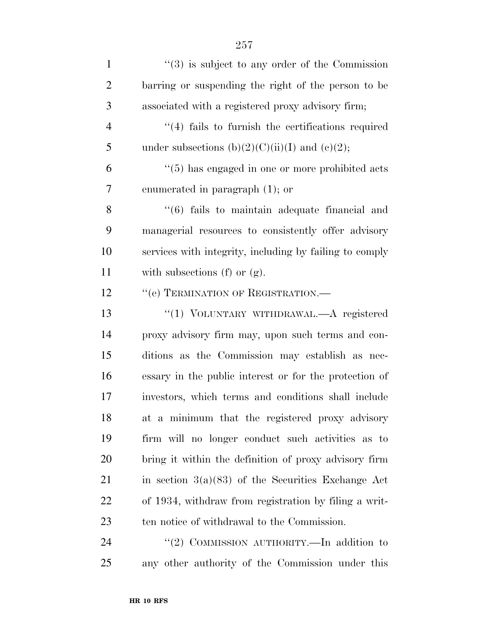1 ''(3) is subject to any order of the Commission barring or suspending the right of the person to be associated with a registered proxy advisory firm; ''(4) fails to furnish the certifications required 5 under subsections  $(b)(2)(C)(ii)(I)$  and  $(c)(2)$ ; ''(5) has engaged in one or more prohibited acts enumerated in paragraph (1); or 8 "(6) fails to maintain adequate financial and managerial resources to consistently offer advisory services with integrity, including by failing to comply with subsections (f) or (g). 12 " (e) TERMINATION OF REGISTRATION.— ''(1) VOLUNTARY WITHDRAWAL.—A registered proxy advisory firm may, upon such terms and con- ditions as the Commission may establish as nec- essary in the public interest or for the protection of investors, which terms and conditions shall include at a minimum that the registered proxy advisory firm will no longer conduct such activities as to bring it within the definition of proxy advisory firm 21 in section  $3(a)(83)$  of the Securities Exchange Act of 1934, withdraw from registration by filing a writ- ten notice of withdrawal to the Commission. 24 "(2) COMMISSION AUTHORITY.—In addition to any other authority of the Commission under this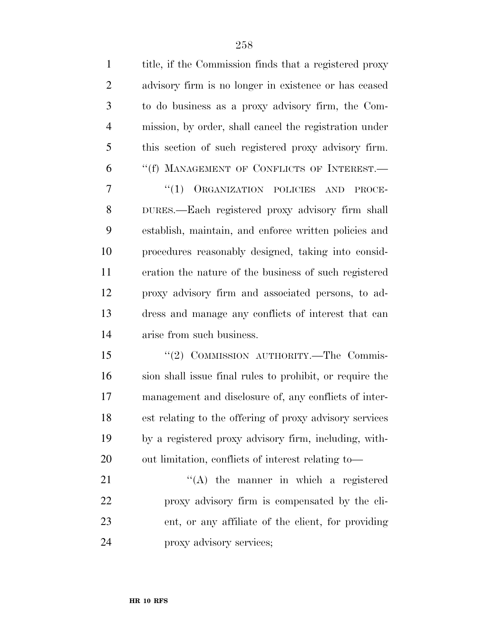| $\mathbf{1}$   | title, if the Commission finds that a registered proxy   |
|----------------|----------------------------------------------------------|
| $\overline{2}$ | advisory firm is no longer in existence or has ceased    |
| 3              | to do business as a proxy advisory firm, the Com-        |
| $\overline{4}$ | mission, by order, shall cancel the registration under   |
| 5              | this section of such registered proxy advisory firm.     |
| 6              | "(f) MANAGEMENT OF CONFLICTS OF INTEREST.-               |
| 7              | "(1) ORGANIZATION POLICIES AND<br>PROCE-                 |
| 8              | DURES.—Each registered proxy advisory firm shall         |
| 9              | establish, maintain, and enforce written policies and    |
| 10             | procedures reasonably designed, taking into consid-      |
| 11             | eration the nature of the business of such registered    |
| 12             | proxy advisory firm and associated persons, to ad-       |
| 13             | dress and manage any conflicts of interest that can      |
| 14             | arise from such business.                                |
| 15             | "(2) COMMISSION AUTHORITY.—The Commis-                   |
| 16             | sion shall issue final rules to prohibit, or require the |
| 17             | management and disclosure of, any conflicts of inter-    |
| 18             | est relating to the offering of proxy advisory services  |
| 19             | by a registered proxy advisory firm, including, with-    |
| 20             | out limitation, conflicts of interest relating to—       |
| 21             | $\lq\lq$ the manner in which a registered                |
| 22             | proxy advisory firm is compensated by the cli-           |
| 23             | ent, or any affiliate of the client, for providing       |
| 24             | proxy advisory services;                                 |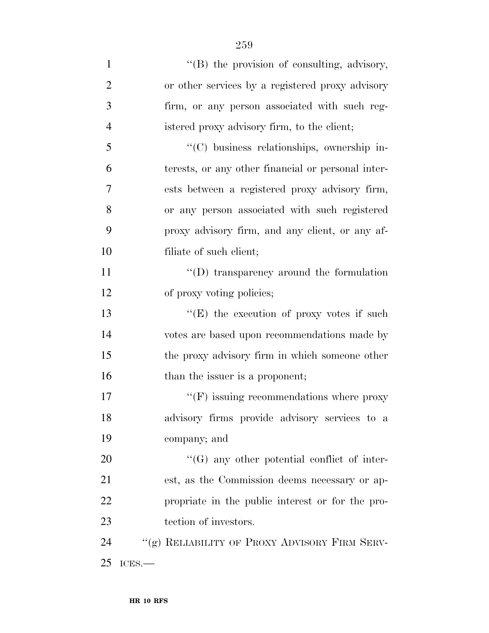| $\mathbf{1}$   | "(B) the provision of consulting, advisory,        |
|----------------|----------------------------------------------------|
| $\overline{2}$ | or other services by a registered proxy advisory   |
| 3              | firm, or any person associated with such reg-      |
| $\overline{4}$ | istered proxy advisory firm, to the client;        |
| 5              | "(C) business relationships, ownership in-         |
| 6              | terests, or any other financial or personal inter- |
| 7              | ests between a registered proxy advisory firm,     |
| 8              | or any person associated with such registered      |
| 9              | proxy advisory firm, and any client, or any af-    |
| 10             | filiate of such client;                            |
| 11             | $\lq\lq$ transparency around the formulation       |
| 12             | of proxy voting policies;                          |
| 13             | "(E) the execution of proxy votes if such          |
| 14             | votes are based upon recommendations made by       |
| 15             | the proxy advisory firm in which someone other     |
| 16             | than the issuer is a proponent;                    |
| 17             | $\lq\lq(F)$ issuing recommendations where proxy    |
| 18             | advisory firms provide advisory services to a      |
| 19             | company; and                                       |
| 20             | $\lq\lq(G)$ any other potential conflict of inter- |
| 21             | est, as the Commission deems necessary or ap-      |
| 22             | propriate in the public interest or for the pro-   |
| 23             | tection of investors.                              |
| 24             | "(g) RELIABILITY OF PROXY ADVISORY FIRM SERV-      |
| 25             | ICES.                                              |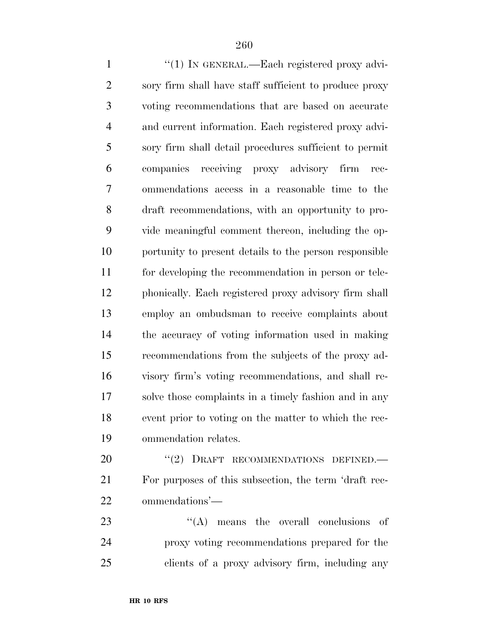1 "(1) IN GENERAL.—Each registered proxy advi- sory firm shall have staff sufficient to produce proxy voting recommendations that are based on accurate and current information. Each registered proxy advi- sory firm shall detail procedures sufficient to permit companies receiving proxy advisory firm rec- ommendations access in a reasonable time to the draft recommendations, with an opportunity to pro- vide meaningful comment thereon, including the op- portunity to present details to the person responsible for developing the recommendation in person or tele- phonically. Each registered proxy advisory firm shall employ an ombudsman to receive complaints about the accuracy of voting information used in making recommendations from the subjects of the proxy ad- visory firm's voting recommendations, and shall re- solve those complaints in a timely fashion and in any event prior to voting on the matter to which the rec-ommendation relates.

20 "(2) DRAFT RECOMMENDATIONS DEFINED. For purposes of this subsection, the term 'draft rec-ommendations'—

23  $\langle (A)$  means the overall conclusions of proxy voting recommendations prepared for the clients of a proxy advisory firm, including any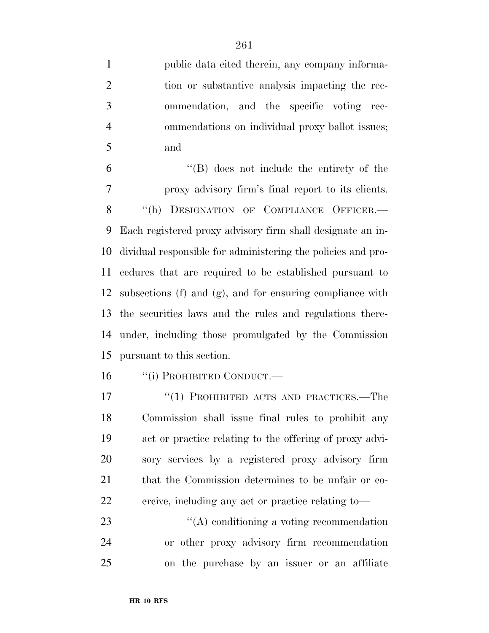| $\mathbf{1}$   | public data cited therein, any company informa-              |
|----------------|--------------------------------------------------------------|
| $\overline{2}$ | tion or substantive analysis impacting the rec-              |
| 3              | ommendation, and the specific voting<br>rec-                 |
| $\overline{4}$ | ommendations on individual proxy ballot issues;              |
| 5              | and                                                          |
| 6              | "(B) does not include the entirety of the                    |
| 7              | proxy advisory firm's final report to its clients.           |
| 8              | "(h) DESIGNATION OF COMPLIANCE OFFICER.-                     |
| 9              | Each registered proxy advisory firm shall designate an in-   |
| 10             | dividual responsible for administering the policies and pro- |
| 11             | cedures that are required to be established pursuant to      |
| 12             | subsections (f) and (g), and for ensuring compliance with    |
| 13             | the securities laws and the rules and regulations there-     |
| 14             | under, including those promulgated by the Commission         |
| 15             | pursuant to this section.                                    |
| 16             | "(i) PROHIBITED CONDUCT.—                                    |
| 17             | "(1) PROHIBITED ACTS AND PRACTICES.—The                      |
| 18             | Commission shall issue final rules to prohibit any           |
| 19             | act or practice relating to the offering of proxy advi-      |

sory services by a registered proxy advisory firm

that the Commission determines to be unfair or co-

23 ''(A) conditioning a voting recommendation

or other proxy advisory firm recommendation

on the purchase by an issuer or an affiliate

ercive, including any act or practice relating to—

**HR 10 RFS**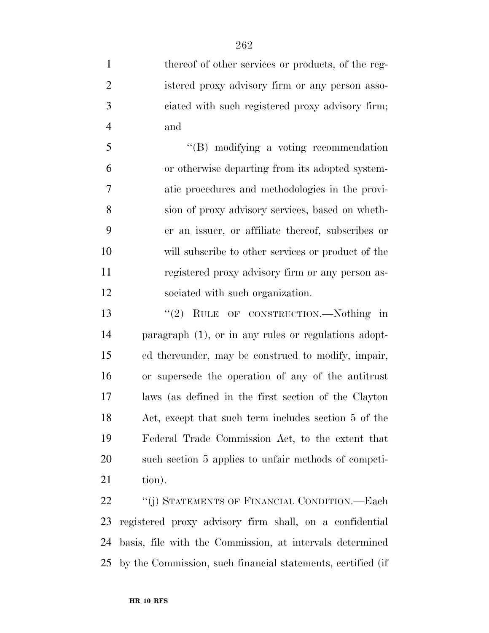thereof of other services or products, of the reg- istered proxy advisory firm or any person asso- ciated with such registered proxy advisory firm; and

 ''(B) modifying a voting recommendation or otherwise departing from its adopted system- atic procedures and methodologies in the provi- sion of proxy advisory services, based on wheth- er an issuer, or affiliate thereof, subscribes or will subscribe to other services or product of the registered proxy advisory firm or any person as-sociated with such organization.

13 "(2) RULE OF CONSTRUCTION.—Nothing in paragraph (1), or in any rules or regulations adopt- ed thereunder, may be construed to modify, impair, or supersede the operation of any of the antitrust laws (as defined in the first section of the Clayton Act, except that such term includes section 5 of the Federal Trade Commission Act, to the extent that such section 5 applies to unfair methods of competi-tion).

22 "(j) STATEMENTS OF FINANCIAL CONDITION.—Each registered proxy advisory firm shall, on a confidential basis, file with the Commission, at intervals determined by the Commission, such financial statements, certified (if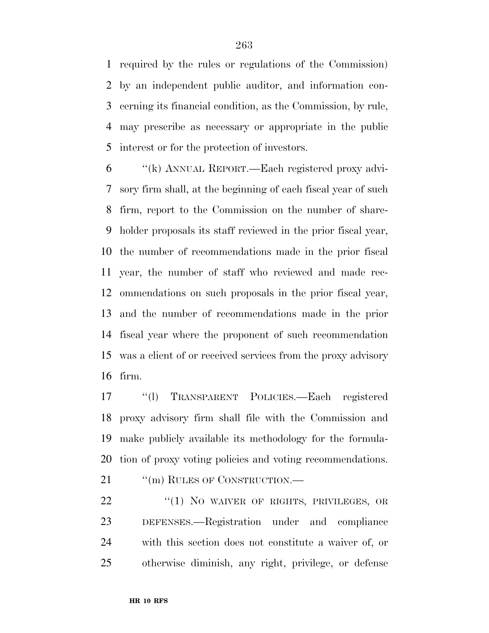required by the rules or regulations of the Commission) by an independent public auditor, and information con- cerning its financial condition, as the Commission, by rule, may prescribe as necessary or appropriate in the public interest or for the protection of investors.

 ''(k) ANNUAL REPORT.—Each registered proxy advi- sory firm shall, at the beginning of each fiscal year of such firm, report to the Commission on the number of share- holder proposals its staff reviewed in the prior fiscal year, the number of recommendations made in the prior fiscal year, the number of staff who reviewed and made rec- ommendations on such proposals in the prior fiscal year, and the number of recommendations made in the prior fiscal year where the proponent of such recommendation was a client of or received services from the proxy advisory firm.

 ''(l) TRANSPARENT POLICIES.—Each registered proxy advisory firm shall file with the Commission and make publicly available its methodology for the formula-tion of proxy voting policies and voting recommendations.

21 "(m) RULES OF CONSTRUCTION.—

22 "(1) NO WAIVER OF RIGHTS, PRIVILEGES, OR DEFENSES.—Registration under and compliance with this section does not constitute a waiver of, or otherwise diminish, any right, privilege, or defense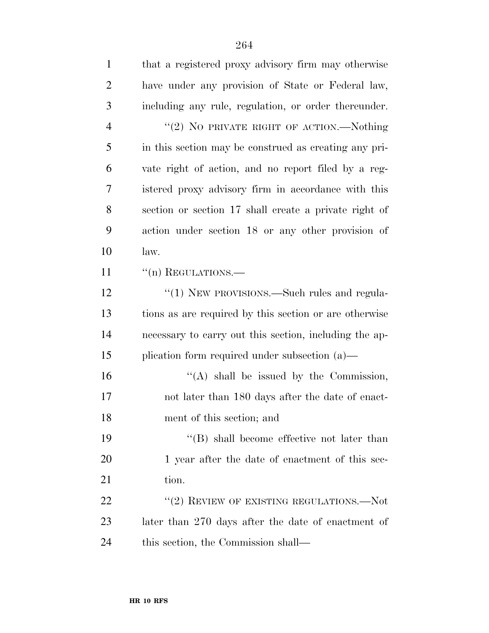| $\mathbf{1}$   | that a registered proxy advisory firm may otherwise    |
|----------------|--------------------------------------------------------|
| $\overline{2}$ | have under any provision of State or Federal law,      |
| 3              | including any rule, regulation, or order thereunder.   |
| $\overline{4}$ | "(2) NO PRIVATE RIGHT OF ACTION.—Nothing               |
| 5              | in this section may be construed as creating any pri-  |
| 6              | vate right of action, and no report filed by a reg-    |
| 7              | istered proxy advisory firm in accordance with this    |
| 8              | section or section 17 shall create a private right of  |
| 9              | action under section 18 or any other provision of      |
| 10             | law.                                                   |
| 11             | "(n) REGULATIONS.-                                     |
| 12             | "(1) NEW PROVISIONS.—Such rules and regula-            |
| 13             | tions as are required by this section or are otherwise |
| 14             | necessary to carry out this section, including the ap- |
| 15             | plication form required under subsection $(a)$ —       |
| 16             | "(A) shall be issued by the Commission,                |
| 17             | not later than 180 days after the date of enact-       |
| 18             | ment of this section; and                              |
| 19             | $\lq\lq (B)$ shall become effective not later than     |
| 20             | 1 year after the date of enactment of this sec-        |
| 21             | tion.                                                  |
| 22             | $``(2)$ REVIEW OF EXISTING REGULATIONS.—Not            |
| 23             | later than 270 days after the date of enactment of     |
| 24             | this section, the Commission shall—                    |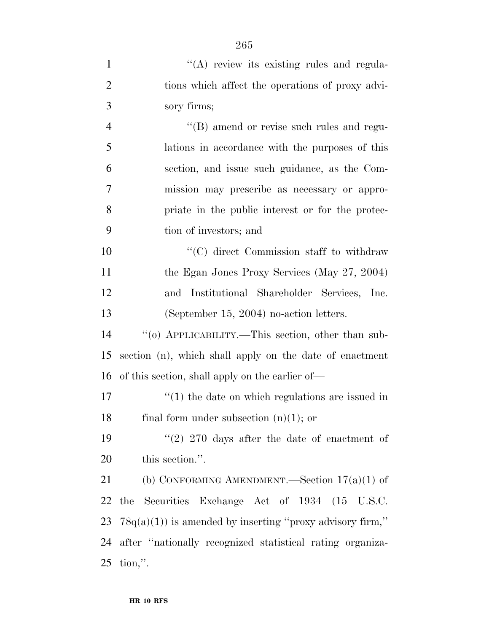| $\mathbf{1}$   | $\lq\lq$ review its existing rules and regula-             |
|----------------|------------------------------------------------------------|
| $\overline{2}$ | tions which affect the operations of proxy advi-           |
| 3              | sory firms;                                                |
| $\overline{4}$ | $\lq\lq (B)$ amend or revise such rules and regu-          |
| 5              | lations in accordance with the purposes of this            |
| 6              | section, and issue such guidance, as the Com-              |
| 7              | mission may prescribe as necessary or appro-               |
| 8              | priate in the public interest or for the protec-           |
| 9              | tion of investors; and                                     |
| 10             | "(C) direct Commission staff to withdraw                   |
| 11             | the Egan Jones Proxy Services (May 27, 2004)               |
| 12             | and Institutional Shareholder Services, Inc.               |
| 13             | (September 15, 2004) no-action letters.                    |
| 14             | "(o) APPLICABILITY.—This section, other than sub-          |
| 15             | section (n), which shall apply on the date of enactment    |
| 16             | of this section, shall apply on the earlier of—            |
| 17             | $\cdot$ (1) the date on which regulations are issued in    |
| 18             | final form under subsection $(n)(1)$ ; or                  |
| 19             | "(2) $270$ days after the date of enactment of             |
| 20             | this section.".                                            |
| 21             | (b) CONFORMING AMENDMENT.—Section $17(a)(1)$ of            |
| 22             | the Securities Exchange Act of 1934 (15 U.S.C.             |
| 23             | $78q(a)(1)$ is amended by inserting "proxy advisory firm," |
| 24             | after "nationally recognized statistical rating organiza-  |
| 25             | tion,".                                                    |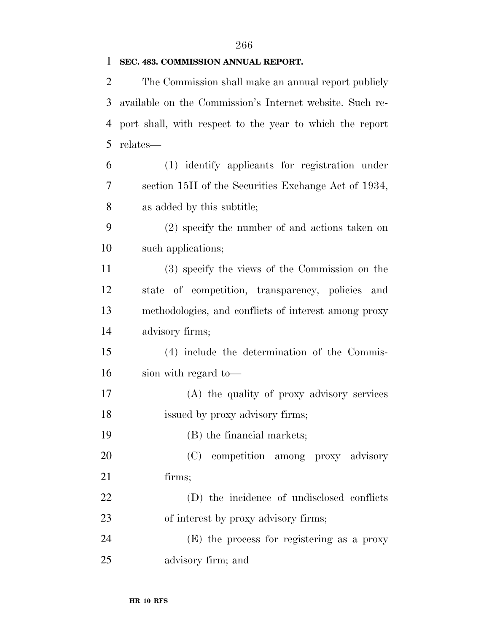## **SEC. 483. COMMISSION ANNUAL REPORT.**

| $\overline{2}$ | The Commission shall make an annual report publicly      |
|----------------|----------------------------------------------------------|
| 3              | available on the Commission's Internet website. Such re- |
| 4              | port shall, with respect to the year to which the report |
| 5              | relates—                                                 |
| 6              | (1) identify applicants for registration under           |
| 7              | section 15H of the Securities Exchange Act of 1934,      |
| 8              | as added by this subtitle;                               |
| 9              | (2) specify the number of and actions taken on           |
| 10             | such applications;                                       |
| 11             | (3) specify the views of the Commission on the           |
| 12             | state of competition, transparency, policies and         |
| 13             | methodologies, and conflicts of interest among proxy     |
| 14             | advisory firms;                                          |
| 15             | (4) include the determination of the Commis-             |
| 16             | sion with regard to-                                     |
| 17             | (A) the quality of proxy advisory services               |
| 18             | issued by proxy advisory firms;                          |
| 19             | (B) the financial markets;                               |
| 20             | (C) competition among proxy advisory                     |
| 21             | firms;                                                   |
| 22             | (D) the incidence of undisclosed conflicts               |
| 23             | of interest by proxy advisory firms;                     |
| 24             | (E) the process for registering as a proxy               |
| 25             | advisory firm; and                                       |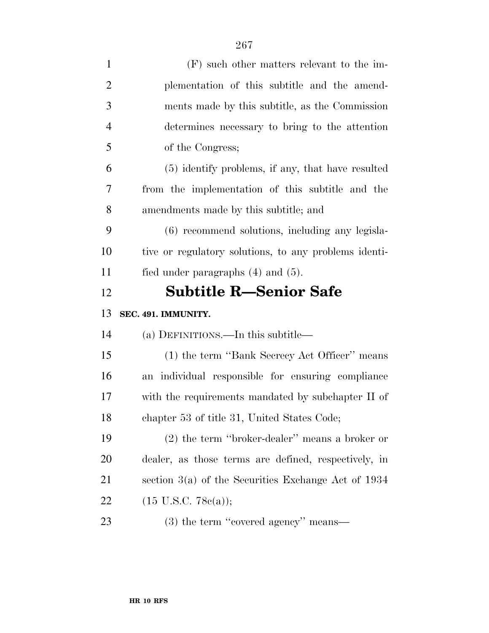| $\mathbf{1}$   | $(F)$ such other matters relevant to the im-          |
|----------------|-------------------------------------------------------|
| $\overline{2}$ | plementation of this subtitle and the amend-          |
| 3              | ments made by this subtitle, as the Commission        |
| $\overline{4}$ | determines necessary to bring to the attention        |
| 5              | of the Congress;                                      |
| 6              | (5) identify problems, if any, that have resulted     |
| 7              | from the implementation of this subtitle and the      |
| 8              | amendments made by this subtitle; and                 |
| 9              | (6) recommend solutions, including any legisla-       |
| 10             | tive or regulatory solutions, to any problems identi- |
| 11             | fied under paragraphs $(4)$ and $(5)$ .               |
|                |                                                       |
| 12             | <b>Subtitle R–Senior Safe</b>                         |
| 13             | SEC. 491. IMMUNITY.                                   |
| 14             | (a) DEFINITIONS.—In this subtitle—                    |
| 15             | (1) the term "Bank Secrecy Act Officer" means         |
| 16             | an individual responsible for ensuring compliance     |
| 17             | with the requirements mandated by subchapter II of    |
| 18             | chapter 53 of title 31, United States Code;           |
| 19             | $(2)$ the term "broker-dealer" means a broker or      |
| 20             | dealer, as those terms are defined, respectively, in  |
| 21             | section $3(a)$ of the Securities Exchange Act of 1934 |
| 22             | $(15 \text{ U.S.C. } 78e(a));$                        |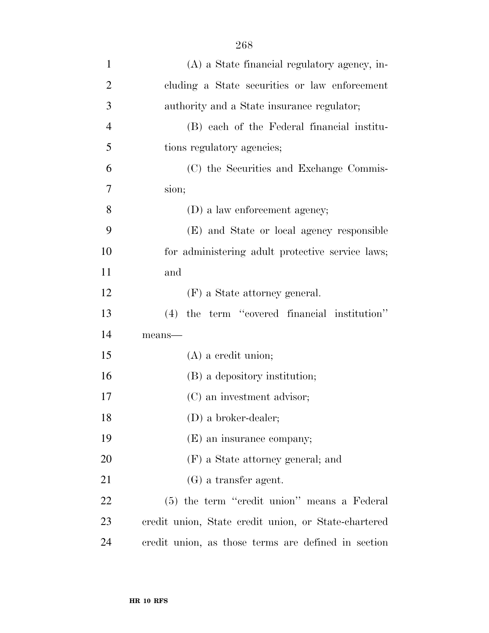| $\mathbf{1}$   | (A) a State financial regulatory agency, in-         |
|----------------|------------------------------------------------------|
| $\overline{2}$ | cluding a State securities or law enforcement        |
| 3              | authority and a State insurance regulator;           |
| $\overline{4}$ | (B) each of the Federal financial institu-           |
| 5              | tions regulatory agencies;                           |
| 6              | (C) the Securities and Exchange Commis-              |
| 7              | sion;                                                |
| 8              | (D) a law enforcement agency;                        |
| 9              | (E) and State or local agency responsible            |
| 10             | for administering adult protective service laws;     |
| 11             | and                                                  |
| 12             | (F) a State attorney general.                        |
| 13             | (4) the term "covered financial institution"         |
| 14             | means-                                               |
| 15             | $(A)$ a credit union;                                |
| 16             | (B) a depository institution;                        |
| 17             | (C) an investment advisor;                           |
| 18             | (D) a broker-dealer;                                 |
| 19             | (E) an insurance company;                            |
| 20             | (F) a State attorney general; and                    |
| 21             | $(G)$ a transfer agent.                              |
| 22             | (5) the term "credit union" means a Federal          |
| 23             | credit union, State credit union, or State-chartered |
| 24             | credit union, as those terms are defined in section  |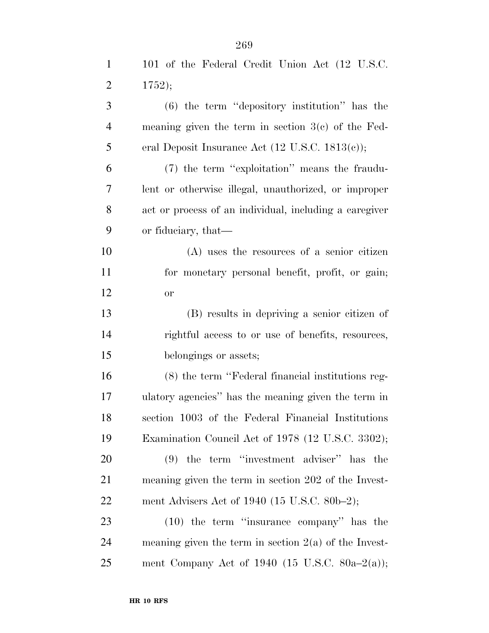| $\mathbf{1}$   | 101 of the Federal Credit Union Act (12 U.S.C.             |
|----------------|------------------------------------------------------------|
| $\overline{2}$ | 1752);                                                     |
| 3              | $(6)$ the term "depository institution" has the            |
| $\overline{4}$ | meaning given the term in section $3(c)$ of the Fed-       |
| 5              | eral Deposit Insurance Act $(12 \text{ U.S.C. } 1813(c));$ |
| 6              | (7) the term "exploitation" means the fraudu-              |
| 7              | lent or otherwise illegal, unauthorized, or improper       |
| 8              | act or process of an individual, including a caregiver     |
| 9              | or fiduciary, that—                                        |
| 10             | (A) uses the resources of a senior citizen                 |
| 11             | for monetary personal benefit, profit, or gain;            |
| 12             | <b>or</b>                                                  |
| 13             | (B) results in depriving a senior citizen of               |
| 14             | rightful access to or use of benefits, resources,          |
| 15             | belongings or assets;                                      |
| 16             | (8) the term "Federal financial institutions reg-          |
| 17             | ulatory agencies" has the meaning given the term in        |
| 18             | section 1003 of the Federal Financial Institutions         |
| 19             | Examination Council Act of 1978 (12 U.S.C. 3302);          |
| 20             | $(9)$ the term "investment adviser" has the                |
| 21             | meaning given the term in section 202 of the Invest-       |
| 22             | ment Advisers Act of 1940 (15 U.S.C. 80b–2);               |
| 23             | $(10)$ the term "insurance company" has the                |
| 24             | meaning given the term in section $2(a)$ of the Invest-    |
| 25             | ment Company Act of 1940 (15 U.S.C. 80a-2(a));             |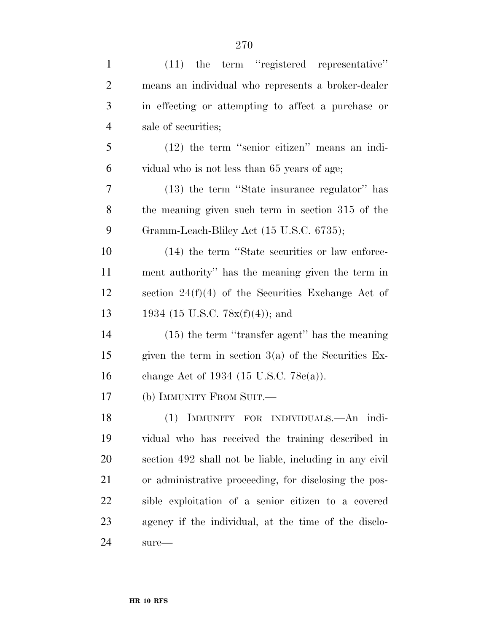| $\mathbf{1}$   | $(11)$ the term "registered representative"             |
|----------------|---------------------------------------------------------|
| $\overline{2}$ | means an individual who represents a broker-dealer      |
| 3              | in effecting or attempting to affect a purchase or      |
| $\overline{4}$ | sale of securities;                                     |
| 5              | $(12)$ the term "senior citizen" means an indi-         |
| 6              | vidual who is not less than 65 years of age;            |
| 7              | (13) the term "State insurance regulator" has           |
| 8              | the meaning given such term in section 315 of the       |
| 9              | Gramm-Leach-Bliley Act (15 U.S.C. 6735);                |
| 10             | (14) the term "State securities or law enforce-         |
| 11             | ment authority" has the meaning given the term in       |
| 12             | section $24(f)(4)$ of the Securities Exchange Act of    |
| 13             | 1934 (15 U.S.C. $78x(f)(4)$ ); and                      |
| 14             | $(15)$ the term "transfer agent" has the meaning        |
| 15             | given the term in section $3(a)$ of the Securities Ex-  |
| 16             | change Act of 1934 (15 U.S.C. 78 $e(a)$ ).              |
| 17             | (b) IMMUNITY FROM SUIT.—                                |
| 18             | (1) IMMUNITY FOR INDIVIDUALS.—An indi-                  |
| 19             | vidual who has received the training described in       |
| <b>20</b>      | section 492 shall not be liable, including in any civil |
| 21             | or administrative proceeding, for disclosing the pos-   |
| 22             | sible exploitation of a senior citizen to a covered     |
| 23             | agency if the individual, at the time of the disclo-    |
| 24             | $sure-$                                                 |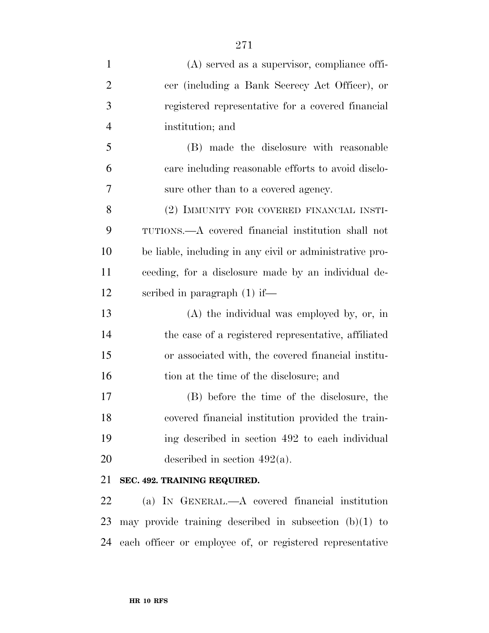| $\mathbf{1}$   | $(A)$ served as a supervisor, compliance offi-           |
|----------------|----------------------------------------------------------|
| $\overline{2}$ | cer (including a Bank Secrecy Act Officer), or           |
| 3              | registered representative for a covered financial        |
| $\overline{4}$ | institution; and                                         |
| 5              | (B) made the disclosure with reasonable                  |
| 6              | care including reasonable efforts to avoid disclo-       |
| 7              | sure other than to a covered agency.                     |
| 8              | (2) IMMUNITY FOR COVERED FINANCIAL INSTI-                |
| 9              | TUTIONS.—A covered financial institution shall not       |
| 10             | be liable, including in any civil or administrative pro- |
| 11             | ceeding, for a disclosure made by an individual de-      |
| 12             | scribed in paragraph $(1)$ if—                           |
| 13             | (A) the individual was employed by, or, in               |
| 14             | the case of a registered representative, affiliated      |
| 15             | or associated with, the covered financial institu-       |
| 16             | tion at the time of the disclosure; and                  |
| 17             | (B) before the time of the disclosure, the               |
| 18             | covered financial institution provided the train-        |
| 19             | ing described in section 492 to each individual          |
| 20             | described in section $492(a)$ .                          |
| 21             | SEC. 492. TRAINING REQUIRED.                             |
| 22             | (a) IN GENERAL.—A covered financial institution          |
| 23             | may provide training described in subsection $(b)(1)$ to |

**HR 10 RFS**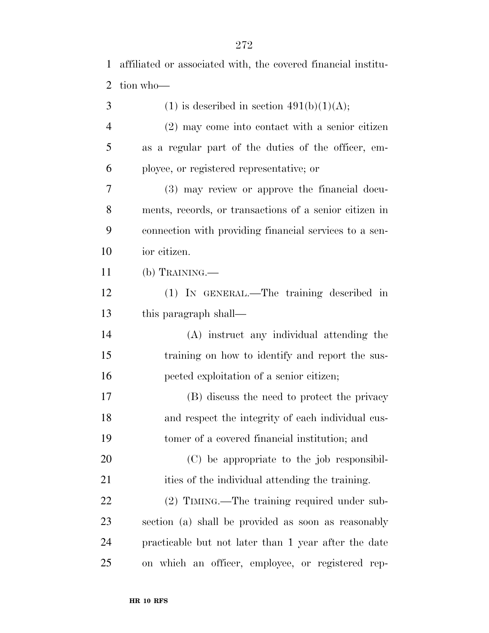affiliated or associated with, the covered financial institu-

| 2              | tion who-                                              |
|----------------|--------------------------------------------------------|
| 3              | (1) is described in section $491(b)(1)(A);$            |
| $\overline{4}$ | $(2)$ may come into contact with a senior citizen      |
| 5              | as a regular part of the duties of the officer, em-    |
| 6              | ployee, or registered representative; or               |
| 7              | (3) may review or approve the financial docu-          |
| 8              | ments, records, or transactions of a senior citizen in |
| 9              | connection with providing financial services to a sen- |
| 10             | ior citizen.                                           |
| 11             | (b) TRAINING.—                                         |
| 12             | (1) IN GENERAL.—The training described in              |
| 13             | this paragraph shall—                                  |
| 14             | (A) instruct any individual attending the              |
| 15             | training on how to identify and report the sus-        |
| 16             | pected exploitation of a senior citizen;               |
| 17             | (B) discuss the need to protect the privacy            |
| 18             | and respect the integrity of each individual cus-      |
| 19             | tomer of a covered financial institution; and          |
| 20             | (C) be appropriate to the job responsibil-             |
| 21             | ities of the individual attending the training.        |
| 22             | (2) TIMING.—The training required under sub-           |

 section (a) shall be provided as soon as reasonably practicable but not later than 1 year after the date on which an officer, employee, or registered rep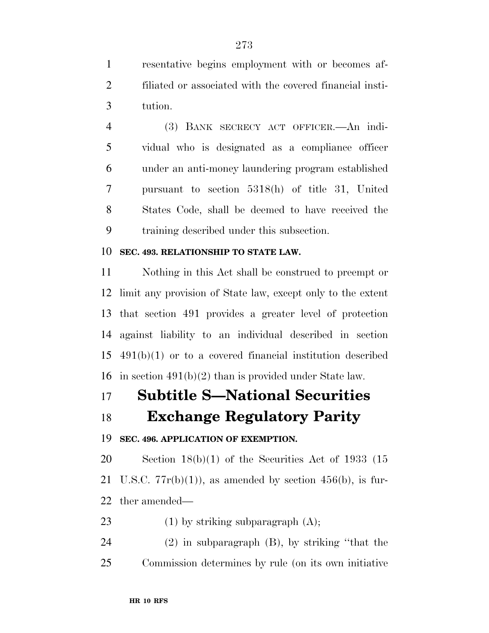resentative begins employment with or becomes af- filiated or associated with the covered financial insti-tution.

 (3) BANK SECRECY ACT OFFICER.—An indi- vidual who is designated as a compliance officer under an anti-money laundering program established pursuant to section 5318(h) of title 31, United States Code, shall be deemed to have received the training described under this subsection.

## **SEC. 493. RELATIONSHIP TO STATE LAW.**

 Nothing in this Act shall be construed to preempt or limit any provision of State law, except only to the extent that section 491 provides a greater level of protection against liability to an individual described in section 491(b)(1) or to a covered financial institution described in section 491(b)(2) than is provided under State law.

# **Subtitle S—National Securities**

## **Exchange Regulatory Parity**

**SEC. 496. APPLICATION OF EXEMPTION.** 

 Section 18(b)(1) of the Securities Act of 1933 (15 21 U.S.C.  $77r(b)(1)$ , as amended by section 456(b), is fur-ther amended—

23 (1) by striking subparagraph (A);

 (2) in subparagraph (B), by striking ''that the Commission determines by rule (on its own initiative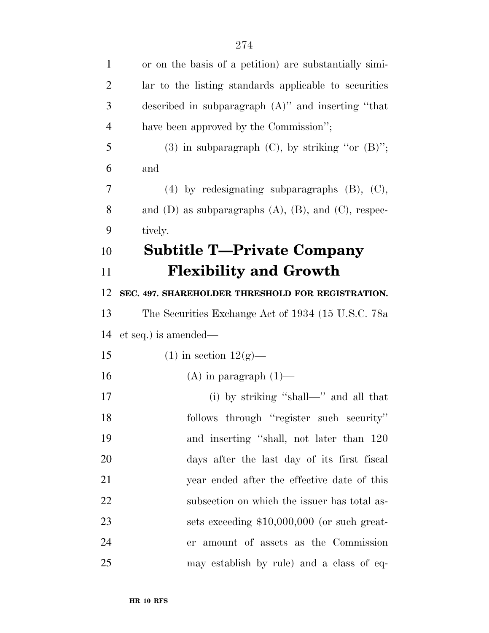| $\mathbf{1}$   | or on the basis of a petition) are substantially simi-         |
|----------------|----------------------------------------------------------------|
| $\overline{2}$ | lar to the listing standards applicable to securities          |
| 3              | described in subparagraph $(A)$ " and inserting "that          |
| $\overline{4}$ | have been approved by the Commission";                         |
| 5              | (3) in subparagraph $(C)$ , by striking "or $(B)$ ";           |
| 6              | and                                                            |
| 7              | $(4)$ by redesignating subparagraphs $(B)$ , $(C)$ ,           |
| 8              | and $(D)$ as subparagraphs $(A)$ , $(B)$ , and $(C)$ , respec- |
| 9              | tively.                                                        |
| 10             | <b>Subtitle T-Private Company</b>                              |
| 11             | <b>Flexibility and Growth</b>                                  |
| 12             | SEC. 497. SHAREHOLDER THRESHOLD FOR REGISTRATION.              |
| 13             | The Securities Exchange Act of 1934 (15 U.S.C. 78a             |
| 14             | et seq.) is amended—                                           |
| 15             | $(1)$ in section $12(g)$ —                                     |
| 16             | $(A)$ in paragraph $(1)$ —                                     |
| 17             | (i) by striking "shall—" and all that                          |
| 18             | follows through "register such security"                       |
| 19             | and inserting "shall, not later than 120                       |
| 20             | days after the last day of its first fiscal                    |
| 21             | year ended after the effective date of this                    |
| 22             | subsection on which the issuer has total as-                   |
| 23             | sets exceeding $$10,000,000$ (or such great-                   |
| 24             | er amount of assets as the Commission                          |
| 25             | may establish by rule) and a class of eq-                      |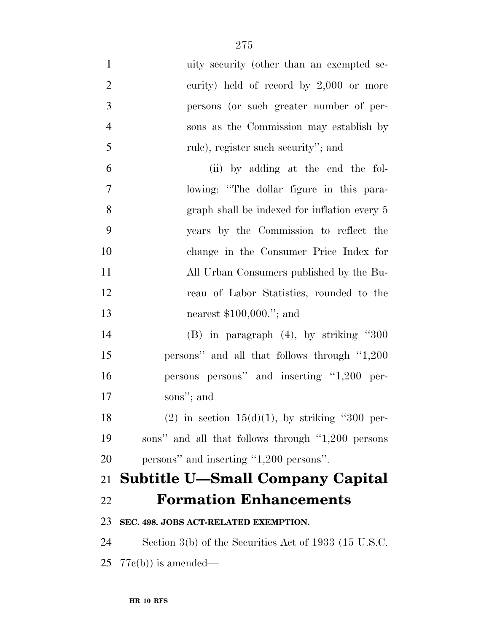| $\mathbf{1}$   | uity security (other than an exempted se-             |
|----------------|-------------------------------------------------------|
| $\overline{2}$ | curity) held of record by 2,000 or more               |
| 3              | persons (or such greater number of per-               |
| $\overline{4}$ | sons as the Commission may establish by               |
| 5              | rule), register such security"; and                   |
| 6              | (ii) by adding at the end the fol-                    |
| 7              | lowing: "The dollar figure in this para-              |
| 8              | graph shall be indexed for inflation every 5          |
| 9              | years by the Commission to reflect the                |
| 10             | change in the Consumer Price Index for                |
| 11             | All Urban Consumers published by the Bu-              |
| 12             | reau of Labor Statistics, rounded to the              |
| 13             | nearest $$100,000."$ ; and                            |
| 14             | $(B)$ in paragraph $(4)$ , by striking "300           |
| 15             | persons" and all that follows through "1,200"         |
| 16             | persons persons" and inserting "1,200 per-            |
| 17             | sons"; and                                            |
| 18             | $(2)$ in section 15(d)(1), by striking "300 per-      |
| 19             | sons" and all that follows through "1,200 persons"    |
| 20             | persons" and inserting "1,200 persons".               |
| 21             | <b>Subtitle U-Small Company Capital</b>               |
| 22             | <b>Formation Enhancements</b>                         |
| 23             | SEC. 498. JOBS ACT-RELATED EXEMPTION.                 |
| 24             | Section 3(b) of the Securities Act of 1933 (15 U.S.C. |
| 25             | $77c(b)$ ) is amended—                                |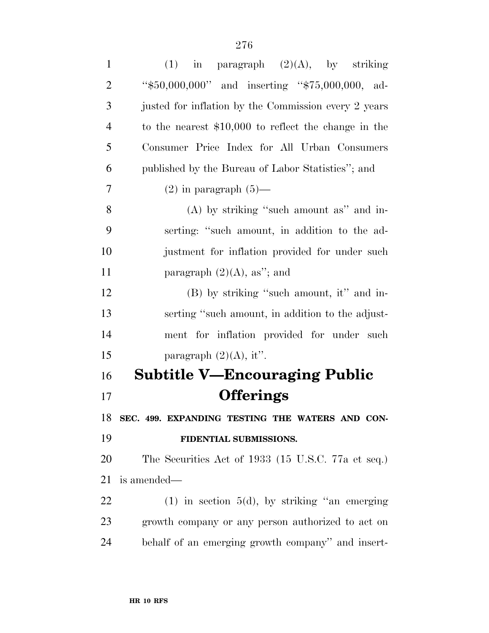| $\mathbf{1}$   | $(1)$ in paragraph $(2)(A)$ , by striking             |
|----------------|-------------------------------------------------------|
| $\overline{2}$ | "\$50,000,000" and inserting "\$75,000,000, ad-       |
| 3              | justed for inflation by the Commission every 2 years  |
| $\overline{4}$ | to the nearest $$10,000$ to reflect the change in the |
| 5              | Consumer Price Index for All Urban Consumers          |
| 6              | published by the Bureau of Labor Statistics"; and     |
| 7              | $(2)$ in paragraph $(5)$ —                            |
| 8              | $(A)$ by striking "such amount as" and in-            |
| 9              | serting: "such amount, in addition to the ad-         |
| 10             | justment for inflation provided for under such        |
| 11             | paragraph $(2)(A)$ , as"; and                         |
| 12             | (B) by striking "such amount, it" and in-             |
| 13             | serting "such amount, in addition to the adjust-      |
| 14             | ment for inflation provided for under such            |
| 15             | paragraph $(2)(A)$ , it".                             |
| 16             | <b>Subtitle V—Encouraging Public</b>                  |
| 17             | <b>Offerings</b>                                      |
| 18             | SEC. 499. EXPANDING TESTING THE WATERS AND CON-       |
| 19             | FIDENTIAL SUBMISSIONS.                                |
| 20             | The Securities Act of 1933 (15 U.S.C. 77a et seq.)    |
| 21             | is amended—                                           |
| <u>22</u>      | $(1)$ in section 5(d), by striking "an emerging       |
| 23             | growth company or any person authorized to act on     |
| 24             | behalf of an emerging growth company" and insert-     |
|                |                                                       |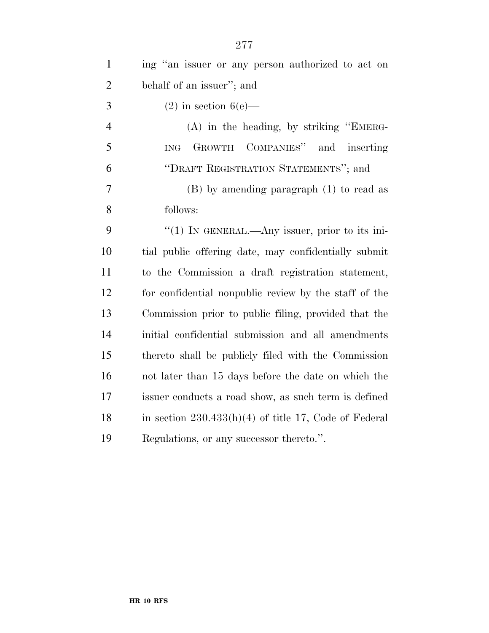| $\mathbf{1}$   | ing "an issuer or any person authorized to act on       |
|----------------|---------------------------------------------------------|
| $\overline{2}$ | behalf of an issuer"; and                               |
| 3              | $(2)$ in section 6(e)—                                  |
| $\overline{4}$ | $(A)$ in the heading, by striking "EMERG-               |
| 5              | COMPANIES" and inserting<br>GROWTH<br>$\rm{ING}$        |
| 6              | "DRAFT REGISTRATION STATEMENTS"; and                    |
| 7              | $(B)$ by amending paragraph $(1)$ to read as            |
| 8              | follows:                                                |
| 9              | " $(1)$ IN GENERAL.—Any issuer, prior to its ini-       |
| 10             | tial public offering date, may confidentially submit    |
| 11             | to the Commission a draft registration statement,       |
| 12             | for confidential nonpublic review by the staff of the   |
| 13             | Commission prior to public filing, provided that the    |
| 14             | initial confidential submission and all amendments      |
| 15             | thereto shall be publicly filed with the Commission     |
| 16             | not later than 15 days before the date on which the     |
| 17             | issuer conducts a road show, as such term is defined    |
| 18             | in section $230.433(h)(4)$ of title 17, Code of Federal |
| 19             | Regulations, or any successor thereto.".                |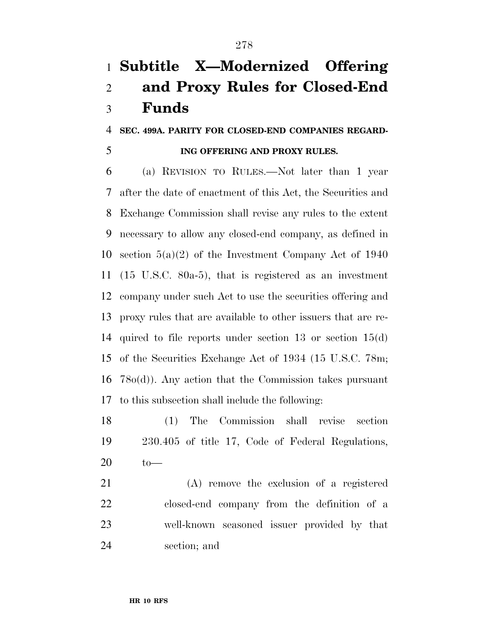# **Subtitle X—Modernized Offering and Proxy Rules for Closed-End Funds**

## **SEC. 499A. PARITY FOR CLOSED-END COMPANIES REGARD-**

## **ING OFFERING AND PROXY RULES.**

 (a) REVISION TO RULES.—Not later than 1 year after the date of enactment of this Act, the Securities and Exchange Commission shall revise any rules to the extent necessary to allow any closed-end company, as defined in section 5(a)(2) of the Investment Company Act of 1940 (15 U.S.C. 80a-5), that is registered as an investment company under such Act to use the securities offering and proxy rules that are available to other issuers that are re- quired to file reports under section 13 or section 15(d) of the Securities Exchange Act of 1934 (15 U.S.C. 78m; 78o(d)). Any action that the Commission takes pursuant to this subsection shall include the following:

 (1) The Commission shall revise section 230.405 of title 17, Code of Federal Regulations, to—

 (A) remove the exclusion of a registered closed-end company from the definition of a well-known seasoned issuer provided by that section; and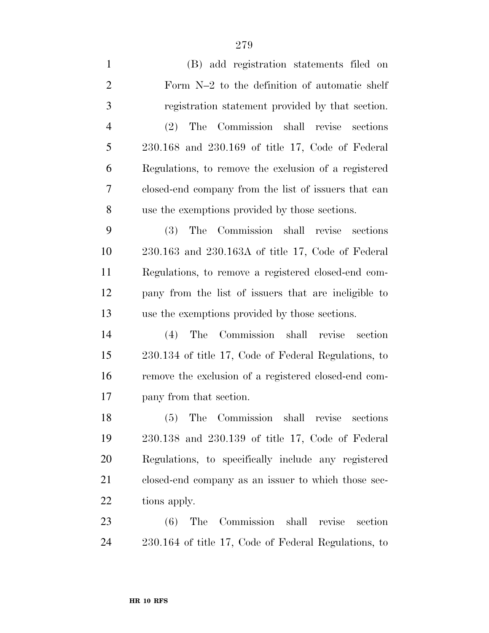| $\mathbf{1}$   | (B) add registration statements filed on              |
|----------------|-------------------------------------------------------|
| $\overline{2}$ | Form N-2 to the definition of automatic shelf         |
| $\mathfrak{Z}$ | registration statement provided by that section.      |
| $\overline{4}$ | The Commission shall revise<br>(2)<br>sections        |
| 5              | $230.168$ and $230.169$ of title 17, Code of Federal  |
| 6              | Regulations, to remove the exclusion of a registered  |
| $\overline{7}$ | closed-end company from the list of issuers that can  |
| 8              | use the exemptions provided by those sections.        |
| 9              | The Commission shall revise<br><b>(3)</b><br>sections |
| 10             | $230.163$ and $230.163A$ of title 17, Code of Federal |
| 11             | Regulations, to remove a registered closed-end com-   |
| 12             | pany from the list of issuers that are ineligible to  |
| 13             | use the exemptions provided by those sections.        |
| 14             | Commission shall revise section<br>The<br>(4)         |
| 15             | 230.134 of title 17, Code of Federal Regulations, to  |
| 16             | remove the exclusion of a registered closed-end com-  |
| 17             | pany from that section.                               |
| 18             | (5) The Commission shall<br>revise<br>sections        |
| 19             | $230.138$ and $230.139$ of title 17, Code of Federal  |
| 20             | Regulations, to specifically include any registered   |
| 21             | closed-end company as an issuer to which those sec-   |
|                |                                                       |
| 22             | tions apply.                                          |
| 23             | The Commission shall revise<br>(6)<br>section         |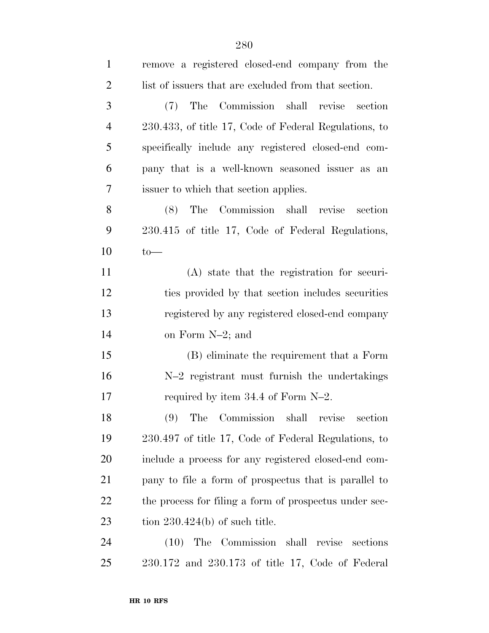| $\mathbf{1}$   | remove a registered closed-end company from the        |
|----------------|--------------------------------------------------------|
| $\overline{2}$ | list of issuers that are excluded from that section.   |
| 3              | Commission shall revise section<br>(7)<br>The          |
| $\overline{4}$ | 230.433, of title 17, Code of Federal Regulations, to  |
| 5              | specifically include any registered closed-end com-    |
| 6              | pany that is a well-known seasoned issuer as an        |
| 7              | issuer to which that section applies.                  |
| 8              | The Commission shall revise<br>(8)<br>section          |
| 9              | 230.415 of title 17, Code of Federal Regulations,      |
| 10             | $to$ —                                                 |
| 11             | (A) state that the registration for securi-            |
| 12             | ties provided by that section includes securities      |
| 13             | registered by any registered closed-end company        |
| 14             | on Form N-2; and                                       |
| 15             | (B) eliminate the requirement that a Form              |
| 16             | N-2 registrant must furnish the undertakings           |
| 17             | required by item $34.4$ of Form N-2.                   |
| 18             | (9) The Commission shall revise<br>section             |
| 19             | 230.497 of title 17, Code of Federal Regulations, to   |
| 20             | include a process for any registered closed-end com-   |
| 21             | pany to file a form of prospectus that is parallel to  |
| 22             | the process for filing a form of prospectus under sec- |
| 23             | tion $230.424(b)$ of such title.                       |
| 24             | The Commission shall revise<br>(10)<br>sections        |
| 25             | $230.172$ and $230.173$ of title 17, Code of Federal   |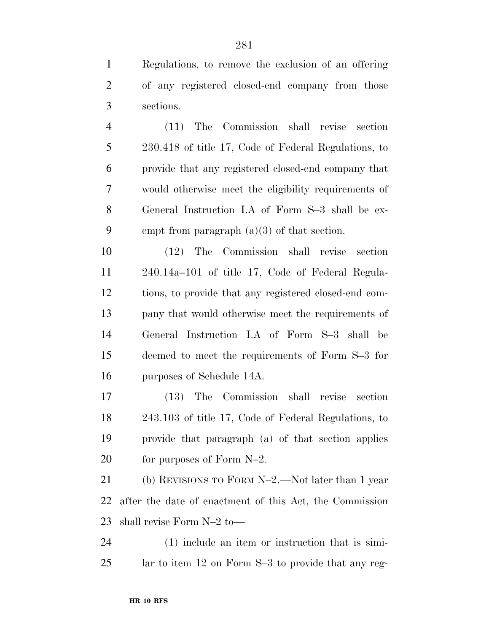Regulations, to remove the exclusion of an offering of any registered closed-end company from those sections.

 (11) The Commission shall revise section 230.418 of title 17, Code of Federal Regulations, to provide that any registered closed-end company that would otherwise meet the eligibility requirements of General Instruction I.A of Form S–3 shall be ex-empt from paragraph (a)(3) of that section.

 (12) The Commission shall revise section 240.14a–101 of title 17, Code of Federal Regula- tions, to provide that any registered closed-end com- pany that would otherwise meet the requirements of General Instruction I.A of Form S–3 shall be deemed to meet the requirements of Form S–3 for purposes of Schedule 14A.

 (13) The Commission shall revise section 243.103 of title 17, Code of Federal Regulations, to provide that paragraph (a) of that section applies 20 for purposes of Form N–2.

 (b) REVISIONS TO FORM N–2.—Not later than 1 year after the date of enactment of this Act, the Commission shall revise Form N–2 to—

 (1) include an item or instruction that is simi-lar to item 12 on Form S–3 to provide that any reg-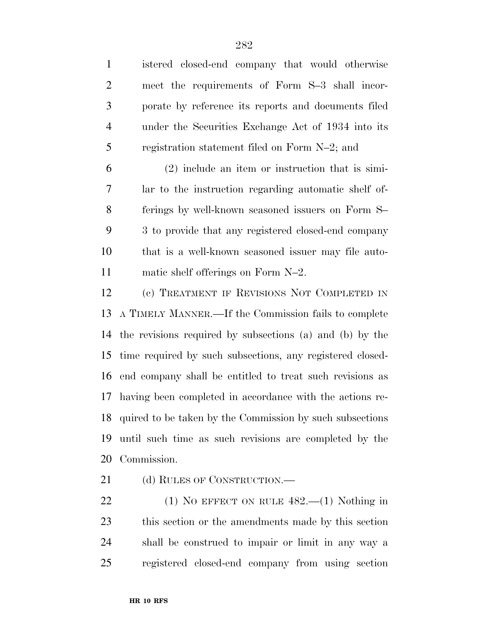| istered closed-end company that would otherwise           |
|-----------------------------------------------------------|
| meet the requirements of Form S-3 shall incor-            |
| porate by reference its reports and documents filed       |
| under the Securities Exchange Act of 1934 into its        |
| registration statement filed on Form N-2; and             |
| $(2)$ include an item or instruction that is simi-        |
| lar to the instruction regarding automatic shelf of-      |
| ferings by well-known seasoned issuers on Form S-         |
| 3 to provide that any registered closed-end company       |
| that is a well-known seasoned issuer may file auto-       |
| matic shelf offerings on Form $N-2$ .                     |
| (c) TREATMENT IF REVISIONS NOT COMPLETED IN               |
|                                                           |
| A TIMELY MANNER.—If the Commission fails to complete      |
| the revisions required by subsections (a) and (b) by the  |
| time required by such subsections, any registered closed- |
| end company shall be entitled to treat such revisions as  |
| having been completed in accordance with the actions re-  |
| quired to be taken by the Commission by such subsections  |
| until such time as such revisions are completed by the    |
|                                                           |

21 (d) RULES OF CONSTRUCTION.—

22 (1) No EFFECT ON RULE . (1) Nothing in this section or the amendments made by this section shall be construed to impair or limit in any way a registered closed-end company from using section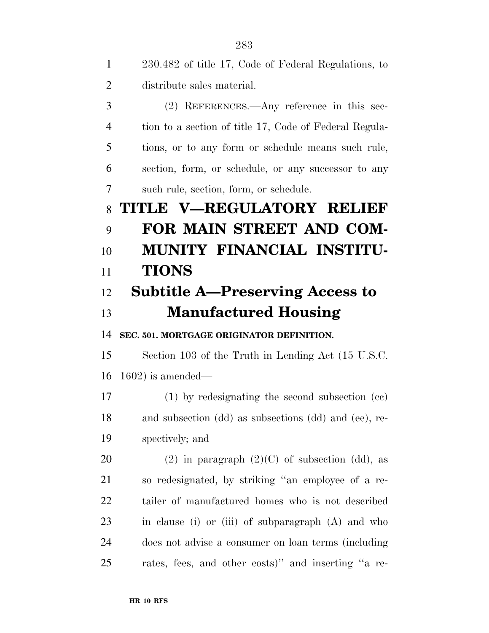| $\mathbf{1}$   | 230.482 of title 17, Code of Federal Regulations, to   |
|----------------|--------------------------------------------------------|
| 2              | distribute sales material.                             |
| 3              | (2) REFERENCES.—Any reference in this sec-             |
| $\overline{4}$ | tion to a section of title 17, Code of Federal Regula- |
| 5              | tions, or to any form or schedule means such rule,     |
| 6              | section, form, or schedule, or any successor to any    |
| 7              | such rule, section, form, or schedule.                 |
| 8              | TITLE V-REGULATORY RELIEF                              |
| 9              | <b>FOR MAIN STREET AND COM-</b>                        |
| 10             | MUNITY FINANCIAL INSTITU-                              |
| 11             | <b>TIONS</b>                                           |
| 12             | <b>Subtitle A—Preserving Access to</b>                 |
| 13             | <b>Manufactured Housing</b>                            |
| 14             | SEC. 501. MORTGAGE ORIGINATOR DEFINITION.              |
| 15             | Section 103 of the Truth in Lending Act (15 U.S.C.     |
| 16             | $1602$ ) is amended—                                   |
| 17             | $(1)$ by redesignating the second subsection $(ec)$    |
| 18             | and subsection (dd) as subsections (dd) and (ee), re-  |
| 19             | spectively; and                                        |
| 20             | (2) in paragraph $(2)(C)$ of subsection (dd), as       |
| 21             | so redesignated, by striking "an employee of a re-     |
| 22             | tailer of manufactured homes who is not described      |
| 23             | in clause (i) or (iii) of subparagraph (A) and who     |
| 24             | does not advise a consumer on loan terms (including    |
| 25             | rates, fees, and other costs)" and inserting "a re-    |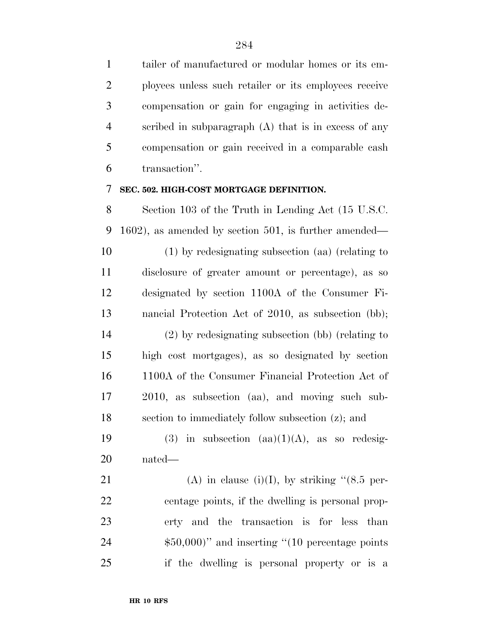tailer of manufactured or modular homes or its em- ployees unless such retailer or its employees receive compensation or gain for engaging in activities de- scribed in subparagraph (A) that is in excess of any compensation or gain received in a comparable cash transaction''.

#### **SEC. 502. HIGH-COST MORTGAGE DEFINITION.**

 Section 103 of the Truth in Lending Act (15 U.S.C. 1602), as amended by section 501, is further amended— (1) by redesignating subsection (aa) (relating to disclosure of greater amount or percentage), as so designated by section 1100A of the Consumer Fi- nancial Protection Act of 2010, as subsection (bb); (2) by redesignating subsection (bb) (relating to high cost mortgages), as so designated by section 1100A of the Consumer Financial Protection Act of 2010, as subsection (aa), and moving such sub-section to immediately follow subsection (z); and

19 (3) in subsection  $(aa)(1)(A)$ , as so redesig-nated—

21 (A) in clause (i)(I), by striking  $(8.5 \text{ per-})$  centage points, if the dwelling is personal prop- erty and the transaction is for less than  $$50,000$ " and inserting "(10 percentage points if the dwelling is personal property or is a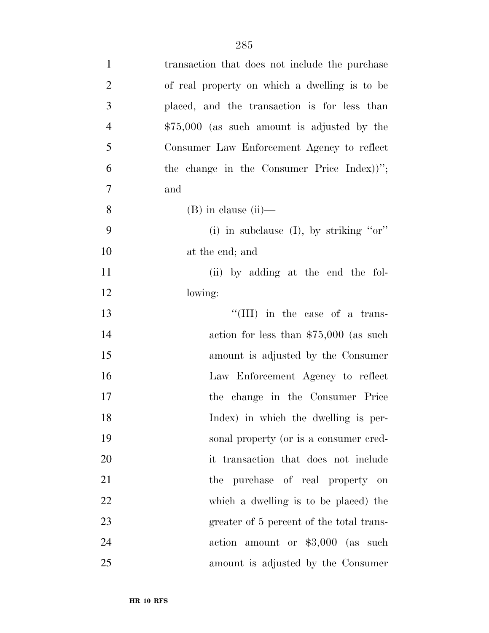| $\mathbf{1}$   | transaction that does not include the purchase |
|----------------|------------------------------------------------|
| $\overline{2}$ | of real property on which a dwelling is to be  |
| 3              | placed, and the transaction is for less than   |
| $\overline{4}$ | $$75,000$ (as such amount is adjusted by the   |
| 5              | Consumer Law Enforcement Agency to reflect     |
| 6              | the change in the Consumer Price Index))";     |
| $\overline{7}$ | and                                            |
| 8              | $(B)$ in clause $(ii)$ —                       |
| 9              | (i) in subclause (I), by striking " $or$ "     |
| 10             | at the end; and                                |
| 11             | (ii) by adding at the end the fol-             |
| 12             | lowing:                                        |
| 13             | "(III) in the case of a trans-                 |
| 14             | action for less than $$75,000$ (as such        |
| 15             | amount is adjusted by the Consumer             |
| 16             | Law Enforcement Agency to reflect              |
| 17             | the change in the Consumer Price               |
| 18             | Index) in which the dwelling is per-           |
| 19             | sonal property (or is a consumer cred-         |
| 20             | it transaction that does not include           |
| 21             | the purchase of real property on               |
| 22             | which a dwelling is to be placed) the          |
| 23             | greater of 5 percent of the total trans-       |
| 24             | action amount or $$3,000$ (as such             |
| 25             | amount is adjusted by the Consumer             |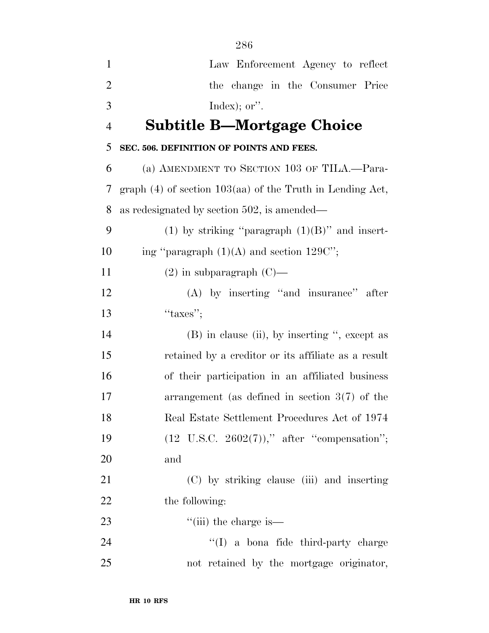| $\mathbf{1}$   | Law Enforcement Agency to reflect                           |
|----------------|-------------------------------------------------------------|
| $\overline{2}$ | the change in the Consumer Price                            |
| 3              | Index); $or$ ".                                             |
| $\overline{4}$ | <b>Subtitle B—Mortgage Choice</b>                           |
| 5              | SEC. 506. DEFINITION OF POINTS AND FEES.                    |
| 6              | (a) AMENDMENT TO SECTION 103 OF TILA.—Para-                 |
| 7              | graph $(4)$ of section 103(aa) of the Truth in Lending Act, |
| 8              | as redesignated by section 502, is amended—                 |
| 9              | (1) by striking "paragraph $(1)(B)$ " and insert-           |
| 10             | ing "paragraph $(1)(A)$ and section 129C";                  |
| 11             | $(2)$ in subparagraph $(C)$ —                               |
| 12             | $(A)$ by inserting "and insurance" after                    |
| 13             | "taxes";                                                    |
| 14             | $(B)$ in clause (ii), by inserting ", except as             |
| 15             | retained by a creditor or its affiliate as a result         |
| 16             | of their participation in an affiliated business            |
| 17             | arrangement (as defined in section $3(7)$ of the            |
| 18             | Real Estate Settlement Procedures Act of 1974               |
| 19             | $(12 \text{ U.S.C. } 2602(7))$ ," after "compensation";     |
| 20             | and                                                         |
| 21             | (C) by striking clause (iii) and inserting                  |
| 22             | the following:                                              |
| 23             | $\lq\lq$ (iii) the charge is—                               |
| 24             | $\lq(1)$ a bona fide third-party charge                     |
| 25             | not retained by the mortgage originator,                    |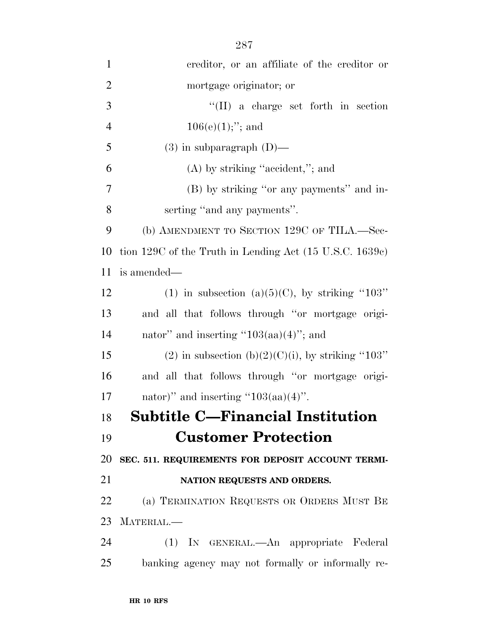| $\mathbf{1}$   | ereditor, or an affiliate of the creditor or                       |
|----------------|--------------------------------------------------------------------|
| $\overline{2}$ | mortgage originator; or                                            |
| 3              | $\lq\lq$ (II) a charge set forth in section                        |
| $\overline{4}$ | $106(e)(1);$ "; and                                                |
| 5              | $(3)$ in subparagraph $(D)$ —                                      |
| 6              | $(A)$ by striking "accident,"; and                                 |
| $\overline{7}$ | (B) by striking "or any payments" and in-                          |
| 8              | serting "and any payments".                                        |
| 9              | (b) AMENDMENT TO SECTION 129C OF TILA.—Sec-                        |
| 10             | tion 129C of the Truth in Lending Act $(15 \text{ U.S.C. } 1639c)$ |
| 11             | is amended—                                                        |
| 12             | (1) in subsection (a) $(5)(C)$ , by striking "103"                 |
| 13             | and all that follows through "or mortgage origi-                   |
| 14             | nator" and inserting " $103(aa)(4)$ "; and                         |
| 15             | (2) in subsection (b)(2)(C)(i), by striking "103"                  |
| 16             | and all that follows through "or mortgage origi-                   |
| 17             | nator)" and inserting "103(aa)(4)".                                |
| 18             | <b>Subtitle C-Financial Institution</b>                            |
| 19             | <b>Customer Protection</b>                                         |
| 20             | SEC. 511. REQUIREMENTS FOR DEPOSIT ACCOUNT TERMI-                  |
| 21             | NATION REQUESTS AND ORDERS.                                        |
| 22             | (a) TERMINATION REQUESTS OR ORDERS MUST BE                         |
|                | 23 MATERIAL.-                                                      |
| 24             | (1) IN GENERAL.—An appropriate Federal                             |

banking agency may not formally or informally re-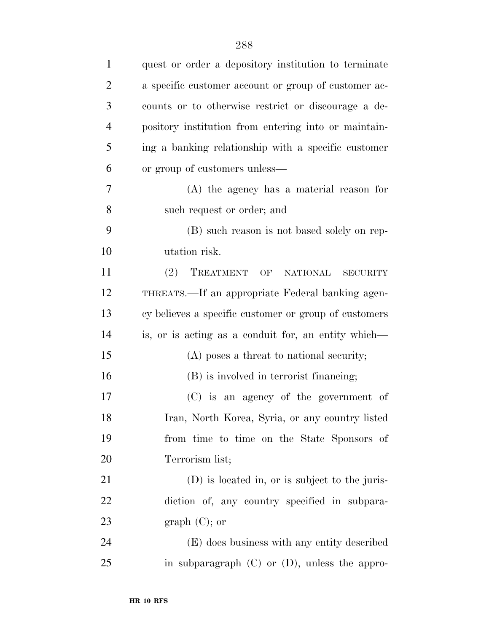| $\mathbf{1}$   | quest or order a depository institution to terminate  |
|----------------|-------------------------------------------------------|
| $\overline{2}$ | a specific customer account or group of customer ac-  |
| 3              | counts or to otherwise restrict or discourage a de-   |
| $\overline{4}$ | pository institution from entering into or maintain-  |
| 5              | ing a banking relationship with a specific customer   |
| 6              | or group of customers unless—                         |
| 7              | $(A)$ the agency has a material reason for            |
| 8              | such request or order; and                            |
| 9              | (B) such reason is not based solely on rep-           |
| 10             | utation risk.                                         |
| 11             | TREATMENT OF NATIONAL<br>(2)<br><b>SECURITY</b>       |
| 12             | THREATS.—If an appropriate Federal banking agen-      |
| 13             | cy believes a specific customer or group of customers |
| 14             | is, or is acting as a conduit for, an entity which—   |
| 15             | $(A)$ poses a threat to national security;            |
| 16             | (B) is involved in terrorist financing;               |
| 17             | (C) is an agency of the government of                 |
| 18             | Iran, North Korea, Syria, or any country listed       |
| 19             | from time to time on the State Sponsors of            |
| 20             | Terrorism list;                                       |
| 21             | (D) is located in, or is subject to the juris-        |
| 22             | diction of, any country specified in subpara-         |
| 23             | $graph (C);$ or                                       |
| 24             | (E) does business with any entity described           |
| 25             | in subparagraph $(C)$ or $(D)$ , unless the appro-    |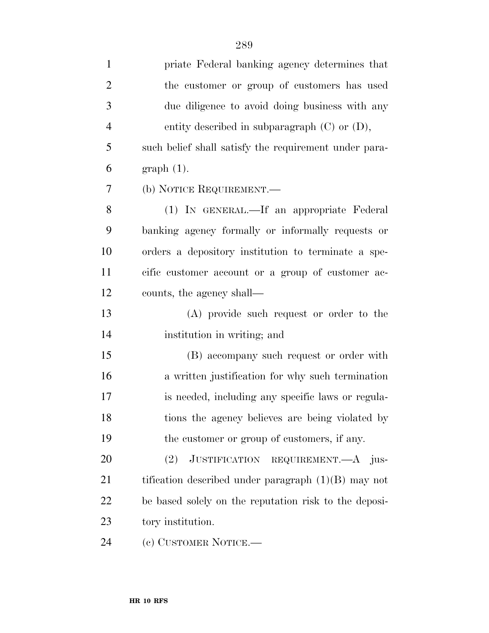| $\mathbf{1}$   | priate Federal banking agency determines that         |
|----------------|-------------------------------------------------------|
| $\overline{2}$ | the customer or group of customers has used           |
| 3              | due diligence to avoid doing business with any        |
| $\overline{4}$ | entity described in subparagraph $(C)$ or $(D)$ ,     |
| 5              | such belief shall satisfy the requirement under para- |
| 6              | $graph(1)$ .                                          |
| 7              | (b) NOTICE REQUIREMENT.—                              |
| 8              | (1) IN GENERAL.—If an appropriate Federal             |
| 9              | banking agency formally or informally requests or     |
| 10             | orders a depository institution to terminate a spe-   |
| 11             | cific customer account or a group of customer ac-     |
| 12             | counts, the agency shall—                             |
| 13             | (A) provide such request or order to the              |
| 14             | institution in writing; and                           |
| 15             | (B) accompany such request or order with              |
| 16             | a written justification for why such termination      |
| 17             | is needed, including any specific laws or regula-     |
| 18             | tions the agency believes are being violated by       |
| 19             | the customer or group of customers, if any.           |
| 20             | JUSTIFICATION REQUIREMENT.—A jus-<br>(2)              |
| 21             | tification described under paragraph $(1)(B)$ may not |
| 22             | be based solely on the reputation risk to the deposi- |
| 23             | tory institution.                                     |
| 24             | (c) CUSTOMER NOTICE.—                                 |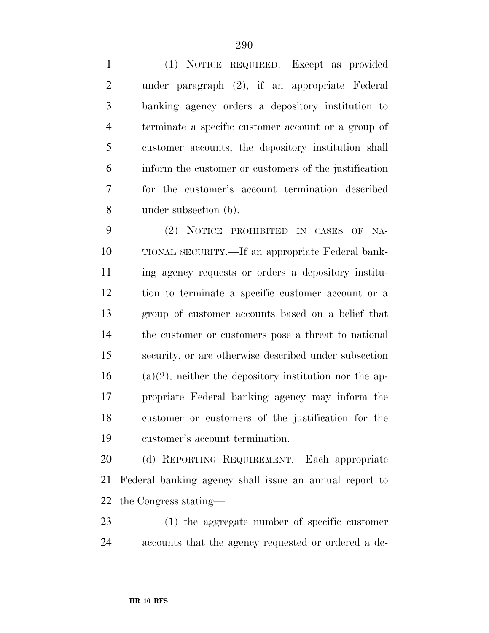(1) NOTICE REQUIRED.—Except as provided under paragraph (2), if an appropriate Federal banking agency orders a depository institution to terminate a specific customer account or a group of customer accounts, the depository institution shall

 inform the customer or customers of the justification for the customer's account termination described under subsection (b).

 (2) NOTICE PROHIBITED IN CASES OF NA- TIONAL SECURITY.—If an appropriate Federal bank- ing agency requests or orders a depository institu- tion to terminate a specific customer account or a group of customer accounts based on a belief that the customer or customers pose a threat to national security, or are otherwise described under subsection (a)(2), neither the depository institution nor the ap- propriate Federal banking agency may inform the customer or customers of the justification for the customer's account termination.

 (d) REPORTING REQUIREMENT.—Each appropriate Federal banking agency shall issue an annual report to the Congress stating—

 (1) the aggregate number of specific customer accounts that the agency requested or ordered a de-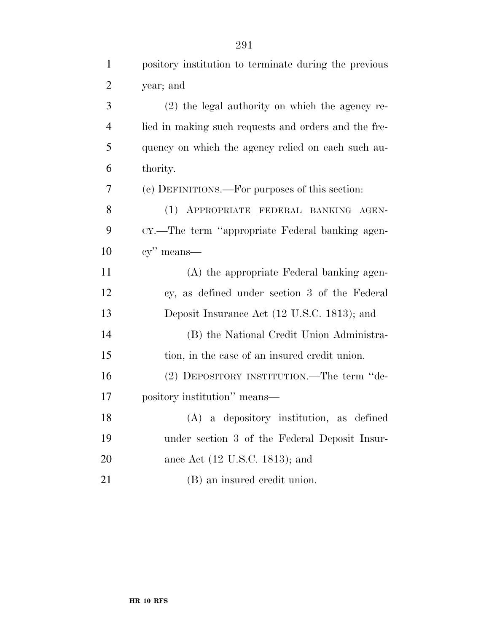| $\mathbf{1}$   | pository institution to terminate during the previous |
|----------------|-------------------------------------------------------|
| $\overline{2}$ | year; and                                             |
| 3              | (2) the legal authority on which the agency re-       |
| $\overline{4}$ | lied in making such requests and orders and the fre-  |
| 5              | quency on which the agency relied on each such au-    |
| 6              | thority.                                              |
| 7              | (e) DEFINITIONS.—For purposes of this section:        |
| 8              | (1) APPROPRIATE FEDERAL BANKING AGEN-                 |
| 9              | CY.—The term "appropriate Federal banking agen-       |
| 10             | $cy$ " means—                                         |
| 11             | (A) the appropriate Federal banking agen-             |
| 12             | cy, as defined under section 3 of the Federal         |
| 13             | Deposit Insurance Act (12 U.S.C. 1813); and           |
| 14             | (B) the National Credit Union Administra-             |
| 15             | tion, in the case of an insured credit union.         |
| 16             | (2) DEPOSITORY INSTITUTION.—The term "de-             |
| 17             | pository institution" means—                          |
| 18             | (A) a depository institution, as defined              |
|                |                                                       |

- under section 3 of the Federal Deposit Insur-ance Act (12 U.S.C. 1813); and
- (B) an insured credit union.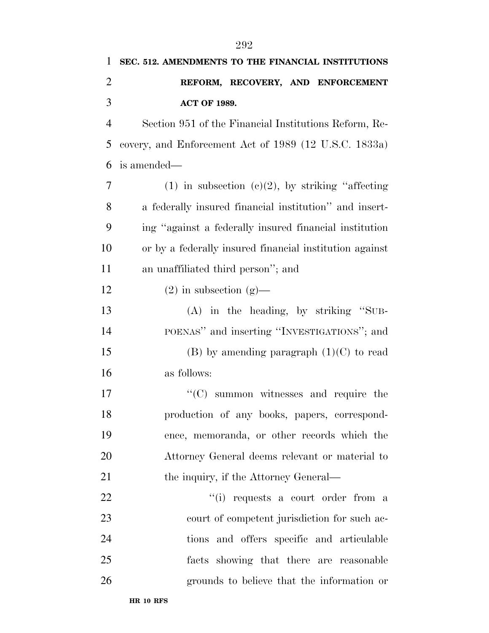| 1              | SEC. 512. AMENDMENTS TO THE FINANCIAL INSTITUTIONS      |
|----------------|---------------------------------------------------------|
| 2              | REFORM, RECOVERY, AND ENFORCEMENT                       |
| 3              | <b>ACT OF 1989.</b>                                     |
| $\overline{4}$ | Section 951 of the Financial Institutions Reform, Re-   |
| 5              | covery, and Enforcement Act of 1989 (12 U.S.C. 1833a)   |
| 6              | is amended—                                             |
| 7              | (1) in subsection (c)(2), by striking "affecting        |
| 8              | a federally insured financial institution" and insert-  |
| 9              | ing "against a federally insured financial institution  |
| 10             | or by a federally insured financial institution against |
| 11             | an unaffiliated third person"; and                      |
| 12             | $(2)$ in subsection $(g)$ —                             |
| 13             | $(A)$ in the heading, by striking "SUB-                 |
| 14             | POENAS" and inserting "INVESTIGATIONS"; and             |
| 15             | $(B)$ by amending paragraph $(1)(C)$ to read            |
| 16             | as follows:                                             |
| 17             | $\lq\lq$ (C) summon witnesses and require the           |
| 18             | production of any books, papers, correspond-            |
| 19             | ence, memoranda, or other records which the             |
| 20             | Attorney General deems relevant or material to          |
| 21             | the inquiry, if the Attorney General—                   |
| 22             | "(i) requests a court order from a                      |
| 23             | court of competent jurisdiction for such ac-            |
| 24             | tions and offers specific and articulable               |
| 25             | facts showing that there are reasonable                 |
| 26             | grounds to believe that the information or              |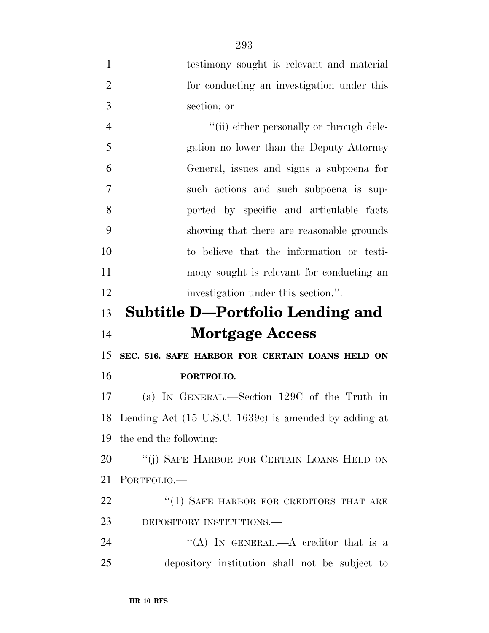| $\mathbf{1}$   | testimony sought is relevant and material                |
|----------------|----------------------------------------------------------|
| $\overline{2}$ | for conducting an investigation under this               |
| 3              | section; or                                              |
| $\overline{4}$ | "(ii) either personally or through dele-                 |
| 5              | gation no lower than the Deputy Attorney                 |
| 6              | General, issues and signs a subpoena for                 |
| $\overline{7}$ | such actions and such subpoena is sup-                   |
| 8              | ported by specific and articulable facts                 |
| 9              | showing that there are reasonable grounds                |
| 10             | to believe that the information or testi-                |
| 11             | mony sought is relevant for conducting an                |
| 12             | investigation under this section.".                      |
| 13             | <b>Subtitle D-Portfolio Lending and</b>                  |
| 14             | <b>Mortgage Access</b>                                   |
| 15             | SEC. 516. SAFE HARBOR FOR CERTAIN LOANS HELD ON          |
| 16             | PORTFOLIO.                                               |
| 17             | (a) IN GENERAL.—Section 129C of the Truth in             |
|                | 18 Lending Act (15 U.S.C. 1639c) is amended by adding at |
| 19             | the end the following:                                   |
| 20             | "(j) SAFE HARBOR FOR CERTAIN LOANS HELD ON               |
| 21             | PORTFOLIO.                                               |
| 22             | "(1) SAFE HARBOR FOR CREDITORS THAT ARE                  |
| 23             | DEPOSITORY INSTITUTIONS.                                 |
| 24             | "(A) IN GENERAL.—A creditor that is a                    |
| 25             | depository institution shall not be subject to           |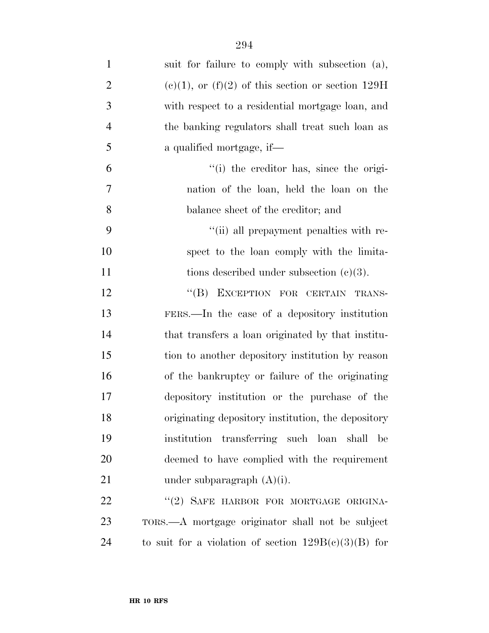| $\mathbf{1}$   | suit for failure to comply with subsection (a),        |
|----------------|--------------------------------------------------------|
| $\overline{2}$ | $(e)(1)$ , or $(f)(2)$ of this section or section 129H |
| 3              | with respect to a residential mortgage loan, and       |
| $\overline{4}$ | the banking regulators shall treat such loan as        |
| 5              | a qualified mortgage, if-                              |
| 6              | "(i) the creditor has, since the origi-                |
| 7              | nation of the loan, held the loan on the               |
| 8              | balance sheet of the creditor; and                     |
| 9              | "(ii) all prepayment penalties with re-                |
| 10             | spect to the loan comply with the limita-              |
| 11             | tions described under subsection $(c)(3)$ .            |
| 12             | "(B) EXCEPTION FOR CERTAIN TRANS-                      |
| 13             | FERS.—In the case of a depository institution          |
| 14             | that transfers a loan originated by that institu-      |
| 15             | tion to another depository institution by reason       |
| 16             | of the bankruptcy or failure of the originating        |
| 17             | depository institution or the purchase of the          |
| 18             | originating depository institution, the depository     |
| 19             | institution transferring such loan shall<br>be         |
| 20             | deemed to have complied with the requirement           |
| 21             | under subparagraph $(A)(i)$ .                          |
| 22             | "(2) SAFE HARBOR FOR MORTGAGE ORIGINA-                 |
| 23             | TORS.—A mortgage originator shall not be subject       |
| 24             | to suit for a violation of section $129B(c)(3)(B)$ for |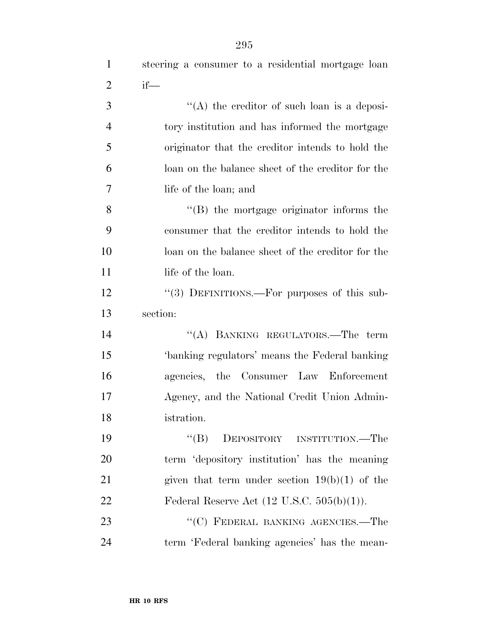| $\mathbf{1}$   | steering a consumer to a residential mortgage loan    |
|----------------|-------------------------------------------------------|
| $\overline{2}$ | $if$ —                                                |
| 3              | "(A) the creditor of such loan is a deposi-           |
| $\overline{4}$ | tory institution and has informed the mortgage        |
| 5              | originator that the creditor intends to hold the      |
| 6              | loan on the balance sheet of the creditor for the     |
| 7              | life of the loan; and                                 |
| 8              | $\lq\lq$ the mortgage originator informs the          |
| 9              | consumer that the creditor intends to hold the        |
| 10             | loan on the balance sheet of the creditor for the     |
| 11             | life of the loan.                                     |
| 12             | "(3) DEFINITIONS.—For purposes of this sub-           |
| 13             | section:                                              |
|                |                                                       |
| 14             | "(A) BANKING REGULATORS.—The term                     |
| 15             | 'banking regulators' means the Federal banking        |
| 16             | agencies, the Consumer Law Enforcement                |
| 17             | Agency, and the National Credit Union Admin-          |
| 18             | istration.                                            |
| 19             | DEPOSITORY INSTITUTION.—The<br>$\lq\lq (B)$           |
| 20             | term 'depository institution' has the meaning         |
| 21             | given that term under section $19(b)(1)$ of the       |
| 22             | Federal Reserve Act $(12 \text{ U.S.C. } 505(b)(1)).$ |
| 23             | "(C) FEDERAL BANKING AGENCIES.—The                    |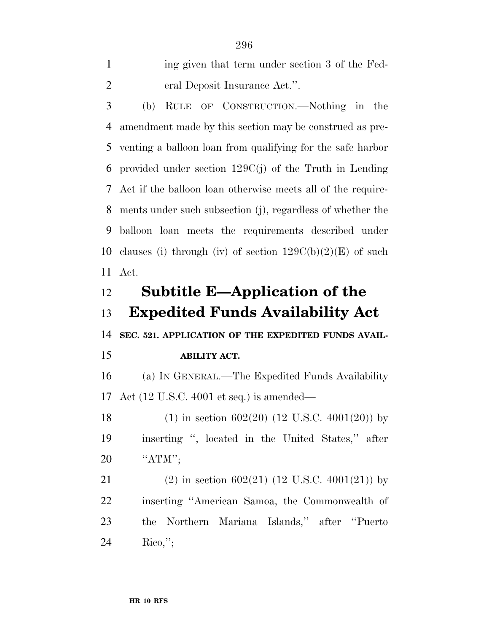(b) RULE OF CONSTRUCTION.—Nothing in the amendment made by this section may be construed as pre- venting a balloon loan from qualifying for the safe harbor provided under section 129C(j) of the Truth in Lending Act if the balloon loan otherwise meets all of the require- ments under such subsection (j), regardless of whether the balloon loan meets the requirements described under 10 clauses (i) through (iv) of section  $129C(b)(2)(E)$  of such Act.

## **Subtitle E—Application of the Expedited Funds Availability Act**

**SEC. 521. APPLICATION OF THE EXPEDITED FUNDS AVAIL-**

#### **ABILITY ACT.**

 (a) IN GENERAL.—The Expedited Funds Availability Act (12 U.S.C. 4001 et seq.) is amended—

18 (1) in section  $602(20)$  (12 U.S.C.  $4001(20)$ ) by inserting '', located in the United States,'' after 20 "ATM";

21 (2) in section  $602(21)$  (12 U.S.C.  $4001(21)$ ) by inserting ''American Samoa, the Commonwealth of the Northern Mariana Islands,'' after ''Puerto Rico,'';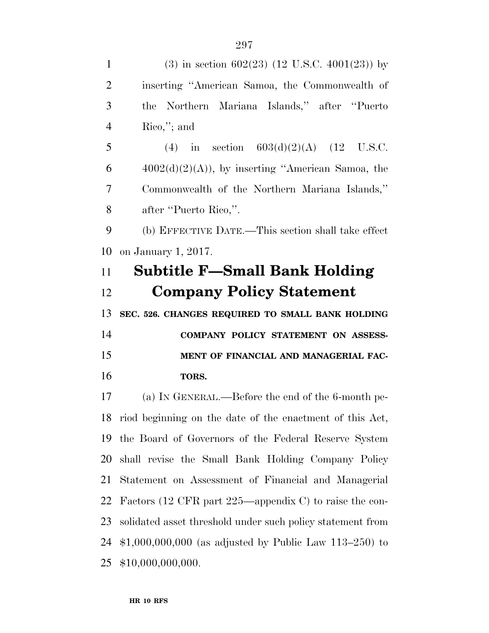1 (3) in section  $602(23)$  (12 U.S.C.  $4001(23)$ ) by inserting ''American Samoa, the Commonwealth of the Northern Mariana Islands,'' after ''Puerto Rico,''; and 5 (4) in section  $603(d)(2)(A)$  (12 U.S.C.  $6 \qquad \qquad 4002(d)(2)(A)$ , by inserting "American Samoa, the Commonwealth of the Northern Mariana Islands,'' after ''Puerto Rico,''. (b) EFFECTIVE DATE.—This section shall take effect on January 1, 2017. **Subtitle F—Small Bank Holding Company Policy Statement SEC. 526. CHANGES REQUIRED TO SMALL BANK HOLDING COMPANY POLICY STATEMENT ON ASSESS- MENT OF FINANCIAL AND MANAGERIAL FAC- TORS.**  (a) IN GENERAL.—Before the end of the 6-month pe-riod beginning on the date of the enactment of this Act,

 the Board of Governors of the Federal Reserve System shall revise the Small Bank Holding Company Policy Statement on Assessment of Financial and Managerial Factors (12 CFR part 225—appendix C) to raise the con- solidated asset threshold under such policy statement from \$1,000,000,000 (as adjusted by Public Law 113–250) to \$10,000,000,000.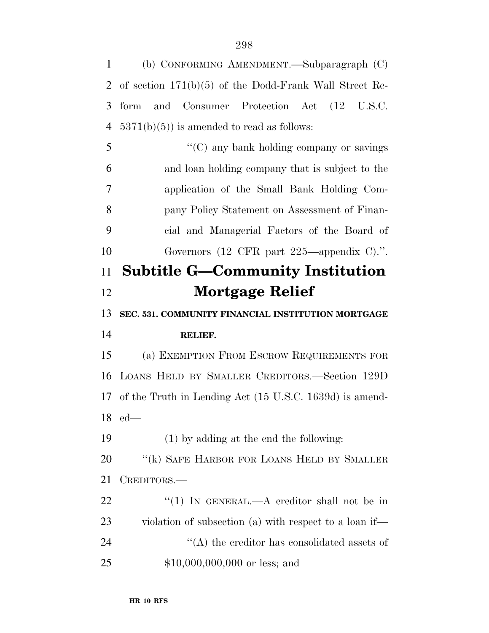| $\mathbf{1}$   | (b) CONFORMING AMENDMENT.—Subparagraph (C)               |
|----------------|----------------------------------------------------------|
| 2              | of section $171(b)(5)$ of the Dodd-Frank Wall Street Re- |
| 3              | Consumer Protection Act (12 U.S.C.<br>and<br>form        |
| $\overline{4}$ | $5371(b)(5)$ ) is amended to read as follows:            |
| 5              | "(C) any bank holding company or savings                 |
| 6              | and loan holding company that is subject to the          |
| 7              | application of the Small Bank Holding Com-               |
| 8              | pany Policy Statement on Assessment of Finan-            |
| 9              | cial and Managerial Factors of the Board of              |
| 10             | Governors $(12 \text{ CFR part } 225$ —appendix C        |
| 11             | <b>Subtitle G—Community Institution</b>                  |
| 12             | Mortgage Relief                                          |
|                |                                                          |
| 13             | SEC. 531. COMMUNITY FINANCIAL INSTITUTION MORTGAGE       |
| 14             | RELIEF.                                                  |
| 15             | (a) EXEMPTION FROM ESCROW REQUIREMENTS FOR               |
| 16             | LOANS HELD BY SMALLER CREDITORS.-Section 129D            |
| 17             | of the Truth in Lending Act (15 U.S.C. 1639d) is amend-  |
|                | 18 ed-                                                   |
| 19             | $(1)$ by adding at the end the following:                |
| 20             | "(k) SAFE HARBOR FOR LOANS HELD BY SMALLER               |
| 21             | CREDITORS.—                                              |
| 22             | "(1) IN GENERAL.—A creditor shall not be in              |
| 23             | violation of subsection (a) with respect to a loan if—   |
| 24             | $\lq\lq$ the creditor has consolidated assets of         |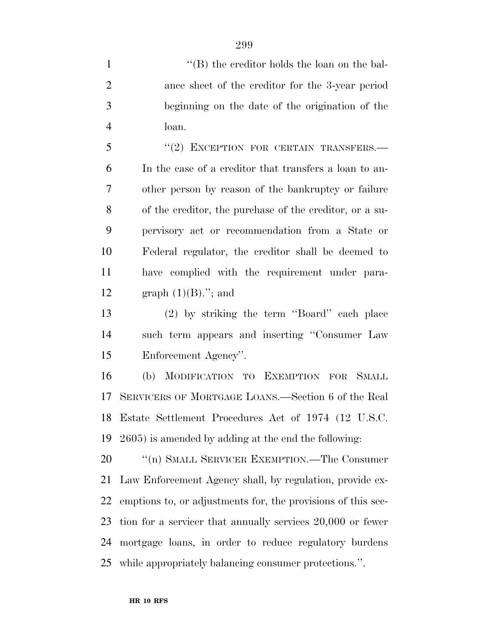1 ''(B) the creditor holds the loan on the bal- ance sheet of the creditor for the 3-year period beginning on the date of the origination of the loan.

5 "(2) EXCEPTION FOR CERTAIN TRANSFERS.— In the case of a creditor that transfers a loan to an- other person by reason of the bankruptcy or failure of the creditor, the purchase of the creditor, or a su- pervisory act or recommendation from a State or Federal regulator, the creditor shall be deemed to have complied with the requirement under para-12 graph  $(1)(B)$ ."; and

 (2) by striking the term ''Board'' each place such term appears and inserting ''Consumer Law Enforcement Agency''.

 (b) MODIFICATION TO EXEMPTION FOR SMALL SERVICERS OF MORTGAGE LOANS.—Section 6 of the Real Estate Settlement Procedures Act of 1974 (12 U.S.C. 2605) is amended by adding at the end the following:

20 <sup>''</sup>(n) SMALL SERVICER EXEMPTION.—The Consumer Law Enforcement Agency shall, by regulation, provide ex- emptions to, or adjustments for, the provisions of this sec- tion for a servicer that annually services 20,000 or fewer mortgage loans, in order to reduce regulatory burdens while appropriately balancing consumer protections.''.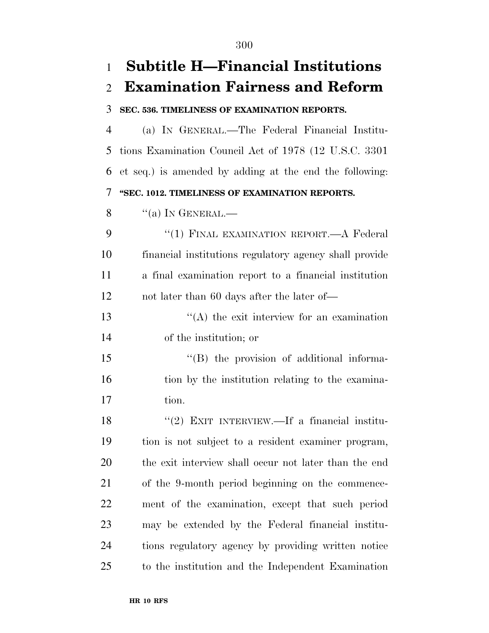# **Subtitle H—Financial Institutions Examination Fairness and Reform SEC. 536. TIMELINESS OF EXAMINATION REPORTS.**  (a) IN GENERAL.—The Federal Financial Institu- tions Examination Council Act of 1978 (12 U.S.C. 3301 et seq.) is amended by adding at the end the following: **''SEC. 1012. TIMELINESS OF EXAMINATION REPORTS.**   $\frac{8}{100}$   $\frac{10}{100}$  In GENERAL. 9 "(1) FINAL EXAMINATION REPORT.—A Federal financial institutions regulatory agency shall provide a final examination report to a financial institution not later than 60 days after the later of— 13 ''(A) the exit interview for an examination of the institution; or ''(B) the provision of additional informa-16 tion by the institution relating to the examina- tion. 18 "(2) EXIT INTERVIEW.—If a financial institu-

 tion is not subject to a resident examiner program, the exit interview shall occur not later than the end of the 9-month period beginning on the commence- ment of the examination, except that such period may be extended by the Federal financial institu- tions regulatory agency by providing written notice to the institution and the Independent Examination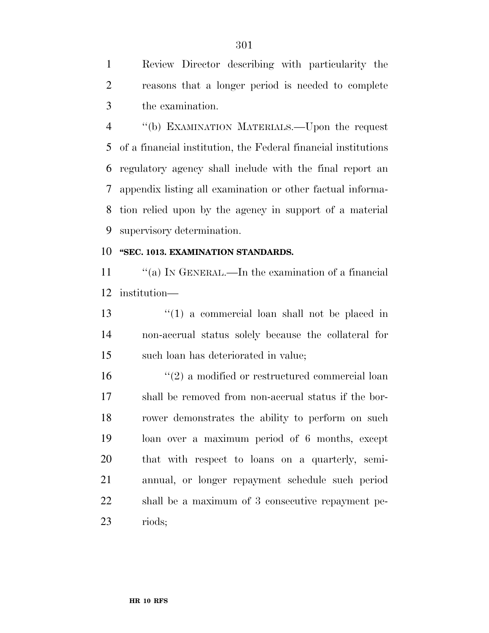Review Director describing with particularity the reasons that a longer period is needed to complete the examination.

 ''(b) EXAMINATION MATERIALS.—Upon the request of a financial institution, the Federal financial institutions regulatory agency shall include with the final report an appendix listing all examination or other factual informa- tion relied upon by the agency in support of a material supervisory determination.

#### **''SEC. 1013. EXAMINATION STANDARDS.**

11 "(a) IN GENERAL.—In the examination of a financial institution—

13 ''(1) a commercial loan shall not be placed in non-accrual status solely because the collateral for such loan has deteriorated in value;

16 ''(2) a modified or restructured commercial loan shall be removed from non-accrual status if the bor- rower demonstrates the ability to perform on such loan over a maximum period of 6 months, except that with respect to loans on a quarterly, semi- annual, or longer repayment schedule such period shall be a maximum of 3 consecutive repayment pe-riods;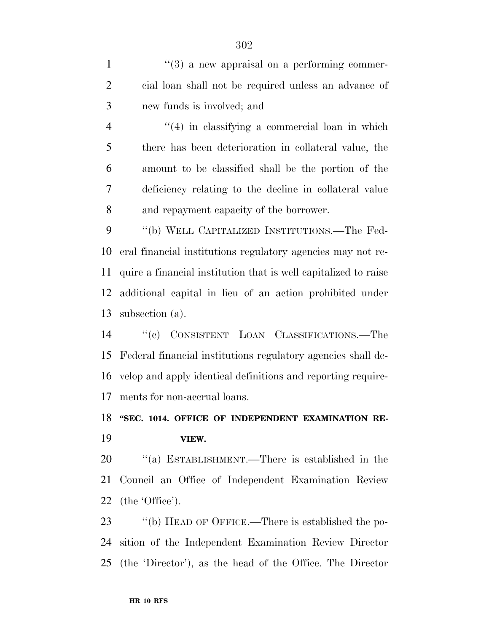$\frac{1}{2}$  ''(3) a new appraisal on a performing commer- cial loan shall not be required unless an advance of new funds is involved; and ''(4) in classifying a commercial loan in which there has been deterioration in collateral value, the amount to be classified shall be the portion of the deficiency relating to the decline in collateral value and repayment capacity of the borrower. ''(b) WELL CAPITALIZED INSTITUTIONS.—The Fed- eral financial institutions regulatory agencies may not re- quire a financial institution that is well capitalized to raise additional capital in lieu of an action prohibited under subsection (a). ''(c) CONSISTENT LOAN CLASSIFICATIONS.—The Federal financial institutions regulatory agencies shall de- velop and apply identical definitions and reporting require- ments for non-accrual loans. 18 "SEC. 1014. OFFICE OF INDEPENDENT EXAMINATION RE- **VIEW.**   $\text{``(a)}$  ESTABLISHMENT.—There is established in the Council an Office of Independent Examination Review (the 'Office').

23 "(b) HEAD OF OFFICE.—There is established the po- sition of the Independent Examination Review Director (the 'Director'), as the head of the Office. The Director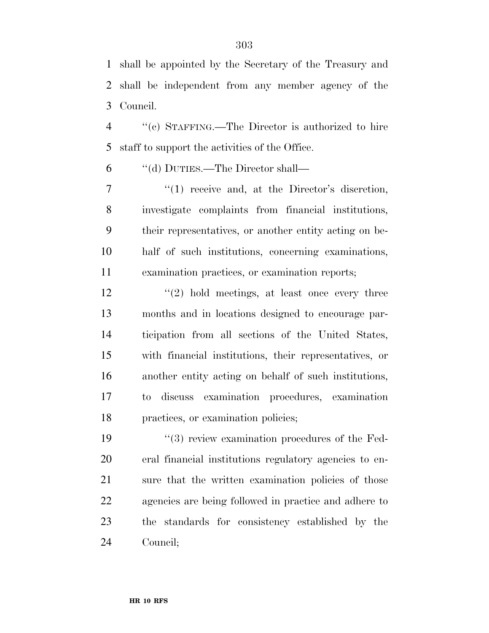shall be appointed by the Secretary of the Treasury and shall be independent from any member agency of the Council.

 ''(c) STAFFING.—The Director is authorized to hire staff to support the activities of the Office.

''(d) DUTIES.—The Director shall—

 $\frac{1}{1}$  receive and, at the Director's discretion, investigate complaints from financial institutions, their representatives, or another entity acting on be- half of such institutions, concerning examinations, examination practices, or examination reports;

12 ''(2) hold meetings, at least once every three months and in locations designed to encourage par- ticipation from all sections of the United States, with financial institutions, their representatives, or another entity acting on behalf of such institutions, to discuss examination procedures, examination practices, or examination policies;

 $(3)$  review examination procedures of the Fed- eral financial institutions regulatory agencies to en-21 sure that the written examination policies of those agencies are being followed in practice and adhere to the standards for consistency established by the Council;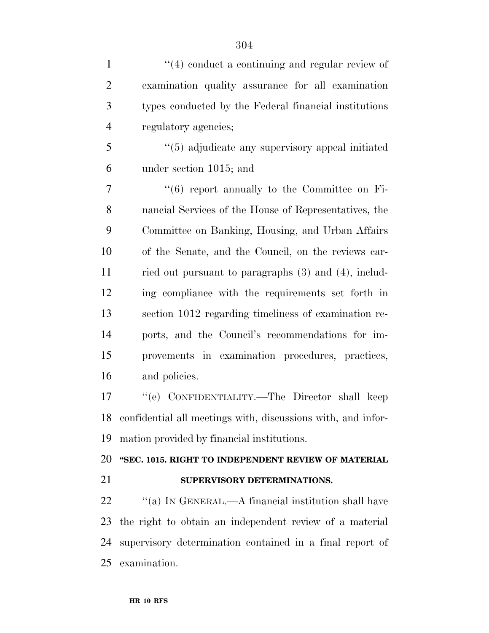| $\mathbf{1}$   | $\lq(4)$ conduct a continuing and regular review of          |
|----------------|--------------------------------------------------------------|
| $\overline{2}$ | examination quality assurance for all examination            |
| 3              | types conducted by the Federal financial institutions        |
| $\overline{4}$ | regulatory agencies;                                         |
| 5              | "(5) adjudicate any supervisory appeal initiated             |
| 6              | under section 1015; and                                      |
| $\tau$         | $\cdot\cdot\cdot(6)$ report annually to the Committee on Fi- |
| 8              | nancial Services of the House of Representatives, the        |
| 9              | Committee on Banking, Housing, and Urban Affairs             |
| 10             | of the Senate, and the Council, on the reviews car-          |
| 11             | ried out pursuant to paragraphs $(3)$ and $(4)$ , includ-    |
| 12             | ing compliance with the requirements set forth in            |
| 13             | section 1012 regarding timeliness of examination re-         |
| 14             | ports, and the Council's recommendations for im-             |
| 15             | provements in examination procedures, practices,             |
| 16             | and policies.                                                |
| 17             | "(e) CONFIDENTIALITY.—The Director shall keep                |

 confidential all meetings with, discussions with, and infor-mation provided by financial institutions.

**''SEC. 1015. RIGHT TO INDEPENDENT REVIEW OF MATERIAL** 

#### **SUPERVISORY DETERMINATIONS.**

 $\qquad$  "(a) IN GENERAL.—A financial institution shall have the right to obtain an independent review of a material supervisory determination contained in a final report of examination.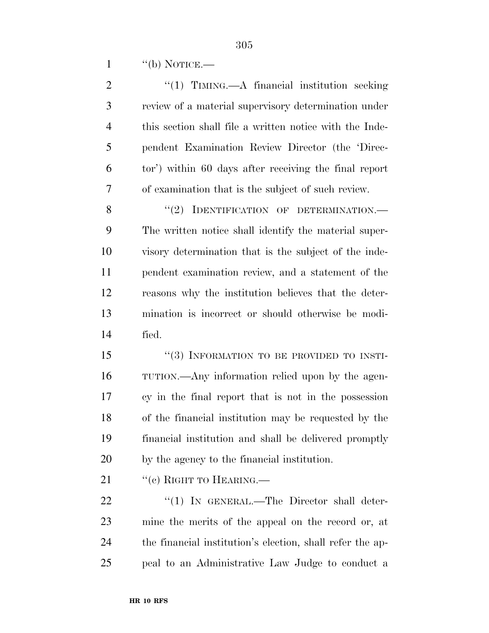1  $"$ (b) NOTICE.—

| $\overline{2}$ | "(1) TIMING.—A financial institution seeking            |
|----------------|---------------------------------------------------------|
| 3              | review of a material supervisory determination under    |
| $\overline{4}$ | this section shall file a written notice with the Inde- |
| 5              | pendent Examination Review Director (the 'Direc-        |
| 6              | tor') within 60 days after receiving the final report   |
| 7              | of examination that is the subject of such review.      |
| 8              | (2)<br>IDENTIFICATION OF DETERMINATION.-                |
| 9              | The written notice shall identify the material super-   |
| 10             | visory determination that is the subject of the inde-   |
| 11             | pendent examination review, and a statement of the      |
| 12             | reasons why the institution believes that the deter-    |
| 13             | mination is incorrect or should otherwise be modi-      |
| 14             | fied.                                                   |
| 15             | "(3) INFORMATION TO BE PROVIDED TO INSTI-               |
| 16             | TUTION.—Any information relied upon by the agen-        |
| 17             | cy in the final report that is not in the possession    |
| 18             | of the financial institution may be requested by the    |
| 19             | financial institution and shall be delivered promptly   |
| 20             | by the agency to the financial institution.             |
| 21             | "(c) RIGHT TO HEARING.—                                 |
| 22             | "(1) IN GENERAL.—The Director shall deter-              |
|                |                                                         |

 mine the merits of the appeal on the record or, at the financial institution's election, shall refer the ap-peal to an Administrative Law Judge to conduct a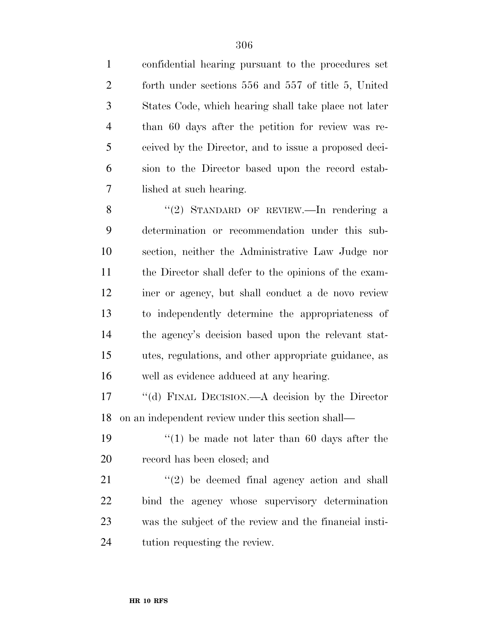confidential hearing pursuant to the procedures set forth under sections 556 and 557 of title 5, United States Code, which hearing shall take place not later than 60 days after the petition for review was re- ceived by the Director, and to issue a proposed deci- sion to the Director based upon the record estab-lished at such hearing.

8 "(2) STANDARD OF REVIEW.—In rendering a determination or recommendation under this sub- section, neither the Administrative Law Judge nor the Director shall defer to the opinions of the exam- iner or agency, but shall conduct a de novo review to independently determine the appropriateness of the agency's decision based upon the relevant stat- utes, regulations, and other appropriate guidance, as well as evidence adduced at any hearing.

 ''(d) FINAL DECISION.—A decision by the Director on an independent review under this section shall—

19  $\frac{1}{2}$  (1) be made not later than 60 days after the record has been closed; and

 ''(2) be deemed final agency action and shall bind the agency whose supervisory determination was the subject of the review and the financial insti-tution requesting the review.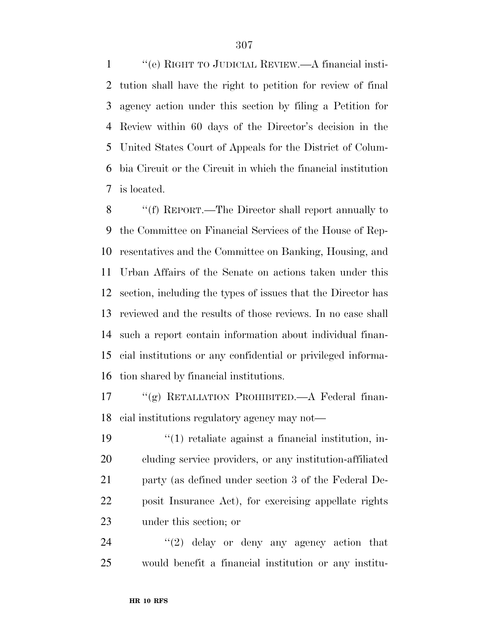''(e) RIGHT TO JUDICIAL REVIEW.—A financial insti- tution shall have the right to petition for review of final agency action under this section by filing a Petition for Review within 60 days of the Director's decision in the United States Court of Appeals for the District of Colum- bia Circuit or the Circuit in which the financial institution is located.

 ''(f) REPORT.—The Director shall report annually to the Committee on Financial Services of the House of Rep- resentatives and the Committee on Banking, Housing, and Urban Affairs of the Senate on actions taken under this section, including the types of issues that the Director has reviewed and the results of those reviews. In no case shall such a report contain information about individual finan- cial institutions or any confidential or privileged informa-tion shared by financial institutions.

 ''(g) RETALIATION PROHIBITED.—A Federal finan-cial institutions regulatory agency may not—

 ''(1) retaliate against a financial institution, in- cluding service providers, or any institution-affiliated party (as defined under section 3 of the Federal De- posit Insurance Act), for exercising appellate rights under this section; or

 ''(2) delay or deny any agency action that would benefit a financial institution or any institu-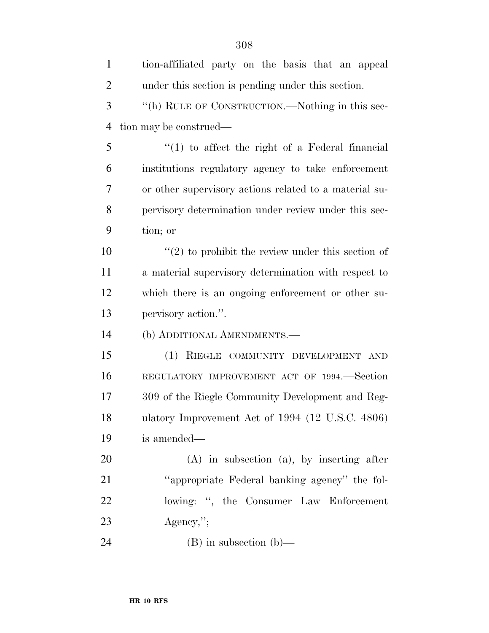| tion-affiliated party on the basis that an appeal      |
|--------------------------------------------------------|
| under this section is pending under this section.      |
| "(h) RULE OF CONSTRUCTION.—Nothing in this sec-        |
| tion may be construed—                                 |
| $\lq(1)$ to affect the right of a Federal financial    |
| institutions regulatory agency to take enforcement     |
| or other supervisory actions related to a material su- |
| pervisory determination under review under this sec-   |
| tion; or                                               |
| $\lq(2)$ to prohibit the review under this section of  |
| a material supervisory determination with respect to   |
| which there is an ongoing enforcement or other su-     |
| pervisory action.".                                    |
| (b) ADDITIONAL AMENDMENTS.—                            |
| (1) RIEGLE COMMUNITY DEVELOPMENT AND                   |
| REGULATORY IMPROVEMENT ACT OF 1994. Section            |
| 309 of the Riegle Community Development and Reg-       |
| ulatory Improvement Act of 1994 (12 U.S.C. 4806)       |
| is amended—                                            |
| $(A)$ in subsection $(a)$ , by inserting after         |
| "appropriate Federal banking agency" the fol-          |
| lowing: ", the Consumer Law Enforcement                |
| $Agency,$ ";                                           |
| $(B)$ in subsection $(b)$ —                            |
|                                                        |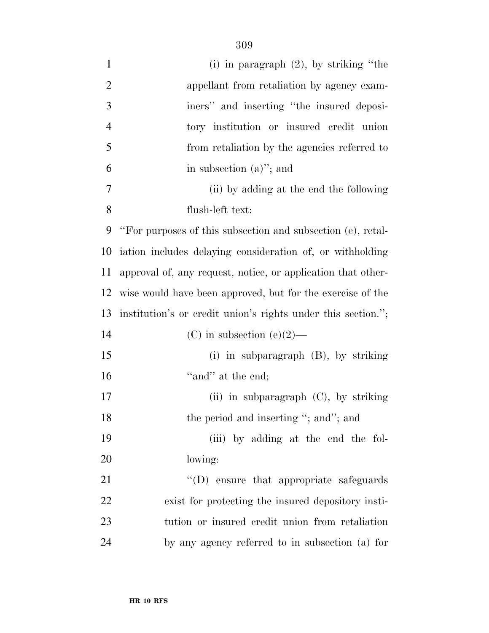| $\mathbf{1}$   | (i) in paragraph $(2)$ , by striking "the                    |
|----------------|--------------------------------------------------------------|
| $\overline{2}$ | appellant from retaliation by agency exam-                   |
| 3              | iners" and inserting "the insured deposi-                    |
| $\overline{4}$ | tory institution or insured credit union                     |
| 5              | from retaliation by the agencies referred to                 |
| 6              | in subsection $(a)$ "; and                                   |
| 7              | (ii) by adding at the end the following                      |
| 8              | flush-left text:                                             |
| 9              | "For purposes of this subsection and subsection (e), retal-  |
| 10             | iation includes delaying consideration of, or withholding    |
| 11             | approval of, any request, notice, or application that other- |
| 12             | wise would have been approved, but for the exercise of the   |
| 13             | institution's or credit union's rights under this section."; |
| 14             | (C) in subsection (e) $(2)$ —                                |
| 15             | (i) in subparagraph $(B)$ , by striking                      |
| 16             | "and" at the end;                                            |
| 17             | (ii) in subparagraph $(C)$ , by striking                     |
| 18             | the period and inserting "; and"; and                        |
| 19             | (iii) by adding at the end the fol-                          |
| 20             | lowing:                                                      |
| 21             | "(D) ensure that appropriate safeguards                      |
| <u>22</u>      | exist for protecting the insured depository insti-           |
| 23             | tution or insured credit union from retaliation              |
| 24             | by any agency referred to in subsection (a) for              |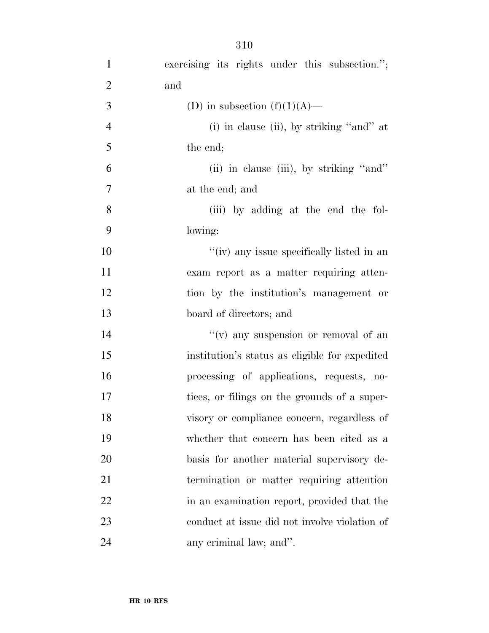| $\mathbf{1}$   | exercising its rights under this subsection."; |
|----------------|------------------------------------------------|
| $\overline{2}$ | and                                            |
| 3              | (D) in subsection $(f)(1)(A)$ —                |
| $\overline{4}$ | $(i)$ in clause $(ii)$ , by striking "and" at  |
| 5              | the end;                                       |
| 6              | (ii) in clause (iii), by striking "and"        |
| $\overline{7}$ | at the end; and                                |
| 8              | (iii) by adding at the end the fol-            |
| 9              | lowing:                                        |
| 10             | "(iv) any issue specifically listed in an      |
| 11             | exam report as a matter requiring atten-       |
| 12             | tion by the institution's management or        |
| 13             | board of directors; and                        |
| 14             | "(v) any suspension or removal of an           |
| 15             | institution's status as eligible for expedited |
| 16             | processing of applications, requests, no-      |
| 17             | tices, or filings on the grounds of a super-   |
| 18             | visory or compliance concern, regardless of    |
| 19             | whether that concern has been cited as a       |
| 20             | basis for another material supervisory de-     |
| 21             | termination or matter requiring attention      |
| 22             | in an examination report, provided that the    |
| 23             | conduct at issue did not involve violation of  |
| 24             | any criminal law; and".                        |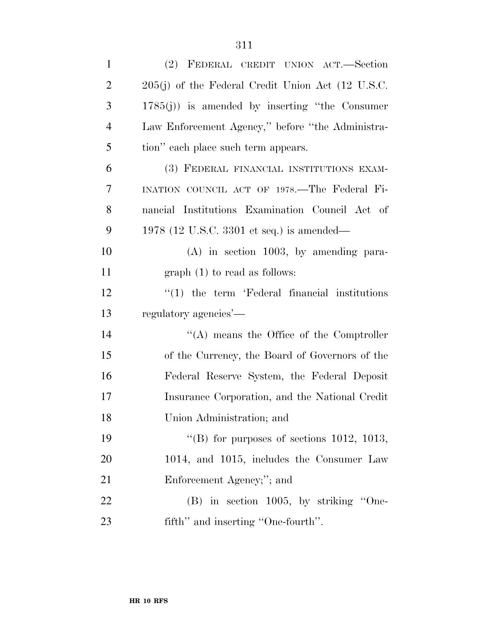| $\mathbf{1}$   | (2) FEDERAL CREDIT UNION ACT.—Section               |
|----------------|-----------------------------------------------------|
| $\overline{2}$ | $205(j)$ of the Federal Credit Union Act (12 U.S.C. |
| 3              | $1785(j)$ ) is amended by inserting "the Consumer"  |
| $\overline{4}$ | Law Enforcement Agency," before "the Administra-    |
| 5              | tion" each place such term appears.                 |
| 6              | (3) FEDERAL FINANCIAL INSTITUTIONS EXAM-            |
| 7              | INATION COUNCIL ACT OF 1978. The Federal Fi-        |
| 8              | nancial Institutions Examination Council Act of     |
| 9              | 1978 (12 U.S.C. 3301 et seq.) is amended—           |
| 10             | $(A)$ in section 1003, by amending para-            |
| 11             | $graph(1)$ to read as follows:                      |
| 12             | $\lq(1)$ the term 'Federal financial institutions'  |
| 13             | regulatory agencies'—                               |
| 14             | $\lq\lq$ means the Office of the Comptroller        |
| 15             | of the Currency, the Board of Governors of the      |
| 16             | Federal Reserve System, the Federal Deposit         |
| 17             | Insurance Corporation, and the National Credit      |
| 18             | Union Administration; and                           |
| 19             | "(B) for purposes of sections $1012$ , $1013$ ,     |
| 20             | 1014, and 1015, includes the Consumer Law           |
| 21             | Enforcement Agency;"; and                           |
| 22             | $(B)$ in section 1005, by striking "One-            |
| 23             | fifth" and inserting "One-fourth".                  |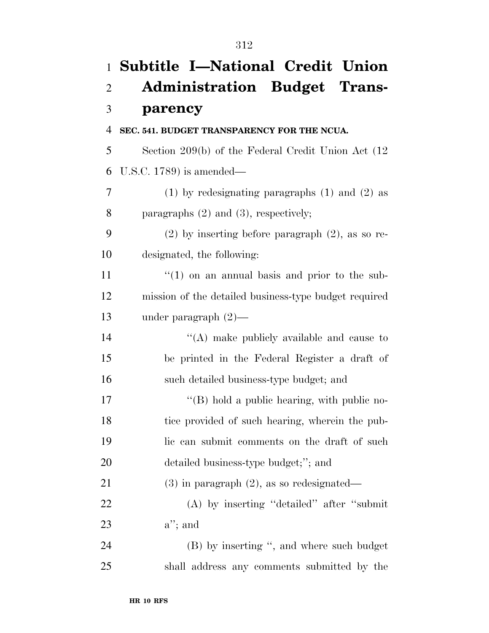|                | 1 Subtitle I—National Credit Union                    |
|----------------|-------------------------------------------------------|
| $\overline{2}$ | <b>Administration Budget Trans-</b>                   |
| 3              | parency                                               |
| $\overline{4}$ | SEC. 541. BUDGET TRANSPARENCY FOR THE NCUA.           |
| 5              | Section 209(b) of the Federal Credit Union Act (12)   |
| 6              | U.S.C. 1789) is amended—                              |
| 7              | $(1)$ by redesignating paragraphs $(1)$ and $(2)$ as  |
| 8              | paragraphs $(2)$ and $(3)$ , respectively;            |
| 9              | $(2)$ by inserting before paragraph $(2)$ , as so re- |
| 10             | designated, the following:                            |
| 11             | $\lq(1)$ on an annual basis and prior to the sub-     |
| 12             | mission of the detailed business-type budget required |
| 13             | under paragraph $(2)$ —                               |
| 14             | $\lq\lq$ make publicly available and cause to         |
| 15             | be printed in the Federal Register a draft of         |
| 16             | such detailed business-type budget; and               |
| 17             | $\lq\lq (B)$ hold a public hearing, with public no-   |
| 18             | tice provided of such hearing, wherein the pub-       |
| 19             | lic can submit comments on the draft of such          |
| 20             | detailed business-type budget;"; and                  |
| 21             | $(3)$ in paragraph $(2)$ , as so redesignated—        |
| 22             | (A) by inserting "detailed" after "submit"            |
| 23             | $a$ "; and                                            |
| 24             | (B) by inserting ", and where such budget             |
| 25             | shall address any comments submitted by the           |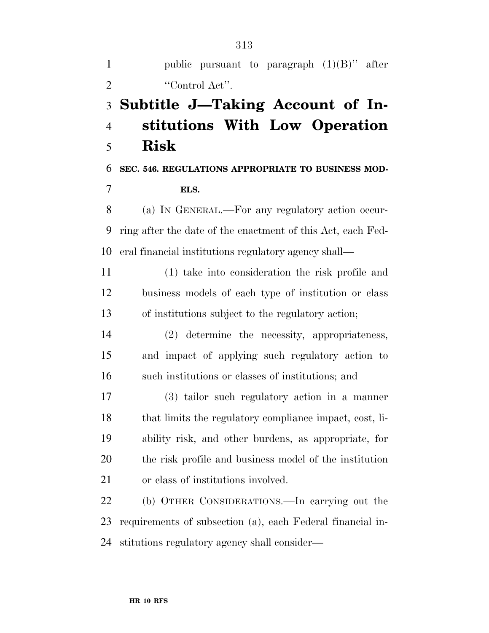## **Subtitle J—Taking Account of In- stitutions With Low Operation Risk**

 **SEC. 546. REGULATIONS APPROPRIATE TO BUSINESS MOD-ELS.** 

 (a) IN GENERAL.—For any regulatory action occur- ring after the date of the enactment of this Act, each Fed-eral financial institutions regulatory agency shall—

 (1) take into consideration the risk profile and business models of each type of institution or class of institutions subject to the regulatory action;

 (2) determine the necessity, appropriateness, and impact of applying such regulatory action to such institutions or classes of institutions; and

 (3) tailor such regulatory action in a manner that limits the regulatory compliance impact, cost, li- ability risk, and other burdens, as appropriate, for the risk profile and business model of the institution or class of institutions involved.

 (b) OTHER CONSIDERATIONS.—In carrying out the requirements of subsection (a), each Federal financial in-stitutions regulatory agency shall consider—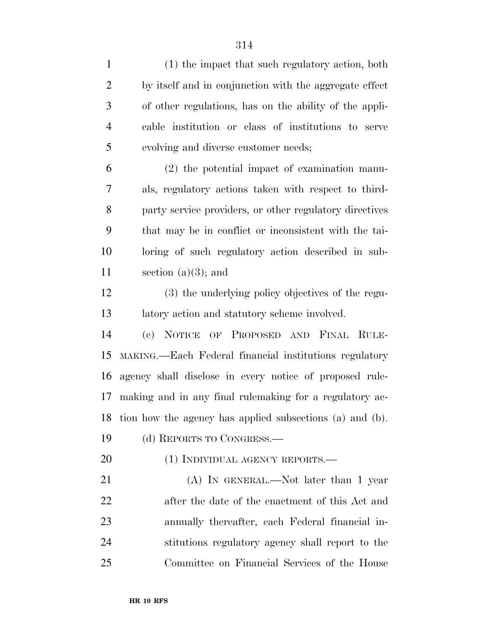(1) the impact that such regulatory action, both by itself and in conjunction with the aggregate effect of other regulations, has on the ability of the appli- cable institution or class of institutions to serve evolving and diverse customer needs; (2) the potential impact of examination manu- als, regulatory actions taken with respect to third- party service providers, or other regulatory directives that may be in conflict or inconsistent with the tai- loring of such regulatory action described in sub-11 section (a)(3); and (3) the underlying policy objectives of the regu- latory action and statutory scheme involved. (c) NOTICE OF PROPOSED AND FINAL RULE- MAKING.—Each Federal financial institutions regulatory agency shall disclose in every notice of proposed rule- making and in any final rulemaking for a regulatory ac- tion how the agency has applied subsections (a) and (b). (d) REPORTS TO CONGRESS.— 20 (1) INDIVIDUAL AGENCY REPORTS.— 21 (A) IN GENERAL.—Not later than 1 year after the date of the enactment of this Act and annually thereafter, each Federal financial in- stitutions regulatory agency shall report to the Committee on Financial Services of the House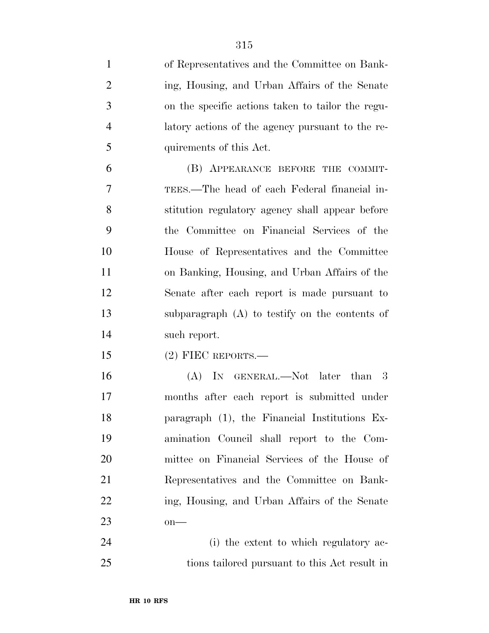| $\mathbf{1}$   | of Representatives and the Committee on Bank-     |
|----------------|---------------------------------------------------|
| $\overline{2}$ | ing, Housing, and Urban Affairs of the Senate     |
| 3              | on the specific actions taken to tailor the regu- |
| $\overline{4}$ | latory actions of the agency pursuant to the re-  |
| 5              | quirements of this Act.                           |
| 6              | (B) APPEARANCE BEFORE THE COMMIT-                 |
| 7              | TEES.—The head of each Federal financial in-      |
| 8              | stitution regulatory agency shall appear before   |
| 9              | the Committee on Financial Services of the        |
| 10             | House of Representatives and the Committee        |
| 11             | on Banking, Housing, and Urban Affairs of the     |
| 12             | Senate after each report is made pursuant to      |
| 13             | subparagraph $(A)$ to testify on the contents of  |
| 14             | such report.                                      |
| 15             | $(2)$ FIEC REPORTS.—                              |
| 16             | (A) IN GENERAL.—Not later than 3                  |
| 17             | months after each report is submitted under       |
| 18             | paragraph (1), the Financial Institutions Ex-     |
| 19             | amination Council shall report to the Com-        |
| 20             | mittee on Financial Services of the House of      |
| 21             | Representatives and the Committee on Bank-        |
| 22             | ing, Housing, and Urban Affairs of the Senate     |
| 23             | $on$ —                                            |
| 24             | (i) the extent to which regulatory ac-            |
| 25             | tions tailored pursuant to this Act result in     |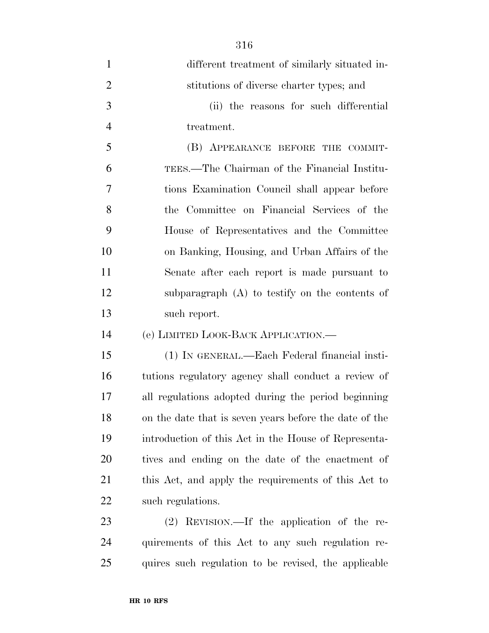| $\mathbf{1}$   | different treatment of similarly situated in-          |
|----------------|--------------------------------------------------------|
| $\overline{2}$ | stitutions of diverse charter types; and               |
| 3              | (ii) the reasons for such differential                 |
| $\overline{4}$ | treatment.                                             |
| 5              | (B) APPEARANCE BEFORE THE COMMIT-                      |
| 6              | TEES.—The Chairman of the Financial Institu-           |
| 7              | tions Examination Council shall appear before          |
| 8              | the Committee on Financial Services of the             |
| 9              | House of Representatives and the Committee             |
| 10             | on Banking, Housing, and Urban Affairs of the          |
| 11             | Senate after each report is made pursuant to           |
| 12             | subparagraph $(A)$ to testify on the contents of       |
|                |                                                        |
| 13             | such report.                                           |
| 14             | (е) LIMITED LOOK-BACK APPLICATION.-                    |
| 15             | (1) IN GENERAL.—Each Federal financial insti-          |
| 16             | tutions regulatory agency shall conduct a review of    |
| 17             | all regulations adopted during the period beginning    |
| 18             | on the date that is seven years before the date of the |
| 19             | introduction of this Act in the House of Representa-   |
| <b>20</b>      | tives and ending on the date of the enactment of       |
| 21             | this Act, and apply the requirements of this Act to    |
| <u>22</u>      | such regulations.                                      |
| 23             | $(2)$ REVISION.—If the application of the re-          |

quires such regulation to be revised, the applicable

**HR 10 RFS**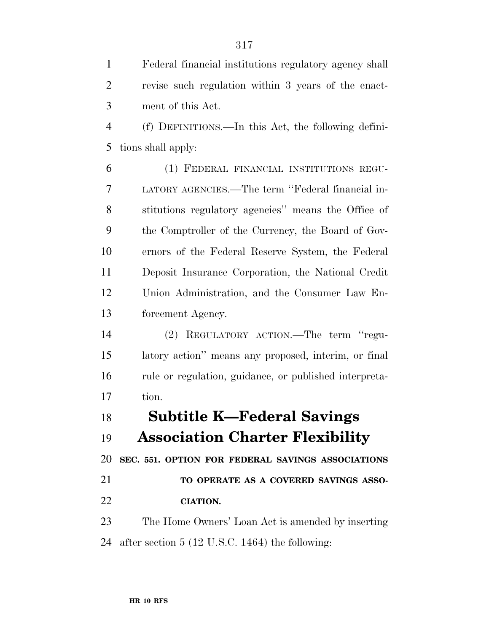Federal financial institutions regulatory agency shall revise such regulation within 3 years of the enact-ment of this Act.

 (f) DEFINITIONS.—In this Act, the following defini-tions shall apply:

 (1) FEDERAL FINANCIAL INSTITUTIONS REGU- LATORY AGENCIES.—The term ''Federal financial in- stitutions regulatory agencies'' means the Office of the Comptroller of the Currency, the Board of Gov- ernors of the Federal Reserve System, the Federal Deposit Insurance Corporation, the National Credit Union Administration, and the Consumer Law En-forcement Agency.

 (2) REGULATORY ACTION.—The term ''regu- latory action'' means any proposed, interim, or final rule or regulation, guidance, or published interpreta-tion.

## **Subtitle K—Federal Savings Association Charter Flexibility**

**SEC. 551. OPTION FOR FEDERAL SAVINGS ASSOCIATIONS** 

### **TO OPERATE AS A COVERED SAVINGS ASSO-CIATION.**

 The Home Owners' Loan Act is amended by inserting after section 5 (12 U.S.C. 1464) the following: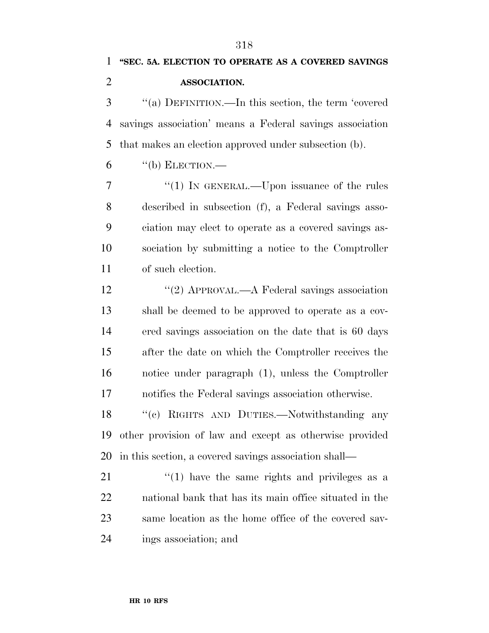''(a) DEFINITION.—In this section, the term 'covered savings association' means a Federal savings association that makes an election approved under subsection (b).

"(b) ELECTION.—

7 "(1) IN GENERAL.—Upon issuance of the rules described in subsection (f), a Federal savings asso- ciation may elect to operate as a covered savings as- sociation by submitting a notice to the Comptroller of such election.

12 "(2) APPROVAL.—A Federal savings association shall be deemed to be approved to operate as a cov- ered savings association on the date that is 60 days after the date on which the Comptroller receives the notice under paragraph (1), unless the Comptroller notifies the Federal savings association otherwise.

 ''(c) RIGHTS AND DUTIES.—Notwithstanding any other provision of law and except as otherwise provided in this section, a covered savings association shall—

 ''(1) have the same rights and privileges as a national bank that has its main office situated in the same location as the home office of the covered sav-ings association; and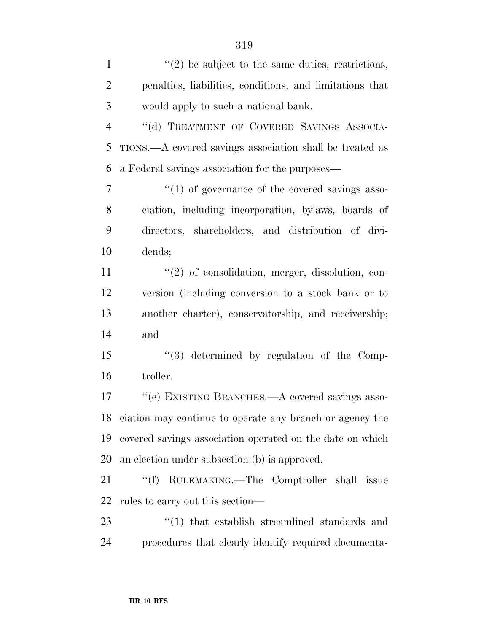$\mathcal{L}(2)$  be subject to the same duties, restrictions, penalties, liabilities, conditions, and limitations that would apply to such a national bank. 4 "(d) TREATMENT OF COVERED SAVINGS ASSOCIA- TIONS.—A covered savings association shall be treated as a Federal savings association for the purposes—  $\frac{1}{1}$  of governance of the covered savings asso- ciation, including incorporation, bylaws, boards of directors, shareholders, and distribution of divi- dends;  $\frac{u(2)}{2}$  of consolidation, merger, dissolution, con- version (including conversion to a stock bank or to another charter), conservatorship, and receivership; and ''(3) determined by regulation of the Comp- troller. ''(e) EXISTING BRANCHES.—A covered savings asso- ciation may continue to operate any branch or agency the covered savings association operated on the date on which an election under subsection (b) is approved. 21 ""(f) RULEMAKING.—The Comptroller shall issue rules to carry out this section— 23 ''(1) that establish streamlined standards and procedures that clearly identify required documenta-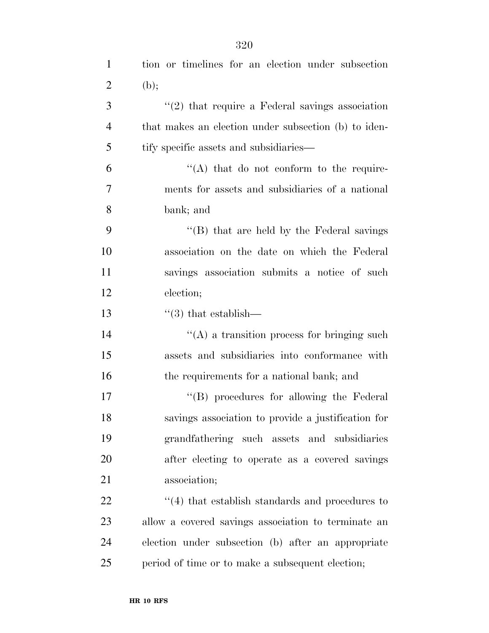| 1              | tion or timelines for an election under subsection     |
|----------------|--------------------------------------------------------|
| $\overline{2}$ | (b);                                                   |
| 3              | $\lq(2)$ that require a Federal savings association    |
| $\overline{4}$ | that makes an election under subsection (b) to iden-   |
| 5              | tify specific assets and subsidiaries—                 |
| 6              | $\lq\lq$ that do not conform to the require-           |
| 7              | ments for assets and subsidiaries of a national        |
| 8              | bank; and                                              |
| 9              | $\lq\lq (B)$ that are held by the Federal savings      |
| 10             | association on the date on which the Federal           |
| 11             | savings association submits a notice of such           |
| 12             | election;                                              |
| 13             | $\cdot\cdot$ (3) that establish—                       |
| 14             | "(A) a transition process for bringing such            |
| 15             | assets and subsidiaries into conformance with          |
| 16             | the requirements for a national bank; and              |
| 17             | "(B) procedures for allowing the Federal               |
| 18             | savings association to provide a justification for     |
| 19             | grandfathering such assets and subsidiaries            |
| 20             | after electing to operate as a covered savings         |
| 21             | association;                                           |
| 22             | $\cdot$ (4) that establish standards and procedures to |
| 23             | allow a covered savings association to terminate an    |
| 24             | election under subsection (b) after an appropriate     |
| 25             | period of time or to make a subsequent election;       |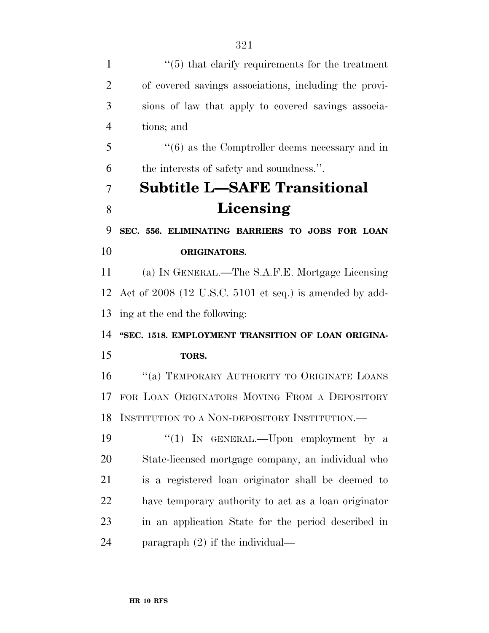1 ''(5) that clarify requirements for the treatment of covered savings associations, including the provi- sions of law that apply to covered savings associa- tions; and ''(6) as the Comptroller deems necessary and in the interests of safety and soundness.''. **Subtitle L—SAFE Transitional Licensing SEC. 556. ELIMINATING BARRIERS TO JOBS FOR LOAN ORIGINATORS.**  (a) IN GENERAL.—The S.A.F.E. Mortgage Licensing Act of 2008 (12 U.S.C. 5101 et seq.) is amended by add- ing at the end the following: 14 "SEC. 1518. EMPLOYMENT TRANSITION OF LOAN ORIGINA- **TORS.**  16 "(a) TEMPORARY AUTHORITY TO ORIGINATE LOANS FOR LOAN ORIGINATORS MOVING FROM A DEPOSITORY INSTITUTION TO A NON-DEPOSITORY INSTITUTION.—  $\frac{1}{2}$  IN GENERAL.—Upon employment by a State-licensed mortgage company, an individual who is a registered loan originator shall be deemed to have temporary authority to act as a loan originator in an application State for the period described in paragraph (2) if the individual—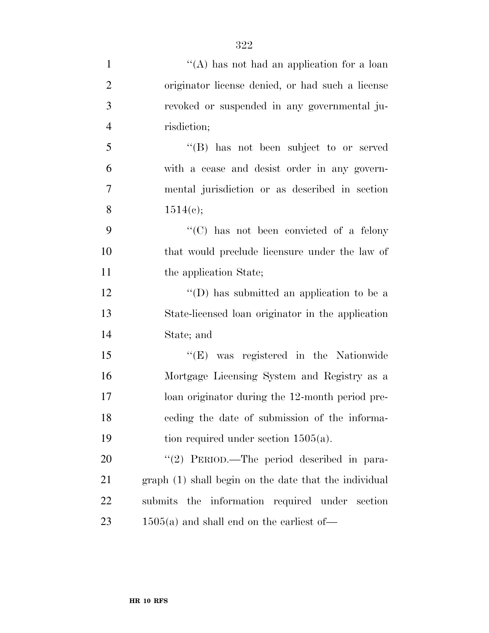| $\mathbf{1}$   | "(A) has not had an application for a loan            |
|----------------|-------------------------------------------------------|
| $\overline{2}$ | originator license denied, or had such a license      |
| 3              | revoked or suspended in any governmental ju-          |
| $\overline{4}$ | risdiction;                                           |
| 5              | "(B) has not been subject to or served                |
| 6              | with a cease and desist order in any govern-          |
| $\tau$         | mental jurisdiction or as described in section        |
| 8              | 1514(c);                                              |
| 9              | " $(C)$ has not been convicted of a felony            |
| 10             | that would preclude licensure under the law of        |
| 11             | the application State;                                |
| 12             | "(D) has submitted an application to be a             |
| 13             | State-licensed loan originator in the application     |
| 14             | State; and                                            |
| 15             | "(E) was registered in the Nationwide                 |
| 16             | Mortgage Licensing System and Registry as a           |
| 17             | loan originator during the 12-month period pre-       |
| 18             | eeding the date of submission of the informa-         |
| 19             | tion required under section $1505(a)$ .               |
| 20             | "(2) PERIOD.—The period described in para-            |
| 21             | graph (1) shall begin on the date that the individual |
|                |                                                       |

submits the information required under section

1505(a) and shall end on the earliest of—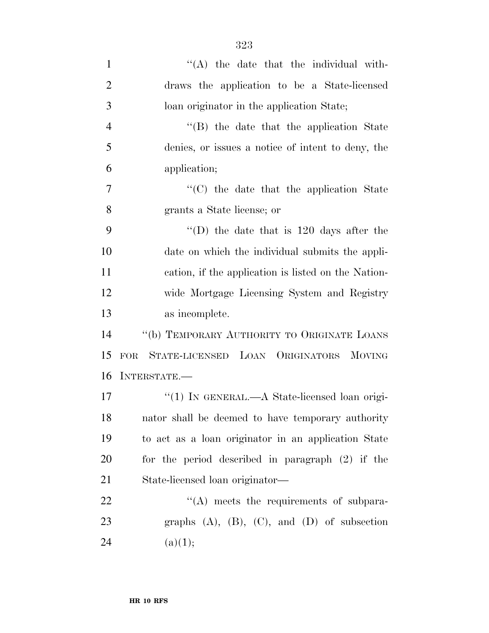| $\mathbf{1}$   | $\lq\lq$ the date that the individual with-            |
|----------------|--------------------------------------------------------|
| $\overline{2}$ | draws the application to be a State-licensed           |
| 3              | loan originator in the application State;              |
| $\overline{4}$ | "(B) the date that the application State               |
| 5              | denies, or issues a notice of intent to deny, the      |
| 6              | application;                                           |
| 7              | "(C) the date that the application State               |
| 8              | grants a State license; or                             |
| 9              | "(D) the date that is $120$ days after the             |
| 10             | date on which the individual submits the appli-        |
| 11             | cation, if the application is listed on the Nation-    |
| 12             | wide Mortgage Licensing System and Registry            |
| 13             | as incomplete.                                         |
| 14             | "(b) TEMPORARY AUTHORITY TO ORIGINATE LOANS            |
| 15             | STATE-LICENSED LOAN ORIGINATORS MOVING<br><b>FOR</b>   |
| 16             | INTERSTATE.                                            |
| 17             | "(1) IN GENERAL.—A State-licensed loan origi-          |
| 18             | nator shall be deemed to have temporary authority      |
| 19             | to act as a loan originator in an application State    |
| 20             | for the period described in paragraph $(2)$ if the     |
| 21             | State-licensed loan originator—                        |
| 22             | $\lq\lq$ meets the requirements of subpara-            |
| 23             | graphs $(A)$ , $(B)$ , $(C)$ , and $(D)$ of subsection |
|                |                                                        |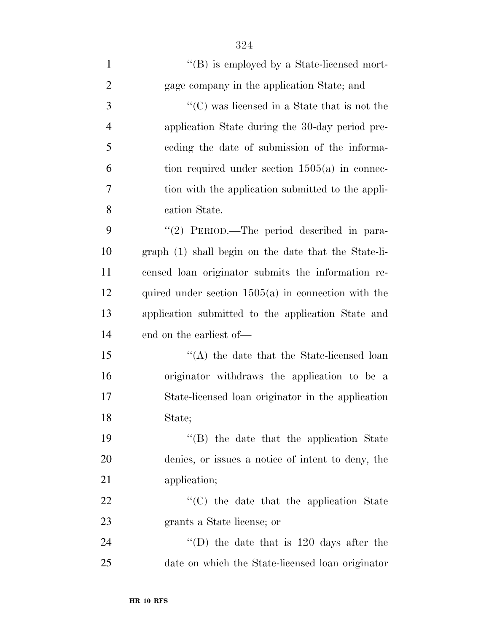| $\mathbf{1}$   | $\lq\lq (B)$ is employed by a State-licensed mort-    |
|----------------|-------------------------------------------------------|
| $\overline{2}$ | gage company in the application State; and            |
| 3              | $\lq\lq$ (C) was licensed in a State that is not the  |
| $\overline{4}$ | application State during the 30-day period pre-       |
| 5              | eeding the date of submission of the informa-         |
| 6              | tion required under section $1505(a)$ in connec-      |
| 7              | tion with the application submitted to the appli-     |
| 8              | cation State.                                         |
| 9              | "(2) PERIOD.—The period described in para-            |
| 10             | graph (1) shall begin on the date that the State-li-  |
| 11             | censed loan originator submits the information re-    |
| 12             | quired under section $1505(a)$ in connection with the |
| 13             | application submitted to the application State and    |
| 14             | end on the earliest of—                               |
| 15             | $\lq\lq$ the date that the State-licensed loan        |
| 16             | originator withdraws the application to be a          |
| 17             | State-licensed loan originator in the application     |
| 18             | State;                                                |
| 19             | "(B) the date that the application State              |
| 20             | denies, or issues a notice of intent to deny, the     |
| 21             | application;                                          |
| 22             | "(C) the date that the application State              |
| 23             | grants a State license; or                            |
| 24             | "(D) the date that is $120$ days after the            |
| 25             | date on which the State-licensed loan originator      |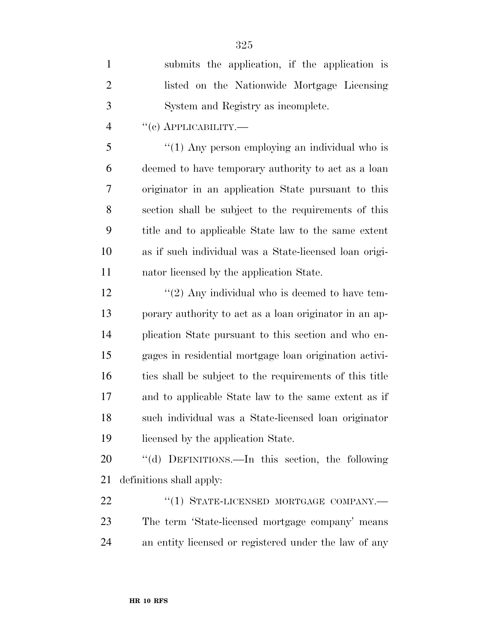| $\mathbf{1}$   | submits the application, if the application is          |
|----------------|---------------------------------------------------------|
| $\overline{2}$ | listed on the Nationwide Mortgage Licensing             |
| $\mathfrak{Z}$ | System and Registry as incomplete.                      |
| $\overline{4}$ | $``$ (c) APPLICABILITY.—                                |
| 5              | " $(1)$ Any person employing an individual who is       |
| 6              | deemed to have temporary authority to act as a loan     |
| 7              | originator in an application State pursuant to this     |
| 8              | section shall be subject to the requirements of this    |
| 9              | title and to applicable State law to the same extent    |
| 10             | as if such individual was a State-licensed loan origi-  |
| 11             | nator licensed by the application State.                |
| 12             | " $(2)$ Any individual who is deemed to have tem-       |
| 13             | porary authority to act as a loan originator in an ap-  |
| 14             | plication State pursuant to this section and who en-    |
| 15             | gages in residential mortgage loan origination activi-  |
| 16             | ties shall be subject to the requirements of this title |
| 17             | and to applicable State law to the same extent as if    |
| 18             | such individual was a State-licensed loan originator    |
| 19             | licensed by the application State.                      |
| 20             | "(d) DEFINITIONS.—In this section, the following        |
| 21             | definitions shall apply:                                |
| 22             | "(1) STATE-LICENSED MORTGAGE COMPANY.-                  |
| 23             | The term 'State-licensed mortgage company' means        |
| 24             | an entity licensed or registered under the law of any   |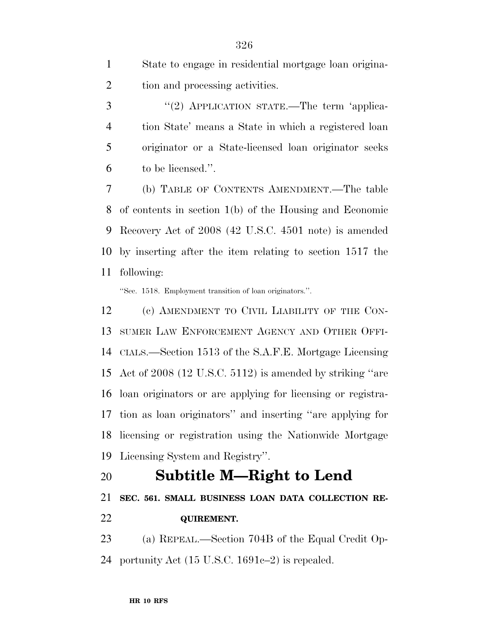State to engage in residential mortgage loan origina-2 tion and processing activities.

3 "(2) APPLICATION STATE.—The term 'applica- tion State' means a State in which a registered loan originator or a State-licensed loan originator seeks to be licensed.''.

 (b) TABLE OF CONTENTS AMENDMENT.—The table of contents in section 1(b) of the Housing and Economic Recovery Act of 2008 (42 U.S.C. 4501 note) is amended by inserting after the item relating to section 1517 the following:

''Sec. 1518. Employment transition of loan originators.''.

 (c) AMENDMENT TO CIVIL LIABILITY OF THE CON- SUMER LAW ENFORCEMENT AGENCY AND OTHER OFFI- CIALS.—Section 1513 of the S.A.F.E. Mortgage Licensing Act of 2008 (12 U.S.C. 5112) is amended by striking ''are loan originators or are applying for licensing or registra- tion as loan originators'' and inserting ''are applying for licensing or registration using the Nationwide Mortgage Licensing System and Registry''.

#### **Subtitle M—Right to Lend**

**SEC. 561. SMALL BUSINESS LOAN DATA COLLECTION RE-**

**QUIREMENT.** 

 (a) REPEAL.—Section 704B of the Equal Credit Op-portunity Act (15 U.S.C. 1691c–2) is repealed.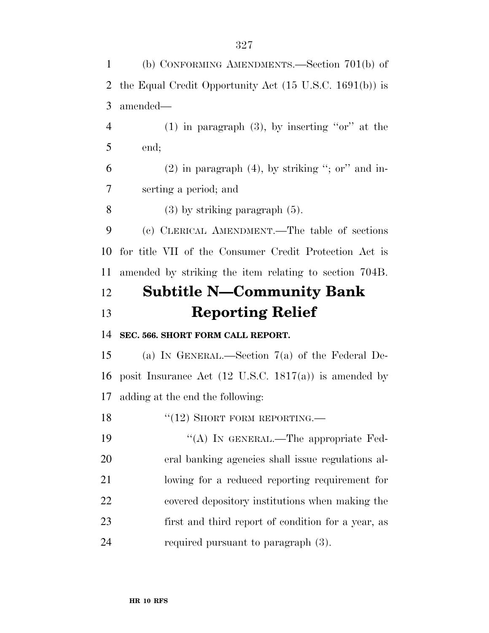(b) CONFORMING AMENDMENTS.—Section 701(b) of the Equal Credit Opportunity Act (15 U.S.C. 1691(b)) is amended— (1) in paragraph (3), by inserting ''or'' at the end; (2) in paragraph (4), by striking "; or" and in- serting a period; and (3) by striking paragraph (5). (c) CLERICAL AMENDMENT.—The table of sections for title VII of the Consumer Credit Protection Act is amended by striking the item relating to section 704B. **Subtitle N—Community Bank Reporting Relief SEC. 566. SHORT FORM CALL REPORT.**  (a) IN GENERAL.—Section 7(a) of the Federal De-16 posit Insurance Act  $(12 \text{ U.S.C. } 1817(a))$  is amended by adding at the end the following: 18 "(12) SHORT FORM REPORTING. ''(A) IN GENERAL.—The appropriate Fed- eral banking agencies shall issue regulations al- lowing for a reduced reporting requirement for covered depository institutions when making the first and third report of condition for a year, as 24 required pursuant to paragraph (3).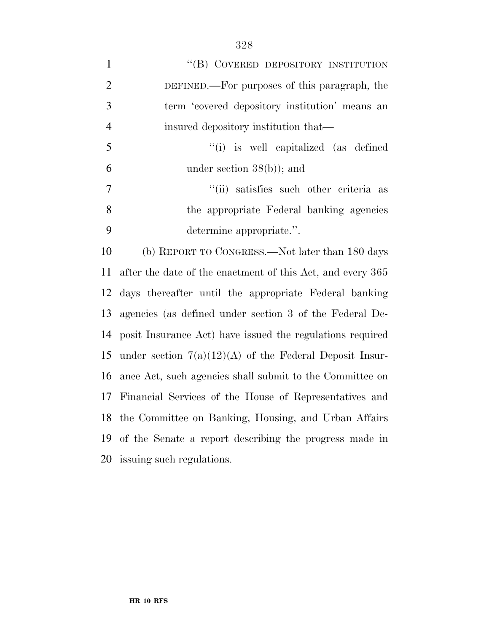| $\mathbf{1}$   | "(B) COVERED DEPOSITORY INSTITUTION                        |
|----------------|------------------------------------------------------------|
| $\overline{2}$ | DEFINED.—For purposes of this paragraph, the               |
| 3              | term 'covered depository institution' means an             |
| $\overline{4}$ | insured depository institution that—                       |
| 5              | "(i) is well capitalized (as defined                       |
| 6              | under section $38(b)$ ; and                                |
| 7              | "(ii) satisfies such other criteria as                     |
| 8              | the appropriate Federal banking agencies                   |
| 9              | determine appropriate.".                                   |
| 10             | (b) REPORT TO CONGRESS.—Not later than 180 days            |
| 11             | after the date of the enactment of this Act, and every 365 |
| 12             | days thereafter until the appropriate Federal banking      |
| 13             | agencies (as defined under section 3 of the Federal De-    |
| 14             | posit Insurance Act) have issued the regulations required  |
| 15             | under section $7(a)(12)(A)$ of the Federal Deposit Insur-  |
| 16             | ance Act, such agencies shall submit to the Committee on   |
| 17             | Financial Services of the House of Representatives and     |
| 18             | the Committee on Banking, Housing, and Urban Affairs       |
| 19             | of the Senate a report describing the progress made in     |
|                | 20 issuing such regulations.                               |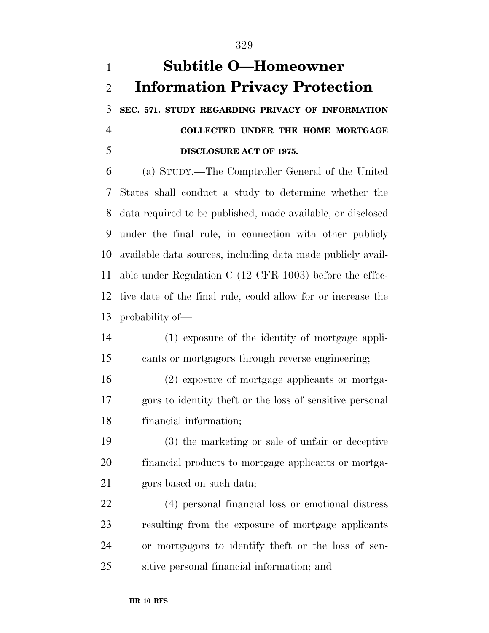# **Subtitle O—Homeowner Information Privacy Protection**

 **SEC. 571. STUDY REGARDING PRIVACY OF INFORMATION COLLECTED UNDER THE HOME MORTGAGE DISCLOSURE ACT OF 1975.** 

 (a) STUDY.—The Comptroller General of the United States shall conduct a study to determine whether the data required to be published, made available, or disclosed under the final rule, in connection with other publicly available data sources, including data made publicly avail- able under Regulation C (12 CFR 1003) before the effec- tive date of the final rule, could allow for or increase the probability of—

- (1) exposure of the identity of mortgage appli-cants or mortgagors through reverse engineering;
- (2) exposure of mortgage applicants or mortga- gors to identity theft or the loss of sensitive personal financial information;

 (3) the marketing or sale of unfair or deceptive financial products to mortgage applicants or mortga-gors based on such data;

 (4) personal financial loss or emotional distress resulting from the exposure of mortgage applicants or mortgagors to identify theft or the loss of sen-sitive personal financial information; and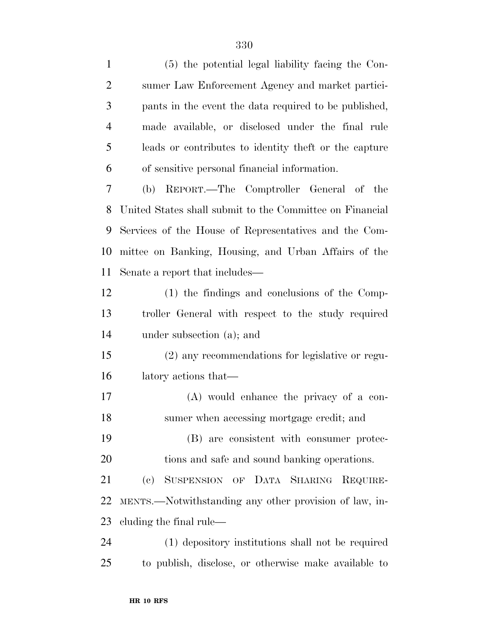(5) the potential legal liability facing the Con- sumer Law Enforcement Agency and market partici- pants in the event the data required to be published, made available, or disclosed under the final rule leads or contributes to identity theft or the capture of sensitive personal financial information. (b) REPORT.—The Comptroller General of the United States shall submit to the Committee on Financial Services of the House of Representatives and the Com- mittee on Banking, Housing, and Urban Affairs of the Senate a report that includes— (1) the findings and conclusions of the Comp- troller General with respect to the study required under subsection (a); and (2) any recommendations for legislative or regu- latory actions that— (A) would enhance the privacy of a con- sumer when accessing mortgage credit; and (B) are consistent with consumer protec- tions and safe and sound banking operations. (c) SUSPENSION OF DATA SHARING REQUIRE- MENTS.—Notwithstanding any other provision of law, in- cluding the final rule— (1) depository institutions shall not be required to publish, disclose, or otherwise make available to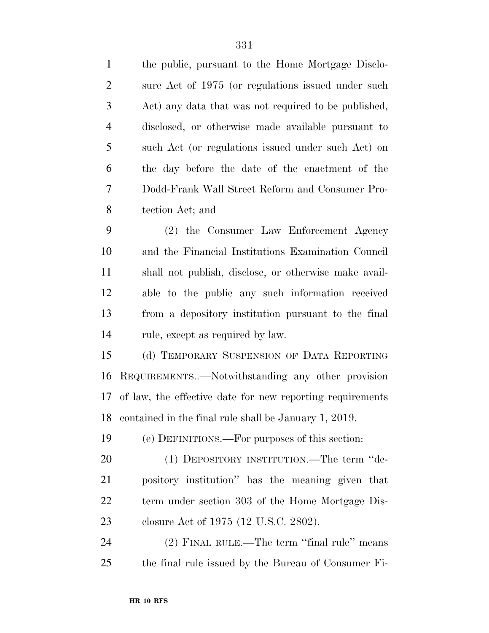| $\mathbf{1}$   | the public, pursuant to the Home Mortgage Disclo-         |
|----------------|-----------------------------------------------------------|
| $\overline{2}$ | sure Act of 1975 (or regulations issued under such        |
| 3              | Act) any data that was not required to be published,      |
| $\overline{4}$ | disclosed, or otherwise made available pursuant to        |
| 5              | such Act (or regulations issued under such Act) on        |
| 6              | the day before the date of the enactment of the           |
| 7              | Dodd-Frank Wall Street Reform and Consumer Pro-           |
| 8              | tection Act; and                                          |
| 9              | (2) the Consumer Law Enforcement Agency                   |
| 10             | and the Financial Institutions Examination Council        |
| 11             | shall not publish, disclose, or otherwise make avail-     |
| 12             | able to the public any such information received          |
| 13             | from a depository institution pursuant to the final       |
| 14             | rule, except as required by law.                          |
| 15             | (d) TEMPORARY SUSPENSION OF DATA REPORTING                |
| 16             | REQUIREMENTS—Notwithstanding any other provision          |
| 17             | of law, the effective date for new reporting requirements |
|                | 18 contained in the final rule shall be January 1, 2019.  |
| 19             | (e) DEFINITIONS.—For purposes of this section:            |
| 20             | (1) DEPOSITORY INSTITUTION.—The term "de-                 |
| 21             | pository institution" has the meaning given that          |
| <u>22</u>      | term under section 303 of the Home Mortgage Dis-          |
| 23             | closure Act of 1975 (12 U.S.C. 2802).                     |
| 24             | (2) FINAL RULE.—The term "final rule" means               |
| 25             | the final rule issued by the Bureau of Consumer Fi-       |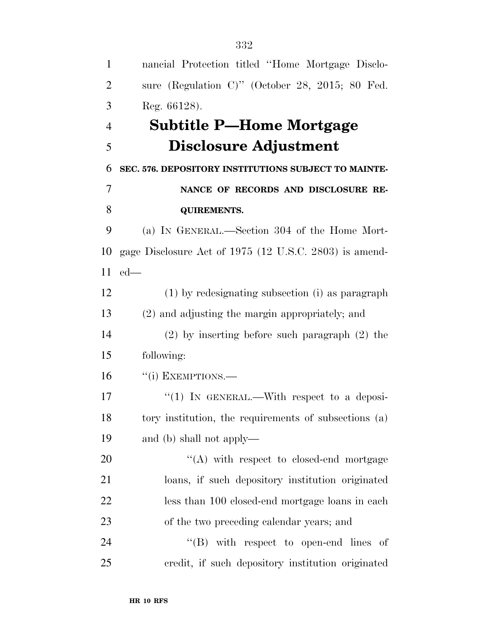| $\mathbf{1}$   | nancial Protection titled "Home Mortgage Disclo-       |
|----------------|--------------------------------------------------------|
| $\overline{2}$ | sure (Regulation C)" (October 28, 2015; 80 Fed.        |
| 3              | Reg. 66128).                                           |
| $\overline{4}$ | <b>Subtitle P-Home Mortgage</b>                        |
| 5              | Disclosure Adjustment                                  |
| 6              | SEC. 576. DEPOSITORY INSTITUTIONS SUBJECT TO MAINTE-   |
| 7              | NANCE OF RECORDS AND DISCLOSURE RE-                    |
| 8              | <b>QUIREMENTS.</b>                                     |
| 9              | (a) IN GENERAL.—Section 304 of the Home Mort-          |
| 10             | gage Disclosure Act of 1975 (12 U.S.C. 2803) is amend- |
| 11             | $ed$ —                                                 |
| 12             | (1) by redesignating subsection (i) as paragraph       |
| 13             | (2) and adjusting the margin appropriately; and        |
| 14             | $(2)$ by inserting before such paragraph $(2)$ the     |
| 15             | following:                                             |
| 16             | "(i) EXEMPTIONS.—                                      |
| 17             | "(1) IN GENERAL.—With respect to a deposi-             |
| 18             | tory institution, the requirements of subsections (a)  |
| 19             | and (b) shall not apply—                               |
| 20             | $\lq\lq$ with respect to closed-end mortgage           |
| 21             | loans, if such depository institution originated       |
| 22             | less than 100 closed-end mortgage loans in each        |
| 23             | of the two preceding calendar years; and               |
| 24             | $\lq\lq$ with respect to open-end lines of             |
| 25             | credit, if such depository institution originated      |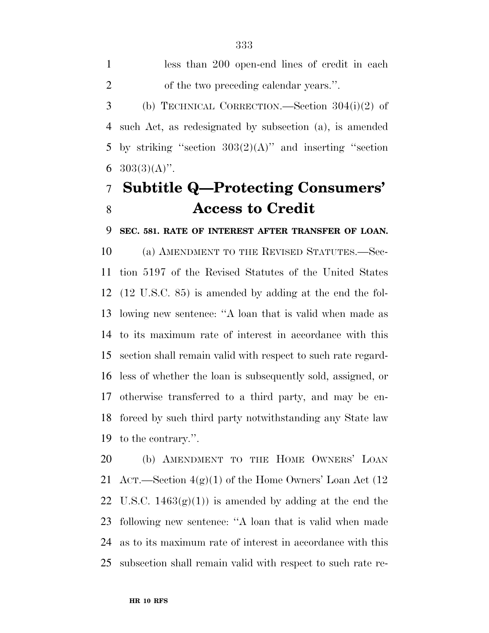(b) TECHNICAL CORRECTION.—Section 304(i)(2) of such Act, as redesignated by subsection (a), is amended 5 by striking "section  $303(2)(\mathrm{A})$ " and inserting "section  $303(3)(A)$ ".

#### **Subtitle Q—Protecting Consumers' Access to Credit**

**SEC. 581. RATE OF INTEREST AFTER TRANSFER OF LOAN.** 

 (a) AMENDMENT TO THE REVISED STATUTES.—Sec- tion 5197 of the Revised Statutes of the United States (12 U.S.C. 85) is amended by adding at the end the fol- lowing new sentence: ''A loan that is valid when made as to its maximum rate of interest in accordance with this section shall remain valid with respect to such rate regard- less of whether the loan is subsequently sold, assigned, or otherwise transferred to a third party, and may be en- forced by such third party notwithstanding any State law to the contrary.''.

 (b) AMENDMENT TO THE HOME OWNERS' LOAN 21 ACT.—Section  $4(g)(1)$  of the Home Owners' Loan Act (12 22 U.S.C.  $1463(g(1))$  is amended by adding at the end the following new sentence: ''A loan that is valid when made as to its maximum rate of interest in accordance with this subsection shall remain valid with respect to such rate re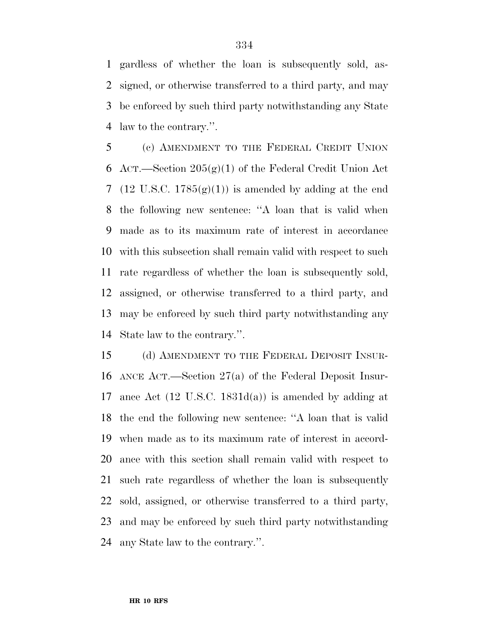gardless of whether the loan is subsequently sold, as- signed, or otherwise transferred to a third party, and may be enforced by such third party notwithstanding any State law to the contrary.''.

 (c) AMENDMENT TO THE FEDERAL CREDIT UNION 6 ACT.—Section  $205(g)(1)$  of the Federal Credit Union Act 7 (12 U.S.C.  $1785(g(1))$ ) is amended by adding at the end the following new sentence: ''A loan that is valid when made as to its maximum rate of interest in accordance with this subsection shall remain valid with respect to such rate regardless of whether the loan is subsequently sold, assigned, or otherwise transferred to a third party, and may be enforced by such third party notwithstanding any State law to the contrary.''.

 (d) AMENDMENT TO THE FEDERAL DEPOSIT INSUR- ANCE ACT.—Section 27(a) of the Federal Deposit Insur- ance Act (12 U.S.C. 1831d(a)) is amended by adding at the end the following new sentence: ''A loan that is valid when made as to its maximum rate of interest in accord- ance with this section shall remain valid with respect to such rate regardless of whether the loan is subsequently sold, assigned, or otherwise transferred to a third party, and may be enforced by such third party notwithstanding any State law to the contrary.''.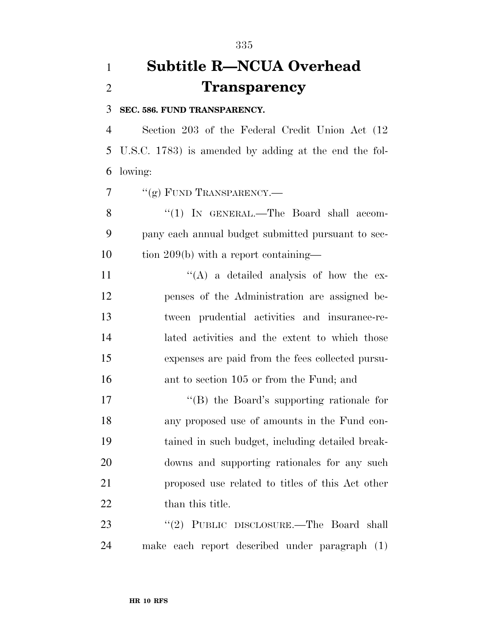## **Subtitle R—NCUA Overhead Transparency**

**SEC. 586. FUND TRANSPARENCY.** 

 Section 203 of the Federal Credit Union Act (12 U.S.C. 1783) is amended by adding at the end the fol-lowing:

 $7 \qquad "(g)$  FUND TRANSPARENCY.—

8 "(1) IN GENERAL.—The Board shall accom- pany each annual budget submitted pursuant to sec-tion 209(b) with a report containing—

 $((A)$  a detailed analysis of how the ex- penses of the Administration are assigned be- tween prudential activities and insurance-re- lated activities and the extent to which those expenses are paid from the fees collected pursu-16 ant to section 105 or from the Fund; and

 $\langle G \rangle$  the Board's supporting rationale for any proposed use of amounts in the Fund con- tained in such budget, including detailed break- downs and supporting rationales for any such proposed use related to titles of this Act other 22 than this title.

23 "(2) PUBLIC DISCLOSURE.—The Board shall make each report described under paragraph (1)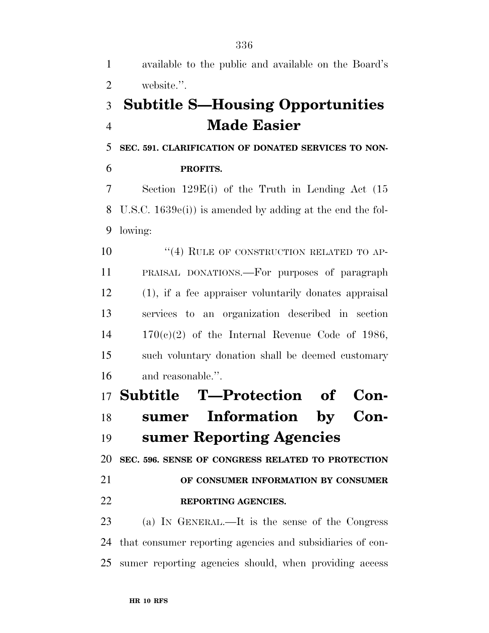website.''. **Subtitle S—Housing Opportunities Made Easier SEC. 591. CLARIFICATION OF DONATED SERVICES TO NON- PROFITS.**  Section 129E(i) of the Truth in Lending Act (15 U.S.C. 1639e(i)) is amended by adding at the end the fol- lowing: 10 "(4) RULE OF CONSTRUCTION RELATED TO AP- PRAISAL DONATIONS.—For purposes of paragraph (1), if a fee appraiser voluntarily donates appraisal services to an organization described in section  $14 \qquad 170(e)(2)$  of the Internal Revenue Code of 1986, such voluntary donation shall be deemed customary and reasonable.''. **Subtitle T—Protection of Con- sumer Information by Con- sumer Reporting Agencies SEC. 596. SENSE OF CONGRESS RELATED TO PROTECTION OF CONSUMER INFORMATION BY CONSUMER REPORTING AGENCIES.**  (a) IN GENERAL.—It is the sense of the Congress that consumer reporting agencies and subsidiaries of con-sumer reporting agencies should, when providing access

available to the public and available on the Board's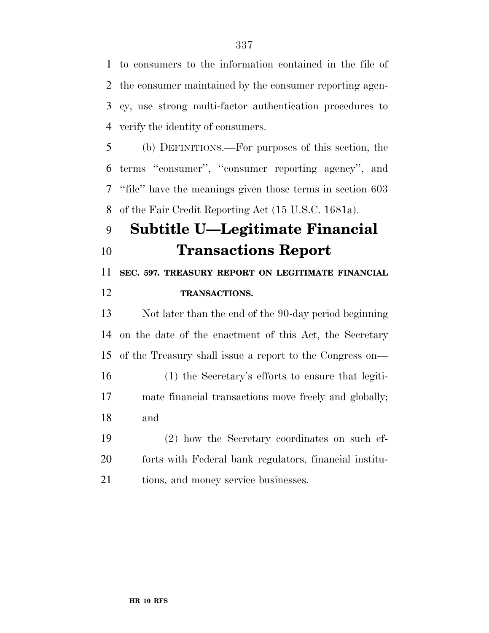to consumers to the information contained in the file of the consumer maintained by the consumer reporting agen- cy, use strong multi-factor authentication procedures to verify the identity of consumers.

 (b) DEFINITIONS.—For purposes of this section, the terms ''consumer'', ''consumer reporting agency'', and ''file'' have the meanings given those terms in section 603 of the Fair Credit Reporting Act (15 U.S.C. 1681a).

### **Subtitle U—Legitimate Financial Transactions Report**

 **SEC. 597. TREASURY REPORT ON LEGITIMATE FINANCIAL TRANSACTIONS.** 

 Not later than the end of the 90-day period beginning on the date of the enactment of this Act, the Secretary of the Treasury shall issue a report to the Congress on— (1) the Secretary's efforts to ensure that legiti- mate financial transactions move freely and globally; and

 (2) how the Secretary coordinates on such ef- forts with Federal bank regulators, financial institu-tions, and money service businesses.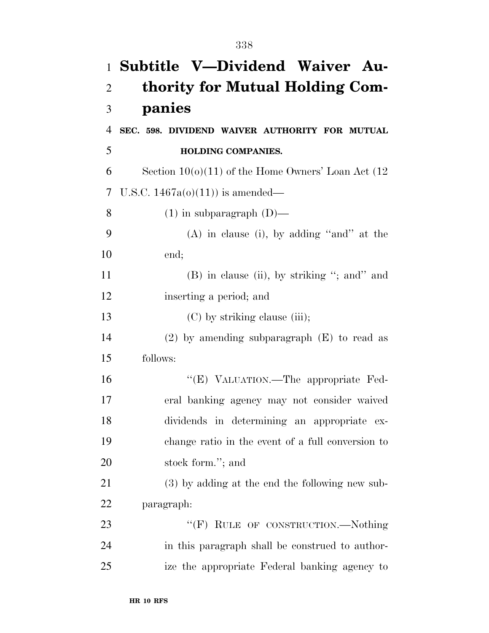|                | 1 Subtitle V—Dividend Waiver Au-                      |
|----------------|-------------------------------------------------------|
| $\overline{2}$ | thority for Mutual Holding Com-                       |
| 3              | panies                                                |
| 4              | SEC. 598. DIVIDEND WAIVER AUTHORITY FOR MUTUAL        |
| 5              | <b>HOLDING COMPANIES.</b>                             |
| 6              | Section $10(0)(11)$ of the Home Owners' Loan Act (12) |
| 7              | U.S.C. $1467a(0)(11)$ is amended—                     |
| 8              | $(1)$ in subparagraph $(D)$ —                         |
| 9              | $(A)$ in clause (i), by adding "and" at the           |
| 10             | end;                                                  |
| 11             | (B) in clause (ii), by striking "; and" and           |
| 12             | inserting a period; and                               |
| 13             | $(C)$ by striking clause (iii);                       |
| 14             | $(2)$ by amending subparagraph $(E)$ to read as       |
| 15             | follows:                                              |
| 16             | "(E) VALUATION.—The appropriate Fed-                  |
| 17             | eral banking agency may not consider waived           |
| 18             | dividends in determining an appropriate ex-           |
| 19             | change ratio in the event of a full conversion to     |
| 20             | stock form."; and                                     |
| 21             | (3) by adding at the end the following new sub-       |
| 22             | paragraph:                                            |
| 23             | "(F) RULE OF CONSTRUCTION.—Nothing                    |
| 24             | in this paragraph shall be construed to author-       |
| 25             | ize the appropriate Federal banking agency to         |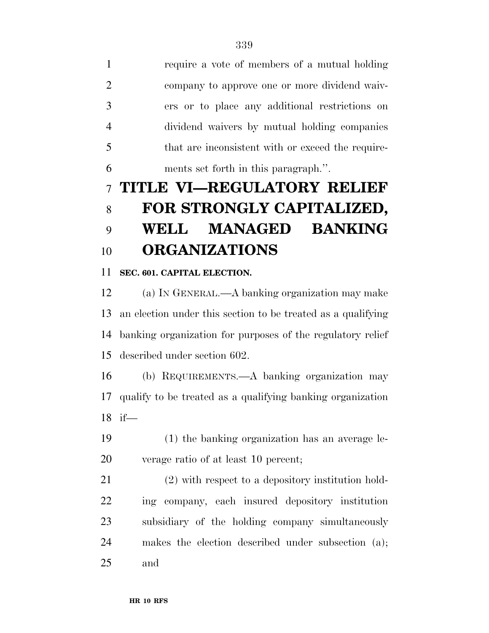require a vote of members of a mutual holding company to approve one or more dividend waiv- ers or to place any additional restrictions on dividend waivers by mutual holding companies 5 that are inconsistent with or exceed the require-ments set forth in this paragraph.''.

# **TITLE VI—REGULATORY RELIEF FOR STRONGLY CAPITALIZED, WELL MANAGED BANKING ORGANIZATIONS**

**SEC. 601. CAPITAL ELECTION.** 

 (a) IN GENERAL.—A banking organization may make an election under this section to be treated as a qualifying banking organization for purposes of the regulatory relief described under section 602.

 (b) REQUIREMENTS.—A banking organization may qualify to be treated as a qualifying banking organization if—

 (1) the banking organization has an average le-verage ratio of at least 10 percent;

 (2) with respect to a depository institution hold- ing company, each insured depository institution subsidiary of the holding company simultaneously makes the election described under subsection (a); and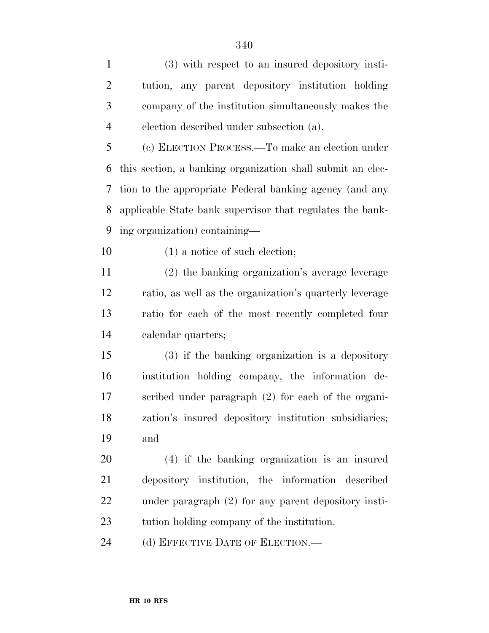| $\mathbf{1}$   | (3) with respect to an insured depository insti-           |
|----------------|------------------------------------------------------------|
| $\overline{2}$ | tution, any parent depository institution holding          |
| 3              | company of the institution simultaneously makes the        |
| $\overline{4}$ | election described under subsection (a).                   |
| 5              | (c) ELECTION PROCESS.—To make an election under            |
| 6              | this section, a banking organization shall submit an elec- |
| 7              | tion to the appropriate Federal banking agency (and any    |
| 8              | applicable State bank supervisor that regulates the bank-  |
| 9              | ing organization) containing—                              |
| 10             | $(1)$ a notice of such election;                           |
| 11             | (2) the banking organization's average leverage            |
| 12             | ratio, as well as the organization's quarterly leverage    |
| 13             | ratio for each of the most recently completed four         |
| 14             | calendar quarters;                                         |
| 15             | (3) if the banking organization is a depository            |
| 16             | institution holding company, the information de-           |
| 17             | scribed under paragraph (2) for each of the organi-        |
| 18             | zation's insured depository institution subsidiaries;      |
| 19             | and                                                        |
| 20             | (4) if the banking organization is an insured              |
| 21             | depository institution, the information described          |
| 22             | under paragraph $(2)$ for any parent depository insti-     |
| 23             | tution holding company of the institution.                 |
| 24             | (d) EFFECTIVE DATE OF ELECTION.—                           |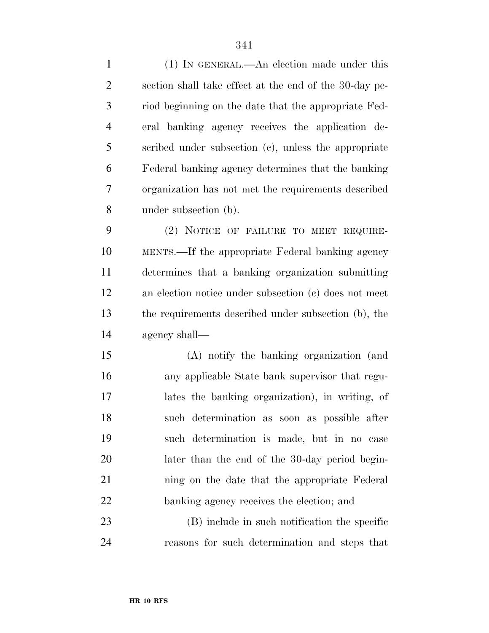(1) IN GENERAL.—An election made under this section shall take effect at the end of the 30-day pe- riod beginning on the date that the appropriate Fed- eral banking agency receives the application de- scribed under subsection (c), unless the appropriate Federal banking agency determines that the banking organization has not met the requirements described under subsection (b).

 (2) NOTICE OF FAILURE TO MEET REQUIRE- MENTS.—If the appropriate Federal banking agency determines that a banking organization submitting an election notice under subsection (c) does not meet the requirements described under subsection (b), the agency shall—

 (A) notify the banking organization (and any applicable State bank supervisor that regu- lates the banking organization), in writing, of such determination as soon as possible after such determination is made, but in no case later than the end of the 30-day period begin- ning on the date that the appropriate Federal banking agency receives the election; and

 (B) include in such notification the specific reasons for such determination and steps that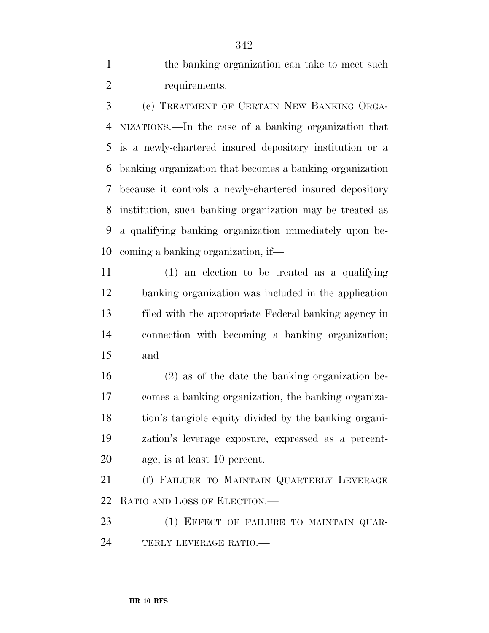1 the banking organization can take to meet such requirements.

 (e) TREATMENT OF CERTAIN NEW BANKING ORGA- NIZATIONS.—In the case of a banking organization that is a newly-chartered insured depository institution or a banking organization that becomes a banking organization because it controls a newly-chartered insured depository institution, such banking organization may be treated as a qualifying banking organization immediately upon be-coming a banking organization, if—

 (1) an election to be treated as a qualifying banking organization was included in the application filed with the appropriate Federal banking agency in connection with becoming a banking organization; and

 (2) as of the date the banking organization be- comes a banking organization, the banking organiza- tion's tangible equity divided by the banking organi- zation's leverage exposure, expressed as a percent-age, is at least 10 percent.

 (f) FAILURE TO MAINTAIN QUARTERLY LEVERAGE RATIO AND LOSS OF ELECTION.—

23 (1) EFFECT OF FAILURE TO MAINTAIN QUAR-24 TERLY LEVERAGE RATIO.—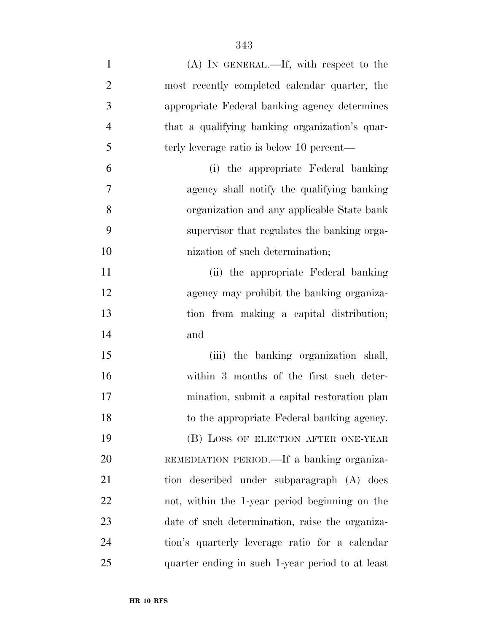| $\mathbf{1}$   | $(A)$ In GENERAL.—If, with respect to the        |
|----------------|--------------------------------------------------|
| $\overline{2}$ | most recently completed calendar quarter, the    |
| 3              | appropriate Federal banking agency determines    |
| $\overline{4}$ | that a qualifying banking organization's quar-   |
| 5              | terly leverage ratio is below 10 percent—        |
| 6              | (i) the appropriate Federal banking              |
| 7              | agency shall notify the qualifying banking       |
| 8              | organization and any applicable State bank       |
| 9              | supervisor that regulates the banking orga-      |
| 10             | nization of such determination;                  |
| 11             | (ii) the appropriate Federal banking             |
| 12             | agency may prohibit the banking organiza-        |
| 13             | tion from making a capital distribution;         |
| 14             | and                                              |
| 15             | (iii) the banking organization shall,            |
| 16             | within 3 months of the first such deter-         |
| 17             | mination, submit a capital restoration plan      |
| 18             | to the appropriate Federal banking agency.       |
| 19             | (B) LOSS OF ELECTION AFTER ONE-YEAR              |
| 20             | REMEDIATION PERIOD.—If a banking organiza-       |
| 21             | tion described under subparagraph (A) does       |
| 22             | not, within the 1-year period beginning on the   |
| 23             | date of such determination, raise the organiza-  |
| 24             | tion's quarterly leverage ratio for a calendar   |
| 25             | quarter ending in such 1-year period to at least |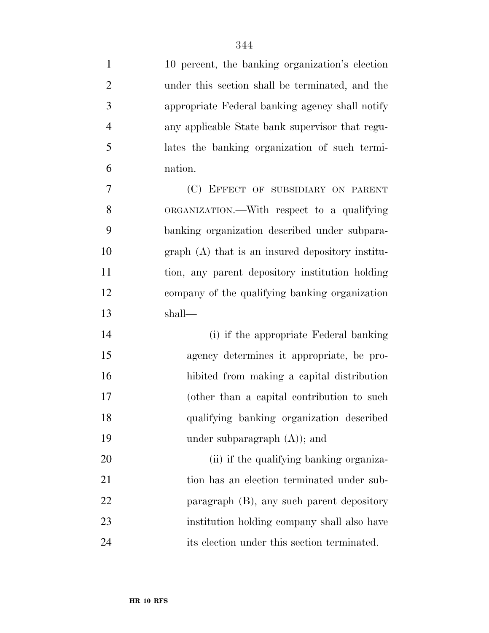| $\mathbf{1}$   | 10 percent, the banking organization's election   |
|----------------|---------------------------------------------------|
| $\overline{2}$ | under this section shall be terminated, and the   |
| 3              | appropriate Federal banking agency shall notify   |
| $\overline{4}$ | any applicable State bank supervisor that regu-   |
| 5              | lates the banking organization of such termi-     |
| 6              | nation.                                           |
| 7              | (C) EFFECT OF SUBSIDIARY ON PARENT                |
| 8              | ORGANIZATION.—With respect to a qualifying        |
| 9              | banking organization described under subpara-     |
| 10             | $graph(A)$ that is an insured depository institu- |
| 11             | tion, any parent depository institution holding   |
| 12             | company of the qualifying banking organization    |
| 13             | shall—                                            |
| 14             | (i) if the appropriate Federal banking            |
| 15             | agency determines it appropriate, be pro-         |
| 16             | hibited from making a capital distribution        |
| 17             | (other than a capital contribution to such        |
| 18             | qualifying banking organization described         |
| 19             | under subparagraph $(A)$ ; and                    |
| 20             | (ii) if the qualifying banking organiza-          |
| 21             | tion has an election terminated under sub-        |
| 22             | paragraph (B), any such parent depository         |
| 23             | institution holding company shall also have       |
| 24             | its election under this section terminated.       |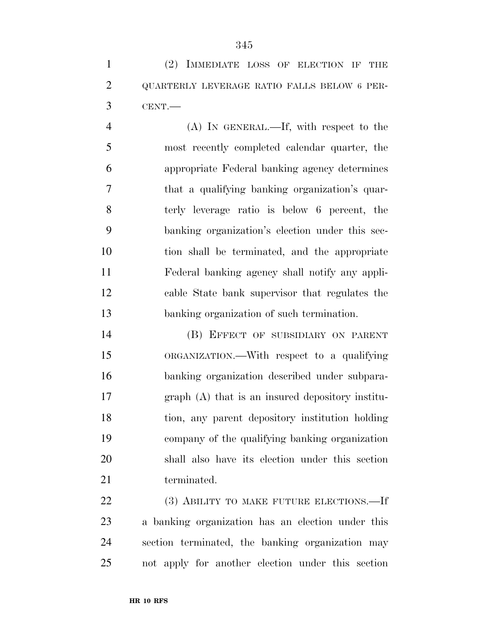(2) IMMEDIATE LOSS OF ELECTION IF THE QUARTERLY LEVERAGE RATIO FALLS BELOW 6 PER-CENT.—

 (A) IN GENERAL.—If, with respect to the most recently completed calendar quarter, the appropriate Federal banking agency determines that a qualifying banking organization's quar- terly leverage ratio is below 6 percent, the banking organization's election under this sec- tion shall be terminated, and the appropriate Federal banking agency shall notify any appli- cable State bank supervisor that regulates the banking organization of such termination.

 (B) EFFECT OF SUBSIDIARY ON PARENT ORGANIZATION.—With respect to a qualifying banking organization described under subpara- graph (A) that is an insured depository institu- tion, any parent depository institution holding company of the qualifying banking organization shall also have its election under this section 21 terminated.

22 (3) ABILITY TO MAKE FUTURE ELECTIONS.—If a banking organization has an election under this section terminated, the banking organization may not apply for another election under this section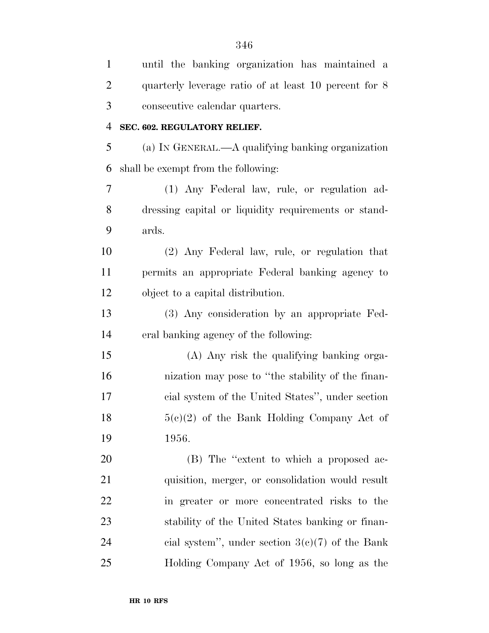| $\mathbf{1}$   | until the banking organization has maintained a       |
|----------------|-------------------------------------------------------|
| $\overline{2}$ | quarterly leverage ratio of at least 10 percent for 8 |
| 3              | consecutive calendar quarters.                        |
| $\overline{4}$ | SEC. 602. REGULATORY RELIEF.                          |
| 5              | (a) IN GENERAL.—A qualifying banking organization     |
| 6              | shall be exempt from the following:                   |
| 7              | (1) Any Federal law, rule, or regulation ad-          |
| 8              | dressing capital or liquidity requirements or stand-  |
| 9              | ards.                                                 |
| 10             | (2) Any Federal law, rule, or regulation that         |
| 11             | permits an appropriate Federal banking agency to      |
| 12             | object to a capital distribution.                     |
| 13             | (3) Any consideration by an appropriate Fed-          |
| 14             | eral banking agency of the following:                 |
| 15             | (A) Any risk the qualifying banking orga-             |
| 16             | nization may pose to "the stability of the finan-     |
| 17             | cial system of the United States", under section      |
| 18             | $5(e)(2)$ of the Bank Holding Company Act of          |
| 19             | 1956.                                                 |
| 20             | (B) The "extent to which a proposed ac-               |
| 21             | quisition, merger, or consolidation would result      |
| 22             | in greater or more concentrated risks to the          |
| 23             | stability of the United States banking or finan-      |
| 24             | cial system", under section $3(c)(7)$ of the Bank     |
| 25             | Holding Company Act of 1956, so long as the           |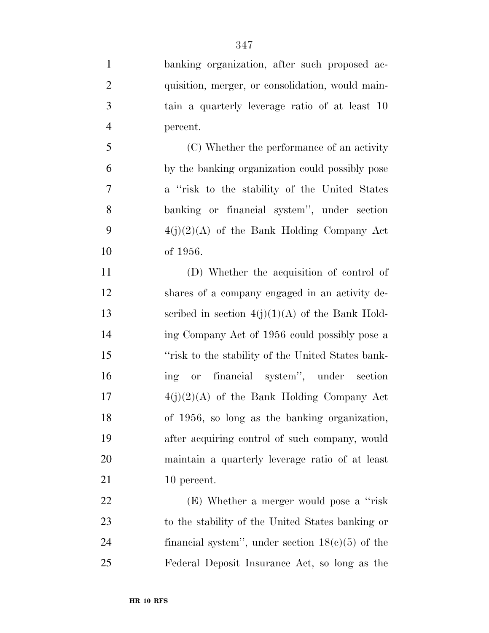banking organization, after such proposed ac- quisition, merger, or consolidation, would main- tain a quarterly leverage ratio of at least 10 percent.

 (C) Whether the performance of an activity by the banking organization could possibly pose a ''risk to the stability of the United States banking or financial system'', under section  $4(j)(2)(A)$  of the Bank Holding Company Act of 1956.

 (D) Whether the acquisition of control of shares of a company engaged in an activity de-13 scribed in section  $4(j)(1)(A)$  of the Bank Hold- ing Company Act of 1956 could possibly pose a ''risk to the stability of the United States bank- ing or financial system'', under section  $4(j)(2)(A)$  of the Bank Holding Company Act of 1956, so long as the banking organization, after acquiring control of such company, would maintain a quarterly leverage ratio of at least 10 percent.

22 (E) Whether a merger would pose a "risk" to the stability of the United States banking or 24 financial system'', under section  $18(c)(5)$  of the Federal Deposit Insurance Act, so long as the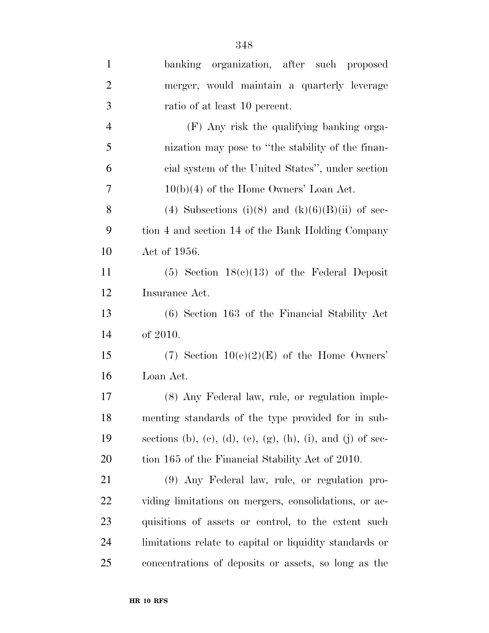| $\mathbf{1}$   | banking organization, after such proposed                   |
|----------------|-------------------------------------------------------------|
| $\overline{2}$ | merger, would maintain a quarterly leverage                 |
| 3              | ratio of at least 10 percent.                               |
| $\overline{4}$ | (F) Any risk the qualifying banking orga-                   |
| 5              | nization may pose to "the stability of the finan-           |
| 6              | cial system of the United States", under section            |
| 7              | $10(b)(4)$ of the Home Owners' Loan Act.                    |
| 8              | (4) Subsections (i)(8) and (k)(6)(B)(ii) of sec-            |
| 9              | tion 4 and section 14 of the Bank Holding Company           |
| 10             | Act of 1956.                                                |
| 11             | $(5)$ Section 18 $(e)(13)$ of the Federal Deposit           |
| 12             | Insurance Act.                                              |
| 13             | $(6)$ Section 163 of the Financial Stability Act            |
| 14             | of 2010.                                                    |
| 15             | (7) Section $10(e)(2)(E)$ of the Home Owners'               |
| 16             | Loan Act.                                                   |
| 17             | (8) Any Federal law, rule, or regulation imple-             |
| 18             | menting standards of the type provided for in sub-          |
| 19             | sections (b), (c), (d), (e), (g), (h), (i), and (j) of sec- |
| 20             | tion 165 of the Financial Stability Act of 2010.            |
| 21             | (9) Any Federal law, rule, or regulation pro-               |
| 22             | viding limitations on mergers, consolidations, or ac-       |
| 23             | quisitions of assets or control, to the extent such         |
| 24             | limitations relate to capital or liquidity standards or     |
| 25             | concentrations of deposits or assets, so long as the        |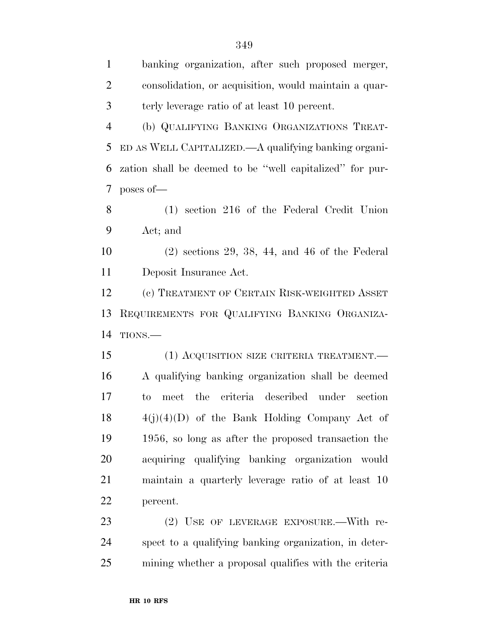| $\mathbf{1}$   | banking organization, after such proposed merger,            |
|----------------|--------------------------------------------------------------|
| $\overline{2}$ | consolidation, or acquisition, would maintain a quar-        |
| 3              | terly leverage ratio of at least 10 percent.                 |
| $\overline{4}$ | (b) QUALIFYING BANKING ORGANIZATIONS TREAT-                  |
| 5              | ED AS WELL CAPITALIZED.—A qualifying banking organi-         |
| 6              | zation shall be deemed to be "well capitalized" for pur-     |
| 7              | poses of-                                                    |
| 8              | $(1)$ section 216 of the Federal Credit Union                |
| 9              | Act; and                                                     |
| 10             | $(2)$ sections 29, 38, 44, and 46 of the Federal             |
| 11             | Deposit Insurance Act.                                       |
| 12             | (c) TREATMENT OF CERTAIN RISK-WEIGHTED ASSET                 |
|                |                                                              |
| 13             | REQUIREMENTS FOR QUALIFYING BANKING ORGANIZA-                |
| 14             | TIONS.                                                       |
| 15             | (1) ACQUISITION SIZE CRITERIA TREATMENT.                     |
| 16             | A qualifying banking organization shall be deemed            |
| 17             | criteria described under<br>meet the<br>section<br>$\rm{to}$ |
| 18             | $4(j)(4)(D)$ of the Bank Holding Company Act of              |
| 19             | 1956, so long as after the proposed transaction the          |
| 20             | acquiring qualifying banking organization would              |
| 21             | maintain a quarterly leverage ratio of at least 10           |
| 22             | percent.                                                     |
| 23             | (2) USE OF LEVERAGE EXPOSURE.—With re-                       |

mining whether a proposal qualifies with the criteria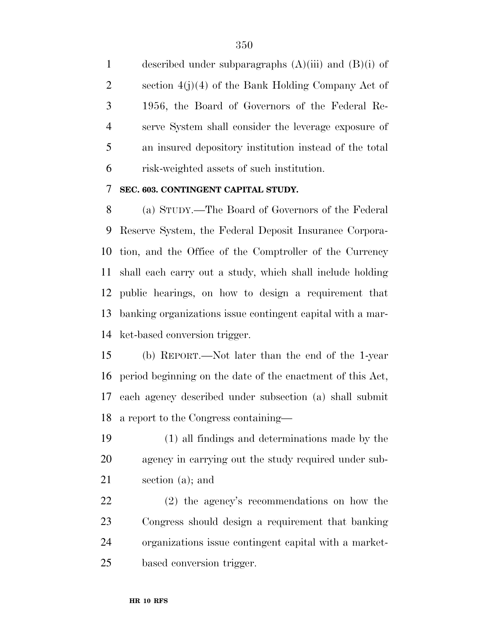1 described under subparagraphs  $(A)(iii)$  and  $(B)(i)$  of section 4(j)(4) of the Bank Holding Company Act of 1956, the Board of Governors of the Federal Re- serve System shall consider the leverage exposure of an insured depository institution instead of the total risk-weighted assets of such institution.

#### **SEC. 603. CONTINGENT CAPITAL STUDY.**

 (a) STUDY.—The Board of Governors of the Federal Reserve System, the Federal Deposit Insurance Corpora- tion, and the Office of the Comptroller of the Currency shall each carry out a study, which shall include holding public hearings, on how to design a requirement that banking organizations issue contingent capital with a mar-ket-based conversion trigger.

 (b) REPORT.—Not later than the end of the 1-year period beginning on the date of the enactment of this Act, each agency described under subsection (a) shall submit a report to the Congress containing—

 (1) all findings and determinations made by the agency in carrying out the study required under sub-section (a); and

 (2) the agency's recommendations on how the Congress should design a requirement that banking organizations issue contingent capital with a market-based conversion trigger.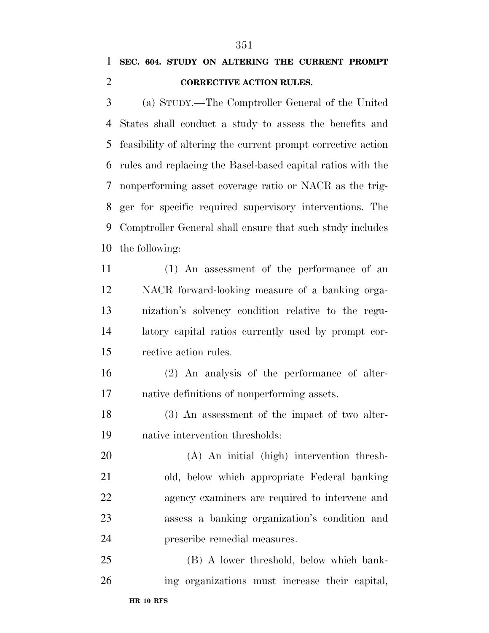#### **SEC. 604. STUDY ON ALTERING THE CURRENT PROMPT CORRECTIVE ACTION RULES.**

 (a) STUDY.—The Comptroller General of the United States shall conduct a study to assess the benefits and feasibility of altering the current prompt corrective action rules and replacing the Basel-based capital ratios with the nonperforming asset coverage ratio or NACR as the trig- ger for specific required supervisory interventions. The Comptroller General shall ensure that such study includes the following:

 (1) An assessment of the performance of an NACR forward-looking measure of a banking orga- nization's solvency condition relative to the regu- latory capital ratios currently used by prompt cor-rective action rules.

 (2) An analysis of the performance of alter-native definitions of nonperforming assets.

 (3) An assessment of the impact of two alter-native intervention thresholds:

 (A) An initial (high) intervention thresh- old, below which appropriate Federal banking agency examiners are required to intervene and assess a banking organization's condition and prescribe remedial measures.

 (B) A lower threshold, below which bank-ing organizations must increase their capital,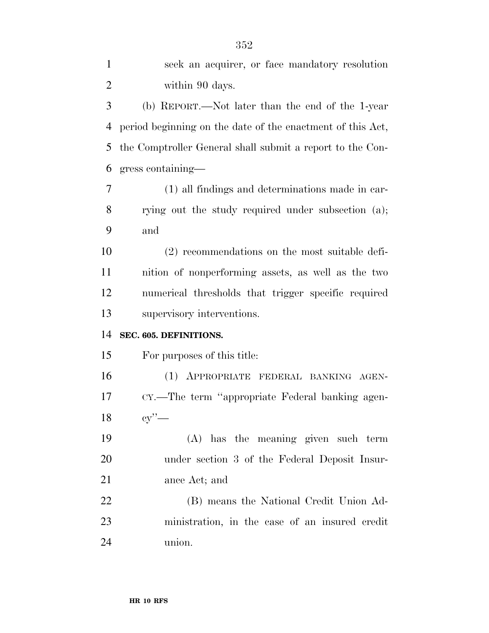| $\mathbf{1}$   | seek an acquirer, or face mandatory resolution             |
|----------------|------------------------------------------------------------|
| $\overline{2}$ | within 90 days.                                            |
| 3              | (b) REPORT.—Not later than the end of the 1-year           |
| $\overline{4}$ | period beginning on the date of the enactment of this Act, |
| 5              | the Comptroller General shall submit a report to the Con-  |
| 6              | gress containing—                                          |
| 7              | (1) all findings and determinations made in car-           |
| 8              | rying out the study required under subsection (a);         |
| 9              | and                                                        |
| 10             | (2) recommendations on the most suitable defi-             |
| 11             | nition of nonperforming assets, as well as the two         |
| 12             | numerical thresholds that trigger specific required        |
| 13             | supervisory interventions.                                 |
| 14             | SEC. 605. DEFINITIONS.                                     |
| 15             | For purposes of this title:                                |
| 16             | (1) APPROPRIATE FEDERAL BANKING AGEN-                      |
| 17             | CY.—The term "appropriate Federal banking agen-            |
| 18             | cy'                                                        |
| 19             | (A) has the meaning given such term                        |
| 20             | under section 3 of the Federal Deposit Insur-              |
| 21             | ance Act; and                                              |
| <u>22</u>      | (B) means the National Credit Union Ad-                    |
| 23             | ministration, in the case of an insured credit             |
| 24             | union.                                                     |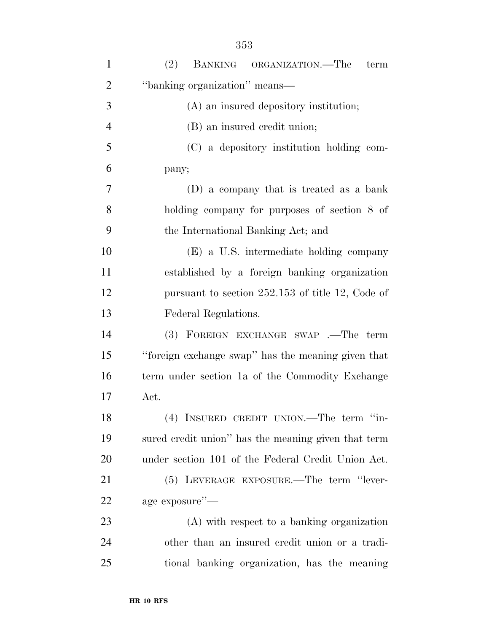| $\mathbf{1}$   | (2)<br>BANKING ORGANIZATION.—The<br>term            |
|----------------|-----------------------------------------------------|
| $\overline{2}$ | "banking organization" means-                       |
| 3              | (A) an insured depository institution;              |
| $\overline{4}$ | (B) an insured credit union;                        |
| 5              | (C) a depository institution holding com-           |
| 6              | pany;                                               |
| 7              | (D) a company that is treated as a bank             |
| 8              | holding company for purposes of section 8 of        |
| 9              | the International Banking Act; and                  |
| 10             | (E) a U.S. intermediate holding company             |
| 11             | established by a foreign banking organization       |
| 12             | pursuant to section $252.153$ of title 12, Code of  |
| 13             | Federal Regulations.                                |
| 14             | (3) FOREIGN EXCHANGE SWAP .—The term                |
| 15             | "foreign exchange swap" has the meaning given that  |
| 16             | term under section 1a of the Commodity Exchange     |
| 17             | Act.                                                |
| 18             | (4) INSURED CREDIT UNION.—The term "in-             |
| 19             | sured credit union" has the meaning given that term |
| 20             | under section 101 of the Federal Credit Union Act.  |
| 21             | (5) LEVERAGE EXPOSURE.—The term "lever-             |
| 22             | age exposure"-                                      |
| 23             | (A) with respect to a banking organization          |
| 24             | other than an insured credit union or a tradi-      |
| 25             | tional banking organization, has the meaning        |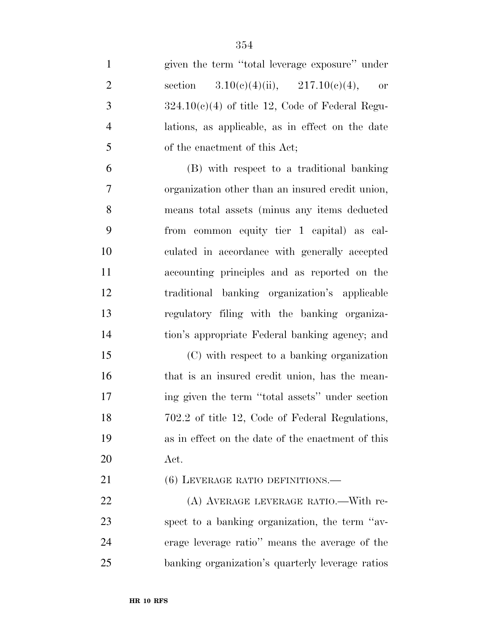| $\mathbf{1}$   | given the term "total leverage exposure" under        |
|----------------|-------------------------------------------------------|
| $\overline{2}$ | 3.10(e)(4)(ii), 217.10(e)(4),<br>section<br><b>or</b> |
| 3              | $324.10(c)(4)$ of title 12, Code of Federal Regu-     |
| $\overline{4}$ | lations, as applicable, as in effect on the date      |
| 5              | of the enactment of this Act;                         |
| 6              | (B) with respect to a traditional banking             |
| $\overline{7}$ | organization other than an insured credit union,      |
| 8              | means total assets (minus any items deducted          |
| 9              | from common equity tier 1 capital) as cal-            |
| 10             | culated in accordance with generally accepted         |
| 11             | accounting principles and as reported on the          |
| 12             | traditional banking organization's applicable         |
| 13             | regulatory filing with the banking organiza-          |
| 14             | tion's appropriate Federal banking agency; and        |
| 15             | (C) with respect to a banking organization            |
| 16             | that is an insured credit union, has the mean-        |
| 17             | ing given the term "total assets" under section       |
| 18             | 702.2 of title 12, Code of Federal Regulations,       |
| 19             | as in effect on the date of the enactment of this     |
| 20             | Act.                                                  |

21 (6) LEVERAGE RATIO DEFINITIONS.—

 (A) AVERAGE LEVERAGE RATIO.—With re- spect to a banking organization, the term ''av- erage leverage ratio'' means the average of the banking organization's quarterly leverage ratios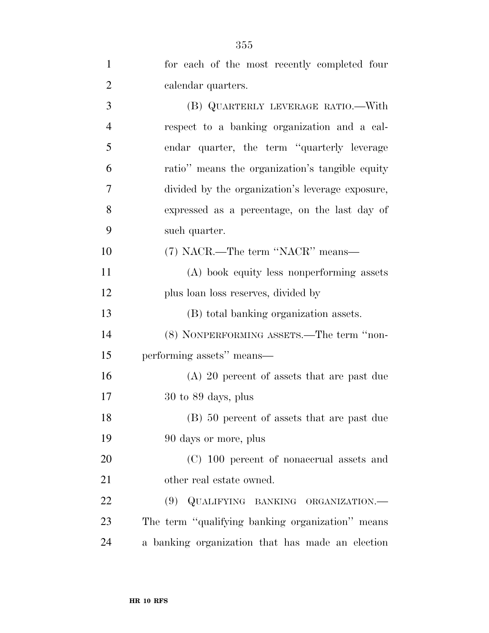| $\mathbf{1}$   | for each of the most recently completed four     |
|----------------|--------------------------------------------------|
| $\overline{2}$ | calendar quarters.                               |
| 3              | (B) QUARTERLY LEVERAGE RATIO.—With               |
| $\overline{4}$ | respect to a banking organization and a cal-     |
| 5              | endar quarter, the term "quarterly leverage      |
| 6              | ratio" means the organization's tangible equity  |
| 7              | divided by the organization's leverage exposure, |
| 8              | expressed as a percentage, on the last day of    |
| 9              | such quarter.                                    |
| 10             | (7) NACR.—The term "NACR" means—                 |
| 11             | (A) book equity less nonperforming assets        |
| 12             | plus loan loss reserves, divided by              |
| 13             | (B) total banking organization assets.           |
| 14             | (8) NONPERFORMING ASSETS.—The term "non-         |
| 15             | performing assets" means—                        |
| 16             | $(A)$ 20 percent of assets that are past due     |
| 17             | $30$ to $89$ days, plus                          |
| 18             | (B) 50 percent of assets that are past due       |
| 19             | 90 days or more, plus                            |
| 20             | (C) 100 percent of nonaccrual assets and         |
| 21             | other real estate owned.                         |
| 22             | (9) QUALIFYING BANKING ORGANIZATION.—            |
| 23             | The term "qualifying banking organization" means |
| 24             | a banking organization that has made an election |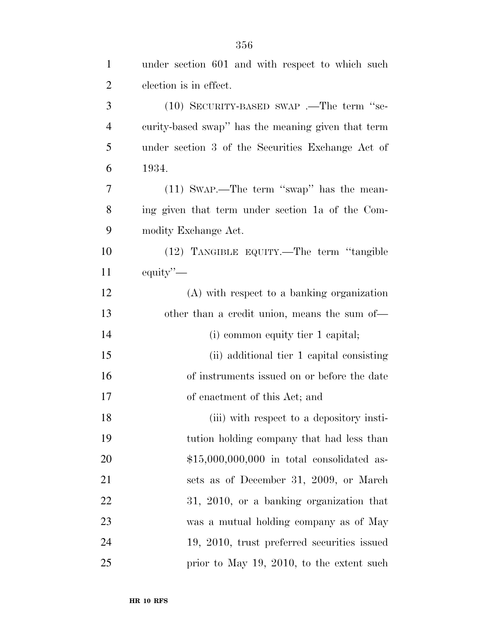| $\mathbf{1}$   | under section 601 and with respect to which such   |
|----------------|----------------------------------------------------|
| $\overline{2}$ | election is in effect.                             |
| 3              | $(10)$ SECURITY-BASED SWAP.—The term "se-          |
| $\overline{4}$ | curity-based swap" has the meaning given that term |
| 5              | under section 3 of the Securities Exchange Act of  |
| 6              | 1934.                                              |
| 7              | $(11)$ SWAP.—The term "swap" has the mean-         |
| 8              | ing given that term under section 1a of the Com-   |
| 9              | modity Exchange Act.                               |
| 10             | (12) TANGIBLE EQUITY.—The term "tangible           |
| 11             | equity"—                                           |
| 12             | (A) with respect to a banking organization         |
| 13             | other than a credit union, means the sum of-       |
| 14             | (i) common equity tier 1 capital;                  |
| 15             | (ii) additional tier 1 capital consisting          |
| 16             | of instruments issued on or before the date        |
| 17             | of enactment of this Act; and                      |
| 18             | (iii) with respect to a depository insti-          |
| 19             | tution holding company that had less than          |
| 20             | $$15,000,000,000$ in total consolidated as-        |
| 21             | sets as of December 31, 2009, or March             |
| 22             | 31, 2010, or a banking organization that           |
| 23             | was a mutual holding company as of May             |
| 24             | 19, 2010, trust preferred securities issued        |
| 25             | prior to May 19, 2010, to the extent such          |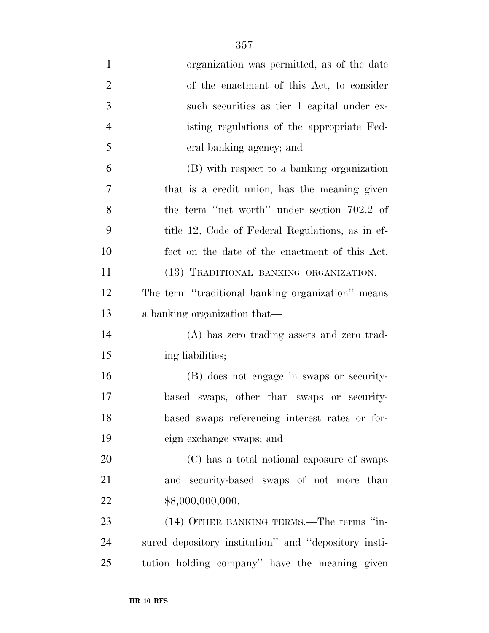| $\mathbf{1}$   | organization was permitted, as of the date           |
|----------------|------------------------------------------------------|
| $\overline{2}$ | of the enactment of this Act, to consider            |
| 3              | such securities as tier 1 capital under ex-          |
| $\overline{4}$ | isting regulations of the appropriate Fed-           |
| 5              | eral banking agency; and                             |
| 6              | (B) with respect to a banking organization           |
| 7              | that is a credit union, has the meaning given        |
| 8              | the term "net worth" under section 702.2 of          |
| 9              | title 12, Code of Federal Regulations, as in ef-     |
| 10             | fect on the date of the enactment of this Act.       |
| 11             | (13) TRADITIONAL BANKING ORGANIZATION.-              |
| 12             | The term "traditional banking organization" means    |
| 13             | a banking organization that—                         |
| 14             | (A) has zero trading assets and zero trad-           |
| 15             | ing liabilities;                                     |
| 16             | (B) does not engage in swaps or security-            |
| 17             | based swaps, other than swaps or security-           |
| 18             | based swaps referencing interest rates or for-       |
| 19             | eign exchange swaps; and                             |
| 20             | (C) has a total notional exposure of swaps           |
| 21             | and security-based swaps of not more than            |
| 22             | \$8,000,000,000.                                     |
| 23             | (14) OTHER BANKING TERMS.—The terms "in-             |
| 24             | sured depository institution" and "depository insti- |
| 25             | tution holding company" have the meaning given       |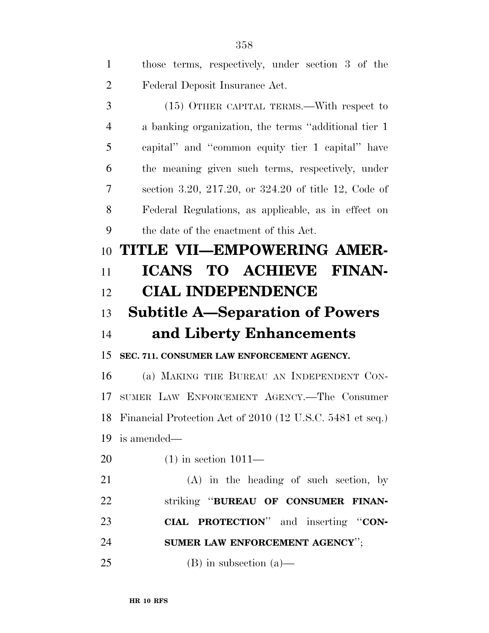those terms, respectively, under section 3 of the Federal Deposit Insurance Act. (15) OTHER CAPITAL TERMS.—With respect to a banking organization, the terms ''additional tier 1 capital'' and ''common equity tier 1 capital'' have the meaning given such terms, respectively, under section 3.20, 217.20, or 324.20 of title 12, Code of Federal Regulations, as applicable, as in effect on the date of the enactment of this Act. **TITLE VII—EMPOWERING AMER- ICANS TO ACHIEVE FINAN- CIAL INDEPENDENCE Subtitle A—Separation of Powers and Liberty Enhancements SEC. 711. CONSUMER LAW ENFORCEMENT AGENCY.**  (a) MAKING THE BUREAU AN INDEPENDENT CON- SUMER LAW ENFORCEMENT AGENCY.—The Consumer Financial Protection Act of 2010 (12 U.S.C. 5481 et seq.) is amended— (1) in section 1011— (A) in the heading of such section, by striking ''**BUREAU OF CONSUMER FINAN- CIAL PROTECTION**'' and inserting ''**CON-SUMER LAW ENFORCEMENT AGENCY**'';

(B) in subsection (a)—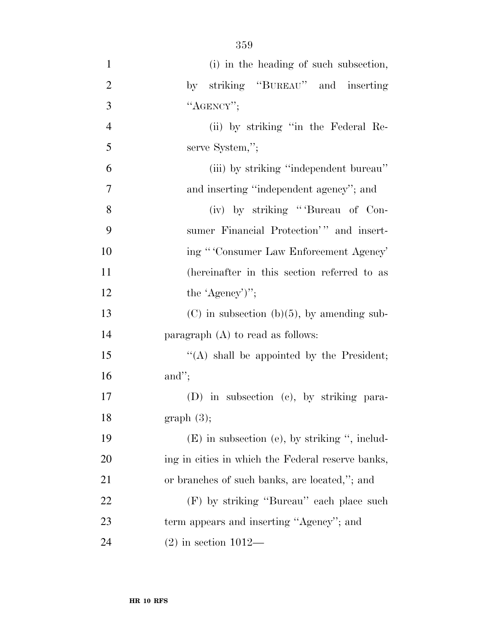- (i) in the heading of such subsection, by striking ''BUREAU'' and inserting ''AGENCY''; (ii) by striking ''in the Federal Re- serve System,''; (iii) by striking ''independent bureau'' and inserting ''independent agency''; and (iv) by striking '' 'Bureau of Con-9 sumer Financial Protection'" and insert-10 ing "Consumer Law Enforcement Agency" (hereinafter in this section referred to as 12 the 'Agency')''; 13 (C) in subsection (b)(5), by amending sub-**paragraph** (A) to read as follows: 15 "(A) shall be appointed by the President; and''; (D) in subsection (c), by striking para- graph (3); (E) in subsection (e), by striking '', includ- ing in cities in which the Federal reserve banks, or branches of such banks, are located,''; and (F) by striking ''Bureau'' each place such 23 term appears and inserting "Agency"; and
- (2) in section 1012—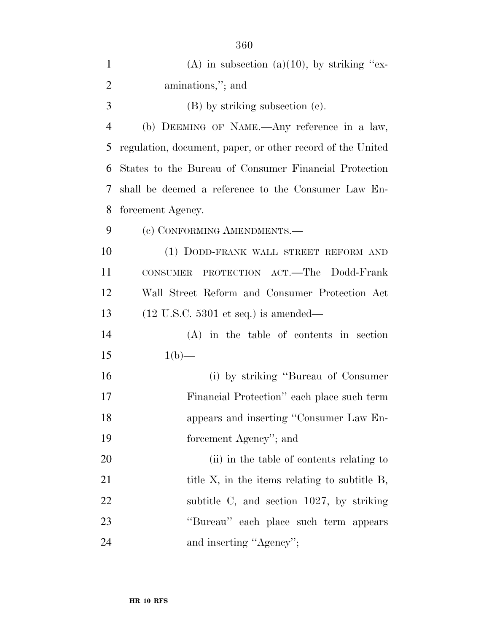| $\mathbf{1}$   | (A) in subsection (a)(10), by striking "ex-                |
|----------------|------------------------------------------------------------|
| $\overline{2}$ | aminations,"; and                                          |
| 3              | $(B)$ by striking subsection $(c)$ .                       |
| $\overline{4}$ | (b) DEEMING OF NAME.—Any reference in a law,               |
| 5              | regulation, document, paper, or other record of the United |
| 6              | States to the Bureau of Consumer Financial Protection      |
| 7              | shall be deemed a reference to the Consumer Law En-        |
| 8              | forcement Agency.                                          |
| 9              | (c) CONFORMING AMENDMENTS.—                                |
| 10             | (1) DODD-FRANK WALL STREET REFORM AND                      |
| 11             | PROTECTION ACT.—The Dodd-Frank<br><b>CONSUMER</b>          |
| 12             | Wall Street Reform and Consumer Protection Act             |
| 13             | $(12 \text{ U.S.C. } 5301 \text{ et seq.})$ is amended—    |
| 14             | $(A)$ in the table of contents in section                  |
| 15             | $1(b)$ —                                                   |
| 16             | (i) by striking "Bureau of Consumer"                       |
| 17             | Financial Protection" each place such term                 |
| 18             | appears and inserting "Consumer Law En-                    |
| 19             | forcement Agency"; and                                     |
| 20             | (ii) in the table of contents relating to                  |
| 21             | title $X$ , in the items relating to subtitle $B$ ,        |
| 22             | subtitle C, and section 1027, by striking                  |
| 23             | "Bureau" each place such term appears                      |
| 24             | and inserting "Agency";                                    |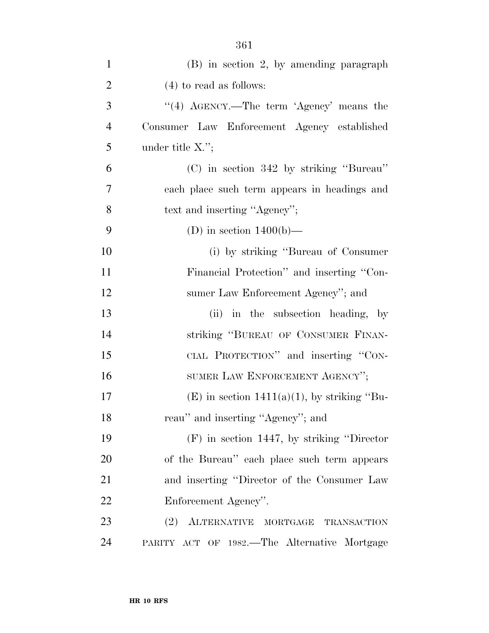| $\mathbf{1}$   | $(B)$ in section 2, by amending paragraph         |
|----------------|---------------------------------------------------|
| $\overline{2}$ | $(4)$ to read as follows:                         |
| 3              | "(4) $AGENCY$ .—The term 'Agency' means the       |
| $\overline{4}$ | Consumer Law Enforcement Agency established       |
| 5              | under title $X$ .";                               |
| 6              | (C) in section 342 by striking "Bureau"           |
| 7              | each place such term appears in headings and      |
| 8              | text and inserting "Agency";                      |
| 9              | (D) in section $1400(b)$ —                        |
| 10             | (i) by striking "Bureau of Consumer"              |
| 11             | Financial Protection" and inserting "Con-         |
| 12             | sumer Law Enforcement Agency"; and                |
| 13             | (ii) in the subsection heading, by                |
| 14             | striking "BUREAU OF CONSUMER FINAN-               |
| 15             | CIAL PROTECTION" and inserting "CON-              |
| 16             | SUMER LAW ENFORCEMENT AGENCY";                    |
| 17             | (E) in section $1411(a)(1)$ , by striking "Bu-    |
| 18             | reau" and inserting "Agency"; and                 |
| 19             | $(F)$ in section 1447, by striking "Director"     |
| 20             | of the Bureau" each place such term appears       |
| 21             | and inserting "Director of the Consumer Law       |
| 22             |                                                   |
|                | Enforcement Agency".                              |
| 23             | (2)<br>ALTERNATIVE MORTGAGE<br><b>TRANSACTION</b> |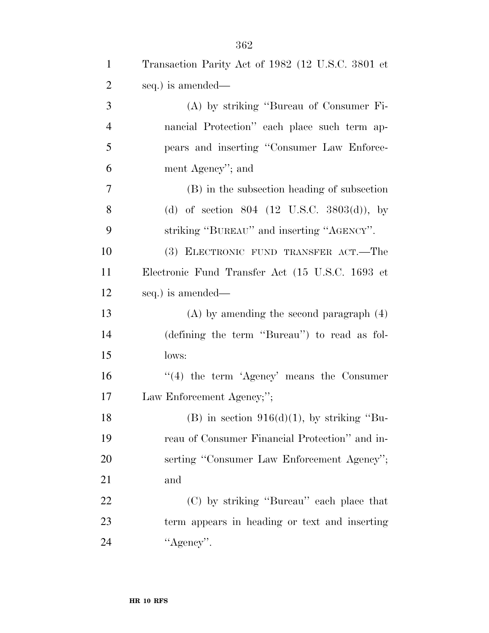| $\mathbf{1}$   | Transaction Parity Act of 1982 (12 U.S.C. 3801 et |
|----------------|---------------------------------------------------|
| $\overline{2}$ | seq.) is amended—                                 |
| 3              | (A) by striking "Bureau of Consumer Fi-           |
| $\overline{4}$ | nancial Protection" each place such term ap-      |
| 5              | pears and inserting "Consumer Law Enforce-        |
| 6              | ment Agency"; and                                 |
| $\tau$         | (B) in the subsection heading of subsection       |
| 8              | (d) of section $804$ (12 U.S.C. 3803(d)), by      |
| 9              | striking "BUREAU" and inserting "AGENCY".         |
| 10             | (3) ELECTRONIC FUND TRANSFER ACT.—The             |
| 11             | Electronic Fund Transfer Act (15 U.S.C. 1693 et   |
| 12             | seq.) is amended—                                 |
| 13             | $(A)$ by amending the second paragraph $(4)$      |
| 14             | (defining the term "Bureau") to read as fol-      |
| 15             | lows:                                             |
| 16             | $(4)$ the term 'Agency' means the Consumer        |
| 17             | Law Enforcement Agency;";                         |
| 18             | $(B)$ in section 916(d)(1), by striking "Bu-      |
| 19             | reau of Consumer Financial Protection" and in-    |
| 20             | serting "Consumer Law Enforcement Agency";        |
| 21             | and                                               |
| 22             | (C) by striking "Bureau" each place that          |
| 23             | term appears in heading or text and inserting     |
| 24             | "Agency".                                         |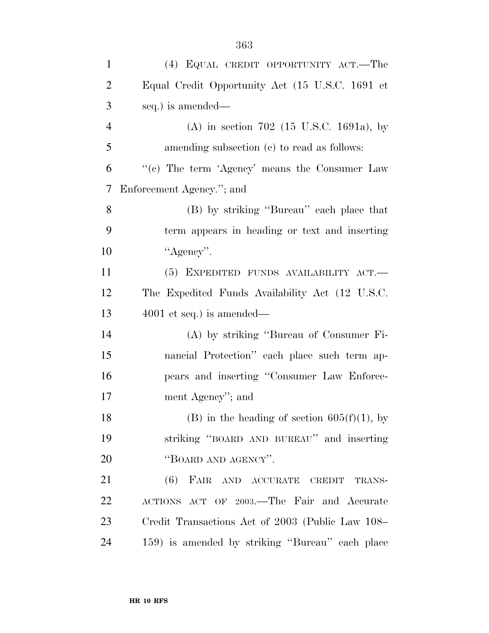| $\mathbf{1}$   | (4) EQUAL CREDIT OPPORTUNITY ACT.—The            |
|----------------|--------------------------------------------------|
| $\overline{2}$ | Equal Credit Opportunity Act (15 U.S.C. 1691 et  |
| 3              | seq.) is amended—                                |
| $\overline{4}$ | (A) in section $702$ (15 U.S.C. 1691a), by       |
| 5              | amending subsection (c) to read as follows:      |
| 6              | "(c) The term 'Agency' means the Consumer Law    |
| $\tau$         | Enforcement Agency."; and                        |
| 8              | (B) by striking "Bureau" each place that         |
| 9              | term appears in heading or text and inserting    |
| 10             | "Agency".                                        |
| 11             | (5) EXPEDITED FUNDS AVAILABILITY ACT.            |
| 12             | The Expedited Funds Availability Act (12 U.S.C.  |
| 13             | $4001$ et seq.) is amended—                      |
| 14             | (A) by striking "Bureau of Consumer Fi-          |
| 15             | nancial Protection" each place such term ap-     |
| 16             | pears and inserting "Consumer Law Enforce-       |
| 17             | ment Agency"; and                                |
| 18             | (B) in the heading of section $605(f)(1)$ , by   |
| 19             | striking "BOARD AND BUREAU" and inserting        |
| 20             | "BOARD AND AGENCY".                              |
| 21             | (6) FAIR AND ACCURATE CREDIT<br>TRANS-           |
| 22             | ACTIONS ACT OF 2003.—The Fair and Accurate       |
| 23             | Credit Transactions Act of 2003 (Public Law 108– |
| 24             | 159) is amended by striking "Bureau" each place  |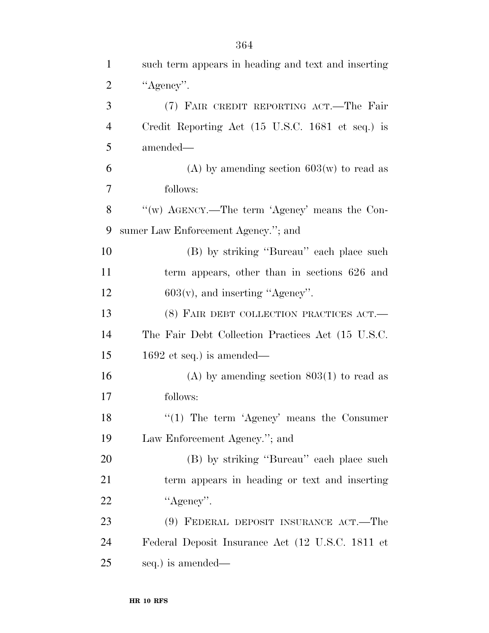| $\mathbf{1}$   | such term appears in heading and text and inserting |
|----------------|-----------------------------------------------------|
| $\overline{2}$ | "Agency".                                           |
| 3              | (7) FAIR CREDIT REPORTING ACT.—The Fair             |
| $\overline{4}$ | Credit Reporting Act (15 U.S.C. 1681 et seq.) is    |
| 5              | amended—                                            |
| 6              | (A) by amending section $603(w)$ to read as         |
| 7              | follows:                                            |
| 8              | "(w) AGENCY.—The term 'Agency' means the Con-       |
| 9              | sumer Law Enforcement Agency."; and                 |
| 10             | (B) by striking "Bureau" each place such            |
| 11             | term appears, other than in sections 626 and        |
| 12             | $603(v)$ , and inserting "Agency".                  |
| 13             | (8) FAIR DEBT COLLECTION PRACTICES ACT.—            |
| 14             | The Fair Debt Collection Practices Act (15 U.S.C.   |
| 15             | $1692$ et seq.) is amended—                         |
| 16             | (A) by amending section $803(1)$ to read as         |
| 17             | follows:                                            |
| 18             | $\lq(1)$ The term 'Agency' means the Consumer       |
| 19             | Law Enforcement Agency."; and                       |
| 20             | (B) by striking "Bureau" each place such            |
| 21             | term appears in heading or text and inserting       |
| 22             | "Agency".                                           |
| 23             | (9) FEDERAL DEPOSIT INSURANCE ACT.—The              |
| 24             | Federal Deposit Insurance Act (12 U.S.C. 1811 et    |
| 25             | seq.) is amended—                                   |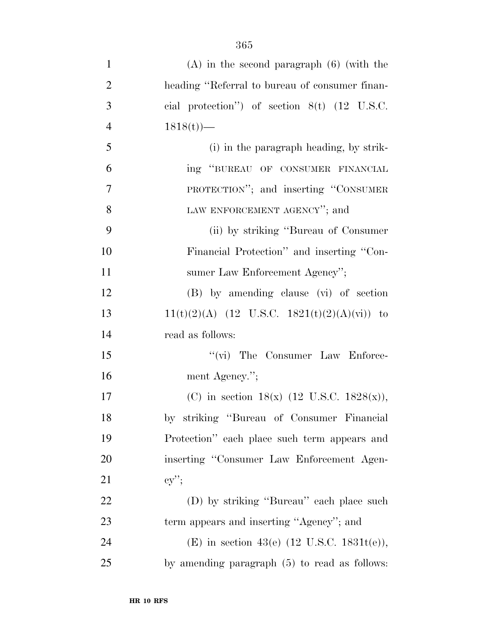| $\mathbf{1}$   | $(A)$ in the second paragraph $(6)$ (with the         |
|----------------|-------------------------------------------------------|
| $\overline{2}$ | heading "Referral to bureau of consumer finan-        |
| 3              | cial protection") of section $8(t)$ (12 U.S.C.        |
| $\overline{4}$ | 1818(t)                                               |
| 5              | (i) in the paragraph heading, by strik-               |
| 6              | ing "BUREAU OF CONSUMER FINANCIAL                     |
| $\overline{7}$ | PROTECTION"; and inserting "CONSUMER                  |
| 8              | LAW ENFORCEMENT AGENCY"; and                          |
| 9              | (ii) by striking "Bureau of Consumer"                 |
| 10             | Financial Protection" and inserting "Con-             |
| 11             | sumer Law Enforcement Agency";                        |
| 12             | (B) by amending clause (vi) of section                |
| 13             | $11(t)(2)(A)$ (12 U.S.C. 1821(t)(2)(A)(vi)) to        |
| 14             | read as follows:                                      |
| 15             | "(vi) The Consumer Law Enforce-                       |
| 16             | ment Agency.";                                        |
| 17             | (C) in section 18(x) $(12 \text{ U.S.C. } 1828(x)),$  |
| 18             | by striking "Bureau of Consumer Financial             |
| 19             | Protection" each place such term appears and          |
| <b>20</b>      | inserting "Consumer Law Enforcement Agen-             |
| 21             | $cy$ ";                                               |
| 22             | (D) by striking "Bureau" each place such              |
| 23             | term appears and inserting "Agency"; and              |
| 24             | (E) in section 43(e) $(12 \text{ U.S.C. } 1831t(e)),$ |
| 25             | by amending paragraph $(5)$ to read as follows:       |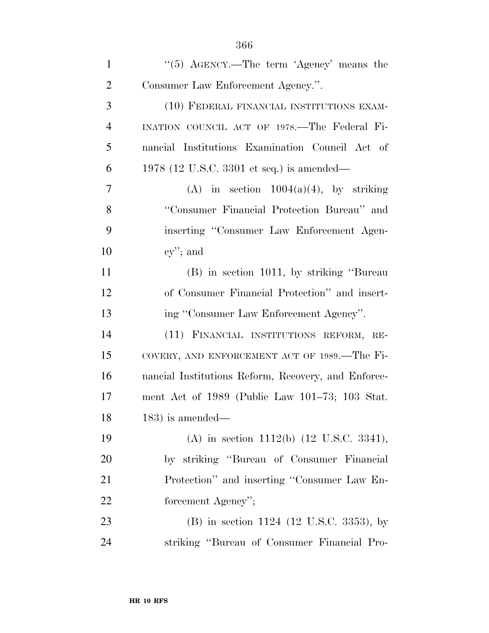| $\mathbf{1}$   | "(5) AGENCY.—The term 'Agency' means the            |
|----------------|-----------------------------------------------------|
|                |                                                     |
| $\overline{2}$ | Consumer Law Enforcement Agency.".                  |
| 3              | (10) FEDERAL FINANCIAL INSTITUTIONS EXAM-           |
| $\overline{4}$ | INATION COUNCIL ACT OF 1978.—The Federal Fi-        |
| 5              | nancial Institutions Examination Council Act of     |
| 6              | 1978 (12 U.S.C. 3301 et seq.) is amended—           |
| 7              | (A) in section $1004(a)(4)$ , by striking           |
| 8              | "Consumer Financial Protection Bureau" and          |
| 9              | inserting "Consumer Law Enforcement Agen-           |
| 10             | $cy$ "; and                                         |
| 11             | (B) in section 1011, by striking "Bureau"           |
| 12             | of Consumer Financial Protection" and insert-       |
| 13             | ing "Consumer Law Enforcement Agency".              |
| 14             | (11) FINANCIAL INSTITUTIONS REFORM,<br>$RE-$        |
| 15             | COVERY, AND ENFORCEMENT ACT OF 1989.—The Fi-        |
| 16             | nancial Institutions Reform, Recovery, and Enforce- |
| 17             | ment Act of 1989 (Public Law 101–73; 103 Stat.      |
| 18             | $183$ ) is amended—                                 |
| 19             | (A) in section 1112(b) (12 U.S.C. 3341),            |
| 20             | by striking "Bureau of Consumer Financial           |
| 21             | Protection" and inserting "Consumer Law En-         |
| 22             | forcement Agency";                                  |
| 23             | (B) in section 1124 (12 U.S.C. 3353), by            |
| 24             | striking "Bureau of Consumer Financial Pro-         |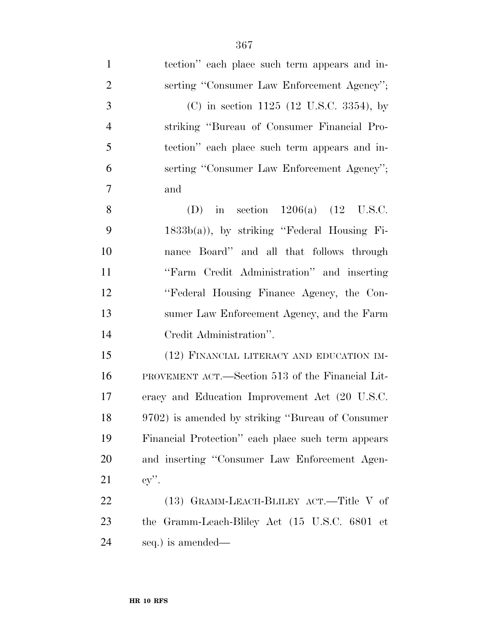| $\mathbf{1}$   | tection" each place such term appears and in-      |
|----------------|----------------------------------------------------|
| $\overline{2}$ | serting "Consumer Law Enforcement Agency";         |
| 3              | (C) in section $1125$ (12 U.S.C. 3354), by         |
| $\overline{4}$ | striking "Bureau of Consumer Financial Pro-        |
| 5              | tection" each place such term appears and in-      |
| 6              | serting "Consumer Law Enforcement Agency";         |
| 7              | and                                                |
| 8              | (D) in section $1206(a)$ (12 U.S.C.                |
| 9              | 1833b(a)), by striking "Federal Housing Fi-        |
| 10             | nance Board" and all that follows through          |
| 11             | "Farm Credit Administration" and inserting         |
| 12             | "Federal Housing Finance Agency, the Con-          |
| 13             | sumer Law Enforcement Agency, and the Farm         |
| 14             | Credit Administration".                            |
| 15             | (12) FINANCIAL LITERACY AND EDUCATION IM-          |
| 16             | PROVEMENT ACT.—Section 513 of the Financial Lit-   |
| 17             | eracy and Education Improvement Act (20 U.S.C.     |
| 18             | 9702) is amended by striking "Bureau of Consumer   |
| 19             | Financial Protection" each place such term appears |
| 20             | and inserting "Consumer Law Enforcement Agen-      |
| 21             | $cy$ .                                             |
| 22             | (13) GRAMM-LEACH-BLILEY ACT.—Title V of            |
| 23             | the Gramm-Leach-Bliley Act (15 U.S.C. 6801 et      |
| 24             | seq.) is amended—                                  |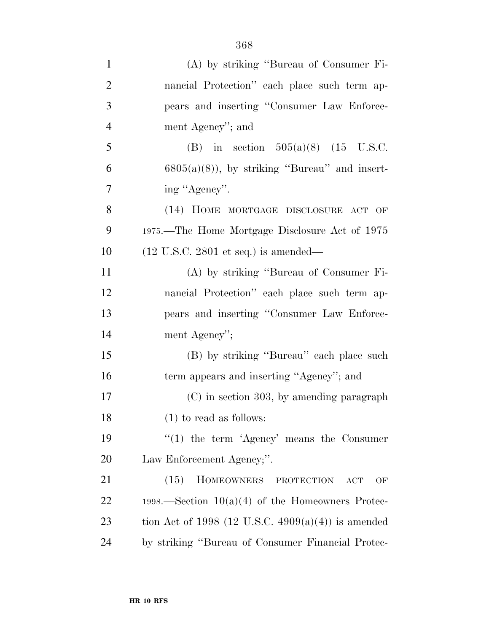| $\mathbf{1}$   | (A) by striking "Bureau of Consumer Fi-                 |
|----------------|---------------------------------------------------------|
| $\overline{2}$ | nancial Protection" each place such term ap-            |
| 3              | pears and inserting "Consumer Law Enforce-              |
| $\overline{4}$ | ment Agency"; and                                       |
| 5              | (B) in section $505(a)(8)$ (15 U.S.C.                   |
| 6              | $6805(a)(8)$ , by striking "Bureau" and insert-         |
| 7              | ing "Agency".                                           |
| 8              | (14) HOME MORTGAGE DISCLOSURE ACT OF                    |
| 9              | 1975.—The Home Mortgage Disclosure Act of 1975          |
| 10             | $(12 \text{ U.S.C. } 2801 \text{ et seq.})$ is amended— |
| 11             | (A) by striking "Bureau of Consumer Fi-                 |
| 12             | nancial Protection" each place such term ap-            |
| 13             | pears and inserting "Consumer Law Enforce-              |
| 14             | ment Agency";                                           |
| 15             | (B) by striking "Bureau" each place such                |
| 16             | term appears and inserting "Agency"; and                |
| 17             | (C) in section 303, by amending paragraph               |
| 18             | $(1)$ to read as follows:                               |
| 19             | $\lq(1)$ the term 'Agency' means the Consumer           |
| 20             | Law Enforcement Agency;".                               |
| 21             | HOMEOWNERS PROTECTION<br>(15)<br><b>ACT</b><br>OF       |
| 22             | 1998.—Section $10(a)(4)$ of the Homeowners Protec-      |
| 23             | tion Act of 1998 (12 U.S.C. 4909(a)(4)) is amended      |
| 24             | by striking "Bureau of Consumer Financial Protec-       |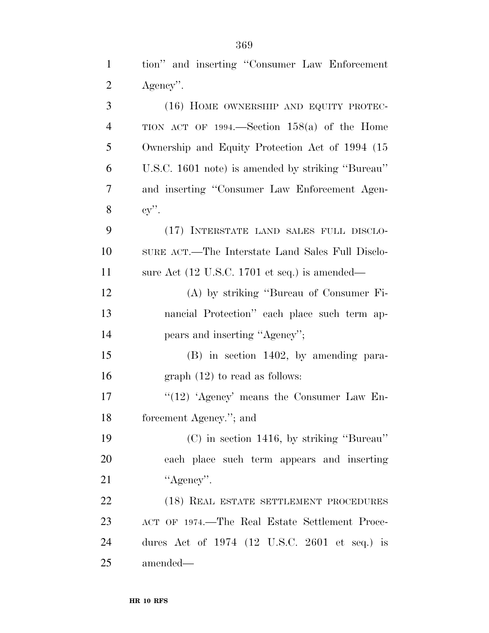| $\mathbf{1}$   | tion" and inserting "Consumer Law Enforcement                    |
|----------------|------------------------------------------------------------------|
| $\overline{2}$ | Agency".                                                         |
| 3              | (16) HOME OWNERSHIP AND EQUITY PROTEC-                           |
| $\overline{4}$ | TION ACT OF 1994.—Section $158(a)$ of the Home                   |
| 5              | Ownership and Equity Protection Act of 1994 (15                  |
| 6              | U.S.C. 1601 note) is amended by striking "Bureau"                |
| 7              | and inserting "Consumer Law Enforcement Agen-                    |
| 8              | $cy$ .                                                           |
| 9              | (17) INTERSTATE LAND SALES FULL DISCLO-                          |
| 10             | SURE ACT.—The Interstate Land Sales Full Disclo-                 |
| 11             | sure Act $(12 \text{ U.S.C. } 1701 \text{ et seq.})$ is amended— |
| 12             | (A) by striking "Bureau of Consumer Fi-                          |
| 13             | nancial Protection" each place such term ap-                     |
| 14             | pears and inserting "Agency";                                    |
| 15             | $(B)$ in section 1402, by amending para-                         |
| 16             | graph $(12)$ to read as follows:                                 |
| 17             | " $(12)$ 'Agency' means the Consumer Law En-                     |
| 18             | forcement Agency."; and                                          |
| 19             | $(C)$ in section 1416, by striking "Bureau"                      |
| 20             | each place such term appears and inserting                       |
| 21             | "Agency".                                                        |
| 22             | (18) REAL ESTATE SETTLEMENT PROCEDURES                           |
| 23             | ACT OF 1974.—The Real Estate Settlement Proce-                   |
| 24             | dures Act of $1974$ (12 U.S.C. 2601 et seq.) is                  |
| 25             | amended—                                                         |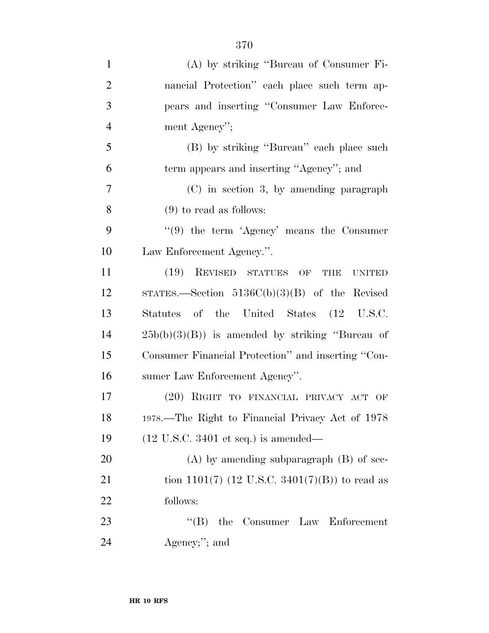| $\mathbf{1}$   | (A) by striking "Bureau of Consumer Fi-                 |
|----------------|---------------------------------------------------------|
| $\overline{2}$ | nancial Protection" each place such term ap-            |
| 3              | pears and inserting "Consumer Law Enforce-              |
| $\overline{4}$ | ment Agency";                                           |
| 5              | (B) by striking "Bureau" each place such                |
| 6              | term appears and inserting "Agency"; and                |
| 7              | (C) in section 3, by amending paragraph                 |
| 8              | $(9)$ to read as follows:                               |
| 9              | $(9)$ the term 'Agency' means the Consumer              |
| 10             | Law Enforcement Agency.".                               |
| 11             | (19) REVISED STATUES OF<br><b>THE</b><br><b>UNITED</b>  |
| 12             | STATES.—Section $5136C(b)(3)(B)$ of the Revised         |
| 13             | Statutes of the United States (12 U.S.C.                |
| 14             | $25b(b)(3)(B)$ is amended by striking "Bureau of        |
| 15             | Consumer Financial Protection" and inserting "Con-      |
| 16             | sumer Law Enforcement Agency".                          |
| 17             | (20) RIGHT TO FINANCIAL PRIVACY ACT OF                  |
| 18             | 1978.—The Right to Financial Privacy Act of 1978        |
| 19             | $(12 \text{ U.S.C. } 3401 \text{ et seq.})$ is amended— |
| 20             | $(A)$ by amending subparagraph $(B)$ of sec-            |
| 21             | tion 1101(7) (12 U.S.C. 3401(7)(B)) to read as          |
| 22             | follows:                                                |
| 23             | Consumer Law Enforcement<br>the<br>$\mathrm{``(B)}$     |
| 24             | Agency;"; and                                           |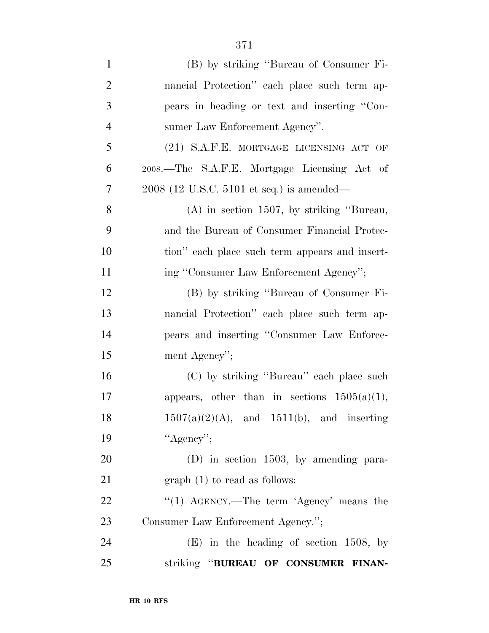| $\mathbf{1}$   | (B) by striking "Bureau of Consumer Fi-         |
|----------------|-------------------------------------------------|
| $\overline{2}$ | nancial Protection" each place such term ap-    |
| 3              | pears in heading or text and inserting "Con-    |
| $\overline{4}$ | sumer Law Enforcement Agency".                  |
| 5              | (21) S.A.F.E. MORTGAGE LICENSING ACT OF         |
| 6              | 2008.—The S.A.F.E. Mortgage Licensing Act of    |
| 7              | $2008$ (12 U.S.C. 5101 et seq.) is amended—     |
| 8              | $(A)$ in section 1507, by striking "Bureau,     |
| 9              | and the Bureau of Consumer Financial Protec-    |
| 10             | tion" each place such term appears and insert-  |
| 11             | ing "Consumer Law Enforcement Agency";          |
| 12             | (B) by striking "Bureau of Consumer Fi-         |
| 13             | nancial Protection" each place such term ap-    |
| 14             | pears and inserting "Consumer Law Enforce-      |
| 15             | ment Agency";                                   |
| 16             | (C) by striking "Bureau" each place such        |
| 17             | appears, other than in sections $1505(a)(1)$ ,  |
| 18             | $1507(a)(2)(A)$ , and $1511(b)$ , and inserting |
| 19             | "Agency";                                       |
| 20             | $(D)$ in section 1503, by amending para-        |
| 21             | $graph(1)$ to read as follows:                  |
| 22             | "(1) $AGENCY$ .—The term 'Agency' means the     |
| 23             | Consumer Law Enforcement Agency.";              |
| 24             | $(E)$ in the heading of section 1508, by        |
| 25             | striking "BUREAU OF CONSUMER FINAN-             |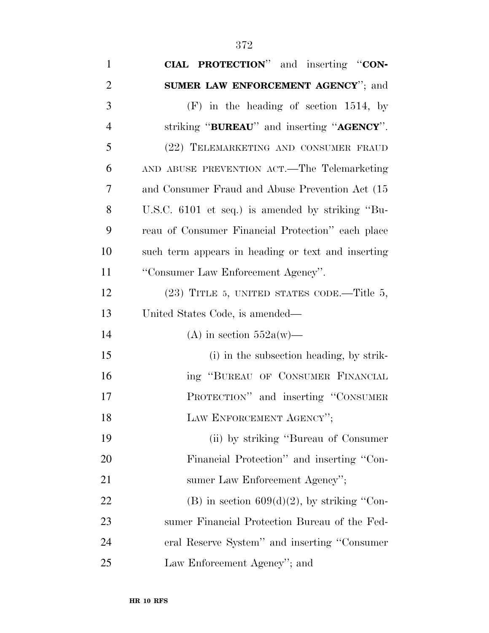| $\mathbf{1}$   | <b>CIAL PROTECTION</b> " and inserting "CON-       |
|----------------|----------------------------------------------------|
| $\overline{2}$ | SUMER LAW ENFORCEMENT AGENCY"; and                 |
| 3              | $(F)$ in the heading of section 1514, by           |
| $\overline{4}$ | striking "BUREAU" and inserting "AGENCY".          |
| 5              | (22) TELEMARKETING AND CONSUMER FRAUD              |
| 6              | AND ABUSE PREVENTION ACT.—The Telemarketing        |
| 7              | and Consumer Fraud and Abuse Prevention Act (15)   |
| 8              | U.S.C. 6101 et seq.) is amended by striking "Bu-   |
| 9              | reau of Consumer Financial Protection" each place  |
| 10             | such term appears in heading or text and inserting |
| 11             | "Consumer Law Enforcement Agency".                 |
| 12             | $(23)$ TITLE 5, UNITED STATES CODE.—Title 5,       |
| 13             | United States Code, is amended—                    |
| 14             | (A) in section $552a(w)$ —                         |
| 15             | (i) in the subsection heading, by strik-           |
| 16             | ing "BUREAU OF CONSUMER FINANCIAL                  |
| 17             | PROTECTION" and inserting "CONSUMER                |
| 18             | LAW ENFORCEMENT AGENCY";                           |
| 19             | (ii) by striking "Bureau of Consumer"              |
| 20             | Financial Protection" and inserting "Con-          |
| 21             | sumer Law Enforcement Agency";                     |
| 22             | (B) in section $609(d)(2)$ , by striking "Con-     |
| 23             | sumer Financial Protection Bureau of the Fed-      |
| 24             | eral Reserve System" and inserting "Consumer       |
| 25             | Law Enforcement Agency"; and                       |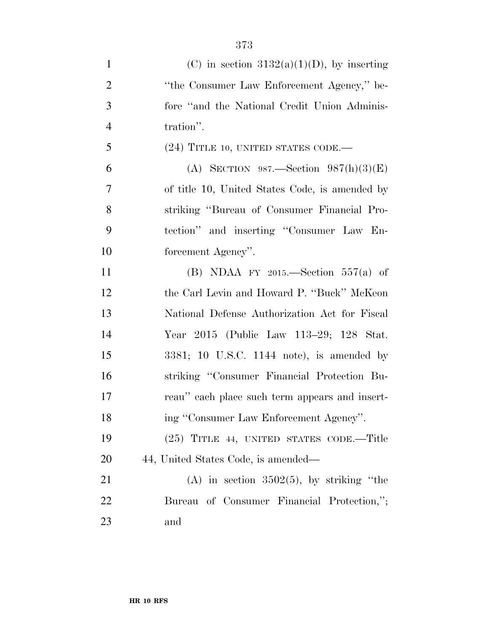| $\mathbf{1}$   | (C) in section $3132(a)(1)(D)$ , by inserting  |
|----------------|------------------------------------------------|
| $\overline{2}$ | "the Consumer Law Enforcement Agency," be-     |
| 3              | fore "and the National Credit Union Adminis-   |
| $\overline{4}$ | tration".                                      |
| 5              | $(24)$ TITLE 10, UNITED STATES CODE.—          |
| 6              | (A) SECTION 987.—Section $987(h)(3)(E)$        |
| $\overline{7}$ | of title 10, United States Code, is amended by |
| 8              | striking "Bureau of Consumer Financial Pro-    |
| 9              | tection" and inserting "Consumer Law En-       |
| 10             | forcement Agency".                             |
| 11             | (B) NDAA FY 2015.—Section $557(a)$ of          |
| 12             | the Carl Levin and Howard P. "Buck" McKeon     |
| 13             | National Defense Authorization Act for Fiscal  |
| 14             | Year 2015 (Public Law 113-29; 128 Stat.        |
| 15             | $3381; 10$ U.S.C. 1144 note), is amended by    |
| 16             | striking "Consumer Financial Protection Bu-    |
| 17             | reau" each place such term appears and insert- |
| 18             | ing "Consumer Law Enforcement Agency".         |
| 19             | (25) TITLE 44, UNITED STATES CODE.—Title       |
| 20             | 44, United States Code, is amended—            |
| 21             | (A) in section $3502(5)$ , by striking "the    |
| 22             | Bureau of Consumer Financial Protection,";     |
| 23             | and                                            |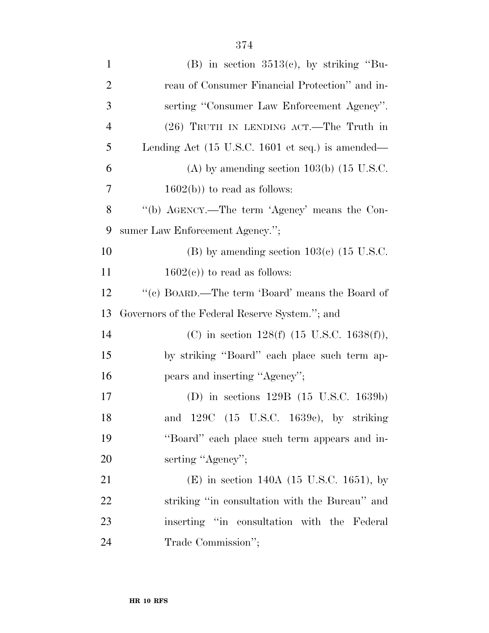| $\mathbf{1}$   | $(B)$ in section 3513(c), by striking "Bu-                          |
|----------------|---------------------------------------------------------------------|
| $\overline{2}$ | reau of Consumer Financial Protection" and in-                      |
| 3              | serting "Consumer Law Enforcement Agency".                          |
| $\overline{4}$ | $(26)$ TRUTH IN LENDING ACT.—The Truth in                           |
| 5              | Lending Act $(15 \text{ U.S.C. } 1601 \text{ et seq.})$ is amended— |
| 6              | $(A)$ by amending section 103(b) (15 U.S.C.                         |
| 7              | $1602(b)$ to read as follows:                                       |
| 8              | "(b) AGENCY.—The term 'Agency' means the Con-                       |
| 9              | sumer Law Enforcement Agency.";                                     |
| 10             | $(B)$ by amending section 103(c) (15 U.S.C.                         |
| 11             | $1602(c)$ to read as follows:                                       |
| 12             | "(c) BOARD.—The term 'Board' means the Board of                     |
| 13             | Governors of the Federal Reserve System."; and                      |
| 14             | (C) in section 128(f) $(15 \text{ U.S.C. } 1638(f)),$               |
| 15             | by striking "Board" each place such term ap-                        |
| 16             | pears and inserting "Agency";                                       |
| 17             | (D) in sections 129B (15 U.S.C. 1639b)                              |
| 18             | and 129C (15 U.S.C. 1639c), by striking                             |
| 19             | "Board" each place such term appears and in-                        |
| 20             | serting "Agency";                                                   |
| 21             | (E) in section 140A (15 U.S.C. 1651), by                            |
| 22             | striking "in consultation with the Bureau" and                      |
| 23             | inserting "in consultation with the Federal                         |
| 24             | Trade Commission";                                                  |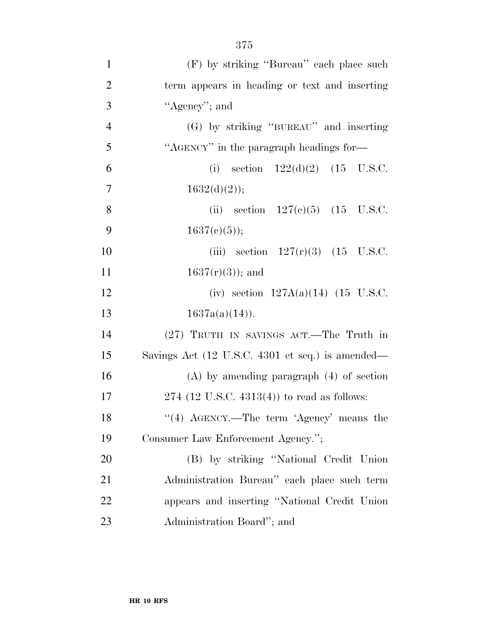| $\mathbf{1}$   | (F) by striking "Bureau" each place such           |
|----------------|----------------------------------------------------|
| $\overline{2}$ | term appears in heading or text and inserting      |
| 3              | "Agency"; and                                      |
| $\overline{4}$ | (G) by striking "BUREAU" and inserting             |
| 5              | "AGENCY" in the paragraph headings for-            |
| 6              | (i) section $122(d)(2)$ (15 U.S.C.                 |
| $\overline{7}$ | $1632(d)(2)$ ;                                     |
| 8              | (ii) section $127(c)(5)$ (15 U.S.C.                |
| 9              | $1637(e)(5)$ ;                                     |
| 10             | (iii) section $127(r)(3)$ (15 U.S.C.               |
| 11             | $1637(r)(3)$ ; and                                 |
| 12             | (iv) section $127A(a)(14)$ (15 U.S.C.              |
| 13             | $1637a(a)(14)$ .                                   |
| 14             | (27) TRUTH IN SAVINGS ACT.—The Truth in            |
| 15             | Savings Act (12 U.S.C. 4301 et seq.) is amended—   |
| 16             | $(A)$ by amending paragraph $(4)$ of section       |
| 17             | $274$ (12 U.S.C. 4313(4)) to read as follows:      |
| 18             | "(4) $\text{AGENCY.}$ —The term 'Agency' means the |
| 19             | Consumer Law Enforcement Agency.";                 |
| 20             | (B) by striking "National Credit Union             |
| 21             | Administration Bureau" each place such term        |
| 22             | appears and inserting "National Credit Union       |
| 23             | Administration Board"; and                         |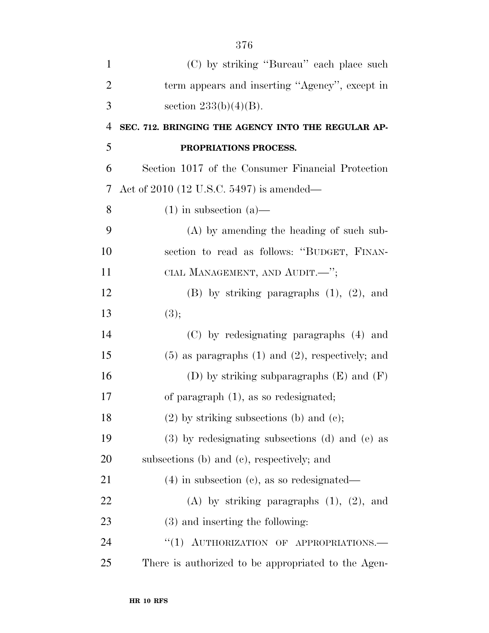| $\mathbf{1}$   | (C) by striking "Bureau" each place such                |
|----------------|---------------------------------------------------------|
| $\overline{2}$ | term appears and inserting "Agency", except in          |
| 3              | section $233(b)(4)(B)$ .                                |
| $\overline{4}$ | SEC. 712. BRINGING THE AGENCY INTO THE REGULAR AP-      |
| 5              | PROPRIATIONS PROCESS.                                   |
| 6              | Section 1017 of the Consumer Financial Protection       |
| 7              | Act of 2010 (12 U.S.C. 5497) is amended—                |
| 8              | $(1)$ in subsection $(a)$ —                             |
| 9              | $(A)$ by amending the heading of such sub-              |
| 10             | section to read as follows: "BUDGET, FINAN-             |
| 11             | CIAL MANAGEMENT, AND AUDIT.-";                          |
| 12             | $(B)$ by striking paragraphs $(1)$ , $(2)$ , and        |
| 13             | (3);                                                    |
| 14             | (C) by redesignating paragraphs (4) and                 |
| 15             | $(5)$ as paragraphs $(1)$ and $(2)$ , respectively; and |
| 16             | (D) by striking subparagraphs $(E)$ and $(F)$           |
| 17             | of paragraph $(1)$ , as so redesignated;                |
| 18             | $(2)$ by striking subsections (b) and (c);              |
| 19             | (3) by redesignating subsections (d) and (e) as         |
| 20             | subsections (b) and (c), respectively; and              |
| 21             | $(4)$ in subsection $(c)$ , as so redesignated—         |
| 22             | $(A)$ by striking paragraphs $(1)$ , $(2)$ , and        |
| 23             | (3) and inserting the following:                        |
| 24             | "(1) AUTHORIZATION OF APPROPRIATIONS.                   |
| 25             | There is authorized to be appropriated to the Agen-     |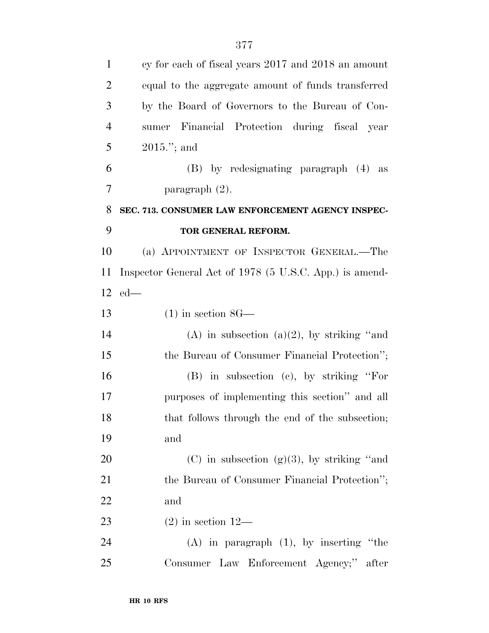| $\mathbf{1}$   | cy for each of fiscal years 2017 and 2018 an amount     |
|----------------|---------------------------------------------------------|
| $\overline{2}$ | equal to the aggregate amount of funds transferred      |
| 3              | by the Board of Governors to the Bureau of Con-         |
| $\overline{4}$ | sumer Financial Protection during fiscal<br>year        |
| 5              | $2015."$ ; and                                          |
| 6              | (B) by redesignating paragraph (4) as                   |
| $\overline{7}$ | paragraph $(2)$ .                                       |
| 8              | SEC. 713. CONSUMER LAW ENFORCEMENT AGENCY INSPEC-       |
| 9              | TOR GENERAL REFORM.                                     |
| 10             | (a) APPOINTMENT OF INSPECTOR GENERAL.—The               |
| 11             | Inspector General Act of 1978 (5 U.S.C. App.) is amend- |
| 12             | $ed$ —                                                  |
| 13             | $(1)$ in section 8G—                                    |
| 14             | (A) in subsection (a)(2), by striking "and              |
| 15             | the Bureau of Consumer Financial Protection";           |
| 16             | $(B)$ in subsection (c), by striking "For               |
| 17             | purposes of implementing this section" and all          |
| 18             | that follows through the end of the subsection;         |
| 19             | and                                                     |
| 20             | (C) in subsection (g)(3), by striking "and              |
| 21             | the Bureau of Consumer Financial Protection";           |
| <u>22</u>      | and                                                     |
| 23             | $(2)$ in section 12—                                    |
| 24             | $(A)$ in paragraph $(1)$ , by inserting "the            |
| 25             | Consumer Law Enforcement Agency;" after                 |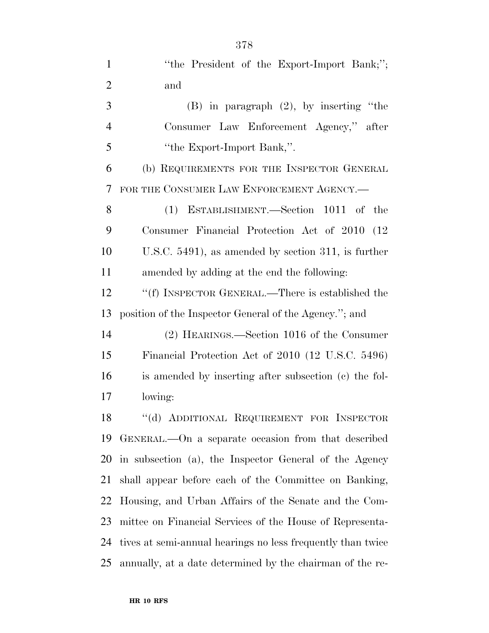| $\mathbf{1}$   | "the President of the Export-Import Bank;";                 |
|----------------|-------------------------------------------------------------|
| $\overline{2}$ | and                                                         |
| 3              | $(B)$ in paragraph $(2)$ , by inserting "the                |
| $\overline{4}$ | Consumer Law Enforcement Agency," after                     |
| 5              | "the Export-Import Bank,".                                  |
| 6              | (b) REQUIREMENTS FOR THE INSPECTOR GENERAL                  |
| 7              | FOR THE CONSUMER LAW ENFORCEMENT AGENCY.                    |
| 8              | (1) ESTABLISHMENT.—Section 1011 of the                      |
| 9              | Consumer Financial Protection Act of 2010 (12)              |
| 10             | U.S.C. $5491$ ), as amended by section 311, is further      |
| 11             | amended by adding at the end the following:                 |
| 12             | "(f) INSPECTOR GENERAL.—There is established the            |
| 13             | position of the Inspector General of the Agency."; and      |
| 14             | (2) HEARINGS.—Section 1016 of the Consumer                  |
| 15             | Financial Protection Act of 2010 (12 U.S.C. 5496)           |
| 16             | is amended by inserting after subsection (c) the fol-       |
| 17             | lowing:                                                     |
| 18             | "(d) ADDITIONAL REQUIREMENT FOR INSPECTOR                   |
| 19             | GENERAL.—On a separate occasion from that described         |
| 20             | in subsection (a), the Inspector General of the Agency      |
| 21             | shall appear before each of the Committee on Banking,       |
| 22             | Housing, and Urban Affairs of the Senate and the Com-       |
| 23             | mittee on Financial Services of the House of Representa-    |
| 24             | tives at semi-annual hearings no less frequently than twice |
| 25             | annually, at a date determined by the chairman of the re-   |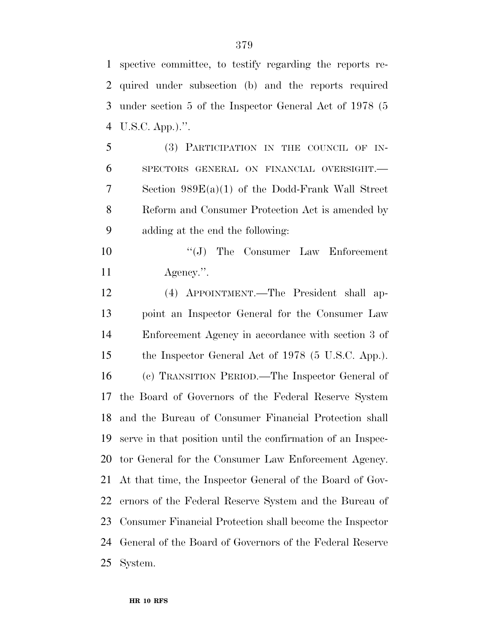spective committee, to testify regarding the reports re- quired under subsection (b) and the reports required under section 5 of the Inspector General Act of 1978 (5 U.S.C. App.).''.

 (3) PARTICIPATION IN THE COUNCIL OF IN- SPECTORS GENERAL ON FINANCIAL OVERSIGHT.— Section 989E(a)(1) of the Dodd-Frank Wall Street 8 Reform and Consumer Protection Act is amended by adding at the end the following:

10 "'(J) The Consumer Law Enforcement Agency.''.

 (4) APPOINTMENT.—The President shall ap- point an Inspector General for the Consumer Law Enforcement Agency in accordance with section 3 of the Inspector General Act of 1978 (5 U.S.C. App.). (c) TRANSITION PERIOD.—The Inspector General of the Board of Governors of the Federal Reserve System and the Bureau of Consumer Financial Protection shall serve in that position until the confirmation of an Inspec- tor General for the Consumer Law Enforcement Agency. At that time, the Inspector General of the Board of Gov- ernors of the Federal Reserve System and the Bureau of Consumer Financial Protection shall become the Inspector General of the Board of Governors of the Federal Reserve System.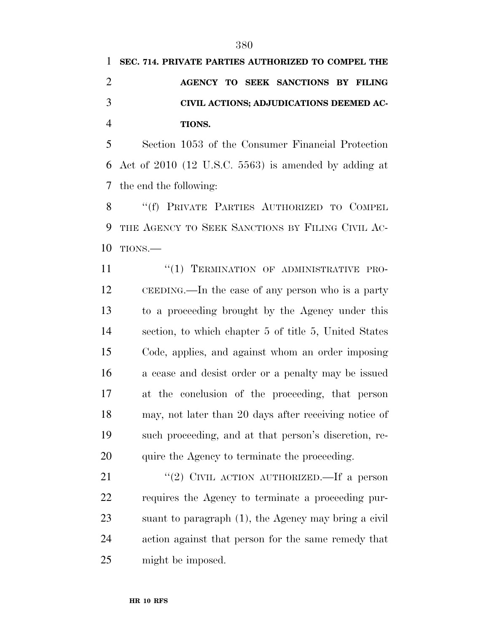## **SEC. 714. PRIVATE PARTIES AUTHORIZED TO COMPEL THE AGENCY TO SEEK SANCTIONS BY FILING CIVIL ACTIONS; ADJUDICATIONS DEEMED AC-TIONS.**

 Section 1053 of the Consumer Financial Protection Act of 2010 (12 U.S.C. 5563) is amended by adding at the end the following:

8 "(f) PRIVATE PARTIES AUTHORIZED TO COMPEL THE AGENCY TO SEEK SANCTIONS BY FILING CIVIL AC-TIONS.—

11 "(1) TERMINATION OF ADMINISTRATIVE PRO- CEEDING.—In the case of any person who is a party to a proceeding brought by the Agency under this section, to which chapter 5 of title 5, United States Code, applies, and against whom an order imposing a cease and desist order or a penalty may be issued at the conclusion of the proceeding, that person may, not later than 20 days after receiving notice of such proceeding, and at that person's discretion, re-quire the Agency to terminate the proceeding.

21 "(2) CIVIL ACTION AUTHORIZED. If a person requires the Agency to terminate a proceeding pur- suant to paragraph (1), the Agency may bring a civil action against that person for the same remedy that might be imposed.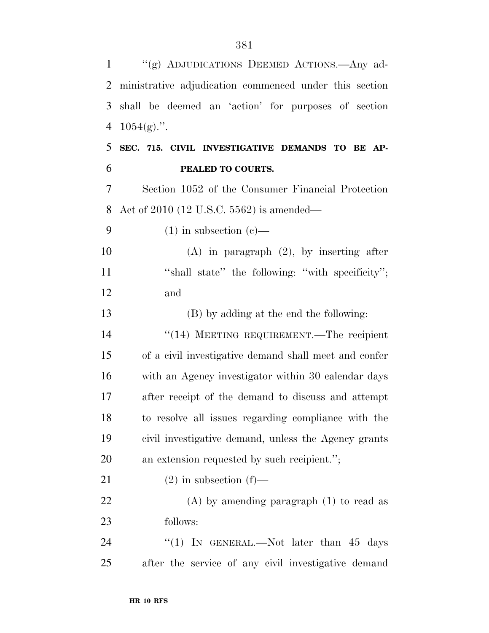| $\mathbf{1}$ | "(g) ADJUDICATIONS DEEMED ACTIONS.—Any ad-             |
|--------------|--------------------------------------------------------|
| 2            | ministrative adjudication commenced under this section |
| 3            | shall be deemed an 'action' for purposes of section    |
| 4            | $1054(g)$ .".                                          |
| 5            | SEC. 715. CIVIL INVESTIGATIVE DEMANDS TO BE AP-        |
| 6            | PEALED TO COURTS.                                      |
| 7            | Section 1052 of the Consumer Financial Protection      |
| 8            | Act of $2010$ (12 U.S.C. 5562) is amended—             |
| 9            | $(1)$ in subsection $(e)$ —                            |
| 10           | $(A)$ in paragraph $(2)$ , by inserting after          |
| 11           | "shall state" the following: "with specificity";       |
| 12           | and                                                    |
| 13           | (B) by adding at the end the following:                |
| 14           | "(14) MEETING REQUIREMENT.—The recipient               |
| 15           | of a civil investigative demand shall meet and confer  |
| 16           | with an Agency investigator within 30 calendar days    |
| 17           | after receipt of the demand to discuss and attempt     |
| 18           | to resolve all issues regarding compliance with the    |
| 19           | civil investigative demand, unless the Agency grants   |
| 20           | an extension requested by such recipient.";            |
| 21           | $(2)$ in subsection $(f)$ —                            |
| 22           | $(A)$ by amending paragraph $(1)$ to read as           |
| 23           | follows:                                               |
| 24           | "(1) IN GENERAL.—Not later than $45$ days              |
| 25           | after the service of any civil investigative demand    |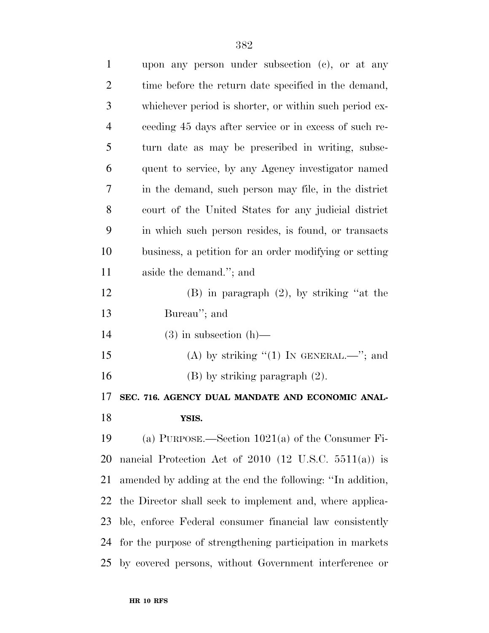| $\mathbf{1}$   | upon any person under subsection (c), or at any            |
|----------------|------------------------------------------------------------|
| $\overline{2}$ | time before the return date specified in the demand,       |
| 3              | whichever period is shorter, or within such period ex-     |
| $\overline{4}$ | ceeding 45 days after service or in excess of such re-     |
| 5              | turn date as may be prescribed in writing, subse-          |
| 6              | quent to service, by any Agency investigator named         |
| 7              | in the demand, such person may file, in the district       |
| 8              | court of the United States for any judicial district       |
| 9              | in which such person resides, is found, or transacts       |
| 10             | business, a petition for an order modifying or setting     |
| 11             | aside the demand."; and                                    |
| 12             | $(B)$ in paragraph $(2)$ , by striking "at the             |
| 13             | Bureau"; and                                               |
| 14             | $(3)$ in subsection $(h)$ —                                |
|                |                                                            |
| 15             | (A) by striking " $(1)$ In GENERAL.—"; and                 |
| 16             | $(B)$ by striking paragraph $(2)$ .                        |
| 17             | SEC. 716. AGENCY DUAL MANDATE AND ECONOMIC ANAL-           |
| 18             | YSIS.                                                      |
| 19             | (a) PURPOSE.—Section $1021(a)$ of the Consumer Fi-         |
| 20             | nancial Protection Act of $2010$ (12 U.S.C. $5511(a)$ ) is |
| 21             | amended by adding at the end the following: "In addition,  |
| 22             | the Director shall seek to implement and, where applica-   |
| 23             | ble, enforce Federal consumer financial law consistently   |
| 24             | for the purpose of strengthening participation in markets  |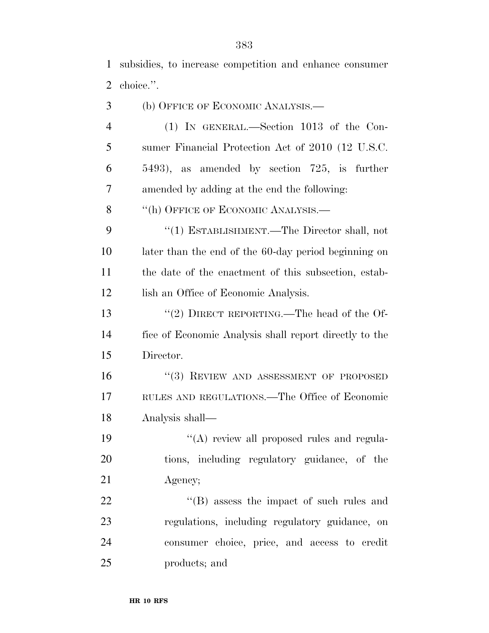subsidies, to increase competition and enhance consumer

choice.''.

| 3         | (b) OFFICE OF ECONOMIC ANALYSIS.—                      |
|-----------|--------------------------------------------------------|
| 4         | $(1)$ IN GENERAL.—Section 1013 of the Con-             |
| 5         | sumer Financial Protection Act of 2010 (12 U.S.C.      |
| 6         | 5493), as amended by section 725, is further           |
| 7         | amended by adding at the end the following:            |
| 8         | "(h) OFFICE OF ECONOMIC ANALYSIS.—                     |
| 9         | "(1) ESTABLISHMENT.—The Director shall, not            |
| 10        | later than the end of the 60-day period beginning on   |
| 11        | the date of the enactment of this subsection, estab-   |
| 12        | lish an Office of Economic Analysis.                   |
| 13        | "(2) DIRECT REPORTING.—The head of the Of-             |
| 14        | fice of Economic Analysis shall report directly to the |
| 15        | Director.                                              |
| 16        | "(3) REVIEW AND ASSESSMENT OF PROPOSED                 |
| 17        | RULES AND REGULATIONS.—The Office of Economic          |
| 18        | Analysis shall—                                        |
| 19        | "(A) review all proposed rules and regula-             |
| <b>20</b> | tions, including regulatory guidance, of the           |
| 21        | Agency;                                                |
| 22        | "(B) assess the impact of such rules and               |
| 23        | regulations, including regulatory guidance, on         |
| 24        | consumer choice, price, and access to credit           |
| 25        | products; and                                          |
|           |                                                        |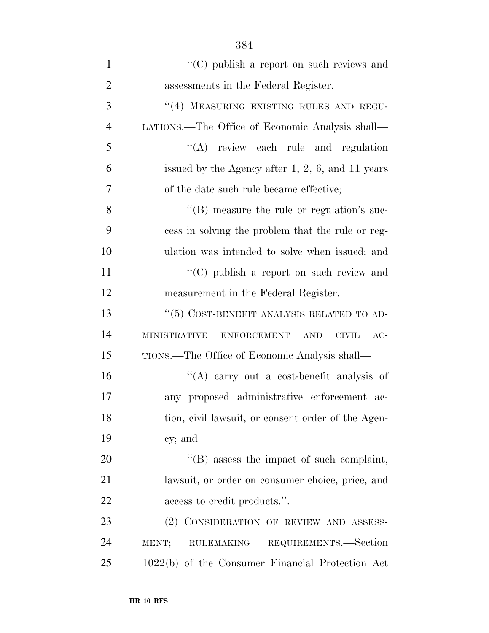| $\mathbf{1}$   | "(C) publish a report on such reviews and             |
|----------------|-------------------------------------------------------|
| $\overline{2}$ | assessments in the Federal Register.                  |
| 3              | "(4) MEASURING EXISTING RULES AND REGU-               |
| $\overline{4}$ | LATIONS.—The Office of Economic Analysis shall—       |
| 5              | "(A) review each rule and regulation                  |
| 6              | issued by the Agency after $1, 2, 6$ , and $11$ years |
| 7              | of the date such rule became effective;               |
| 8              | $\lq\lq$ (B) measure the rule or regulation's suc-    |
| 9              | cess in solving the problem that the rule or reg-     |
| 10             | ulation was intended to solve when issued; and        |
| 11             | $\lq\lq$ publish a report on such review and          |
| 12             | measurement in the Federal Register.                  |
| 13             | "(5) COST-BENEFIT ANALYSIS RELATED TO AD-             |
| 14             | MINISTRATIVE ENFORCEMENT AND<br><b>CIVIL</b><br>$AC-$ |
| 15             | TIONS.—The Office of Economic Analysis shall—         |
| 16             | "(A) carry out a cost-benefit analysis of             |
| 17             | any proposed administrative enforcement ac-           |
| 18             | tion, civil lawsuit, or consent order of the Agen-    |
| 19             | cy; and                                               |
| 20             | $\lq\lq$ (B) assess the impact of such complaint,     |
| 21             | lawsuit, or order on consumer choice, price, and      |
| 22             | access to credit products.".                          |
| 23             | (2) CONSIDERATION OF REVIEW AND ASSESS-               |
| 24             | RULEMAKING REQUIREMENTS.-Section<br>MENT;             |
| 25             | 1022(b) of the Consumer Financial Protection Act      |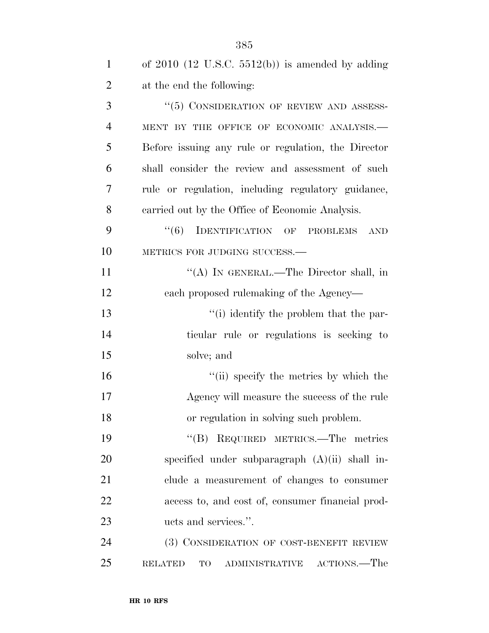| $\mathbf{1}$   | of $2010$ (12 U.S.C. $5512(b)$ ) is amended by adding |
|----------------|-------------------------------------------------------|
| $\overline{2}$ | at the end the following:                             |
| 3              | $``(5)$ CONSIDERATION OF REVIEW AND ASSESS-           |
| $\overline{4}$ | MENT BY THE OFFICE OF ECONOMIC ANALYSIS.-             |
| 5              | Before issuing any rule or regulation, the Director   |
| 6              | shall consider the review and assessment of such      |
| 7              | rule or regulation, including regulatory guidance,    |
| 8              | carried out by the Office of Economic Analysis.       |
| 9              | IDENTIFICATION OF PROBLEMS<br>(6)<br>AND              |
| 10             | METRICS FOR JUDGING SUCCESS.-                         |
| 11             | "(A) IN GENERAL.—The Director shall, in               |
| 12             | each proposed rulemaking of the Agency—               |
| 13             | "(i) identify the problem that the par-               |
| 14             | ticular rule or regulations is seeking to             |
| 15             | solve; and                                            |
| 16             | "(ii) specify the metrics by which the                |
| 17             | Agency will measure the success of the rule           |
| 18             | or regulation in solving such problem.                |
| 19             | "(B) REQUIRED METRICS.—The metrics                    |
| 20             | specified under subparagraph $(A)(ii)$ shall in-      |
| 21             | clude a measurement of changes to consumer            |
| 22             | access to, and cost of, consumer financial prod-      |
| 23             | ucts and services.".                                  |
| 24             | (3) CONSIDERATION OF COST-BENEFIT REVIEW              |
| 25             | ADMINISTRATIVE ACTIONS.—The<br><b>RELATED</b><br>TO   |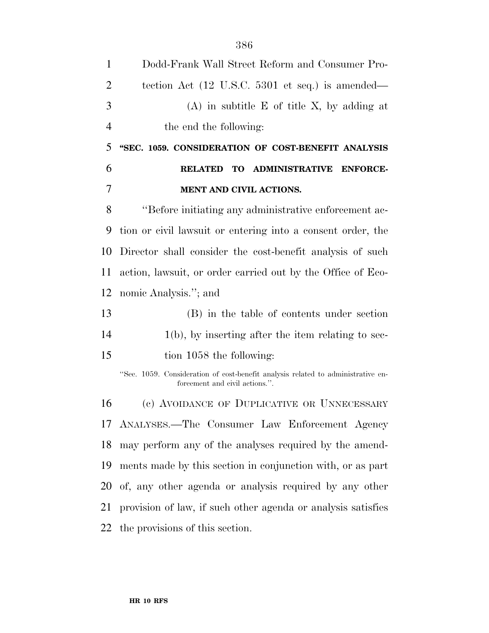| οσυ                                                                                                                |
|--------------------------------------------------------------------------------------------------------------------|
| Dodd-Frank Wall Street Reform and Consumer Pro-                                                                    |
| tection Act $(12 \text{ U.S.C. } 5301 \text{ et seq.})$ is amended—                                                |
| $(A)$ in subtitle E of title X, by adding at                                                                       |
| the end the following:                                                                                             |
| "SEC. 1059. CONSIDERATION OF COST-BENEFIT ANALYSIS                                                                 |
| <b>ADMINISTRATIVE</b><br><b>RELATED</b><br><b>TO</b><br><b>ENFORCE-</b>                                            |
| MENT AND CIVIL ACTIONS.                                                                                            |
| "Before initiating any administrative enforcement ac-                                                              |
| tion or civil lawsuit or entering into a consent order, the                                                        |
| Director shall consider the cost-benefit analysis of such                                                          |
| action, lawsuit, or order carried out by the Office of Eco-                                                        |
| nomic Analysis."; and                                                                                              |
| (B) in the table of contents under section                                                                         |
| $1(b)$ , by inserting after the item relating to sec-                                                              |
| tion 1058 the following:                                                                                           |
| "Sec. 1059. Consideration of cost-benefit analysis related to administrative en-<br>forcement and civil actions.". |
| (c) AVOIDANCE OF DUPLICATIVE OR UNNECESSARY                                                                        |
| 17 ANALYSES.—The Consumer Law Enforcement Agency                                                                   |
| 18 may perform any of the analyses required by the amend-                                                          |
| ments made by this section in conjunction with, or as part                                                         |
| 20 of, any other agenda or analysis required by any other                                                          |
| provision of law, if such other agenda or analysis satisfies                                                       |
| 22 the provisions of this section.                                                                                 |
|                                                                                                                    |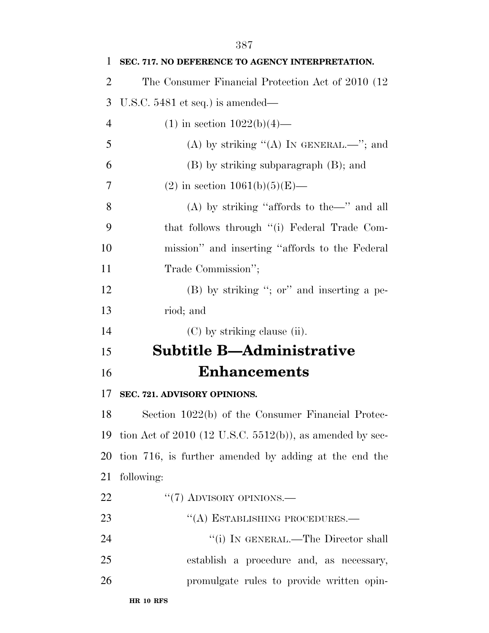| 1              | SEC. 717. NO DEFERENCE TO AGENCY INTERPRETATION.              |
|----------------|---------------------------------------------------------------|
| $\overline{2}$ | The Consumer Financial Protection Act of 2010 (12)            |
| 3              | U.S.C. $5481$ et seq.) is amended—                            |
| $\overline{4}$ | $(1)$ in section $1022(b)(4)$ —                               |
| 5              | (A) by striking "(A) IN GENERAL.—"; and                       |
| 6              | (B) by striking subparagraph (B); and                         |
| $\overline{7}$ | (2) in section $1061(b)(5)(E)$ —                              |
| 8              | $(A)$ by striking "affords to the "" and all                  |
| 9              | that follows through "(i) Federal Trade Com-                  |
| 10             | mission" and inserting "affords to the Federal                |
| 11             | Trade Commission";                                            |
| 12             | $(B)$ by striking "; or" and inserting a pe-                  |
| 13             | riod; and                                                     |
| 14             | (C) by striking clause (ii).                                  |
| 15             | <b>Subtitle B—Administrative</b>                              |
| 16             | <b>Enhancements</b>                                           |
| 17             | SEC. 721. ADVISORY OPINIONS.                                  |
| 18             | Section 1022(b) of the Consumer Financial Protec-             |
| 19             | tion Act of $2010$ (12 U.S.C. $5512(b)$ ), as amended by sec- |
| 20             | tion 716, is further amended by adding at the end the         |
| 21             | following:                                                    |
| 22             | $``(7)$ ADVISORY OPINIONS.—                                   |
| 23             | "(A) ESTABLISHING PROCEDURES.-                                |
| 24             | "(i) IN GENERAL.—The Director shall                           |
| 25             | establish a procedure and, as necessary,                      |
| 26             | promulgate rules to provide written opin-                     |
|                |                                                               |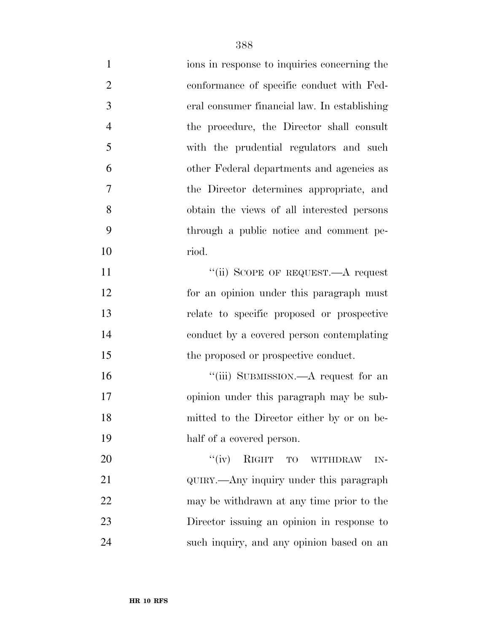| $\mathbf{1}$   | ions in response to inquiries concerning the             |
|----------------|----------------------------------------------------------|
| $\overline{2}$ | conformance of specific conduct with Fed-                |
| 3              | eral consumer financial law. In establishing             |
| $\overline{4}$ | the procedure, the Director shall consult                |
| 5              | with the prudential regulators and such                  |
| 6              | other Federal departments and agencies as                |
| 7              | the Director determines appropriate, and                 |
| 8              | obtain the views of all interested persons               |
| 9              | through a public notice and comment pe-                  |
| 10             | riod.                                                    |
| 11             | "(ii) SCOPE OF REQUEST.—A request                        |
| 12             | for an opinion under this paragraph must                 |
| 13             | relate to specific proposed or prospective               |
| 14             | conduct by a covered person contemplating                |
| 15             | the proposed or prospective conduct.                     |
| 16             | "(iii) SUBMISSION.—A request for an                      |
| 17             | opinion under this paragraph may be sub-                 |
| 18             | mitted to the Director either by or on be-               |
| 19             | half of a covered person.                                |
| 20             | ``(iv)<br>RIGHT<br><b>TO</b><br><b>WITHDRAW</b><br>$IN-$ |
| 21             | QUIRY.—Any inquiry under this paragraph                  |
| 22             | may be withdrawn at any time prior to the                |
| 23             | Director issuing an opinion in response to               |
| 24             | such inquiry, and any opinion based on an                |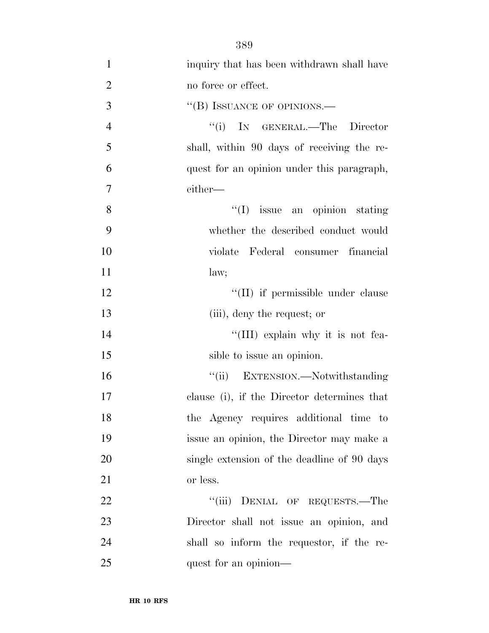| $\mathbf{1}$   | inquiry that has been withdrawn shall have  |
|----------------|---------------------------------------------|
| $\overline{2}$ | no force or effect.                         |
| 3              | "(B) ISSUANCE OF OPINIONS.—                 |
| $\overline{4}$ | "(i) IN GENERAL.—The Director               |
| 5              | shall, within 90 days of receiving the re-  |
| 6              | quest for an opinion under this paragraph,  |
| $\overline{7}$ | either—                                     |
| 8              | $\lq\lq$ issue an opinion stating           |
| 9              | whether the described conduct would         |
| 10             | violate Federal consumer financial          |
| 11             | law;                                        |
| 12             | $\lq\lq$ (II) if permissible under clause   |
| 13             | (iii), deny the request; or                 |
| 14             | "(III) explain why it is not fea-           |
| 15             | sible to issue an opinion.                  |
| 16             | "(ii) EXTENSION.—Notwithstanding            |
| 17             | clause (i), if the Director determines that |
| 18             | the Agency requires additional time to      |
| 19             | issue an opinion, the Director may make a   |
| 20             | single extension of the deadline of 90 days |
| 21             | or less.                                    |
| 22             | "(iii) DENIAL OF REQUESTS.—The              |
| 23             | Director shall not issue an opinion, and    |
| 24             | shall so inform the requestor, if the re-   |
| 25             | quest for an opinion—                       |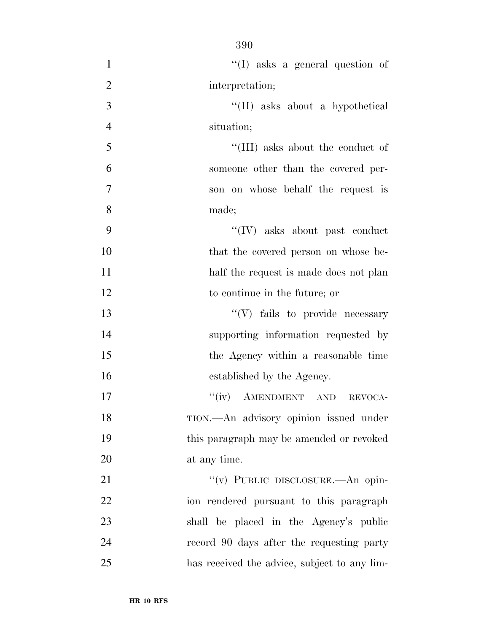- 390 1  $\text{``(I)}$  asks a general question of 2 interpretation; 3 ''(II) asks about a hypothetical 4 situation; 5 ''(III) asks about the conduct of 6 someone other than the covered per-7 son on whose behalf the request is 8 made; 9  $\frac{1}{2}$  (IV) asks about past conduct 10 that the covered person on whose be-11 half the request is made does not plan 12 to continue in the future; or 13  $\qquad \qquad \text{``(V)}$  fails to provide necessary 14 supporting information requested by 15 the Agency within a reasonable time 16 established by the Agency. 17 ''(iv) AMENDMENT AND REVOCA-18 TION.—An advisory opinion issued under 19 this paragraph may be amended or revoked 20 at any time. 21 ""(v) PUBLIC DISCLOSURE.—An opin-
- 22 ion rendered pursuant to this paragraph 23 shall be placed in the Agency's public 24 record 90 days after the requesting party 25 has received the advice, subject to any lim-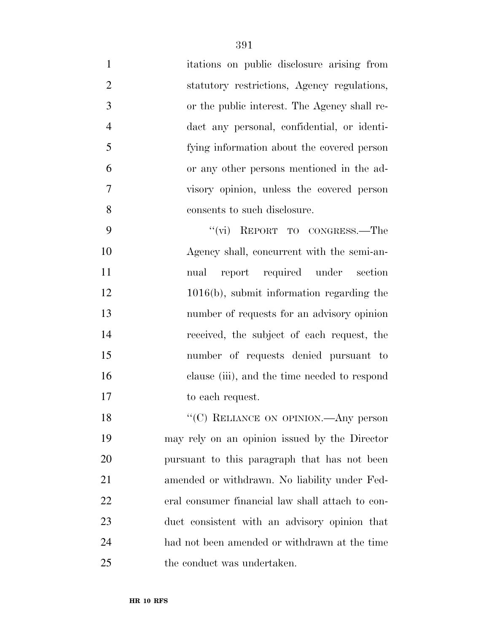| $\mathbf{1}$   | itations on public disclosure arising from       |
|----------------|--------------------------------------------------|
| $\overline{2}$ | statutory restrictions, Agency regulations,      |
| 3              | or the public interest. The Agency shall re-     |
| $\overline{4}$ | dact any personal, confidential, or identi-      |
| 5              | fying information about the covered person       |
| 6              | or any other persons mentioned in the ad-        |
| 7              | visory opinion, unless the covered person        |
| 8              | consents to such disclosure.                     |
| 9              | "(vi) REPORT TO CONGRESS.—The                    |
| 10             | Agency shall, concurrent with the semi-an-       |
| 11             | report required under section<br>nual            |
| 12             | $1016(b)$ , submit information regarding the     |
| 13             | number of requests for an advisory opinion       |
| 14             | received, the subject of each request, the       |
| 15             | number of requests denied pursuant to            |
| 16             | clause (iii), and the time needed to respond     |
| 17             | to each request.                                 |
| 18             | "(C) RELIANCE ON OPINION.—Any person             |
| 19             | may rely on an opinion issued by the Director    |
| 20             | pursuant to this paragraph that has not been     |
| 21             | amended or withdrawn. No liability under Fed-    |
| 22             | eral consumer financial law shall attach to con- |
| 23             | duct consistent with an advisory opinion that    |
| 24             | had not been amended or withdrawn at the time    |

the conduct was undertaken.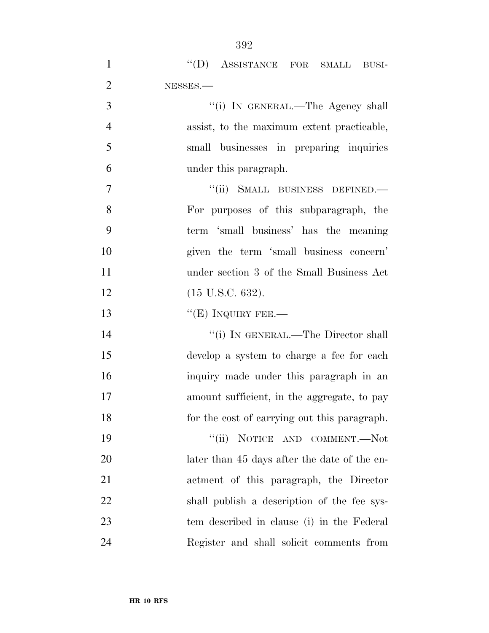| $\mathbf{1}$   | "(D) ASSISTANCE FOR SMALL BUSI-              |
|----------------|----------------------------------------------|
| $\overline{2}$ | NESSES.                                      |
| 3              | "(i) IN GENERAL.—The Agency shall            |
| $\overline{4}$ | assist, to the maximum extent practicable,   |
| 5              | small businesses in preparing inquiries      |
| 6              | under this paragraph.                        |
| $\tau$         | "(ii) SMALL BUSINESS DEFINED.-               |
| 8              | For purposes of this subparagraph, the       |
| 9              | term 'small business' has the meaning        |
| 10             | given the term 'small business concern'      |
| 11             | under section 3 of the Small Business Act    |
| 12             | $(15 \text{ U.S.C. } 632).$                  |
| 13             | " $(E)$ INQUIRY FEE.—                        |
| 14             | "(i) IN GENERAL.—The Director shall          |
| 15             | develop a system to charge a fee for each    |
| 16             | inquiry made under this paragraph in an      |
| 17             | amount sufficient, in the aggregate, to pay  |
| 18             | for the cost of carrying out this paragraph. |
| 19             | "(ii) NOTICE AND COMMENT.—Not                |
| 20             | later than 45 days after the date of the en- |
| 21             | actment of this paragraph, the Director      |
| 22             | shall publish a description of the fee sys-  |
| 23             | tem described in clause (i) in the Federal   |
| 24             | Register and shall solicit comments from     |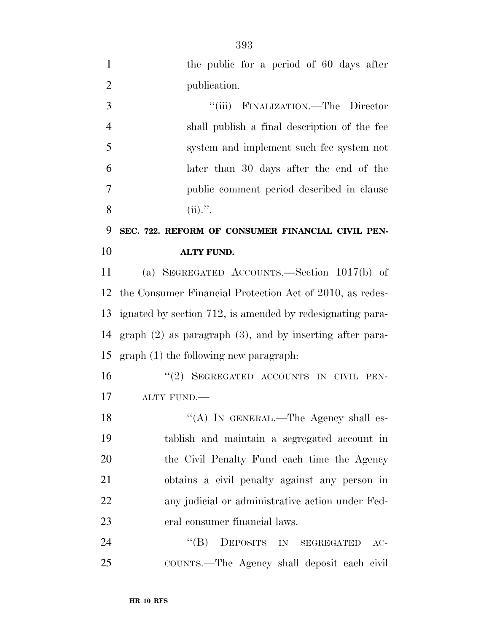| $\mathbf{1}$   | the public for a period of 60 days after                      |
|----------------|---------------------------------------------------------------|
| $\overline{2}$ | publication.                                                  |
| 3              | "(iii) FINALIZATION.—The Director                             |
| $\overline{4}$ | shall publish a final description of the fee                  |
| 5              | system and implement such fee system not                      |
| 6              | later than 30 days after the end of the                       |
| 7              | public comment period described in clause                     |
| 8              | $(ii).$ ".                                                    |
| 9              | SEC. 722. REFORM OF CONSUMER FINANCIAL CIVIL PEN-             |
| 10             | <b>ALTY FUND.</b>                                             |
| 11             | (a) SEGREGATED ACCOUNTS.—Section $1017(b)$ of                 |
| 12             | the Consumer Financial Protection Act of 2010, as redes-      |
| 13             | ignated by section 712, is amended by redesignating para-     |
| 14             | graph $(2)$ as paragraph $(3)$ , and by inserting after para- |
| 15             | graph (1) the following new paragraph.                        |
| 16             | "(2) SEGREGATED ACCOUNTS IN CIVIL PEN-                        |
| 17             | ALTY FUND.                                                    |
| 18             | "(A) IN GENERAL.—The Agency shall es-                         |
| 19             | tablish and maintain a segregated account in                  |
| 20             | the Civil Penalty Fund each time the Agency                   |
| 21             | obtains a civil penalty against any person in                 |
| 22             | any judicial or administrative action under Fed-              |
| 23             | eral consumer financial laws.                                 |
| 24             | "(B) DEPOSITS IN SEGREGATED<br>$AC-$                          |
| 25             | COUNTS.-The Agency shall deposit each civil                   |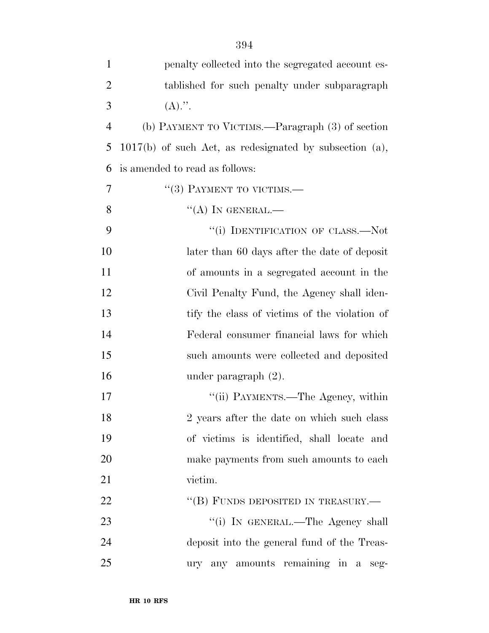| 1              | penalty collected into the segregated account es-         |
|----------------|-----------------------------------------------------------|
| $\overline{2}$ | tablished for such penalty under subparagraph             |
| 3              | $(A).$ ".                                                 |
| $\overline{4}$ | (b) PAYMENT TO VICTIMS.—Paragraph (3) of section          |
| 5              | $1017(b)$ of such Act, as redesignated by subsection (a), |
| 6              | is amended to read as follows:                            |
| 7              | $\cdot\cdot(3)$ PAYMENT TO VICTIMS.—                      |
| 8              | $\lq\lq (A)$ In GENERAL.—                                 |
| 9              | "(i) IDENTIFICATION OF CLASS.—Not                         |
| 10             | later than 60 days after the date of deposit              |
| 11             | of amounts in a segregated account in the                 |
| 12             | Civil Penalty Fund, the Agency shall iden-                |
| 13             | tify the class of victims of the violation of             |
| 14             | Federal consumer financial laws for which                 |
| 15             | such amounts were collected and deposited                 |
| 16             | under paragraph $(2)$ .                                   |
| 17             | "(ii) PAYMENTS.—The Agency, within                        |
| 18             | 2 years after the date on which such class                |
| 19             | of victims is identified, shall locate and                |
| 20             | make payments from such amounts to each                   |
| 21             | victim.                                                   |
| 22             | "(B) FUNDS DEPOSITED IN TREASURY.—                        |
| 23             | "(i) IN GENERAL.—The Agency shall                         |
| 24             | deposit into the general fund of the Treas-               |
| 25             | any amounts remaining in a<br><i>ury</i><br>$seg-$        |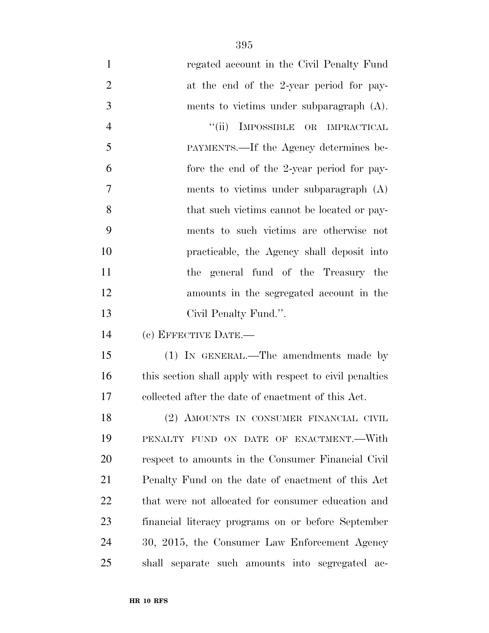| $\mathbf{1}$   | regated account in the Civil Penalty Fund                |
|----------------|----------------------------------------------------------|
| $\overline{2}$ | at the end of the 2-year period for pay-                 |
| 3              | ments to victims under subparagraph (A).                 |
| $\overline{4}$ | IMPOSSIBLE OR IMPRACTICAL<br>``(ii)                      |
| 5              | PAYMENTS.—If the Agency determines be-                   |
| 6              | fore the end of the 2-year period for pay-               |
| $\overline{7}$ | ments to victims under subparagraph (A)                  |
| 8              | that such victims cannot be located or pay-              |
| 9              | ments to such victims are otherwise not                  |
| 10             | practicable, the Agency shall deposit into               |
| 11             | the general fund of the Treasury the                     |
| 12             | amounts in the segregated account in the                 |
| 13             | Civil Penalty Fund.".                                    |
| 14             | (c) EFFECTIVE DATE.-                                     |
| 15             | (1) IN GENERAL.—The amendments made by                   |
| 16             | this section shall apply with respect to civil penalties |
| 17             | collected after the date of enactment of this Act.       |
| 18             | (2) AMOUNTS IN CONSUMER FINANCIAL CIVIL                  |
| 19             | PENALTY FUND ON DATE OF ENACTMENT.-With                  |
| 20             | respect to amounts in the Consumer Financial Civil       |
| 21             | Penalty Fund on the date of enactment of this Act        |
| 22             | that were not allocated for consumer education and       |
| 23             | financial literacy programs on or before September       |
| 24             | 30, 2015, the Consumer Law Enforcement Agency            |
| 25             | shall separate such amounts into segregated ac-          |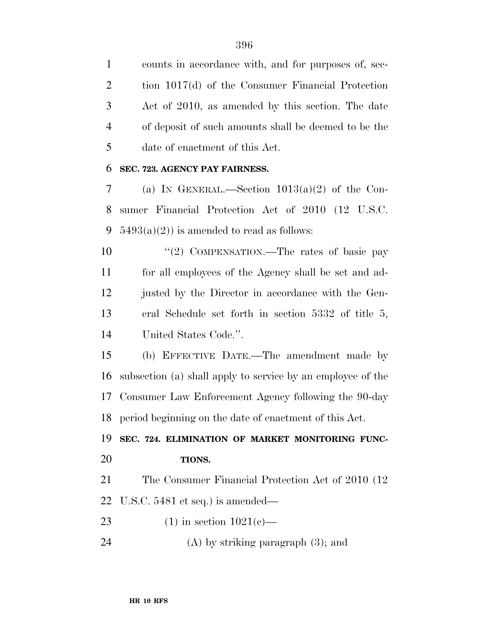counts in accordance with, and for purposes of, sec- tion 1017(d) of the Consumer Financial Protection Act of 2010, as amended by this section. The date of deposit of such amounts shall be deemed to be the date of enactment of this Act.

## **SEC. 723. AGENCY PAY FAIRNESS.**

 (a) IN GENERAL.—Section 1013(a)(2) of the Con- sumer Financial Protection Act of 2010 (12 U.S.C. 9  $5493(a)(2)$  is amended to read as follows:

10 "(2) COMPENSATION.—The rates of basic pay for all employees of the Agency shall be set and ad- justed by the Director in accordance with the Gen- eral Schedule set forth in section 5332 of title 5, United States Code.''.

 (b) EFFECTIVE DATE.—The amendment made by subsection (a) shall apply to service by an employee of the Consumer Law Enforcement Agency following the 90-day period beginning on the date of enactment of this Act.

## **SEC. 724. ELIMINATION OF MARKET MONITORING FUNC-TIONS.**

 The Consumer Financial Protection Act of 2010 (12 U.S.C. 5481 et seq.) is amended—

23 (1) in section  $1021(e)$ —

(A) by striking paragraph (3); and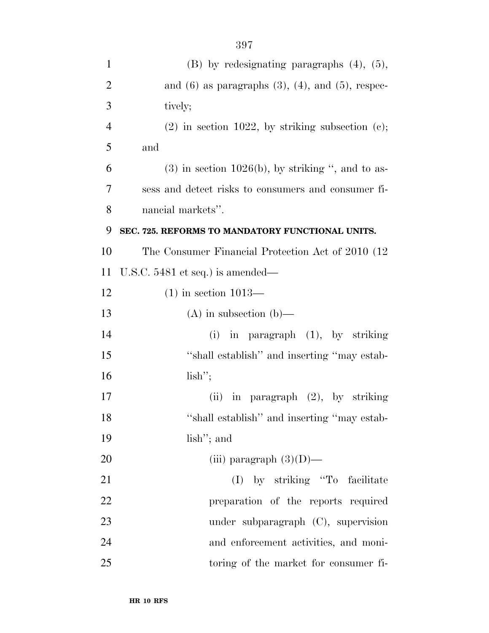| $\mathbf{1}$   | $(B)$ by redesignating paragraphs $(4)$ , $(5)$ ,           |
|----------------|-------------------------------------------------------------|
| $\overline{2}$ | and $(6)$ as paragraphs $(3)$ , $(4)$ , and $(5)$ , respec- |
| 3              | tively;                                                     |
| 4              | $(2)$ in section 1022, by striking subsection $(e)$ ;       |
| 5              | and                                                         |
| 6              | $(3)$ in section 1026(b), by striking ", and to as-         |
| 7              | sess and detect risks to consumers and consumer fi-         |
| 8              | nancial markets".                                           |
| 9              | SEC. 725. REFORMS TO MANDATORY FUNCTIONAL UNITS.            |
| 10             | The Consumer Financial Protection Act of 2010 (12           |
| 11             | U.S.C. $5481$ et seq.) is amended—                          |
| 12             | $(1)$ in section $1013$ —                                   |
| 13             | $(A)$ in subsection $(b)$ —                                 |
| 14             | $(i)$ in paragraph $(1)$ , by striking                      |
| 15             | "shall establish" and inserting "may estab-                 |
| 16             | $lish$ ";                                                   |
| 17             | in paragraph $(2)$ , by striking<br>(ii)                    |
| 18             | "shall establish" and inserting "may estab-                 |
| 19             | lish"; and                                                  |
| 20             | (iii) paragraph $(3)(D)$ —                                  |
| 21             | (I) by striking "To facilitate                              |
| 22             | preparation of the reports required                         |
| 23             | under subparagraph $(C)$ , supervision                      |
| 24             | and enforcement activities, and moni-                       |
| 25             | toring of the market for consumer fi-                       |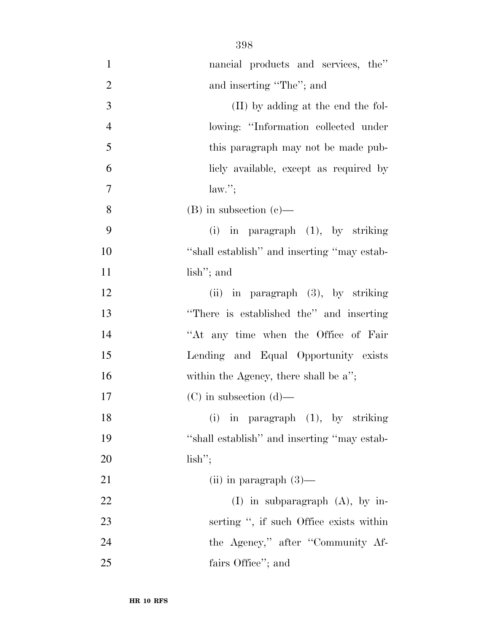| $\mathbf{1}$   | nancial products and services, the"         |
|----------------|---------------------------------------------|
| $\overline{2}$ | and inserting "The"; and                    |
| 3              | (II) by adding at the end the fol-          |
| $\overline{4}$ | lowing: "Information collected under        |
| 5              | this paragraph may not be made pub-         |
| 6              | licly available, except as required by      |
| $\overline{7}$ | $law.'$ ;                                   |
| 8              | $(B)$ in subsection $(e)$ —                 |
| 9              | (i) in paragraph $(1)$ , by striking        |
| 10             | "shall establish" and inserting "may estab- |
| 11             | lish"; and                                  |
| 12             | (ii) in paragraph $(3)$ , by striking       |
| 13             | "There is established the" and inserting    |
| 14             | "At any time when the Office of Fair        |
| 15             | Lending and Equal Opportunity exists        |
| 16             | within the Agency, there shall be $a$ ";    |
| 17             | $(C)$ in subsection $(d)$ —                 |
| 18             | in paragraph (1), by striking<br>(i)        |
| 19             | "shall establish" and inserting "may estab- |
| 20             | $lish$ ";                                   |
| 21             | (ii) in paragraph $(3)$ —                   |
| 22             | $(I)$ in subparagraph $(A)$ , by in-        |
| 23             | serting ", if such Office exists within     |
| 24             | the Agency," after "Community Af-           |
| 25             | fairs Office"; and                          |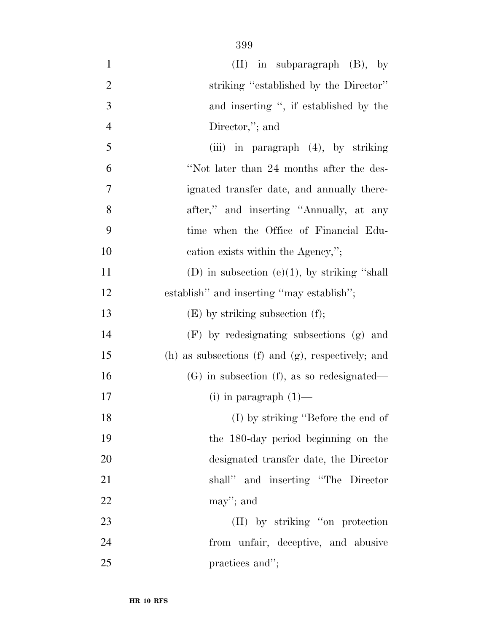| $\mathbf{1}$   | $(II)$ in subparagraph $(B)$ , by                        |
|----------------|----------------------------------------------------------|
| $\overline{2}$ | striking "established by the Director"                   |
| 3              | and inserting ", if established by the                   |
| $\overline{4}$ | Director,"; and                                          |
| 5              | (iii) in paragraph $(4)$ , by striking                   |
| 6              | "Not later than 24 months after the des-                 |
| 7              | ignated transfer date, and annually there-               |
| 8              | after," and inserting "Annually, at any                  |
| 9              | time when the Office of Financial Edu-                   |
| 10             | cation exists within the Agency,";                       |
| 11             | (D) in subsection (e)(1), by striking "shall             |
| 12             | establish" and inserting "may establish";                |
| 13             | $(E)$ by striking subsection $(f)$ ;                     |
| 14             | $(F)$ by redesignating subsections $(g)$ and             |
| 15             | $(h)$ as subsections $(f)$ and $(g)$ , respectively; and |
| 16             | $(G)$ in subsection $(f)$ , as so redesignated—          |
| 17             | $(i)$ in paragraph $(1)$ —                               |
| 18             | (I) by striking "Before the end of                       |
| 19             | the 180-day period beginning on the                      |
| 20             | designated transfer date, the Director                   |
| 21             | shall" and inserting "The Director"                      |
| 22             | may'; and                                                |
| 23             | (II) by striking "on protection                          |
| 24             | from unfair, deceptive, and abusive                      |
| 25             | practices and";                                          |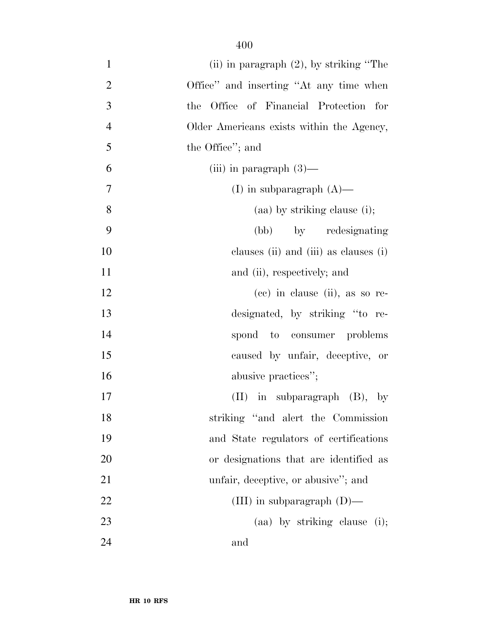| $\mathbf{1}$   | (ii) in paragraph $(2)$ , by striking "The |
|----------------|--------------------------------------------|
| $\overline{2}$ | Office" and inserting "At any time when    |
| 3              | Office of Financial Protection for<br>the  |
| $\overline{4}$ | Older Americans exists within the Agency,  |
| 5              | the Office"; and                           |
| 6              | (iii) in paragraph $(3)$ —                 |
| 7              | (I) in subparagraph $(A)$ —                |
| 8              | $(aa)$ by striking clause (i);             |
| 9              | (bb)<br>by redesignating                   |
| 10             | clauses (ii) and (iii) as clauses (i)      |
| 11             | and (ii), respectively; and                |
| 12             | $(ce)$ in clause (ii), as so re-           |
| 13             | designated, by striking "to re-            |
| 14             | spond to consumer problems                 |
| 15             | caused by unfair, deceptive, or            |
| 16             | abusive practices";                        |
| 17             | $(II)$ in subparagraph $(B)$ , by          |
| 18             | striking "and alert the Commission         |
| 19             | and State regulators of certifications     |
| 20             | or designations that are identified as     |
| 21             | unfair, deceptive, or abusive"; and        |
| 22             | (III) in subparagraph $(D)$ —              |
| 23             | (aa) by striking clause<br>(i);            |
| 24             | and                                        |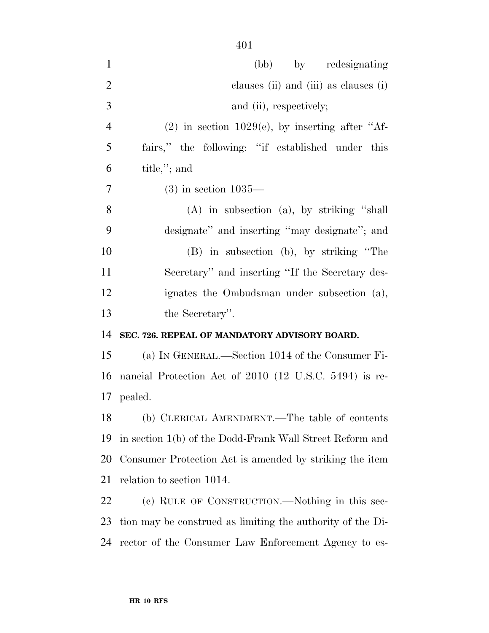| $\mathbf{1}$   | (bb) by redesignating                                  |
|----------------|--------------------------------------------------------|
| $\overline{2}$ | clauses (ii) and (iii) as clauses (i)                  |
| 3              | and (ii), respectively;                                |
| $\overline{4}$ | $(2)$ in section 1029(e), by inserting after "Af-      |
| 5              | fairs," the following: "if established under this      |
| 6              | title,"; and                                           |
| 7              | $(3)$ in section $1035-$                               |
| 8              | $(A)$ in subsection $(a)$ , by striking "shall"        |
| 9              | designate" and inserting "may designate"; and          |
| 10             | (B) in subsection (b), by striking "The                |
| 11             | Secretary" and inserting "If the Secretary des-        |
| 12             | ignates the Ombudsman under subsection (a),            |
| 13             | the Secretary".                                        |
| 14             | SEC. 726. REPEAL OF MANDATORY ADVISORY BOARD.          |
| 15             | (a) IN GENERAL.—Section 1014 of the Consumer Fi-       |
| 16             | nancial Protection Act of 2010 (12 U.S.C. 5494) is re- |

 pealed. (b) CLERICAL AMENDMENT.—The table of contents in section 1(b) of the Dodd-Frank Wall Street Reform and

 Consumer Protection Act is amended by striking the item relation to section 1014.

 (c) RULE OF CONSTRUCTION.—Nothing in this sec- tion may be construed as limiting the authority of the Di-rector of the Consumer Law Enforcement Agency to es-

**HR 10 RFS**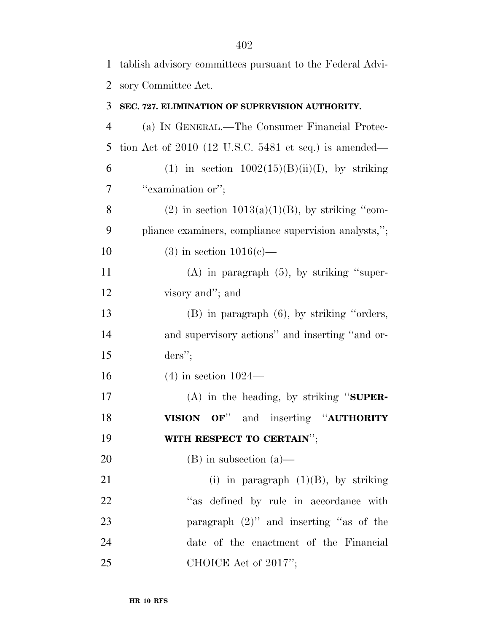| 1              | tablish advisory committees pursuant to the Federal Advi- |
|----------------|-----------------------------------------------------------|
| $\overline{2}$ | sory Committee Act.                                       |
| 3              | SEC. 727. ELIMINATION OF SUPERVISION AUTHORITY.           |
| $\overline{4}$ | (a) IN GENERAL.—The Consumer Financial Protec-            |
| 5              | tion Act of $2010$ (12 U.S.C. 5481 et seq.) is amended—   |
| 6              | (1) in section $1002(15)(B)(ii)(I)$ , by striking         |
| $\tau$         | "examination or";                                         |
| 8              | $(2)$ in section $1013(a)(1)(B)$ , by striking "com-      |
| 9              | pliance examiners, compliance supervision analysts,";     |
| 10             | $(3)$ in section $1016(e)$ —                              |
| 11             | $(A)$ in paragraph $(5)$ , by striking "super-            |
| 12             | visory and"; and                                          |
| 13             | $(B)$ in paragraph $(6)$ , by striking "orders,           |
| 14             | and supervisory actions" and inserting "and or-           |
| 15             | $ders$ ";                                                 |
| 16             | $(4)$ in section $1024-$                                  |
| 17             | $(A)$ in the heading, by striking "SUPER-                 |
| 18             | VISION OF" and inserting "AUTHORITY                       |
| 19             | WITH RESPECT TO CERTAIN";                                 |
| 20             | $(B)$ in subsection $(a)$ —                               |
| 21             | (i) in paragraph $(1)(B)$ , by striking                   |
| 22             | "as defined by rule in accordance with                    |
| 23             | paragraph $(2)$ " and inserting "as of the                |
| 24             | date of the enactment of the Financial                    |
| 25             | CHOICE Act of $2017$ ";                                   |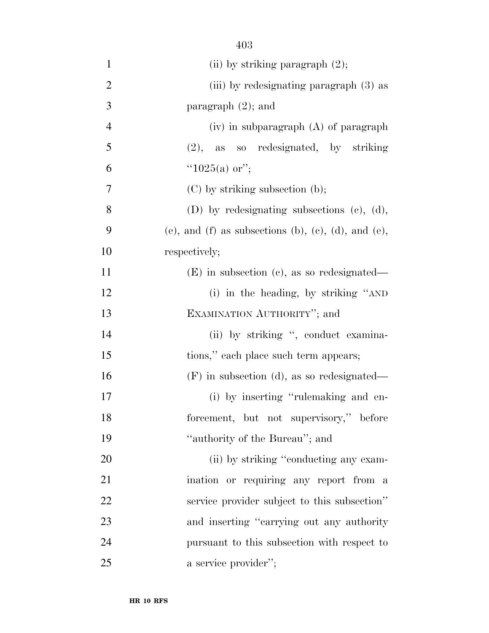| $\mathbf{1}$   | (ii) by striking paragraph $(2)$ ;                  |
|----------------|-----------------------------------------------------|
| $\overline{2}$ | (iii) by redesignating paragraph (3) as             |
| 3              | paragraph $(2)$ ; and                               |
| $\overline{4}$ | $(iv)$ in subparagraph $(A)$ of paragraph           |
| 5              | $(2)$ , as so redesignated, by striking             |
| 6              | " $1025(a)$ or";                                    |
| 7              | $(C)$ by striking subsection (b);                   |
| 8              | (D) by redesignating subsections $(e)$ , $(d)$ ,    |
| 9              | (e), and (f) as subsections (b), (c), (d), and (e), |
| 10             | respectively;                                       |
| 11             | $(E)$ in subsection (c), as so redesignated—        |
| 12             | (i) in the heading, by striking "AND                |
| 13             | EXAMINATION AUTHORITY"; and                         |
| 14             | (ii) by striking ", conduct examina-                |
| 15             | tions," each place such term appears;               |
| 16             | $(F)$ in subsection (d), as so redesignated—        |
| 17             | (i) by inserting "rulemaking and en-                |
| 18             | forcement, but not supervisory," before             |
| 19             | "authority of the Bureau"; and                      |
| 20             | (ii) by striking "conducting any exam-              |
| 21             | ination or requiring any report from a              |
| 22             | service provider subject to this subsection"        |
| 23             | and inserting "carrying out any authority           |
| 24             | pursuant to this subsection with respect to         |
| 25             | a service provider";                                |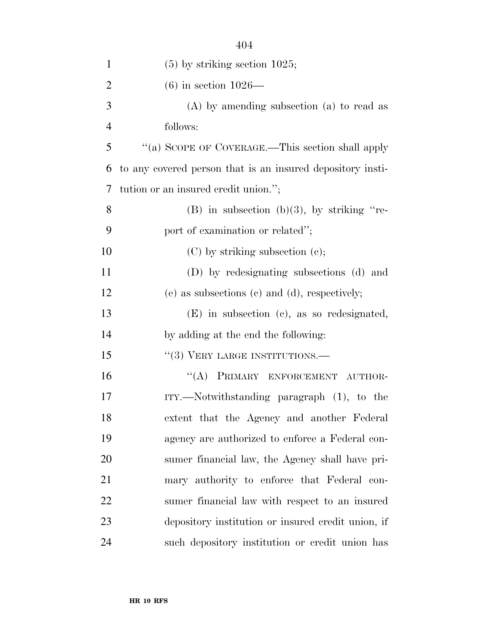| $\mathbf{1}$   | $(5)$ by striking section 1025;                            |
|----------------|------------------------------------------------------------|
| $\overline{2}$ | $(6)$ in section 1026—                                     |
| 3              | $(A)$ by amending subsection $(a)$ to read as              |
| 4              | follows:                                                   |
| 5              | "(a) SCOPE OF COVERAGE.—This section shall apply           |
| 6              | to any covered person that is an insured depository insti- |
| 7              | tution or an insured credit union.";                       |
| 8              | (B) in subsection (b)(3), by striking "re-                 |
| 9              | port of examination or related";                           |
| 10             | $(C)$ by striking subsection $(e)$ ;                       |
| 11             | (D) by redesignating subsections (d) and                   |
| 12             | (e) as subsections (c) and (d), respectively;              |
| 13             | $(E)$ in subsection (c), as so redesignated,               |
| 14             | by adding at the end the following:                        |
| 15             | $``(3)$ VERY LARGE INSTITUTIONS.—                          |
| 16             | "(A) PRIMARY ENFORCEMENT AUTHOR-                           |
| 17             | ITY.—Notwithstanding paragraph (1), to the                 |
| 18             | extent that the Agency and another Federal                 |
| 19             | agency are authorized to enforce a Federal con-            |
| 20             | sumer financial law, the Agency shall have pri-            |
| 21             | mary authority to enforce that Federal con-                |
| 22             | sumer financial law with respect to an insured             |
| 23             | depository institution or insured credit union, if         |
| 24             | such depository institution or credit union has            |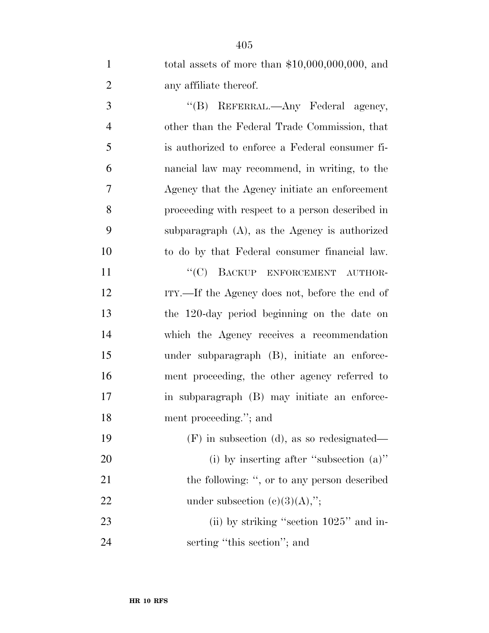| $\mathbf{1}$   | total assets of more than $$10,000,000,000,$ and |
|----------------|--------------------------------------------------|
| $\overline{2}$ | any affiliate thereof.                           |
| 3              | "(B) REFERRAL.—Any Federal agency,               |
| $\overline{4}$ | other than the Federal Trade Commission, that    |
| 5              | is authorized to enforce a Federal consumer fi-  |
| 6              | nancial law may recommend, in writing, to the    |
| 7              | Agency that the Agency initiate an enforcement   |
| 8              | proceeding with respect to a person described in |
| 9              | subparagraph $(A)$ , as the Agency is authorized |
| 10             | to do by that Federal consumer financial law.    |
| 11             | "(C) BACKUP ENFORCEMENT AUTHOR-                  |
| 12             | ITY.—If the Agency does not, before the end of   |
| 13             | the 120-day period beginning on the date on      |
| 14             | which the Agency receives a recommendation       |
| 15             | under subparagraph (B), initiate an enforce-     |
| 16             | ment proceeding, the other agency referred to    |
| 17             | in subparagraph (B) may initiate an enforce-     |
| 18             | ment proceeding."; and                           |
| 19             | $(F)$ in subsection (d), as so redesignated—     |
| 20             | (i) by inserting after "subsection $(a)$ "       |
| 21             | the following: ", or to any person described     |
| 22             | under subsection $(c)(3)(A),$ ";                 |
| 23             | (ii) by striking "section $1025$ " and in-       |
| 24             | serting "this section"; and                      |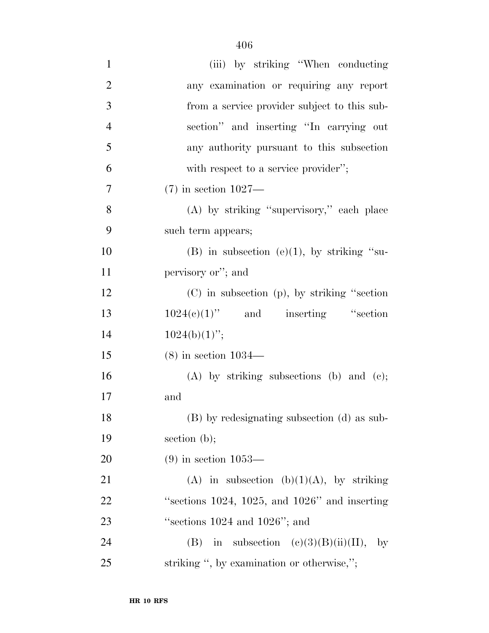| $\mathbf{1}$   | (iii) by striking "When conducting"                    |
|----------------|--------------------------------------------------------|
| $\overline{2}$ | any examination or requiring any report                |
| 3              | from a service provider subject to this sub-           |
| $\overline{4}$ | section" and inserting "In carrying out                |
| 5              | any authority pursuant to this subsection              |
| 6              | with respect to a service provider";                   |
| 7              | $(7)$ in section $1027$ —                              |
| 8              | (A) by striking "supervisory," each place              |
| 9              | such term appears;                                     |
| 10             | $(B)$ in subsection $(e)(1)$ , by striking "su-        |
| 11             | pervisory or"; and                                     |
| 12             | $(C)$ in subsection $(p)$ , by striking "section"      |
| 13             | $1024(e)(1)$ " and inserting "section                  |
| 14             | $1024(b)(1)$ ";                                        |
| 15             | $(8)$ in section $1034-$                               |
| 16             | $(A)$ by striking subsections $(b)$ and $(c)$ ;        |
| 17             | and                                                    |
| 18             | (B) by redesignating subsection (d) as sub-            |
| 19             | section $(b)$ ;                                        |
| 20             | $(9)$ in section $1053-$                               |
| 21             | (A) in subsection (b)(1)(A), by striking               |
| 22             | "sections $1024$ , $1025$ , and $1026$ " and inserting |
| 23             | "sections $1024$ and $1026$ "; and                     |
| 24             | in subsection $(c)(3)(B)(ii)(II)$ , by<br>(B)          |
| 25             | striking ", by examination or otherwise,";             |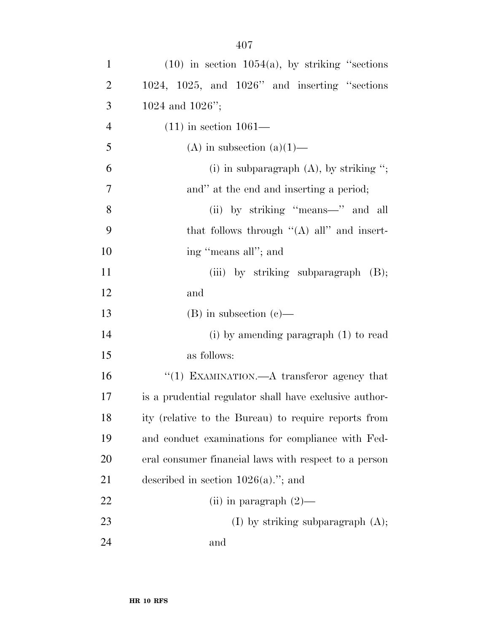| $\mathbf{1}$   | $(10)$ in section $1054(a)$ , by striking "sections"    |
|----------------|---------------------------------------------------------|
| 2              | $1024$ , $1025$ , and $1026$ " and inserting "sections" |
| 3              | 1024 and $1026$ ";                                      |
| $\overline{4}$ | $(11)$ in section $1061-$                               |
| 5              | (A) in subsection $(a)(1)$ —                            |
| 6              | (i) in subparagraph $(A)$ , by striking ";              |
| 7              | and" at the end and inserting a period;                 |
| 8              | (ii) by striking "means—" and all                       |
| 9              | that follows through " $(A)$ all" and insert-           |
| 10             | ing "means all"; and                                    |
| 11             | (iii) by striking subparagraph $(B)$ ;                  |
| 12             | and                                                     |

(B) in subsection (c)—

 (i) by amending paragraph (1) to read as follows:

16 "(1) EXAMINATION.—A transferor agency that is a prudential regulator shall have exclusive author- ity (relative to the Bureau) to require reports from and conduct examinations for compliance with Fed- eral consumer financial laws with respect to a person described in section 1026(a).''; and 22 (ii) in paragraph  $(2)$ — 23 (I) by striking subparagraph (A);

and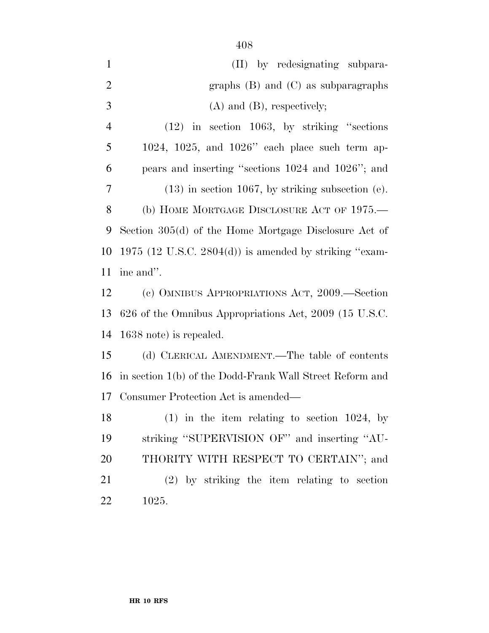| $\mathbf{1}$   | (II) by redesignating subpara-                           |
|----------------|----------------------------------------------------------|
| $\overline{2}$ | graphs $(B)$ and $(C)$ as subparagraphs                  |
| 3              | $(A)$ and $(B)$ , respectively;                          |
| $\overline{4}$ | $(12)$ in section 1063, by striking "sections"           |
| 5              | $1024$ , $1025$ , and $1026$ " each place such term ap-  |
| 6              | pears and inserting "sections 1024 and 1026"; and        |
| 7              | $(13)$ in section 1067, by striking subsection (e).      |
| 8              | (b) HOME MORTGAGE DISCLOSURE ACT OF 1975.—               |
| 9              | Section 305(d) of the Home Mortgage Disclosure Act of    |
| 10             | 1975 (12 U.S.C. 2804(d)) is amended by striking "exam-   |
| 11             | ine and".                                                |
| 12             | (c) OMNIBUS APPROPRIATIONS ACT, 2009.—Section            |
| 13             | 626 of the Omnibus Appropriations Act, 2009 (15 U.S.C.   |
| 14             | 1638 note) is repealed.                                  |
| 15             | (d) CLERICAL AMENDMENT.—The table of contents            |
| 16             | in section 1(b) of the Dodd-Frank Wall Street Reform and |
| 17             | Consumer Protection Act is amended—                      |
| 18             | $(1)$ in the item relating to section 1024, by           |
| 19             | striking "SUPERVISION OF" and inserting "AU-             |
| 20             | THORITY WITH RESPECT TO CERTAIN"; and                    |
| 21             | $(2)$ by striking the item relating to section           |
| 22             | 1025.                                                    |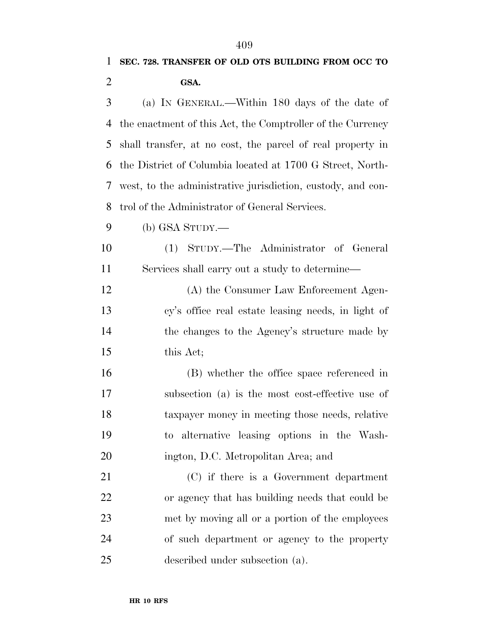# **SEC. 728. TRANSFER OF OLD OTS BUILDING FROM OCC TO GSA.**  (a) IN GENERAL.—Within 180 days of the date of the enactment of this Act, the Comptroller of the Currency

 shall transfer, at no cost, the parcel of real property in the District of Columbia located at 1700 G Street, North- west, to the administrative jurisdiction, custody, and con-trol of the Administrator of General Services.

(b) GSA STUDY.—

 (1) STUDY.—The Administrator of General Services shall carry out a study to determine—

 (A) the Consumer Law Enforcement Agen- cy's office real estate leasing needs, in light of 14 the changes to the Agency's structure made by this Act;

 (B) whether the office space referenced in subsection (a) is the most cost-effective use of taxpayer money in meeting those needs, relative to alternative leasing options in the Wash-ington, D.C. Metropolitan Area; and

 (C) if there is a Government department or agency that has building needs that could be met by moving all or a portion of the employees of such department or agency to the property described under subsection (a).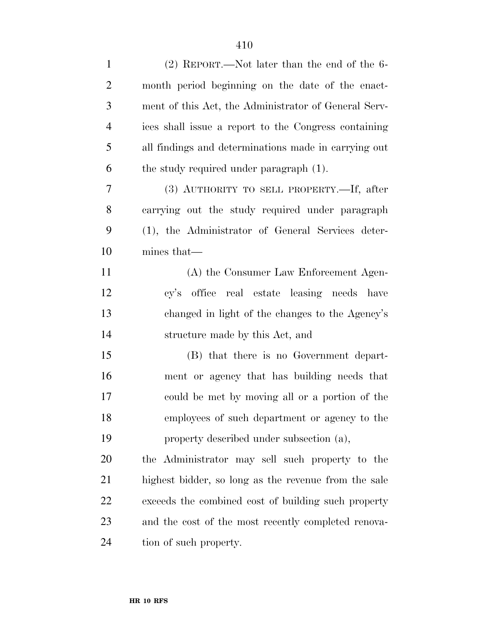| $\mathbf{1}$   | $(2)$ REPORT.—Not later than the end of the 6-       |
|----------------|------------------------------------------------------|
| $\overline{2}$ | month period beginning on the date of the enact-     |
| 3              | ment of this Act, the Administrator of General Serv- |
| $\overline{4}$ | ices shall issue a report to the Congress containing |
| 5              | all findings and determinations made in carrying out |
| 6              | the study required under paragraph (1).              |
| 7              | (3) AUTHORITY TO SELL PROPERTY.—If, after            |
| 8              | carrying out the study required under paragraph      |
| 9              | (1), the Administrator of General Services deter-    |
| 10             | mines that—                                          |
| 11             | (A) the Consumer Law Enforcement Agen-               |
| 12             | cy's office real estate leasing needs have           |
| 13             | changed in light of the changes to the Agency's      |
| 14             | structure made by this Act, and                      |
| 15             | (B) that there is no Government depart-              |
| 16             | ment or agency that has building needs that          |
| 17             | could be met by moving all or a portion of the       |
| 18             | employees of such department or agency to the        |
| 19             | property described under subsection (a),             |
| 20             | the Administrator may sell such property to the      |
| 21             | highest bidder, so long as the revenue from the sale |
| 22             | exceeds the combined cost of building such property  |
| 23             | and the cost of the most recently completed renova-  |
| 24             | tion of such property.                               |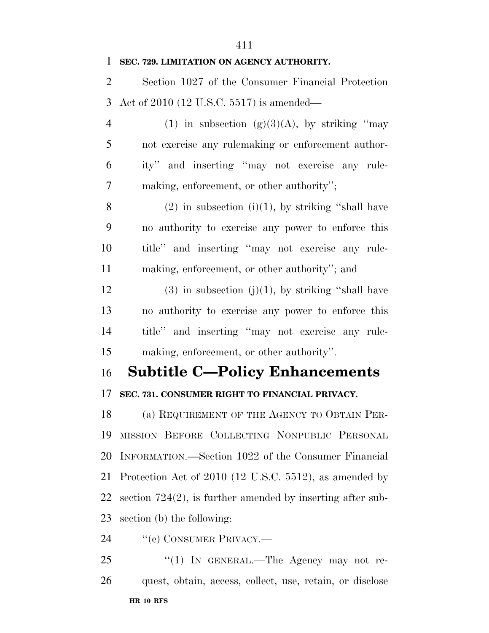#### **SEC. 729. LIMITATION ON AGENCY AUTHORITY.**

 Section 1027 of the Consumer Financial Protection Act of 2010 (12 U.S.C. 5517) is amended—

4 (1) in subsection  $(g)(3)(A)$ , by striking "may" not exercise any rulemaking or enforcement author- ity'' and inserting ''may not exercise any rule-making, enforcement, or other authority'';

8 (2) in subsection (i)(1), by striking "shall have no authority to exercise any power to enforce this title'' and inserting ''may not exercise any rule-making, enforcement, or other authority''; and

12 (3) in subsection (j)(1), by striking "shall have no authority to exercise any power to enforce this title'' and inserting ''may not exercise any rule-making, enforcement, or other authority''.

### **Subtitle C—Policy Enhancements**

#### **SEC. 731. CONSUMER RIGHT TO FINANCIAL PRIVACY.**

18 (a) REQUIREMENT OF THE AGENCY TO OBTAIN PER- MISSION BEFORE COLLECTING NONPUBLIC PERSONAL INFORMATION.—Section 1022 of the Consumer Financial Protection Act of 2010 (12 U.S.C. 5512), as amended by section 724(2), is further amended by inserting after sub-section (b) the following:

24 "(c) CONSUMER PRIVACY.—

**HR 10 RFS** 25 "(1) In GENERAL.—The Agency may not re-quest, obtain, access, collect, use, retain, or disclose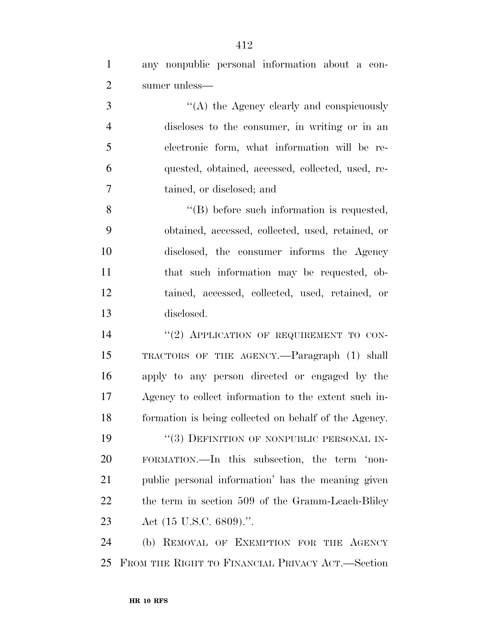any nonpublic personal information about a con-sumer unless—

 ''(A) the Agency clearly and conspicuously discloses to the consumer, in writing or in an electronic form, what information will be re- quested, obtained, accessed, collected, used, re-tained, or disclosed; and

 ''(B) before such information is requested, obtained, accessed, collected, used, retained, or disclosed, the consumer informs the Agency that such information may be requested, ob- tained, accessed, collected, used, retained, or disclosed.

14 "(2) APPLICATION OF REQUIREMENT TO CON- TRACTORS OF THE AGENCY.—Paragraph (1) shall apply to any person directed or engaged by the Agency to collect information to the extent such in- formation is being collected on behalf of the Agency. 19 "(3) DEFINITION OF NONPUBLIC PERSONAL IN- FORMATION.—In this subsection, the term 'non- public personal information' has the meaning given 22 the term in section 509 of the Gramm-Leach-Bliley Act (15 U.S.C. 6809).''.

 (b) REMOVAL OF EXEMPTION FOR THE AGENCY FROM THE RIGHT TO FINANCIAL PRIVACY ACT.—Section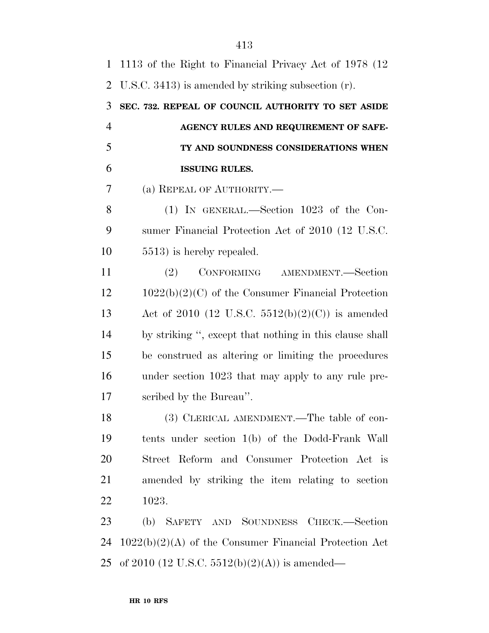| $\mathbf{1}$   | 1113 of the Right to Financial Privacy Act of 1978 (12)  |
|----------------|----------------------------------------------------------|
| $\overline{2}$ | U.S.C. 3413) is amended by striking subsection $(r)$ .   |
| 3              | SEC. 732. REPEAL OF COUNCIL AUTHORITY TO SET ASIDE       |
| $\overline{4}$ | AGENCY RULES AND REQUIREMENT OF SAFE-                    |
| 5              | TY AND SOUNDNESS CONSIDERATIONS WHEN                     |
| 6              | <b>ISSUING RULES.</b>                                    |
| 7              | (a) REPEAL OF AUTHORITY.                                 |
| 8              | $(1)$ IN GENERAL.—Section 1023 of the Con-               |
| 9              | sumer Financial Protection Act of 2010 (12 U.S.C.        |
| 10             | 5513) is hereby repealed.                                |
| 11             | CONFORMING AMENDMENT.-Section<br>(2)                     |
| 12             | $1022(b)(2)(C)$ of the Consumer Financial Protection     |
| 13             | Act of 2010 (12 U.S.C. 5512(b)(2)(C)) is amended         |
| 14             | by striking ", except that nothing in this clause shall  |
| 15             | be construed as altering or limiting the procedures      |
| 16             | under section 1023 that may apply to any rule pre-       |
| 17             | scribed by the Bureau".                                  |
| 18             | $(3)$ CLERICAL AMENDMENT.—The table of con-              |
| 19             | tents under section 1(b) of the Dodd-Frank Wall          |
| 20             | Street Reform and Consumer Protection Act is             |
| 21             | amended by striking the item relating to section         |
| 22             | 1023.                                                    |
| 23             | (b) SAFETY AND SOUNDNESS CHECK.—Section                  |
| 24             | $1022(b)(2)(A)$ of the Consumer Financial Protection Act |
| 25             | of 2010 (12 U.S.C. 5512(b)(2)(A)) is amended—            |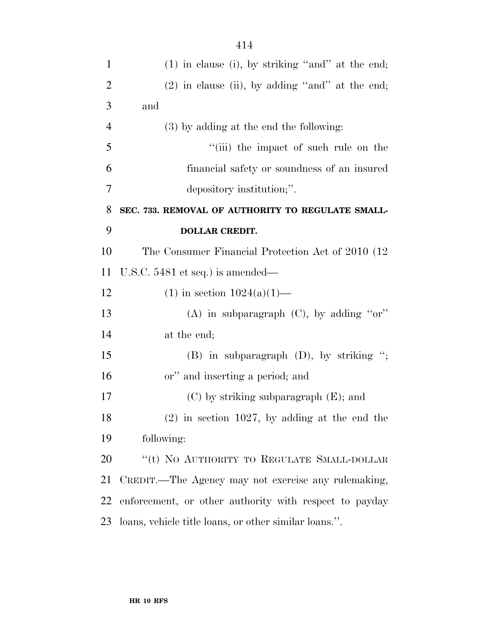| $\mathbf{1}$   | $(1)$ in clause (i), by striking "and" at the end;     |
|----------------|--------------------------------------------------------|
| $\overline{2}$ | $(2)$ in clause (ii), by adding "and" at the end;      |
| 3              | and                                                    |
| $\overline{4}$ | $(3)$ by adding at the end the following:              |
|                |                                                        |
| 5              | "(iii) the impact of such rule on the                  |
| 6              | financial safety or soundness of an insured            |
| 7              | depository institution;".                              |
| 8              | SEC. 733. REMOVAL OF AUTHORITY TO REGULATE SMALL-      |
| 9              | <b>DOLLAR CREDIT.</b>                                  |
| 10             | The Consumer Financial Protection Act of 2010 (12)     |
| 11             | U.S.C. $5481$ et seq.) is amended—                     |
| 12             | $(1)$ in section $1024(a)(1)$ —                        |
| 13             | $(A)$ in subparagraph $(C)$ , by adding "or"           |
| 14             | at the end;                                            |
| 15             | $(B)$ in subparagraph $(D)$ , by striking ";           |
| 16             | or" and inserting a period; and                        |
| 17             | $(C)$ by striking subparagraph $(E)$ ; and             |
| 18             | $(2)$ in section 1027, by adding at the end the        |
| 19             | following:                                             |
| 20             | "(t) NO AUTHORITY TO REGULATE SMALL-DOLLAR             |
| 21             | CREDIT.—The Agency may not exercise any rulemaking,    |
| 22             | enforcement, or other authority with respect to payday |
| 23             | loans, vehicle title loans, or other similar loans.".  |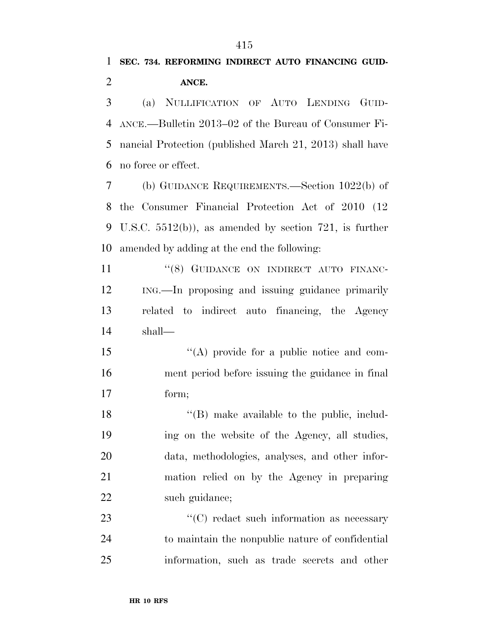## **SEC. 734. REFORMING INDIRECT AUTO FINANCING GUID-ANCE.**

 (a) NULLIFICATION OF AUTO LENDING GUID- ANCE.—Bulletin 2013–02 of the Bureau of Consumer Fi- nancial Protection (published March 21, 2013) shall have no force or effect.

 (b) GUIDANCE REQUIREMENTS.—Section 1022(b) of the Consumer Financial Protection Act of 2010 (12 U.S.C. 5512(b)), as amended by section 721, is further amended by adding at the end the following:

11 "(8) GUIDANCE ON INDIRECT AUTO FINANC- ING.—In proposing and issuing guidance primarily related to indirect auto financing, the Agency shall—

 ''(A) provide for a public notice and com- ment period before issuing the guidance in final form;

18 ''(B) make available to the public, includ- ing on the website of the Agency, all studies, data, methodologies, analyses, and other infor- mation relied on by the Agency in preparing 22 such guidance;

23 "'(C) redact such information as necessary to maintain the nonpublic nature of confidential information, such as trade secrets and other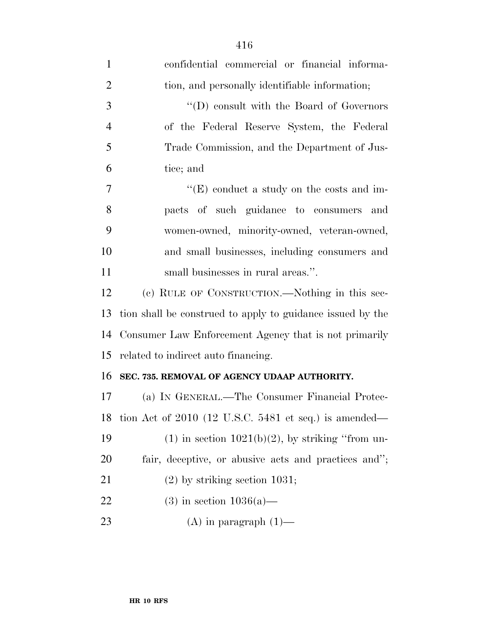| $\mathbf{1}$   | confidential commercial or financial informa-              |
|----------------|------------------------------------------------------------|
| $\overline{2}$ | tion, and personally identifiable information;             |
| 3              | $\lq\lq$ (D) consult with the Board of Governors           |
| $\overline{4}$ | of the Federal Reserve System, the Federal                 |
| 5              | Trade Commission, and the Department of Jus-               |
| 6              | tice; and                                                  |
| 7              | "(E) conduct a study on the costs and im-                  |
| 8              | pacts of such guidance to consumers<br>and                 |
| 9              | women-owned, minority-owned, veteran-owned,                |
| 10             | and small businesses, including consumers and              |
| 11             | small businesses in rural areas.".                         |
| 12             | (c) RULE OF CONSTRUCTION.—Nothing in this sec-             |
| 13             | tion shall be construed to apply to guidance issued by the |
| 14             | Consumer Law Enforcement Agency that is not primarily      |
| 15             | related to indirect auto financing.                        |
| 16             | SEC. 735. REMOVAL OF AGENCY UDAAP AUTHORITY.               |
| 17             | (a) IN GENERAL.—The Consumer Financial Protec-             |
| 18             | tion Act of $2010$ (12 U.S.C. 5481 et seq.) is amended—    |
| 19             | $(1)$ in section $1021(b)(2)$ , by striking "from un-      |
| 20             | fair, deceptive, or abusive acts and practices and";       |
| 21             | $(2)$ by striking section 1031;                            |
| 22             | $(3)$ in section $1036(a)$ —                               |
| 23             | $(A)$ in paragraph $(1)$ —                                 |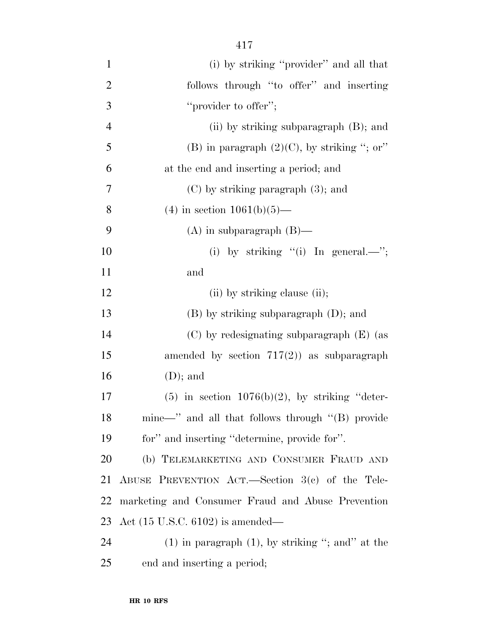| $\mathbf{1}$   | (i) by striking "provider" and all that               |
|----------------|-------------------------------------------------------|
| $\overline{2}$ | follows through "to offer" and inserting              |
| 3              | "provider to offer";                                  |
| $\overline{4}$ | (ii) by striking subparagraph (B); and                |
| 5              | (B) in paragraph $(2)(C)$ , by striking "; or"        |
| 6              | at the end and inserting a period; and                |
| 7              | $(C)$ by striking paragraph $(3)$ ; and               |
| 8              | $(4)$ in section 1061(b)(5)—                          |
| 9              | $(A)$ in subparagraph $(B)$ —                         |
| 10             | (i) by striking "(i) In general.—";                   |
| 11             | and                                                   |
| 12             | (ii) by striking clause (ii);                         |
| 13             | $(B)$ by striking subparagraph $(D)$ ; and            |
| 14             | $(C)$ by redesignating subparagraph $(E)$ (as         |
| 15             | amended by section $717(2)$ as subparagraph           |
| 16             | $(D)$ ; and                                           |
| 17             | $(5)$ in section $1076(b)(2)$ , by striking "deter-   |
| 18             | mine—" and all that follows through "(B) provide      |
| 19             | for" and inserting "determine, provide for".          |
| 20             | (b) TELEMARKETING AND CONSUMER FRAUD AND              |
| 21             | ABUSE PREVENTION ACT.—Section $3(e)$ of the Tele-     |
| 22             | marketing and Consumer Fraud and Abuse Prevention     |
| 23             | Act $(15 \text{ U.S.C. } 6102)$ is amended—           |
| 24             | $(1)$ in paragraph $(1)$ , by striking "; and" at the |
| 25             | end and inserting a period;                           |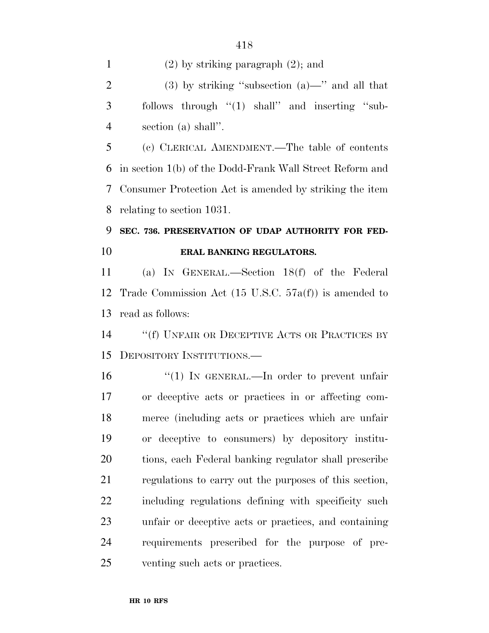(2) by striking paragraph (2); and

2 (3) by striking "subsection  $(a)$ —" and all that follows through ''(1) shall'' and inserting ''sub-section (a) shall''.

 (c) CLERICAL AMENDMENT.—The table of contents in section 1(b) of the Dodd-Frank Wall Street Reform and Consumer Protection Act is amended by striking the item relating to section 1031.

### **SEC. 736. PRESERVATION OF UDAP AUTHORITY FOR FED-ERAL BANKING REGULATORS.**

 (a) IN GENERAL.—Section 18(f) of the Federal Trade Commission Act (15 U.S.C. 57a(f)) is amended to read as follows:

 ''(f) UNFAIR OR DECEPTIVE ACTS OR PRACTICES BY DEPOSITORY INSTITUTIONS.—

16 "(1) IN GENERAL.—In order to prevent unfair or deceptive acts or practices in or affecting com- merce (including acts or practices which are unfair or deceptive to consumers) by depository institu- tions, each Federal banking regulator shall prescribe regulations to carry out the purposes of this section, including regulations defining with specificity such unfair or deceptive acts or practices, and containing requirements prescribed for the purpose of pre-venting such acts or practices.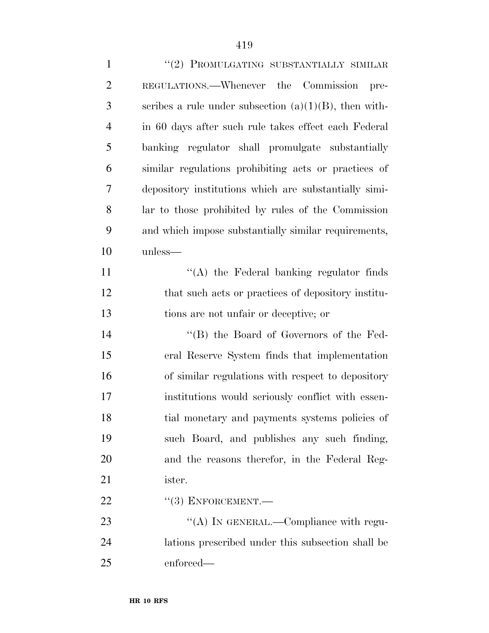| $\mathbf{1}$   | $``(2)$ PROMULGATING SUBSTANTIALLY SIMILAR               |
|----------------|----------------------------------------------------------|
| $\overline{2}$ | REGULATIONS.—Whenever the Commission<br>pre-             |
| 3              | scribes a rule under subsection $(a)(1)(B)$ , then with- |
| $\overline{4}$ | in 60 days after such rule takes effect each Federal     |
| 5              | banking regulator shall promulgate substantially         |
| 6              | similar regulations prohibiting acts or practices of     |
| 7              | depository institutions which are substantially simi-    |
| 8              | lar to those prohibited by rules of the Commission       |
| 9              | and which impose substantially similar requirements,     |
| 10             | unless—                                                  |
| 11             | "(A) the Federal banking regulator finds                 |
| 12             | that such acts or practices of depository institu-       |
| 13             | tions are not unfair or deceptive; or                    |
| 14             | "(B) the Board of Governors of the Fed-                  |
| 15             | eral Reserve System finds that implementation            |
| 16             | of similar regulations with respect to depository        |
| 17             | institutions would seriously conflict with essen-        |
| 18             | tial monetary and payments systems policies of           |
| 19             | such Board, and publishes any such finding,              |
| 20             | and the reasons therefor, in the Federal Reg-            |
| 21             | ister.                                                   |
| 22             | $``(3)$ ENFORCEMENT.—                                    |
| 23             | "(A) IN GENERAL.—Compliance with regu-                   |
| 24             | lations prescribed under this subsection shall be        |
| 25             | enforced—                                                |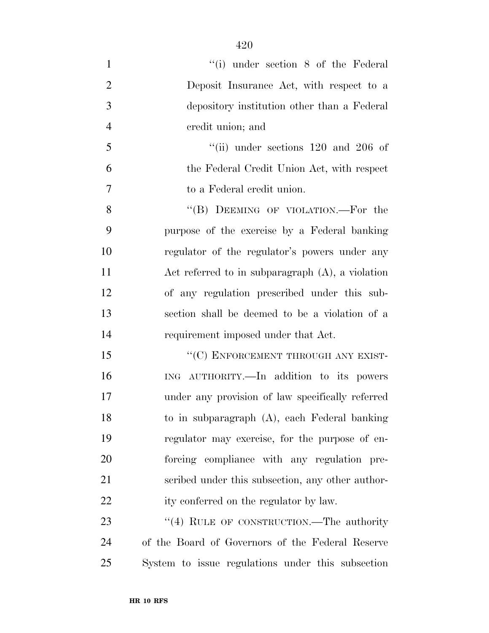| $\mathbf{1}$   | "(i) under section 8 of the Federal"                |
|----------------|-----------------------------------------------------|
| $\overline{2}$ | Deposit Insurance Act, with respect to a            |
| 3              | depository institution other than a Federal         |
| $\overline{4}$ | credit union; and                                   |
| 5              | "(ii) under sections $120$ and $206$ of             |
| 6              | the Federal Credit Union Act, with respect          |
| 7              | to a Federal credit union.                          |
| 8              | "(B) DEEMING OF VIOLATION.—For the                  |
| 9              | purpose of the exercise by a Federal banking        |
| 10             | regulator of the regulator's powers under any       |
| 11             | Act referred to in subparagraph $(A)$ , a violation |
| 12             | of any regulation prescribed under this sub-        |
| 13             | section shall be deemed to be a violation of a      |
| 14             | requirement imposed under that Act.                 |
| 15             | "(C) ENFORCEMENT THROUGH ANY EXIST-                 |
| 16             | ING AUTHORITY.—In addition to its powers            |
| 17             | under any provision of law specifically referred    |
| 18             | to in subparagraph (A), each Federal banking        |
| 19             | regulator may exercise, for the purpose of en-      |
| 20             | forcing compliance with any regulation pre-         |
| 21             | scribed under this subsection, any other author-    |
| 22             | ity conferred on the regulator by law.              |
| 23             | "(4) RULE OF CONSTRUCTION.—The authority            |
| 24             | of the Board of Governors of the Federal Reserve    |
| 25             | System to issue regulations under this subsection   |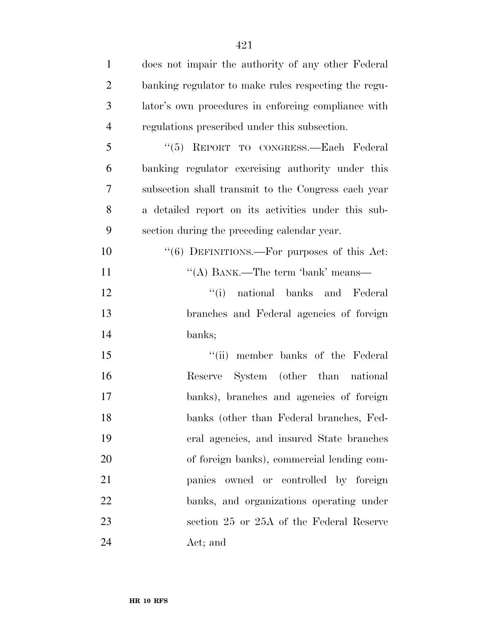| $\mathbf{1}$   | does not impair the authority of any other Federal   |
|----------------|------------------------------------------------------|
| $\overline{2}$ | banking regulator to make rules respecting the regu- |
| 3              | lator's own procedures in enforcing compliance with  |
| $\overline{4}$ | regulations prescribed under this subsection.        |
| 5              | "(5) REPORT TO CONGRESS.-Each Federal                |
| 6              | banking regulator exercising authority under this    |
| 7              | subsection shall transmit to the Congress each year  |
| 8              | a detailed report on its activities under this sub-  |
| 9              | section during the preceding calendar year.          |
| 10             | "(6) DEFINITIONS.—For purposes of this Act:          |
| 11             | "(A) BANK.—The term 'bank' means—                    |
| 12             | "(i) national banks and Federal                      |
| 13             | branches and Federal agencies of foreign             |
| 14             | banks;                                               |
| 15             | "(ii) member banks of the Federal                    |
| 16             | Reserve System (other than national                  |
| 17             | banks), branches and agencies of foreign             |
| 18             | banks (other than Federal branches, Fed-             |
| 19             | eral agencies, and insured State branches            |
| 20             | of foreign banks), commercial lending com-           |
| 21             | owned or controlled by foreign<br>panies             |
| 22             | banks, and organizations operating under             |
| 23             | section 25 or 25A of the Federal Reserve             |
| 24             | Act; and                                             |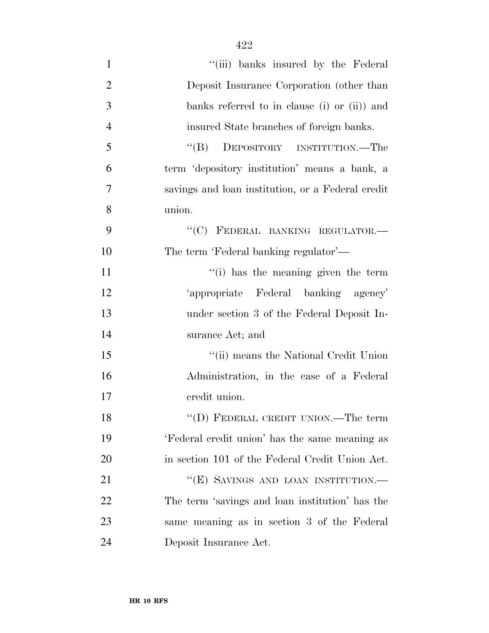| $\mathbf{1}$   | "(iii) banks insured by the Federal               |
|----------------|---------------------------------------------------|
| $\overline{2}$ | Deposit Insurance Corporation (other than         |
| 3              | banks referred to in clause (i) or (ii)) and      |
| $\overline{4}$ | insured State branches of foreign banks.          |
| 5              | "(B) DEPOSITORY INSTITUTION.—The                  |
| 6              | term 'depository institution' means a bank, a     |
| 7              | savings and loan institution, or a Federal credit |
| 8              | union.                                            |
| 9              | "(C) FEDERAL BANKING REGULATOR.-                  |
| 10             | The term 'Federal banking regulator'—             |
| 11             | "(i) has the meaning given the term               |
| 12             | 'appropriate Federal banking agency'              |
| 13             | under section 3 of the Federal Deposit In-        |
| 14             | surance Act; and                                  |
| 15             | "(ii) means the National Credit Union             |
| 16             | Administration, in the case of a Federal          |
| 17             | credit union.                                     |
| 18             | "(D) FEDERAL CREDIT UNION.—The term               |
| 19             | 'Federal credit union' has the same meaning as    |
| 20             | in section 101 of the Federal Credit Union Act.   |
| 21             | "(E) SAVINGS AND LOAN INSTITUTION.—               |
| 22             | The term 'savings and loan institution' has the   |
| 23             | same meaning as in section 3 of the Federal       |
| 24             | Deposit Insurance Act.                            |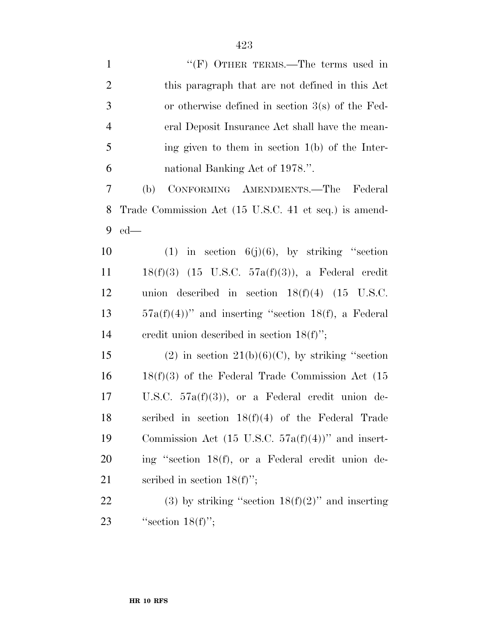1 "'(F) OTHER TERMS.—The terms used in this paragraph that are not defined in this Act or otherwise defined in section 3(s) of the Fed- eral Deposit Insurance Act shall have the mean- ing given to them in section 1(b) of the Inter- national Banking Act of 1978.''. (b) CONFORMING AMENDMENTS.—The Federal Trade Commission Act (15 U.S.C. 41 et seq.) is amend- ed— 10 (1) in section  $6(j)(6)$ , by striking "section 18(f)(3) (15 U.S.C. 57a(f)(3)), a Federal credit union described in section 18(f)(4) (15 U.S.C.  $57a(f)(4)$ " and inserting "section 18(f), a Federal credit union described in section 18(f)''; 15 (2) in section  $21(b)(6)(C)$ , by striking "section 18(f)(3) of the Federal Trade Commission Act (15

 U.S.C. 57a(f)(3)), or a Federal credit union de- scribed in section 18(f)(4) of the Federal Trade 19 Commission Act  $(15 \text{ U.S.C. } 57a(f)(4))$ " and insert- ing ''section 18(f), or a Federal credit union de-21 scribed in section  $18(f)$ ";

22 (3) by striking "section  $18(f)(2)$ " and inserting 23  $"section 18(f)";$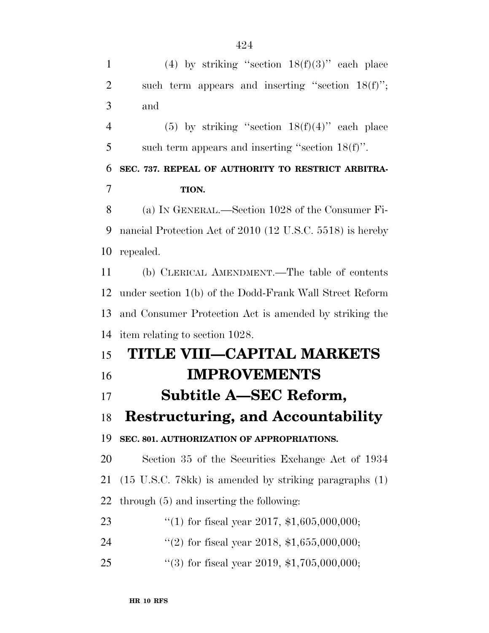1 (4) by striking "section  $18(f)(3)$ " each place 2 such term appears and inserting "section 18(f)"; and 4 (5) by striking "section  $18(f)(4)$ " each place such term appears and inserting ''section 18(f)''. **SEC. 737. REPEAL OF AUTHORITY TO RESTRICT ARBITRA- TION.**  (a) IN GENERAL.—Section 1028 of the Consumer Fi- nancial Protection Act of 2010 (12 U.S.C. 5518) is hereby repealed. (b) CLERICAL AMENDMENT.—The table of contents under section 1(b) of the Dodd-Frank Wall Street Reform and Consumer Protection Act is amended by striking the item relating to section 1028. **TITLE VIII—CAPITAL MARKETS IMPROVEMENTS Subtitle A—SEC Reform, Restructuring, and Accountability SEC. 801. AUTHORIZATION OF APPROPRIATIONS.**  Section 35 of the Securities Exchange Act of 1934 (15 U.S.C. 78kk) is amended by striking paragraphs (1) through (5) and inserting the following: ''(1) for fiscal year 2017, \$1,605,000,000; 24 ''(2) for fiscal year 2018, \$1,655,000,000; ''(3) for fiscal year 2019, \$1,705,000,000;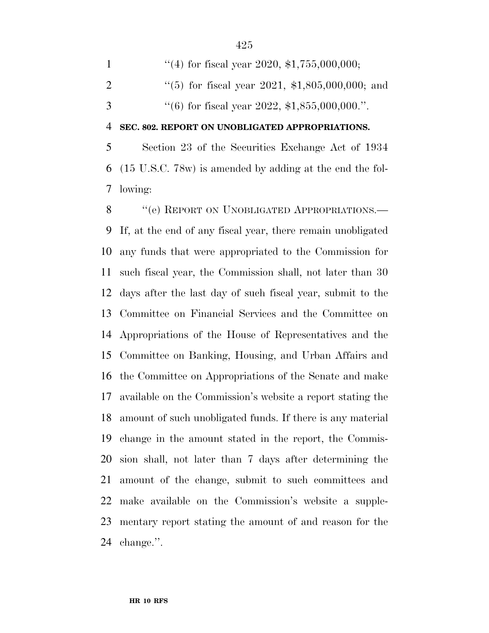|               | "(4) for fiscal year 2020, \$1,755,000,000;     |
|---------------|-------------------------------------------------|
| $\mathcal{D}$ | "(5) for fiscal year 2021, \$1,805,000,000; and |
| $\mathcal{R}$ | "(6) for fiscal year 2022, \$1,855,000,000.".   |

#### **SEC. 802. REPORT ON UNOBLIGATED APPROPRIATIONS.**

 Section 23 of the Securities Exchange Act of 1934 (15 U.S.C. 78w) is amended by adding at the end the fol-lowing:

8 "(e) REPORT ON UNOBLIGATED APPROPRIATIONS.— If, at the end of any fiscal year, there remain unobligated any funds that were appropriated to the Commission for such fiscal year, the Commission shall, not later than 30 days after the last day of such fiscal year, submit to the Committee on Financial Services and the Committee on Appropriations of the House of Representatives and the Committee on Banking, Housing, and Urban Affairs and the Committee on Appropriations of the Senate and make available on the Commission's website a report stating the amount of such unobligated funds. If there is any material change in the amount stated in the report, the Commis- sion shall, not later than 7 days after determining the amount of the change, submit to such committees and make available on the Commission's website a supple- mentary report stating the amount of and reason for the change.''.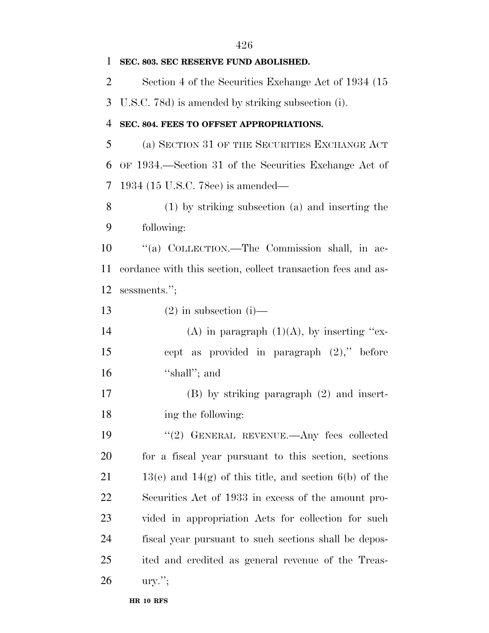| 1              | SEC. 803. SEC RESERVE FUND ABOLISHED.                        |
|----------------|--------------------------------------------------------------|
| $\overline{2}$ | Section 4 of the Securities Exchange Act of 1934 (15)        |
| 3              | U.S.C. 78d) is amended by striking subsection (i).           |
| 4              | SEC. 804. FEES TO OFFSET APPROPRIATIONS.                     |
| 5              | (a) SECTION 31 OF THE SECURITIES EXCHANGE ACT                |
| 6              | OF 1934.—Section 31 of the Securities Exchange Act of        |
| 7              | $1934$ (15 U.S.C. 78ee) is amended—                          |
| 8              | (1) by striking subsection (a) and inserting the             |
| 9              | following:                                                   |
| 10             | "(a) COLLECTION.—The Commission shall, in ac-                |
| 11             | cordance with this section, collect transaction fees and as- |
| 12             | sessments.";                                                 |
| 13             | $(2)$ in subsection $(i)$ —                                  |
| 14             | (A) in paragraph $(1)(A)$ , by inserting "ex-                |
| 15             | cept as provided in paragraph $(2)$ ," before                |
| 16             | "shall"; and                                                 |
| 17             | $(B)$ by striking paragraph $(2)$ and insert-                |
| 18             | ing the following:                                           |
| 19             | "(2) GENERAL REVENUE.—Any fees collected                     |
| 20             | for a fiscal year pursuant to this section, sections         |
| 21             | $13(e)$ and $14(g)$ of this title, and section 6(b) of the   |
| 22             | Securities Act of 1933 in excess of the amount pro-          |
| 23             | vided in appropriation Acts for collection for such          |
| 24             | fiscal year pursuant to such sections shall be depos-        |
| 25             | ited and credited as general revenue of the Treas-           |
| 26             | $\text{ury.}$ ";                                             |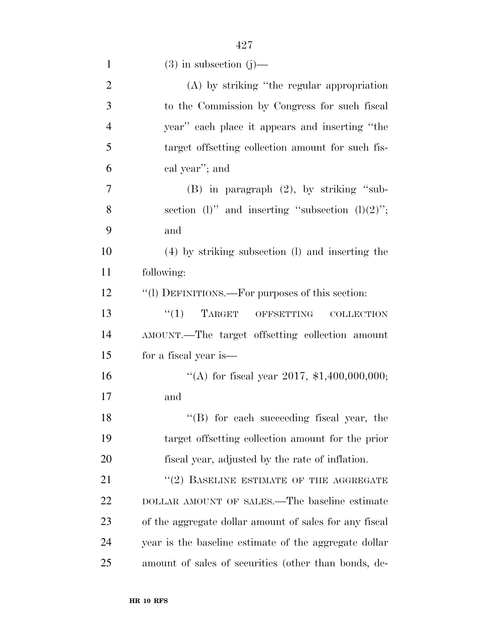| $\mathbf{1}$   | $(3)$ in subsection $(j)$ —                                       |
|----------------|-------------------------------------------------------------------|
| $\overline{2}$ | (A) by striking "the regular appropriation                        |
| 3              | to the Commission by Congress for such fiscal                     |
| $\overline{4}$ | year" each place it appears and inserting "the                    |
| 5              | target offsetting collection amount for such fis-                 |
| 6              | cal year"; and                                                    |
| $\overline{7}$ | $(B)$ in paragraph $(2)$ , by striking "sub-                      |
| 8              | section (1)" and inserting "subsection $(l)(2)$ ";                |
| 9              | and                                                               |
| 10             | (4) by striking subsection (1) and inserting the                  |
| 11             | following:                                                        |
| 12             | "(1) DEFINITIONS.—For purposes of this section:                   |
| 13             | <b>TARGET</b><br>``(1)<br>${\rm OFFSETTING}$<br><b>COLLECTION</b> |
| 14             | AMOUNT.—The target offsetting collection amount                   |
| 15             | for a fiscal year is—                                             |
| 16             | "(A) for fiscal year 2017, $$1,400,000,000;$                      |
| 17             | and                                                               |
| 18             | $\lq\lq$ for each succeeding fiscal year, the                     |
| 19             | target offsetting collection amount for the prior                 |
| <b>20</b>      | fiscal year, adjusted by the rate of inflation.                   |
| 21             | $\cdot\cdot(2)$ BASELINE ESTIMATE OF THE AGGREGATE                |
| 22             | DOLLAR AMOUNT OF SALES.—The baseline estimate                     |
| 23             | of the aggregate dollar amount of sales for any fiscal            |
| 24             | year is the baseline estimate of the aggregate dollar             |
| 25             | amount of sales of securities (other than bonds, de-              |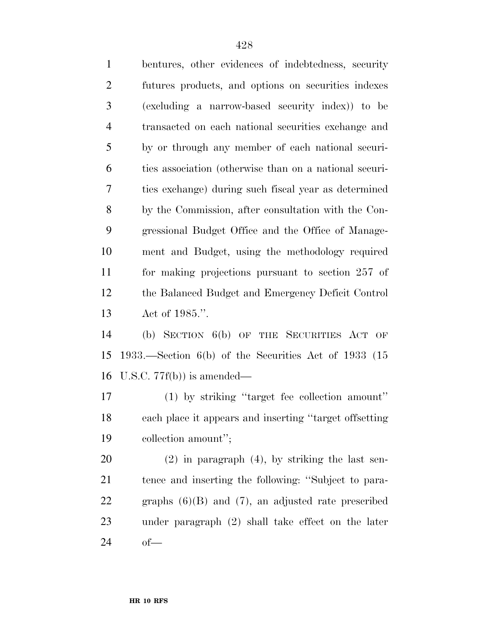| $\mathbf{1}$   | bentures, other evidences of indebtedness, security    |
|----------------|--------------------------------------------------------|
| $\overline{2}$ | futures products, and options on securities indexes    |
| 3              | (excluding a narrow-based security index) to be        |
| $\overline{4}$ | transacted on each national securities exchange and    |
| 5              | by or through any member of each national securi-      |
| 6              | ties association (otherwise than on a national securi- |
| $\tau$         | ties exchange) during such fiscal year as determined   |
| 8              | by the Commission, after consultation with the Con-    |
| 9              | gressional Budget Office and the Office of Manage-     |
| 10             | ment and Budget, using the methodology required        |
| 11             | for making projections pursuant to section 257 of      |
| 12             | the Balanced Budget and Emergency Deficit Control      |
| 13             | Act of $1985$ .".                                      |

 (b) SECTION 6(b) OF THE SECURITIES ACT OF 1933.—Section 6(b) of the Securities Act of 1933 (15 U.S.C. 77f(b)) is amended—

 (1) by striking ''target fee collection amount'' each place it appears and inserting ''target offsetting collection amount'';

 (2) in paragraph (4), by striking the last sen- tence and inserting the following: ''Subject to para- graphs (6)(B) and (7), an adjusted rate prescribed under paragraph (2) shall take effect on the later of—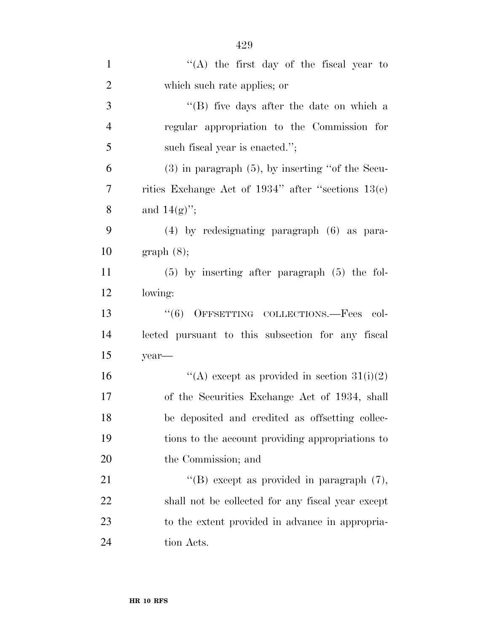| $\mathbf{1}$   | "(A) the first day of the fiscal year to                |
|----------------|---------------------------------------------------------|
| $\overline{2}$ | which such rate applies; or                             |
| 3              | "(B) five days after the date on which a                |
| $\overline{4}$ | regular appropriation to the Commission for             |
| 5              | such fiscal year is enacted.";                          |
| 6              | $(3)$ in paragraph $(5)$ , by inserting "of the Secu-   |
| 7              | rities Exchange Act of $1934$ " after "sections $13(e)$ |
| 8              | and $14(g)$ ";                                          |
| 9              | $(4)$ by redesignating paragraph $(6)$ as para-         |
| 10             | graph(8);                                               |
| 11             | $(5)$ by inserting after paragraph $(5)$ the fol-       |
| 12             | lowing:                                                 |
| 13             | OFFSETTING COLLECTIONS.-Fees col-<br>(6)                |
| 14             | lected pursuant to this subsection for any fiscal       |
| 15             | year-                                                   |
| 16             | "(A) except as provided in section $31(i)(2)$           |
| 17             | of the Securities Exchange Act of 1934, shall           |
| 18             | be deposited and credited as offsetting collec-         |
| 19             | tions to the account providing appropriations to        |
| 20             | the Commission; and                                     |
| 21             | "(B) except as provided in paragraph $(7)$ ,            |
| 22             | shall not be collected for any fiscal year except       |
| 23             | to the extent provided in advance in appropria-         |
| 24             | tion Acts.                                              |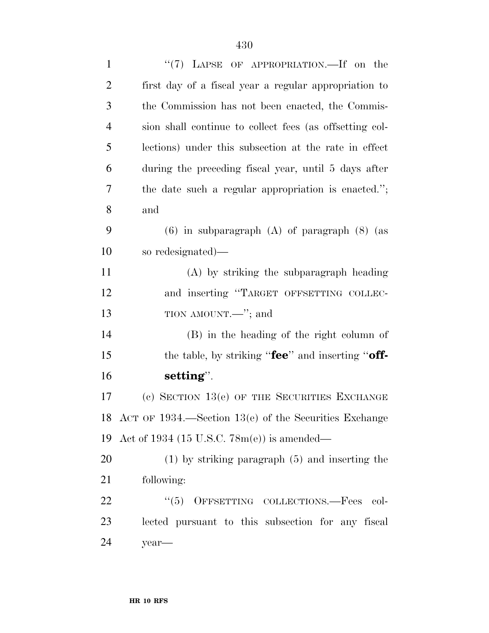| $\mathbf{1}$   | "(7) LAPSE OF APPROPRIATION.—If on the                        |
|----------------|---------------------------------------------------------------|
| $\overline{2}$ | first day of a fiscal year a regular appropriation to         |
| 3              | the Commission has not been enacted, the Commis-              |
| $\overline{4}$ | sion shall continue to collect fees (as offsetting col-       |
| 5              | lections) under this subsection at the rate in effect         |
| 6              | during the preceding fiscal year, until 5 days after          |
| 7              | the date such a regular appropriation is enacted.";           |
| 8              | and                                                           |
| 9              | $(6)$ in subparagraph $(A)$ of paragraph $(8)$ (as            |
| 10             | so redesignated)—                                             |
| 11             | (A) by striking the subparagraph heading                      |
| 12             | and inserting "TARGET OFFSETTING COLLEC-                      |
| 13             | TION AMOUNT.—"; and                                           |
| 14             | (B) in the heading of the right column of                     |
| 15             | the table, by striking " <b>fee</b> " and inserting " $off$ - |
| 16             | setting".                                                     |
| 17             | (c) SECTION $13(e)$ OF THE SECURITIES EXCHANGE                |
|                | 18 ACT OF 1934.—Section 13(e) of the Securities Exchange      |
| 19             | Act of 1934 (15 U.S.C. $78m(e)$ ) is amended—                 |
| 20             | $(1)$ by striking paragraph $(5)$ and inserting the           |
| 21             | following:                                                    |
| 22             | OFFSETTING COLLECTIONS.-Fees col-<br>(5)                      |
| 23             | lected pursuant to this subsection for any fiscal             |
| 24             | year-                                                         |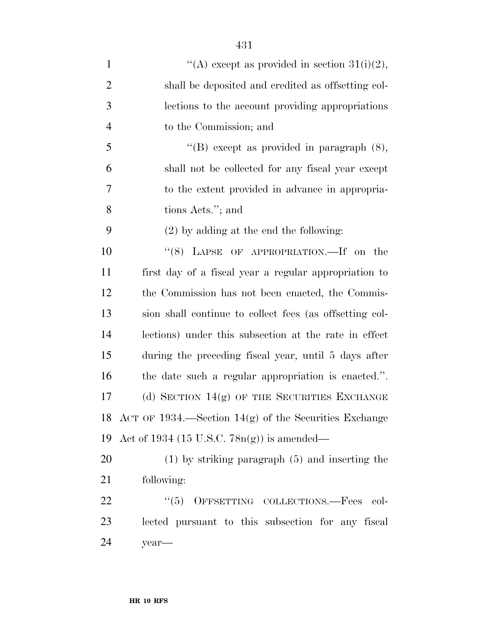| $\mathbf{1}$   | "(A) except as provided in section $31(i)(2)$ ,          |
|----------------|----------------------------------------------------------|
| $\overline{2}$ | shall be deposited and credited as offsetting col-       |
| 3              | lections to the account providing appropriations         |
| $\overline{4}$ | to the Commission; and                                   |
| 5              | "(B) except as provided in paragraph $(8)$ ,             |
| 6              | shall not be collected for any fiscal year except        |
| 7              | to the extent provided in advance in appropria-          |
| 8              | tions Acts."; and                                        |
| 9              | $(2)$ by adding at the end the following:                |
| 10             | "(8) LAPSE OF APPROPRIATION.—If on the                   |
| 11             | first day of a fiscal year a regular appropriation to    |
| 12             | the Commission has not been enacted, the Commis-         |
| 13             | sion shall continue to collect fees (as offsetting col-  |
| 14             | lections) under this subsection at the rate in effect    |
| 15             | during the preceding fiscal year, until 5 days after     |
| 16             | the date such a regular appropriation is enacted.".      |
| 17             | (d) SECTION $14(g)$ OF THE SECURITIES EXCHANGE           |
|                | 18 ACT OF 1934.—Section 14(g) of the Securities Exchange |
| 19             | Act of 1934 (15 U.S.C. $78n(g)$ ) is amended—            |
| 20             | $(1)$ by striking paragraph $(5)$ and inserting the      |
| 21             | following:                                               |
| 22             | OFFSETTING COLLECTIONS.-Fees<br>``(5)<br>- col-          |
| 23             | lected pursuant to this subsection for any fiscal        |
| 24             | year-                                                    |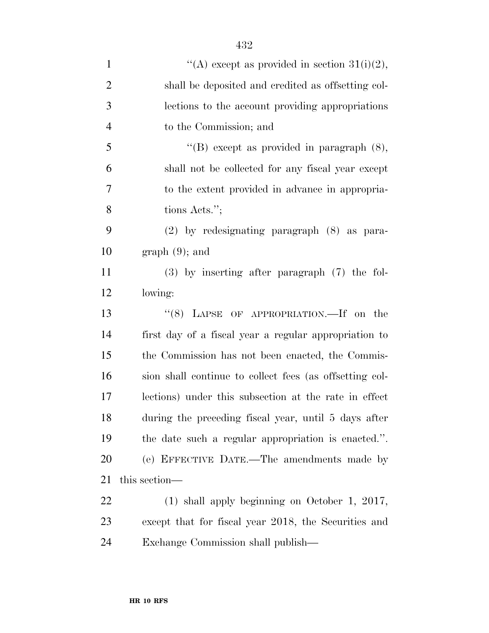| $\mathbf{1}$   | "(A) except as provided in section $31(i)(2)$ ,         |
|----------------|---------------------------------------------------------|
| $\overline{2}$ | shall be deposited and credited as offsetting col-      |
| 3              | lections to the account providing appropriations        |
| $\overline{4}$ | to the Commission; and                                  |
| 5              | "(B) except as provided in paragraph $(8)$ ,            |
| 6              | shall not be collected for any fiscal year except       |
| 7              | to the extent provided in advance in appropria-         |
| 8              | tions Acts.";                                           |
| 9              | $(2)$ by redesignating paragraph $(8)$ as para-         |
| 10             | $graph(9)$ ; and                                        |
| 11             | $(3)$ by inserting after paragraph $(7)$ the fol-       |
| 12             | lowing:                                                 |
| 13             | "(8) LAPSE OF APPROPRIATION.—If on the                  |
| 14             | first day of a fiscal year a regular appropriation to   |
| 15             | the Commission has not been enacted, the Commis-        |
| 16             | sion shall continue to collect fees (as offsetting col- |
| 17             | lections) under this subsection at the rate in effect   |
| 18             | during the preceding fiscal year, until 5 days after    |
| 19             | the date such a regular appropriation is enacted.".     |
| 20             | (e) EFFECTIVE DATE.—The amendments made by              |
| 21             | this section—                                           |
| 22             | $(1)$ shall apply beginning on October 1, 2017,         |
| 23             | except that for fiscal year 2018, the Securities and    |
| 24             | Exchange Commission shall publish—                      |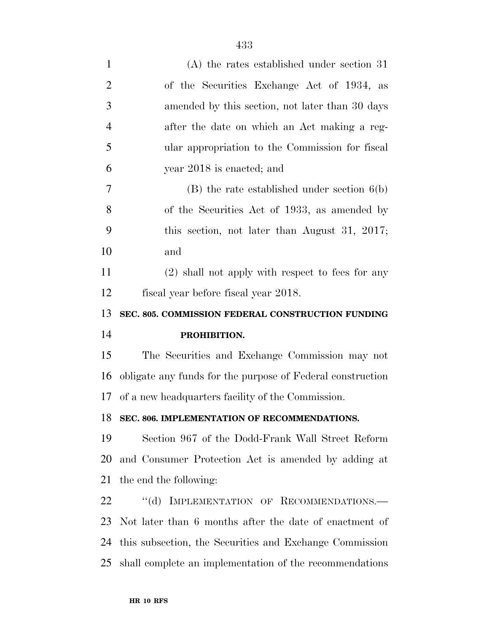| $\mathbf{1}$   | $(A)$ the rates established under section 31               |
|----------------|------------------------------------------------------------|
| $\overline{2}$ | of the Securities Exchange Act of 1934, as                 |
| 3              | amended by this section, not later than 30 days            |
| $\overline{4}$ | after the date on which an Act making a reg-               |
| 5              | ular appropriation to the Commission for fiscal            |
| 6              | year 2018 is enacted; and                                  |
| 7              | $(B)$ the rate established under section $6(b)$            |
| 8              | of the Securities Act of 1933, as amended by               |
| 9              | this section, not later than August 31, 2017;              |
| 10             | and                                                        |
| 11             | (2) shall not apply with respect to fees for any           |
| 12             | fiscal year before fiscal year 2018.                       |
|                |                                                            |
| 13             | SEC. 805. COMMISSION FEDERAL CONSTRUCTION FUNDING          |
| 14             | PROHIBITION.                                               |
|                | The Securities and Exchange Commission may not             |
| 15<br>16       | obligate any funds for the purpose of Federal construction |
| 17             | of a new headquarters facility of the Commission.          |
| 18             | SEC. 806. IMPLEMENTATION OF RECOMMENDATIONS.               |
|                | Section 967 of the Dodd-Frank Wall Street Reform           |
| 19<br>20       | and Consumer Protection Act is amended by adding at        |
| 21             | the end the following:                                     |
| 22             | "(d) IMPLEMENTATION OF RECOMMENDATIONS.-                   |
| 23             | Not later than 6 months after the date of enactment of     |
| 24             | this subsection, the Securities and Exchange Commission    |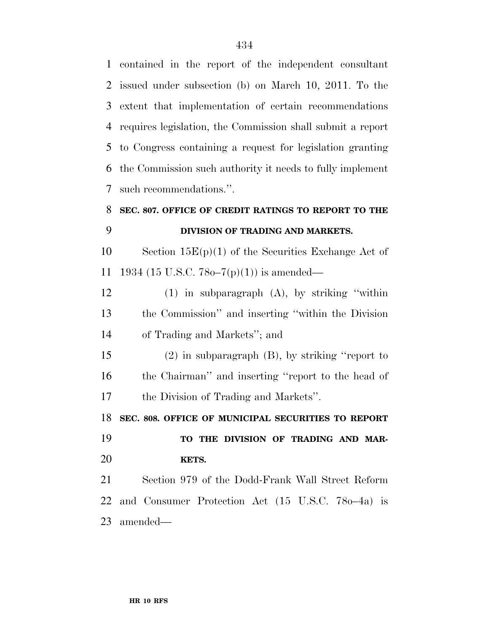contained in the report of the independent consultant issued under subsection (b) on March 10, 2011. To the extent that implementation of certain recommendations requires legislation, the Commission shall submit a report to Congress containing a request for legislation granting the Commission such authority it needs to fully implement such recommendations.''.

## **SEC. 807. OFFICE OF CREDIT RATINGS TO REPORT TO THE DIVISION OF TRADING AND MARKETS.**

10 Section  $15E(p)(1)$  of the Securities Exchange Act of 1934 (15 U.S.C. 78o–7(p)(1)) is amended—

 (1) in subparagraph (A), by striking ''within the Commission'' and inserting ''within the Division of Trading and Markets''; and

 (2) in subparagraph (B), by striking ''report to the Chairman'' and inserting ''report to the head of the Division of Trading and Markets''.

**SEC. 808. OFFICE OF MUNICIPAL SECURITIES TO REPORT** 

 **TO THE DIVISION OF TRADING AND MAR-KETS.** 

 Section 979 of the Dodd-Frank Wall Street Reform and Consumer Protection Act (15 U.S.C. 78o–4a) is amended—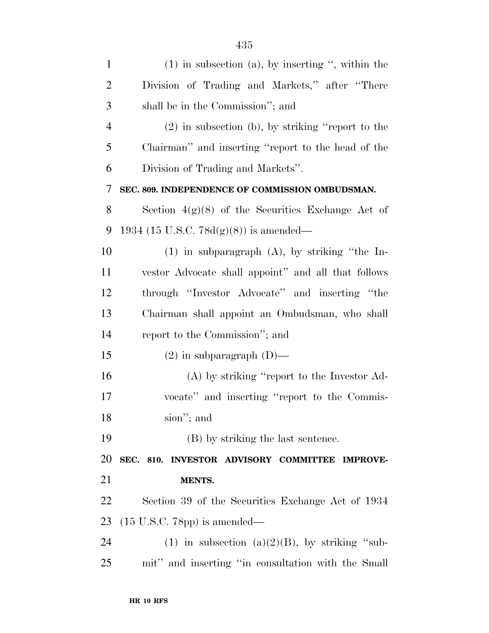| $\mathbf{1}$   | $(1)$ in subsection $(a)$ , by inserting ", within the |
|----------------|--------------------------------------------------------|
| $\overline{2}$ | Division of Trading and Markets," after "There         |
| 3              | shall be in the Commission"; and                       |
| $\overline{4}$ | $(2)$ in subsection (b), by striking "report to the    |
| 5              | Chairman" and inserting "report to the head of the     |
| 6              | Division of Trading and Markets".                      |
| 7              | SEC. 809. INDEPENDENCE OF COMMISSION OMBUDSMAN.        |
| 8              | Section $4(g)(8)$ of the Securities Exchange Act of    |
| 9              | 1934 (15 U.S.C. 78d(g)(8)) is amended—                 |
| 10             | $(1)$ in subparagraph $(A)$ , by striking "the In-     |
| 11             | vestor Advocate shall appoint" and all that follows    |
| 12             | through "Investor Advocate" and inserting "the         |
| 13             | Chairman shall appoint an Ombudsman, who shall         |
| 14             | report to the Commission"; and                         |
| 15             | $(2)$ in subparagraph $(D)$ —                          |
| 16             | $(A)$ by striking "report to the Investor Ad-          |
| 17             | vocate" and inserting "report to the Commis-           |
| 18             | sion"; and                                             |
| 19             | (B) by striking the last sentence.                     |
| 20             | SEC. 810. INVESTOR ADVISORY COMMITTEE IMPROVE-         |
| 21             | MENTS.                                                 |
| 22             | Section 39 of the Securities Exchange Act of 1934      |
| 23             | $(15 \text{ U.S.C. } 78 \text{pp})$ is amended—        |
| 24             | (1) in subsection (a) $(2)(B)$ , by striking "sub-     |
| 25             | mit" and inserting "in consultation with the Small     |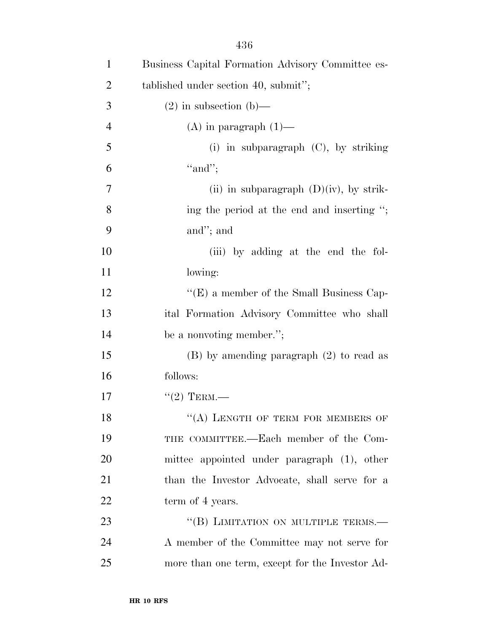| $\mathbf{1}$   | Business Capital Formation Advisory Committee es- |
|----------------|---------------------------------------------------|
| $\overline{2}$ | tablished under section 40, submit";              |
| 3              | $(2)$ in subsection $(b)$ —                       |
| $\overline{4}$ | $(A)$ in paragraph $(1)$ —                        |
| 5              | (i) in subparagraph $(C)$ , by striking           |
| 6              | "and";                                            |
| $\tau$         | (ii) in subparagraph $(D)(iv)$ , by strik-        |
| 8              | ing the period at the end and inserting ";        |
| 9              | and"; and                                         |
| 10             | (iii) by adding at the end the fol-               |
| 11             | lowing:                                           |
| 12             | " $(E)$ a member of the Small Business Cap-       |
| 13             | ital Formation Advisory Committee who shall       |
| 14             | be a nonvoting member.";                          |
| 15             | $(B)$ by amending paragraph $(2)$ to read as      |
| 16             | follows:                                          |
| 17             | $``(2)$ TERM.—                                    |
| 18             | $(4)$ LENGTH OF TERM FOR MEMBERS OF               |
| 19             | THE COMMITTEE.—Each member of the Com-            |
| 20             | mittee appointed under paragraph (1), other       |
| 21             | than the Investor Advocate, shall serve for a     |
| 22             | term of 4 years.                                  |
| 23             | "(B) LIMITATION ON MULTIPLE TERMS.-               |
| 24             | A member of the Committee may not serve for       |
| 25             | more than one term, except for the Investor Ad-   |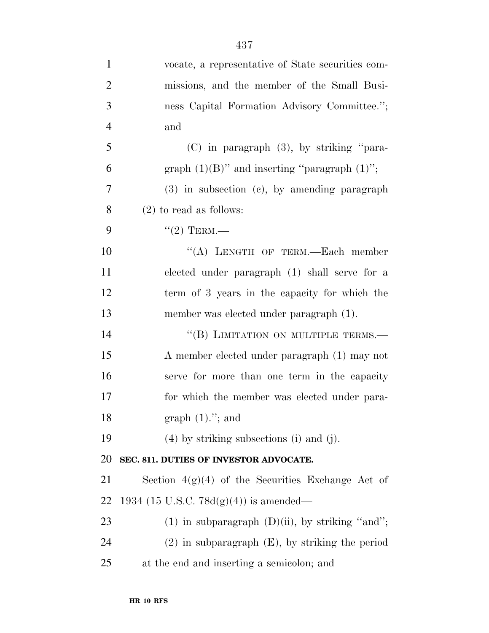| $\mathbf{1}$   | vocate, a representative of State securities com-    |
|----------------|------------------------------------------------------|
| $\overline{2}$ | missions, and the member of the Small Busi-          |
| 3              | ness Capital Formation Advisory Committee.";         |
| $\overline{4}$ | and                                                  |
| 5              | $(C)$ in paragraph $(3)$ , by striking "para-        |
| 6              | graph $(1)(B)$ " and inserting "paragraph $(1)$ ";   |
| $\overline{7}$ | $(3)$ in subsection $(e)$ , by amending paragraph    |
| 8              | $(2)$ to read as follows:                            |
| 9              | $``(2)$ TERM.—                                       |
| 10             | "(A) LENGTH OF TERM.-Each member                     |
| 11             | elected under paragraph (1) shall serve for a        |
| 12             | term of 3 years in the capacity for which the        |
| 13             | member was elected under paragraph (1).              |
| 14             | "(B) LIMITATION ON MULTIPLE TERMS.—                  |
| 15             | A member elected under paragraph (1) may not         |
| 16             | serve for more than one term in the capacity         |
| 17             | for which the member was elected under para-         |
| 18             | graph $(1)$ ."; and                                  |
| 19             | $(4)$ by striking subsections (i) and (j).           |
| 20             | SEC. 811. DUTIES OF INVESTOR ADVOCATE.               |
| 21             | Section $4(g)(4)$ of the Securities Exchange Act of  |
| 22             | 1934 (15 U.S.C. 78 $d(g)(4)$ ) is amended—           |
| 23             | $(1)$ in subparagraph $(D)(ii)$ , by striking "and"; |
| 24             | $(2)$ in subparagraph $(E)$ , by striking the period |
| 25             | at the end and inserting a semicolon; and            |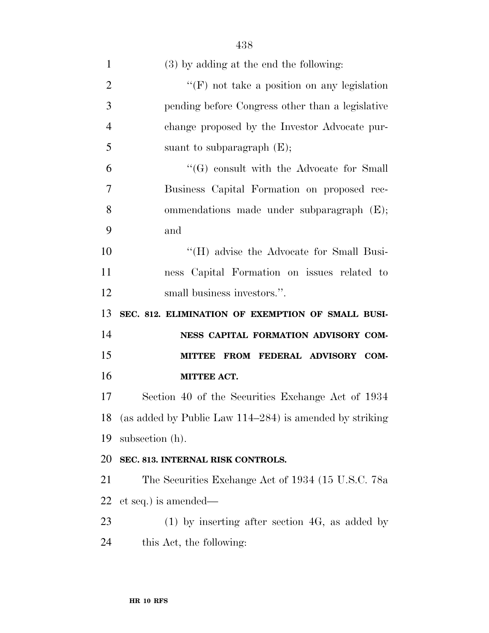| $\mathbf{1}$   | (3) by adding at the end the following:                    |
|----------------|------------------------------------------------------------|
| $\overline{2}$ | "(F) not take a position on any legislation                |
| 3              | pending before Congress other than a legislative           |
| $\overline{4}$ | change proposed by the Investor Advocate pur-              |
| 5              | suant to subparagraph $(E)$ ;                              |
| 6              | $\lq\lq(G)$ consult with the Advocate for Small            |
| 7              | Business Capital Formation on proposed rec-                |
| 8              | ommendations made under subparagraph (E);                  |
| 9              | and                                                        |
| 10             | "(H) advise the Advocate for Small Busi-                   |
| 11             | ness Capital Formation on issues related to                |
| 12             | small business investors.".                                |
| 13             | SEC. 812. ELIMINATION OF EXEMPTION OF SMALL BUSI-          |
| 14             | NESS CAPITAL FORMATION ADVISORY COM-                       |
|                |                                                            |
|                | <b>MITTEE</b><br>FROM FEDERAL ADVISORY COM-                |
| 15<br>16       | <b>MITTEE ACT.</b>                                         |
| 17             | Section 40 of the Securities Exchange Act of 1934          |
| 18             | (as added by Public Law $114-284$ ) is amended by striking |
| 19             | subsection (h).                                            |
| 20             | SEC. 813. INTERNAL RISK CONTROLS.                          |
| 21             | The Securities Exchange Act of 1934 (15 U.S.C. 78a         |
| 22             | et seq.) is amended—                                       |
| 23             | $(1)$ by inserting after section 4G, as added by           |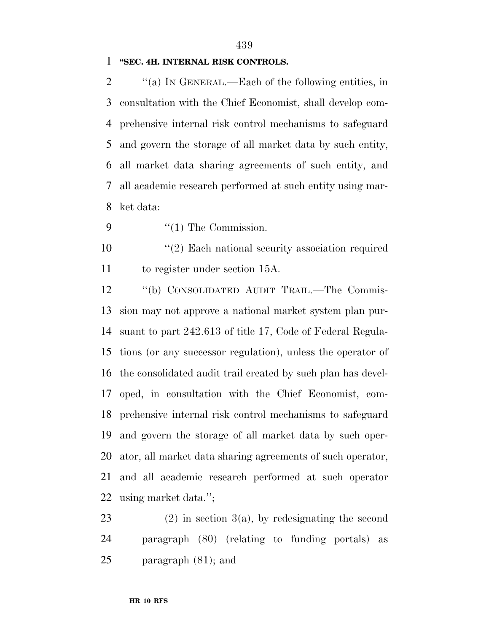### **''SEC. 4H. INTERNAL RISK CONTROLS.**

 ''(a) IN GENERAL.—Each of the following entities, in consultation with the Chief Economist, shall develop com- prehensive internal risk control mechanisms to safeguard and govern the storage of all market data by such entity, all market data sharing agreements of such entity, and all academic research performed at such entity using mar-ket data:

9  $\frac{1}{2}$  The Commission.

10 ''(2) Each national security association required to register under section 15A.

 ''(b) CONSOLIDATED AUDIT TRAIL.—The Commis- sion may not approve a national market system plan pur- suant to part 242.613 of title 17, Code of Federal Regula- tions (or any successor regulation), unless the operator of the consolidated audit trail created by such plan has devel- oped, in consultation with the Chief Economist, com- prehensive internal risk control mechanisms to safeguard and govern the storage of all market data by such oper- ator, all market data sharing agreements of such operator, and all academic research performed at such operator using market data.'';

23 (2) in section  $3(a)$ , by redesignating the second paragraph (80) (relating to funding portals) as paragraph (81); and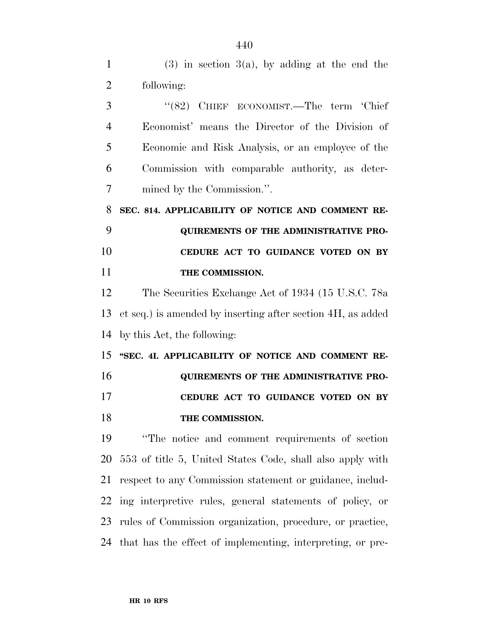| $\mathbf{1}$   | $(3)$ in section 3(a), by adding at the end the             |
|----------------|-------------------------------------------------------------|
| $\overline{2}$ | following:                                                  |
| 3              | "(82) CHIEF ECONOMIST.—The term 'Chief                      |
| $\overline{4}$ | Economist' means the Director of the Division of            |
| 5              | Economic and Risk Analysis, or an employee of the           |
| 6              | Commission with comparable authority, as deter-             |
| 7              | mined by the Commission.".                                  |
| 8              | SEC. 814. APPLICABILITY OF NOTICE AND COMMENT RE-           |
| 9              | QUIREMENTS OF THE ADMINISTRATIVE PRO-                       |
| 10             | CEDURE ACT TO GUIDANCE VOTED ON BY                          |
| 11             | THE COMMISSION.                                             |
| 12             | The Securities Exchange Act of 1934 (15 U.S.C. 78a          |
| 13             | et seq.) is amended by inserting after section 4H, as added |
| 14             | by this Act, the following:                                 |
| 15             | "SEC. 4I. APPLICABILITY OF NOTICE AND COMMENT RE-           |
| 16             | QUIREMENTS OF THE ADMINISTRATIVE PRO-                       |
| 17             | CEDURE ACT TO GUIDANCE VOTED ON BY                          |
| 18             | THE COMMISSION.                                             |
| 19             | "The notice and comment requirements of section"            |
| 20             | 553 of title 5, United States Code, shall also apply with   |
| 21             | respect to any Commission statement or guidance, includ-    |
| 22             | ing interpretive rules, general statements of policy, or    |
| 23             | rules of Commission organization, procedure, or practice,   |
| 24             | that has the effect of implementing, interpreting, or pre-  |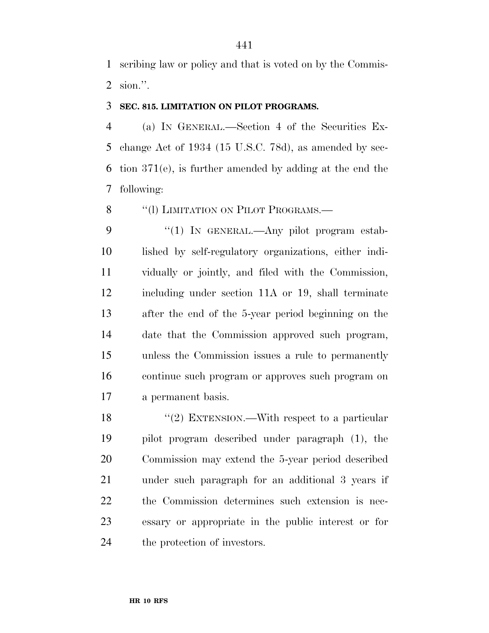scribing law or policy and that is voted on by the Commis-sion.''.

### **SEC. 815. LIMITATION ON PILOT PROGRAMS.**

 (a) IN GENERAL.—Section 4 of the Securities Ex- change Act of 1934 (15 U.S.C. 78d), as amended by sec- tion 371(e), is further amended by adding at the end the following:

8 "(1) LIMITATION ON PILOT PROGRAMS.—

9 "(1) In GENERAL.—Any pilot program estab- lished by self-regulatory organizations, either indi- vidually or jointly, and filed with the Commission, including under section 11A or 19, shall terminate after the end of the 5-year period beginning on the date that the Commission approved such program, unless the Commission issues a rule to permanently continue such program or approves such program on a permanent basis.

18 "(2) EXTENSION.—With respect to a particular pilot program described under paragraph (1), the Commission may extend the 5-year period described under such paragraph for an additional 3 years if the Commission determines such extension is nec- essary or appropriate in the public interest or for the protection of investors.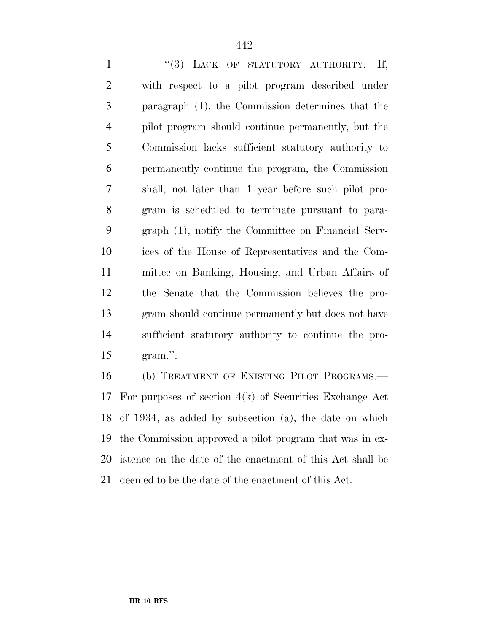| $\mathbf{1}$   | "(3) LACK OF STATUTORY AUTHORITY.-If,               |
|----------------|-----------------------------------------------------|
| $\overline{2}$ | with respect to a pilot program described under     |
| 3              | paragraph (1), the Commission determines that the   |
| $\overline{4}$ | pilot program should continue permanently, but the  |
| 5              | Commission lacks sufficient statutory authority to  |
| 6              | permanently continue the program, the Commission    |
| 7              | shall, not later than 1 year before such pilot pro- |
| 8              | gram is scheduled to terminate pursuant to para-    |
| 9              | graph (1), notify the Committee on Financial Serv-  |
| 10             | ices of the House of Representatives and the Com-   |
| 11             | mittee on Banking, Housing, and Urban Affairs of    |
| 12             | the Senate that the Commission believes the pro-    |
| 13             | gram should continue permanently but does not have  |
| 14             | sufficient statutory authority to continue the pro- |
| 15             | gram.".                                             |
|                |                                                     |

 (b) TREATMENT OF EXISTING PILOT PROGRAMS.— For purposes of section 4(k) of Securities Exchange Act of 1934, as added by subsection (a), the date on which the Commission approved a pilot program that was in ex- istence on the date of the enactment of this Act shall be deemed to be the date of the enactment of this Act.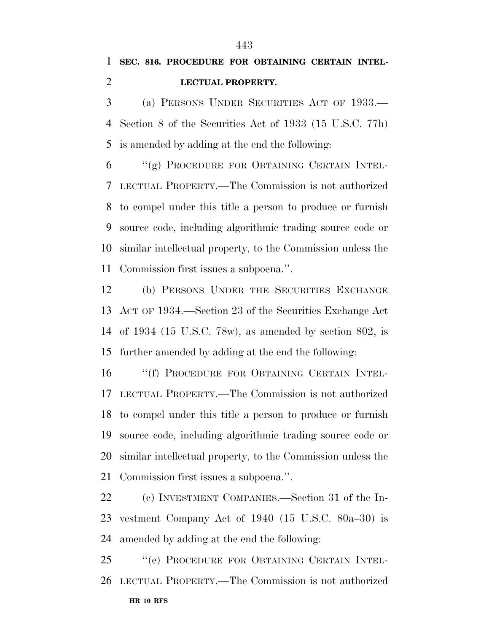(a) PERSONS UNDER SECURITIES ACT OF 1933.— Section 8 of the Securities Act of 1933 (15 U.S.C. 77h) is amended by adding at the end the following:

 ''(g) PROCEDURE FOR OBTAINING CERTAIN INTEL- LECTUAL PROPERTY.—The Commission is not authorized to compel under this title a person to produce or furnish source code, including algorithmic trading source code or similar intellectual property, to the Commission unless the Commission first issues a subpoena.''.

 (b) PERSONS UNDER THE SECURITIES EXCHANGE ACT OF 1934.—Section 23 of the Securities Exchange Act of 1934 (15 U.S.C. 78w), as amended by section 802, is further amended by adding at the end the following:

16 "(f) PROCEDURE FOR OBTAINING CERTAIN INTEL- LECTUAL PROPERTY.—The Commission is not authorized to compel under this title a person to produce or furnish source code, including algorithmic trading source code or similar intellectual property, to the Commission unless the Commission first issues a subpoena.''.

 (c) INVESTMENT COMPANIES.—Section 31 of the In- vestment Company Act of 1940 (15 U.S.C. 80a–30) is amended by adding at the end the following:

**HR 10 RFS** ''(e) PROCEDURE FOR OBTAINING CERTAIN INTEL-LECTUAL PROPERTY.—The Commission is not authorized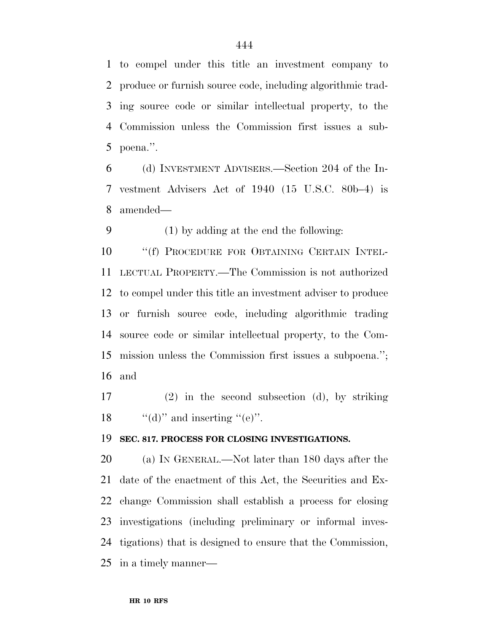to compel under this title an investment company to produce or furnish source code, including algorithmic trad- ing source code or similar intellectual property, to the Commission unless the Commission first issues a sub-poena.''.

 (d) INVESTMENT ADVISERS.—Section 204 of the In- vestment Advisers Act of 1940 (15 U.S.C. 80b–4) is amended—

(1) by adding at the end the following:

 ''(f) PROCEDURE FOR OBTAINING CERTAIN INTEL- LECTUAL PROPERTY.—The Commission is not authorized to compel under this title an investment adviser to produce or furnish source code, including algorithmic trading source code or similar intellectual property, to the Com- mission unless the Commission first issues a subpoena.''; and

 (2) in the second subsection (d), by striking 18  $\qquad$  "(d)" and inserting "(e)".

#### **SEC. 817. PROCESS FOR CLOSING INVESTIGATIONS.**

 (a) IN GENERAL.—Not later than 180 days after the date of the enactment of this Act, the Securities and Ex- change Commission shall establish a process for closing investigations (including preliminary or informal inves- tigations) that is designed to ensure that the Commission, in a timely manner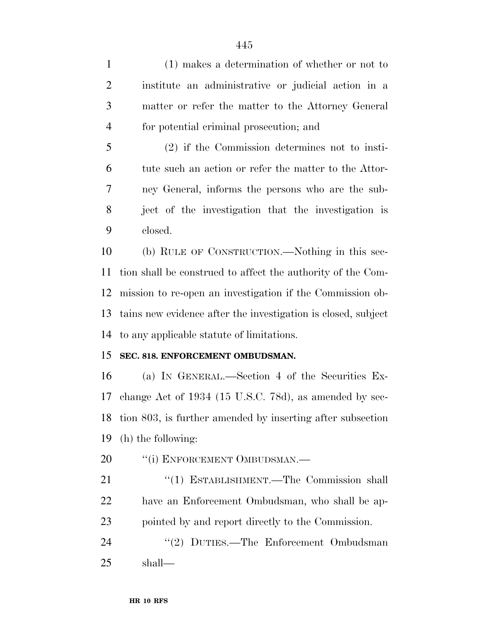(1) makes a determination of whether or not to institute an administrative or judicial action in a matter or refer the matter to the Attorney General for potential criminal prosecution; and

 (2) if the Commission determines not to insti- tute such an action or refer the matter to the Attor- ney General, informs the persons who are the sub- ject of the investigation that the investigation is closed.

 (b) RULE OF CONSTRUCTION.—Nothing in this sec- tion shall be construed to affect the authority of the Com- mission to re-open an investigation if the Commission ob- tains new evidence after the investigation is closed, subject to any applicable statute of limitations.

### **SEC. 818. ENFORCEMENT OMBUDSMAN.**

 (a) IN GENERAL.—Section 4 of the Securities Ex- change Act of 1934 (15 U.S.C. 78d), as amended by sec- tion 803, is further amended by inserting after subsection (h) the following:

20 <sup>"</sup>(i) ENFORCEMENT OMBUDSMAN.—

21 "(1) ESTABLISHMENT.—The Commission shall have an Enforcement Ombudsman, who shall be ap-pointed by and report directly to the Commission.

24 "(2) DUTIES.—The Enforcement Ombudsman shall—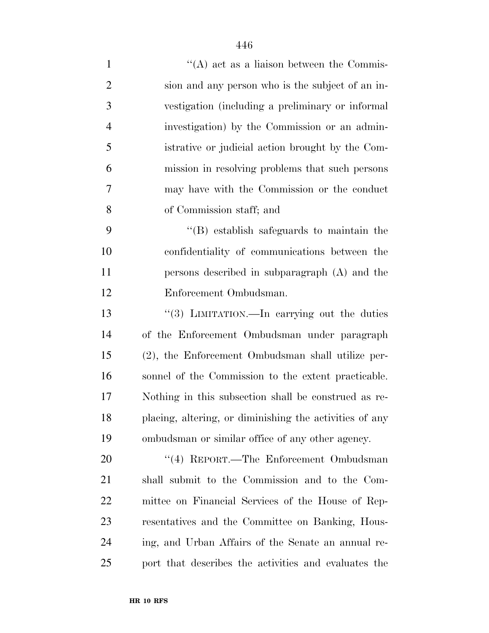| $\mathbf{1}$   | $\cdot$ (A) act as a liaison between the Commis-        |
|----------------|---------------------------------------------------------|
| $\overline{2}$ | sion and any person who is the subject of an in-        |
| 3              | vestigation (including a preliminary or informal        |
| $\overline{4}$ | investigation) by the Commission or an admin-           |
| 5              | istrative or judicial action brought by the Com-        |
| 6              | mission in resolving problems that such persons         |
| 7              | may have with the Commission or the conduct             |
| 8              | of Commission staff; and                                |
| 9              | $\lq\lq$ establish safeguards to maintain the           |
| 10             | confidentiality of communications between the           |
| 11             | persons described in subparagraph $(A)$ and the         |
| 12             | Enforcement Ombudsman.                                  |
| 13             | "(3) LIMITATION.—In carrying out the duties             |
| 14             | of the Enforcement Ombudsman under paragraph            |
| 15             | (2), the Enforcement Ombudsman shall utilize per-       |
| 16             | sonnel of the Commission to the extent practicable.     |
| 17             | Nothing in this subsection shall be construed as re-    |
| 18             | placing, altering, or diminishing the activities of any |
| 19             | ombudsman or similar office of any other agency.        |
| <b>20</b>      | "(4) REPORT.—The Enforcement Ombudsman                  |
| 21             | shall submit to the Commission and to the Com-          |
| 22             | mittee on Financial Services of the House of Rep-       |
| 23             | resentatives and the Committee on Banking, Hous-        |
| 24             | ing, and Urban Affairs of the Senate an annual re-      |
| 25             | port that describes the activities and evaluates the    |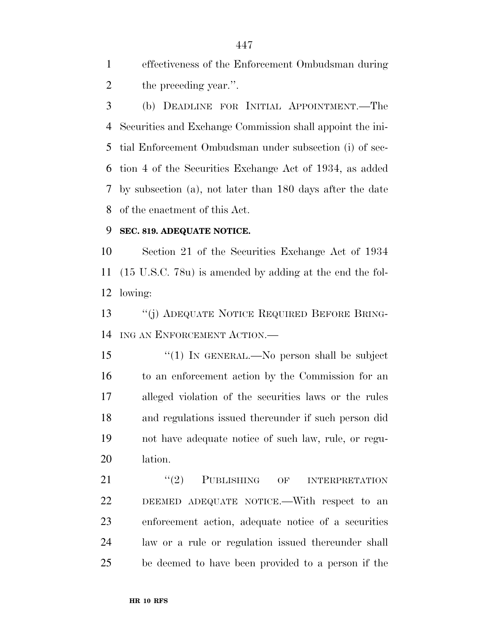effectiveness of the Enforcement Ombudsman during the preceding year.''.

 (b) DEADLINE FOR INITIAL APPOINTMENT.—The Securities and Exchange Commission shall appoint the ini- tial Enforcement Ombudsman under subsection (i) of sec- tion 4 of the Securities Exchange Act of 1934, as added by subsection (a), not later than 180 days after the date of the enactment of this Act.

### **SEC. 819. ADEQUATE NOTICE.**

 Section 21 of the Securities Exchange Act of 1934 (15 U.S.C. 78u) is amended by adding at the end the fol-lowing:

 ''(j) ADEQUATE NOTICE REQUIRED BEFORE BRING-ING AN ENFORCEMENT ACTION.—

15 "(1) IN GENERAL.—No person shall be subject to an enforcement action by the Commission for an alleged violation of the securities laws or the rules and regulations issued thereunder if such person did not have adequate notice of such law, rule, or regu-lation.

21 "(2) PUBLISHING OF INTERPRETATION DEEMED ADEQUATE NOTICE.—With respect to an enforcement action, adequate notice of a securities law or a rule or regulation issued thereunder shall be deemed to have been provided to a person if the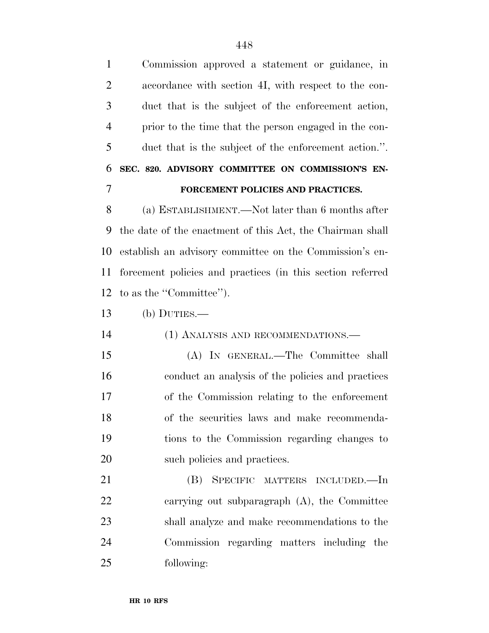Commission approved a statement or guidance, in accordance with section 4I, with respect to the con- duct that is the subject of the enforcement action, prior to the time that the person engaged in the con- duct that is the subject of the enforcement action.''. **SEC. 820. ADVISORY COMMITTEE ON COMMISSION'S EN-FORCEMENT POLICIES AND PRACTICES.** 

 (a) ESTABLISHMENT.—Not later than 6 months after the date of the enactment of this Act, the Chairman shall establish an advisory committee on the Commission's en- forcement policies and practices (in this section referred to as the ''Committee'').

(b) DUTIES.—

(1) ANALYSIS AND RECOMMENDATIONS.—

 (A) IN GENERAL.—The Committee shall conduct an analysis of the policies and practices of the Commission relating to the enforcement of the securities laws and make recommenda- tions to the Commission regarding changes to 20 such policies and practices.

 (B) SPECIFIC MATTERS INCLUDED.—In carrying out subparagraph (A), the Committee shall analyze and make recommendations to the Commission regarding matters including the following: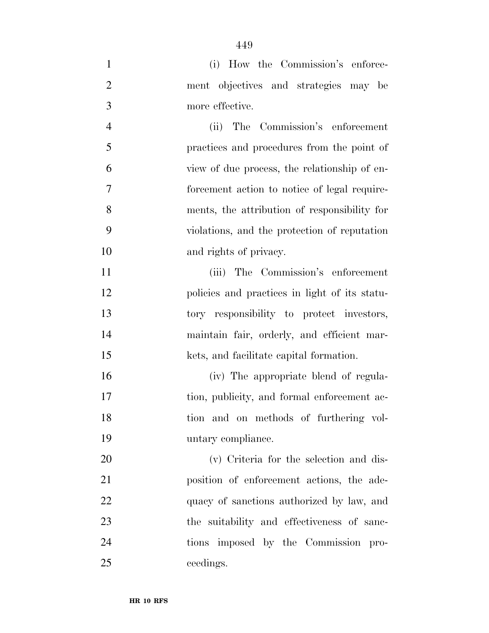(i) How the Commission's enforce- ment objectives and strategies may be more effective.

 (ii) The Commission's enforcement practices and procedures from the point of view of due process, the relationship of en- forcement action to notice of legal require- ments, the attribution of responsibility for violations, and the protection of reputation and rights of privacy.

 (iii) The Commission's enforcement policies and practices in light of its statu- tory responsibility to protect investors, maintain fair, orderly, and efficient mar-kets, and facilitate capital formation.

 (iv) The appropriate blend of regula- tion, publicity, and formal enforcement ac- tion and on methods of furthering vol-untary compliance.

 (v) Criteria for the selection and dis- position of enforcement actions, the ade-22 quacy of sanctions authorized by law, and the suitability and effectiveness of sanc- tions imposed by the Commission pro-ceedings.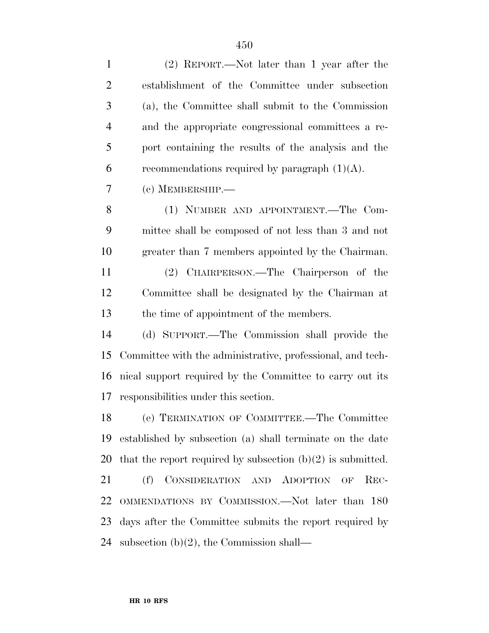| $\mathbf{1}$   | (2) REPORT.—Not later than 1 year after the                   |
|----------------|---------------------------------------------------------------|
| $\overline{2}$ | establishment of the Committee under subsection               |
| 3              | (a), the Committee shall submit to the Commission             |
| $\overline{4}$ | and the appropriate congressional committees a re-            |
| 5              | port containing the results of the analysis and the           |
| 6              | recommendations required by paragraph $(1)(A)$ .              |
| 7              | $(c)$ MEMBERSHIP.—                                            |
| 8              | (1) NUMBER AND APPOINTMENT.—The Com-                          |
| 9              | mittee shall be composed of not less than 3 and not           |
| 10             | greater than 7 members appointed by the Chairman.             |
| 11             | (2) CHAIRPERSON.—The Chairperson of the                       |
| 12             | Committee shall be designated by the Chairman at              |
| 13             | the time of appointment of the members.                       |
| 14             | (d) SUPPORT.—The Commission shall provide the                 |
| 15             | Committee with the administrative, professional, and tech-    |
| 16             | nical support required by the Committee to carry out its      |
| 17             | responsibilities under this section.                          |
| 18             | (e) TERMINATION OF COMMITTEE.—The Committee                   |
| 19             | established by subsection (a) shall terminate on the date     |
| 20             | that the report required by subsection $(b)(2)$ is submitted. |
| 21             | CONSIDERATION AND ADOPTION<br>REC-<br>(f)<br>OF               |
| 22             | OMMENDATIONS BY COMMISSION.—Not later than 180                |
| 23             | days after the Committee submits the report required by       |
| 24             | subsection $(b)(2)$ , the Commission shall—                   |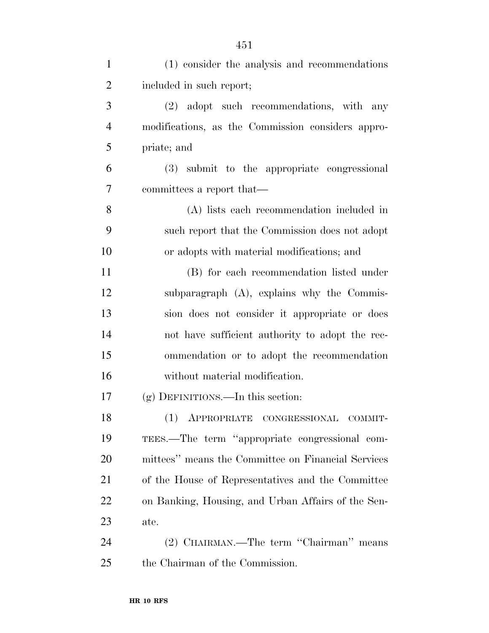| $\mathbf{1}$   | (1) consider the analysis and recommendations      |
|----------------|----------------------------------------------------|
| $\overline{2}$ | included in such report;                           |
| 3              | (2) adopt such recommendations, with any           |
| $\overline{4}$ | modifications, as the Commission considers appro-  |
| 5              | priate; and                                        |
| 6              | (3) submit to the appropriate congressional        |
| 7              | committees a report that—                          |
| 8              | (A) lists each recommendation included in          |
| 9              | such report that the Commission does not adopt     |
| 10             | or adopts with material modifications; and         |
| 11             | (B) for each recommendation listed under           |
| 12             | subparagraph (A), explains why the Commis-         |
| 13             | sion does not consider it appropriate or does      |
| 14             | not have sufficient authority to adopt the rec-    |
| 15             | ommendation or to adopt the recommendation         |
| 16             | without material modification.                     |
| 17             | $(g)$ DEFINITIONS.—In this section:                |
| 18             | (1) APPROPRIATE CONGRESSIONAL COMMIT-              |
| 19             | TEES.—The term "appropriate congressional com-     |
| 20             | mittees" means the Committee on Financial Services |
| 21             | of the House of Representatives and the Committee  |
| 22             | on Banking, Housing, and Urban Affairs of the Sen- |
| 23             | ate.                                               |
| 24             | (2) CHAIRMAN.—The term "Chairman" means            |
| 25             | the Chairman of the Commission.                    |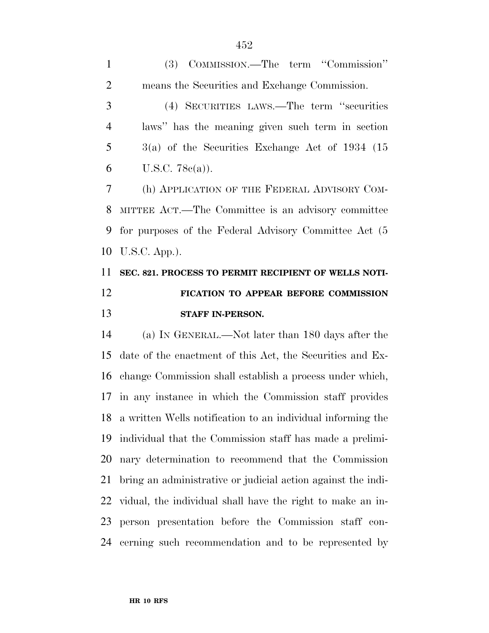(3) COMMISSION.—The term ''Commission'' means the Securities and Exchange Commission.

 (4) SECURITIES LAWS.—The term ''securities laws'' has the meaning given such term in section 3(a) of the Securities Exchange Act of 1934 (15 6 U.S.C.  $78c(a)$ ).

 (h) APPLICATION OF THE FEDERAL ADVISORY COM- MITTEE ACT.—The Committee is an advisory committee for purposes of the Federal Advisory Committee Act (5 U.S.C. App.).

## **SEC. 821. PROCESS TO PERMIT RECIPIENT OF WELLS NOTI- FICATION TO APPEAR BEFORE COMMISSION STAFF IN-PERSON.**

 (a) IN GENERAL.—Not later than 180 days after the date of the enactment of this Act, the Securities and Ex- change Commission shall establish a process under which, in any instance in which the Commission staff provides a written Wells notification to an individual informing the individual that the Commission staff has made a prelimi- nary determination to recommend that the Commission bring an administrative or judicial action against the indi- vidual, the individual shall have the right to make an in- person presentation before the Commission staff con-cerning such recommendation and to be represented by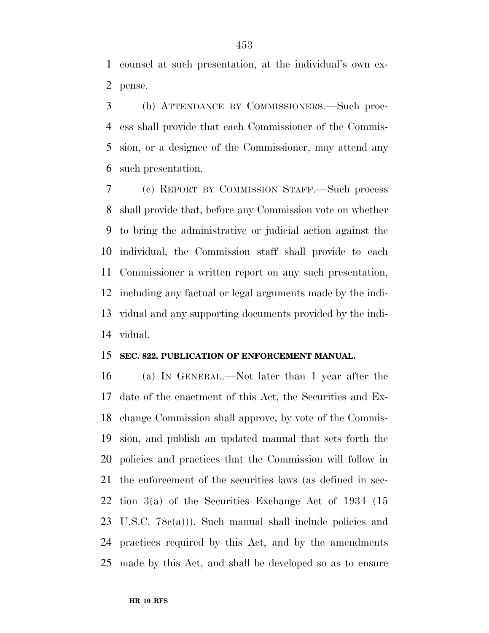counsel at such presentation, at the individual's own ex-pense.

 (b) ATTENDANCE BY COMMISSIONERS.—Such proc- ess shall provide that each Commissioner of the Commis- sion, or a designee of the Commissioner, may attend any such presentation.

 (c) REPORT BY COMMISSION STAFF.—Such process shall provide that, before any Commission vote on whether to bring the administrative or judicial action against the individual, the Commission staff shall provide to each Commissioner a written report on any such presentation, including any factual or legal arguments made by the indi- vidual and any supporting documents provided by the indi-vidual.

### **SEC. 822. PUBLICATION OF ENFORCEMENT MANUAL.**

 (a) IN GENERAL.—Not later than 1 year after the date of the enactment of this Act, the Securities and Ex- change Commission shall approve, by vote of the Commis- sion, and publish an updated manual that sets forth the policies and practices that the Commission will follow in the enforcement of the securities laws (as defined in sec- tion 3(a) of the Securities Exchange Act of 1934 (15 U.S.C. 78c(a))). Such manual shall include policies and practices required by this Act, and by the amendments made by this Act, and shall be developed so as to ensure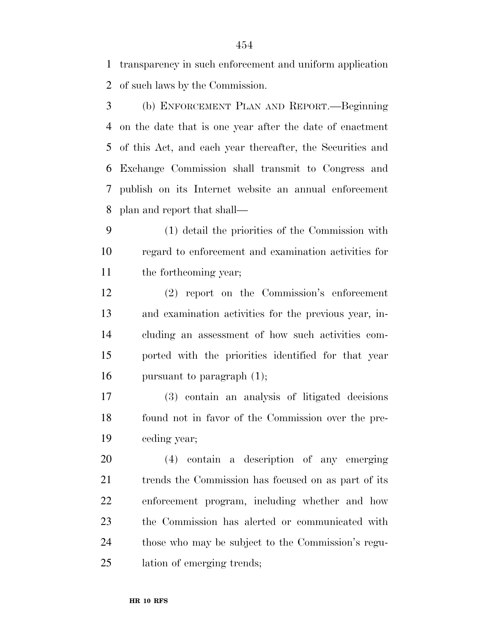transparency in such enforcement and uniform application of such laws by the Commission.

 (b) ENFORCEMENT PLAN AND REPORT.—Beginning on the date that is one year after the date of enactment of this Act, and each year thereafter, the Securities and Exchange Commission shall transmit to Congress and publish on its Internet website an annual enforcement plan and report that shall—

 (1) detail the priorities of the Commission with regard to enforcement and examination activities for 11 the forthcoming year;

 (2) report on the Commission's enforcement and examination activities for the previous year, in- cluding an assessment of how such activities com- ported with the priorities identified for that year pursuant to paragraph (1);

 (3) contain an analysis of litigated decisions found not in favor of the Commission over the pre-ceding year;

 (4) contain a description of any emerging trends the Commission has focused on as part of its enforcement program, including whether and how the Commission has alerted or communicated with those who may be subject to the Commission's regu-lation of emerging trends;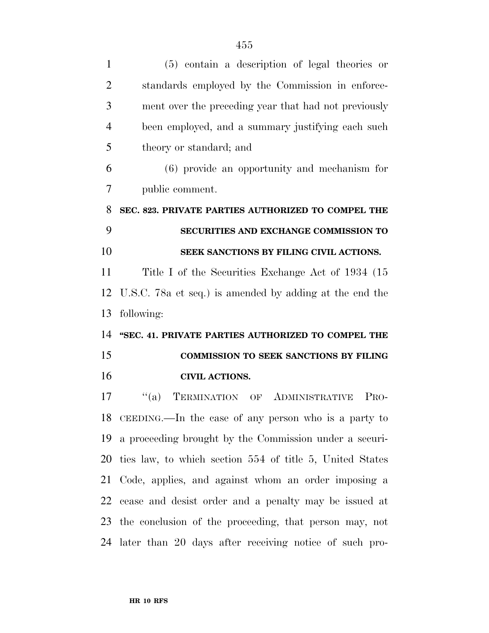| $\mathbf{1}$   | (5) contain a description of legal theories or                 |
|----------------|----------------------------------------------------------------|
| $\overline{2}$ | standards employed by the Commission in enforce-               |
| 3              | ment over the preceding year that had not previously           |
| $\overline{4}$ | been employed, and a summary justifying each such              |
| 5              | theory or standard; and                                        |
| 6              | $(6)$ provide an opportunity and mechanism for                 |
| 7              | public comment.                                                |
| 8              | SEC. 823. PRIVATE PARTIES AUTHORIZED TO COMPEL THE             |
| 9              | <b>SECURITIES AND EXCHANGE COMMISSION TO</b>                   |
| 10             | SEEK SANCTIONS BY FILING CIVIL ACTIONS.                        |
| 11             | Title I of the Securities Exchange Act of 1934 (15)            |
| 12             | U.S.C. 78a et seq.) is amended by adding at the end the        |
|                |                                                                |
| 13             | following:                                                     |
| 14             | "SEC. 41. PRIVATE PARTIES AUTHORIZED TO COMPEL THE             |
| 15             | COMMISSION TO SEEK SANCTIONS BY FILING                         |
|                | <b>CIVIL ACTIONS.</b>                                          |
| 16<br>17       | $\lq(a)$<br>TERMINATION OF ADMINISTRATIVE<br>P <sub>RO</sub> - |
|                | 18 CEEDING.—In the case of any person who is a party to        |
|                | 19 a proceeding brought by the Commission under a securi-      |
|                | 20 ties law, to which section 554 of title 5, United States    |
| 21             | Code, applies, and against whom an order imposing a            |
|                | 22 cease and desist order and a penalty may be issued at       |
|                | 23 the conclusion of the proceeding, that person may, not      |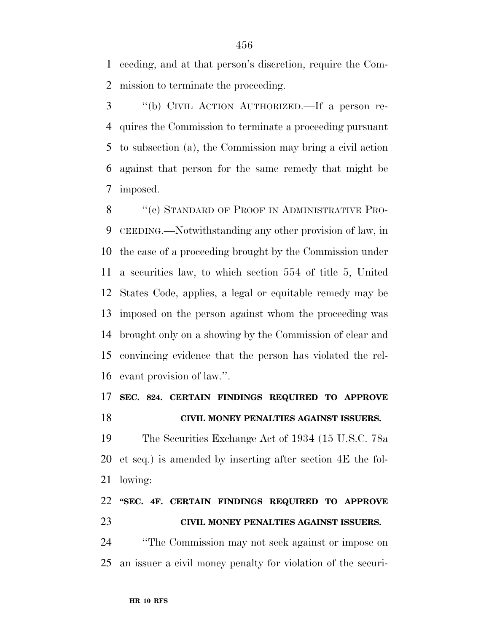ceeding, and at that person's discretion, require the Com-mission to terminate the proceeding.

 ''(b) CIVIL ACTION AUTHORIZED.—If a person re- quires the Commission to terminate a proceeding pursuant to subsection (a), the Commission may bring a civil action against that person for the same remedy that might be imposed.

8 "(c) STANDARD OF PROOF IN ADMINISTRATIVE PRO- CEEDING.—Notwithstanding any other provision of law, in the case of a proceeding brought by the Commission under a securities law, to which section 554 of title 5, United States Code, applies, a legal or equitable remedy may be imposed on the person against whom the proceeding was brought only on a showing by the Commission of clear and convincing evidence that the person has violated the rel-evant provision of law.''.

### **SEC. 824. CERTAIN FINDINGS REQUIRED TO APPROVE CIVIL MONEY PENALTIES AGAINST ISSUERS.**

 The Securities Exchange Act of 1934 (15 U.S.C. 78a et seq.) is amended by inserting after section 4E the fol-lowing:

## **''SEC. 4F. CERTAIN FINDINGS REQUIRED TO APPROVE CIVIL MONEY PENALTIES AGAINST ISSUERS.**

 ''The Commission may not seek against or impose on an issuer a civil money penalty for violation of the securi-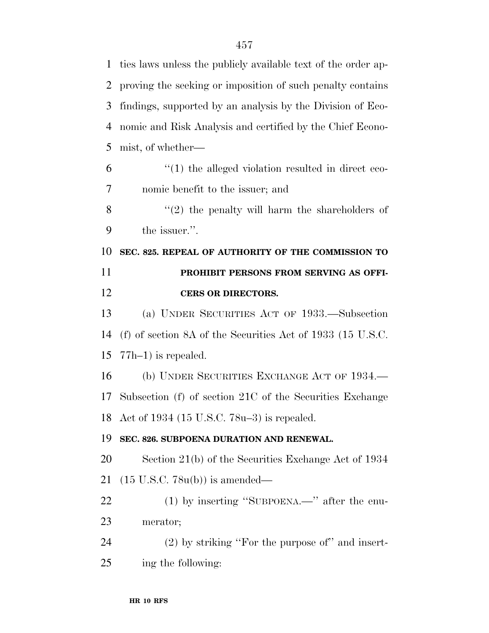| $\mathbf{1}$   | ties laws unless the publicly available text of the order ap- |
|----------------|---------------------------------------------------------------|
| 2              | proving the seeking or imposition of such penalty contains    |
| 3              | findings, supported by an analysis by the Division of Eco-    |
| $\overline{4}$ | nomic and Risk Analysis and certified by the Chief Econo-     |
| 5              | mist, of whether—                                             |
| 6              | $\lq(1)$ the alleged violation resulted in direct eco-        |
| 7              | nomic benefit to the issuer; and                              |
| 8              | $f'(2)$ the penalty will harm the shareholders of             |
| 9              | the issuer.".                                                 |
| 10             | SEC. 825. REPEAL OF AUTHORITY OF THE COMMISSION TO            |
| 11             | PROHIBIT PERSONS FROM SERVING AS OFFI-                        |
| 12             | <b>CERS OR DIRECTORS.</b>                                     |
| 13             | (a) UNDER SECURITIES ACT OF 1933.—Subsection                  |
| 14             | (f) of section 8A of the Securities Act of 1933 (15 U.S.C.    |
| 15             | $77h-1$ ) is repealed.                                        |
| 16             | (b) UNDER SECURITIES EXCHANGE ACT OF 1934.                    |
| 17             | Subsection (f) of section 21C of the Securities Exchange      |
|                | 18 Act of 1934 (15 U.S.C. 78u–3) is repealed.                 |
| 19             | SEC. 826. SUBPOENA DURATION AND RENEWAL.                      |
| 20             | Section 21(b) of the Securities Exchange Act of 1934          |
| 21             | $(15 \text{ U.S.C. } 78u(b))$ is amended—                     |
| 22             | $(1)$ by inserting "SUBPOENA.—" after the enu-                |
| 23             | merator;                                                      |
| 24             | $(2)$ by striking "For the purpose of" and insert-            |
|                |                                                               |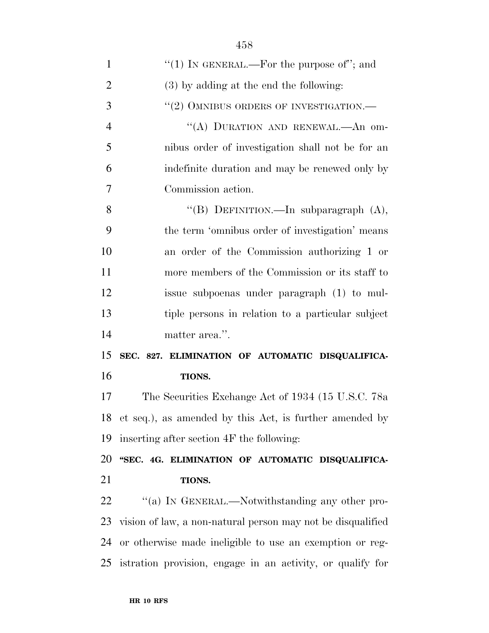| $\mathbf{1}$   | "(1) IN GENERAL.—For the purpose of"; and                     |
|----------------|---------------------------------------------------------------|
| $\overline{2}$ | (3) by adding at the end the following:                       |
| 3              | $``(2)$ OMNIBUS ORDERS OF INVESTIGATION.—                     |
| $\overline{4}$ | "(A) DURATION AND RENEWAL.—An om-                             |
| 5              | nibus order of investigation shall not be for an              |
| 6              | indefinite duration and may be renewed only by                |
| 7              | Commission action.                                            |
| 8              | "(B) DEFINITION.—In subparagraph $(A)$ ,                      |
| 9              | the term 'omnibus order of investigation' means               |
| 10             | an order of the Commission authorizing 1 or                   |
| 11             | more members of the Commission or its staff to                |
| 12             | issue subpoenas under paragraph (1) to mul-                   |
| 13             | tiple persons in relation to a particular subject             |
| 14             | matter area.".                                                |
|                |                                                               |
| 15             | SEC. 827. ELIMINATION OF AUTOMATIC DISQUALIFICA-              |
| 16             | TIONS.                                                        |
| 17             | The Securities Exchange Act of 1934 (15 U.S.C. 78a            |
|                | 18 et seq.), as amended by this Act, is further amended by    |
| 19             | inserting after section 4F the following:                     |
| 20             | "SEC. 4G. ELIMINATION OF AUTOMATIC DISQUALIFICA-              |
| 21             | TIONS.                                                        |
| 22             | "(a) IN GENERAL.—Notwithstanding any other pro-               |
| 23             | vision of law, a non-natural person may not be disqualified   |
| 24             | or otherwise made ineligible to use an exemption or reg-      |
|                | 25 istration provision, engage in an activity, or qualify for |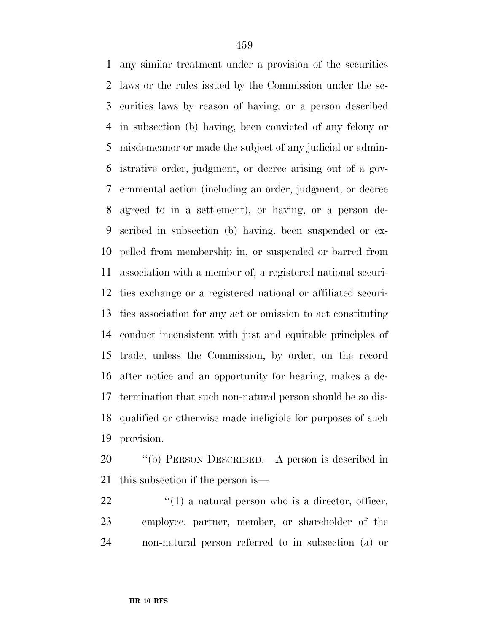any similar treatment under a provision of the securities laws or the rules issued by the Commission under the se- curities laws by reason of having, or a person described in subsection (b) having, been convicted of any felony or misdemeanor or made the subject of any judicial or admin- istrative order, judgment, or decree arising out of a gov- ernmental action (including an order, judgment, or decree agreed to in a settlement), or having, or a person de- scribed in subsection (b) having, been suspended or ex- pelled from membership in, or suspended or barred from association with a member of, a registered national securi- ties exchange or a registered national or affiliated securi- ties association for any act or omission to act constituting conduct inconsistent with just and equitable principles of trade, unless the Commission, by order, on the record after notice and an opportunity for hearing, makes a de- termination that such non-natural person should be so dis- qualified or otherwise made ineligible for purposes of such provision.

 ''(b) PERSON DESCRIBED.—A person is described in this subsection if the person is—

 "(1) a natural person who is a director, officer, employee, partner, member, or shareholder of the non-natural person referred to in subsection (a) or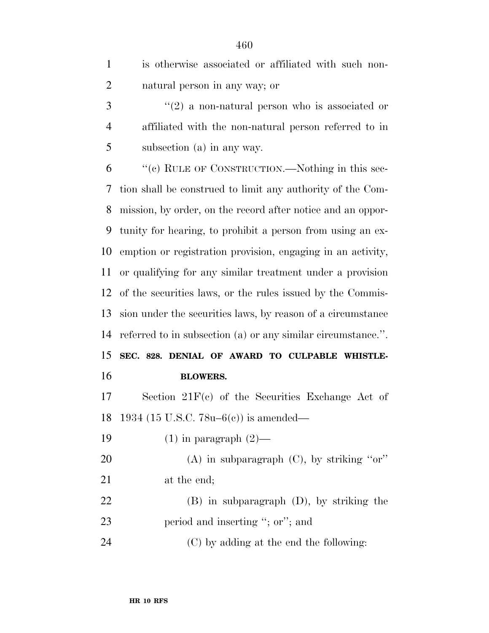| $\mathbf{1}$   | is otherwise associated or affiliated with such non-         |
|----------------|--------------------------------------------------------------|
| $\overline{2}$ | natural person in any way; or                                |
| 3              | $\lq(2)$ a non-natural person who is associated or           |
| $\overline{4}$ | affiliated with the non-natural person referred to in        |
| 5              | subsection (a) in any way.                                   |
| 6              | "(c) RULE OF CONSTRUCTION.—Nothing in this sec-              |
| 7              | tion shall be construed to limit any authority of the Com-   |
| 8              | mission, by order, on the record after notice and an oppor-  |
| 9              | tunity for hearing, to prohibit a person from using an ex-   |
| 10             | emption or registration provision, engaging in an activity,  |
| 11             | or qualifying for any similar treatment under a provision    |
| 12             | of the securities laws, or the rules issued by the Commis-   |
|                |                                                              |
| 13             | sion under the securities laws, by reason of a circumstance  |
| 14             | referred to in subsection (a) or any similar circumstance.". |
| 15             | SEC. 828. DENIAL OF AWARD TO CULPABLE WHISTLE-               |
| 16             | <b>BLOWERS.</b>                                              |
| 17             | Section $21F(c)$ of the Securities Exchange Act of           |
| 18             | 1934 (15 U.S.C. 78u-6(c)) is amended—                        |
| 19             | $(1)$ in paragraph $(2)$ —                                   |
| 20             | (A) in subparagraph $(C)$ , by striking "or"                 |
| 21             | at the end;                                                  |
| 22             | $(B)$ in subparagraph $(D)$ , by striking the                |
| 23             | period and inserting "; or"; and                             |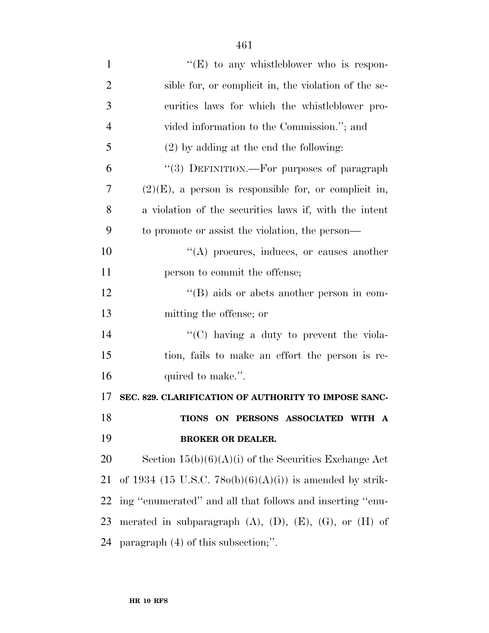| $\mathbf{1}$   | "(E) to any whistleblower who is respon-                            |
|----------------|---------------------------------------------------------------------|
| $\overline{2}$ | sible for, or complicit in, the violation of the se-                |
| 3              | curities laws for which the whistleblower pro-                      |
| $\overline{4}$ | vided information to the Commission."; and                          |
| 5              | $(2)$ by adding at the end the following:                           |
| 6              | "(3) DEFINITION.—For purposes of paragraph                          |
| 7              | $(2)(E)$ , a person is responsible for, or complicit in,            |
| 8              | a violation of the securities laws if, with the intent              |
| 9              | to promote or assist the violation, the person—                     |
| 10             | $\lq\lq$ procures, induces, or causes another                       |
| 11             | person to commit the offense;                                       |
| 12             | $\lq\lq (B)$ aids or abets another person in com-                   |
| 13             | mitting the offense; or                                             |
| 14             | " $(C)$ having a duty to prevent the viola-                         |
| 15             | tion, fails to make an effort the person is re-                     |
| 16             | quired to make.".                                                   |
| 17             | SEC. 829. CLARIFICATION OF AUTHORITY TO IMPOSE SANC-                |
| 18             | TIONS ON PERSONS ASSOCIATED WITH A                                  |
| 19             | <b>BROKER OR DEALER.</b>                                            |
| 20             | Section $15(b)(6)(A)(i)$ of the Securities Exchange Act             |
| 21             | of 1934 (15 U.S.C. 78 $o(b)(6)(A)(i)$ ) is amended by strik-        |
| <u>22</u>      | ing "enumerated" and all that follows and inserting "enu-           |
| 23             | merated in subparagraph $(A)$ , $(D)$ , $(E)$ , $(G)$ , or $(H)$ of |
| 24             | paragraph (4) of this subsection;".                                 |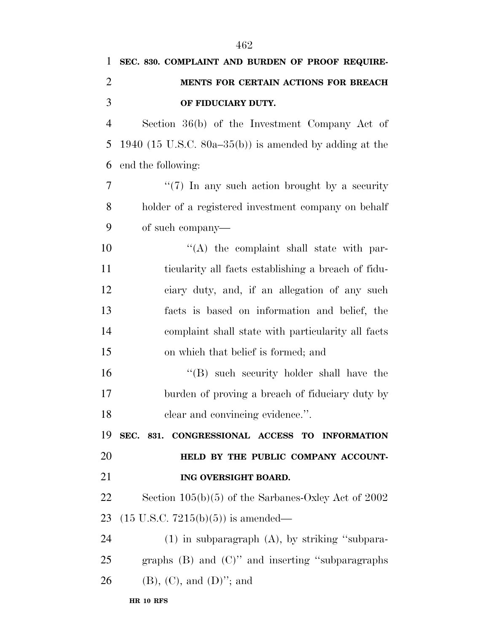| 1              | SEC. 830. COMPLAINT AND BURDEN OF PROOF REQUIRE-        |
|----------------|---------------------------------------------------------|
| $\overline{2}$ | MENTS FOR CERTAIN ACTIONS FOR BREACH                    |
| 3              | OF FIDUCIARY DUTY.                                      |
| $\overline{4}$ | Section 36(b) of the Investment Company Act of          |
| 5              | 1940 (15 U.S.C. 80a–35(b)) is amended by adding at the  |
| 6              | end the following:                                      |
| 7              | $\lq(7)$ In any such action brought by a security       |
| 8              | holder of a registered investment company on behalf     |
| 9              | of such company—                                        |
| 10             | $\lq\lq$ the complaint shall state with par-            |
| 11             | ticularity all facts establishing a breach of fidu-     |
| 12             | ciary duty, and, if an allegation of any such           |
| 13             | facts is based on information and belief, the           |
| 14             | complaint shall state with particularity all facts      |
| 15             | on which that belief is formed; and                     |
| 16             | "(B) such security holder shall have the                |
| 17             | burden of proving a breach of fiduciary duty by         |
| 18             | clear and convincing evidence.".                        |
| 19             | SEC. 831. CONGRESSIONAL ACCESS TO<br><b>INFORMATION</b> |
| 20             | HELD BY THE PUBLIC COMPANY ACCOUNT-                     |
| 21             | ING OVERSIGHT BOARD.                                    |
| 22             | Section $105(b)(5)$ of the Sarbanes-Oxley Act of 2002   |
| 23             | $(15 \text{ U.S.C. } 7215(b)(5))$ is amended—           |
| 24             | $(1)$ in subparagraph $(A)$ , by striking "subpara-     |
| 25             | graphs $(B)$ and $(C)$ " and inserting "subparagraphs"  |
| 26             | $(B)$ , $(C)$ , and $(D)$ "; and                        |
|                |                                                         |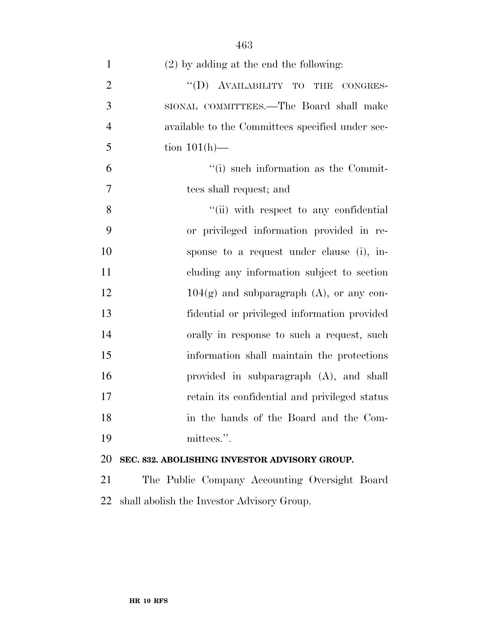SIONAL COMMITTEES.—The Board shall make available to the Committees specified under sec-5 tion  $101(h)$ — ''(i) such information as the Commit- tees shall request; and 8 ''(ii) with respect to any confidential or privileged information provided in re- sponse to a request under clause (i), in- cluding any information subject to section 12 104(g) and subparagraph  $(A)$ , or any con- fidential or privileged information provided orally in response to such a request, such information shall maintain the protections provided in subparagraph (A), and shall retain its confidential and privileged status in the hands of the Board and the Com-mittees.''.

### **SEC. 832. ABOLISHING INVESTOR ADVISORY GROUP.**

 The Public Company Accounting Oversight Board shall abolish the Investor Advisory Group.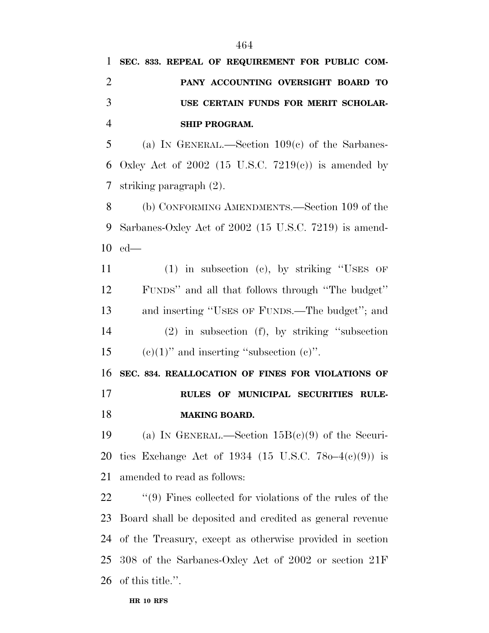**SEC. 833. REPEAL OF REQUIREMENT FOR PUBLIC COM- PANY ACCOUNTING OVERSIGHT BOARD TO USE CERTAIN FUNDS FOR MERIT SCHOLAR-SHIP PROGRAM.** 

 (a) IN GENERAL.—Section 109(c) of the Sarbanes-6 Oxley Act of (15 U.S.C. 7219(c)) is amended by striking paragraph (2).

 (b) CONFORMING AMENDMENTS.—Section 109 of the Sarbanes-Oxley Act of 2002 (15 U.S.C. 7219) is amend-ed—

 (1) in subsection (c), by striking ''USES OF FUNDS'' and all that follows through ''The budget'' and inserting ''USES OF FUNDS.—The budget''; and (2) in subsection (f), by striking ''subsection 15 (c)(1)" and inserting "subsection  $(e)$ ".

 **SEC. 834. REALLOCATION OF FINES FOR VIOLATIONS OF RULES OF MUNICIPAL SECURITIES RULE-MAKING BOARD.** 

19 (a) IN GENERAL.—Section  $15B(c)(9)$  of the Securi- ties Exchange Act of 1934 (15 U.S.C. 78o–4(c)(9)) is amended to read as follows:

 $\cdot$  ''(9) Fines collected for violations of the rules of the Board shall be deposited and credited as general revenue of the Treasury, except as otherwise provided in section 308 of the Sarbanes-Oxley Act of 2002 or section 21F of this title.''.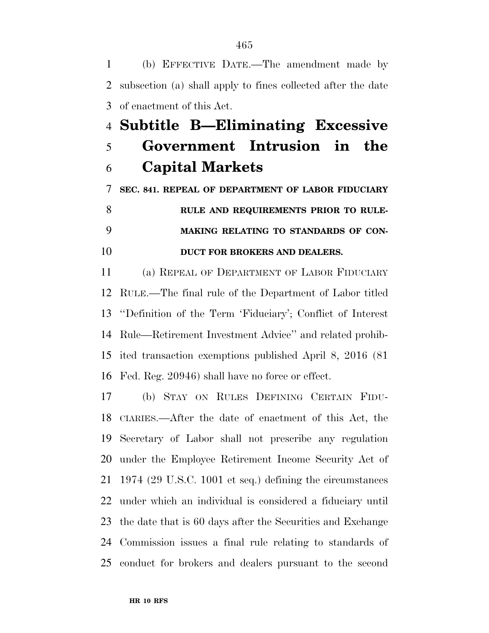(b) EFFECTIVE DATE.—The amendment made by subsection (a) shall apply to fines collected after the date of enactment of this Act.

# **Subtitle B—Eliminating Excessive Government Intrusion in the Capital Markets**

**SEC. 841. REPEAL OF DEPARTMENT OF LABOR FIDUCIARY** 

 **RULE AND REQUIREMENTS PRIOR TO RULE- MAKING RELATING TO STANDARDS OF CON-DUCT FOR BROKERS AND DEALERS.** 

 (a) REPEAL OF DEPARTMENT OF LABOR FIDUCIARY RULE.—The final rule of the Department of Labor titled ''Definition of the Term 'Fiduciary'; Conflict of Interest Rule—Retirement Investment Advice'' and related prohib- ited transaction exemptions published April 8, 2016 (81 Fed. Reg. 20946) shall have no force or effect.

 (b) STAY ON RULES DEFINING CERTAIN FIDU- CIARIES.—After the date of enactment of this Act, the Secretary of Labor shall not prescribe any regulation under the Employee Retirement Income Security Act of 1974 (29 U.S.C. 1001 et seq.) defining the circumstances under which an individual is considered a fiduciary until the date that is 60 days after the Securities and Exchange Commission issues a final rule relating to standards of conduct for brokers and dealers pursuant to the second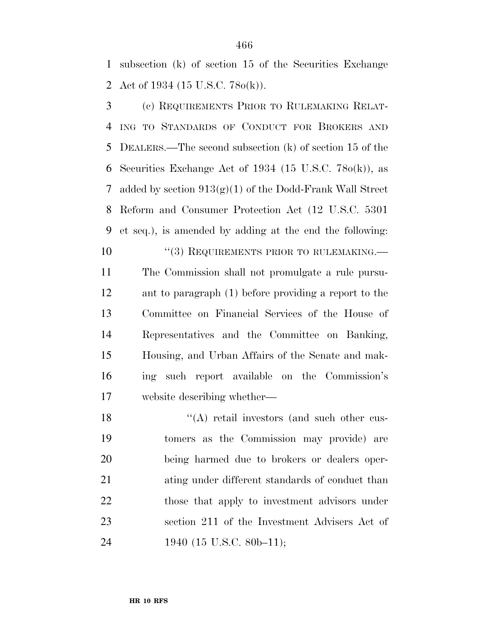subsection (k) of section 15 of the Securities Exchange Act of 1934 (15 U.S.C. 78o(k)).

 (c) REQUIREMENTS PRIOR TO RULEMAKING RELAT- ING TO STANDARDS OF CONDUCT FOR BROKERS AND DEALERS.—The second subsection (k) of section 15 of the 6 Securities Exchange Act of 1934 (15 U.S.C. 78 $o(k)$ ), as 7 added by section  $913(g)(1)$  of the Dodd-Frank Wall Street Reform and Consumer Protection Act (12 U.S.C. 5301 et seq.), is amended by adding at the end the following: 10 "(3) REQUIREMENTS PRIOR TO RULEMAKING.—

 The Commission shall not promulgate a rule pursu- ant to paragraph (1) before providing a report to the Committee on Financial Services of the House of Representatives and the Committee on Banking, Housing, and Urban Affairs of the Senate and mak- ing such report available on the Commission's website describing whether—

18 ''(A) retail investors (and such other cus- tomers as the Commission may provide) are being harmed due to brokers or dealers oper- ating under different standards of conduct than 22 those that apply to investment advisors under section 211 of the Investment Advisers Act of 1940 (15 U.S.C. 80b–11);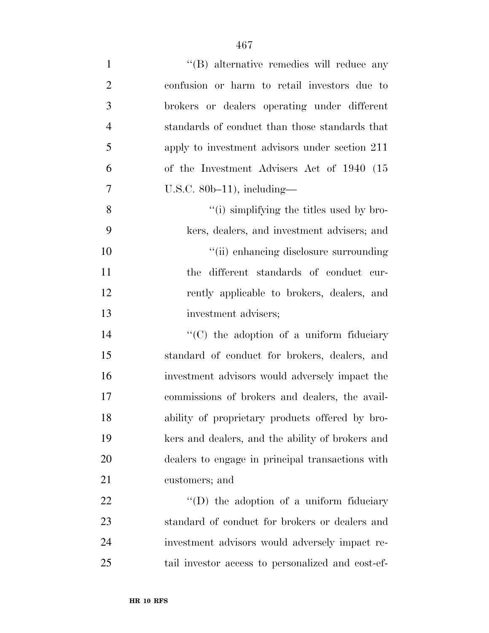| $\mathbf{1}$   | "(B) alternative remedies will reduce any         |
|----------------|---------------------------------------------------|
| $\overline{2}$ | confusion or harm to retail investors due to      |
| 3              | brokers or dealers operating under different      |
| $\overline{4}$ | standards of conduct than those standards that    |
| 5              | apply to investment advisors under section 211    |
| 6              | of the Investment Advisers Act of 1940 (15        |
| 7              | U.S.C. $80b-11$ , including—                      |
| 8              | "(i) simplifying the titles used by bro-          |
| 9              | kers, dealers, and investment advisers; and       |
| 10             | "(ii) enhancing disclosure surrounding            |
| 11             | the different standards of conduct cur-           |
| 12             | rently applicable to brokers, dealers, and        |
| 13             | investment advisers;                              |
| 14             | "(C) the adoption of a uniform fiduciary          |
| 15             | standard of conduct for brokers, dealers, and     |
| 16             | investment advisors would adversely impact the    |
| 17             | commissions of brokers and dealers, the avail-    |
| 18             | ability of proprietary products offered by bro-   |
| 19             | kers and dealers, and the ability of brokers and  |
| 20             | dealers to engage in principal transactions with  |
| 21             | customers; and                                    |
| 22             | $\lq\lq$ the adoption of a uniform fiduciary      |
| 23             | standard of conduct for brokers or dealers and    |
| 24             | investment advisors would adversely impact re-    |
| 25             | tail investor access to personalized and cost-ef- |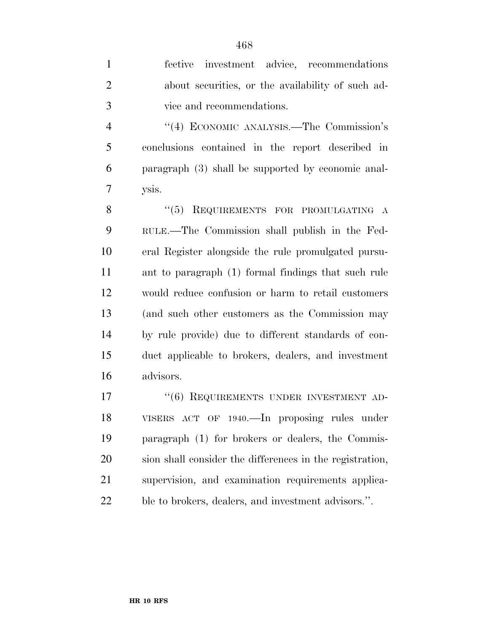| $\mathbf{1}$   | fective investment advice, recommendations          |
|----------------|-----------------------------------------------------|
| $\overline{2}$ | about securities, or the availability of such ad-   |
| 3              | vice and recommendations.                           |
| $\overline{4}$ | "(4) ECONOMIC ANALYSIS.—The Commission's            |
| 5              | conclusions contained in the report described in    |
| 6              | paragraph (3) shall be supported by economic anal-  |
| 7              | ysis.                                               |
| 8              | "(5) REQUIREMENTS FOR PROMULGATING A                |
| 9              | RULE.—The Commission shall publish in the Fed-      |
| 10             | eral Register alongside the rule promulgated pursu- |
| 11             | ant to paragraph (1) formal findings that such rule |
| 12             | would reduce confusion or harm to retail customers  |
| 13             | (and such other customers as the Commission may     |
| 14             | by rule provide) due to different standards of con- |
| 15             | duct applicable to brokers, dealers, and investment |
| 16             | advisors.                                           |
| 17             | "(6) REQUIREMENTS UNDER INVESTMENT AD-              |
| 18             | VISERS ACT OF 1940.—In proposing rules under        |
|                |                                                     |

ble to brokers, dealers, and investment advisors.''.

paragraph (1) for brokers or dealers, the Commis-

sion shall consider the differences in the registration,

supervision, and examination requirements applica-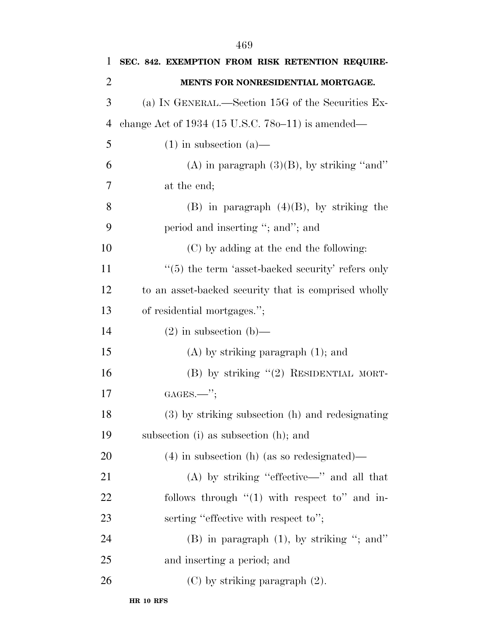| 1              | SEC. 842. EXEMPTION FROM RISK RETENTION REQUIRE-         |
|----------------|----------------------------------------------------------|
| $\overline{2}$ | MENTS FOR NONRESIDENTIAL MORTGAGE.                       |
| 3              | (a) IN GENERAL.—Section 15G of the Securities Ex-        |
| $\overline{4}$ | change Act of $1934$ (15 U.S.C. 780–11) is amended—      |
| 5              | $(1)$ in subsection $(a)$ —                              |
| 6              | (A) in paragraph $(3)(B)$ , by striking "and"            |
| 7              | at the end;                                              |
| 8              | $(B)$ in paragraph $(4)(B)$ , by striking the            |
| 9              | period and inserting "; and"; and                        |
| 10             | (C) by adding at the end the following:                  |
| 11             | $\lq\lq(5)$ the term 'asset-backed security' refers only |
| 12             | to an asset-backed security that is comprised wholly     |
| 13             | of residential mortgages.";                              |
| 14             | $(2)$ in subsection $(b)$ —                              |
| 15             | $(A)$ by striking paragraph $(1)$ ; and                  |
| 16             | (B) by striking "(2) RESIDENTIAL MORT-                   |
| 17             | $GAGES.$ ";                                              |
| 18             | (3) by striking subsection (h) and redesignating         |
| 19             | subsection (i) as subsection (h); and                    |
| 20             | $(4)$ in subsection (h) (as so redesignated)—            |
| 21             | $(A)$ by striking "effective—" and all that              |
| 22             | follows through $\lq(1)$ with respect to" and in-        |
| 23             | serting "effective with respect to";                     |
| 24             | $(B)$ in paragraph $(1)$ , by striking "; and"           |
| 25             | and inserting a period; and                              |
| 26             | $(C)$ by striking paragraph $(2)$ .                      |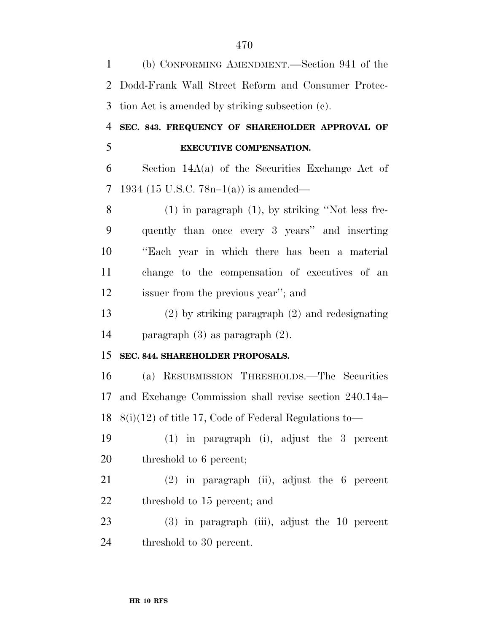(b) CONFORMING AMENDMENT.—Section 941 of the Dodd-Frank Wall Street Reform and Consumer Protec- tion Act is amended by striking subsection (c). **SEC. 843. FREQUENCY OF SHAREHOLDER APPROVAL OF EXECUTIVE COMPENSATION.**  Section 14A(a) of the Securities Exchange Act of 1934 (15 U.S.C. 78n–1(a)) is amended— (1) in paragraph (1), by striking ''Not less fre- quently than once every 3 years'' and inserting ''Each year in which there has been a material change to the compensation of executives of an issuer from the previous year''; and (2) by striking paragraph (2) and redesignating paragraph (3) as paragraph (2). **SEC. 844. SHAREHOLDER PROPOSALS.**  (a) RESUBMISSION THRESHOLDS.—The Securities and Exchange Commission shall revise section 240.14a– 8(i)(12) of title 17, Code of Federal Regulations to— (1) in paragraph (i), adjust the 3 percent 20 threshold to 6 percent; (2) in paragraph (ii), adjust the 6 percent threshold to 15 percent; and (3) in paragraph (iii), adjust the 10 percent threshold to 30 percent.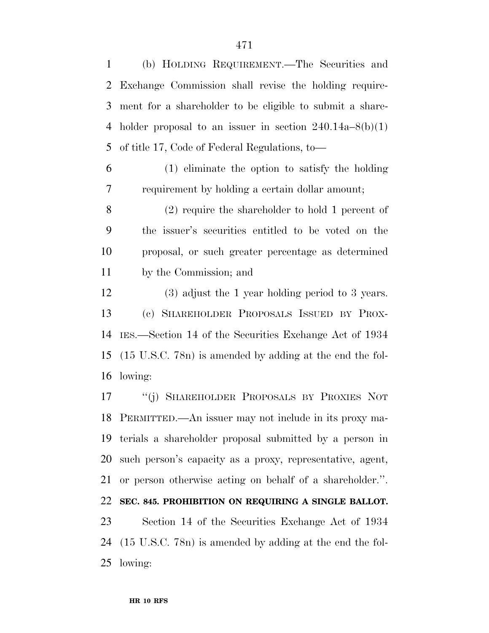(b) HOLDING REQUIREMENT.—The Securities and Exchange Commission shall revise the holding require- ment for a shareholder to be eligible to submit a share-4 holder proposal to an issuer in section  $240.14a-8(b)(1)$ of title 17, Code of Federal Regulations, to—

 (1) eliminate the option to satisfy the holding requirement by holding a certain dollar amount;

 (2) require the shareholder to hold 1 percent of the issuer's securities entitled to be voted on the proposal, or such greater percentage as determined by the Commission; and

 (3) adjust the 1 year holding period to 3 years. (c) SHAREHOLDER PROPOSALS ISSUED BY PROX- IES.—Section 14 of the Securities Exchange Act of 1934 (15 U.S.C. 78n) is amended by adding at the end the fol-lowing:

 ''(j) SHAREHOLDER PROPOSALS BY PROXIES NOT PERMITTED.—An issuer may not include in its proxy ma- terials a shareholder proposal submitted by a person in such person's capacity as a proxy, representative, agent, or person otherwise acting on behalf of a shareholder.''. **SEC. 845. PROHIBITION ON REQUIRING A SINGLE BALLOT.**  Section 14 of the Securities Exchange Act of 1934 (15 U.S.C. 78n) is amended by adding at the end the fol-lowing: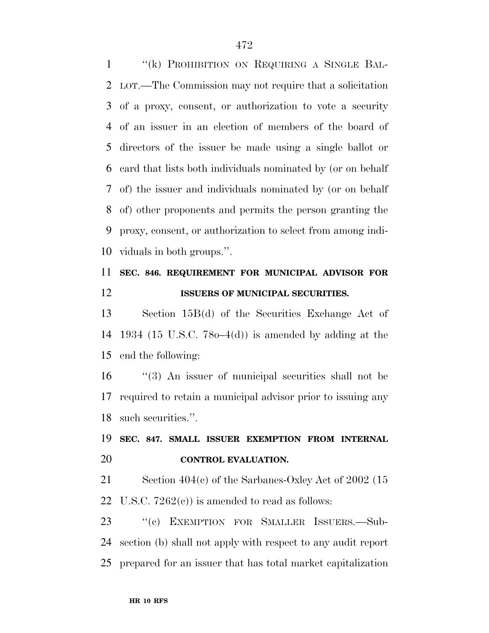''(k) PROHIBITION ON REQUIRING A SINGLE BAL- LOT.—The Commission may not require that a solicitation of a proxy, consent, or authorization to vote a security of an issuer in an election of members of the board of directors of the issuer be made using a single ballot or card that lists both individuals nominated by (or on behalf of) the issuer and individuals nominated by (or on behalf of) other proponents and permits the person granting the proxy, consent, or authorization to select from among indi-viduals in both groups.''.

## **SEC. 846. REQUIREMENT FOR MUNICIPAL ADVISOR FOR ISSUERS OF MUNICIPAL SECURITIES.**

 Section 15B(d) of the Securities Exchange Act of 1934 (15 U.S.C. 78o–4(d)) is amended by adding at the end the following:

 ''(3) An issuer of municipal securities shall not be required to retain a municipal advisor prior to issuing any such securities.''.

 **SEC. 847. SMALL ISSUER EXEMPTION FROM INTERNAL CONTROL EVALUATION.** 

21 Section 404(c) of the Sarbanes-Oxley Act of 2002 (15 22 U.S.C.  $7262(e)$  is amended to read as follows:

23 "(c) EXEMPTION FOR SMALLER ISSUERS.—Sub- section (b) shall not apply with respect to any audit report prepared for an issuer that has total market capitalization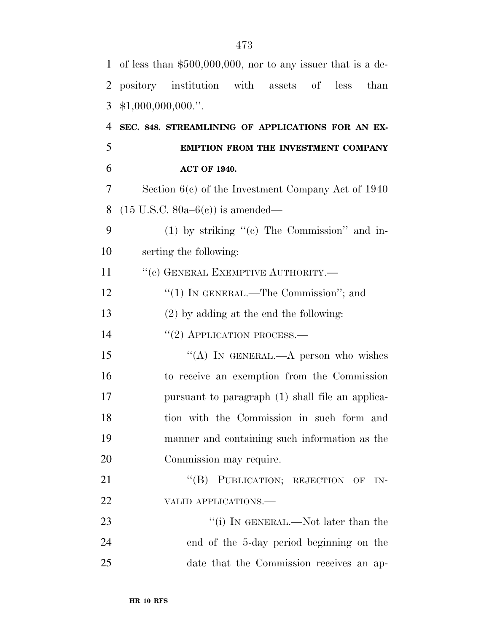| $\mathbf{1}$ | of less than $$500,000,000$ , nor to any issuer that is a de- |
|--------------|---------------------------------------------------------------|
| 2            | pository institution with assets of<br>less<br>than           |
| 3            | \$1,000,000,000."                                             |
| 4            | SEC. 848. STREAMLINING OF APPLICATIONS FOR AN EX-             |
| 5            | <b>EMPTION FROM THE INVESTMENT COMPANY</b>                    |
| 6            | <b>ACT OF 1940.</b>                                           |
| 7            | Section $6(c)$ of the Investment Company Act of 1940          |
| 8            | $(15 \text{ U.S.C. } 80a{-}6(c))$ is amended—                 |
| 9            | (1) by striking $(0)$ The Commission" and in-                 |
| 10           | serting the following:                                        |
| 11           | "(c) GENERAL EXEMPTIVE AUTHORITY.—                            |
| 12           | "(1) IN GENERAL.—The Commission"; and                         |
| 13           | $(2)$ by adding at the end the following:                     |
| 14           | $\cdot\cdot(2)$ APPLICATION PROCESS.—                         |
| 15           | "(A) IN GENERAL.—A person who wishes                          |
| 16           | to receive an exemption from the Commission                   |
| 17           | pursuant to paragraph (1) shall file an applica-              |
| 18           | tion with the Commission in such form and                     |
| 19           | manner and containing such information as the                 |
| 20           | Commission may require.                                       |
| 21           | "(B) PUBLICATION; REJECTION OF IN-                            |
| 22           | VALID APPLICATIONS.-                                          |
| 23           | "(i) IN GENERAL.—Not later than the                           |
| 24           | end of the 5-day period beginning on the                      |
| 25           | date that the Commission receives an ap-                      |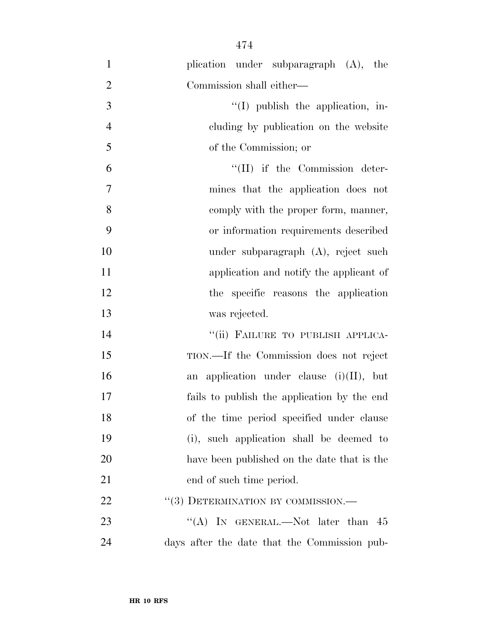| $\mathbf{1}$   | plication under subparagraph (A), the          |
|----------------|------------------------------------------------|
| $\overline{2}$ | Commission shall either—                       |
| 3              | $\lq$ (I) publish the application, in-         |
| $\overline{4}$ | eluding by publication on the website          |
| 5              | of the Commission; or                          |
| 6              | $``(II)$ if the Commission deter-              |
| $\tau$         | mines that the application does not            |
| 8              | comply with the proper form, manner,           |
| 9              | or information requirements described          |
| 10             | under subparagraph (A), reject such            |
| 11             | application and notify the applicant of        |
| 12             | the specific reasons the application           |
| 13             | was rejected.                                  |
| 14             | "(ii) FAILURE TO PUBLISH APPLICA-              |
| 15             | TION.—If the Commission does not reject        |
| 16             | application under clause $(i)(II)$ , but<br>an |
| 17             | fails to publish the application by the end    |
| 18             | of the time period specified under clause      |
| 19             | (i), such application shall be deemed to       |
| 20             | have been published on the date that is the    |
| 21             | end of such time period.                       |
| 22             | "(3) DETERMINATION BY COMMISSION.—             |
| 23             | "(A) IN GENERAL.—Not later than $45$           |
| 24             | days after the date that the Commission pub-   |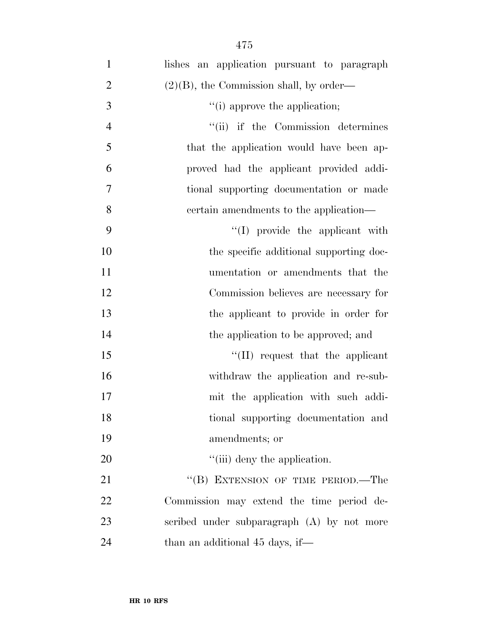| $\mathbf{1}$   | lishes an application pursuant to paragraph |
|----------------|---------------------------------------------|
| $\overline{2}$ | $(2)(B)$ , the Commission shall, by order—  |
| 3              | "(i) approve the application;               |
| $\overline{4}$ | "(ii) if the Commission determines          |
| 5              | that the application would have been ap-    |
| 6              | proved had the applicant provided addi-     |
| 7              | tional supporting documentation or made     |
| 8              | certain amendments to the application—      |
| 9              | "(I) provide the applicant with             |
| 10             | the specific additional supporting doc-     |
| 11             | umentation or amendments that the           |
| 12             | Commission believes are necessary for       |
| 13             | the applicant to provide in order for       |
| 14             | the application to be approved; and         |
| 15             | "(II) request that the applicant            |
| 16             | withdraw the application and re-sub-        |
| 17             | mit the application with such addi-         |
| 18             | tional supporting documentation and         |
| 19             | amendments; or                              |
| 20             | "(iii) deny the application.                |
| 21             | "(B) EXTENSION OF TIME PERIOD.—The          |
| 22             | Commission may extend the time period de-   |
| 23             | scribed under subparagraph (A) by not more  |
| 24             | than an additional 45 days, if—             |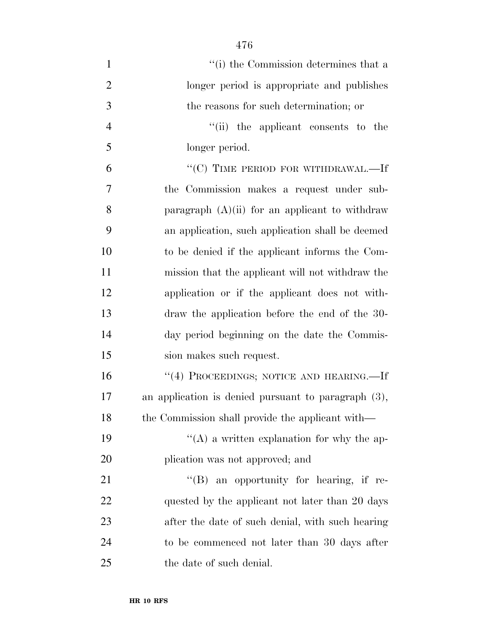| $\mathbf{1}$   | "(i) the Commission determines that a               |
|----------------|-----------------------------------------------------|
| $\overline{2}$ | longer period is appropriate and publishes          |
| 3              | the reasons for such determination; or              |
| $\overline{4}$ | "(ii) the applicant consents to the                 |
| 5              | longer period.                                      |
| 6              | "(C) TIME PERIOD FOR WITHDRAWAL.—If                 |
| 7              | the Commission makes a request under sub-           |
| 8              | paragraph $(A)(ii)$ for an applicant to withdraw    |
| 9              | an application, such application shall be deemed    |
| 10             | to be denied if the applicant informs the Com-      |
| 11             | mission that the applicant will not withdraw the    |
| 12             | application or if the applicant does not with-      |
| 13             | draw the application before the end of the 30-      |
| 14             | day period beginning on the date the Commis-        |
| 15             | sion makes such request.                            |
| 16             | "(4) PROCEEDINGS; NOTICE AND HEARING.—If            |
| 17             | an application is denied pursuant to paragraph (3), |
| 18             | the Commission shall provide the applicant with—    |
| 19             | $\lq\lq$ a written explanation for why the ap-      |
| 20             | plication was not approved; and                     |
| 21             | $\lq\lq (B)$ an opportunity for hearing, if re-     |
| 22             | quested by the applicant not later than 20 days     |
| 23             | after the date of such denial, with such hearing    |
| 24             | to be commenced not later than 30 days after        |
| 25             | the date of such denial.                            |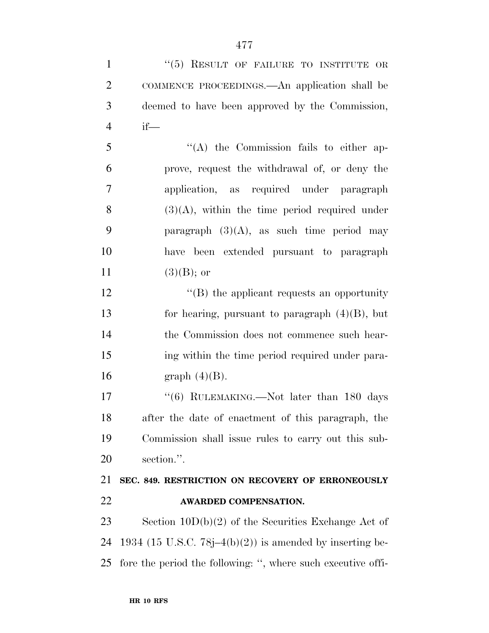| $\mathbf{1}$   | "(5) RESULT OF FAILURE TO INSTITUTE OR                       |
|----------------|--------------------------------------------------------------|
| $\overline{2}$ | COMMENCE PROCEEDINGS.—An application shall be                |
| 3              | deemed to have been approved by the Commission,              |
| $\overline{4}$ | $if$ —                                                       |
| 5              | "(A) the Commission fails to either ap-                      |
| 6              | prove, request the withdrawal of, or deny the                |
| $\tau$         | application, as required under paragraph                     |
| 8              | $(3)(A)$ , within the time period required under             |
| 9              | paragraph $(3)(A)$ , as such time period may                 |
| 10             | have been extended pursuant to paragraph                     |
| 11             | $(3)(B)$ ; or                                                |
| 12             | $\lq\lq$ (B) the applicant requests an opportunity           |
| 13             | for hearing, pursuant to paragraph $(4)(B)$ , but            |
| 14             | the Commission does not commence such hear-                  |
| 15             | ing within the time period required under para-              |
| 16             | graph $(4)(B)$ .                                             |
| 17             | " $(6)$ RULEMAKING.—Not later than 180 days                  |
| 18             | after the date of enactment of this paragraph, the           |
| 19             | Commission shall issue rules to carry out this sub-          |
| 20             | section.".                                                   |
| 21             | SEC. 849. RESTRICTION ON RECOVERY OF ERRONEOUSLY             |
| 22             | AWARDED COMPENSATION.                                        |
| 23             | Section $10D(b)(2)$ of the Securities Exchange Act of        |
| 24             | 1934 (15 U.S.C. 78 $j-4(b)(2)$ ) is amended by inserting be- |
| 25             | fore the period the following: ", where such executive offi- |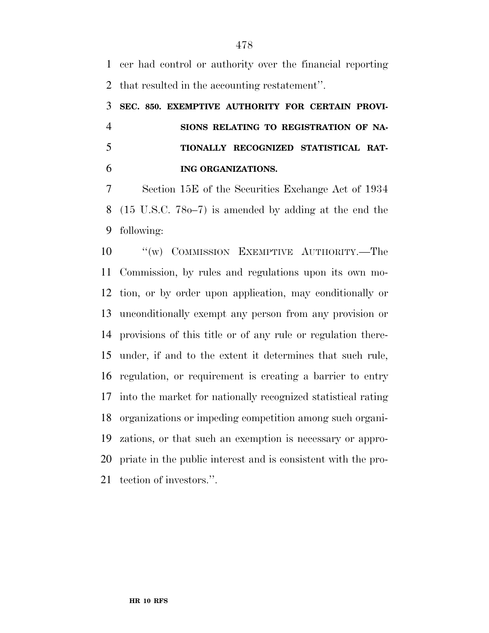cer had control or authority over the financial reporting that resulted in the accounting restatement''.

## **SEC. 850. EXEMPTIVE AUTHORITY FOR CERTAIN PROVI- SIONS RELATING TO REGISTRATION OF NA- TIONALLY RECOGNIZED STATISTICAL RAT-ING ORGANIZATIONS.**

 Section 15E of the Securities Exchange Act of 1934 (15 U.S.C. 78o–7) is amended by adding at the end the following:

10 "(w) COMMISSION EXEMPTIVE AUTHORITY.—The Commission, by rules and regulations upon its own mo- tion, or by order upon application, may conditionally or unconditionally exempt any person from any provision or provisions of this title or of any rule or regulation there- under, if and to the extent it determines that such rule, regulation, or requirement is creating a barrier to entry into the market for nationally recognized statistical rating organizations or impeding competition among such organi- zations, or that such an exemption is necessary or appro- priate in the public interest and is consistent with the pro-tection of investors.''.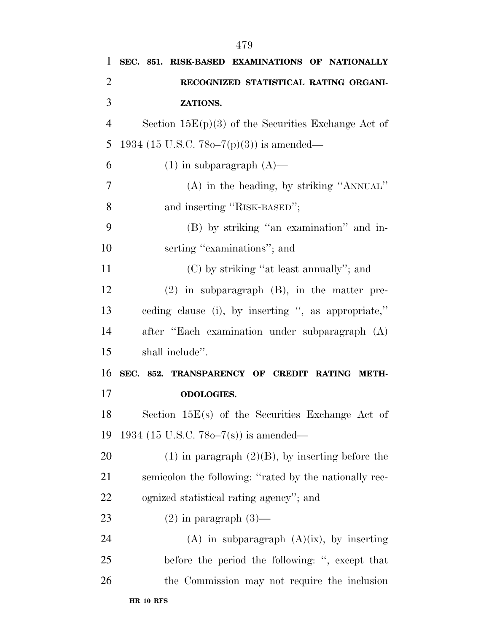| 1              | SEC. 851. RISK-BASED EXAMINATIONS OF NATIONALLY        |
|----------------|--------------------------------------------------------|
| $\overline{2}$ | RECOGNIZED STATISTICAL RATING ORGANI-                  |
| 3              | ZATIONS.                                               |
| $\overline{4}$ | Section $15E(p)(3)$ of the Securities Exchange Act of  |
| 5              | 1934 (15 U.S.C. 780–7(p)(3)) is amended—               |
| 6              | $(1)$ in subparagraph $(A)$ —                          |
| 7              | (A) in the heading, by striking "ANNUAL"               |
| 8              | and inserting "RISK-BASED";                            |
| 9              | (B) by striking "an examination" and in-               |
| 10             | serting "examinations"; and                            |
| 11             | (C) by striking "at least annually"; and               |
| 12             | $(2)$ in subparagraph $(B)$ , in the matter pre-       |
| 13             | ceding clause (i), by inserting ", as appropriate,"    |
| 14             | after "Each examination under subparagraph (A)         |
| 15             | shall include".                                        |
| 16             | SEC. 852. TRANSPARENCY OF CREDIT RATING METH-          |
| 17             | <b>ODOLOGIES.</b>                                      |
| 18             | Section $15E(s)$ of the Securities Exchange Act of     |
| 19             | 1934 (15 U.S.C. 780–7(s)) is amended—                  |
| 20             | $(1)$ in paragraph $(2)(B)$ , by inserting before the  |
| 21             | semicolon the following: "rated by the nationally rec- |
| 22             | ognized statistical rating agency"; and                |
| 23             | $(2)$ in paragraph $(3)$ —                             |
| 24             | $(A)$ in subparagraph $(A)(ix)$ , by inserting         |
| 25             | before the period the following: ", except that        |
| 26             | the Commission may not require the inclusion           |
|                |                                                        |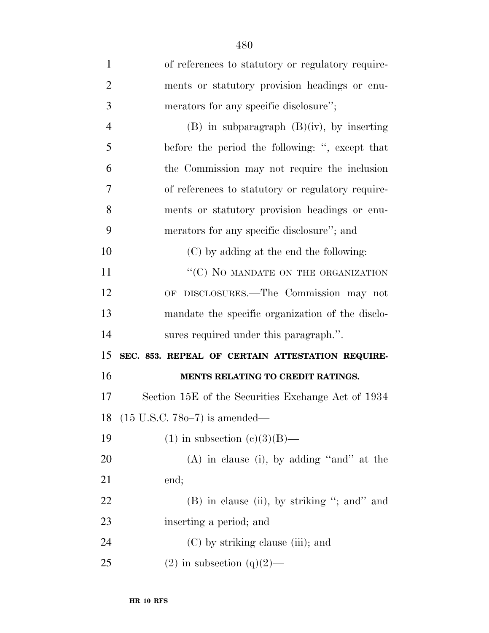| $\mathbf{1}$   | of references to statutory or regulatory require-  |
|----------------|----------------------------------------------------|
| $\overline{2}$ | ments or statutory provision headings or enu-      |
| 3              | merators for any specific disclosure";             |
| $\overline{4}$ | $(B)$ in subparagraph $(B)(iv)$ , by inserting     |
| 5              | before the period the following: ", except that    |
| 6              | the Commission may not require the inclusion       |
| $\overline{7}$ | of references to statutory or regulatory require-  |
| 8              | ments or statutory provision headings or enu-      |
| 9              | merators for any specific disclosure"; and         |
| 10             | (C) by adding at the end the following:            |
| 11             | "(C) NO MANDATE ON THE ORGANIZATION                |
| 12             | OF DISCLOSURES.—The Commission may not             |
| 13             | mandate the specific organization of the disclo-   |
| 14             | sures required under this paragraph.".             |
| 15             | SEC. 853. REPEAL OF CERTAIN ATTESTATION REQUIRE-   |
| 16             | MENTS RELATING TO CREDIT RATINGS.                  |
| 17             | Section 15E of the Securities Exchange Act of 1934 |
| 18             | $(15 \text{ U.S.C. } 780-7)$ is amended—           |
| 19             | $(1)$ in subsection $(e)(3)(B)$ —                  |
| <b>20</b>      | $(A)$ in clause (i), by adding "and" at the        |
| 21             | end;                                               |
| 22             | (B) in clause (ii), by striking "; and" and        |
| 23             | inserting a period; and                            |
| 24             | (C) by striking clause (iii); and                  |
| 25             | $(2)$ in subsection $(q)(2)$ —                     |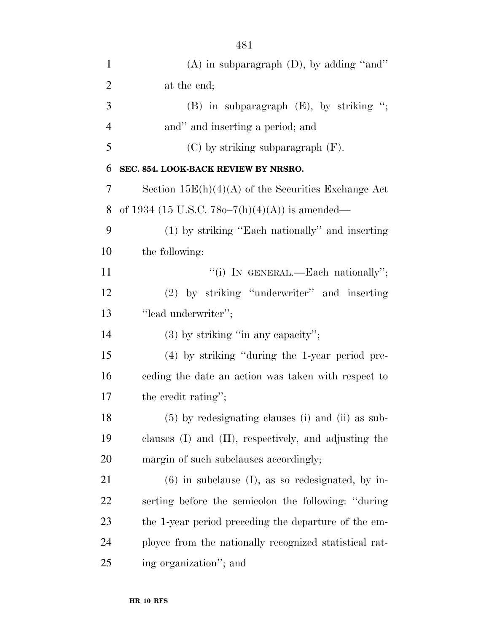| $\mathbf{1}$   | $(A)$ in subparagraph $(D)$ , by adding "and"              |
|----------------|------------------------------------------------------------|
| $\overline{2}$ | at the end;                                                |
| 3              | $(B)$ in subparagraph $(E)$ , by striking ";               |
| $\overline{4}$ | and" and inserting a period; and                           |
| 5              | (C) by striking subparagraph (F).                          |
| 6              | SEC. 854. LOOK-BACK REVIEW BY NRSRO.                       |
| 7              | Section $15E(h)(4)(A)$ of the Securities Exchange Act      |
| 8              | of 1934 (15 U.S.C. 780–7(h)(4)(A)) is amended—             |
| 9              | (1) by striking "Each nationally" and inserting            |
| 10             | the following:                                             |
| 11             | "(i) IN GENERAL.—Each nationally";                         |
| 12             | (2) by striking "underwriter" and inserting                |
| 13             | "lead underwriter";                                        |
| 14             | $(3)$ by striking "in any capacity";                       |
| 15             | $(4)$ by striking "during the 1-year period pre-           |
| 16             | ceding the date an action was taken with respect to        |
| 17             | the credit rating";                                        |
| 18             | $(5)$ by redesignating clauses (i) and (ii) as sub-        |
| 19             | clauses $(I)$ and $(II)$ , respectively, and adjusting the |
| 20             | margin of such subclauses accordingly;                     |
| 21             | $(6)$ in subclause $(I)$ , as so redesignated, by in-      |
| 22             | serting before the semicolon the following: "during"       |
| 23             | the 1-year period preceding the departure of the em-       |
| 24             | ployee from the nationally recognized statistical rat-     |
| 25             | ing organization"; and                                     |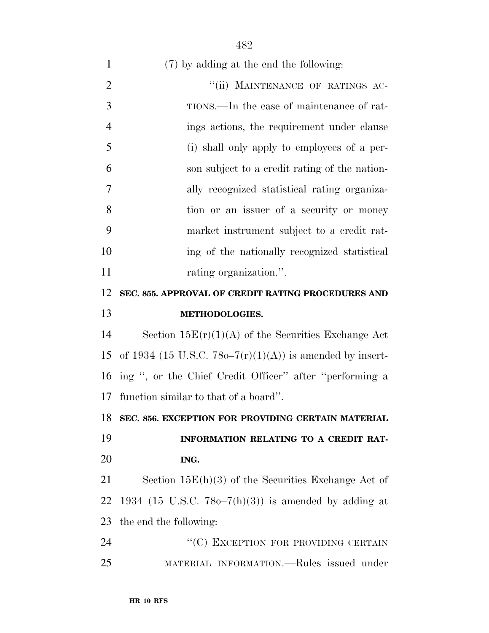| $\mathbf{1}$   | (7) by adding at the end the following:                      |
|----------------|--------------------------------------------------------------|
| $\overline{2}$ | "(ii) MAINTENANCE OF RATINGS AC-                             |
| 3              | TIONS.—In the case of maintenance of rat-                    |
| $\overline{4}$ | ings actions, the requirement under clause                   |
| 5              | (i) shall only apply to employees of a per-                  |
| 6              | son subject to a credit rating of the nation-                |
| 7              | ally recognized statistical rating organiza-                 |
| 8              | tion or an issuer of a security or money                     |
| 9              | market instrument subject to a credit rat-                   |
| 10             | ing of the nationally recognized statistical                 |
| 11             | rating organization.".                                       |
| 12             | SEC. 855. APPROVAL OF CREDIT RATING PROCEDURES AND           |
| 13             | <b>METHODOLOGIES.</b>                                        |
| 14             | Section $15E(r)(1)(A)$ of the Securities Exchange Act        |
| 15             | of 1934 (15 U.S.C. 780–7 $(r)(1)(A)$ ) is amended by insert- |
| 16             | ing ", or the Chief Credit Officer" after "performing a      |
| 17             | function similar to that of a board".                        |
|                | 18 SEC. 856. EXCEPTION FOR PROVIDING CERTAIN MATERIAL        |
| 19             | INFORMATION RELATING TO A CREDIT RAT-                        |
| 20             | ING.                                                         |
| 21             | Section $15E(h)(3)$ of the Securities Exchange Act of        |
| 22             | 1934 (15 U.S.C. 780–7(h)(3)) is amended by adding at         |
| 23             | the end the following:                                       |
| 24             | "(C) EXCEPTION FOR PROVIDING CERTAIN                         |
| 25             | MATERIAL INFORMATION.—Rules issued under                     |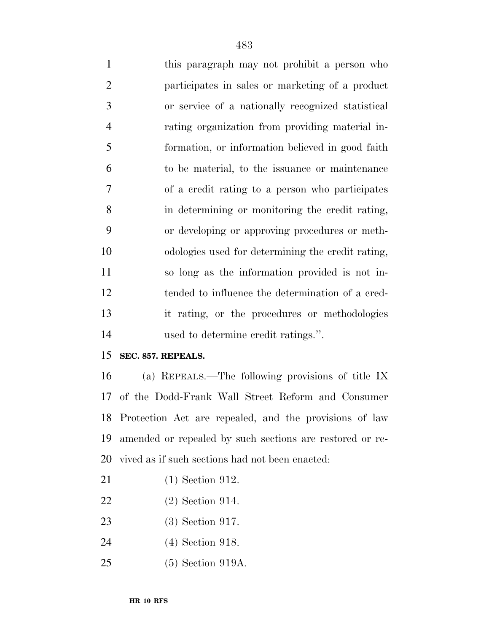this paragraph may not prohibit a person who participates in sales or marketing of a product or service of a nationally recognized statistical rating organization from providing material in- formation, or information believed in good faith to be material, to the issuance or maintenance of a credit rating to a person who participates in determining or monitoring the credit rating, or developing or approving procedures or meth- odologies used for determining the credit rating, so long as the information provided is not in- tended to influence the determination of a cred- it rating, or the procedures or methodologies used to determine credit ratings.''.

#### **SEC. 857. REPEALS.**

 (a) REPEALS.—The following provisions of title IX of the Dodd-Frank Wall Street Reform and Consumer Protection Act are repealed, and the provisions of law amended or repealed by such sections are restored or re-vived as if such sections had not been enacted:

- (1) Section 912.
- (2) Section 914.
- (3) Section 917.
- (4) Section 918.
- (5) Section 919A.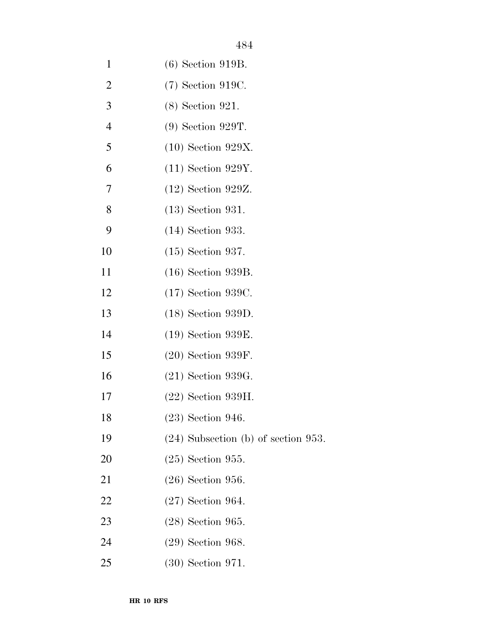- (9) Section 929T. (10) Section 929X. (11) Section 929Y. (12) Section 929Z.
- (13) Section 931.
- (14) Section 933.
- (15) Section 937.
- (16) Section 939B.
- (17) Section 939C.
- (18) Section 939D.
- (19) Section 939E.
- (20) Section 939F.
- (21) Section 939G.
- (22) Section 939H.
- (23) Section 946.
- (24) Subsection (b) of section 953.
- (25) Section 955.
- (26) Section 956.
- (27) Section 964.
- (28) Section 965.
- (29) Section 968.
- (30) Section 971.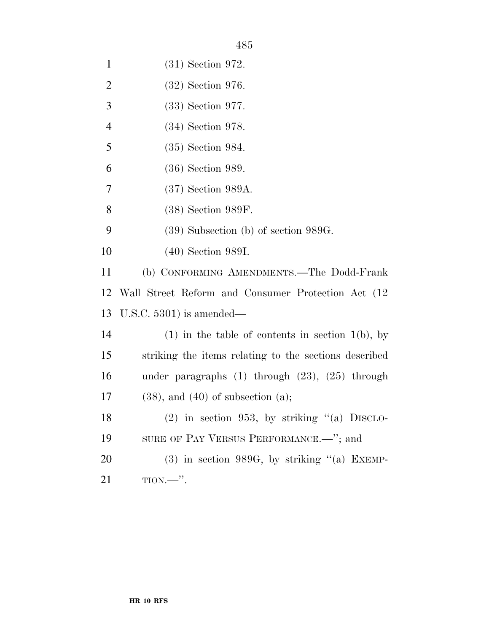| $\mathbf{1}$   | $(31)$ Section 972.                                    |
|----------------|--------------------------------------------------------|
| $\overline{2}$ | $(32)$ Section 976.                                    |
| 3              | $(33)$ Section 977.                                    |
| $\overline{4}$ | $(34)$ Section 978.                                    |
| 5              | $(35)$ Section 984.                                    |
| 6              | $(36)$ Section 989.                                    |
| 7              | $(37)$ Section 989A.                                   |
| 8              | $(38)$ Section 989F.                                   |
| 9              | $(39)$ Subsection (b) of section 989G.                 |
| 10             | $(40)$ Section 989I.                                   |
| 11             | (b) CONFORMING AMENDMENTS.—The Dodd-Frank              |
| 12             | Wall Street Reform and Consumer Protection Act (12)    |
| 13             | U.S.C. $5301$ ) is amended—                            |
| 14             | $(1)$ in the table of contents in section 1(b), by     |
| 15             | striking the items relating to the sections described  |
| 16             | under paragraphs $(1)$ through $(23)$ , $(25)$ through |
| 17             | $(38)$ , and $(40)$ of subsection $(a)$ ;              |
| 18             | $(2)$ in section 953, by striking " $(a)$ DISCLO-      |
| 19             | SURE OF PAY VERSUS PERFORMANCE.—"; and                 |
| 20             | $(3)$ in section 989G, by striking " $(a)$ EXEMP-      |
| 21             |                                                        |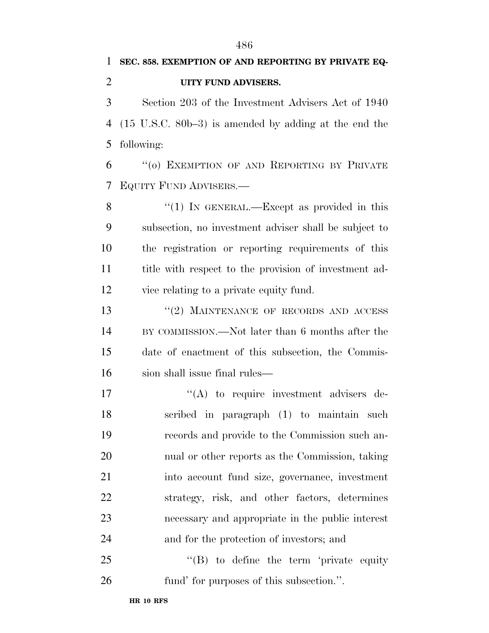# **SEC. 858. EXEMPTION OF AND REPORTING BY PRIVATE EQ- UITY FUND ADVISERS.**  Section 203 of the Investment Advisers Act of 1940 (15 U.S.C. 80b–3) is amended by adding at the end the following: ''(o) EXEMPTION OF AND REPORTING BY PRIVATE EQUITY FUND ADVISERS.—

8 "(1) In GENERAL.—Except as provided in this subsection, no investment adviser shall be subject to the registration or reporting requirements of this title with respect to the provision of investment ad-vice relating to a private equity fund.

13 "(2) MAINTENANCE OF RECORDS AND ACCESS BY COMMISSION.—Not later than 6 months after the date of enactment of this subsection, the Commis-16 sion shall issue final rules—

 $\langle (A)$  to require investment advisers de- scribed in paragraph (1) to maintain such records and provide to the Commission such an- nual or other reports as the Commission, taking into account fund size, governance, investment strategy, risk, and other factors, determines necessary and appropriate in the public interest and for the protection of investors; and

25 "'(B) to define the term 'private equity fund' for purposes of this subsection.''.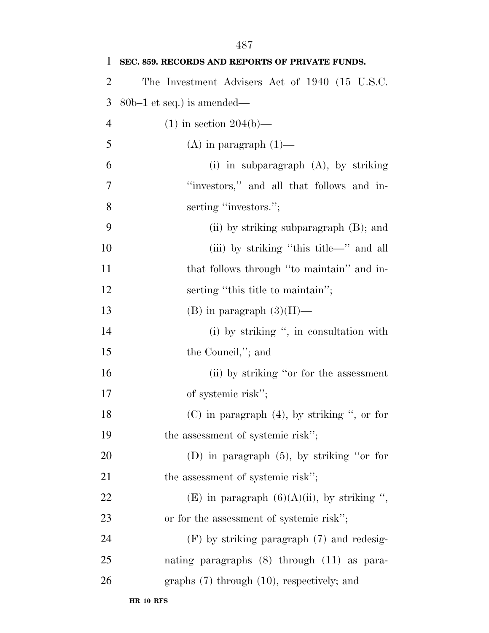| $\mathbf{1}$   | SEC. 859. RECORDS AND REPORTS OF PRIVATE FUNDS. |
|----------------|-------------------------------------------------|
| $\overline{2}$ | The Investment Advisers Act of 1940 (15 U.S.C.  |
| 3              | $80b-1$ et seq.) is amended—                    |
| $\overline{4}$ | $(1)$ in section 204(b)—                        |
| 5              | $(A)$ in paragraph $(1)$ —                      |
| 6              | (i) in subparagraph $(A)$ , by striking         |
| $\overline{7}$ | "investors," and all that follows and in-       |
| 8              | serting "investors.";                           |
| 9              | (ii) by striking subparagraph $(B)$ ; and       |
| 10             | (iii) by striking "this title—" and all         |
| 11             | that follows through "to maintain" and in-      |
| 12             | serting "this title to maintain";               |
| 13             | (B) in paragraph $(3)(H)$ —                     |
| 14             | $(i)$ by striking ", in consultation with       |
| 15             | the Council,"; and                              |
| 16             | (ii) by striking "or for the assessment         |
| 17             | of systemic risk";                              |
| 18             | (C) in paragraph $(4)$ , by striking ", or for  |
| 19             | the assessment of systemic risk";               |
| 20             | (D) in paragraph $(5)$ , by striking "or for    |
| 21             | the assessment of systemic risk";               |
| 22             | (E) in paragraph $(6)(A)(ii)$ , by striking ",  |
| 23             | or for the assessment of systemic risk";        |
| 24             | $(F)$ by striking paragraph $(7)$ and redesig-  |
| 25             | nating paragraphs $(8)$ through $(11)$ as para- |
| 26             | graphs $(7)$ through $(10)$ , respectively; and |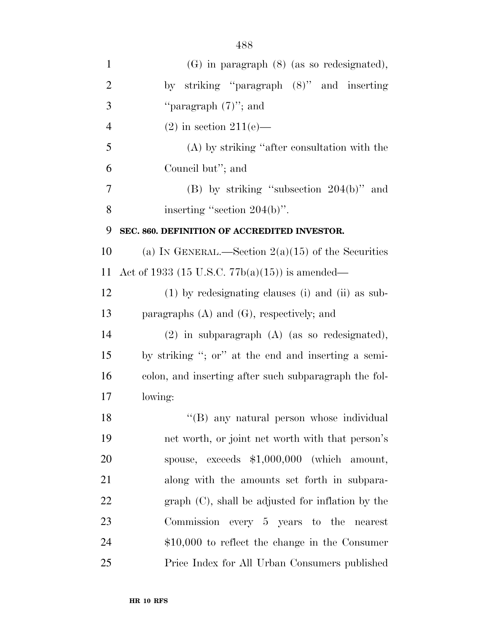| $\mathbf{1}$   | $(G)$ in paragraph $(8)$ (as so redesignated),        |
|----------------|-------------------------------------------------------|
| $\overline{2}$ | by striking "paragraph $(8)$ " and inserting          |
| 3              | "paragraph $(7)$ "; and                               |
| $\overline{4}$ | $(2)$ in section 211(e)—                              |
| 5              | $(A)$ by striking "after consultation with the        |
| 6              | Council but"; and                                     |
| 7              | (B) by striking "subsection $204(b)$ " and            |
| 8              | inserting "section $204(b)$ ".                        |
| 9              | SEC. 860. DEFINITION OF ACCREDITED INVESTOR.          |
| 10             | (a) IN GENERAL.—Section $2(a)(15)$ of the Securities  |
| 11             | Act of 1933 (15 U.S.C. 77b(a)(15)) is amended—        |
| 12             | $(1)$ by redesignating clauses (i) and (ii) as sub-   |
| 13             | paragraphs $(A)$ and $(G)$ , respectively; and        |
| 14             | $(2)$ in subparagraph $(A)$ (as so redesignated),     |
| 15             | by striking "; or" at the end and inserting a semi-   |
| 16             | colon, and inserting after such subparagraph the fol- |
| 17             | lowing:                                               |
| 18             | "(B) any natural person whose individual              |
| 19             | net worth, or joint net worth with that person's      |
| 20             | spouse, exceeds $$1,000,000$ (which amount,           |
| 21             | along with the amounts set forth in subpara-          |
| 22             | $graph (C)$ , shall be adjusted for inflation by the  |
| 23             | Commission every 5 years to the nearest               |
| 24             | $$10,000$ to reflect the change in the Consumer       |
| 25             | Price Index for All Urban Consumers published         |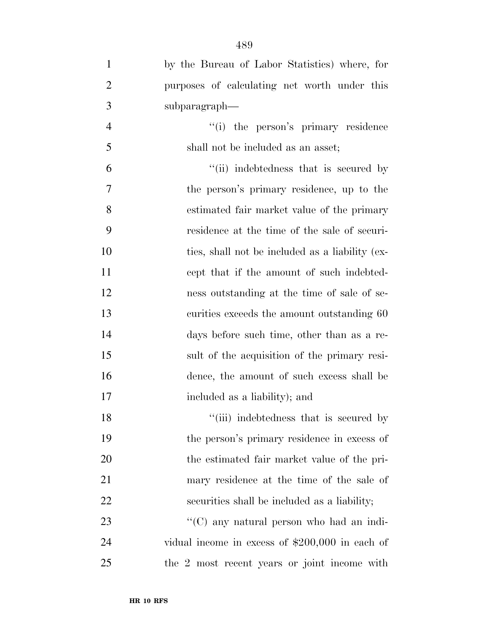| $\mathbf{1}$   | by the Bureau of Labor Statistics) where, for    |
|----------------|--------------------------------------------------|
| $\overline{2}$ | purposes of calculating net worth under this     |
| 3              | subparagraph—                                    |
| $\overline{4}$ | "(i) the person's primary residence              |
| 5              | shall not be included as an asset;               |
| 6              | "(ii) indebtedness that is secured by            |
| $\overline{7}$ | the person's primary residence, up to the        |
| 8              | estimated fair market value of the primary       |
| 9              | residence at the time of the sale of securi-     |
| 10             | ties, shall not be included as a liability (ex-  |
| 11             | cept that if the amount of such indebted-        |
| 12             | ness outstanding at the time of sale of se-      |
| 13             | curities exceeds the amount outstanding 60       |
| 14             | days before such time, other than as a re-       |
| 15             | sult of the acquisition of the primary resi-     |
| 16             | dence, the amount of such excess shall be        |
| 17             | included as a liability); and                    |
| 18             | "(iii) indebtedness that is secured by           |
| 19             | the person's primary residence in excess of      |
| 20             | the estimated fair market value of the pri-      |
| 21             | mary residence at the time of the sale of        |
| 22             | securities shall be included as a liability;     |
| 23             | "(C) any natural person who had an indi-         |
| 24             | vidual income in excess of $$200,000$ in each of |
| 25             | the 2 most recent years or joint income with     |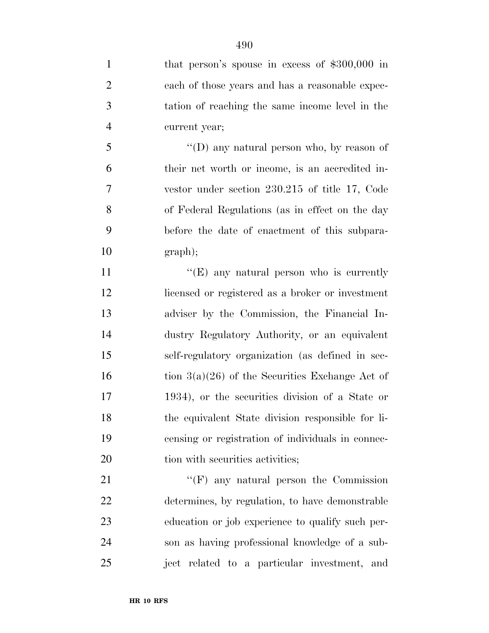1 that person's spouse in excess of \$300,000 in each of those years and has a reasonable expec- tation of reaching the same income level in the current year; 5 "'(D) any natural person who, by reason of their net worth or income, is an accredited in- vestor under section 230.215 of title 17, Code of Federal Regulations (as in effect on the day before the date of enactment of this subpara- graph); 11 ""(E) any natural person who is currently licensed or registered as a broker or investment adviser by the Commission, the Financial In- dustry Regulatory Authority, or an equivalent self-regulatory organization (as defined in sec-16 tion  $3(a)(26)$  of the Securities Exchange Act of 1934), or the securities division of a State or the equivalent State division responsible for li- censing or registration of individuals in connec-20 tion with securities activities; 21 "'(F) any natural person the Commission determines, by regulation, to have demonstrable education or job experience to qualify such per- son as having professional knowledge of a sub-ject related to a particular investment, and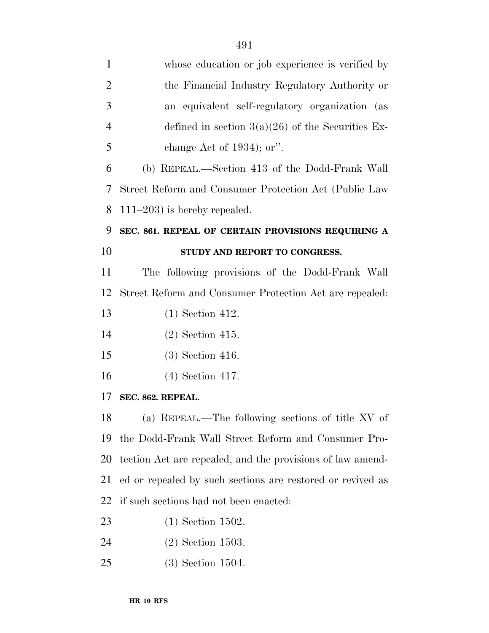| $\mathbf{1}$   | whose education or job experience is verified by           |  |
|----------------|------------------------------------------------------------|--|
| $\overline{2}$ | the Financial Industry Regulatory Authority or             |  |
| 3              | an equivalent self-regulatory organization (as             |  |
| $\overline{4}$ | defined in section $3(a)(26)$ of the Securities Ex-        |  |
| 5              | change Act of 1934); or".                                  |  |
| 6              | (b) REPEAL.—Section 413 of the Dodd-Frank Wall             |  |
| 7              | Street Reform and Consumer Protection Act (Public Law)     |  |
| 8              | $111-203$ ) is hereby repealed.                            |  |
| 9              | SEC. 861. REPEAL OF CERTAIN PROVISIONS REQUIRING A         |  |
| 10             | STUDY AND REPORT TO CONGRESS.                              |  |
| 11             | The following provisions of the Dodd-Frank Wall            |  |
| 12             | Street Reform and Consumer Protection Act are repealed:    |  |
| 13             | $(1)$ Section 412.                                         |  |
| 14             | $(2)$ Section 415.                                         |  |
| 15             | $(3)$ Section 416.                                         |  |
| 16             | $(4)$ Section 417.                                         |  |
| 17             | SEC. 862. REPEAL.                                          |  |
| 18             | (a) REPEAL.—The following sections of title XV of          |  |
| 19             | the Dodd-Frank Wall Street Reform and Consumer Pro-        |  |
| 20             | tection Act are repealed, and the provisions of law amend- |  |
| 21             | ed or repealed by such sections are restored or revived as |  |
| 22             | if such sections had not been enacted:                     |  |
| 23             | $(1)$ Section 1502.                                        |  |
| 24             | $(2)$ Section 1503.                                        |  |
| 25             | $(3)$ Section 1504.                                        |  |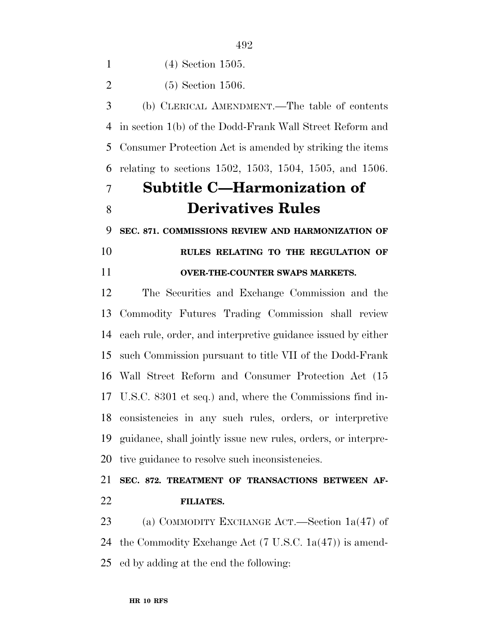(4) Section 1505.

(5) Section 1506.

 (b) CLERICAL AMENDMENT.—The table of contents in section 1(b) of the Dodd-Frank Wall Street Reform and Consumer Protection Act is amended by striking the items relating to sections 1502, 1503, 1504, 1505, and 1506.

# **Subtitle C—Harmonization of Derivatives Rules**

**SEC. 871. COMMISSIONS REVIEW AND HARMONIZATION OF** 

 **RULES RELATING TO THE REGULATION OF OVER-THE-COUNTER SWAPS MARKETS.** 

 The Securities and Exchange Commission and the Commodity Futures Trading Commission shall review each rule, order, and interpretive guidance issued by either such Commission pursuant to title VII of the Dodd-Frank Wall Street Reform and Consumer Protection Act (15 U.S.C. 8301 et seq.) and, where the Commissions find in- consistencies in any such rules, orders, or interpretive guidance, shall jointly issue new rules, orders, or interpre-tive guidance to resolve such inconsistencies.

 **SEC. 872. TREATMENT OF TRANSACTIONS BETWEEN AF-FILIATES.** 

 (a) COMMODITY EXCHANGE ACT.—Section 1a(47) of the Commodity Exchange Act (7 U.S.C. 1a(47)) is amend-ed by adding at the end the following: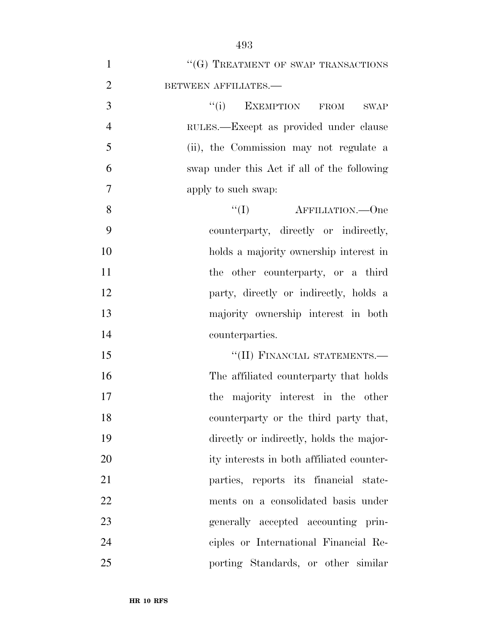| $\mathbf{1}$   | "(G) TREATMENT OF SWAP TRANSACTIONS         |
|----------------|---------------------------------------------|
| $\overline{2}$ | BETWEEN AFFILIATES.-                        |
| 3              | ``(i)<br>EXEMPTION FROM<br><b>SWAP</b>      |
| $\overline{4}$ | RULES.—Except as provided under clause      |
| 5              | (ii), the Commission may not regulate a     |
| 6              | swap under this Act if all of the following |
| $\overline{7}$ | apply to such swap:                         |
| 8              | ``(I)<br>AFFILIATION.—One                   |
| 9              | counterparty, directly or indirectly,       |
| 10             | holds a majority ownership interest in      |
| 11             | the other counterparty, or a third          |
| 12             | party, directly or indirectly, holds a      |
| 13             | majority ownership interest in both         |
| 14             | counterparties.                             |
| 15             | "(II) FINANCIAL STATEMENTS.-                |
| 16             | The affiliated counterparty that holds      |
| 17             | the majority interest in the other          |
| 18             | counterparty or the third party that,       |
| 19             | directly or indirectly, holds the major-    |
| 20             | ity interests in both affiliated counter-   |
| 21             | parties, reports its financial state-       |
| 22             | ments on a consolidated basis under         |
| 23             | generally accepted accounting prin-         |
| 24             | ciples or International Financial Re-       |
| 25             | porting Standards, or other similar         |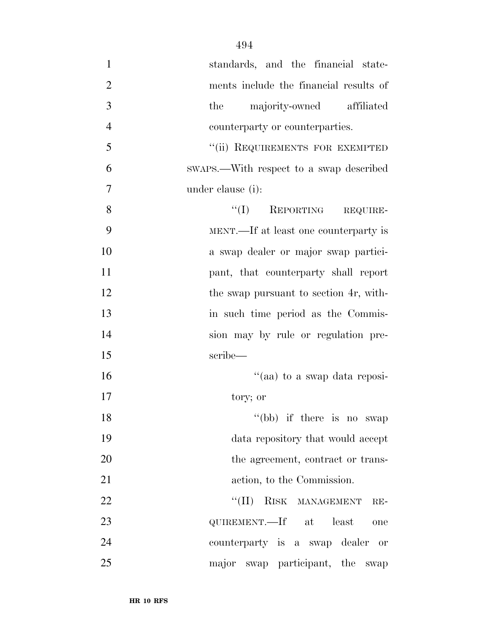| $\mathbf{1}$<br>standards, and the financial state-      |
|----------------------------------------------------------|
| $\overline{2}$<br>ments include the financial results of |
| 3<br>the<br>majority-owned affiliated                    |
| $\overline{4}$<br>counterparty or counterparties.        |
| 5<br>"(ii) REQUIREMENTS FOR EXEMPTED                     |
| 6<br>SWAPS.—With respect to a swap described             |
| $\tau$<br>under clause (i):                              |
| 8<br>$\lq\lq (I)$ REPORTING REQUIRE-                     |
| 9<br>MENT.—If at least one counterparty is               |
| 10<br>a swap dealer or major swap partici-               |
| 11<br>pant, that counterparty shall report               |
| 12<br>the swap pursuant to section 4r, with-             |
| 13<br>in such time period as the Commis-                 |
| 14<br>sion may by rule or regulation pre-                |
| 15<br>scribe—                                            |
| 16<br>"(aa) to a swap data reposi-                       |
| 17<br>tory; or                                           |
| $``(bb)$ if there is no swap<br>18                       |
| 19<br>data repository that would accept                  |
| 20<br>the agreement, contract or trans-                  |
| 21<br>action, to the Commission.                         |
| 22<br>``(II)<br>RISK MANAGEMENT<br>$RE-$                 |
| 23<br>QUIREMENT.—If at least<br>one                      |
| 24<br>counterparty is a swap dealer or                   |
| 25<br>major swap participant, the<br>swap                |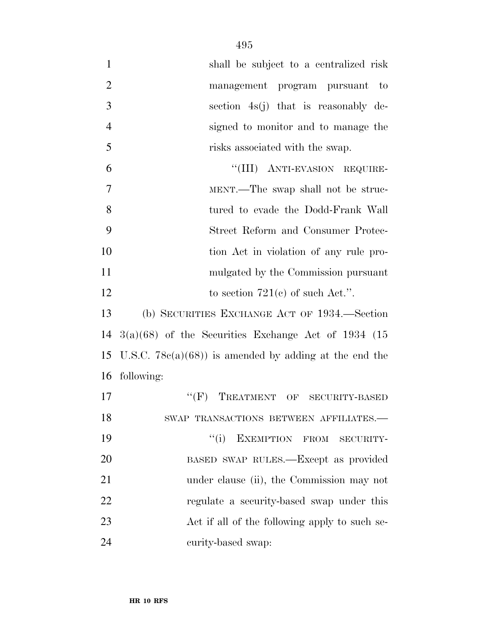| $\mathbf{1}$   | shall be subject to a centralized risk                  |
|----------------|---------------------------------------------------------|
| $\overline{2}$ | management program pursuant<br>$\sim$ to                |
| 3              | section 4s(j) that is reasonably de-                    |
| $\overline{4}$ | signed to monitor and to manage the                     |
| 5              | risks associated with the swap.                         |
| 6              | "(III) ANTI-EVASION REQUIRE-                            |
| 7              | MENT.—The swap shall not be struc-                      |
| 8              | tured to evade the Dodd-Frank Wall                      |
| 9              | Street Reform and Consumer Protec-                      |
| 10             | tion Act in violation of any rule pro-                  |
| 11             | mulgated by the Commission pursuant                     |
| 12             | to section $721(e)$ of such Act.".                      |
| 13             | (b) SECURITIES EXCHANGE ACT OF 1934.—Section            |
| 14             | $3(a)(68)$ of the Securities Exchange Act of 1934 (15   |
| 15             | U.S.C. $78c(a)(68)$ is amended by adding at the end the |
| 16             | following:                                              |
| 17             | ``(F)<br>TREATMENT OF<br><b>SECURITY-BASED</b>          |
| 18             | SWAP TRANSACTIONS BETWEEN AFFILIATES.-                  |
| 19             | ``(i)<br>EXEMPTION FROM SECURITY-                       |
| 20             | BASED SWAP RULES.—Except as provided                    |
| 21             | under clause (ii), the Commission may not               |
| 22             | regulate a security-based swap under this               |
| 23             | Act if all of the following apply to such se-           |
| 24             | curity-based swap:                                      |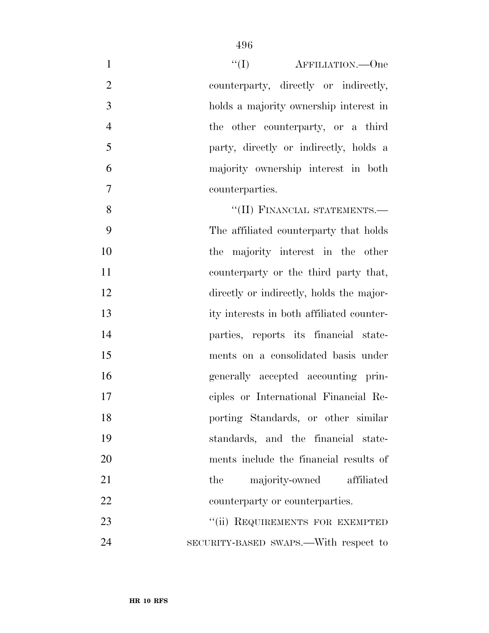| $\mathbf{1}$   | ``(I)<br>AFFILIATION.—One                 |
|----------------|-------------------------------------------|
| $\overline{2}$ | counterparty, directly or indirectly,     |
| 3              | holds a majority ownership interest in    |
| $\overline{4}$ | the other counterparty, or a third        |
| 5              | party, directly or indirectly, holds a    |
| 6              | majority ownership interest in both       |
| 7              | counterparties.                           |
| 8              | "(II) FINANCIAL STATEMENTS.-              |
| 9              | The affiliated counterparty that holds    |
| 10             | the majority interest in the other        |
| 11             | counterparty or the third party that,     |
| 12             | directly or indirectly, holds the major-  |
| 13             | ity interests in both affiliated counter- |
| 14             | parties, reports its financial state-     |
| 15             | ments on a consolidated basis under       |
| 16             | generally accepted accounting prin-       |
| 17             | ciples or International Financial Re-     |
| 18             | porting Standards, or other similar       |
| 19             | standards, and the financial state-       |
| 20             | ments include the financial results of    |
| 21             | majority-owned affiliated<br>the          |
| 22             | counterparty or counterparties.           |
| 23             | "(ii) REQUIREMENTS FOR EXEMPTED           |
| 24             | SECURITY-BASED SWAPS.—With respect to     |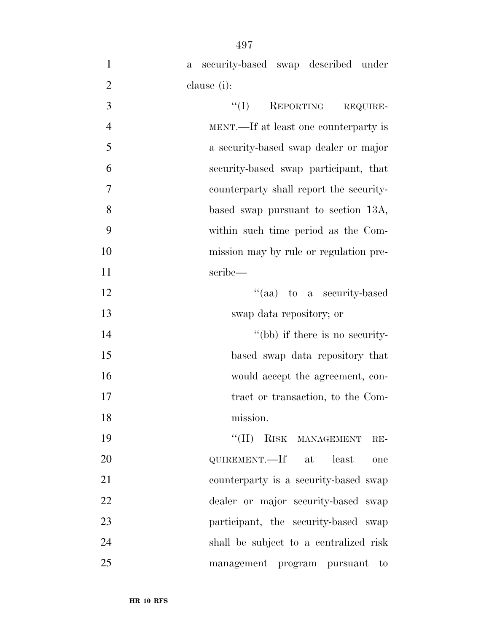| $\mathbf{1}$   | security-based swap described under<br>$\mathbf{a}$ |
|----------------|-----------------------------------------------------|
| $\overline{2}$ | clause (i):                                         |
| 3              | REPORTING<br>``(I)<br>REQUIRE-                      |
| $\overline{4}$ | MENT.—If at least one counterparty is               |
| 5              | a security-based swap dealer or major               |
| 6              | security-based swap participant, that               |
| 7              | counterparty shall report the security-             |
| 8              | based swap pursuant to section 13A,                 |
| 9              | within such time period as the Com-                 |
| 10             | mission may by rule or regulation pre-              |
| 11             | scribe—                                             |
| 12             | "(aa) to a security-based                           |
| 13             | swap data repository; or                            |
| 14             | "(bb) if there is no security-                      |
| 15             | based swap data repository that                     |
| 16             | would accept the agreement, con-                    |
| 17             | tract or transaction, to the Com-                   |
| 18             | mission.                                            |
| 19             | "(II) RISK MANAGEMENT<br>$RE-$                      |
| 20             | QUIREMENT.—If at least<br>one                       |
| 21             | counterparty is a security-based swap               |
| 22             | dealer or major security-based swap                 |
| 23             | participant, the security-based swap                |
| 24             | shall be subject to a centralized risk              |
| 25             | management program pursuant<br>to                   |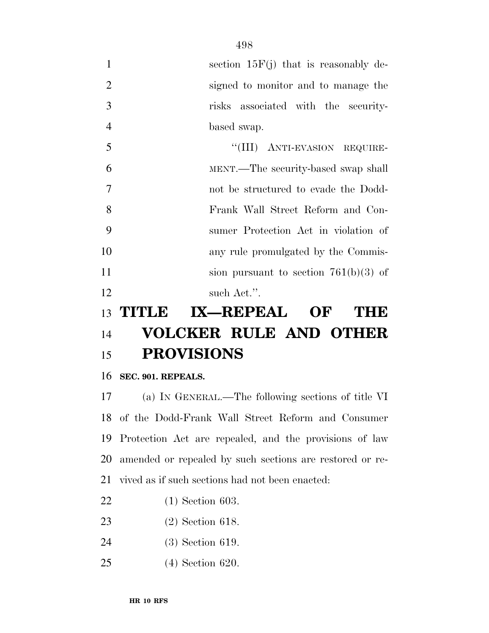| $\mathbf{1}$   |                       | section $15F(j)$ that is reasonably de- |
|----------------|-----------------------|-----------------------------------------|
| $\overline{2}$ |                       | signed to monitor and to manage the     |
| 3              |                       | risks associated with the security-     |
| $\overline{4}$ |                       | based swap.                             |
| 5              |                       | "(III) ANTI-EVASION REQUIRE-            |
| 6              |                       | MENT.—The security-based swap shall     |
| $\overline{7}$ |                       | not be structured to evade the Dodd-    |
| 8              |                       | Frank Wall Street Reform and Con-       |
| 9              |                       | sumer Protection Act in violation of    |
| 10             |                       | any rule promulgated by the Commis-     |
| 11             |                       | sion pursuant to section $761(b)(3)$ of |
| 12             |                       | such Act.".                             |
| 13             | <b>TITLE</b>          | <b>IX—REPEAL</b><br>OF<br>THE           |
| 14             |                       | <b>VOLCKER RULE AND OTHER</b>           |
| 15             | <b>PROVISIONS</b>     |                                         |
|                | 16 SEC. 901. REPEALS. |                                         |

 (a) IN GENERAL.—The following sections of title VI of the Dodd-Frank Wall Street Reform and Consumer Protection Act are repealed, and the provisions of law amended or repealed by such sections are restored or re-vived as if such sections had not been enacted:

- (1) Section 603.
- (2) Section 618.
- (3) Section 619.
- (4) Section 620.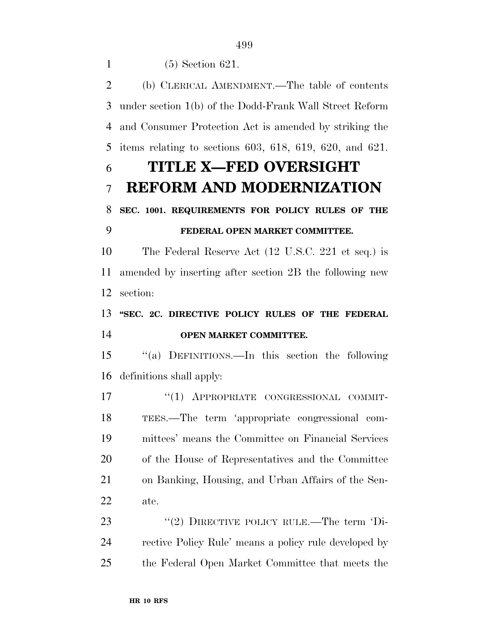(5) Section 621.

 (b) CLERICAL AMENDMENT.—The table of contents under section 1(b) of the Dodd-Frank Wall Street Reform and Consumer Protection Act is amended by striking the items relating to sections 603, 618, 619, 620, and 621.

## **TITLE X—FED OVERSIGHT REFORM AND MODERNIZATION**

### **SEC. 1001. REQUIREMENTS FOR POLICY RULES OF THE FEDERAL OPEN MARKET COMMITTEE.**

 The Federal Reserve Act (12 U.S.C. 221 et seq.) is amended by inserting after section 2B the following new section:

 **''SEC. 2C. DIRECTIVE POLICY RULES OF THE FEDERAL OPEN MARKET COMMITTEE.** 

 ''(a) DEFINITIONS.—In this section the following definitions shall apply:

17 "(1) APPROPRIATE CONGRESSIONAL COMMIT- TEES.—The term 'appropriate congressional com- mittees' means the Committee on Financial Services of the House of Representatives and the Committee on Banking, Housing, and Urban Affairs of the Sen-ate.

23 "(2) DIRECTIVE POLICY RULE.—The term 'Di- rective Policy Rule' means a policy rule developed by the Federal Open Market Committee that meets the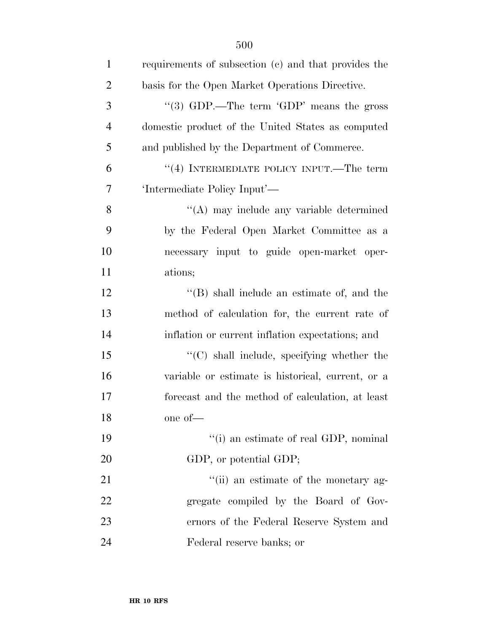| $\mathbf{1}$   | requirements of subsection (c) and that provides the |
|----------------|------------------------------------------------------|
| $\overline{2}$ | basis for the Open Market Operations Directive.      |
| 3              | "(3) GDP.—The term 'GDP' means the gross             |
| $\overline{4}$ | domestic product of the United States as computed    |
| 5              | and published by the Department of Commerce.         |
| 6              | "(4) INTERMEDIATE POLICY INPUT.—The term             |
| 7              | 'Intermediate Policy Input'—                         |
| 8              | $\lq\lq$ may include any variable determined         |
| 9              | by the Federal Open Market Committee as a            |
| 10             | necessary input to guide open-market oper-           |
| 11             | ations;                                              |
| 12             | $\lq\lq$ shall include an estimate of, and the       |
| 13             | method of calculation for, the current rate of       |
| 14             | inflation or current inflation expectations; and     |
| 15             | $\lq\lq$ shall include, specifying whether the       |
| 16             | variable or estimate is historical, current, or a    |
| 17             | forecast and the method of calculation, at least     |
| 18             | one of-                                              |
| 19             | "(i) an estimate of real GDP, nominal                |
| 20             | GDP, or potential GDP;                               |
| 21             | "(ii) an estimate of the monetary ag-                |
| 22             | gregate compiled by the Board of Gov-                |
| 23             | ernors of the Federal Reserve System and             |
| 24             | Federal reserve banks; or                            |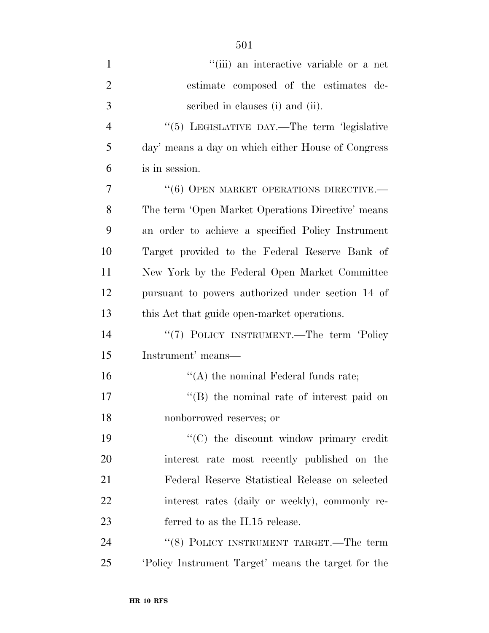| $\mathbf{1}$   | "(iii) an interactive variable or a net            |
|----------------|----------------------------------------------------|
| $\overline{2}$ | estimate composed of the estimates de-             |
| 3              | scribed in clauses (i) and (ii).                   |
| $\overline{4}$ | "(5) LEGISLATIVE DAY.—The term 'legislative        |
| 5              | day' means a day on which either House of Congress |
| 6              | is in session.                                     |
| 7              | "(6) OPEN MARKET OPERATIONS DIRECTIVE.-            |
| 8              | The term 'Open Market Operations Directive' means  |
| 9              | an order to achieve a specified Policy Instrument  |
| 10             | Target provided to the Federal Reserve Bank of     |
| 11             | New York by the Federal Open Market Committee      |
| 12             | pursuant to powers authorized under section 14 of  |
| 13             | this Act that guide open-market operations.        |
| 14             | "(7) POLICY INSTRUMENT.—The term 'Policy           |
| 15             | Instrument' means—                                 |
| 16             | $\lq\lq$ the nominal Federal funds rate;           |
| 17             | $\lq\lq$ the nominal rate of interest paid on      |
| 18             | nonborrowed reserves; or                           |
| 19             | "(C) the discount window primary credit            |
| 20             | interest rate most recently published on the       |
| 21             | Federal Reserve Statistical Release on selected    |
| 22             | interest rates (daily or weekly), commonly re-     |
| 23             | ferred to as the H.15 release.                     |
| 24             | "(8) POLICY INSTRUMENT TARGET.—The term            |
| 25             | Policy Instrument Target' means the target for the |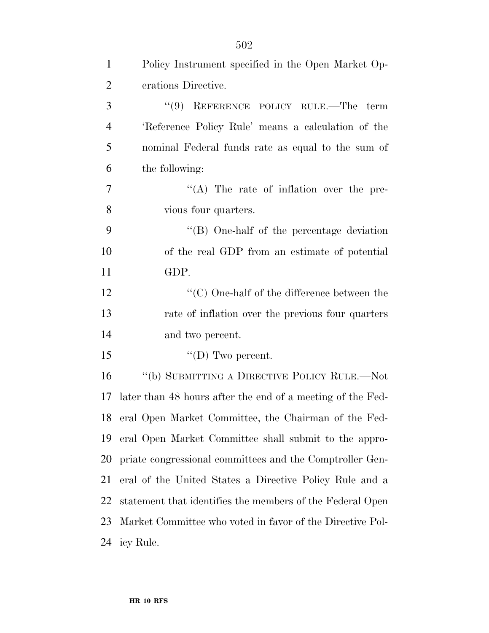| $\mathbf{1}$   | Policy Instrument specified in the Open Market Op-               |
|----------------|------------------------------------------------------------------|
| $\overline{2}$ | erations Directive.                                              |
| 3              | $(9)$ REFERENCE POLICY RULE.—The term                            |
| $\overline{4}$ | 'Reference Policy Rule' means a calculation of the               |
| 5              | nominal Federal funds rate as equal to the sum of                |
| 6              | the following:                                                   |
| 7              | "(A) The rate of inflation over the pre-                         |
| 8              | vious four quarters.                                             |
| 9              | "(B) One-half of the percentage deviation                        |
| 10             | of the real GDP from an estimate of potential                    |
| 11             | GDP.                                                             |
| 12             | $\lq\lq$ <sup>c</sup> (C) One-half of the difference between the |
| 13             | rate of inflation over the previous four quarters                |
| 14             | and two percent.                                                 |
| 15             | "(D) Two percent.                                                |
| 16             | "(b) SUBMITTING A DIRECTIVE POLICY RULE.—Not                     |
| 17             | later than 48 hours after the end of a meeting of the Fed-       |
| 18             | eral Open Market Committee, the Chairman of the Fed-             |
| 19             | eral Open Market Committee shall submit to the appro-            |
| 20             | priate congressional committees and the Comptroller Gen-         |
| 21             | eral of the United States a Directive Policy Rule and a          |
| 22             | statement that identifies the members of the Federal Open        |
| 23             | Market Committee who voted in favor of the Directive Pol-        |
| 24             | icy Rule.                                                        |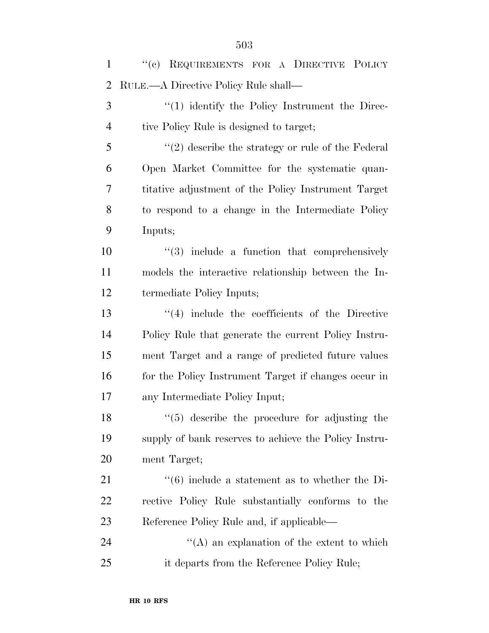| $\mathbf{1}$   | "(c) REQUIREMENTS FOR A DIRECTIVE POLICY              |
|----------------|-------------------------------------------------------|
| $\overline{2}$ | RULE.—A Directive Policy Rule shall—                  |
| 3              | $\lq(1)$ identify the Policy Instrument the Direc-    |
| $\overline{4}$ | tive Policy Rule is designed to target;               |
| 5              | $\lq(2)$ describe the strategy or rule of the Federal |
| 6              | Open Market Committee for the systematic quan-        |
| 7              | titative adjustment of the Policy Instrument Target   |
| 8              | to respond to a change in the Intermediate Policy     |
| 9              | Inputs;                                               |
| 10             | $(3)$ include a function that comprehensively         |
| 11             | models the interactive relationship between the In-   |
| 12             | termediate Policy Inputs;                             |
| 13             | $(4)$ include the coefficients of the Directive       |
| 14             | Policy Rule that generate the current Policy Instru-  |
| 15             | ment Target and a range of predicted future values    |
| 16             | for the Policy Instrument Target if changes occur in  |
| 17             | any Intermediate Policy Input;                        |
| 18             | $\lq(5)$ describe the procedure for adjusting the     |
| 19             | supply of bank reserves to achieve the Policy Instru- |
| 20             | ment Target;                                          |
| 21             | $\cdot$ (6) include a statement as to whether the Di- |
| 22             | rective Policy Rule substantially conforms to the     |
| 23             | Reference Policy Rule and, if applicable—             |
| 24             | $\lq\lq$ an explanation of the extent to which        |
| 25             | it departs from the Reference Policy Rule;            |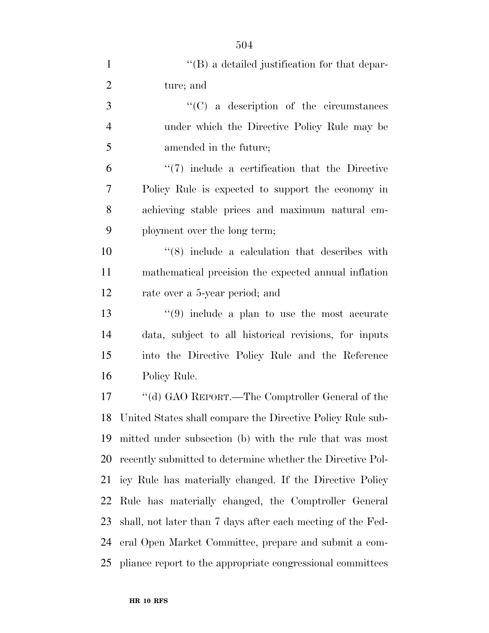| $\mathbf{1}$   | $\lq\lq (B)$ a detailed justification for that depar-       |
|----------------|-------------------------------------------------------------|
| $\overline{2}$ | ture; and                                                   |
| 3              | $\lq\lq$ (C) a description of the circumstances             |
| $\overline{4}$ | under which the Directive Policy Rule may be                |
| 5              | amended in the future;                                      |
| 6              | $\lq(7)$ include a certification that the Directive         |
| 7              | Policy Rule is expected to support the economy in           |
| 8              | achieving stable prices and maximum natural em-             |
| 9              | ployment over the long term;                                |
| 10             | $(8)$ include a calculation that describes with             |
| 11             | mathematical precision the expected annual inflation        |
| 12             | rate over a 5-year period; and                              |
| 13             | $(9)$ include a plan to use the most accurate               |
| 14             | data, subject to all historical revisions, for inputs       |
| 15             | into the Directive Policy Rule and the Reference            |
| 16             | Policy Rule.                                                |
| 17             | "(d) GAO REPORT.—The Comptroller General of the             |
| 18             | United States shall compare the Directive Policy Rule sub-  |
| 19             | mitted under subsection (b) with the rule that was most     |
| 20             | recently submitted to determine whether the Directive Pol-  |
| 21             | icy Rule has materially changed. If the Directive Policy    |
| 22             | Rule has materially changed, the Comptroller General        |
| 23             | shall, not later than 7 days after each meeting of the Fed- |
| 24             | eral Open Market Committee, prepare and submit a com-       |
| 25             | pliance report to the appropriate congressional committees  |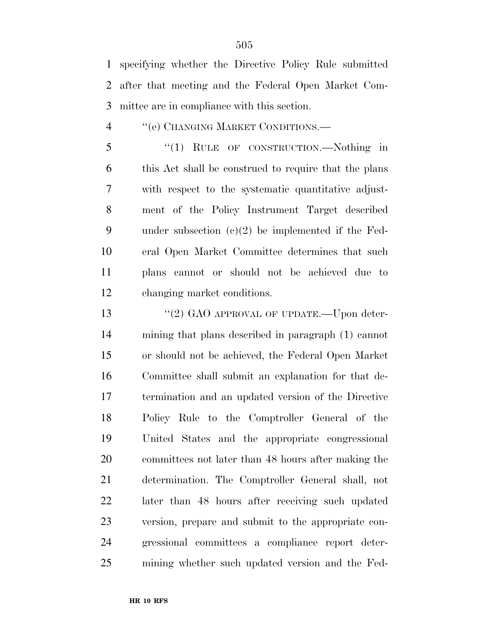specifying whether the Directive Policy Rule submitted after that meeting and the Federal Open Market Com-mittee are in compliance with this section.

#### 4 " (e) CHANGING MARKET CONDITIONS.—

5 "(1) RULE OF CONSTRUCTION.—Nothing in this Act shall be construed to require that the plans with respect to the systematic quantitative adjust- ment of the Policy Instrument Target described under subsection (c)(2) be implemented if the Fed- eral Open Market Committee determines that such plans cannot or should not be achieved due to changing market conditions.

13 "(2) GAO APPROVAL OF UPDATE.—Upon deter- mining that plans described in paragraph (1) cannot or should not be achieved, the Federal Open Market Committee shall submit an explanation for that de- termination and an updated version of the Directive Policy Rule to the Comptroller General of the United States and the appropriate congressional committees not later than 48 hours after making the determination. The Comptroller General shall, not later than 48 hours after receiving such updated version, prepare and submit to the appropriate con- gressional committees a compliance report deter-mining whether such updated version and the Fed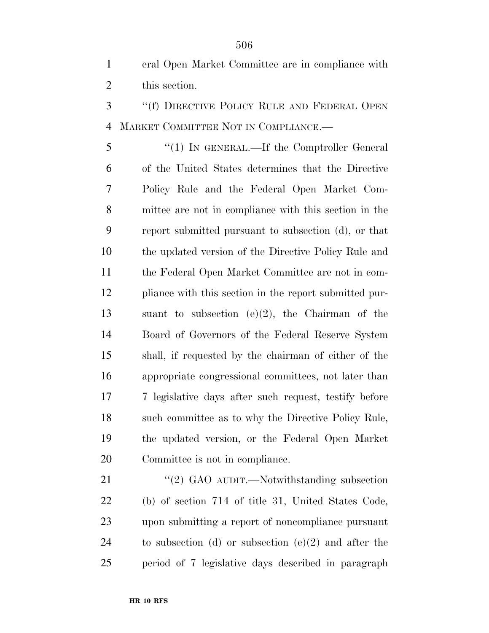eral Open Market Committee are in compliance with this section.

 ''(f) DIRECTIVE POLICY RULE AND FEDERAL OPEN MARKET COMMITTEE NOT IN COMPLIANCE.—

 ''(1) IN GENERAL.—If the Comptroller General of the United States determines that the Directive Policy Rule and the Federal Open Market Com- mittee are not in compliance with this section in the report submitted pursuant to subsection (d), or that the updated version of the Directive Policy Rule and the Federal Open Market Committee are not in com- pliance with this section in the report submitted pur- suant to subsection (e)(2), the Chairman of the Board of Governors of the Federal Reserve System shall, if requested by the chairman of either of the appropriate congressional committees, not later than 7 legislative days after such request, testify before such committee as to why the Directive Policy Rule, the updated version, or the Federal Open Market Committee is not in compliance.

21 "(2) GAO AUDIT.—Notwithstanding subsection (b) of section 714 of title 31, United States Code, upon submitting a report of noncompliance pursuant 24 to subsection (d) or subsection  $(e)(2)$  and after the period of 7 legislative days described in paragraph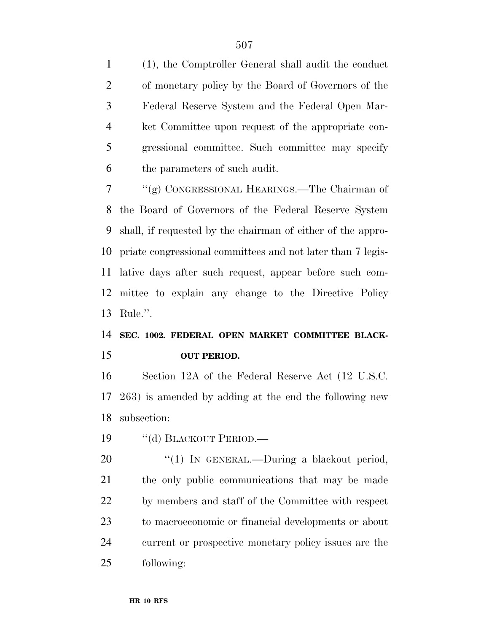(1), the Comptroller General shall audit the conduct of monetary policy by the Board of Governors of the Federal Reserve System and the Federal Open Mar- ket Committee upon request of the appropriate con- gressional committee. Such committee may specify the parameters of such audit.

 ''(g) CONGRESSIONAL HEARINGS.—The Chairman of the Board of Governors of the Federal Reserve System shall, if requested by the chairman of either of the appro- priate congressional committees and not later than 7 legis- lative days after such request, appear before such com- mittee to explain any change to the Directive Policy Rule.''.

### **SEC. 1002. FEDERAL OPEN MARKET COMMITTEE BLACK-OUT PERIOD.**

 Section 12A of the Federal Reserve Act (12 U.S.C. 263) is amended by adding at the end the following new subsection:

19 "(d) BLACKOUT PERIOD.—

20 "(1) In GENERAL.—During a blackout period, the only public communications that may be made by members and staff of the Committee with respect to macroeconomic or financial developments or about current or prospective monetary policy issues are the following: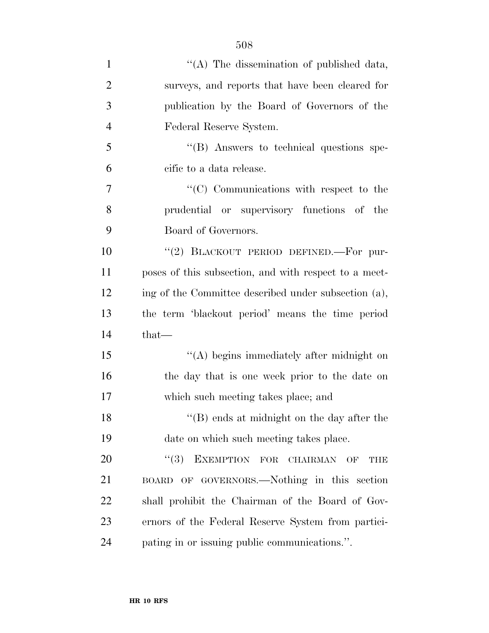| $\mathbf{1}$   | "(A) The dissemination of published data,                             |
|----------------|-----------------------------------------------------------------------|
| $\overline{2}$ | surveys, and reports that have been cleared for                       |
| 3              | publication by the Board of Governors of the                          |
| $\overline{4}$ | Federal Reserve System.                                               |
| 5              | $\lq\lq (B)$ Answers to technical questions spe-                      |
| 6              | cific to a data release.                                              |
| $\overline{7}$ | "(C) Communications with respect to the                               |
| 8              | prudential or supervisory functions of the                            |
| 9              | Board of Governors.                                                   |
| 10             | "(2) BLACKOUT PERIOD DEFINED.-For pur-                                |
| 11             | poses of this subsection, and with respect to a meet-                 |
| 12             | ing of the Committee described under subsection (a),                  |
| 13             | the term 'blackout period' means the time period                      |
| 14             | $that$ —                                                              |
| 15             | "(A) begins immediately after midnight on                             |
| 16             | the day that is one week prior to the date on                         |
| 17             | which such meeting takes place; and                                   |
| 18             | $\lq\lq (B)$ ends at midnight on the day after the                    |
| 19             | date on which such meeting takes place.                               |
| 20             | EXEMPTION FOR CHAIRMAN<br>(3)<br>$\overline{\text{OF}}$<br><b>THE</b> |
| 21             | BOARD OF GOVERNORS.—Nothing in this section                           |
| 22             | shall prohibit the Chairman of the Board of Gov-                      |
| 23             | ernors of the Federal Reserve System from partici-                    |
| 24             | pating in or issuing public communications.".                         |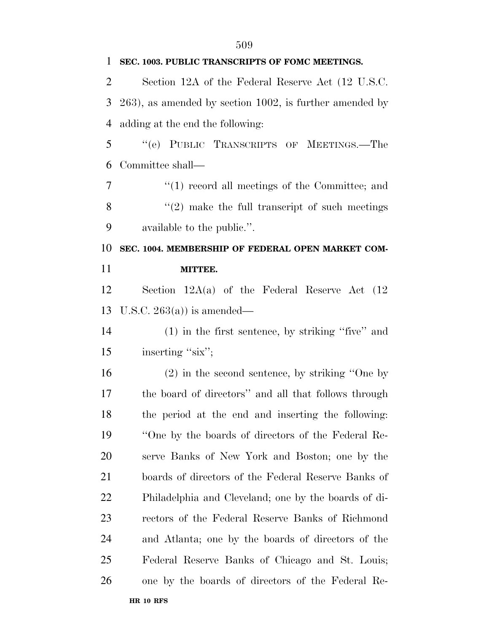| 1  | SEC. 1003. PUBLIC TRANSCRIPTS OF FOMC MEETINGS.             |
|----|-------------------------------------------------------------|
| 2  | Section 12A of the Federal Reserve Act (12 U.S.C.)          |
| 3  | $(263)$ , as amended by section 1002, is further amended by |
| 4  | adding at the end the following:                            |
| 5  | "(e) PUBLIC TRANSCRIPTS OF MEETINGS.—The                    |
| 6  | Committee shall—                                            |
| 7  | $\lq(1)$ record all meetings of the Committee; and          |
| 8  | $\lq(2)$ make the full transcript of such meetings          |
| 9  | available to the public.".                                  |
| 10 | SEC. 1004. MEMBERSHIP OF FEDERAL OPEN MARKET COM-           |
| 11 | MITTEE.                                                     |
| 12 | Section $12A(a)$ of the Federal Reserve Act $(12)$          |
| 13 | U.S.C. $263(a)$ is amended—                                 |
| 14 | $(1)$ in the first sentence, by striking "five" and         |
| 15 | inserting "six";                                            |
| 16 | $(2)$ in the second sentence, by striking "One by           |
| 17 | the board of directors" and all that follows through        |
| 18 | the period at the end and inserting the following:          |
| 19 | "One by the boards of directors of the Federal Re-          |
| 20 | serve Banks of New York and Boston; one by the              |
| 21 | boards of directors of the Federal Reserve Banks of         |
| 22 | Philadelphia and Cleveland; one by the boards of di-        |
| 23 | rectors of the Federal Reserve Banks of Richmond            |
| 24 | and Atlanta; one by the boards of directors of the          |
| 25 | Federal Reserve Banks of Chicago and St. Louis;             |
| 26 | one by the boards of directors of the Federal Re-           |
|    | <b>HR 10 RFS</b>                                            |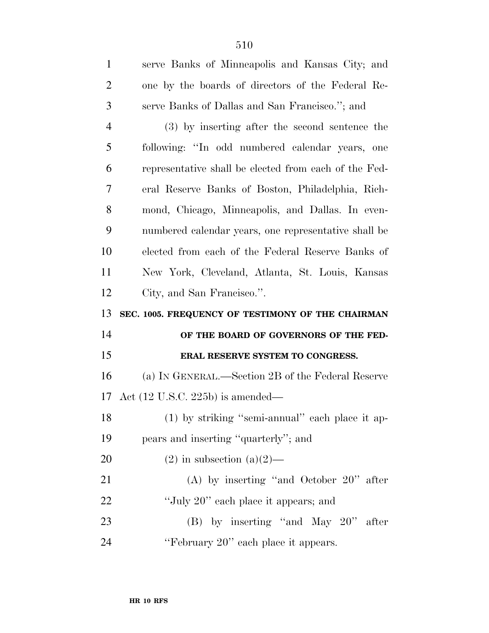| $\mathbf{1}$   | serve Banks of Minneapolis and Kansas City; and       |
|----------------|-------------------------------------------------------|
| $\overline{2}$ | one by the boards of directors of the Federal Re-     |
| 3              | serve Banks of Dallas and San Francisco."; and        |
| $\overline{4}$ | (3) by inserting after the second sentence the        |
| 5              | following: "In odd numbered calendar years, one       |
| 6              | representative shall be elected from each of the Fed- |
| 7              | eral Reserve Banks of Boston, Philadelphia, Rich-     |
| 8              | mond, Chicago, Minneapolis, and Dallas. In even-      |
| 9              | numbered calendar years, one representative shall be  |
| 10             | elected from each of the Federal Reserve Banks of     |
| 11             | New York, Cleveland, Atlanta, St. Louis, Kansas       |
| 12             | City, and San Francisco.".                            |
|                |                                                       |
| 13             | SEC. 1005. FREQUENCY OF TESTIMONY OF THE CHAIRMAN     |
| 14             | OF THE BOARD OF GOVERNORS OF THE FED-                 |
| 15             | ERAL RESERVE SYSTEM TO CONGRESS.                      |
| 16             | (a) IN GENERAL.—Section 2B of the Federal Reserve     |
| 17             | Act $(12 \text{ U.S.C. } 225b)$ is amended—           |
| 18             | (1) by striking "semi-annual" each place it ap-       |
| 19             | pears and inserting "quarterly"; and                  |
| 20             | $(2)$ in subsection $(a)(2)$ —                        |
| 21             | (A) by inserting "and October $20$ " after            |
| 22             | "July 20" each place it appears; and                  |
| 23             | (B) by inserting "and May $20$ " after                |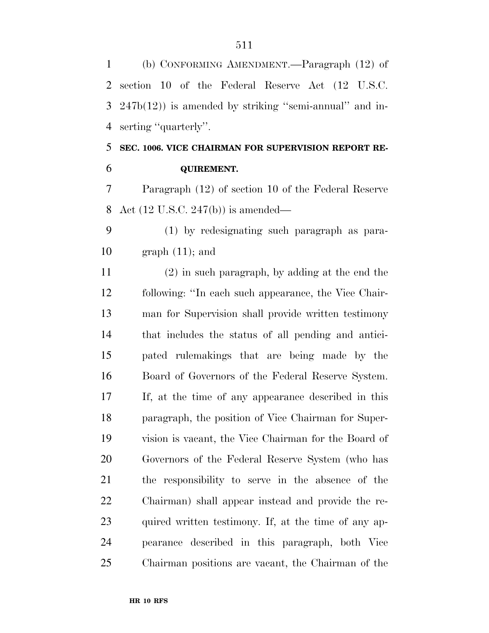(b) CONFORMING AMENDMENT.—Paragraph (12) of section 10 of the Federal Reserve Act (12 U.S.C. 247b(12)) is amended by striking ''semi-annual'' and in-serting ''quarterly''.

 **SEC. 1006. VICE CHAIRMAN FOR SUPERVISION REPORT RE-QUIREMENT.** 

 Paragraph (12) of section 10 of the Federal Reserve Act (12 U.S.C. 247(b)) is amended—

 (1) by redesignating such paragraph as para-graph (11); and

 (2) in such paragraph, by adding at the end the following: ''In each such appearance, the Vice Chair- man for Supervision shall provide written testimony that includes the status of all pending and antici- pated rulemakings that are being made by the Board of Governors of the Federal Reserve System. If, at the time of any appearance described in this paragraph, the position of Vice Chairman for Super- vision is vacant, the Vice Chairman for the Board of Governors of the Federal Reserve System (who has the responsibility to serve in the absence of the Chairman) shall appear instead and provide the re- quired written testimony. If, at the time of any ap- pearance described in this paragraph, both Vice Chairman positions are vacant, the Chairman of the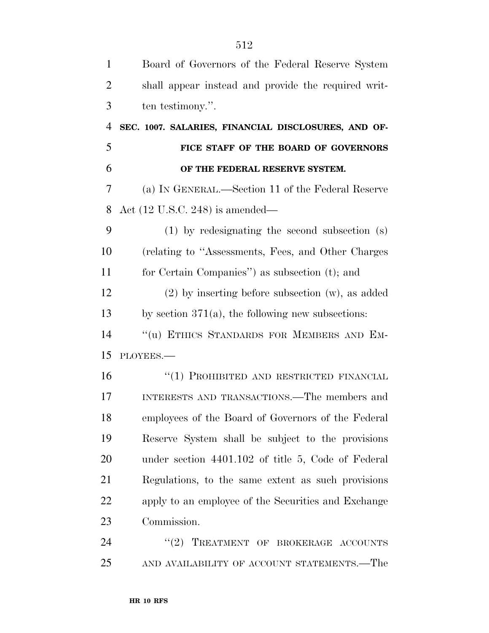| $\mathbf{1}$   | Board of Governors of the Federal Reserve System      |
|----------------|-------------------------------------------------------|
| $\overline{2}$ | shall appear instead and provide the required writ-   |
| 3              | ten testimony.".                                      |
| 4              | SEC. 1007. SALARIES, FINANCIAL DISCLOSURES, AND OF-   |
| 5              | FICE STAFF OF THE BOARD OF GOVERNORS                  |
| 6              | OF THE FEDERAL RESERVE SYSTEM.                        |
| 7              | (a) IN GENERAL.—Section 11 of the Federal Reserve     |
| 8              | Act $(12 \text{ U.S.C. } 248)$ is amended—            |
| 9              | $(1)$ by redesignating the second subsection $(s)$    |
| 10             | (relating to "Assessments, Fees, and Other Charges    |
| 11             | for Certain Companies") as subsection (t); and        |
| 12             | $(2)$ by inserting before subsection $(w)$ , as added |
| 13             | by section $371(a)$ , the following new subsections:  |
| 14             | "(u) ETHICS STANDARDS FOR MEMBERS AND EM-             |
| 15             | PLOYEES.-                                             |
| 16             | "(1) PROHIBITED AND RESTRICTED FINANCIAL              |
| 17             | INTERESTS AND TRANSACTIONS.—The members and           |
| 18             | employees of the Board of Governors of the Federal    |
| 19             | Reserve System shall be subject to the provisions     |
| 20             | under section 4401.102 of title 5, Code of Federal    |
| 21             | Regulations, to the same extent as such provisions    |
| 22             | apply to an employee of the Securities and Exchange   |
| 23             | Commission.                                           |
| 24             | "(2) TREATMENT OF BROKERAGE ACCOUNTS                  |
| 25             | AND AVAILABILITY OF ACCOUNT STATEMENTS.—The           |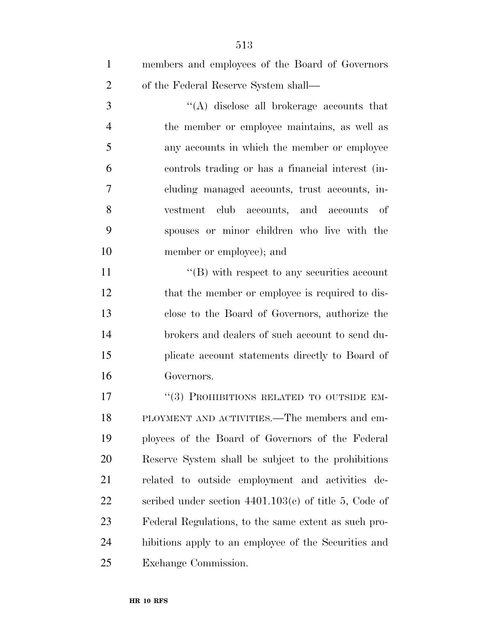| $\mathbf{1}$   | members and employees of the Board of Governors         |
|----------------|---------------------------------------------------------|
| $\overline{2}$ | of the Federal Reserve System shall—                    |
| 3              | $\lq\lq$ disclose all brokerage accounts that           |
| $\overline{4}$ | the member or employee maintains, as well as            |
| 5              | any accounts in which the member or employee            |
| 6              | controls trading or has a financial interest (in-       |
| 7              | cluding managed accounts, trust accounts, in-           |
| 8              | vestment club accounts, and accounts of                 |
| 9              | spouses or minor children who live with the             |
| 10             | member or employee); and                                |
| 11             | $\lq\lq$ with respect to any securities account         |
| 12             | that the member or employee is required to dis-         |
| 13             | close to the Board of Governors, authorize the          |
| 14             | brokers and dealers of such account to send du-         |
| 15             | plicate account statements directly to Board of         |
| 16             | Governors.                                              |
| 17             | "(3) PROHIBITIONS RELATED TO OUTSIDE EM-                |
| 18             | PLOYMENT AND ACTIVITIES.—The members and em-            |
| 19             | ployees of the Board of Governors of the Federal        |
| <b>20</b>      | Reserve System shall be subject to the prohibitions     |
| 21             | related to outside employment and activities de-        |
| 22             | scribed under section $4401.103(c)$ of title 5, Code of |
| 23             | Federal Regulations, to the same extent as such pro-    |

hibitions apply to an employee of the Securities and

Exchange Commission.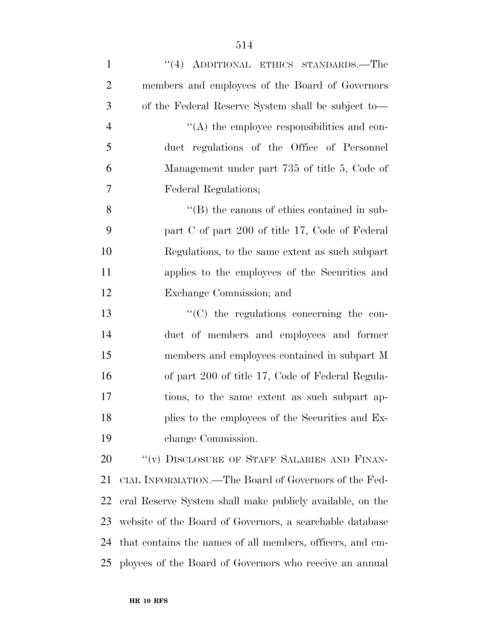| $\mathbf{1}$   | "(4) ADDITIONAL ETHICS STANDARDS.—The                     |
|----------------|-----------------------------------------------------------|
| $\overline{2}$ | members and employees of the Board of Governors           |
| 3              | of the Federal Reserve System shall be subject to-        |
| $\overline{4}$ | $\lq\lq$ the employee responsibilities and con-           |
| 5              | duct regulations of the Office of Personnel               |
| 6              | Management under part 735 of title 5, Code of             |
| 7              | Federal Regulations;                                      |
| 8              | $\lq\lq$ the canons of ethics contained in sub-           |
| 9              | part C of part 200 of title 17, Code of Federal           |
| 10             | Regulations, to the same extent as such subpart           |
| 11             | applies to the employees of the Securities and            |
| 12             | Exchange Commission; and                                  |
| 13             | $\cdot$ (C) the regulations concerning the con-           |
| 14             | duct of members and employees and former                  |
| 15             | members and employees contained in subpart M              |
| 16             | of part 200 of title 17, Code of Federal Regula-          |
| 17             | tions, to the same extent as such subpart ap-             |
| 18             | plies to the employees of the Securities and Ex-          |
| 19             | change Commission.                                        |
| 20             | "(v) DISCLOSURE OF STAFF SALARIES AND FINAN-              |
| 21             | CIAL INFORMATION.—The Board of Governors of the Fed-      |
| 22             | eral Reserve System shall make publicly available, on the |
| 23             | website of the Board of Governors, a searchable database  |
| 24             | that contains the names of all members, officers, and em- |
| 25             | ployees of the Board of Governors who receive an annual   |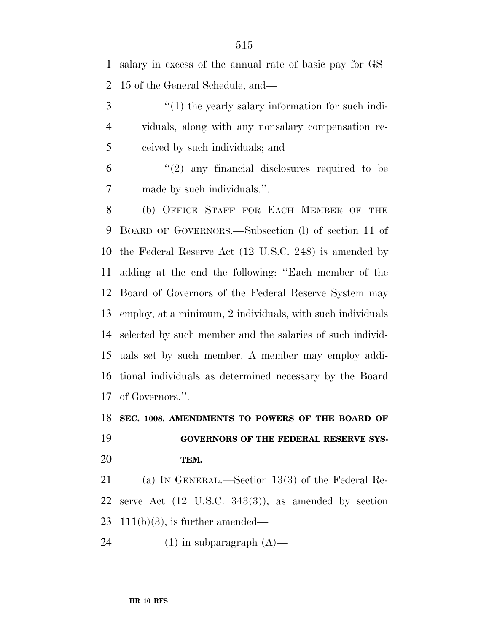salary in excess of the annual rate of basic pay for GS– 15 of the General Schedule, and—

3  $\frac{1}{1}$  the yearly salary information for such indi- viduals, along with any nonsalary compensation re-ceived by such individuals; and

 $(2)$  any financial disclosures required to be made by such individuals.''.

 (b) OFFICE STAFF FOR EACH MEMBER OF THE BOARD OF GOVERNORS.—Subsection (l) of section 11 of the Federal Reserve Act (12 U.S.C. 248) is amended by adding at the end the following: ''Each member of the Board of Governors of the Federal Reserve System may employ, at a minimum, 2 individuals, with such individuals selected by such member and the salaries of such individ- uals set by such member. A member may employ addi- tional individuals as determined necessary by the Board of Governors.''.

## **SEC. 1008. AMENDMENTS TO POWERS OF THE BOARD OF GOVERNORS OF THE FEDERAL RESERVE SYS-TEM.**

 (a) IN GENERAL.—Section 13(3) of the Federal Re- serve Act (12 U.S.C. 343(3)), as amended by section 23 111(b)(3), is further amended—

24  $(1)$  in subparagraph  $(A)$ —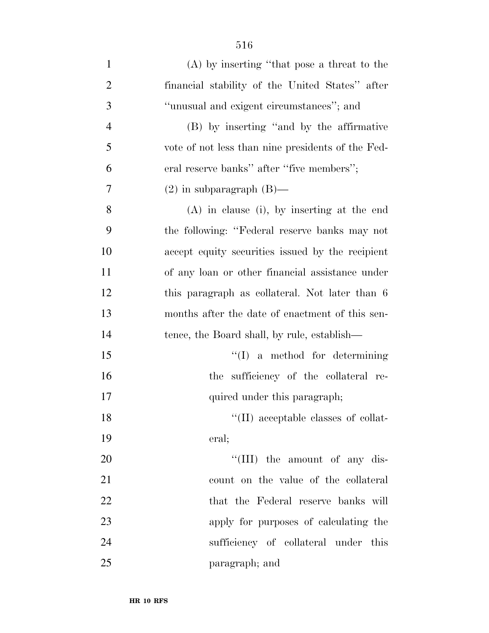| $\mathbf{1}$   | $(A)$ by inserting "that pose a threat to the     |
|----------------|---------------------------------------------------|
| $\overline{2}$ | financial stability of the United States" after   |
| 3              | "unusual and exigent circumstances"; and          |
| $\overline{4}$ | (B) by inserting "and by the affirmative          |
| 5              | vote of not less than nine presidents of the Fed- |
| 6              | eral reserve banks" after "five members";         |
| $\overline{7}$ | $(2)$ in subparagraph $(B)$ —                     |
| 8              | $(A)$ in clause (i), by inserting at the end      |
| 9              | the following: "Federal reserve banks may not     |
| 10             | accept equity securities issued by the recipient  |
| 11             | of any loan or other financial assistance under   |
| 12             | this paragraph as collateral. Not later than 6    |
| 13             | months after the date of enactment of this sen-   |
| 14             | tence, the Board shall, by rule, establish—       |
| 15             | $\lq\lq$ a method for determining                 |
| 16             | the sufficiency of the collateral re-             |
| 17             | quired under this paragraph;                      |
| 18             | $\lq\lq$ (II) acceptable classes of collat-       |
| 19             | eral;                                             |
| 20             | "(III) the amount of any dis-                     |
| 21             | count on the value of the collateral              |
| 22             | that the Federal reserve banks will               |
| 23             | apply for purposes of calculating the             |
| 24             | sufficiency of collateral under this              |
| 25             | paragraph; and                                    |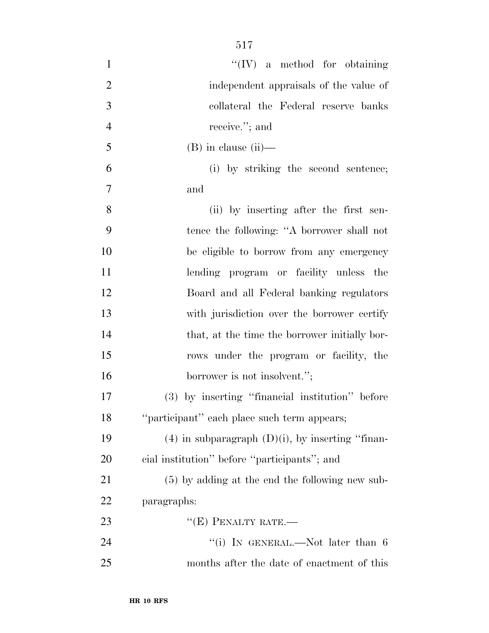| $\mathbf{1}$   | $\lq\lq (IV)$ a method for obtaining                  |
|----------------|-------------------------------------------------------|
| $\overline{2}$ | independent appraisals of the value of                |
| 3              | collateral the Federal reserve banks                  |
| $\overline{4}$ | receive."; and                                        |
| 5              | $(B)$ in clause $(ii)$ —                              |
| 6              | (i) by striking the second sentence;                  |
| $\overline{7}$ | and                                                   |
| 8              | (ii) by inserting after the first sen-                |
| 9              | tence the following: "A borrower shall not            |
| 10             | be eligible to borrow from any emergency              |
| 11             | lending program or facility unless the                |
| 12             | Board and all Federal banking regulators              |
| 13             | with jurisdiction over the borrower certify           |
| 14             | that, at the time the borrower initially bor-         |
| 15             | rows under the program or facility, the               |
| 16             | borrower is not insolvent.";                          |
| 17             | (3) by inserting "financial institution" before       |
| 18             | "participant" each place such term appears;           |
| 19             | $(4)$ in subparagraph $(D)(i)$ , by inserting "finan- |
| 20             | cial institution" before "participants"; and          |
| 21             | $(5)$ by adding at the end the following new sub-     |
| 22             | paragraphs:                                           |
| 23             | $``(E)$ PENALTY RATE.—                                |
| 24             | "(i) IN GENERAL.—Not later than 6                     |
| 25             | months after the date of enactment of this            |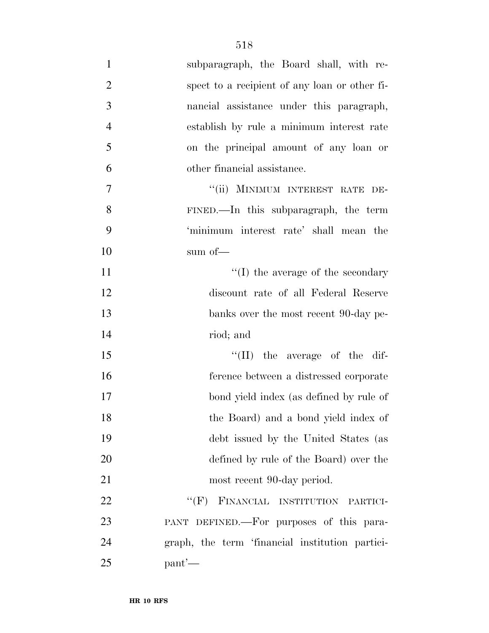| $\mathbf{1}$   | subparagraph, the Board shall, with re-         |
|----------------|-------------------------------------------------|
| $\overline{2}$ | spect to a recipient of any loan or other fi-   |
| 3              | nancial assistance under this paragraph,        |
| $\overline{4}$ | establish by rule a minimum interest rate       |
| 5              | on the principal amount of any loan or          |
| 6              | other financial assistance.                     |
| 7              | "(ii) MINIMUM INTEREST RATE DE-                 |
| 8              | FINED.—In this subparagraph, the term           |
| 9              | 'minimum interest rate' shall mean the          |
| 10             | sum of-                                         |
| 11             | $\lq\lq$ (I) the average of the secondary       |
| 12             | discount rate of all Federal Reserve            |
| 13             | banks over the most recent 90-day pe-           |
| 14             | riod; and                                       |
| 15             | $\lq\lq$ (II) the average of the dif-           |
| 16             | ference between a distressed corporate          |
| 17             | bond yield index (as defined by rule of         |
| 18             | the Board) and a bond yield index of            |
| 19             | debt issued by the United States (as            |
| 20             | defined by rule of the Board) over the          |
| 21             | most recent 90-day period.                      |
| 22             | "(F) FINANCIAL INSTITUTION PARTICI-             |
| 23             | PANT DEFINED.—For purposes of this para-        |
| 24             | graph, the term 'financial institution partici- |
| 25             | $\text{pant}'$                                  |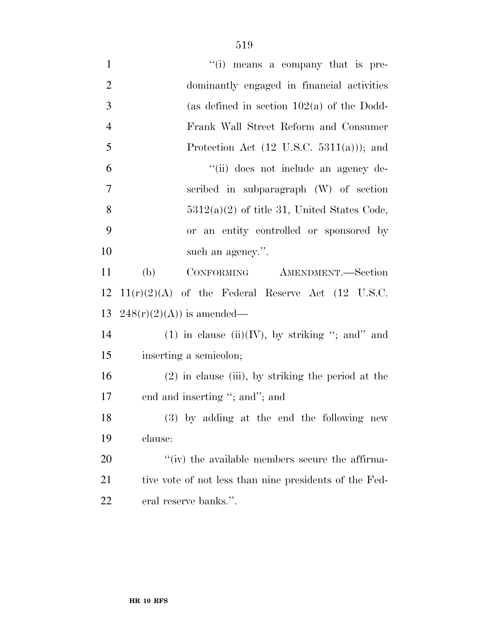| $\mathbf{1}$   | "(i) means a company that is pre-                      |
|----------------|--------------------------------------------------------|
| $\overline{2}$ | dominantly engaged in financial activities             |
| 3              | (as defined in section $102(a)$ of the Dodd-           |
| $\overline{4}$ | Frank Wall Street Reform and Consumer                  |
| 5              | Protection Act $(12 \text{ U.S.C. } 5311(a))$ ; and    |
| 6              | "(ii) does not include an agency de-                   |
| 7              | scribed in subparagraph (W) of section                 |
| 8              | $5312(a)(2)$ of title 31, United States Code,          |
| 9              | or an entity controlled or sponsored by                |
| 10             | such an agency.".                                      |
| 11             | (b)<br>CONFORMING AMENDMENT.-Section                   |
| 12             | $11(r)(2)(A)$ of the Federal Reserve Act (12 U.S.C.    |
| 13             | $248(r)(2)(A)$ is amended—                             |
| 14             | $(1)$ in clause $(ii)(IV)$ , by striking "; and" and   |
| 15             | inserting a semicolon;                                 |
| 16             | $(2)$ in clause (iii), by striking the period at the   |
| 17             | end and inserting "; and"; and                         |
| 18             | (3) by adding at the end the following new             |
| 19             | clause:                                                |
| 20             | "(iv) the available members secure the affirma-        |
| 21             | tive vote of not less than nine presidents of the Fed- |
| 22             | eral reserve banks.".                                  |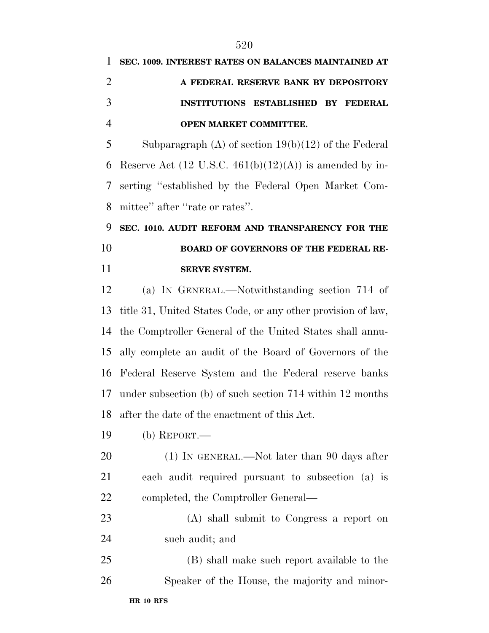| 1 SEC. 1009. INTEREST RATES ON BALANCES MAINTAINED AT |
|-------------------------------------------------------|
| A FEDERAL RESERVE BANK BY DEPOSITORY                  |
| INSTITUTIONS ESTABLISHED BY FEDERAL                   |
| <b>OPEN MARKET COMMITTEE.</b>                         |

 Subparagraph (A) of section 19(b)(12) of the Federal 6 Reserve Act (12 U.S.C.  $461(b)(12)(A)$ ) is amended by in- serting ''established by the Federal Open Market Com-mittee'' after ''rate or rates''.

 **SEC. 1010. AUDIT REFORM AND TRANSPARENCY FOR THE BOARD OF GOVERNORS OF THE FEDERAL RE-SERVE SYSTEM.** 

 (a) IN GENERAL.—Notwithstanding section 714 of title 31, United States Code, or any other provision of law, the Comptroller General of the United States shall annu- ally complete an audit of the Board of Governors of the Federal Reserve System and the Federal reserve banks under subsection (b) of such section 714 within 12 months after the date of the enactment of this Act.

- (b) REPORT.—
- 20 (1) IN GENERAL.—Not later than 90 days after each audit required pursuant to subsection (a) is completed, the Comptroller General—
- (A) shall submit to Congress a report on such audit; and

 (B) shall make such report available to the Speaker of the House, the majority and minor-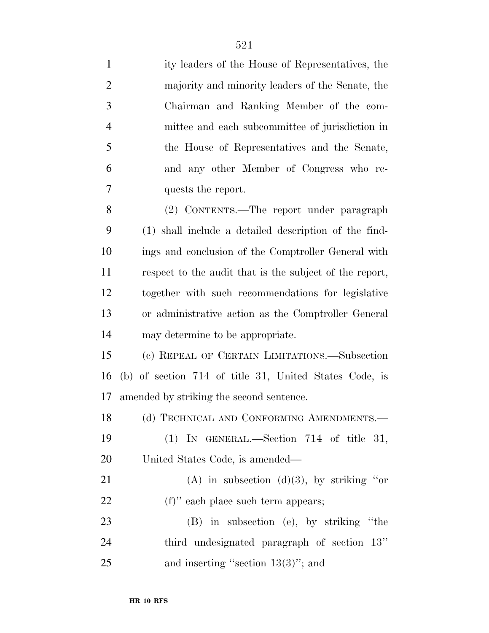| $\mathbf{1}$   | ity leaders of the House of Representatives, the        |
|----------------|---------------------------------------------------------|
| $\mathbf{2}$   | majority and minority leaders of the Senate, the        |
| $\mathfrak{Z}$ | Chairman and Ranking Member of the com-                 |
| $\overline{4}$ | mittee and each subcommittee of jurisdiction in         |
| 5              | the House of Representatives and the Senate,            |
| 6              | and any other Member of Congress who re-                |
| $\overline{7}$ | quests the report.                                      |
| 8              | (2) CONTENTS.—The report under paragraph                |
| 9              | (1) shall include a detailed description of the find-   |
| 10             | ings and conclusion of the Comptroller General with     |
| 11             | respect to the audit that is the subject of the report, |
| 12             | together with such recommendations for legislative      |
| 13             | or administrative action as the Comptroller General     |
| 14             | may determine to be appropriate.                        |
| 15             | (c) REPEAL OF CERTAIN LIMITATIONS.—Subsection           |
| 16             | (b) of section 714 of title 31, United States Code, is  |
| 17             | amended by striking the second sentence.                |
| 18             | (d) TECHNICAL AND CONFORMING AMENDMENTS.                |
| 19             | $(1)$ IN GENERAL.—Section 714 of title 31,              |
| 20             | United States Code, is amended—                         |
| 21             | (A) in subsection (d)(3), by striking "or               |
| 22             | $(f)$ " each place such term appears;                   |
| 23             | (B) in subsection (e), by striking "the                 |
| 24             | third undesignated paragraph of section 13"             |
| 25             | and inserting "section $13(3)$ "; and                   |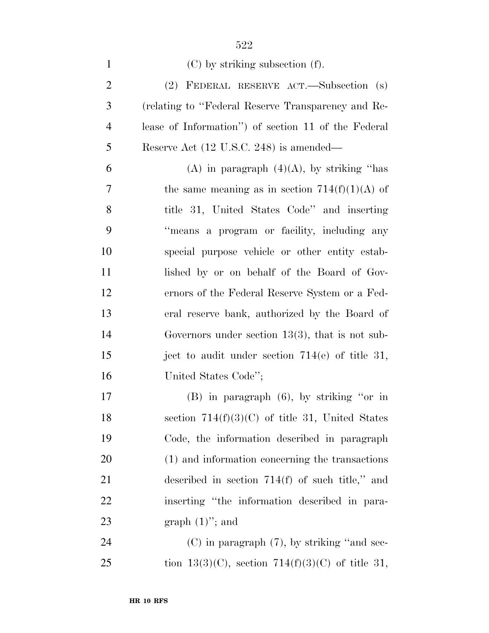| $\mathbf{1}$   | $(C)$ by striking subsection $(f)$ .                |
|----------------|-----------------------------------------------------|
| $\overline{2}$ | (2) FEDERAL RESERVE ACT.—Subsection (s)             |
| 3              | (relating to "Federal Reserve Transparency and Re-  |
| $\overline{4}$ | lease of Information") of section 11 of the Federal |
| 5              | Reserve Act (12 U.S.C. 248) is amended—             |
| 6              | (A) in paragraph $(4)(A)$ , by striking "has        |
| 7              | the same meaning as in section $714(f)(1)(A)$ of    |
| 8              | title 31, United States Code" and inserting         |
| 9              | "means a program or facility, including any         |
| 10             | special purpose vehicle or other entity estab-      |
| 11             | lished by or on behalf of the Board of Gov-         |
| 12             | ernors of the Federal Reserve System or a Fed-      |
| 13             | eral reserve bank, authorized by the Board of       |
| 14             | Governors under section $13(3)$ , that is not sub-  |
| 15             | ject to audit under section $714(e)$ of title 31,   |
| 16             | United States Code";                                |
| 17             | $(B)$ in paragraph $(6)$ , by striking "or in       |
| 18             | section $714(f)(3)(C)$ of title 31, United States   |
| 19             | Code, the information described in paragraph        |
| 20             | (1) and information concerning the transactions     |
| 21             | described in section $714(f)$ of such title," and   |
| 22             | inserting "the information described in para-       |

23 graph  $(1)$ "; and

24 (C) in paragraph (7), by striking "and sec-25 tion  $13(3)(C)$ , section  $714(f)(3)(C)$  of title 31,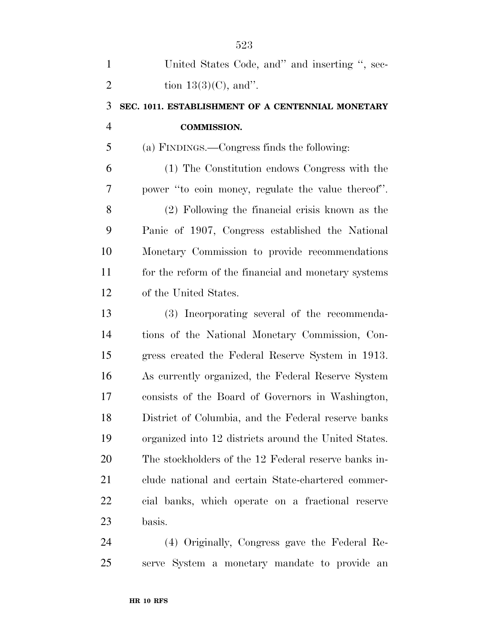| $\mathbf{1}$   | United States Code, and" and inserting ", sec-        |
|----------------|-------------------------------------------------------|
| $\overline{2}$ | tion $13(3)(C)$ , and".                               |
| 3              | SEC. 1011. ESTABLISHMENT OF A CENTENNIAL MONETARY     |
| $\overline{4}$ | <b>COMMISSION.</b>                                    |
| 5              | (a) FINDINGS.—Congress finds the following:           |
| 6              | (1) The Constitution endows Congress with the         |
| 7              | power "to coin money, regulate the value thereof".    |
| 8              | (2) Following the financial crisis known as the       |
| 9              | Panic of 1907, Congress established the National      |
| 10             | Monetary Commission to provide recommendations        |
| 11             | for the reform of the financial and monetary systems  |
| 12             | of the United States.                                 |
| 13             | (3) Incorporating several of the recommenda-          |
| 14             | tions of the National Monetary Commission, Con-       |
| 15             | gress created the Federal Reserve System in 1913.     |
| 16             | As currently organized, the Federal Reserve System    |
| 17             | consists of the Board of Governors in Washington,     |
| 18             | District of Columbia, and the Federal reserve banks   |
| 19             | organized into 12 districts around the United States. |
| 20             | The stockholders of the 12 Federal reserve banks in-  |
| 21             | clude national and certain State-chartered commer-    |
| 22             | cial banks, which operate on a fractional reserve     |
| 23             | basis.                                                |
| 24             | (4) Originally, Congress gave the Federal Re-         |

serve System a monetary mandate to provide an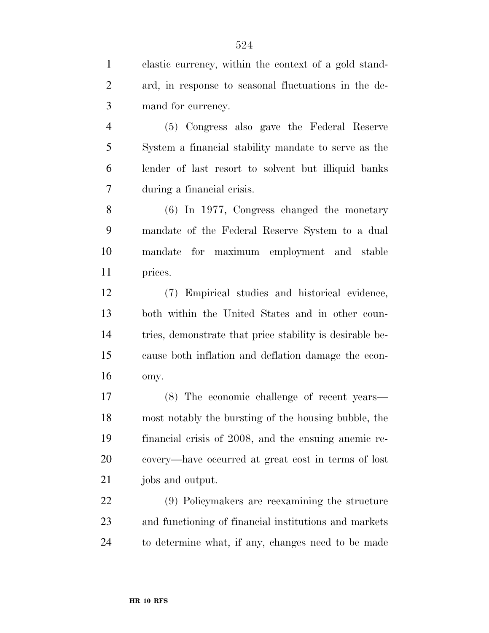elastic currency, within the context of a gold stand- ard, in response to seasonal fluctuations in the de-mand for currency.

 (5) Congress also gave the Federal Reserve System a financial stability mandate to serve as the lender of last resort to solvent but illiquid banks during a financial crisis.

 (6) In 1977, Congress changed the monetary mandate of the Federal Reserve System to a dual mandate for maximum employment and stable prices.

 (7) Empirical studies and historical evidence, both within the United States and in other coun- tries, demonstrate that price stability is desirable be- cause both inflation and deflation damage the econ-omy.

 (8) The economic challenge of recent years— most notably the bursting of the housing bubble, the financial crisis of 2008, and the ensuing anemic re- covery—have occurred at great cost in terms of lost jobs and output.

 (9) Policymakers are reexamining the structure and functioning of financial institutions and markets to determine what, if any, changes need to be made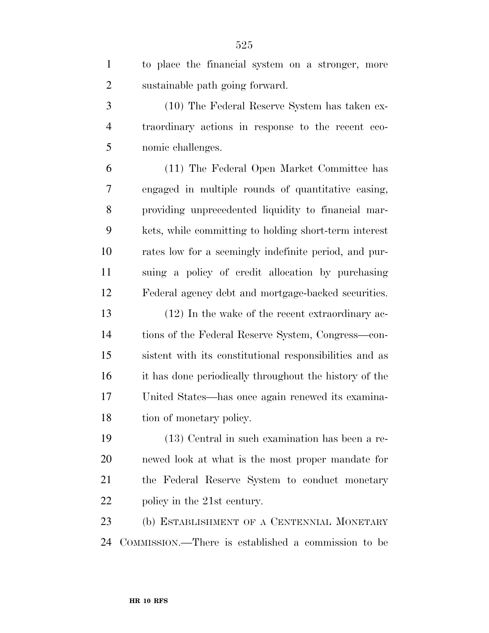| $\mathbf{1}$   | to place the financial system on a stronger, more       |
|----------------|---------------------------------------------------------|
| $\overline{2}$ | sustainable path going forward.                         |
| 3              | (10) The Federal Reserve System has taken ex-           |
| $\overline{4}$ | traordinary actions in response to the recent eco-      |
| 5              | nomic challenges.                                       |
| 6              | (11) The Federal Open Market Committee has              |
| 7              | engaged in multiple rounds of quantitative easing,      |
| 8              | providing unprecedented liquidity to financial mar-     |
| 9              | kets, while committing to holding short-term interest   |
| 10             | rates low for a seemingly indefinite period, and pur-   |
| 11             | suing a policy of credit allocation by purchasing       |
| 12             | Federal agency debt and mortgage-backed securities.     |
| 13             | $(12)$ In the wake of the recent extraordinary ac-      |
| 14             | tions of the Federal Reserve System, Congress—con-      |
| 15             | sistent with its constitutional responsibilities and as |
| 16             | it has done periodically throughout the history of the  |
| 17             | United States—has once again renewed its examina-       |
| 18             | tion of monetary policy.                                |
| 19             | (13) Central in such examination has been a re-         |
| 20             | newed look at what is the most proper mandate for       |
| 21             | the Federal Reserve System to conduct monetary          |
| 22             | policy in the 21st century.                             |
| 23             | (b) ESTABLISHMENT OF A CENTENNIAL MONETARY              |
| 24             | COMMISSION.—There is established a commission to be     |
|                |                                                         |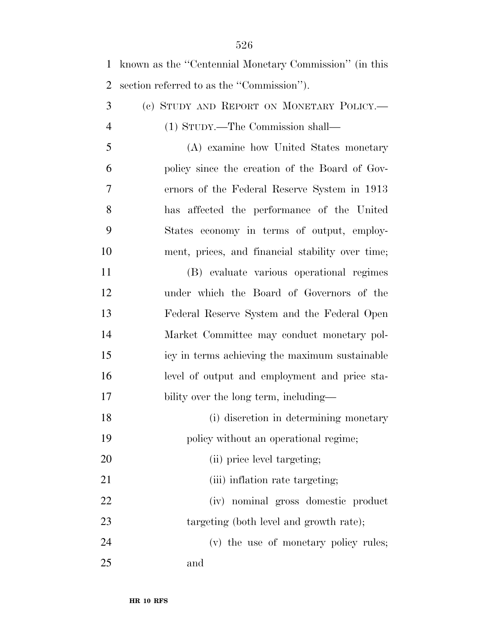known as the ''Centennial Monetary Commission'' (in this section referred to as the ''Commission'').

 (c) STUDY AND REPORT ON MONETARY POLICY.— (1) STUDY.—The Commission shall—

 (A) examine how United States monetary policy since the creation of the Board of Gov- ernors of the Federal Reserve System in 1913 has affected the performance of the United States economy in terms of output, employ-ment, prices, and financial stability over time;

 (B) evaluate various operational regimes under which the Board of Governors of the Federal Reserve System and the Federal Open Market Committee may conduct monetary pol- icy in terms achieving the maximum sustainable level of output and employment and price sta-17 bility over the long term, including—

- (i) discretion in determining monetary 19 policy without an operational regime; 20 (ii) price level targeting;
- 21 (iii) inflation rate targeting;
- (iv) nominal gross domestic product 23 targeting (both level and growth rate);
- (v) the use of monetary policy rules; and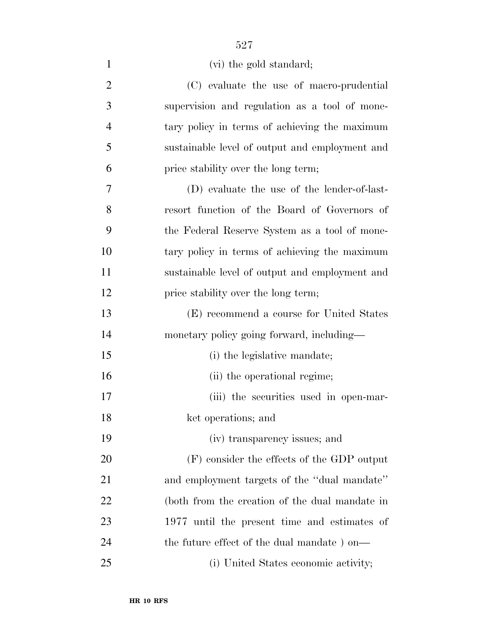| $\mathbf{1}$   | (vi) the gold standard;                        |
|----------------|------------------------------------------------|
| $\overline{2}$ | (C) evaluate the use of macro-prudential       |
| 3              | supervision and regulation as a tool of mone-  |
| $\overline{4}$ | tary policy in terms of achieving the maximum  |
| 5              | sustainable level of output and employment and |
| 6              | price stability over the long term;            |
| 7              | (D) evaluate the use of the lender-of-last-    |
| 8              | resort function of the Board of Governors of   |
| 9              | the Federal Reserve System as a tool of mone-  |
| 10             | tary policy in terms of achieving the maximum  |
| 11             | sustainable level of output and employment and |
| 12             | price stability over the long term;            |
| 13             | (E) recommend a course for United States       |
| 14             | monetary policy going forward, including—      |
| 15             | (i) the legislative mandate;                   |
| 16             | (ii) the operational regime;                   |
| 17             | (iii) the securities used in open-mar-         |
| 18             | ket operations; and                            |
| 19             | (iv) transparency issues; and                  |
| 20             | (F) consider the effects of the GDP output     |
| 21             | and employment targets of the "dual mandate"   |
| 22             | (both from the creation of the dual mandate in |
| 23             | 1977 until the present time and estimates of   |
| 24             | the future effect of the dual mandate) on—     |
| 25             | (i) United States economic activity;           |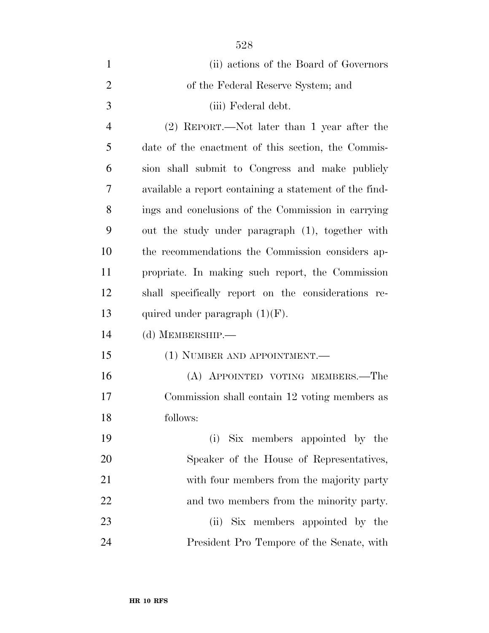| $\mathbf{1}$   | (ii) actions of the Board of Governors                 |
|----------------|--------------------------------------------------------|
| $\overline{2}$ | of the Federal Reserve System; and                     |
| 3              | (iii) Federal debt.                                    |
| $\overline{4}$ | $(2)$ REPORT.—Not later than 1 year after the          |
| 5              | date of the enactment of this section, the Commis-     |
| 6              | sion shall submit to Congress and make publicly        |
| 7              | available a report containing a statement of the find- |
| 8              | ings and conclusions of the Commission in carrying     |
| 9              | out the study under paragraph (1), together with       |
| 10             | the recommendations the Commission considers ap-       |
| 11             | propriate. In making such report, the Commission       |
| 12             | shall specifically report on the considerations re-    |
| 13             | quired under paragraph $(1)(F)$ .                      |
| 14             | (d) MEMBERSHIP.—                                       |
| 15             | (1) NUMBER AND APPOINTMENT.—                           |
| 16             | (A) APPOINTED VOTING MEMBERS.—The                      |
| 17             | Commission shall contain 12 voting members as          |
| 18             | follows:                                               |
| 19             | Six members appointed by the<br>(i)                    |
| 20             | Speaker of the House of Representatives,               |
| 21             | with four members from the majority party              |
| 22             | and two members from the minority party.               |
| 23             | (ii) Six members appointed by the                      |
| 24             | President Pro Tempore of the Senate, with              |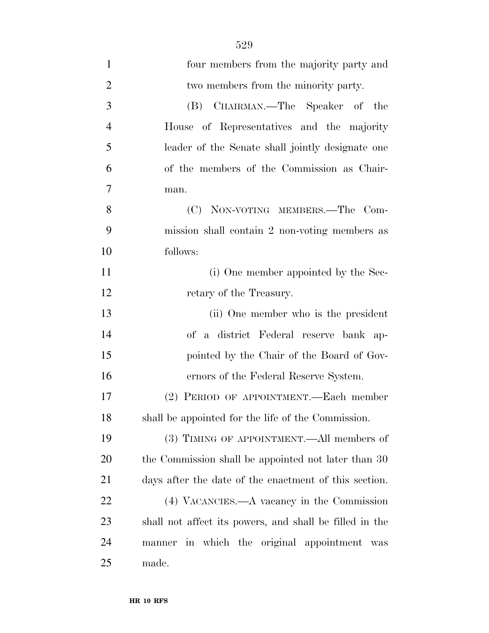| $\mathbf{1}$   | four members from the majority party and                |
|----------------|---------------------------------------------------------|
| $\overline{2}$ | two members from the minority party.                    |
| 3              | (B) CHAIRMAN.—The Speaker of the                        |
| $\overline{4}$ | House of Representatives and the majority               |
| 5              | leader of the Senate shall jointly designate one        |
| 6              | of the members of the Commission as Chair-              |
| 7              | man.                                                    |
| 8              | (C) NON-VOTING MEMBERS.—The Com-                        |
| 9              | mission shall contain 2 non-voting members as           |
| 10             | follows:                                                |
| 11             | (i) One member appointed by the Sec-                    |
| 12             | retary of the Treasury.                                 |
| 13             | (ii) One member who is the president                    |
| 14             | of a district Federal reserve bank ap-                  |
| 15             | pointed by the Chair of the Board of Gov-               |
| 16             | ernors of the Federal Reserve System.                   |
| 17             | (2) PERIOD OF APPOINTMENT.—Each member                  |
| 18             | shall be appointed for the life of the Commission.      |
| 19             | (3) TIMING OF APPOINTMENT.—All members of               |
| 20             | the Commission shall be appointed not later than 30     |
| 21             | days after the date of the enactment of this section.   |
| <u>22</u>      | (4) VACANCIES.—A vacancy in the Commission              |
| 23             | shall not affect its powers, and shall be filled in the |
| 24             | in which the original appointment<br>manner<br>was      |
| 25             | made.                                                   |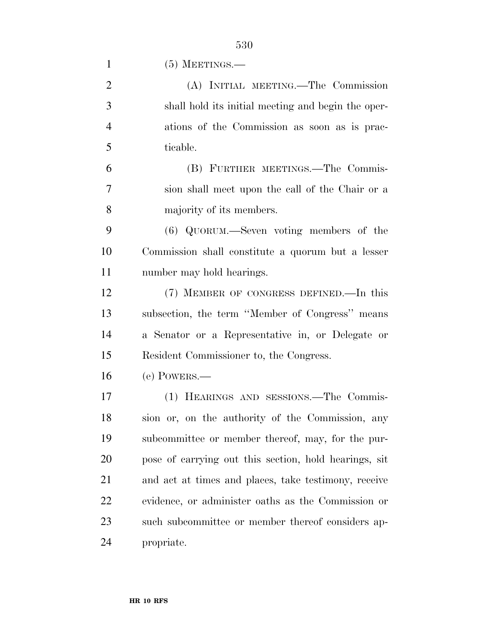(5) MEETINGS.—

| $\overline{2}$ | (A) INITIAL MEETING.—The Commission                   |
|----------------|-------------------------------------------------------|
| 3              | shall hold its initial meeting and begin the oper-    |
| $\overline{4}$ | ations of the Commission as soon as is prac-          |
| 5              | ticable.                                              |
| 6              | (B) FURTHER MEETINGS.—The Commis-                     |
| 7              | sion shall meet upon the call of the Chair or a       |
| 8              | majority of its members.                              |
| 9              | (6) QUORUM.—Seven voting members of the               |
| 10             | Commission shall constitute a quorum but a lesser     |
| 11             | number may hold hearings.                             |
| 12             | (7) MEMBER OF CONGRESS DEFINED.—In this               |
| 13             | subsection, the term "Member of Congress" means       |
| 14             | a Senator or a Representative in, or Delegate or      |
| 15             | Resident Commissioner to, the Congress.               |
| 16             | (e) POWERS.—                                          |
| 17             | (1) HEARINGS AND SESSIONS.—The Commis-                |
| 18             | sion or, on the authority of the Commission, any      |
| 19             | subcommittee or member thereof, may, for the pur-     |
| 20             | pose of carrying out this section, hold hearings, sit |
| 21             | and act at times and places, take testimony, receive  |
| 22             | evidence, or administer oaths as the Commission or    |
| 23             | such subcommittee or member thereof considers ap-     |
| 24             | propriate.                                            |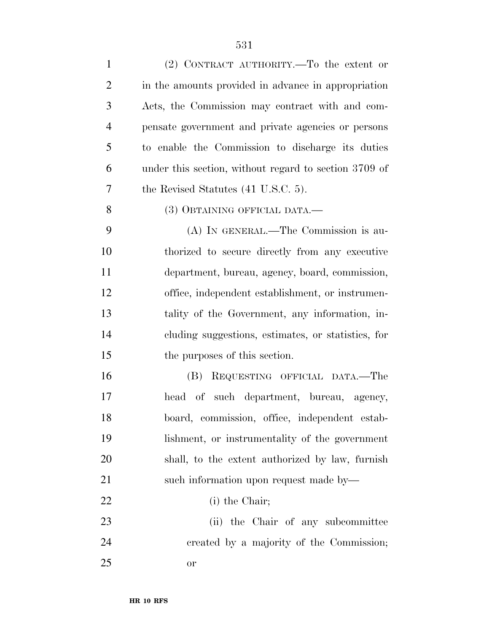| $\mathbf{1}$   | (2) CONTRACT AUTHORITY.—To the extent or              |
|----------------|-------------------------------------------------------|
| $\overline{2}$ | in the amounts provided in advance in appropriation   |
| 3              | Acts, the Commission may contract with and com-       |
| $\overline{4}$ | pensate government and private agencies or persons    |
| 5              | to enable the Commission to discharge its duties      |
| 6              | under this section, without regard to section 3709 of |
| 7              | the Revised Statutes (41 U.S.C. 5).                   |
| 8              | (3) OBTAINING OFFICIAL DATA.-                         |
| 9              | (A) IN GENERAL.—The Commission is au-                 |
| 10             | thorized to secure directly from any executive        |
| 11             | department, bureau, agency, board, commission,        |
| 12             | office, independent establishment, or instrumen-      |
| 13             | tality of the Government, any information, in-        |
| 14             | cluding suggestions, estimates, or statistics, for    |
| 15             | the purposes of this section.                         |
| 16             | (B) REQUESTING OFFICIAL DATA.—The                     |
| 17             | head of such department, bureau, agency,              |
| 18             | board, commission, office, independent estab-         |
| 19             | lishment, or instrumentality of the government        |
| 20             | shall, to the extent authorized by law, furnish       |
| 21             | such information upon request made by—                |
| 22             | (i) the Chair;                                        |
| 23             | (ii) the Chair of any subcommittee                    |
| 24             | created by a majority of the Commission;              |
| 25             | 0r                                                    |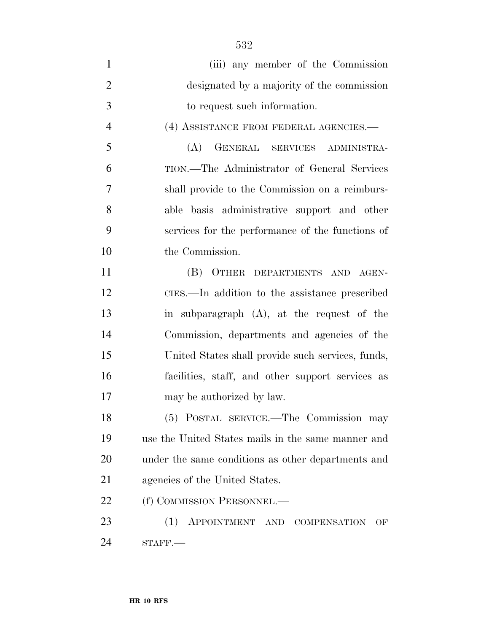| $\mathbf{1}$   | (iii) any member of the Commission                 |
|----------------|----------------------------------------------------|
| $\overline{2}$ | designated by a majority of the commission         |
| 3              | to request such information.                       |
| $\overline{4}$ | (4) ASSISTANCE FROM FEDERAL AGENCIES.-             |
| 5              | (A)<br>GENERAL SERVICES ADMINISTRA-                |
| 6              | TION.—The Administrator of General Services        |
| 7              | shall provide to the Commission on a reimburs-     |
| 8              | able basis administrative support and other        |
| 9              | services for the performance of the functions of   |
| 10             | the Commission.                                    |
| 11             | (B) OTHER DEPARTMENTS AND AGEN-                    |
| 12             | CIES.—In addition to the assistance prescribed     |
| 13             | in subparagraph $(A)$ , at the request of the      |
| 14             | Commission, departments and agencies of the        |
| 15             | United States shall provide such services, funds,  |
| 16             | facilities, staff, and other support services as   |
| 17             | may be authorized by law.                          |
| 18             | (5) POSTAL SERVICE.-The Commission may             |
| 19             | use the United States mails in the same manner and |
| 20             | under the same conditions as other departments and |
| 21             | agencies of the United States.                     |
| 22             | (f) COMMISSION PERSONNEL.—                         |
| 23             | (1)<br>APPOINTMENT AND COMPENSATION<br>OF          |
| 24             | $STAFF$ .                                          |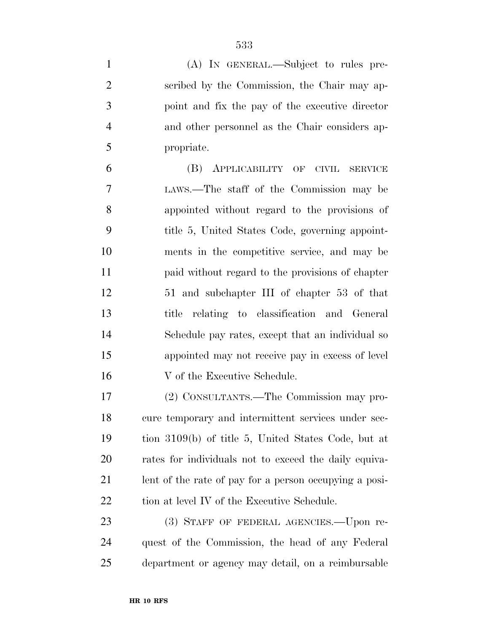| $\mathbf{1}$   | (A) IN GENERAL.—Subject to rules pre-                  |
|----------------|--------------------------------------------------------|
| $\overline{2}$ | scribed by the Commission, the Chair may ap-           |
| 3              | point and fix the pay of the executive director        |
| $\overline{4}$ | and other personnel as the Chair considers ap-         |
| 5              | propriate.                                             |
| 6              | (B) APPLICABILITY OF CIVIL SERVICE                     |
| 7              | LAWS.—The staff of the Commission may be               |
| 8              | appointed without regard to the provisions of          |
| 9              | title 5, United States Code, governing appoint-        |
| 10             | ments in the competitive service, and may be           |
| 11             | paid without regard to the provisions of chapter       |
| 12             | 51 and subchapter III of chapter 53 of that            |
| 13             | title relating to classification and General           |
| 14             | Schedule pay rates, except that an individual so       |
| 15             | appointed may not receive pay in excess of level       |
| 16             | V of the Executive Schedule.                           |
| 17             | (2) CONSULTANTS.—The Commission may pro-               |
| 18             | cure temporary and intermittent services under sec-    |
| 19             | tion 3109(b) of title 5, United States Code, but at    |
| 20             | rates for individuals not to exceed the daily equiva-  |
| 21             | lent of the rate of pay for a person occupying a posi- |
| 22             | tion at level IV of the Executive Schedule.            |
| 23             | (3) STAFF OF FEDERAL AGENCIES.-Upon re-                |
| 24             | quest of the Commission, the head of any Federal       |
| 25             | department or agency may detail, on a reimbursable     |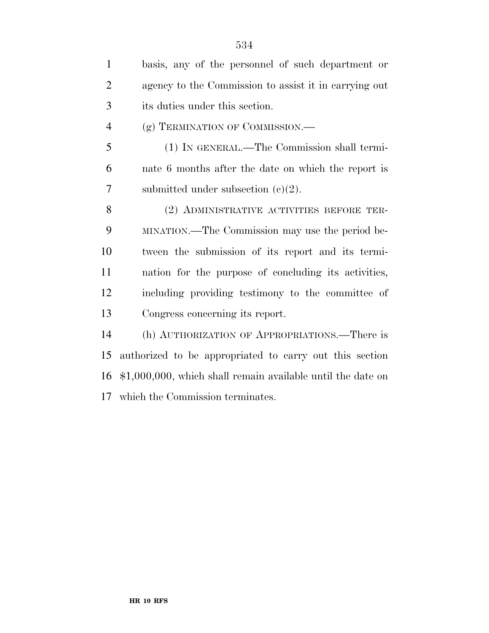| $\mathbf{1}$   | basis, any of the personnel of such department or             |
|----------------|---------------------------------------------------------------|
| $\overline{2}$ | agency to the Commission to assist it in carrying out         |
| 3              | its duties under this section.                                |
| 4              | (g) TERMINATION OF COMMISSION.—                               |
| 5              | (1) IN GENERAL.—The Commission shall termi-                   |
| 6              | nate 6 months after the date on which the report is           |
| 7              | submitted under subsection $(c)(2)$ .                         |
| 8              | (2) ADMINISTRATIVE ACTIVITIES BEFORE TER-                     |
| 9              | MINATION.—The Commission may use the period be-               |
| 10             | tween the submission of its report and its termi-             |
| 11             | nation for the purpose of concluding its activities,          |
| 12             | including providing testimony to the committee of             |
| 13             | Congress concerning its report.                               |
| 14             | (h) AUTHORIZATION OF APPROPRIATIONS.—There is                 |
| 15             | authorized to be appropriated to carry out this section       |
| 16             | $$1,000,000$ , which shall remain available until the date on |
|                | 17 which the Commission terminates.                           |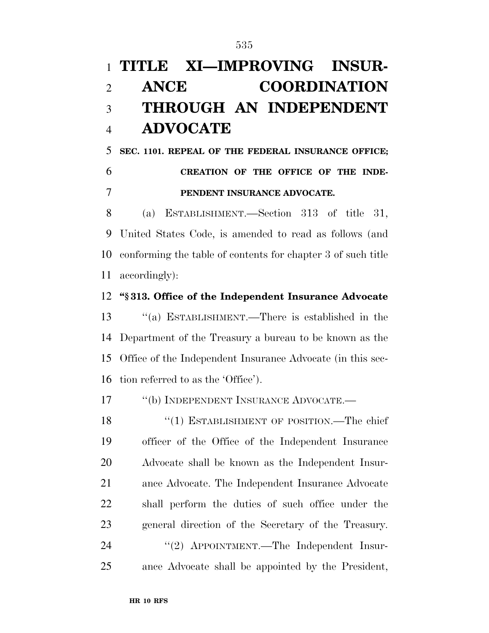# **TITLE XI—IMPROVING INSUR- ANCE COORDINATION THROUGH AN INDEPENDENT ADVOCATE**

 **SEC. 1101. REPEAL OF THE FEDERAL INSURANCE OFFICE; CREATION OF THE OFFICE OF THE INDE-PENDENT INSURANCE ADVOCATE.** 

 (a) ESTABLISHMENT.—Section 313 of title 31, United States Code, is amended to read as follows (and conforming the table of contents for chapter 3 of such title accordingly):

### **''§ 313. Office of the Independent Insurance Advocate**

 ''(a) ESTABLISHMENT.—There is established in the Department of the Treasury a bureau to be known as the Office of the Independent Insurance Advocate (in this sec-tion referred to as the 'Office').

''(b) INDEPENDENT INSURANCE ADVOCATE.—

18 "(1) ESTABLISHMENT OF POSITION.—The chief officer of the Office of the Independent Insurance Advocate shall be known as the Independent Insur- ance Advocate. The Independent Insurance Advocate shall perform the duties of such office under the general direction of the Secretary of the Treasury. 24 "(2) APPOINTMENT.—The Independent Insur-ance Advocate shall be appointed by the President,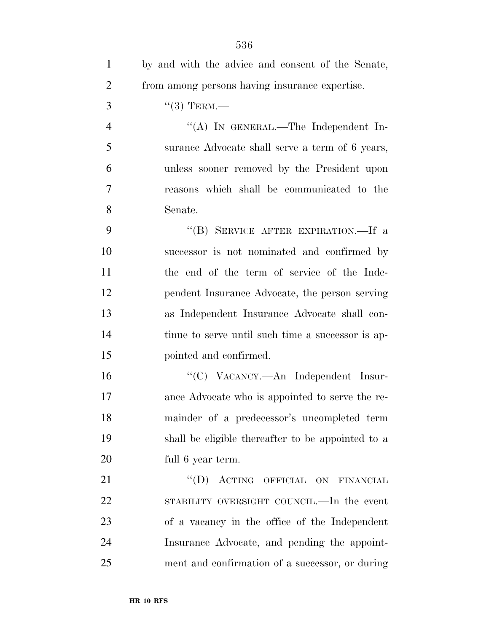| $\mathbf{1}$   | by and with the advice and consent of the Senate, |
|----------------|---------------------------------------------------|
| $\overline{2}$ | from among persons having insurance expertise.    |
| 3              | $``(3)$ TERM.—                                    |
| $\overline{4}$ | "(A) IN GENERAL.—The Independent In-              |
| 5              | surance Advocate shall serve a term of 6 years,   |
| 6              | unless sooner removed by the President upon       |
| 7              | reasons which shall be communicated to the        |
| 8              | Senate.                                           |
| 9              | "(B) SERVICE AFTER EXPIRATION.—If a               |
| 10             | successor is not nominated and confirmed by       |
| 11             | the end of the term of service of the Inde-       |
| 12             | pendent Insurance Advocate, the person serving    |
| 13             | as Independent Insurance Advocate shall con-      |
| 14             | tinue to serve until such time a successor is ap- |
| 15             | pointed and confirmed.                            |
| 16             | "(C) VACANCY.—An Independent Insur-               |
| 17             | ance Advocate who is appointed to serve the re-   |
| 18             | mainder of a predecessor's uncompleted term       |
| 19             | shall be eligible thereafter to be appointed to a |
| 20             | full 6 year term.                                 |
| 21             | "(D) ACTING OFFICIAL ON FINANCIAL                 |
| 22             | STABILITY OVERSIGHT COUNCIL.—In the event         |
| 23             | of a vacancy in the office of the Independent     |
| 24             | Insurance Advocate, and pending the appoint-      |
| 25             | ment and confirmation of a successor, or during   |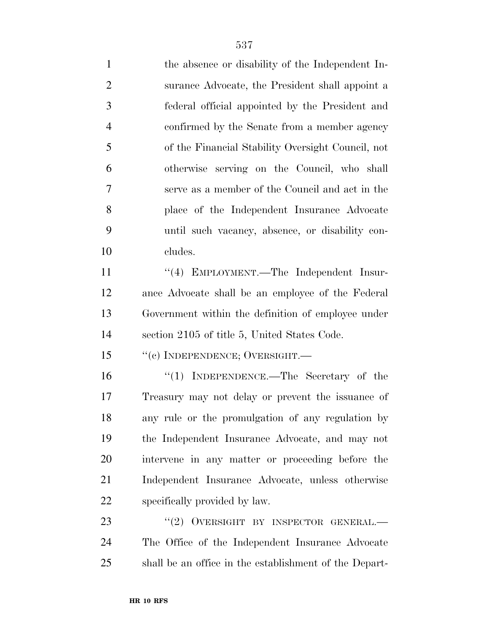1 the absence or disability of the Independent In- surance Advocate, the President shall appoint a federal official appointed by the President and confirmed by the Senate from a member agency of the Financial Stability Oversight Council, not otherwise serving on the Council, who shall serve as a member of the Council and act in the place of the Independent Insurance Advocate until such vacancy, absence, or disability con- cludes. 11 "(4) EMPLOYMENT.—The Independent Insur- ance Advocate shall be an employee of the Federal Government within the definition of employee under section 2105 of title 5, United States Code. 15 "(c) INDEPENDENCE; OVERSIGHT.—

 ''(1) INDEPENDENCE.—The Secretary of the Treasury may not delay or prevent the issuance of any rule or the promulgation of any regulation by the Independent Insurance Advocate, and may not intervene in any matter or proceeding before the Independent Insurance Advocate, unless otherwise specifically provided by law.

23 "(2) OVERSIGHT BY INSPECTOR GENERAL.— The Office of the Independent Insurance Advocate shall be an office in the establishment of the Depart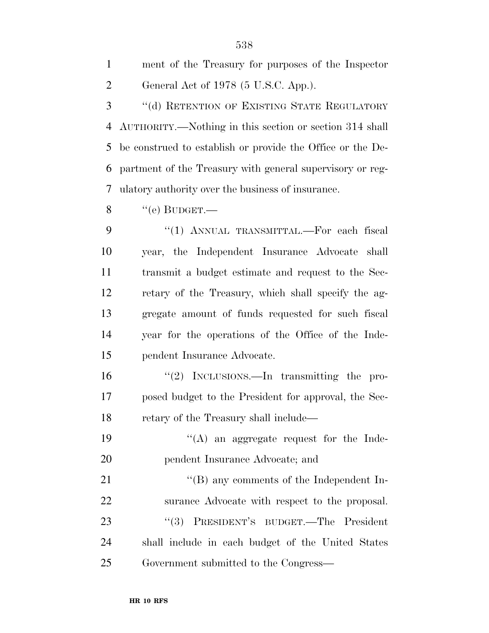ment of the Treasury for purposes of the Inspector General Act of 1978 (5 U.S.C. App.).

 ''(d) RETENTION OF EXISTING STATE REGULATORY AUTHORITY.—Nothing in this section or section 314 shall be construed to establish or provide the Office or the De- partment of the Treasury with general supervisory or reg-ulatory authority over the business of insurance.

 $\%$  ''(e) BUDGET.

9 "(1) ANNUAL TRANSMITTAL.—For each fiscal year, the Independent Insurance Advocate shall transmit a budget estimate and request to the Sec- retary of the Treasury, which shall specify the ag- gregate amount of funds requested for such fiscal year for the operations of the Office of the Inde-pendent Insurance Advocate.

 ''(2) INCLUSIONS.—In transmitting the pro- posed budget to the President for approval, the Sec-18 retary of the Treasury shall include—

19  $\langle (A)$  an aggregate request for the Inde-pendent Insurance Advocate; and

21 "'(B) any comments of the Independent In- surance Advocate with respect to the proposal. 23 "(3) PRESIDENT'S BUDGET.—The President shall include in each budget of the United States Government submitted to the Congress—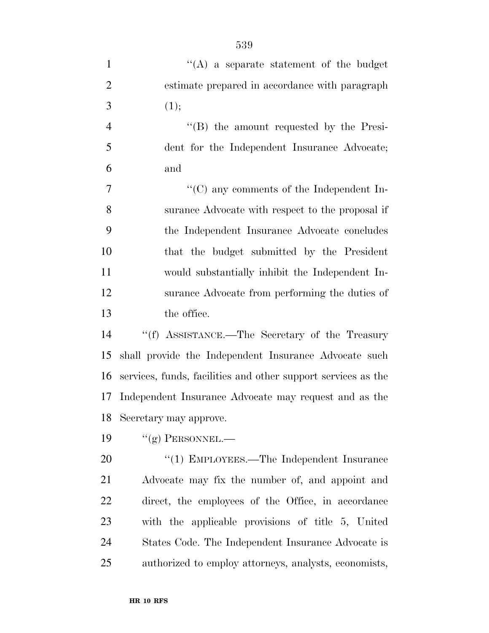| $\mathbf{1}$   | $\lq\lq$ a separate statement of the budget           |
|----------------|-------------------------------------------------------|
| $\mathfrak{2}$ | estimate prepared in accordance with paragraph        |
| 3              | (1);                                                  |
| $\overline{4}$ | $\cdot$ (B) the amount requested by the Presi-        |
| 5              | dent for the Independent Insurance Advocate;          |
| 6              | and                                                   |
| $\overline{7}$ | $\lq\lq$ (C) any comments of the Independent In-      |
| 8              | surance Advocate with respect to the proposal if      |
| 9              | the Independent Insurance Advocate concludes          |
| 10             | that the budget submitted by the President            |
| 11             | would substantially inhibit the Independent In-       |
| 12             | surance Advocate from performing the duties of        |
| 13             | the office.                                           |
| 14             | "(f) ASSISTANCE.—The Secretary of the Treasury        |
| 15             | shall provide the Independent Insurance Advocate such |

 services, funds, facilities and other support services as the Independent Insurance Advocate may request and as the Secretary may approve.

19  $"({\rm g})$  PERSONNEL.—

20 "(1) EMPLOYEES.—The Independent Insurance Advocate may fix the number of, and appoint and direct, the employees of the Office, in accordance with the applicable provisions of title 5, United States Code. The Independent Insurance Advocate is authorized to employ attorneys, analysts, economists,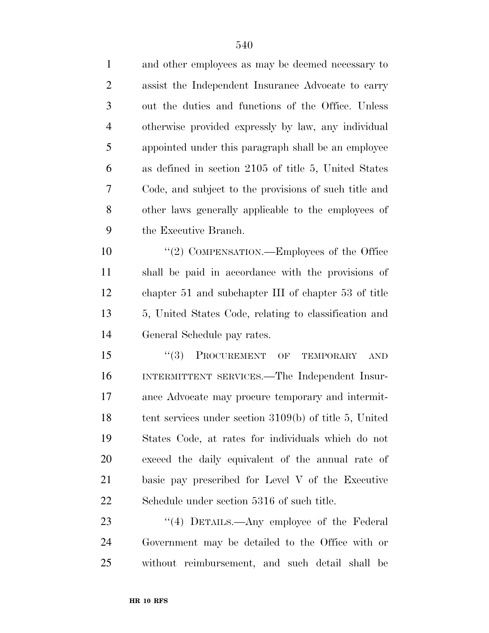| $\mathbf{1}$   | and other employees as may be deemed necessary to          |
|----------------|------------------------------------------------------------|
| $\overline{2}$ | assist the Independent Insurance Advocate to carry         |
| 3              | out the duties and functions of the Office. Unless         |
| $\overline{4}$ | otherwise provided expressly by law, any individual        |
| 5              | appointed under this paragraph shall be an employee        |
| 6              | as defined in section 2105 of title 5, United States       |
| 7              | Code, and subject to the provisions of such title and      |
| 8              | other laws generally applicable to the employees of        |
| 9              | the Executive Branch.                                      |
| 10             | "(2) COMPENSATION.—Employees of the Office                 |
| 11             | shall be paid in accordance with the provisions of         |
| 12             | chapter 51 and subchapter III of chapter 53 of title       |
| 13             | 5, United States Code, relating to classification and      |
| 14             | General Schedule pay rates.                                |
| 15             | (3)<br>PROCUREMENT OF<br>TEMPORARY<br>$\operatorname{AND}$ |
| 16             | INTERMITTENT SERVICES.—The Independent Insur-              |
| 17             | ance Advocate may procure temporary and intermit-          |
| 18             | tent services under section $3109(b)$ of title 5, United   |
| 19             | States Code, at rates for individuals which do not         |
| 20             | exceed the daily equivalent of the annual rate of          |
| 21             | basic pay prescribed for Level V of the Executive          |
| 22             | Schedule under section 5316 of such title.                 |
| 23             | $\cdot$ (4) DETAILS.—Any employee of the Federal           |
| 24             | Government may be detailed to the Office with or           |

without reimbursement, and such detail shall be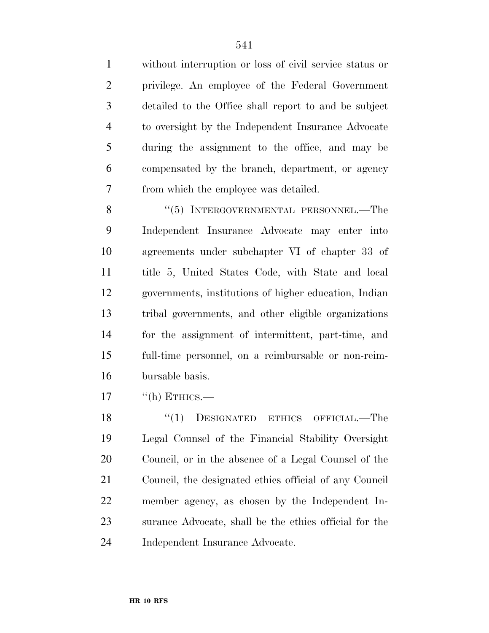without interruption or loss of civil service status or privilege. An employee of the Federal Government detailed to the Office shall report to and be subject to oversight by the Independent Insurance Advocate during the assignment to the office, and may be compensated by the branch, department, or agency from which the employee was detailed.

8 "(5) INTERGOVERNMENTAL PERSONNEL.—The Independent Insurance Advocate may enter into agreements under subchapter VI of chapter 33 of title 5, United States Code, with State and local governments, institutions of higher education, Indian tribal governments, and other eligible organizations for the assignment of intermittent, part-time, and full-time personnel, on a reimbursable or non-reim-bursable basis.

"(h) ETHICS.—

18 "(1) DESIGNATED ETHICS OFFICIAL.—The Legal Counsel of the Financial Stability Oversight Council, or in the absence of a Legal Counsel of the Council, the designated ethics official of any Council member agency, as chosen by the Independent In- surance Advocate, shall be the ethics official for the Independent Insurance Advocate.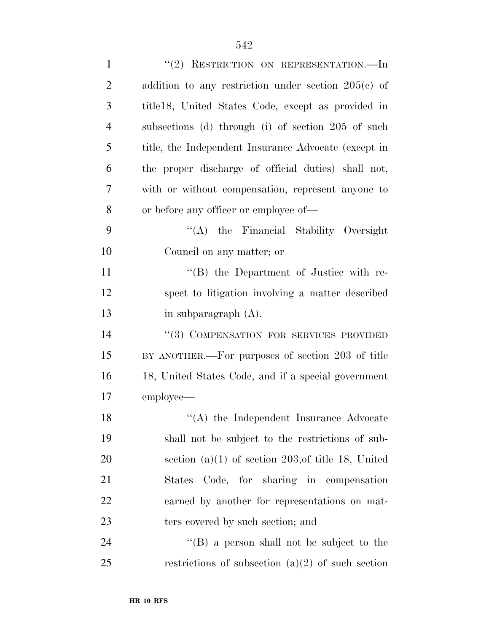| $\mathbf{1}$   | "(2) RESTRICTION ON REPRESENTATION.—In                |
|----------------|-------------------------------------------------------|
| $\overline{2}$ | addition to any restriction under section $205(c)$ of |
| 3              | title 18, United States Code, except as provided in   |
| $\overline{4}$ | subsections (d) through (i) of section 205 of such    |
| 5              | title, the Independent Insurance Advocate (except in  |
| 6              | the proper discharge of official duties) shall not,   |
| 7              | with or without compensation, represent anyone to     |
| 8              | or before any officer or employee of—                 |
| 9              | "(A) the Financial Stability Oversight                |
| 10             | Council on any matter; or                             |
| 11             | $\lq\lq (B)$ the Department of Justice with re-       |
| 12             | spect to litigation involving a matter described      |
| 13             | in subparagraph $(A)$ .                               |
| 14             | "(3) COMPENSATION FOR SERVICES PROVIDED               |
| 15             | BY ANOTHER.—For purposes of section 203 of title      |
| 16             | 18, United States Code, and if a special government   |
| 17             | employee—                                             |
| 18             | $\lq\lq$ (A) the Independent Insurance Advocate       |
| 19             | shall not be subject to the restrictions of sub-      |
| 20             | section $(a)(1)$ of section 203, of title 18, United  |
| 21             | States Code, for sharing in compensation              |
| 22             | earned by another for representations on mat-         |
| 23             | ters covered by such section; and                     |
| 24             | "(B) a person shall not be subject to the             |
| 25             | restrictions of subsection $(a)(2)$ of such section   |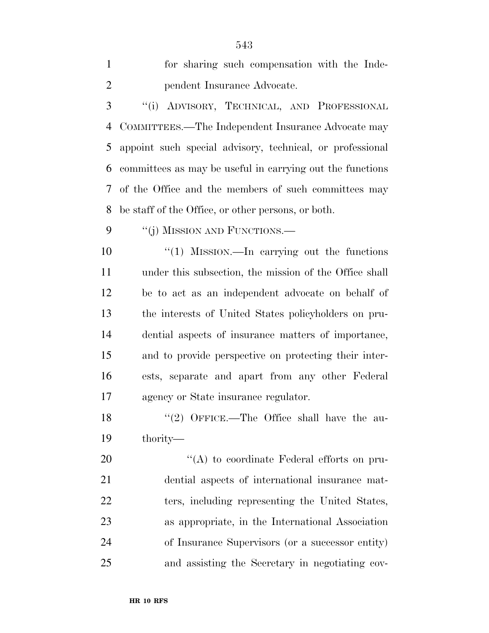for sharing such compensation with the Inde- pendent Insurance Advocate. ''(i) ADVISORY, TECHNICAL, AND PROFESSIONAL COMMITTEES.—The Independent Insurance Advocate may appoint such special advisory, technical, or professional committees as may be useful in carrying out the functions of the Office and the members of such committees may be staff of the Office, or other persons, or both. 9 "(j) MISSION AND FUNCTIONS.—  $\frac{1}{10}$  MISSION.—In carrying out the functions under this subsection, the mission of the Office shall be to act as an independent advocate on behalf of the interests of United States policyholders on pru- dential aspects of insurance matters of importance, and to provide perspective on protecting their inter- ests, separate and apart from any other Federal agency or State insurance regulator. 18 "(2) OFFICE.—The Office shall have the au- thority—  $\langle (A) \rangle$  to coordinate Federal efforts on pru- dential aspects of international insurance mat-22 ters, including representing the United States, as appropriate, in the International Association of Insurance Supervisors (or a successor entity) and assisting the Secretary in negotiating cov-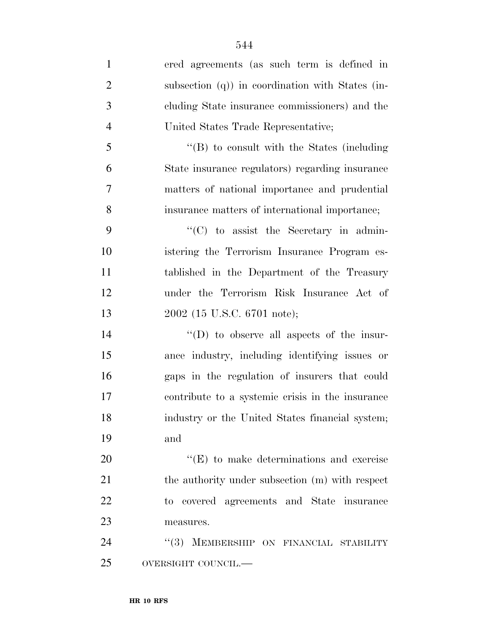ered agreements (as such term is defined in subsection (q)) in coordination with States (in- cluding State insurance commissioners) and the United States Trade Representative; ''(B) to consult with the States (including State insurance regulators) regarding insurance matters of national importance and prudential insurance matters of international importance; ''(C) to assist the Secretary in admin- istering the Terrorism Insurance Program es- tablished in the Department of the Treasury under the Terrorism Risk Insurance Act of 2002 (15 U.S.C. 6701 note);  $''(D)$  to observe all aspects of the insur- ance industry, including identifying issues or gaps in the regulation of insurers that could contribute to a systemic crisis in the insurance industry or the United States financial system; and  $((E)$  to make determinations and exercise 21 the authority under subsection (m) with respect to covered agreements and State insurance measures. 24 "(3) MEMBERSHIP ON FINANCIAL STABILITY OVERSIGHT COUNCIL.—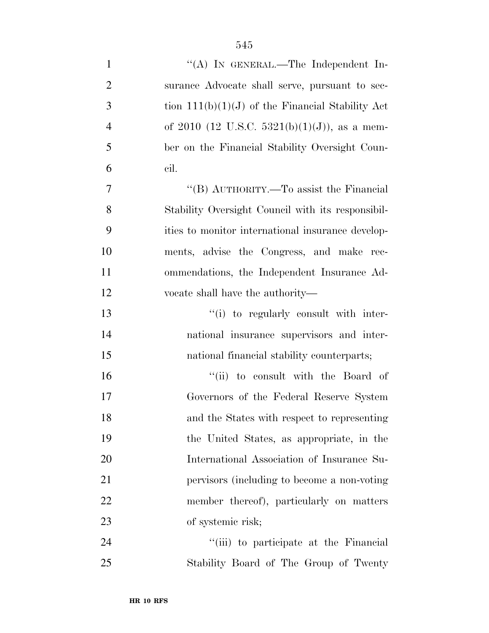| $\mathbf{1}$   | "(A) IN GENERAL.—The Independent In-               |
|----------------|----------------------------------------------------|
| $\overline{2}$ | surance Advocate shall serve, pursuant to sec-     |
| 3              | tion $111(b)(1)(J)$ of the Financial Stability Act |
| $\overline{4}$ | of 2010 (12 U.S.C. 5321(b)(1)(J)), as a mem-       |
| 5              | ber on the Financial Stability Oversight Coun-     |
| 6              | cil.                                               |
| 7              | "(B) AUTHORITY.—To assist the Financial            |
| 8              | Stability Oversight Council with its responsibil-  |
| 9              | ities to monitor international insurance develop-  |
| 10             | ments, advise the Congress, and make rec-          |
| 11             | ommendations, the Independent Insurance Ad-        |
| 12             | vocate shall have the authority—                   |
| 13             | "(i) to regularly consult with inter-              |
| 14             | national insurance supervisors and inter-          |
| 15             | national financial stability counterparts;         |
| 16             | "(ii) to consult with the Board of                 |
| 17             | Governors of the Federal Reserve System            |
| 18             | and the States with respect to representing        |
| 19             | the United States, as appropriate, in the          |
| 20             | International Association of Insurance Su-         |
| 21             | pervisors (including to become a non-voting)       |
| 22             | member thereof), particularly on matters           |
| 23             | of systemic risk;                                  |
| 24             | "(iii) to participate at the Financial             |
| 25             | Stability Board of The Group of Twenty             |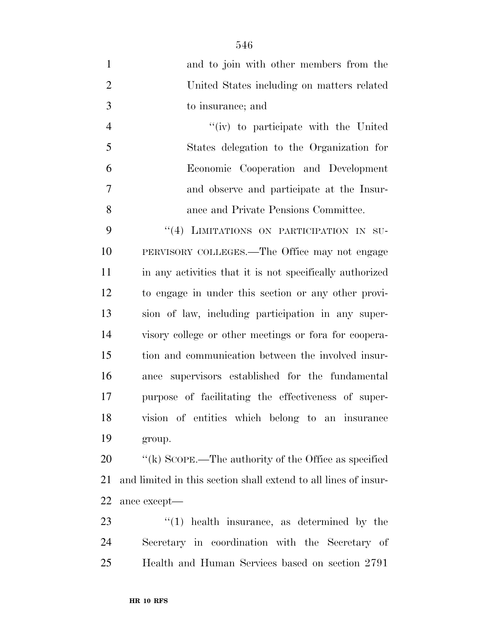| $\mathbf{1}$   | and to join with other members from the                         |
|----------------|-----------------------------------------------------------------|
| $\overline{2}$ | United States including on matters related                      |
| 3              | to insurance; and                                               |
| $\overline{4}$ | "(iv) to participate with the United                            |
| 5              | States delegation to the Organization for                       |
| 6              | Economic Cooperation and Development                            |
| 7              | and observe and participate at the Insur-                       |
| 8              | ance and Private Pensions Committee.                            |
| 9              | "(4) LIMITATIONS ON PARTICIPATION IN SU-                        |
| 10             | PERVISORY COLLEGES.—The Office may not engage                   |
| 11             | in any activities that it is not specifically authorized        |
| 12             | to engage in under this section or any other provi-             |
| 13             | sion of law, including participation in any super-              |
| 14             | visory college or other meetings or fora for coopera-           |
| 15             | tion and communication between the involved insur-              |
| 16             | ance supervisors established for the fundamental                |
| 17             | purpose of facilitating the effectiveness of super-             |
| 18             | vision of entities which belong to an insurance                 |
| 19             | group.                                                          |
| 20             | "(k) SCOPE.—The authority of the Office as specified            |
| 21             | and limited in this section shall extend to all lines of insur- |
| 22             | ance except—                                                    |
| 23             | $\lq(1)$ health insurance, as determined by the                 |

 Secretary in coordination with the Secretary of Health and Human Services based on section 2791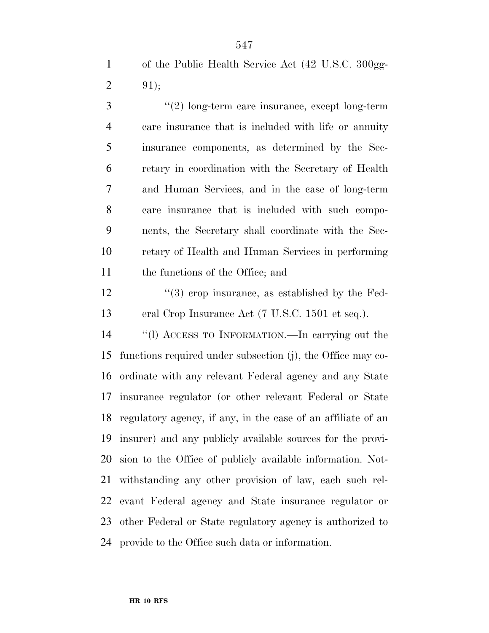of the Public Health Service Act (42 U.S.C. 300gg-2  $91);$ 

 ''(2) long-term care insurance, except long-term care insurance that is included with life or annuity insurance components, as determined by the Sec- retary in coordination with the Secretary of Health and Human Services, and in the case of long-term care insurance that is included with such compo- nents, the Secretary shall coordinate with the Sec- retary of Health and Human Services in performing 11 the functions of the Office; and

12 ''(3) crop insurance, as established by the Fed-eral Crop Insurance Act (7 U.S.C. 1501 et seq.).

 ''(l) ACCESS TO INFORMATION.—In carrying out the functions required under subsection (j), the Office may co- ordinate with any relevant Federal agency and any State insurance regulator (or other relevant Federal or State regulatory agency, if any, in the case of an affiliate of an insurer) and any publicly available sources for the provi- sion to the Office of publicly available information. Not- withstanding any other provision of law, each such rel- evant Federal agency and State insurance regulator or other Federal or State regulatory agency is authorized to provide to the Office such data or information.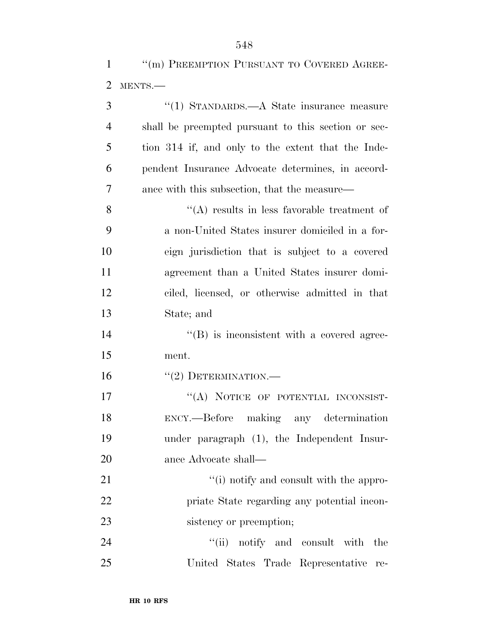|               | "(m) PREEMPTION PURSUANT TO COVERED AGREE-    |
|---------------|-----------------------------------------------|
|               | 2 MENTS.—                                     |
| $\mathcal{R}$ | $\lq(1)$ STANDARDS.—A State insurance measure |

|                | $(1)$ ormains $\mathbf{r}$ are seen as a modern $\mathbf{r}$ |
|----------------|--------------------------------------------------------------|
| $\overline{4}$ | shall be preempted pursuant to this section or sec-          |
| 5              | tion 314 if, and only to the extent that the Inde-           |
| 6              | pendent Insurance Advocate determines, in accord-            |
| 7              | ance with this subsection, that the measure—                 |
| 8              | $\lq\lq$ results in less favorable treatment of              |
| 9              | a non-United States insurer domiciled in a for-              |
| 10             | eign jurisdiction that is subject to a covered               |
| 11             | agreement than a United States insurer domi-                 |
| 12             | ciled, licensed, or otherwise admitted in that               |
| 13             | State; and                                                   |
| 14             | $\lq\lq (B)$ is inconsistent with a covered agree-           |
| 15             | ment.                                                        |
| 16             | $``(2)$ DETERMINATION.—                                      |
| 17             | "(A) NOTICE OF POTENTIAL INCONSIST-                          |
| 18             | ENCY.—Before making any determination                        |
| 19             | under paragraph (1), the Independent Insur-                  |
| 20             | ance Advocate shall—                                         |
| 21             | "(i) notify and consult with the appro-                      |
| 22             | priate State regarding any potential incon-                  |
| 23             | sistency or preemption;                                      |
| 24             | "(ii) notify and consult with the                            |
| 25             | United States Trade Representative<br>re-                    |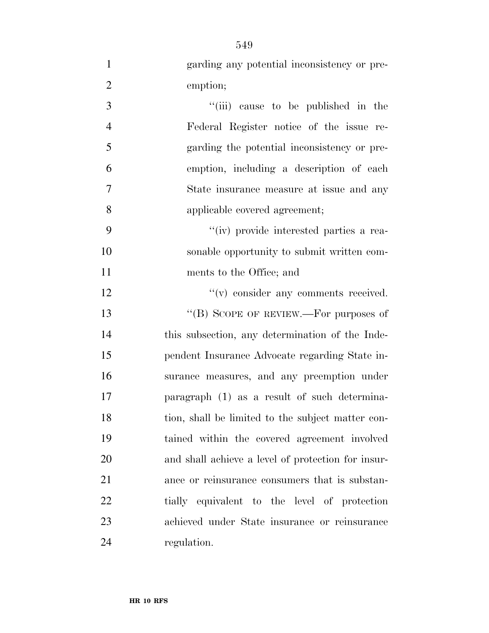| $\mathbf{1}$   | garding any potential inconsistency or pre-        |
|----------------|----------------------------------------------------|
| $\overline{2}$ | emption;                                           |
| 3              | "(iii) cause to be published in the                |
| $\overline{4}$ | Federal Register notice of the issue re-           |
| 5              | garding the potential inconsistency or pre-        |
| 6              | emption, including a description of each           |
| 7              | State insurance measure at issue and any           |
| 8              | applicable covered agreement;                      |
| 9              | "(iv) provide interested parties a rea-            |
| 10             | sonable opportunity to submit written com-         |
| 11             | ments to the Office; and                           |
| 12             | $\lq\lq$ consider any comments received.           |
| 13             | "(B) SCOPE OF REVIEW.—For purposes of              |
| 14             | this subsection, any determination of the Inde-    |
| 15             | pendent Insurance Advocate regarding State in-     |
| 16             | surance measures, and any preemption under         |
| 17             | paragraph $(1)$ as a result of such determina-     |
| 18             | tion, shall be limited to the subject matter con-  |
| 19             | tained within the covered agreement involved       |
| 20             | and shall achieve a level of protection for insur- |
| 21             | ance or reinsurance consumers that is substan-     |
| 22             | tially equivalent to the level of protection       |
| 23             | achieved under State insurance or reinsurance      |
| 24             | regulation.                                        |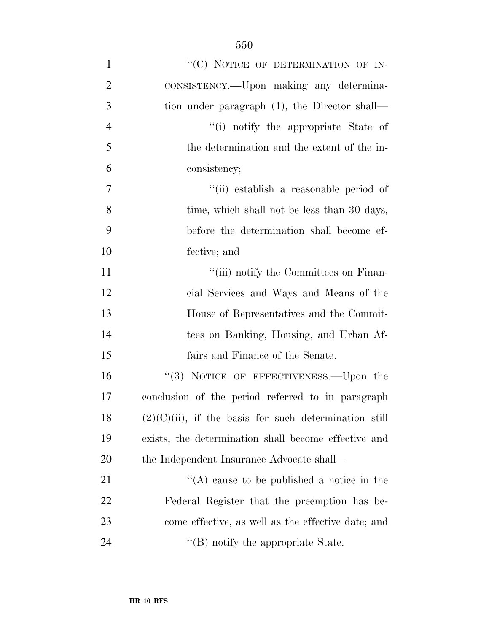| $\mathbf{1}$   | "(C) NOTICE OF DETERMINATION OF IN-                      |
|----------------|----------------------------------------------------------|
| $\overline{2}$ | CONSISTENCY.—Upon making any determina-                  |
| 3              | tion under paragraph (1), the Director shall—            |
| $\overline{4}$ | "(i) notify the appropriate State of                     |
| 5              | the determination and the extent of the in-              |
| 6              | consistency;                                             |
| $\overline{7}$ | "(ii) establish a reasonable period of                   |
| 8              | time, which shall not be less than 30 days,              |
| 9              | before the determination shall become ef-                |
| 10             | fective; and                                             |
| 11             | "(iii) notify the Committees on Finan-                   |
| 12             | cial Services and Ways and Means of the                  |
| 13             | House of Representatives and the Commit-                 |
| 14             | tees on Banking, Housing, and Urban Af-                  |
| 15             | fairs and Finance of the Senate.                         |
| 16             | "(3) NOTICE OF EFFECTIVENESS.—Upon the                   |
| 17             | conclusion of the period referred to in paragraph        |
| 18             | $(2)(C)(ii)$ , if the basis for such determination still |
| 19             | exists, the determination shall become effective and     |
| 20             | the Independent Insurance Advocate shall—                |
| 21             | $\lq\lq$ cause to be published a notice in the           |
| 22             | Federal Register that the preemption has be-             |
| 23             | come effective, as well as the effective date; and       |
| 24             | $\cdot$ (B) notify the appropriate State.                |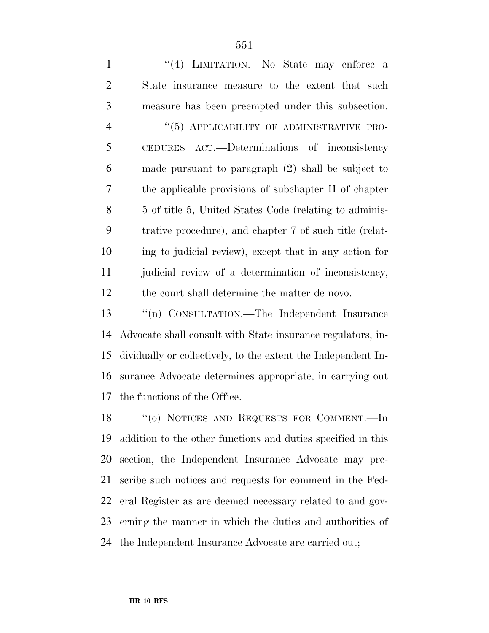''(4) LIMITATION.—No State may enforce a State insurance measure to the extent that such measure has been preempted under this subsection. 4 "(5) APPLICABILITY OF ADMINISTRATIVE PRO- CEDURES ACT.—Determinations of inconsistency made pursuant to paragraph (2) shall be subject to the applicable provisions of subchapter II of chapter 5 of title 5, United States Code (relating to adminis- trative procedure), and chapter 7 of such title (relat- ing to judicial review), except that in any action for judicial review of a determination of inconsistency, the court shall determine the matter de novo.

 ''(n) CONSULTATION.—The Independent Insurance Advocate shall consult with State insurance regulators, in- dividually or collectively, to the extent the Independent In- surance Advocate determines appropriate, in carrying out the functions of the Office.

18 "(0) NOTICES AND REQUESTS FOR COMMENT.—In addition to the other functions and duties specified in this section, the Independent Insurance Advocate may pre- scribe such notices and requests for comment in the Fed- eral Register as are deemed necessary related to and gov- erning the manner in which the duties and authorities of the Independent Insurance Advocate are carried out;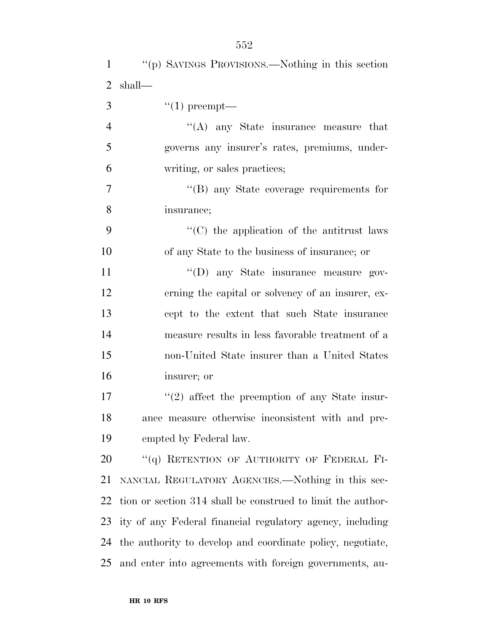|                |        | "(p) SAVINGS PROVISIONS.—Nothing in this section  |
|----------------|--------|---------------------------------------------------|
| 2              | shall— |                                                   |
| 3              |        | $\lq(1)$ preempt—                                 |
| $\overline{4}$ |        | $\lq\lq$ any State insurance measure that         |
| 5              |        | governs any insurer's rates, premiums, under-     |
| 6              |        | writing, or sales practices;                      |
| 7              |        | "(B) any State coverage requirements for          |
| 8              |        | insurance;                                        |
| 9              |        | $\cdot$ (C) the application of the antitrust laws |
| 10             |        | of any State to the business of insurance; or     |
|                |        |                                                   |

 $''(D)$  any State insurance measure gov- erning the capital or solvency of an insurer, ex- cept to the extent that such State insurance measure results in less favorable treatment of a non-United State insurer than a United States insurer; or

17 ''(2) affect the preemption of any State insur- ance measure otherwise inconsistent with and pre-empted by Federal law.

20 "(q) RETENTION OF AUTHORITY OF FEDERAL FI- NANCIAL REGULATORY AGENCIES.—Nothing in this sec- tion or section 314 shall be construed to limit the author- ity of any Federal financial regulatory agency, including the authority to develop and coordinate policy, negotiate, and enter into agreements with foreign governments, au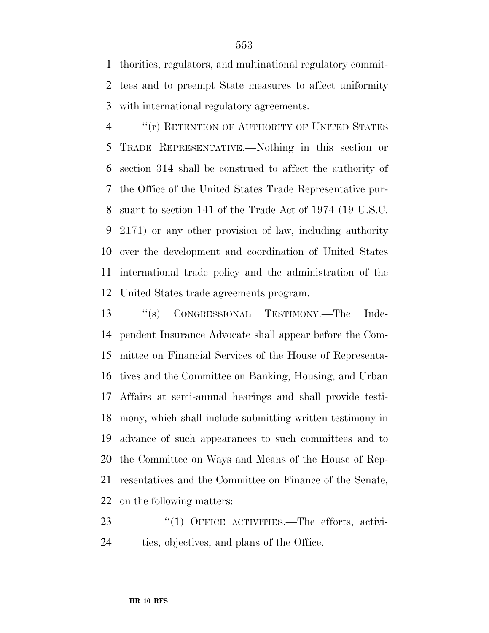thorities, regulators, and multinational regulatory commit- tees and to preempt State measures to affect uniformity with international regulatory agreements.

 ''(r) RETENTION OF AUTHORITY OF UNITED STATES TRADE REPRESENTATIVE.—Nothing in this section or section 314 shall be construed to affect the authority of the Office of the United States Trade Representative pur- suant to section 141 of the Trade Act of 1974 (19 U.S.C. 2171) or any other provision of law, including authority over the development and coordination of United States international trade policy and the administration of the United States trade agreements program.

 ''(s) CONGRESSIONAL TESTIMONY.—The Inde- pendent Insurance Advocate shall appear before the Com- mittee on Financial Services of the House of Representa- tives and the Committee on Banking, Housing, and Urban Affairs at semi-annual hearings and shall provide testi- mony, which shall include submitting written testimony in advance of such appearances to such committees and to the Committee on Ways and Means of the House of Rep- resentatives and the Committee on Finance of the Senate, on the following matters:

23 "(1) OFFICE ACTIVITIES.—The efforts, activi-ties, objectives, and plans of the Office.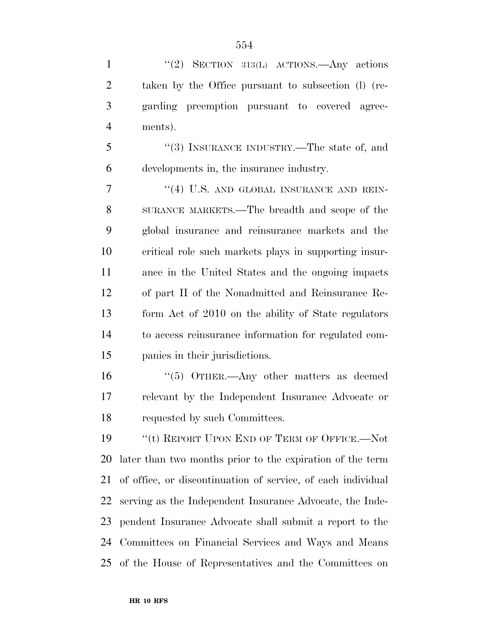| $\mathbf{1}$   | "(2) SECTION 313(L) ACTIONS.—Any actions                     |
|----------------|--------------------------------------------------------------|
| $\overline{2}$ | taken by the Office pursuant to subsection (1) (re-          |
| 3              | garding preemption pursuant to covered agree-                |
| $\overline{4}$ | ments).                                                      |
| 5              | $(3)$ INSURANCE INDUSTRY.—The state of, and                  |
| 6              | developments in, the insurance industry.                     |
| $\tau$         | "(4) U.S. AND GLOBAL INSURANCE AND REIN-                     |
| 8              | SURANCE MARKETS.—The breadth and scope of the                |
| 9              | global insurance and reinsurance markets and the             |
| 10             | critical role such markets plays in supporting insur-        |
| 11             | ance in the United States and the ongoing impacts            |
| 12             | of part II of the Nonadmitted and Reinsurance Re-            |
| 13             | form Act of 2010 on the ability of State regulators          |
| 14             | to access reinsurance information for regulated com-         |
| 15             | panies in their jurisdictions.                               |
| 16             | "(5) OTHER.—Any other matters as deemed                      |
| 17             | relevant by the Independent Insurance Advocate or            |
| 18             | requested by such Committees.                                |
| 19             | "(t) REPORT UPON END OF TERM OF OFFICE.—Not                  |
| 20             | later than two months prior to the expiration of the term    |
| 21             | of office, or discontinuation of service, of each individual |
| 22             | serving as the Independent Insurance Advocate, the Inde-     |
| 23             | pendent Insurance Advocate shall submit a report to the      |
| 24             | Committees on Financial Services and Ways and Means          |
| 25             | of the House of Representatives and the Committees on        |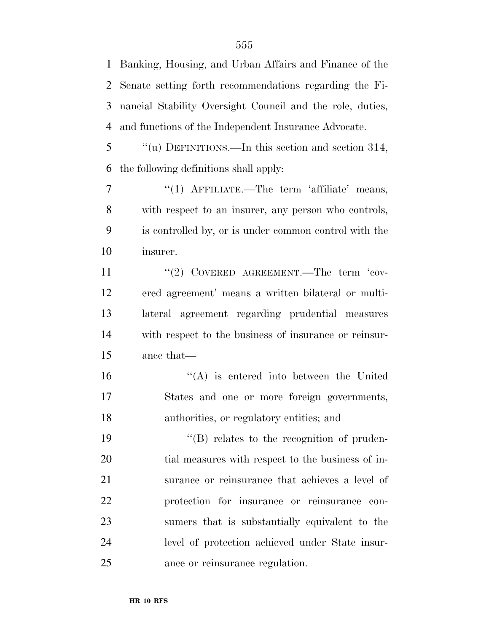Banking, Housing, and Urban Affairs and Finance of the Senate setting forth recommendations regarding the Fi- nancial Stability Oversight Council and the role, duties, and functions of the Independent Insurance Advocate.

 ''(u) DEFINITIONS.—In this section and section 314, the following definitions shall apply:

7 ''(1) AFFILIATE.—The term 'affiliate' means, with respect to an insurer, any person who controls, is controlled by, or is under common control with the insurer.

11 ''(2) COVERED AGREEMENT.—The term 'cov- ered agreement' means a written bilateral or multi- lateral agreement regarding prudential measures with respect to the business of insurance or reinsur-ance that—

 ''(A) is entered into between the United States and one or more foreign governments, authorities, or regulatory entities; and

 $\langle \text{B} \rangle$  relates to the recognition of pruden-20 tial measures with respect to the business of in- surance or reinsurance that achieves a level of protection for insurance or reinsurance con- sumers that is substantially equivalent to the level of protection achieved under State insur-ance or reinsurance regulation.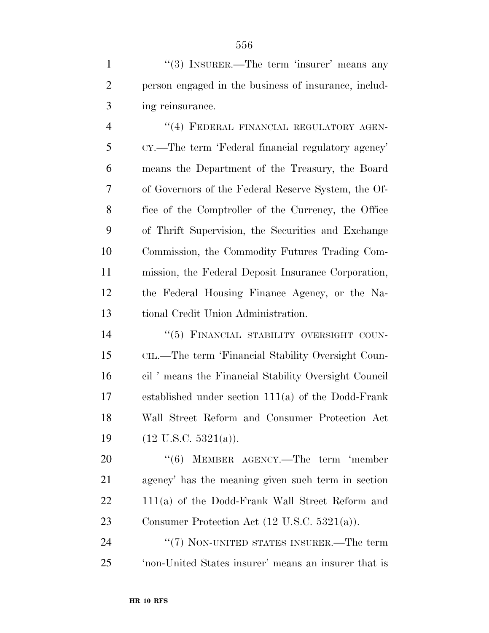1 ''(3) INSURER.—The term 'insurer' means any person engaged in the business of insurance, includ-ing reinsurance.

4 "(4) FEDERAL FINANCIAL REGULATORY AGEN- CY.—The term 'Federal financial regulatory agency' means the Department of the Treasury, the Board of Governors of the Federal Reserve System, the Of- fice of the Comptroller of the Currency, the Office of Thrift Supervision, the Securities and Exchange Commission, the Commodity Futures Trading Com- mission, the Federal Deposit Insurance Corporation, the Federal Housing Finance Agency, or the Na-tional Credit Union Administration.

14 "(5) FINANCIAL STABILITY OVERSIGHT COUN- CIL.—The term 'Financial Stability Oversight Coun- cil ' means the Financial Stability Oversight Council established under section 111(a) of the Dodd-Frank Wall Street Reform and Consumer Protection Act  $(12 \text{ U.S.C. } 5321(a))$ .

20 ''(6) MEMBER AGENCY.—The term 'member agency' has the meaning given such term in section 111(a) of the Dodd-Frank Wall Street Reform and Consumer Protection Act (12 U.S.C. 5321(a)).

24 "(7) NON-UNITED STATES INSURER.—The term 'non-United States insurer' means an insurer that is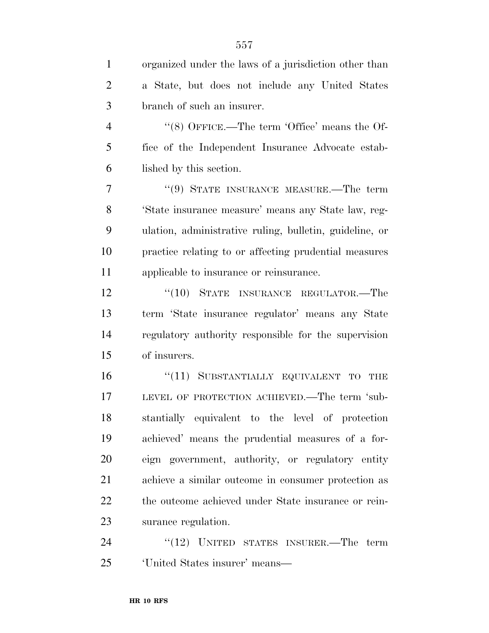organized under the laws of a jurisdiction other than a State, but does not include any United States branch of such an insurer. 4 "(8) OFFICE.—The term 'Office' means the Of- fice of the Independent Insurance Advocate estab- lished by this section. ''(9) STATE INSURANCE MEASURE.—The term 'State insurance measure' means any State law, reg- ulation, administrative ruling, bulletin, guideline, or practice relating to or affecting prudential measures applicable to insurance or reinsurance. 12 "(10) STATE INSURANCE REGULATOR.—The term 'State insurance regulator' means any State regulatory authority responsible for the supervision of insurers. 16 "(11) SUBSTANTIALLY EQUIVALENT TO THE LEVEL OF PROTECTION ACHIEVED.—The term 'sub- stantially equivalent to the level of protection achieved' means the prudential measures of a for- eign government, authority, or regulatory entity achieve a similar outcome in consumer protection as the outcome achieved under State insurance or rein- surance regulation. 24 "(12) UNITED STATES INSURER.—The term

'United States insurer' means—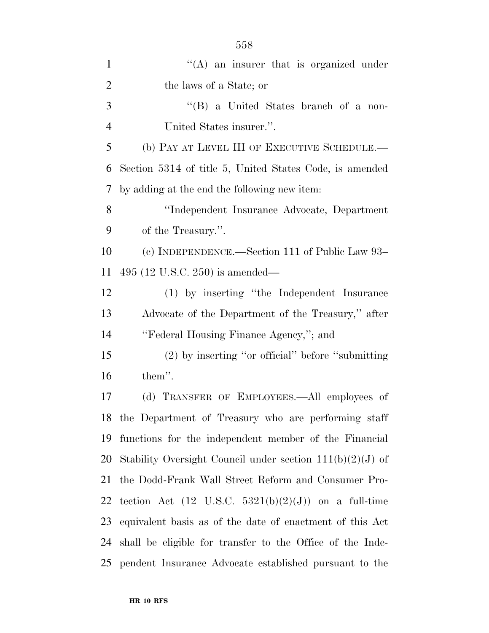| $\mathbf{1}$   | $\lq\lq$ an insurer that is organized under                     |
|----------------|-----------------------------------------------------------------|
| $\overline{2}$ | the laws of a State; or                                         |
| 3              | "(B) a United States branch of a non-                           |
| $\overline{4}$ | United States insurer.".                                        |
| 5              | (b) PAY AT LEVEL III OF EXECUTIVE SCHEDULE.—                    |
| 6              | Section 5314 of title 5, United States Code, is amended         |
| 7              | by adding at the end the following new item:                    |
| 8              | "Independent Insurance Advocate, Department                     |
| 9              | of the Treasury.".                                              |
| 10             | (c) INDEPENDENCE.—Section 111 of Public Law 93-                 |
| 11             | 495 (12 U.S.C. 250) is amended—                                 |
| 12             | (1) by inserting "the Independent Insurance                     |
| 13             | Advocate of the Department of the Treasury," after              |
| 14             | "Federal Housing Finance Agency,"; and                          |
| 15             | (2) by inserting "or official" before "submitting               |
| 16             | them".                                                          |
| 17             | (d) TRANSFER OF EMPLOYEES.—All employees of                     |
|                | 18 the Department of Treasury who are performing staff          |
| 19             | functions for the independent member of the Financial           |
| 20             | Stability Oversight Council under section $111(b)(2)(J)$ of     |
| 21             | the Dodd-Frank Wall Street Reform and Consumer Pro-             |
| 22             | tection Act $(12 \text{ U.S.C. } 5321(b)(2)(J))$ on a full-time |
| 23             | equivalent basis as of the date of enactment of this Act        |
| 24             | shall be eligible for transfer to the Office of the Inde-       |
|                | 25 pendent Insurance Advocate established pursuant to the       |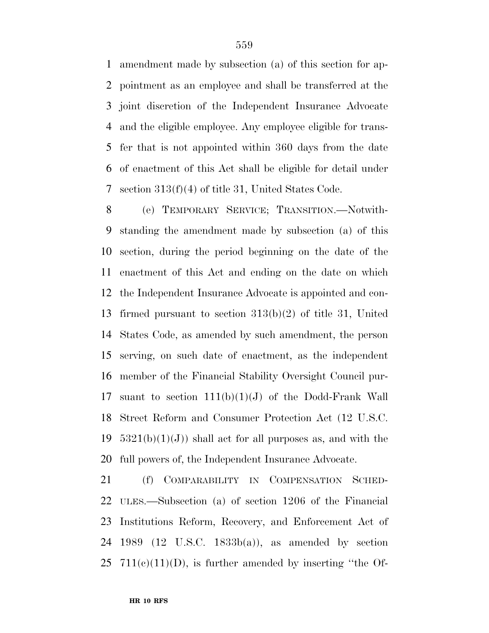amendment made by subsection (a) of this section for ap- pointment as an employee and shall be transferred at the joint discretion of the Independent Insurance Advocate and the eligible employee. Any employee eligible for trans- fer that is not appointed within 360 days from the date of enactment of this Act shall be eligible for detail under section 313(f)(4) of title 31, United States Code.

 (e) TEMPORARY SERVICE; TRANSITION.—Notwith- standing the amendment made by subsection (a) of this section, during the period beginning on the date of the enactment of this Act and ending on the date on which the Independent Insurance Advocate is appointed and con- firmed pursuant to section 313(b)(2) of title 31, United States Code, as amended by such amendment, the person serving, on such date of enactment, as the independent member of the Financial Stability Oversight Council pur-17 suant to section  $111(b)(1)(J)$  of the Dodd-Frank Wall Street Reform and Consumer Protection Act (12 U.S.C.  $5321(b)(1)(J)$  shall act for all purposes as, and with the full powers of, the Independent Insurance Advocate.

 (f) COMPARABILITY IN COMPENSATION SCHED- ULES.—Subsection (a) of section 1206 of the Financial Institutions Reform, Recovery, and Enforcement Act of 1989 (12 U.S.C. 1833b(a)), as amended by section  $25 \text{ } 711(e)(11)(D)$ , is further amended by inserting "the Of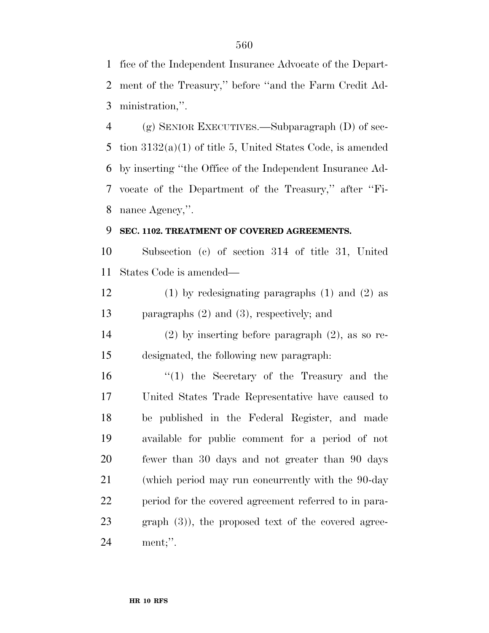fice of the Independent Insurance Advocate of the Depart- ment of the Treasury,'' before ''and the Farm Credit Ad-ministration,''.

 (g) SENIOR EXECUTIVES.—Subparagraph (D) of sec- tion 3132(a)(1) of title 5, United States Code, is amended by inserting ''the Office of the Independent Insurance Ad- vocate of the Department of the Treasury,'' after ''Fi-nance Agency,''.

## **SEC. 1102. TREATMENT OF COVERED AGREEMENTS.**

 Subsection (c) of section 314 of title 31, United States Code is amended—

 (1) by redesignating paragraphs (1) and (2) as paragraphs (2) and (3), respectively; and

 (2) by inserting before paragraph (2), as so re-designated, the following new paragraph:

16 ''(1) the Secretary of the Treasury and the United States Trade Representative have caused to be published in the Federal Register, and made available for public comment for a period of not fewer than 30 days and not greater than 90 days (which period may run concurrently with the 90-day period for the covered agreement referred to in para- graph (3)), the proposed text of the covered agree-ment;''.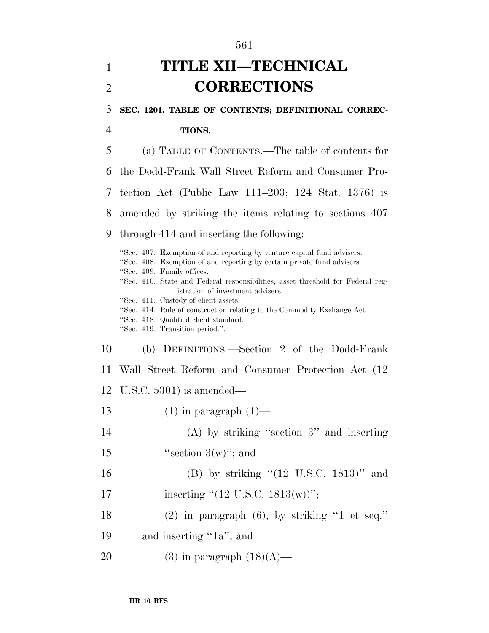# 1 **TITLE XII—TECHNICAL**  2 **CORRECTIONS**

561

#### 3 **SEC. 1201. TABLE OF CONTENTS; DEFINITIONAL CORREC-**

4 **TIONS.** 

5 (a) TABLE OF CONTENTS.—The table of contents for 6 the Dodd-Frank Wall Street Reform and Consumer Pro-7 tection Act (Public Law 111–203; 124 Stat. 1376) is 8 amended by striking the items relating to sections 407 9 through 414 and inserting the following: ''Sec. 407. Exemption of and reporting by venture capital fund advisers. ''Sec. 408. Exemption of and reporting by certain private fund advisers. ''Sec. 409. Family offices. ''Sec. 410. State and Federal responsibilities; asset threshold for Federal registration of investment advisers. ''Sec. 411. Custody of client assets. ''Sec. 414. Rule of construction relating to the Commodity Exchange Act. ''Sec. 418. Qualified client standard. ''Sec. 419. Transition period.''. 10 (b) DEFINITIONS.—Section 2 of the Dodd-Frank 11 Wall Street Reform and Consumer Protection Act (12 12 U.S.C. 5301) is amended— 13 (1) in paragraph  $(1)$ — 14 (A) by striking ''section 3'' and inserting 15  $"section 3(w)"$ ; and 16 (B) by striking ''(12 U.S.C. 1813)'' and 17 inserting  $(12 \text{ U.S.C. } 1813(\text{w}))$ ''; 18 (2) in paragraph (6), by striking ''1 et seq.'' 19 and inserting "1a"; and 20 (3) in paragraph  $(18)(A)$ —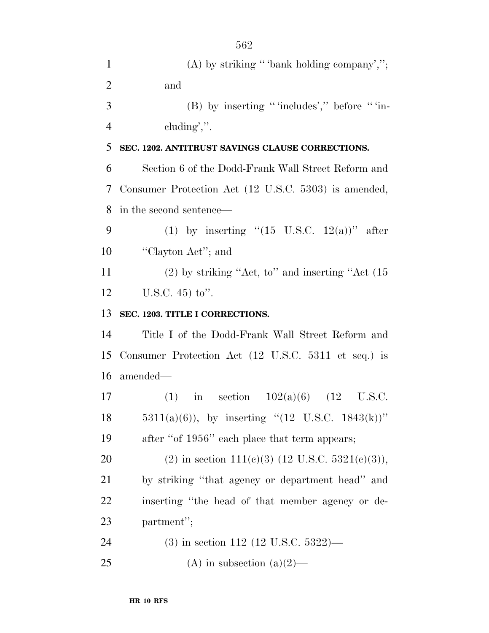| $\mathbf{1}$   | $(A)$ by striking "bank holding company',";                  |
|----------------|--------------------------------------------------------------|
| $\overline{2}$ | and                                                          |
| 3              | (B) by inserting "includes'," before " $\text{in}$ -         |
| $\overline{4}$ | $\alpha$ cluding',".                                         |
| 5              | SEC. 1202. ANTITRUST SAVINGS CLAUSE CORRECTIONS.             |
| 6              | Section 6 of the Dodd-Frank Wall Street Reform and           |
| 7              | Consumer Protection Act (12 U.S.C. 5303) is amended,         |
| 8              | in the second sentence—                                      |
| 9              | (1) by inserting " $(15 \text{ U.S.C. } 12(a))$ " after      |
| 10             | "Clayton Act"; and                                           |
| 11             | $(2)$ by striking "Act, to" and inserting "Act $(15)$        |
| 12             | U.S.C. $45$ ) to".                                           |
| 13             | SEC. 1203. TITLE I CORRECTIONS.                              |
| 14             | Title I of the Dodd-Frank Wall Street Reform and             |
| 15             | Consumer Protection Act (12 U.S.C. 5311 et seq.) is          |
| 16             | amended—                                                     |
| 17             | in section $102(a)(6)$ $(12 \text{ U.S.C.})$<br>(1)          |
| 18             | 5311(a)(6)), by inserting " $(12 \text{ U.S.C. } 1843(k))$ " |
| 19             | after "of 1956" each place that term appears;                |
| 20             | (2) in section 111(c)(3) (12 U.S.C. 5321(c)(3)),             |
| 21             | by striking "that agency or department head" and             |
| 22             | inserting "the head of that member agency or de-             |
| 23             | partment";                                                   |
| 24             | $(3)$ in section 112 (12 U.S.C. 5322)—                       |
| 25             | (A) in subsection (a) $(2)$ —                                |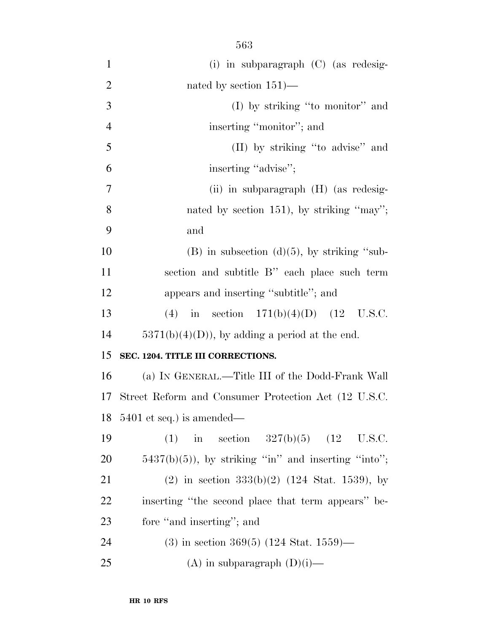| $\mathbf{1}$   | (i) in subparagraph $(C)$ (as redesig-                |
|----------------|-------------------------------------------------------|
| $\overline{2}$ | nated by section $151$ )—                             |
| 3              | (I) by striking "to monitor" and                      |
| $\overline{4}$ | inserting "monitor"; and                              |
| 5              | (II) by striking "to advise" and                      |
| 6              | inserting "advise";                                   |
| 7              | $(ii)$ in subparagraph $(H)$ (as redesig-             |
| 8              | nated by section $151$ , by striking "may";           |
| 9              | and                                                   |
| 10             | $(B)$ in subsection $(d)(5)$ , by striking "sub-      |
| 11             | section and subtitle B" each place such term          |
| 12             | appears and inserting "subtitle"; and                 |
| 13             | (4) in section $171(b)(4)(D)$ (12 U.S.C.              |
| 14             | $5371(b)(4)(D)$ , by adding a period at the end.      |
| 15             | SEC. 1204. TITLE III CORRECTIONS.                     |
| 16             | (a) IN GENERAL.—Title III of the Dodd-Frank Wall      |
| 17             | Street Reform and Consumer Protection Act (12 U.S.C.  |
| 18             | $5401$ et seq.) is amended—                           |
| 19             | in section $327(b)(5)$ $(12 \text{ U.S.C.})$<br>(1)   |
| 20             | $5437(b)(5)$ , by striking "in" and inserting "into"; |
| 21             | $(2)$ in section 333(b)(2) (124 Stat. 1539), by       |
| 22             | inserting "the second place that term appears" be-    |
| 23             | fore "and inserting"; and                             |
| 24             | $(3)$ in section 369(5) (124 Stat. 1559)—             |
| 25             | (A) in subparagraph $(D)(i)$ —                        |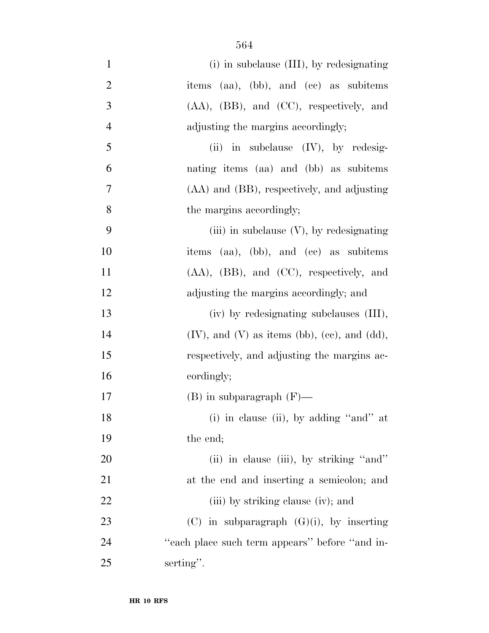| $\mathbf{1}$   | (i) in subclause (III), by redesignating          |
|----------------|---------------------------------------------------|
| $\overline{2}$ | items (aa), (bb), and (cc) as subitems            |
| 3              | (AA), (BB), and (CC), respectively, and           |
| $\overline{4}$ | adjusting the margins accordingly;                |
| 5              | (ii) in subclause $(IV)$ , by redesig-            |
| 6              | nating items (aa) and (bb) as subitems            |
| 7              | (AA) and (BB), respectively, and adjusting        |
| 8              | the margins accordingly;                          |
| 9              | (iii) in subclause $(V)$ , by redesignating       |
| 10             | items (aa), (bb), and (cc) as subitems            |
| 11             | $(AA), (BB), and (CC), respectively, and$         |
| 12             | adjusting the margins accordingly; and            |
| 13             | (iv) by redesignating subclauses (III),           |
| 14             | $(IV)$ , and $(V)$ as items (bb), (ce), and (dd), |
| 15             | respectively, and adjusting the margins ac-       |
| 16             | cordingly;                                        |
| 17             | $(B)$ in subparagraph $(F)$ —                     |
| 18             | (i) in clause (ii), by adding "and" at            |
| 19             | the end;                                          |
| 20             | (ii) in clause (iii), by striking "and"           |
| 21             | at the end and inserting a semicolon; and         |
| 22             | (iii) by striking clause (iv); and                |
| 23             | $(C)$ in subparagraph $(G)(i)$ , by inserting     |
| 24             | "each place such term appears" before "and in-    |
| 25             | serting".                                         |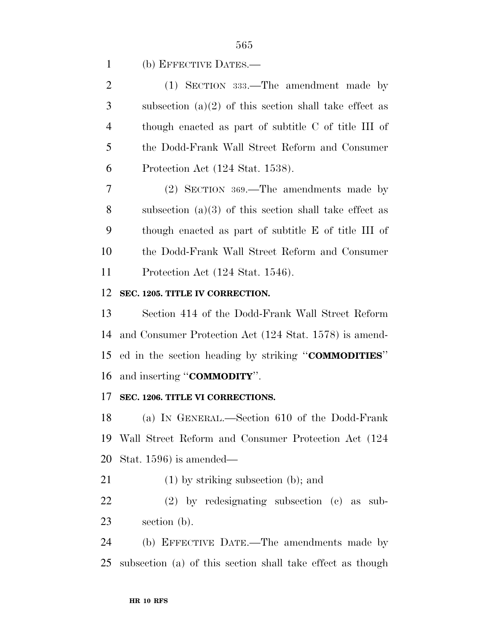(b) EFFECTIVE DATES.—

| $\overline{2}$ | $(1)$ SECTION 333.—The amendment made by                 |
|----------------|----------------------------------------------------------|
| 3              | subsection $(a)(2)$ of this section shall take effect as |
| $\overline{4}$ | though enacted as part of subtitle C of title III of     |
| 5              | the Dodd-Frank Wall Street Reform and Consumer           |
| 6              | Protection Act (124 Stat. 1538).                         |
| $\overline{7}$ | $(2)$ SECTION 369.—The amendments made by                |
| 8              | subsection (a)(3) of this section shall take effect as   |
| 9              | though enacted as part of subtitle E of title III of     |
| 10             | the Dodd-Frank Wall Street Reform and Consumer           |
| 11             | Protection Act (124 Stat. 1546).                         |
| 12             | SEC. 1205. TITLE IV CORRECTION.                          |

 Section 414 of the Dodd-Frank Wall Street Reform and Consumer Protection Act (124 Stat. 1578) is amend- ed in the section heading by striking ''**COMMODITIES**'' and inserting ''**COMMODITY**''.

# **SEC. 1206. TITLE VI CORRECTIONS.**

 (a) IN GENERAL.—Section 610 of the Dodd-Frank Wall Street Reform and Consumer Protection Act (124 Stat. 1596) is amended—

(1) by striking subsection (b); and

 (2) by redesignating subsection (c) as sub-section (b).

 (b) EFFECTIVE DATE.—The amendments made by subsection (a) of this section shall take effect as though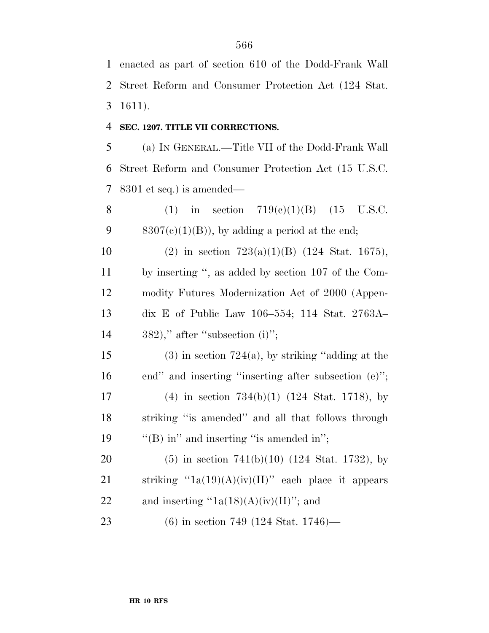enacted as part of section 610 of the Dodd-Frank Wall Street Reform and Consumer Protection Act (124 Stat. 1611).

### **SEC. 1207. TITLE VII CORRECTIONS.**

 (a) IN GENERAL.—Title VII of the Dodd-Frank Wall Street Reform and Consumer Protection Act (15 U.S.C. 8301 et seq.) is amended—

8 (1) in section  $719(e)(1)(B)$  (15 U.S.C. 9 8307(c)(1)(B)), by adding a period at the end;

10 (2) in section  $723(a)(1)(B)$  (124 Stat. 1675), by inserting '', as added by section 107 of the Com- modity Futures Modernization Act of 2000 (Appen- dix E of Public Law 106–554; 114 Stat. 2763A– ," after "subsection (i)";

15 (3) in section 724(a), by striking "adding at the end'' and inserting ''inserting after subsection (e)''; (4) in section 734(b)(1) (124 Stat. 1718), by striking ''is amended'' and all that follows through 19 "'(B) in" and inserting "is amended in";

 (5) in section 741(b)(10) (124 Stat. 1732), by 21 striking " $1a(19)(A)(iv)(II)$ " each place it appears 22 and inserting  $\lq \text{1a}(18)(\text{A})(\text{iv})(\text{II})\rq$ ; and

(6) in section 749 (124 Stat. 1746)—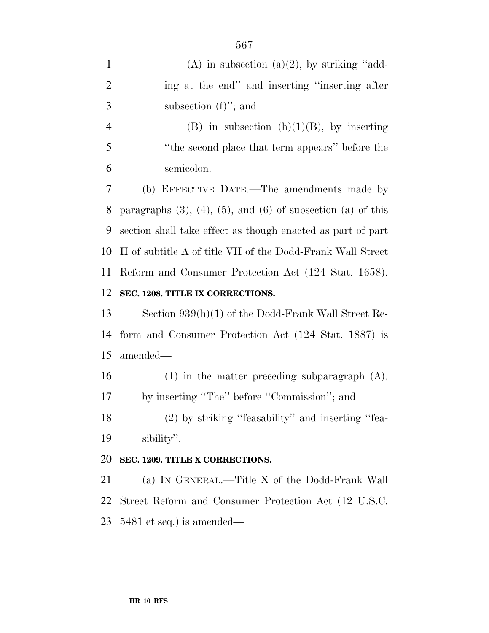| $\mathbf{1}$   | (A) in subsection (a)(2), by striking "add-                              |
|----------------|--------------------------------------------------------------------------|
| $\overline{2}$ | ing at the end" and inserting "inserting after                           |
| 3              | subsection $(f)$ "; and                                                  |
| $\overline{4}$ | (B) in subsection $(h)(1)(B)$ , by inserting                             |
| 5              | "the second place that term appears" before the                          |
| 6              | semicolon.                                                               |
| 7              | (b) EFFECTIVE DATE.—The amendments made by                               |
| 8              | paragraphs $(3)$ , $(4)$ , $(5)$ , and $(6)$ of subsection $(a)$ of this |
| 9              | section shall take effect as though enacted as part of part              |
| 10             | II of subtitle A of title VII of the Dodd-Frank Wall Street              |
| 11             | Reform and Consumer Protection Act (124 Stat. 1658).                     |
| 12             | SEC. 1208. TITLE IX CORRECTIONS.                                         |
| 13             | Section $939(h)(1)$ of the Dodd-Frank Wall Street Re-                    |
| 14             | form and Consumer Protection Act (124 Stat. 1887) is                     |
| 15             | amended—                                                                 |
| 16             | $(1)$ in the matter preceding subparagraph $(A)$ ,                       |
| 17             | by inserting "The" before "Commission"; and                              |
| 18             | (2) by striking "feasability" and inserting "fea-                        |
| 19             | sibility".                                                               |
| 20             | SEC. 1209. TITLE X CORRECTIONS.                                          |
| 21             | (a) IN GENERAL.—Title X of the Dodd-Frank Wall                           |
| 22             | Street Reform and Consumer Protection Act (12 U.S.C.                     |
| 23             | $5481$ et seq.) is amended—                                              |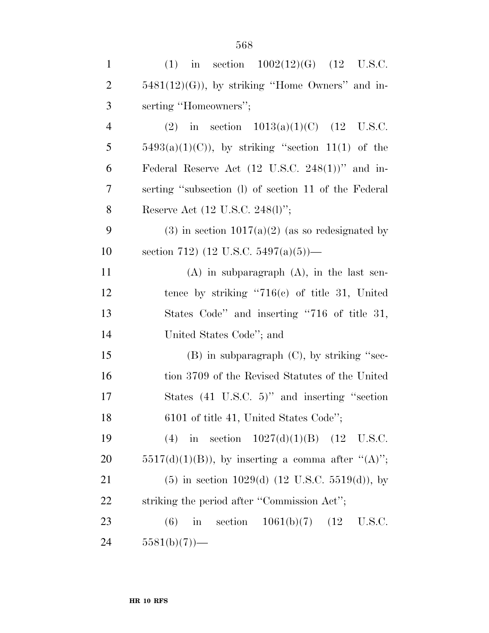| $\mathbf{1}$   | (1) in section $1002(12)(G)$ (12 U.S.C.                     |
|----------------|-------------------------------------------------------------|
| $\overline{2}$ | $5481(12)(G)$ , by striking "Home Owners" and in-           |
| 3              | serting "Homeowners";                                       |
| $\overline{4}$ | (2) in section $1013(a)(1)(C)$ (12 U.S.C.                   |
| 5              | $5493(a)(1)(C)$ , by striking "section 11(1) of the         |
| 6              | Federal Reserve Act $(12 \text{ U.S.C. } 248(1))$ " and in- |
| $\overline{7}$ | serting "subsection (1) of section 11 of the Federal        |
| 8              | Reserve Act (12 U.S.C. 248(l)";                             |
| 9              | $(3)$ in section 1017(a)(2) (as so redesignated by          |
| 10             | section 712) (12 U.S.C. 5497(a)(5))—                        |
| 11             | $(A)$ in subparagraph $(A)$ , in the last sen-              |
| 12             | tence by striking "716(c) of title 31, United               |
| 13             | States Code" and inserting "716 of title 31,                |
| 14             | United States Code"; and                                    |
| 15             | $(B)$ in subparagraph $(C)$ , by striking "sec-             |
| 16             | tion 3709 of the Revised Statutes of the United             |
| 17             | States $(41 \t{U.S.C.} 5)$ " and inserting "section         |
| 18             | 6101 of title 41, United States Code";                      |
| 19             | (4) in section $1027(d)(1)(B)$ (12 U.S.C.                   |
| 20             | $5517(d)(1)(B)$ , by inserting a comma after " $(A)$ ";     |
| 21             | $(5)$ in section 1029(d) (12 U.S.C. 5519(d)), by            |
| 22             | striking the period after "Commission Act";                 |
| 23             | in section $1061(b)(7)$ (12<br>(6)<br>U.S.C.                |
| 24             | $5581(b)(7)$ —                                              |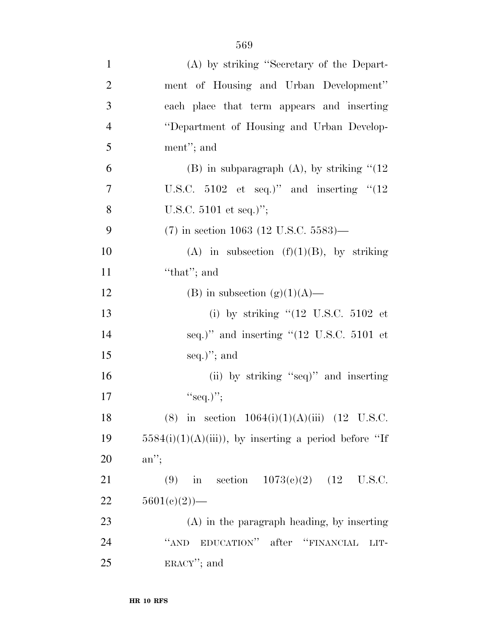| $\mathbf{1}$   | (A) by striking "Secretary of the Depart-                     |
|----------------|---------------------------------------------------------------|
| $\overline{2}$ | ment of Housing and Urban Development"                        |
| 3              | each place that term appears and inserting                    |
| $\overline{4}$ | "Department of Housing and Urban Develop-                     |
| 5              | ment"; and                                                    |
| 6              | (B) in subparagraph $(A)$ , by striking " $(12)$              |
| 7              | U.S.C. $5102$ et seq.)" and inserting "(12)                   |
| 8              | U.S.C. $5101$ et seq.)";                                      |
| 9              | $(7)$ in section 1063 (12 U.S.C. 5583)—                       |
| 10             | (A) in subsection (f)(1)(B), by striking                      |
| 11             | "that"; and                                                   |
| 12             | (B) in subsection (g)(1)(A)—                                  |
| 13             | (i) by striking " $(12 \text{ U.S.C. } 5102 \text{ et }$      |
| 14             | seq.)" and inserting " $(12 \text{ U.S.C. } 5101 \text{ et }$ |
| 15             | seq.)"; and                                                   |
| 16             | (ii) by striking "seq)" and inserting                         |
| 17             | "seq.)";                                                      |
| 18             | (8) in section $1064(i)(1)(A)(iii)$ (12 U.S.C.                |
| 19             | $5584(i)(1)(A(iii))$ , by inserting a period before "If       |
| 20             | $an$ ";                                                       |
| 21             | (9) in section $1073(e)(2)$ (12 U.S.C.                        |
| 22             | $5601(c)(2)$ —                                                |
| 23             | $(A)$ in the paragraph heading, by inserting                  |
| 24             | EDUCATION" after "FINANCIAL<br>``AND"<br>LIT-                 |
| 25             | $ERACY''$ ; and                                               |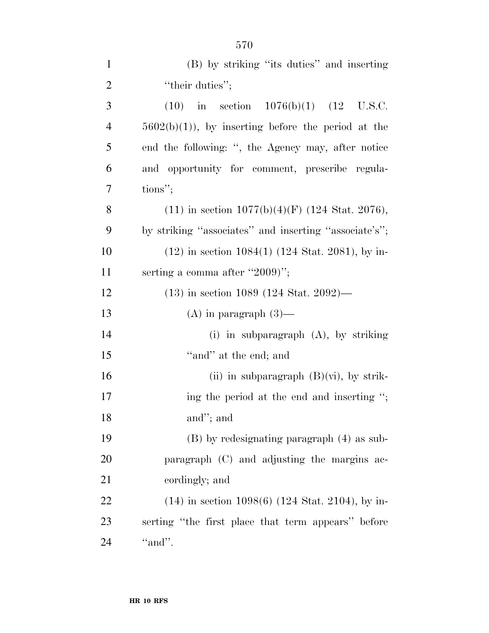| $\mathbf{1}$   | (B) by striking "its duties" and inserting            |
|----------------|-------------------------------------------------------|
| $\overline{2}$ | "their duties";                                       |
| 3              | $(10)$ in section $1076(b)(1)$ $(12 \text{ U.S.C.})$  |
| $\overline{4}$ | $5602(b)(1)$ , by inserting before the period at the  |
| 5              | end the following: ", the Agency may, after notice    |
| 6              | and opportunity for comment, prescribe regula-        |
| $\overline{7}$ | tions";                                               |
| 8              | $(11)$ in section $1077(b)(4)(F)$ (124 Stat. 2076),   |
| 9              | by striking "associates" and inserting "associate's"; |
| 10             | $(12)$ in section 1084(1) (124 Stat. 2081), by in-    |
| 11             | serting a comma after "2009)";                        |
| 12             | $(13)$ in section 1089 (124 Stat. 2092)—              |
| 13             | $(A)$ in paragraph $(3)$ —                            |
| 14             | (i) in subparagraph $(A)$ , by striking               |
| 15             | "and" at the end; and                                 |
| 16             | (ii) in subparagraph $(B)(vi)$ , by strik-            |
| 17             | ing the period at the end and inserting ";            |
| 18             | and"; and                                             |
| 19             | $(B)$ by redesignating paragraph $(4)$ as sub-        |
| 20             | paragraph (C) and adjusting the margins ac-           |
| 21             | cordingly; and                                        |
| 22             | $(14)$ in section 1098(6) (124 Stat. 2104), by in-    |
| 23             | serting "the first place that term appears" before    |
| 24             | "and".                                                |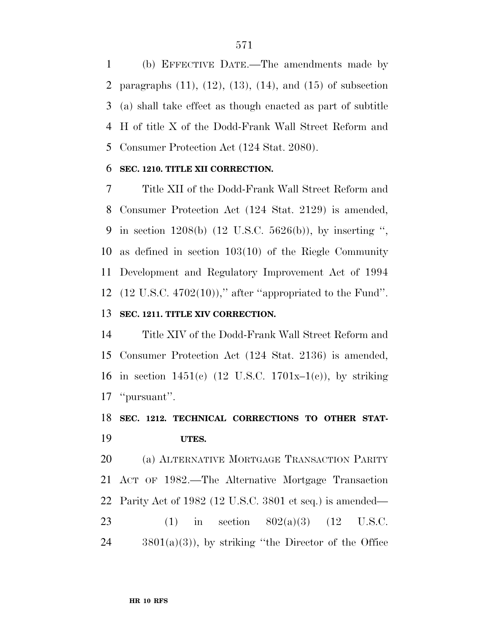(b) EFFECTIVE DATE.—The amendments made by paragraphs (11), (12), (13), (14), and (15) of subsection (a) shall take effect as though enacted as part of subtitle H of title X of the Dodd-Frank Wall Street Reform and Consumer Protection Act (124 Stat. 2080).

### **SEC. 1210. TITLE XII CORRECTION.**

 Title XII of the Dodd-Frank Wall Street Reform and Consumer Protection Act (124 Stat. 2129) is amended, in section 1208(b) (12 U.S.C. 5626(b)), by inserting '', as defined in section 103(10) of the Riegle Community Development and Regulatory Improvement Act of 1994 (12 U.S.C. 4702(10)),'' after ''appropriated to the Fund''. **SEC. 1211. TITLE XIV CORRECTION.** 

 Title XIV of the Dodd-Frank Wall Street Reform and Consumer Protection Act (124 Stat. 2136) is amended, 16 in section 1451(c)  $(12 \text{ U.S.C. } 1701x-1(c))$ , by striking ''pursuant''.

# **SEC. 1212. TECHNICAL CORRECTIONS TO OTHER STAT-UTES.**

 (a) ALTERNATIVE MORTGAGE TRANSACTION PARITY ACT OF 1982.—The Alternative Mortgage Transaction Parity Act of 1982 (12 U.S.C. 3801 et seq.) is amended— 23 (1) in section  $802(a)(3)$  (12 U.S.C.  $24 \qquad \qquad 3801(a)(3)$ , by striking "the Director of the Office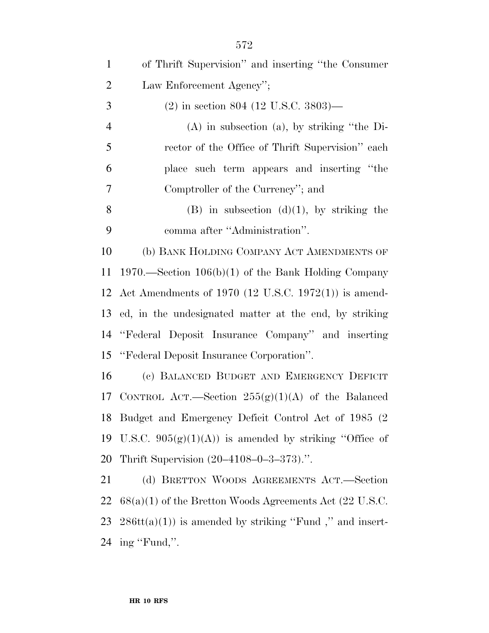| $\mathbf{1}$   | of Thrift Supervision" and inserting "the Consumer        |
|----------------|-----------------------------------------------------------|
| $\overline{2}$ | Law Enforcement Agency";                                  |
| 3              | $(2)$ in section 804 (12 U.S.C. 3803)—                    |
| $\overline{4}$ | $(A)$ in subsection $(a)$ , by striking "the Di-          |
| 5              | rector of the Office of Thrift Supervision" each          |
| 6              | place such term appears and inserting "the                |
| $\overline{7}$ | Comptroller of the Currency"; and                         |
| 8              | $(B)$ in subsection $(d)(1)$ , by striking the            |
| 9              | comma after "Administration".                             |
| 10             | (b) BANK HOLDING COMPANY ACT AMENDMENTS OF                |
| 11             | $1970$ . Section $106(b)(1)$ of the Bank Holding Company  |
|                | 12 Act Amendments of 1970 (12 U.S.C. 1972(1)) is amend-   |
| 13             | ed, in the undesignated matter at the end, by striking    |
| 14             | "Federal Deposit Insurance Company" and inserting         |
| 15             | "Federal Deposit Insurance Corporation".                  |
| 16             | (c) BALANCED BUDGET AND EMERGENCY DEFICIT                 |
| 17             | CONTROL ACT.—Section $255(g)(1)(A)$ of the Balanced       |
| 18             | Budget and Emergency Deficit Control Act of 1985 (2)      |
| 19             | U.S.C. $905(g)(1)(A)$ is amended by striking "Office of   |
| 20             | Thrift Supervision $(20-4108-0-3-373)$ .".                |
| 21             | (d) BRETTON WOODS AGREEMENTS ACT.—Section                 |
| 22             | $68(a)(1)$ of the Bretton Woods Agreements Act (22 U.S.C. |
| 23             | $286tt(a)(1)$ is amended by striking "Fund", and insert-  |
| 24             | ing "Fund,".                                              |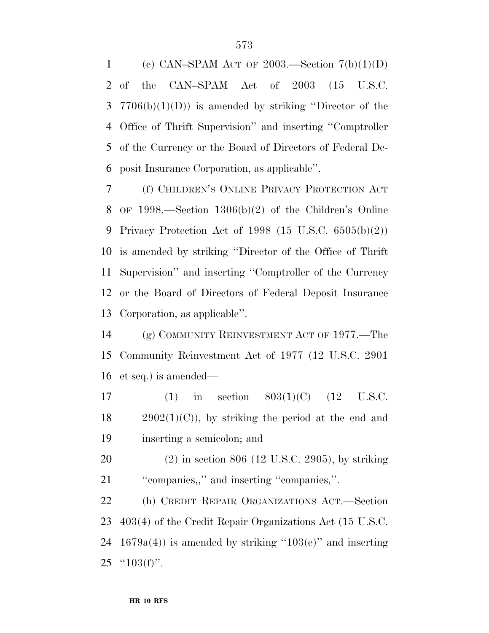1 (e) CAN–SPAM ACT OF 2003.—Section  $7(b)(1)(D)$  of the CAN–SPAM Act of 2003 (15 U.S.C. 3 7706(b)(1)(D)) is amended by striking "Director of the Office of Thrift Supervision'' and inserting ''Comptroller of the Currency or the Board of Directors of Federal De-posit Insurance Corporation, as applicable''.

 (f) CHILDREN'S ONLINE PRIVACY PROTECTION ACT OF 1998.—Section 1306(b)(2) of the Children's Online Privacy Protection Act of 1998 (15 U.S.C. 6505(b)(2)) is amended by striking ''Director of the Office of Thrift Supervision'' and inserting ''Comptroller of the Currency or the Board of Directors of Federal Deposit Insurance Corporation, as applicable''.

 (g) COMMUNITY REINVESTMENT ACT OF 1977.—The Community Reinvestment Act of 1977 (12 U.S.C. 2901 et seq.) is amended—

17 (1) in section  $803(1)(C)$  (12 U.S.C.  $18 \qquad 2902(1)(C)$ , by striking the period at the end and inserting a semicolon; and

 (2) in section 806 (12 U.S.C. 2905), by striking ''companies,,'' and inserting ''companies,''.

 (h) CREDIT REPAIR ORGANIZATIONS ACT.—Section 403(4) of the Credit Repair Organizations Act (15 U.S.C. 24 1679a(4)) is amended by striking "103(e)" and inserting " $103(f)$ ".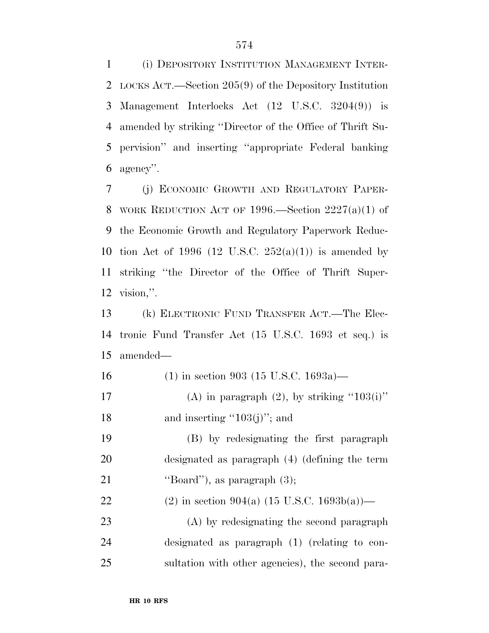(i) DEPOSITORY INSTITUTION MANAGEMENT INTER- LOCKS ACT.—Section 205(9) of the Depository Institution Management Interlocks Act (12 U.S.C. 3204(9)) is amended by striking ''Director of the Office of Thrift Su- pervision'' and inserting ''appropriate Federal banking agency''.

 (j) ECONOMIC GROWTH AND REGULATORY PAPER-8 WORK REDUCTION ACT OF 1996.—Section  $2227(a)(1)$  of the Economic Growth and Regulatory Paperwork Reduc-10 tion Act of 1996 (12 U.S.C.  $252(a)(1)$ ) is amended by striking ''the Director of the Office of Thrift Super-vision,''.

 (k) ELECTRONIC FUND TRANSFER ACT.—The Elec- tronic Fund Transfer Act (15 U.S.C. 1693 et seq.) is amended—

- (1) in section 903 (15 U.S.C. 1693a)— 17 (A) in paragraph  $(2)$ , by striking "103(i)" 18 and inserting " $103(j)$ "; and (B) by redesignating the first paragraph designated as paragraph (4) (defining the term
- 21 ''Board''), as paragraph (3);
- 22 (2) in section  $904(a)$  (15 U.S.C. 1693b(a))—

 (A) by redesignating the second paragraph designated as paragraph (1) (relating to con-sultation with other agencies), the second para-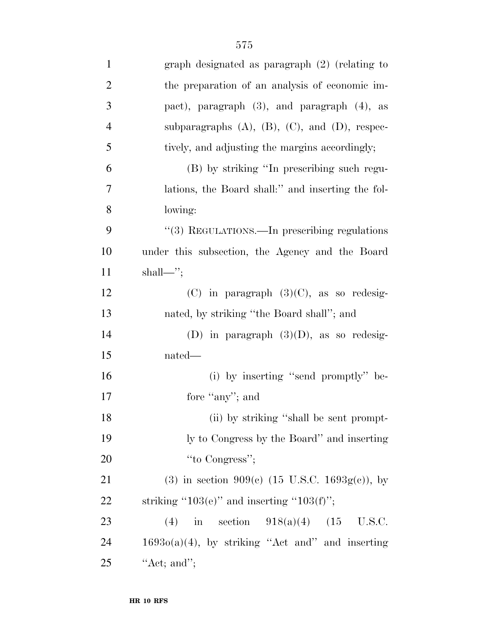| $\mathbf{1}$   | graph designated as paragraph $(2)$ (relating to          |
|----------------|-----------------------------------------------------------|
| $\overline{2}$ | the preparation of an analysis of economic im-            |
| 3              | pact), paragraph (3), and paragraph (4), as               |
| $\overline{4}$ | subparagraphs $(A)$ , $(B)$ , $(C)$ , and $(D)$ , respec- |
| 5              | tively, and adjusting the margins accordingly;            |
| 6              | (B) by striking "In prescribing such regu-                |
| 7              | lations, the Board shall:" and inserting the fol-         |
| 8              | lowing:                                                   |
| 9              | "(3) REGULATIONS.—In prescribing regulations              |
| 10             | under this subsection, the Agency and the Board           |
| 11             | shall—";                                                  |
| 12             | $(C)$ in paragraph $(3)(C)$ , as so redesig-              |
| 13             | nated, by striking "the Board shall"; and                 |
| 14             | (D) in paragraph $(3)(D)$ , as so redesig-                |
| 15             | nated—                                                    |
| 16             | (i) by inserting "send promptly" be-                      |
| 17             | fore "any"; and                                           |
| 18             | (ii) by striking "shall be sent prompt-                   |
| 19             | ly to Congress by the Board" and inserting                |
| 20             | "to Congress";                                            |
| 21             | (3) in section 909(c) (15 U.S.C. 1693g(c)), by            |
| 22             | striking "103(e)" and inserting "103(f)";                 |
| 23             | in section $918(a)(4)$ (15<br>(4)<br>U.S.C.               |
| 24             | $1693o(a)(4)$ , by striking "Act and" and inserting       |
| 25             | "Act; and";                                               |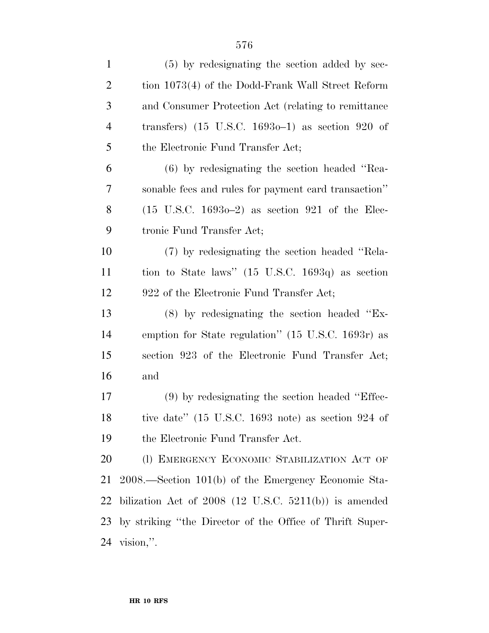| $\mathbf{1}$   | (5) by redesignating the section added by sec-              |
|----------------|-------------------------------------------------------------|
| $\overline{2}$ | tion 1073(4) of the Dodd-Frank Wall Street Reform           |
| 3              | and Consumer Protection Act (relating to remittance         |
| $\overline{4}$ | transfers) $(15 \text{ U.S.C. } 16930-1)$ as section 920 of |
| 5              | the Electronic Fund Transfer Act;                           |
| 6              | $(6)$ by redesignating the section headed "Rea-             |
| 7              | sonable fees and rules for payment card transaction"        |
| 8              | $(15 \text{ U.S.C. } 16930-2)$ as section 921 of the Elec-  |
| 9              | tronic Fund Transfer Act;                                   |
| 10             | (7) by redesignating the section headed "Rela-              |
| 11             | tion to State laws" $(15 \text{ U.S.C. } 1693q)$ as section |
| 12             | 922 of the Electronic Fund Transfer Act;                    |
| 13             | $(8)$ by redesignating the section headed "Ex-              |
| 14             | emption for State regulation" (15 U.S.C. 1693r) as          |
| 15             | section 923 of the Electronic Fund Transfer Act;            |
| 16             | and                                                         |
| 17             | $(9)$ by redesignating the section headed "Effec-           |
| 18             | tive date" (15 U.S.C. 1693 note) as section 924 of          |
| 19             | the Electronic Fund Transfer Act.                           |
| 20             | (1) EMERGENCY ECONOMIC STABILIZATION ACT OF                 |
| 21             | 2008.—Section 101(b) of the Emergency Economic Sta-         |
| 22             | bilization Act of $2008$ (12 U.S.C. 5211(b)) is amended     |
| 23             | by striking "the Director of the Office of Thrift Super-    |
| 24             | $vision,$ ".                                                |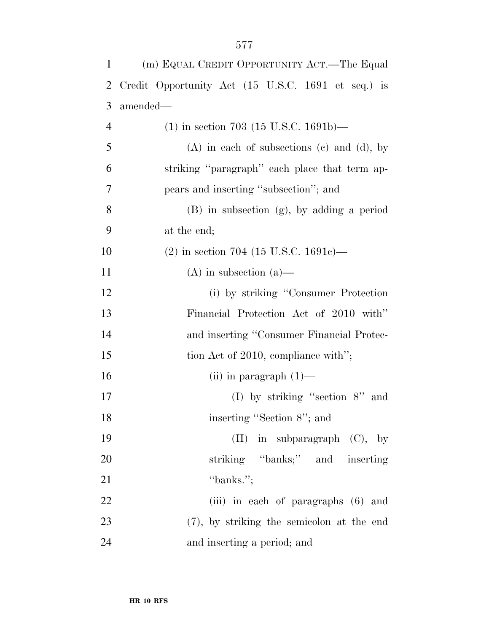| 1              | (m) EQUAL CREDIT OPPORTUNITY ACT.—The Equal        |
|----------------|----------------------------------------------------|
| 2              | Credit Opportunity Act (15 U.S.C. 1691 et seq.) is |
| 3              | amended—                                           |
| $\overline{4}$ | $(1)$ in section 703 (15 U.S.C. 1691b)—            |
| 5              | $(A)$ in each of subsections (c) and (d), by       |
| 6              | striking "paragraph" each place that term ap-      |
| $\tau$         | pears and inserting "subsection"; and              |
| 8              | $(B)$ in subsection $(g)$ , by adding a period     |
| 9              | at the end;                                        |
| 10             | $(2)$ in section 704 (15 U.S.C. 1691c)—            |
| 11             | $(A)$ in subsection $(a)$ —                        |
| 12             | (i) by striking "Consumer Protection               |
| 13             | Financial Protection Act of 2010 with"             |
| 14             | and inserting "Consumer Financial Protec-          |
| 15             | tion Act of 2010, compliance with";                |
| 16             | (ii) in paragraph $(1)$ —                          |
| 17             | (I) by striking "section $8$ " and                 |
| 18             | inserting "Section 8"; and                         |
| 19             | $(II)$ in subparagraph $(C)$ , by                  |
| 20             | striking "banks;" and inserting                    |
| 21             | "banks.";                                          |
| 22             | (iii) in each of paragraphs (6) and                |
| 23             | (7), by striking the semicolon at the end          |
| 24             | and inserting a period; and                        |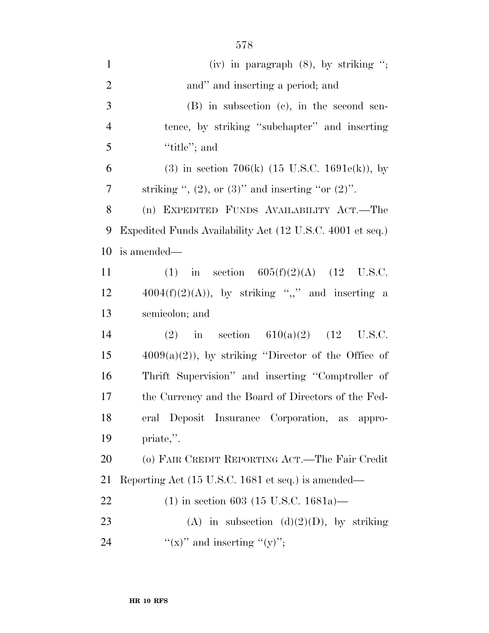| $\mathbf{1}$   | (iv) in paragraph $(8)$ , by striking ";                   |
|----------------|------------------------------------------------------------|
| $\overline{2}$ | and" and inserting a period; and                           |
| 3              | (B) in subsection (c), in the second sen-                  |
| $\overline{4}$ | tence, by striking "subchapter" and inserting              |
| 5              | "title"; and                                               |
| 6              | (3) in section 706(k) $(15 \text{ U.S.C. } 1691e(k))$ , by |
| 7              | striking ", $(2)$ , or $(3)$ " and inserting "or $(2)$ ".  |
| 8              | (n) EXPEDITED FUNDS AVAILABILITY ACT.—The                  |
| 9              | Expedited Funds Availability Act (12 U.S.C. 4001 et seq.)  |
| 10             | is amended—                                                |
| 11             | (1) in section $605(f)(2)(A)$ (12 U.S.C.                   |
| 12             | $4004(f)(2)(A)$ , by striking ",," and inserting a         |
| 13             | semicolon; and                                             |
| 14             | in section $610(a)(2)$ (12 U.S.C.<br>(2)                   |
| 15             | $4009(a)(2)$ , by striking "Director of the Office of      |
| 16             | Thrift Supervision" and inserting "Comptroller of          |
| 17             | the Currency and the Board of Directors of the Fed-        |
| 18             | eral Deposit Insurance Corporation, as appro-              |
| 19             | priate,".                                                  |
| 20             | (o) FAIR CREDIT REPORTING ACT.—The Fair Credit             |
| 21             | Reporting Act (15 U.S.C. 1681 et seq.) is amended—         |
| 22             | $(1)$ in section 603 (15 U.S.C. 1681a)—                    |
| 23             | (A) in subsection (d)(2)(D), by striking                   |
| 24             | "(x)" and inserting "(y)";                                 |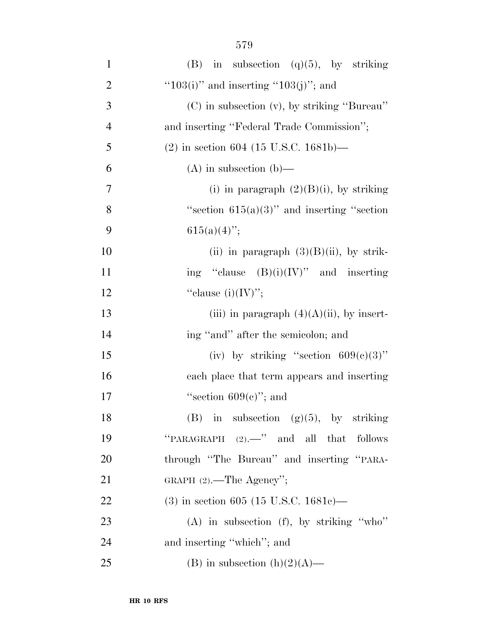| $\mathbf{1}$   | $(B)$ in subsection $(q)(5)$ , by striking     |
|----------------|------------------------------------------------|
| $\overline{2}$ | " $103(i)$ " and inserting " $103(j)$ "; and   |
| 3              | (C) in subsection (v), by striking "Bureau"    |
| $\overline{4}$ | and inserting "Federal Trade Commission";      |
| 5              | $(2)$ in section 604 (15 U.S.C. 1681b)—        |
| 6              | $(A)$ in subsection $(b)$ —                    |
| 7              | (i) in paragraph $(2)(B)(i)$ , by striking     |
| 8              | "section $615(a)(3)$ " and inserting "section" |
| 9              | $615(a)(4)$ ";                                 |
| 10             | (ii) in paragraph $(3)(B)(ii)$ , by strik-     |
| 11             | ing "clause $(B)(i)(IV)$ " and inserting       |
| 12             | "clause $(i)(IV)$ ";                           |
| 13             | (iii) in paragraph $(4)(A)(ii)$ , by insert-   |
| 14             | ing "and" after the semicolon; and             |
| 15             | (iv) by striking "section $609(e)(3)$ "        |
| 16             | each place that term appears and inserting     |
| 17             | "section $609(e)$ "; and                       |
| 18             | (B) in subsection $(g)(5)$ , by striking       |
| 19             | "PARAGRAPH $(2)$ .—" and all that follows      |
| 20             | through "The Bureau" and inserting "PARA-      |
| 21             | GRAPH $(2)$ .—The Agency";                     |
| 22             | $(3)$ in section 605 (15 U.S.C. 1681c)—        |
| 23             | $(A)$ in subsection $(f)$ , by striking "who"  |
| 24             | and inserting "which"; and                     |
| 25             | (B) in subsection $(h)(2)(A)$ —                |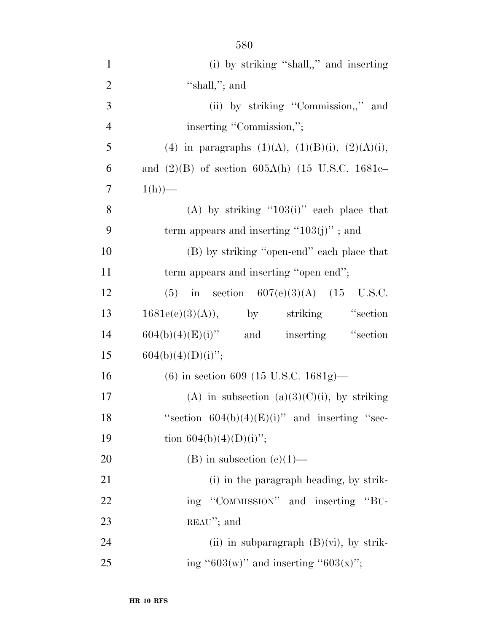| $\mathbf{1}$   | (i) by striking "shall,," and inserting                  |
|----------------|----------------------------------------------------------|
| $\overline{2}$ | "shall,"; and                                            |
| 3              | (ii) by striking "Commission,," and                      |
| $\overline{4}$ | inserting "Commission,";                                 |
| 5              | (4) in paragraphs $(1)(A)$ , $(1)(B)(i)$ , $(2)(A)(i)$ , |
| 6              | and $(2)(B)$ of section 605A(h) (15 U.S.C. 1681c-        |
| $\overline{7}$ | $1(h)$ )—                                                |
| 8              | (A) by striking " $103(i)$ " each place that             |
| 9              | term appears and inserting " $103(j)$ "; and             |
| 10             | (B) by striking "open-end" each place that               |
| 11             | term appears and inserting "open end";                   |
| 12             | (5) in section $607(e)(3)(A)$ (15 U.S.C.                 |
| 13             | $1681e(e)(3)(A)$ , by striking "section                  |
| 14             | $604(b)(4)(E)(i)$ " and inserting "section               |
| 15             | $604(b)(4)(D)(i)$ ";                                     |
| 16             | $(6)$ in section 609 (15 U.S.C. 1681g)—                  |
| 17             | (A) in subsection (a)(3)(C)(i), by striking              |
| 18             | "section $604(b)(4)(E)(i)$ " and inserting "sec-         |
| 19             | tion $604(b)(4)(D)(i)$ ";                                |
| 20             | (B) in subsection $(c)(1)$ —                             |
| 21             | (i) in the paragraph heading, by strik-                  |
| 22             | ing "COMMISSION" and inserting "BU-                      |
| 23             | $REAU''$ ; and                                           |
| 24             | (ii) in subparagraph $(B)(vi)$ , by strik-               |

25 ing ''603(w)'' and inserting ''603(x)'';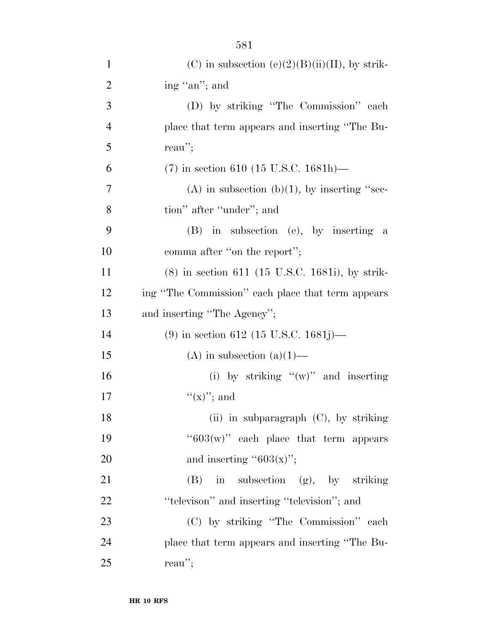| $\mathbf{1}$   | (C) in subsection (e)(2)(B)(ii)(II), by strik-    |
|----------------|---------------------------------------------------|
| $\overline{2}$ | ing "an"; and                                     |
| 3              | (D) by striking "The Commission" each             |
| $\overline{4}$ | place that term appears and inserting "The Bu-    |
| 5              | reau";                                            |
| 6              | $(7)$ in section 610 (15 U.S.C. 1681h)—           |
| 7              | $(A)$ in subsection $(b)(1)$ , by inserting "sec- |
| 8              | tion" after "under"; and                          |
| 9              | $(B)$ in subsection (e), by inserting a           |
| 10             | comma after "on the report";                      |
| 11             | $(8)$ in section 611 (15 U.S.C. 1681i), by strik- |
| 12             | ing "The Commission" each place that term appears |
| 13             | and inserting "The Agency";                       |
| 14             | $(9)$ in section 612 (15 U.S.C. 1681j)—           |
| 15             | (A) in subsection $(a)(1)$ —                      |
| 16             | (i) by striking " $(w)$ " and inserting           |
| 17             | " $(x)$ "; and                                    |
| 18             | (ii) in subparagraph $(C)$ , by striking          |
| 19             | " $603(w)$ " each place that term appears         |
| 20             | and inserting " $603(x)$ ";                       |
| 21             | in subsection (g), by striking<br>(B)             |
| 22             | "televison" and inserting "television"; and       |
| 23             | (C) by striking "The Commission" each             |
| 24             | place that term appears and inserting "The Bu-    |
| 25             | reau";                                            |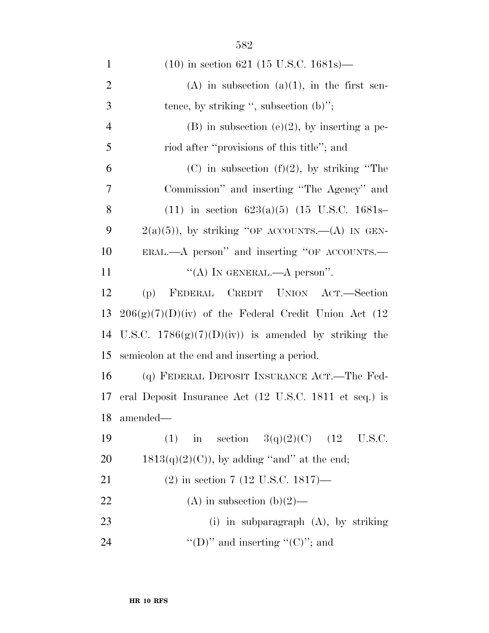| $\mathbf{1}$   | $(10)$ in section 621 (15 U.S.C. 1681s)—                 |
|----------------|----------------------------------------------------------|
| $\overline{2}$ | $(A)$ in subsection $(a)(1)$ , in the first sen-         |
| 3              | tence, by striking ", subsection $(b)$ ";                |
| $\overline{4}$ | $(B)$ in subsection $(e)(2)$ , by inserting a pe-        |
| 5              | riod after "provisions of this title"; and               |
| 6              | $(C)$ in subsection $(f)(2)$ , by striking "The          |
| 7              | Commission" and inserting "The Agency" and               |
| 8              | $(11)$ in section 623(a)(5) (15 U.S.C. 1681s-            |
| 9              | $2(a)(5)$ , by striking "OF ACCOUNTS.—(A) IN GEN-        |
| 10             | $ERAL. \text{—} A person$ " and inserting "OF ACCOUNTS.— |
| 11             | "(A) IN GENERAL.—A person".                              |
| 12             | FEDERAL CREDIT UNION ACT.—Section<br>(p)                 |
| 13             | $206(g)(7)(D)(iv)$ of the Federal Credit Union Act (12   |
| 14             | U.S.C. $1786(g)(7)(D)(iv)$ is amended by striking the    |
| 15             | semicolon at the end and inserting a period.             |
| 16             | (q) FEDERAL DEPOSIT INSURANCE ACT.—The Fed-              |
| 17             | eral Deposit Insurance Act (12 U.S.C. 1811 et seq.) is   |
| 18             | amended-                                                 |
| 19             | in section $3(q)(2)(C)$ (12 U.S.C.<br>(1)                |
| 20             | $1813(q)(2)(C)$ , by adding "and" at the end;            |
| 21             | $(2)$ in section 7 (12 U.S.C. 1817)—                     |
| 22             | (A) in subsection (b)(2)—                                |
| 23             | (i) in subparagraph $(A)$ , by striking                  |
| 24             | "(D)" and inserting "(C)"; and                           |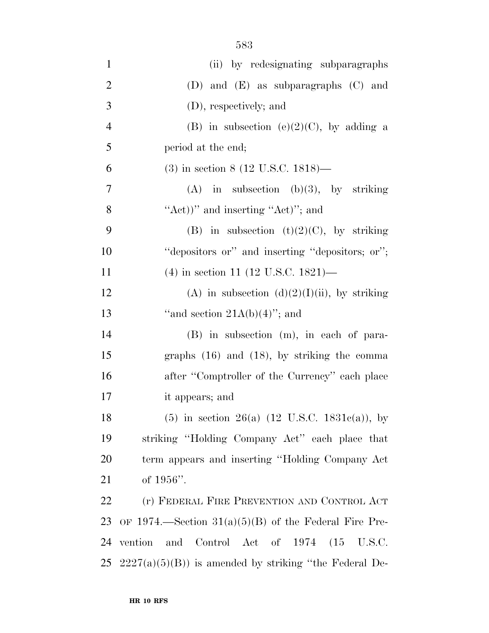| $\mathbf{1}$   | (ii) by redesignating subparagraphs                         |
|----------------|-------------------------------------------------------------|
| $\overline{2}$ | (D) and $(E)$ as subparagraphs $(C)$ and                    |
| 3              | (D), respectively; and                                      |
| $\overline{4}$ | (B) in subsection (e)(2)(C), by adding a                    |
| 5              | period at the end;                                          |
| 6              | $(3)$ in section 8 (12 U.S.C. 1818)—                        |
| 7              | $(A)$ in subsection $(b)(3)$ , by striking                  |
| 8              | "Act)" and inserting "Act)"; and                            |
| 9              | (B) in subsection (t)(2)(C), by striking                    |
| 10             | "depositors or" and inserting "depositors; or";             |
| 11             | $(4)$ in section 11 (12 U.S.C. 1821)—                       |
| 12             | (A) in subsection (d)(2)(I)(ii), by striking                |
| 13             | "and section $21A(b)(4)$ "; and                             |
| 14             | (B) in subsection (m), in each of para-                     |
| 15             | graphs $(16)$ and $(18)$ , by striking the comma            |
| 16             | after "Comptroller of the Currency" each place              |
| 17             | it appears; and                                             |
| 18             | $(5)$ in section 26(a) $(12 \text{ U.S.C. } 1831c(a))$ , by |
| 19             | striking "Holding Company Act" each place that              |
| 20             | term appears and inserting "Holding Company Act"            |
| 21             | of $1956$ ".                                                |
| 22             | (r) FEDERAL FIRE PREVENTION AND CONTROL ACT                 |
| 23             | OF 1974.—Section $31(a)(5)(B)$ of the Federal Fire Pre-     |
| 24             | and Control Act of 1974<br>vention<br>(15<br>U.S.C.         |
| 25             | $2227(a)(5)(B)$ is amended by striking "the Federal De-     |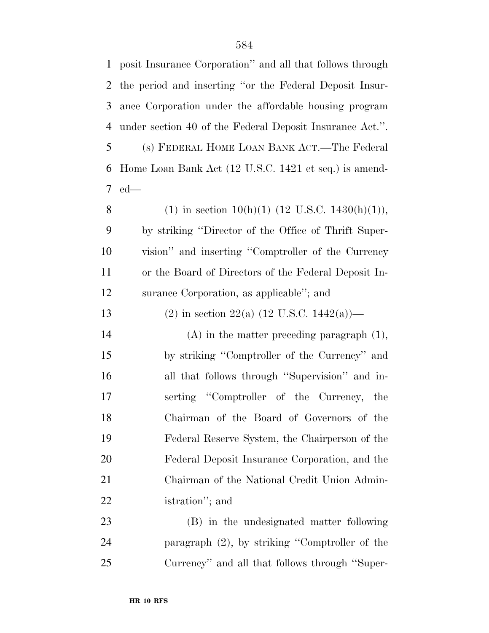| $\mathbf{1}$   | posit Insurance Corporation" and all that follows through |
|----------------|-----------------------------------------------------------|
| 2              | the period and inserting "or the Federal Deposit Insur-   |
| 3              | ance Corporation under the affordable housing program     |
| $\overline{4}$ | under section 40 of the Federal Deposit Insurance Act.".  |
| 5              | (s) FEDERAL HOME LOAN BANK ACT.—The Federal               |
| 6              | Home Loan Bank Act (12 U.S.C. 1421 et seq.) is amend-     |
| 7              | $ed$ —                                                    |
| 8              | (1) in section 10(h)(1) (12 U.S.C. 1430(h)(1)),           |
| 9              | by striking "Director of the Office of Thrift Super-      |
| 10             | vision" and inserting "Comptroller of the Currency        |
| 11             | or the Board of Directors of the Federal Deposit In-      |
| 12             | surance Corporation, as applicable"; and                  |
| 13             | (2) in section 22(a) (12 U.S.C. 1442(a))—                 |
| 14             | $(A)$ in the matter preceding paragraph $(1)$ ,           |
| 15             | by striking "Comptroller of the Currency" and             |
| 16             | all that follows through "Supervision" and in-            |
| 17             | serting "Comptroller of the Currency, the                 |
| 18             | Chairman of the Board of Governors of the                 |
| 19             | Federal Reserve System, the Chairperson of the            |
| 20             | Federal Deposit Insurance Corporation, and the            |
| 21             | Chairman of the National Credit Union Admin-              |
| 22             | istration"; and                                           |
| 23             | (B) in the undesignated matter following                  |
| 24             | paragraph (2), by striking "Comptroller of the            |
| 25             | Currency" and all that follows through "Super-            |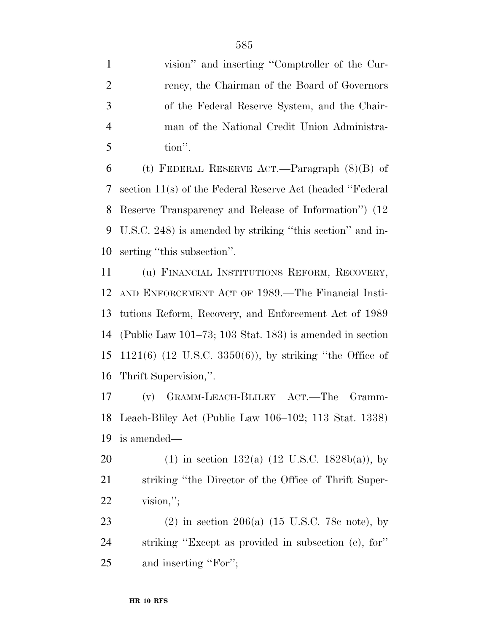vision'' and inserting ''Comptroller of the Cur- rency, the Chairman of the Board of Governors of the Federal Reserve System, and the Chair- man of the National Credit Union Administra-tion''.

6 (t) FEDERAL RESERVE ACT.—Paragraph  $(8)(B)$  of section 11(s) of the Federal Reserve Act (headed ''Federal Reserve Transparency and Release of Information'') (12 U.S.C. 248) is amended by striking ''this section'' and in-serting ''this subsection''.

 (u) FINANCIAL INSTITUTIONS REFORM, RECOVERY, AND ENFORCEMENT ACT OF 1989.—The Financial Insti- tutions Reform, Recovery, and Enforcement Act of 1989 (Public Law 101–73; 103 Stat. 183) is amended in section 1121(6) (12 U.S.C. 3350(6)), by striking ''the Office of Thrift Supervision,''.

 (v) GRAMM-LEACH-BLILEY ACT.—The Gramm- Leach-Bliley Act (Public Law 106–102; 113 Stat. 1338) is amended—

20 (1) in section 132(a)  $(12 \text{ U.S.C. } 1828b(a))$ , by striking ''the Director of the Office of Thrift Super-vision,'';

 (2) in section 206(a) (15 U.S.C. 78c note), by striking ''Except as provided in subsection (e), for'' 25 and inserting "For";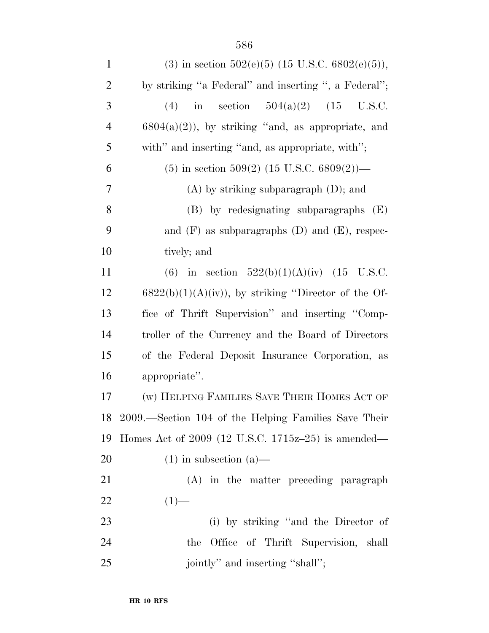| $\mathbf{1}$   | (3) in section $502(e)(5)$ (15 U.S.C. $6802(e)(5)$ ),             |
|----------------|-------------------------------------------------------------------|
| $\overline{2}$ | by striking "a Federal" and inserting ", a Federal";              |
| 3              | section $504(a)(2)$ $(15$<br>$\operatorname{in}$<br>U.S.C.<br>(4) |
| $\overline{4}$ | $6804(a)(2)$ , by striking "and, as appropriate, and              |
| 5              | with" and inserting "and, as appropriate, with";                  |
| 6              | $(5)$ in section 509(2) (15 U.S.C. 6809(2))—                      |
| 7              | $(A)$ by striking subparagraph $(D)$ ; and                        |
| 8              | $(B)$ by redesignating subparagraphs $(E)$                        |
| 9              | and $(F)$ as subparagraphs $(D)$ and $(E)$ , respec-              |
| 10             | tively; and                                                       |
| 11             | (6) in section $522(b)(1)(A)(iv)$ (15 U.S.C.                      |
| 12             | $6822(b)(1)(A)(iv)$ , by striking "Director of the Of-            |
| 13             | fice of Thrift Supervision" and inserting "Comp-                  |
| 14             | troller of the Currency and the Board of Directors                |
| 15             | of the Federal Deposit Insurance Corporation, as                  |
| 16             | appropriate".                                                     |
| 17             | (w) HELPING FAMILIES SAVE THEIR HOMES ACT OF                      |
|                | 18 2009.—Section 104 of the Helping Families Save Their           |
| 19             | Homes Act of $2009$ (12 U.S.C. 1715 $z$ -25) is amended—          |
| 20             | $(1)$ in subsection $(a)$ —                                       |
| 21             | (A) in the matter preceding paragraph                             |
| 22             | $(1)$ —                                                           |
| 23             | (i) by striking "and the Director of                              |
| 24             | the Office of Thrift Supervision, shall                           |
| 25             | jointly" and inserting "shall";                                   |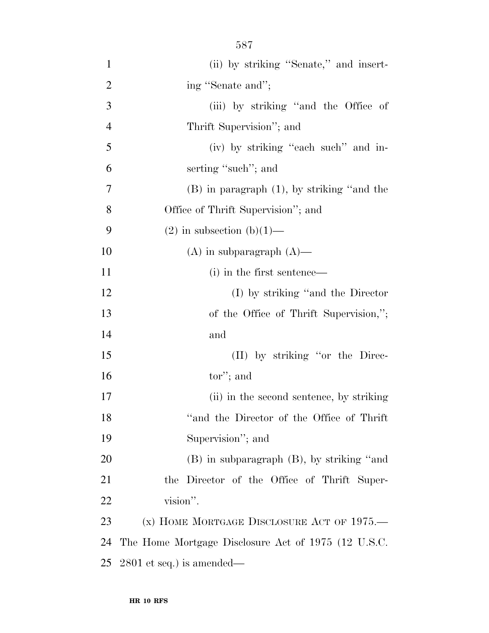| $\mathbf{1}$   | (ii) by striking "Senate," and insert-              |
|----------------|-----------------------------------------------------|
| $\overline{2}$ | ing "Senate and";                                   |
| 3              | (iii) by striking "and the Office of                |
| $\overline{4}$ | Thrift Supervision"; and                            |
| 5              | (iv) by striking "each such" and in-                |
| 6              | serting "such"; and                                 |
| $\tau$         | $(B)$ in paragraph $(1)$ , by striking "and the     |
| 8              | Office of Thrift Supervision"; and                  |
| 9              | $(2)$ in subsection $(b)(1)$ —                      |
| 10             | $(A)$ in subparagraph $(A)$ —                       |
| 11             | (i) in the first sentence—                          |
| 12             | (I) by striking "and the Director"                  |
| 13             | of the Office of Thrift Supervision,";              |
| 14             | and                                                 |
| 15             | (II) by striking "or the Direc-                     |
| 16             | tor"; and                                           |
| 17             | (ii) in the second sentence, by striking            |
| 18             | and the Director of the Office of Thrift            |
| 19             | Supervision"; and                                   |
| 20             | $(B)$ in subparagraph $(B)$ , by striking "and      |
| 21             | the Director of the Office of Thrift Super-         |
| 22             | vision".                                            |
| 23             | $(x)$ HOME MORTGAGE DISCLOSURE ACT OF 1975.—        |
| 24             | The Home Mortgage Disclosure Act of 1975 (12 U.S.C. |
| 25             | $2801$ et seq.) is amended—                         |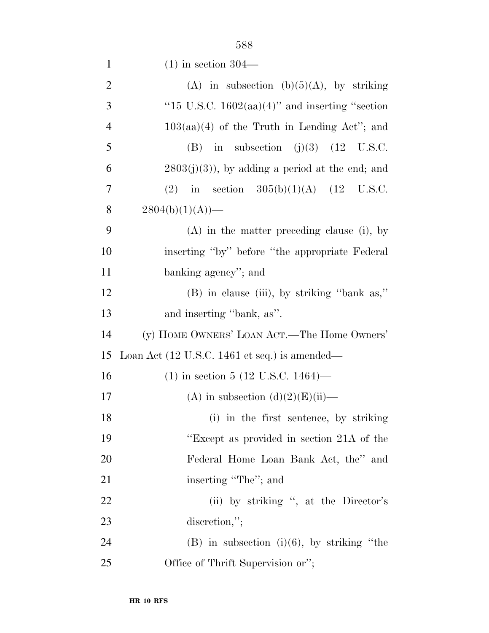| $\mathbf{1}$   | $(1)$ in section 304—                                            |
|----------------|------------------------------------------------------------------|
| $\overline{2}$ | (A) in subsection (b) $(5)(A)$ , by striking                     |
| 3              | "15 U.S.C. $1602(aa)(4)$ " and inserting "section"               |
| $\overline{4}$ | $103(aa)(4)$ of the Truth in Lending Act''; and                  |
| 5              | (B) in subsection (j)(3) $(12 \text{ U.S.C.})$                   |
| 6              | $2803(j)(3)$ , by adding a period at the end; and                |
| 7              | in section $305(b)(1)(A)$ (12 U.S.C.<br>(2)                      |
| 8              | $2804(b)(1)(A)$ —                                                |
| 9              | $(A)$ in the matter preceding clause (i), by                     |
| 10             | inserting "by" before "the appropriate Federal                   |
| 11             | banking agency"; and                                             |
| 12             | $(B)$ in clause (iii), by striking "bank as,"                    |
| 13             | and inserting "bank, as".                                        |
| 14             | (y) HOME OWNERS' LOAN ACT.—The Home Owners'                      |
| 15             | Loan Act $(12 \text{ U.S.C. } 1461 \text{ et seq.})$ is amended— |
| 16             | $(1)$ in section 5 (12 U.S.C. 1464)—                             |
| 17             | (A) in subsection $(d)(2)(E)(ii)$ —                              |
| 18             | (i) in the first sentence, by striking                           |
| 19             | "Except as provided in section 21A of the                        |
| 20             | Federal Home Loan Bank Act, the" and                             |
| 21             | inserting "The"; and                                             |
| 22             | (ii) by striking ", at the Director's                            |
| 23             | discretion,";                                                    |
| 24             | $(B)$ in subsection $(i)(6)$ , by striking "the                  |
| 25             | Office of Thrift Supervision or";                                |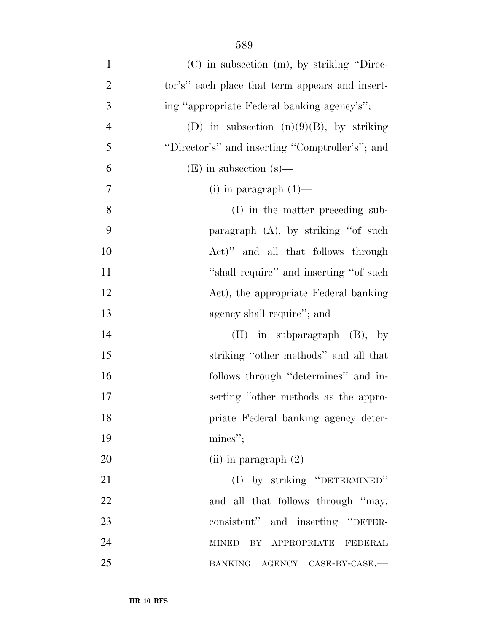| $\mathbf{1}$   | $(C)$ in subsection $(m)$ , by striking "Direc- |
|----------------|-------------------------------------------------|
| $\overline{2}$ | tor's" each place that term appears and insert- |
| 3              | ing "appropriate Federal banking agency's";     |
| $\overline{4}$ | (D) in subsection $(n)(9)(B)$ , by striking     |
| 5              | "Director's" and inserting "Comptroller's"; and |
| 6              | $(E)$ in subsection $(s)$ —                     |
| $\tau$         | $(i)$ in paragraph $(1)$ —                      |
| 8              | (I) in the matter preceding sub-                |
| 9              | paragraph $(A)$ , by striking "of such          |
| 10             | Act)" and all that follows through              |
| 11             | "shall require" and inserting "of such          |
| 12             | Act), the appropriate Federal banking           |
| 13             | agency shall require"; and                      |
| 14             | $(II)$ in subparagraph $(B)$ , by               |
| 15             | striking "other methods" and all that           |
| 16             | follows through "determines" and in-            |
| 17             | serting "other methods as the appro-            |
| 18             | priate Federal banking agency deter-            |
| 19             | mines";                                         |
| 20             | (ii) in paragraph $(2)$ —                       |
| 21             | (I) by striking "DETERMINED"                    |
| 22             | and all that follows through "may,              |
| 23             | consistent" and inserting "DETER-               |
| 24             | MINED BY APPROPRIATE<br>FEDERAL                 |
| 25             | BANKING AGENCY CASE-BY-CASE.-                   |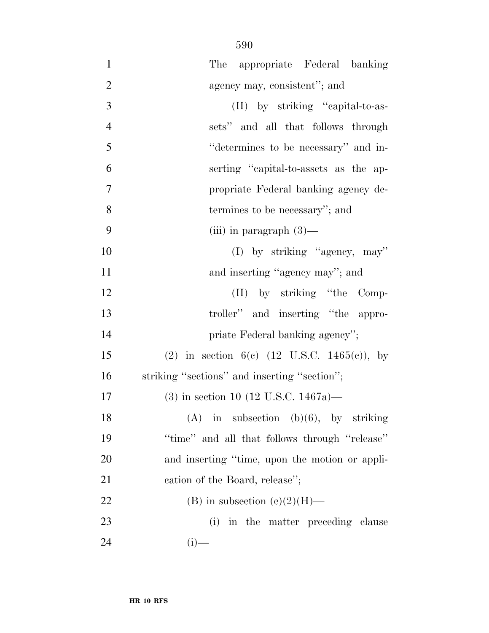| $\mathbf{1}$   | The appropriate Federal banking                                 |
|----------------|-----------------------------------------------------------------|
| $\overline{2}$ | agency may, consistent"; and                                    |
| 3              | (II) by striking "capital-to-as-                                |
| $\overline{4}$ | sets" and all that follows through                              |
| 5              | "determines to be necessary" and in-                            |
| 6              | serting "capital-to-assets as the ap-                           |
| $\overline{7}$ | propriate Federal banking agency de-                            |
| 8              | termines to be necessary"; and                                  |
| 9              | (iii) in paragraph $(3)$ —                                      |
| 10             | $(I)$ by striking "agency, may"                                 |
| 11             | and inserting "agency may"; and                                 |
| 12             | (II) by striking "the Comp-                                     |
| 13             | troller" and inserting "the appro-                              |
| 14             | priate Federal banking agency";                                 |
| 15             | (2) in section 6(c) $(12 \text{ U.S.C. } 1465(e)), \text{ by }$ |
| 16             | striking "sections" and inserting "section";                    |
| 17             | $(3)$ in section 10 (12 U.S.C. 1467a)—                          |
| 18             | $(A)$ in subsection $(b)(6)$ , by striking                      |
| 19             | "time" and all that follows through "release"                   |
| 20             | and inserting "time, upon the motion or appli-                  |
| 21             | cation of the Board, release";                                  |
| 22             | (B) in subsection $(e)(2)(H)$ —                                 |
| 23             | in the matter preceding clause<br>(i)                           |
| 24             | $(i)$ -                                                         |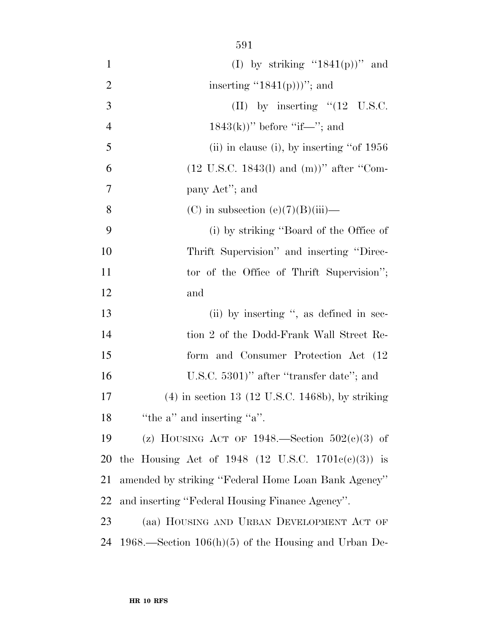| $\mathbf{1}$   | (I) by striking " $1841(p)$ " and                             |
|----------------|---------------------------------------------------------------|
| $\overline{2}$ | inserting " $1841(p)$ "; and                                  |
| 3              | (II) by inserting $\degree$ (12 U.S.C.                        |
| $\overline{4}$ | $1843(k)$ " before "if—"; and                                 |
| 5              | (ii) in clause (i), by inserting "of $1956$                   |
| 6              | $(12 \text{ U.S.C. } 1843(l) \text{ and } (m))$ " after "Com- |
| 7              | pany Act''; and                                               |
| 8              | (C) in subsection (e)(7)(B)(iii)—                             |
| 9              | (i) by striking "Board of the Office of                       |
| 10             | Thrift Supervision" and inserting "Direc-                     |
| 11             | tor of the Office of Thrift Supervision";                     |
| 12             | and                                                           |
| 13             | (ii) by inserting ", as defined in sec-                       |
| 14             | tion 2 of the Dodd-Frank Wall Street Re-                      |
| 15             | form and Consumer Protection Act (12)                         |
| 16             | U.S.C. $5301$ )" after "transfer date"; and                   |
| 17             | $(4)$ in section 13 (12 U.S.C. 1468b), by striking            |
| 18             | "the $a$ " and inserting " $a$ ".                             |
| 19             | (z) HOUSING ACT OF 1948.—Section $502(e)(3)$ of               |
| 20             | the Housing Act of 1948 (12 U.S.C. $1701c(c)(3)$ ) is         |
| 21             | amended by striking "Federal Home Loan Bank Agency"           |
| 22             | and inserting "Federal Housing Finance Agency".               |
| 23             | (aa) HOUSING AND URBAN DEVELOPMENT ACT OF                     |
| 24             | $1968.$ —Section $106(h)(5)$ of the Housing and Urban De-     |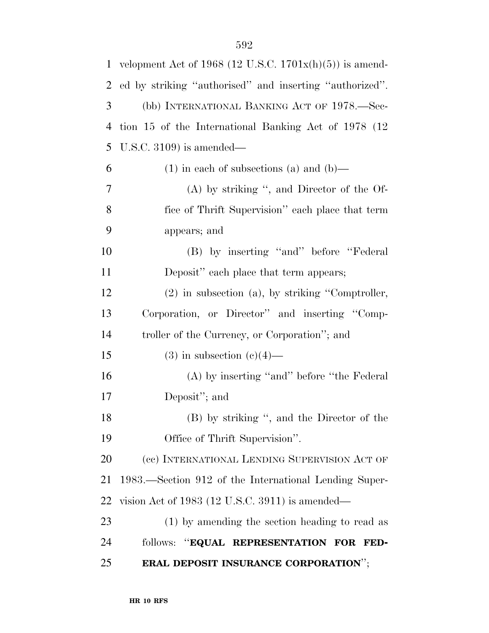| $\mathbf{1}$   | velopment Act of 1968 (12 U.S.C. $1701x(h)(5)$ ) is amend- |
|----------------|------------------------------------------------------------|
| $\overline{2}$ | ed by striking "authorised" and inserting "authorized".    |
| 3              | (bb) INTERNATIONAL BANKING ACT OF 1978.—Sec-               |
| $\overline{4}$ | tion 15 of the International Banking Act of 1978 (12)      |
| 5              | U.S.C. $3109$ is amended—                                  |
| 6              | $(1)$ in each of subsections (a) and (b)—                  |
| 7              | $(A)$ by striking ", and Director of the Of-               |
| 8              | fice of Thrift Supervision" each place that term           |
| 9              | appears; and                                               |
| 10             | (B) by inserting "and" before "Federal                     |
| 11             | Deposit" each place that term appears;                     |
| 12             | $(2)$ in subsection $(a)$ , by striking "Comptroller,      |
| 13             | Corporation, or Director" and inserting "Comp-             |
| 14             | troller of the Currency, or Corporation"; and              |
| 15             | $(3)$ in subsection $(e)(4)$ —                             |
| 16             | (A) by inserting "and" before "the Federal"                |
| 17             | Deposit"; and                                              |
| 18             | (B) by striking ", and the Director of the                 |
| 19             | Office of Thrift Supervision".                             |
| 20             | (cc) INTERNATIONAL LENDING SUPERVISION ACT OF              |
| 21             | 1983.—Section 912 of the International Lending Super-      |
| 22             | vision Act of 1983 (12 U.S.C. 3911) is amended—            |
| 23             | $(1)$ by amending the section heading to read as           |
| 24             | follows: "EQUAL REPRESENTATION FOR FED-                    |
| 25             | ERAL DEPOSIT INSURANCE CORPORATION";                       |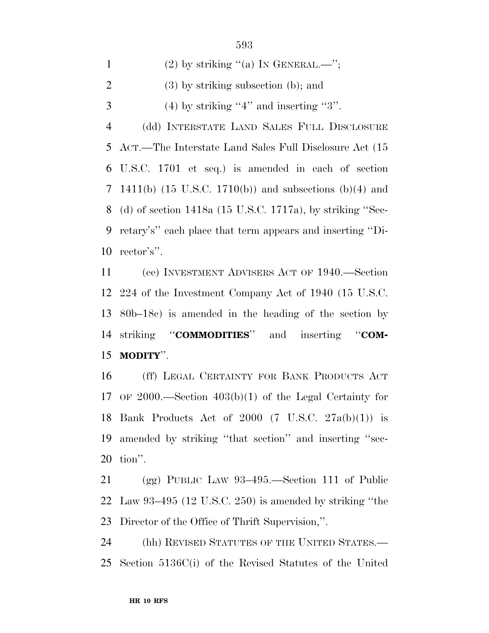| $\mathbf{1}$ | $(2)$ by striking "(a) In GENERAL.—";                                 |
|--------------|-----------------------------------------------------------------------|
| 2            | $(3)$ by striking subsection (b); and                                 |
| 3            | $(4)$ by striking "4" and inserting "3".                              |
| 4            | (dd) INTERSTATE LAND SALES FULL DISCLOSURE                            |
|              | 5 ACT.—The Interstate Land Sales Full Disclosure Act (15              |
|              | 6 U.S.C. 1701 et seq.) is amended in each of section                  |
|              | 7 1411(b) $(15 \text{ U.S.C. } 1710(b))$ and subsections $(b)(4)$ and |
|              | 8 (d) of section 1418a (15 U.S.C. 1717a), by striking "Sec-           |
|              | 9 retary's" each place that term appears and inserting "Di-           |
|              | $10$ rector's".                                                       |

 (ee) INVESTMENT ADVISERS ACT OF 1940.—Section 224 of the Investment Company Act of 1940 (15 U.S.C. 80b–18c) is amended in the heading of the section by striking ''**COMMODITIES**'' and inserting ''**COM-MODITY**''.

 (ff) LEGAL CERTAINTY FOR BANK PRODUCTS ACT OF 2000.—Section 403(b)(1) of the Legal Certainty for Bank Products Act of 2000 (7 U.S.C. 27a(b)(1)) is amended by striking ''that section'' and inserting ''sec-tion''.

 (gg) PUBLIC LAW 93–495.—Section 111 of Public Law 93–495 (12 U.S.C. 250) is amended by striking ''the Director of the Office of Thrift Supervision,''.

 (hh) REVISED STATUTES OF THE UNITED STATES.— Section 5136C(i) of the Revised Statutes of the United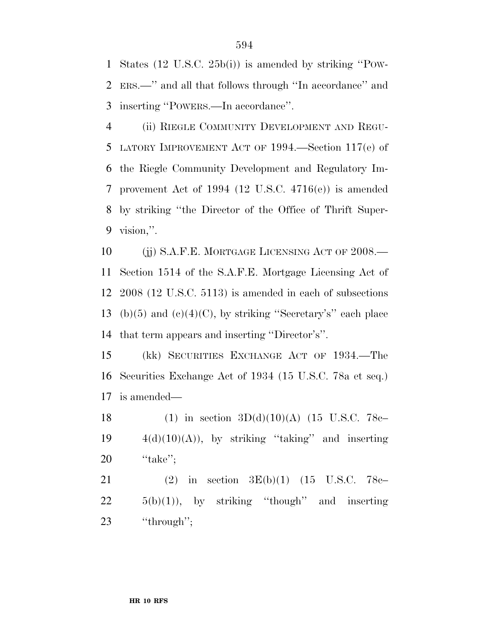States (12 U.S.C. 25b(i)) is amended by striking ''POW- ERS.—'' and all that follows through ''In accordance'' and inserting ''POWERS.—In accordance''.

 (ii) RIEGLE COMMUNITY DEVELOPMENT AND REGU- LATORY IMPROVEMENT ACT OF 1994.—Section 117(e) of the Riegle Community Development and Regulatory Im- provement Act of 1994 (12 U.S.C. 4716(e)) is amended by striking ''the Director of the Office of Thrift Super-vision,''.

10 (ii) S.A.F.E. MORTGAGE LICENSING ACT OF 2008.— Section 1514 of the S.A.F.E. Mortgage Licensing Act of 2008 (12 U.S.C. 5113) is amended in each of subsections 13 (b)(5) and (e)(4)(C), by striking "Secretary's" each place that term appears and inserting ''Director's''.

 (kk) SECURITIES EXCHANGE ACT OF 1934.—The Securities Exchange Act of 1934 (15 U.S.C. 78a et seq.) is amended—

18 (1) in section  $3D(d)(10)(A)$  (15 U.S.C. 78c– 19  $4(d)(10)(A)$ , by striking "taking" and inserting ''take'';

 (2) in section 3E(b)(1) (15 U.S.C. 78c–  $22 \t 5(b)(1)$ , by striking "though" and inserting 23 "through";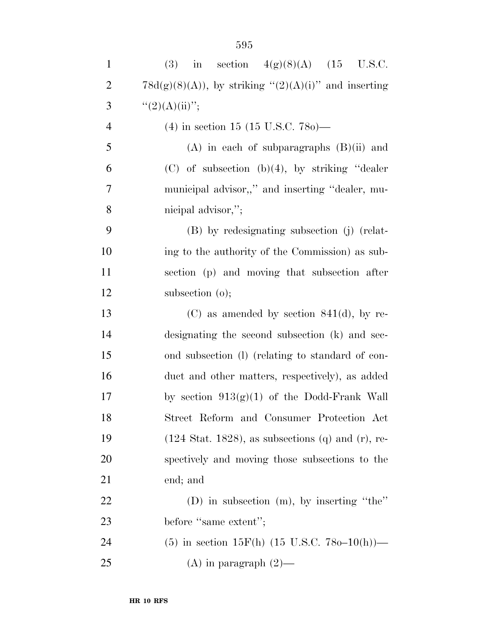| $\mathbf{1}$   | in section $4(g)(8)(A)$ (15<br>(3)<br>U.S.C.                  |
|----------------|---------------------------------------------------------------|
| $\overline{2}$ | $78d(g)(8)(A)$ , by striking " $(2)(A)(i)$ " and inserting    |
| 3              | ``(2)(A)(ii)'';                                               |
| $\overline{4}$ | $(4)$ in section 15 (15 U.S.C. 780)—                          |
| 5              | $(A)$ in each of subparagraphs $(B)(ii)$ and                  |
| 6              | $(C)$ of subsection $(b)(4)$ , by striking "dealer"           |
| 7              | municipal advisor,," and inserting "dealer, mu-               |
| 8              | nicipal advisor,";                                            |
| 9              | (B) by redesignating subsection (j) (relat-                   |
| 10             | ing to the authority of the Commission) as sub-               |
| 11             | section (p) and moving that subsection after                  |
| 12             | subsection $(o)$ ;                                            |
| 13             | (C) as amended by section $841(d)$ , by re-                   |
| 14             | designating the second subsection (k) and sec-                |
| 15             | ond subsection (l) (relating to standard of con-              |
| 16             | duct and other matters, respectively), as added               |
| 17             | by section $913(g)(1)$ of the Dodd-Frank Wall                 |
| 18             | Street Reform and Consumer Protection Act                     |
| 19             | $(124 \text{ Stat. } 1828)$ , as subsections (q) and (r), re- |
| 20             | spectively and moving those subsections to the                |
| 21             | end; and                                                      |
| 22             | (D) in subsection $(m)$ , by inserting "the"                  |
| 23             | before "same extent";                                         |
| 24             | (5) in section 15F(h) (15 U.S.C. 780-10(h))-                  |
| 25             | (A) in paragraph $(2)$ —                                      |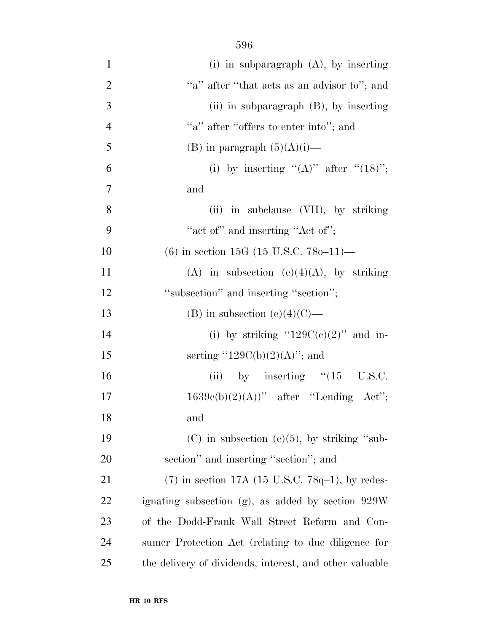| $\mathbf{1}$   | (i) in subparagraph $(A)$ , by inserting                |
|----------------|---------------------------------------------------------|
| $\overline{2}$ | "a" after "that acts as an advisor to"; and             |
| 3              | (ii) in subparagraph (B), by inserting                  |
| $\overline{4}$ | "a" after "offers to enter into"; and                   |
| 5              | (B) in paragraph $(5)(A)(i)$ —                          |
| 6              | (i) by inserting " $(A)$ " after " $(18)$ ";            |
| 7              | and                                                     |
| 8              | (ii) in subclause (VII), by striking                    |
| 9              | "act of" and inserting "Act of";                        |
| 10             | $(6)$ in section 15G (15 U.S.C. 780-11)—                |
| 11             | (A) in subsection (e)(4)(A), by striking                |
| 12             | "subsection" and inserting "section";                   |
| 13             | (B) in subsection (e)(4)(C)—                            |
| 14             | (i) by striking " $129C(e)(2)$ " and in-                |
| 15             | serting "129C(b)(2)(A)"; and                            |
| 16             | (ii) by inserting $\cdot$ (15 U.S.C.                    |
| 17             | $1639e(b)(2)(A))$ " after "Lending Act";                |
| 18             | and                                                     |
| 19             | $(C)$ in subsection (e)(5), by striking "sub-           |
| 20             | section" and inserting "section"; and                   |
| 21             | $(7)$ in section 17A (15 U.S.C. 78q-1), by redes-       |
| 22             | ignating subsection $(g)$ , as added by section $929W$  |
| 23             | of the Dodd-Frank Wall Street Reform and Con-           |
| 24             | sumer Protection Act (relating to due diligence for     |
| 25             | the delivery of dividends, interest, and other valuable |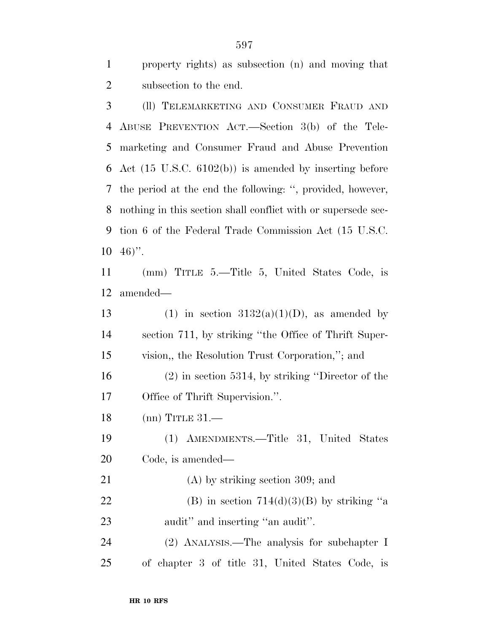property rights) as subsection (n) and moving that subsection to the end.

 (ll) TELEMARKETING AND CONSUMER FRAUD AND ABUSE PREVENTION ACT.—Section 3(b) of the Tele- marketing and Consumer Fraud and Abuse Prevention Act (15 U.S.C. 6102(b)) is amended by inserting before the period at the end the following: '', provided, however, nothing in this section shall conflict with or supersede sec- tion 6 of the Federal Trade Commission Act (15 U.S.C.  $10 \t 46$ ".

 (mm) TITLE 5.—Title 5, United States Code, is amended—

13 (1) in section  $3132(a)(1)(D)$ , as amended by section 711, by striking ''the Office of Thrift Super- vision,, the Resolution Trust Corporation,''; and (2) in section 5314, by striking ''Director of the Office of Thrift Supervision.''. (nn) TITLE 31.—

 (1) AMENDMENTS.—Title 31, United States Code, is amended—

21 (A) by striking section 309; and 22 (B) in section  $714(d)(3)(B)$  by striking "a 23 audit" and inserting "an audit".

 (2) ANALYSIS.—The analysis for subchapter I of chapter 3 of title 31, United States Code, is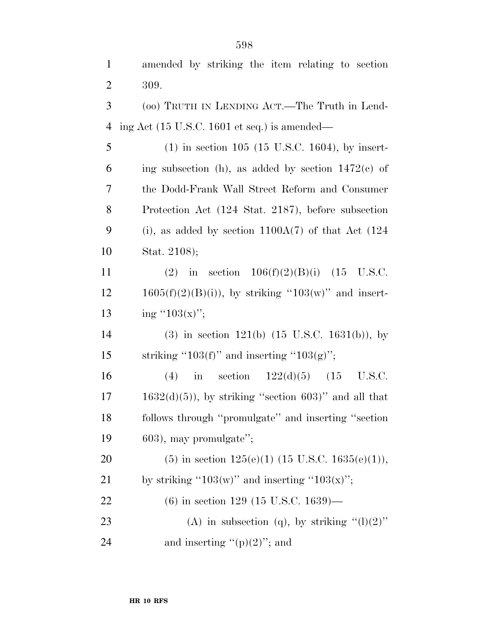| $\mathbf{1}$   | amended by striking the item relating to section                |
|----------------|-----------------------------------------------------------------|
| $\overline{2}$ | 309.                                                            |
| 3              | (00) TRUTH IN LENDING ACT.—The Truth in Lend-                   |
| $\overline{4}$ | ing Act $(15 \text{ U.S.C. } 1601 \text{ et seq.})$ is amended— |
| 5              | $(1)$ in section 105 (15 U.S.C. 1604), by insert-               |
| 6              | ing subsection (h), as added by section $1472(e)$ of            |
| 7              | the Dodd-Frank Wall Street Reform and Consumer                  |
| 8              | Protection Act (124 Stat. 2187), before subsection              |
| 9              | (i), as added by section $1100A(7)$ of that Act (124)           |
| 10             | Stat. 2108);                                                    |
| 11             | (2) in section $106(f)(2)(B)(i)$ (15 U.S.C.                     |
| 12             | $1605(f)(2)(B(i))$ , by striking "103(w)" and insert-           |
| 13             | ing " $103(x)$ ";                                               |
| 14             | $(3)$ in section 121(b) $(15 \text{ U.S.C. } 1631(b))$ , by     |
| 15             | striking "103(f)" and inserting "103(g)";                       |
| 16             | in section $122(d)(5)$ $(15 \text{ U.S.C.})$<br>(4)             |
| 17             | $1632(d)(5)$ , by striking "section 603)" and all that          |
| 18             | follows through "promulgate" and inserting "section             |
| 19             | $603$ , may promulgate";                                        |
| 20             | $(5)$ in section $125(e)(1)$ $(15 \text{ U.S.C. } 1635(e)(1)),$ |
| 21             | by striking "103(w)" and inserting "103(x)";                    |
| 22             | $(6)$ in section 129 (15 U.S.C. 1639)—                          |
| 23             | (A) in subsection (q), by striking " $(l)(2)$ "                 |
| 24             | and inserting " $(p)(2)$ "; and                                 |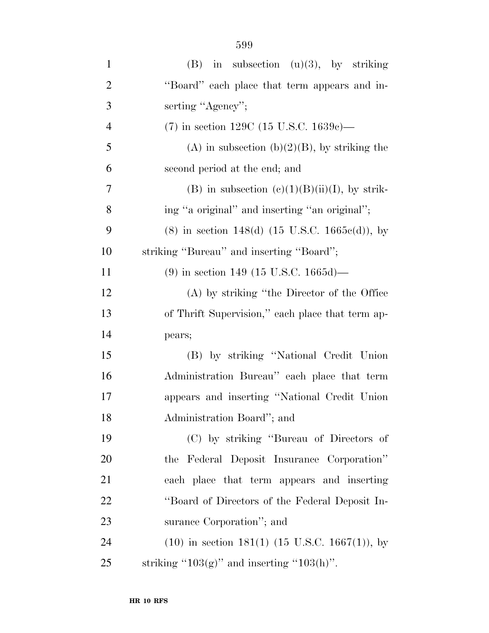| $\mathbf{1}$   | in subsection $(u)(3)$ , by striking<br>(B)          |
|----------------|------------------------------------------------------|
| $\overline{2}$ | "Board" each place that term appears and in-         |
| 3              | serting "Agency";                                    |
| $\overline{4}$ | $(7)$ in section 129C (15 U.S.C. 1639c)—             |
| 5              | (A) in subsection (b) $(2)(B)$ , by striking the     |
| 6              | second period at the end; and                        |
| 7              | (B) in subsection $(c)(1)(B)(ii)(I)$ , by strik-     |
| 8              | ing "a original" and inserting "an original";        |
| 9              | $(8)$ in section 148(d) (15 U.S.C. 1665 $e$ (d)), by |
| 10             | striking "Bureau" and inserting "Board";             |
| 11             | $(9)$ in section 149 (15 U.S.C. 1665d)—              |
| 12             | (A) by striking "the Director of the Office          |
| 13             | of Thrift Supervision," each place that term ap-     |
| 14             | pears;                                               |
| 15             | (B) by striking "National Credit Union               |
| 16             | Administration Bureau" each place that term          |
| 17             | appears and inserting "National Credit Union         |
| 18             | Administration Board"; and                           |
| 19             | (C) by striking "Bureau of Directors of              |
| 20             | the Federal Deposit Insurance Corporation"           |
| 21             | each place that term appears and inserting           |
| 22             | "Board of Directors of the Federal Deposit In-       |
| 23             | surance Corporation"; and                            |
| 24             | $(10)$ in section 181(1) (15 U.S.C. 1667(1)), by     |
| 25             | striking " $103(g)$ " and inserting " $103(h)$ ".    |